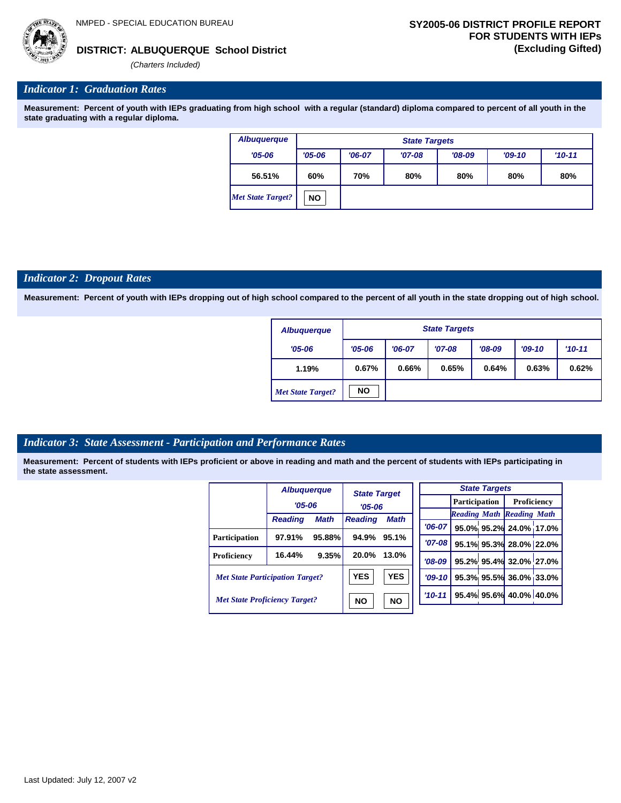

## **ALBUQUERQUE School District DISTRICT: (Excluding Gifted)**

*(Charters Included)*

# *Indicator 1: Graduation Rates*

**Measurement: Percent of youth with IEPs graduating from high school with a regular (standard) diploma compared to percent of all youth in the state graduating with a regular diploma.**

| <b>Albuquerque</b>       |            | <b>State Targets</b> |          |          |     |     |  |  |  |  |
|--------------------------|------------|----------------------|----------|----------|-----|-----|--|--|--|--|
| $'05 - 06$               | $'05 - 06$ | $'06-07$             | $'09-10$ | $'10-11$ |     |     |  |  |  |  |
| 56.51%                   | 60%        | 70%                  | 80%      | 80%      | 80% | 80% |  |  |  |  |
| <b>Met State Target?</b> | <b>NO</b>  |                      |          |          |     |     |  |  |  |  |

#### *Indicator 2: Dropout Rates*

**Measurement: Percent of youth with IEPs dropping out of high school compared to the percent of all youth in the state dropping out of high school.**

| <b>Albuquerque</b>       |            | <b>State Targets</b> |          |          |          |            |  |  |  |  |
|--------------------------|------------|----------------------|----------|----------|----------|------------|--|--|--|--|
| $'05 - 06$               | $'05 - 06$ | $'06-07$             | $'07-08$ | $'08-09$ | $'09-10$ | $'10 - 11$ |  |  |  |  |
| 1.19%                    | 0.67%      | 0.66%                | 0.65%    | 0.64%    | 0.63%    | 0.62%      |  |  |  |  |
| <b>Met State Target?</b> | <b>NO</b>  |                      |          |          |          |            |  |  |  |  |

#### *Indicator 3: State Assessment - Participation and Performance Rates*

|                                        | <b>Albuquerque</b> |             |                | <b>State Target</b><br>$'05 - 06$ |          |                      | <b>State Targets</b>    |                                  |  |
|----------------------------------------|--------------------|-------------|----------------|-----------------------------------|----------|----------------------|-------------------------|----------------------------------|--|
|                                        | $'05 - 06$         |             |                |                                   |          | <b>Participation</b> |                         | Proficiency                      |  |
|                                        | <b>Reading</b>     | <b>Math</b> | <b>Reading</b> | <b>Math</b>                       |          |                      |                         | <b>Reading Math Reading Math</b> |  |
|                                        |                    |             |                |                                   | $'06-07$ |                      |                         | 95.0% 95.2% 24.0% 17.0%          |  |
| <b>Participation</b>                   | 97.91%             | 95.88%      | 94.9%          | 95.1%                             | '07-08 l |                      |                         | 95.1% 95.3% 28.0% 22.0%          |  |
| Proficiency                            | 16.44%             | 9.35%       | 20.0%          | 13.0%                             | $'08-09$ |                      |                         | 95.2% 95.4% 32.0% 27.0%          |  |
| <b>Met State Participation Target?</b> |                    | <b>YES</b>  | <b>YES</b>     | $'09-10$                          |          |                      | 95.3% 95.5% 36.0% 33.0% |                                  |  |
| <b>Met State Proficiency Target?</b>   |                    | <b>NO</b>   | <b>NO</b>      | $'10-11'$                         |          |                      | 95.4% 95.6% 40.0% 40.0% |                                  |  |
|                                        |                    |             |                |                                   |          |                      |                         |                                  |  |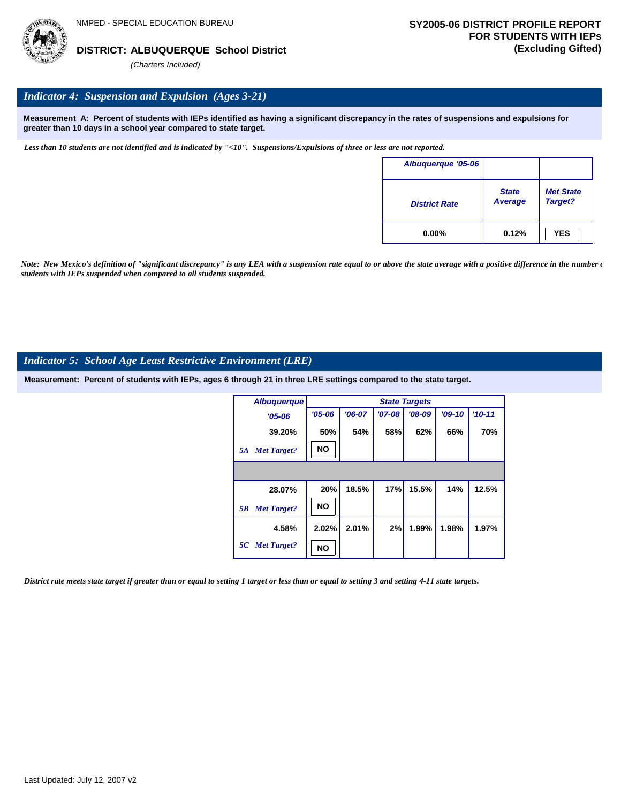

# *Indicator 4: Suspension and Expulsion (Ages 3-21)*

**Measurement A: Percent of students with IEPs identified as having a significant discrepancy in the rates of suspensions and expulsions for greater than 10 days in a school year compared to state target.**

*Less than 10 students are not identified and is indicated by "<10". Suspensions/Expulsions of three or less are not reported.*

| Albuquerque '05-06   |                                |                             |
|----------------------|--------------------------------|-----------------------------|
| <b>District Rate</b> | <b>State</b><br><b>Average</b> | <b>Met State</b><br>Target? |
| $0.00\%$             | 0.12%                          | <b>YES</b>                  |

*Note: New Mexico's definition of "significant discrepancy" is any LEA with a suspension rate equal to or above the state average with a positive difference in the number*  $\epsilon$ *students with IEPs suspended when compared to all students suspended.*

#### *Indicator 5: School Age Least Restrictive Environment (LRE)*

**Measurement: Percent of students with IEPs, ages 6 through 21 in three LRE settings compared to the state target.**

| <b>Albuquerque</b>       |            | <b>State Targets</b> |          |          |          |          |  |  |  |  |
|--------------------------|------------|----------------------|----------|----------|----------|----------|--|--|--|--|
| $'05 - 06$               | $'05 - 06$ | $'06-07$             | $'07-08$ | $'08-09$ | $'09-10$ | $'10-11$ |  |  |  |  |
| 39.20%                   | 50%        | 54%                  | 58%      | 62%      | 66%      | 70%      |  |  |  |  |
| <b>Met Target?</b><br>5A | <b>NO</b>  |                      |          |          |          |          |  |  |  |  |
|                          |            |                      |          |          |          |          |  |  |  |  |
| 28.07%                   | 20%        | 18.5%                | 17%      | 15.5%    | 14%      | 12.5%    |  |  |  |  |
| <b>Met Target?</b><br>5B | <b>NO</b>  |                      |          |          |          |          |  |  |  |  |
| 4.58%                    | 2.02%      | 2.01%                | 2%       | 1.99%    | 1.98%    | 1.97%    |  |  |  |  |
| 5C Met Target?           | NΟ         |                      |          |          |          |          |  |  |  |  |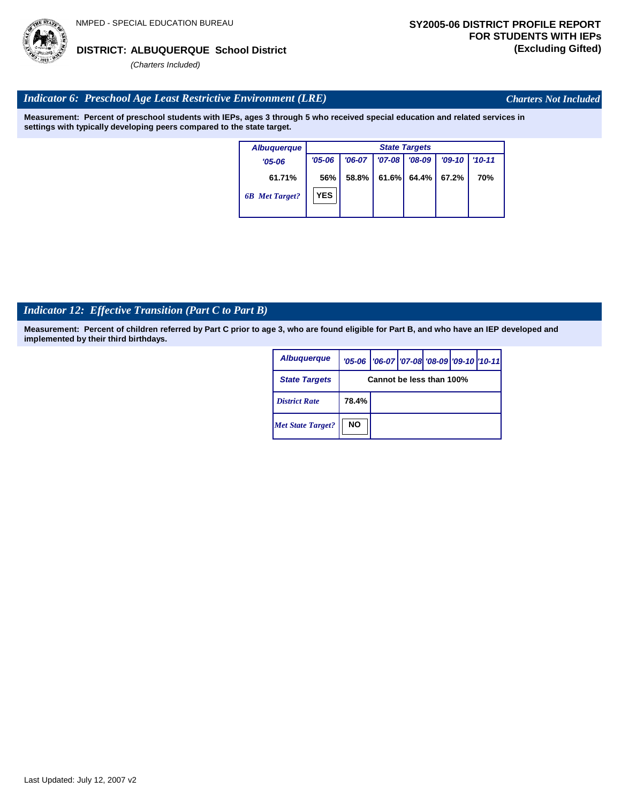# Last Updated: July 12, 2007 v2

# **ALBUQUERQUE School District DISTRICT: (Excluding Gifted)**

*(Charters Included)*

# *Indicator 6: Preschool Age Least Restrictive Environment (LRE)*

**Measurement: Percent of preschool students with IEPs, ages 3 through 5 who received special education and related services in settings with typically developing peers compared to the state target.**

| <b>Albuquerque</b>    | <b>State Targets</b> |          |          |          |          |          |  |  |
|-----------------------|----------------------|----------|----------|----------|----------|----------|--|--|
| $'05 - 06$            | $'05 - 06$           | $'06-07$ | $'07-08$ | $'08-09$ | $'09-10$ | $'10-11$ |  |  |
| 61.71%                | 56%                  | 58.8%    | 61.6%    | 64.4%    | 67.2%    | 70%      |  |  |
| <b>6B</b> Met Target? | <b>YES</b>           |          |          |          |          |          |  |  |

# *Indicator 12: Effective Transition (Part C to Part B)*

**Measurement: Percent of children referred by Part C prior to age 3, who are found eligible for Part B, and who have an IEP developed and implemented by their third birthdays.**

| <b>Albuquerque</b>       |                          | '05-06   '06-07   '07-08 '08-09   '09-10   '10-11 |  |  |  |  |  |
|--------------------------|--------------------------|---------------------------------------------------|--|--|--|--|--|
| <b>State Targets</b>     | Cannot be less than 100% |                                                   |  |  |  |  |  |
| <b>District Rate</b>     | 78.4%                    |                                                   |  |  |  |  |  |
| <b>Met State Target?</b> | <b>NO</b>                |                                                   |  |  |  |  |  |



*Charters Not Included*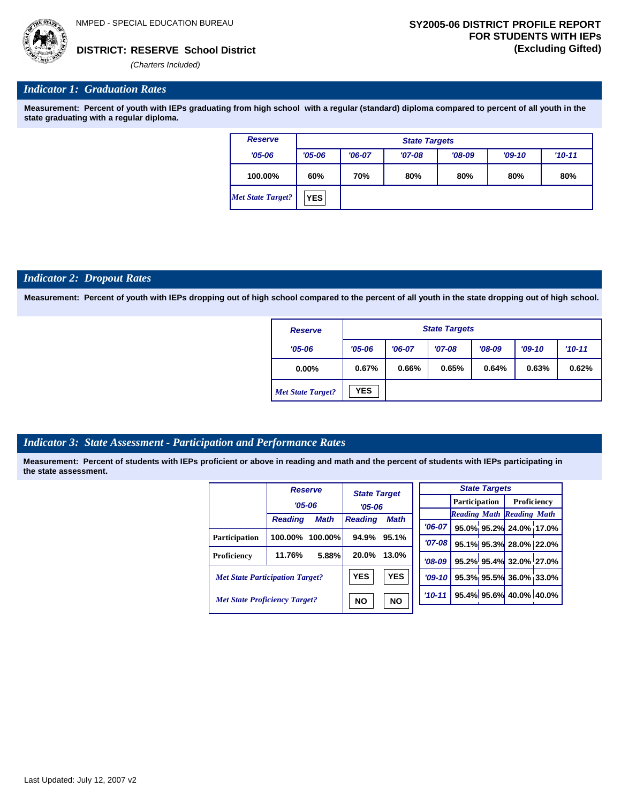

*(Charters Included)*

### *Indicator 1: Graduation Rates*

**Measurement: Percent of youth with IEPs graduating from high school with a regular (standard) diploma compared to percent of all youth in the state graduating with a regular diploma.**

| <b>Reserve</b>           |            | <b>State Targets</b> |          |            |     |     |  |  |  |  |
|--------------------------|------------|----------------------|----------|------------|-----|-----|--|--|--|--|
| $'05 - 06$               | $'05 - 06$ | $'06-07$             | $'09-10$ | $'10 - 11$ |     |     |  |  |  |  |
| 100.00%                  | 60%        | 70%                  | 80%      | 80%        | 80% | 80% |  |  |  |  |
| <b>Met State Target?</b> | <b>YES</b> |                      |          |            |     |     |  |  |  |  |

#### *Indicator 2: Dropout Rates*

**Measurement: Percent of youth with IEPs dropping out of high school compared to the percent of all youth in the state dropping out of high school.**

| <b>Reserve</b>           |            | <b>State Targets</b> |          |          |          |            |  |  |  |  |
|--------------------------|------------|----------------------|----------|----------|----------|------------|--|--|--|--|
| $'05 - 06$               | $'05 - 06$ | $'06-07$             | $'07-08$ | $'08-09$ | $'09-10$ | $'10 - 11$ |  |  |  |  |
| $0.00\%$                 | 0.67%      | 0.66%                | 0.65%    | 0.64%    | 0.63%    | 0.62%      |  |  |  |  |
| <b>Met State Target?</b> | <b>YES</b> |                      |          |          |          |            |  |  |  |  |

#### *Indicator 3: State Assessment - Participation and Performance Rates*

|                                        |                | <b>Reserve</b> | <b>State Target</b> |             |            |          |               | <b>State Targets</b>    |                                  |  |
|----------------------------------------|----------------|----------------|---------------------|-------------|------------|----------|---------------|-------------------------|----------------------------------|--|
|                                        | $'05 - 06$     |                |                     | $'05 - 06$  |            |          | Participation |                         | Proficiency                      |  |
|                                        |                |                |                     |             |            |          |               |                         | <b>Reading Math Reading Math</b> |  |
|                                        | <b>Reading</b> | Math           | <b>Reading</b>      | <b>Math</b> |            | $'06-07$ |               |                         | 95.0% 95.2% 24.0% 17.0%          |  |
| <b>Participation</b>                   | 100.00%        | 100.00%        | 94.9%               | 95.1%       |            | $'07-08$ |               |                         | 95.1% 95.3% 28.0% 22.0%          |  |
| Proficiency                            | 11.76%         | 5.88%          | 20.0%               | 13.0%       |            | $'08-09$ |               |                         | 95.2% 95.4% 32.0% 27.0%          |  |
| <b>Met State Participation Target?</b> |                | <b>YES</b>     | <b>YES</b>          |             | $'09-10$   |          |               | 95.3% 95.5% 36.0% 33.0% |                                  |  |
| <b>Met State Proficiency Target?</b>   |                | <b>NO</b>      | <b>NO</b>           |             | $'10 - 11$ |          |               | 95.4% 95.6% 40.0% 40.0% |                                  |  |
|                                        |                |                |                     |             |            |          |               |                         |                                  |  |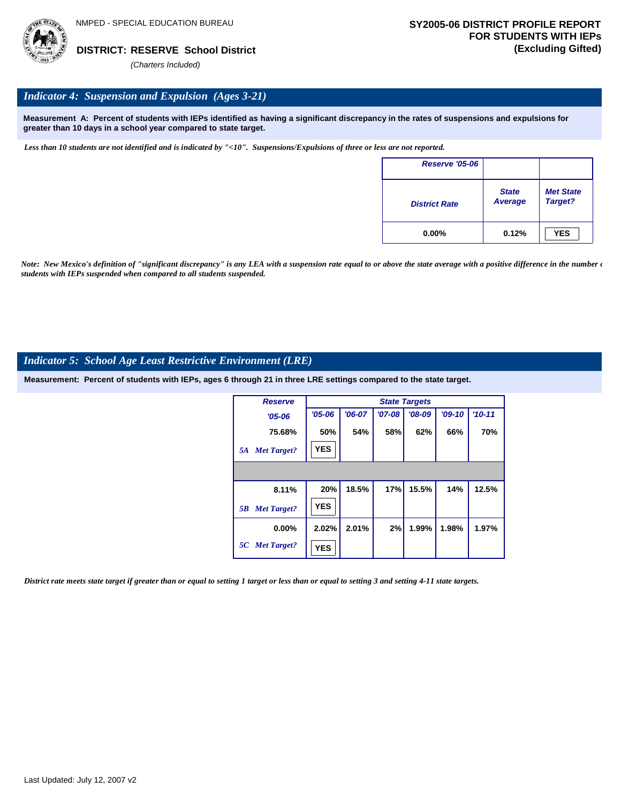

## *Indicator 4: Suspension and Expulsion (Ages 3-21)*

**Measurement A: Percent of students with IEPs identified as having a significant discrepancy in the rates of suspensions and expulsions for greater than 10 days in a school year compared to state target.**

*Less than 10 students are not identified and is indicated by "<10". Suspensions/Expulsions of three or less are not reported.*

| <b>Reserve '05-06</b> |                         |                             |
|-----------------------|-------------------------|-----------------------------|
| <b>District Rate</b>  | <b>State</b><br>Average | <b>Met State</b><br>Target? |
| $0.00\%$              | 0.12%                   | <b>YES</b>                  |

*Note: New Mexico's definition of "significant discrepancy" is any LEA with a suspension rate equal to or above the state average with a positive difference in the number*  $\epsilon$ *students with IEPs suspended when compared to all students suspended.*

### *Indicator 5: School Age Least Restrictive Environment (LRE)*

**Measurement: Percent of students with IEPs, ages 6 through 21 in three LRE settings compared to the state target.**

| <b>Reserve</b>           |            | <b>State Targets</b> |          |          |          |            |  |  |  |  |
|--------------------------|------------|----------------------|----------|----------|----------|------------|--|--|--|--|
| $'05 - 06$               | $'05 - 06$ | $'06-07$             | $'07-08$ | $'08-09$ | $'09-10$ | $'10 - 11$ |  |  |  |  |
| 75.68%                   | 50%        | 54%                  | 58%      | 62%      | 66%      | 70%        |  |  |  |  |
| <b>Met Target?</b><br>5A | <b>YES</b> |                      |          |          |          |            |  |  |  |  |
|                          |            |                      |          |          |          |            |  |  |  |  |
| 8.11%                    | 20%        | 18.5%                | 17%      | 15.5%    | 14%      | 12.5%      |  |  |  |  |
| <b>Met Target?</b><br>5B | <b>YES</b> |                      |          |          |          |            |  |  |  |  |
| $0.00\%$                 | 2.02%      | 2.01%                | 2%       | 1.99%    | 1.98%    | 1.97%      |  |  |  |  |
| 5C Met Target?           | <b>YES</b> |                      |          |          |          |            |  |  |  |  |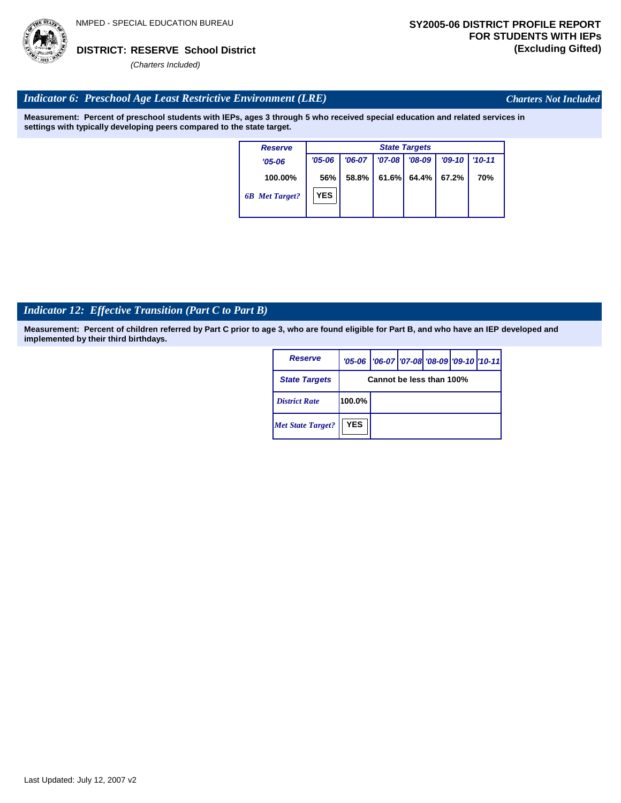

*Charters Not Included*

# *Indicator 6: Preschool Age Least Restrictive Environment (LRE)*

**Measurement: Percent of preschool students with IEPs, ages 3 through 5 who received special education and related services in settings with typically developing peers compared to the state target.**

| <b>Reserve</b>        |            |          |          | <b>State Targets</b> |          |            |
|-----------------------|------------|----------|----------|----------------------|----------|------------|
| $'05 - 06$            | $'05 - 06$ | $'06-07$ | $'07-08$ | $'08-09$             | $'09-10$ | $'10 - 11$ |
| 100.00%               | 56%        | 58.8%    | 61.6%    | 64.4%                | 67.2%    | 70%        |
| <b>6B</b> Met Target? | <b>YES</b> |          |          |                      |          |            |

# *Indicator 12: Effective Transition (Part C to Part B)*

| Reserve                  |            | '05-06   '06-07   '07-08   '08-09   '09-10   '10-11 |  |  |  |  |  |  |  |
|--------------------------|------------|-----------------------------------------------------|--|--|--|--|--|--|--|
| <b>State Targets</b>     |            | Cannot be less than 100%                            |  |  |  |  |  |  |  |
| <b>District Rate</b>     | 100.0%     |                                                     |  |  |  |  |  |  |  |
| <b>Met State Target?</b> | <b>YES</b> |                                                     |  |  |  |  |  |  |  |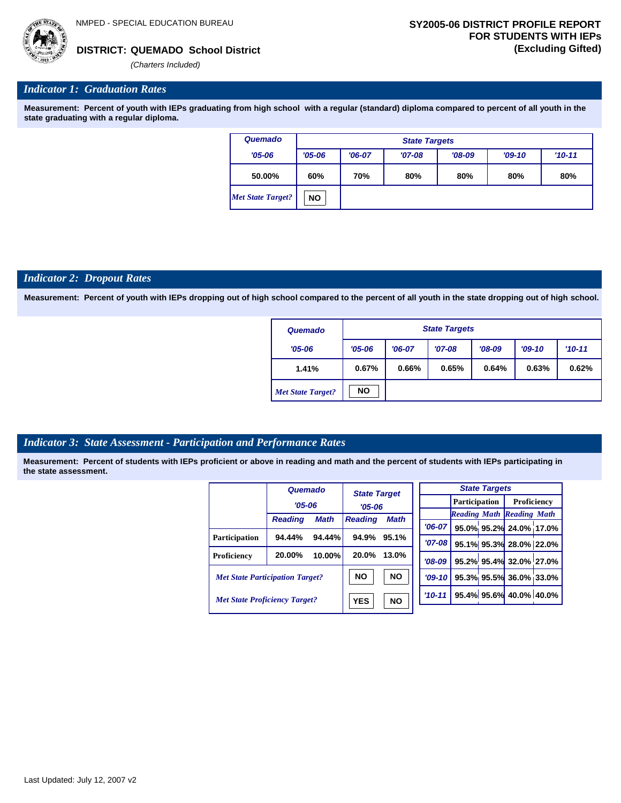*'06-07* **95.0% 95.2% 24.0% 17.0%**

**95.1% 95.3% 28.0% 22.0% 95.2% 95.4% 32.0% 27.0% 95.3% 95.5% 36.0% 33.0% 95.4% 95.6% 40.0% 40.0%**

*Reading Math Reading Math*

*(Charters Included)*

# *Indicator 1: Graduation Rates*

**Measurement: Percent of youth with IEPs graduating from high school with a regular (standard) diploma compared to percent of all youth in the state graduating with a regular diploma.**

| Quemado           |            | <b>State Targets</b> |          |          |          |          |  |  |  |  |  |  |
|-------------------|------------|----------------------|----------|----------|----------|----------|--|--|--|--|--|--|
| $'05 - 06$        | $'05 - 06$ | $'06-07$             | $'07-08$ | $'08-09$ | $'09-10$ | $'10-11$ |  |  |  |  |  |  |
| 50.00%            | 60%        | 70%                  | 80%      | 80%      | 80%      | 80%      |  |  |  |  |  |  |
| Met State Target? | <b>NO</b>  |                      |          |          |          |          |  |  |  |  |  |  |

#### *Indicator 2: Dropout Rates*

**Measurement: Percent of youth with IEPs dropping out of high school compared to the percent of all youth in the state dropping out of high school.**

| Quemado                  |            | <b>State Targets</b> |          |          |          |          |  |  |  |  |  |
|--------------------------|------------|----------------------|----------|----------|----------|----------|--|--|--|--|--|
| $'05 - 06$               | $'05 - 06$ | $'06-07$             | $'07-08$ | $'08-09$ | $'09-10$ | $'10-11$ |  |  |  |  |  |
| 1.41%                    | 0.67%      | 0.66%                | 0.65%    | 0.64%    | 0.63%    | 0.62%    |  |  |  |  |  |
| <b>Met State Target?</b> | <b>NO</b>  |                      |          |          |          |          |  |  |  |  |  |

# *Indicator 3: State Assessment - Participation and Performance Rates*

|                                        | Quemado        |             | <b>State Target</b> |           |            |            |                      | <b>State Targets</b> |                                  |  |
|----------------------------------------|----------------|-------------|---------------------|-----------|------------|------------|----------------------|----------------------|----------------------------------|--|
|                                        | $'05 - 06$     |             | $'05 - 06$          |           |            |            | <b>Participation</b> |                      | Proficiency                      |  |
|                                        |                |             |                     |           |            |            |                      |                      | <b>Reading Math Reading Math</b> |  |
|                                        | <b>Reading</b> | <b>Math</b> | <b>Reading</b>      | Math      | $'06-07$   |            |                      |                      | 95.0% 95.2% 24.0% 17.0           |  |
| <b>Participation</b>                   | 94.44%         | 94.44%      | 94.9%               | 95.1%     |            | $'07 - 08$ |                      |                      |                                  |  |
|                                        |                |             |                     |           |            |            |                      |                      | 95.1% 95.3% 28.0% 22.0           |  |
| Proficiency                            | 20.00%         | $10.00\%$   | 20.0%               | 13.0%     | $'08-09$   |            |                      |                      | 95.2% 95.4% 32.0% 27.0           |  |
| <b>Met State Participation Target?</b> |                |             | <b>NO</b>           | <b>NO</b> | $'09-10'$  |            |                      |                      | 95.3% 95.5% 36.0% 33.0           |  |
| <b>Met State Proficiency Target?</b>   |                |             | <b>YES</b>          | <b>NO</b> | $'10 - 11$ |            |                      |                      | 95.4% 95.6% 40.0% 40.0%          |  |
|                                        |                |             |                     |           |            |            |                      |                      |                                  |  |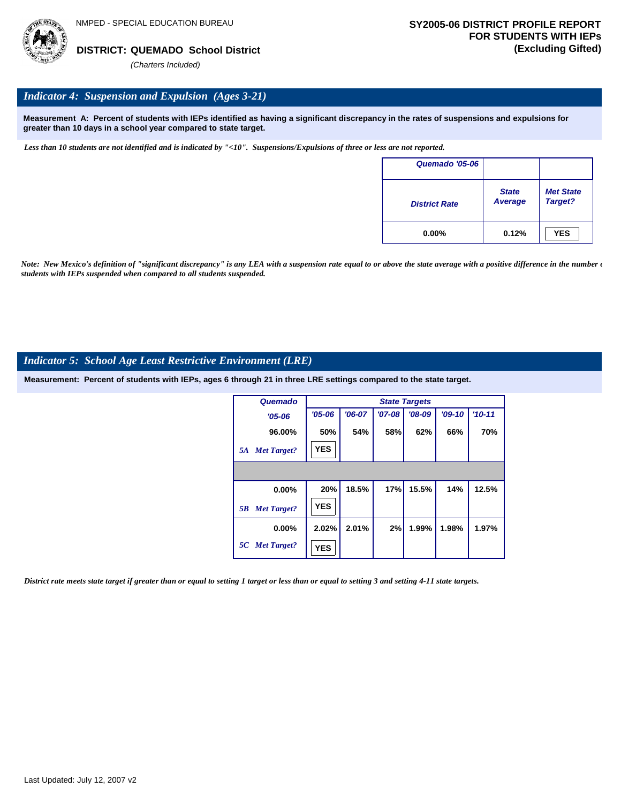

## *Indicator 4: Suspension and Expulsion (Ages 3-21)*

**Measurement A: Percent of students with IEPs identified as having a significant discrepancy in the rates of suspensions and expulsions for greater than 10 days in a school year compared to state target.**

*Less than 10 students are not identified and is indicated by "<10". Suspensions/Expulsions of three or less are not reported.*

| Quemado '05-06       |                                |                             |
|----------------------|--------------------------------|-----------------------------|
| <b>District Rate</b> | <b>State</b><br><b>Average</b> | <b>Met State</b><br>Target? |
| $0.00\%$             | 0.12%                          | <b>YES</b>                  |

*Note: New Mexico's definition of "significant discrepancy" is any LEA with a suspension rate equal to or above the state average with a positive difference in the number*  $\epsilon$ *students with IEPs suspended when compared to all students suspended.*

#### *Indicator 5: School Age Least Restrictive Environment (LRE)*

**Measurement: Percent of students with IEPs, ages 6 through 21 in three LRE settings compared to the state target.**

| Quemado                  |            |          |          | <b>State Targets</b> |          |          |
|--------------------------|------------|----------|----------|----------------------|----------|----------|
| $'05 - 06$               | $'05 - 06$ | $'06-07$ | $'07-08$ | $'08-09$             | $'09-10$ | $'10-11$ |
| 96.00%                   | 50%        | 54%      | 58%      | 62%                  | 66%      | 70%      |
| <b>Met Target?</b><br>5A | <b>YES</b> |          |          |                      |          |          |
|                          |            |          |          |                      |          |          |
| 0.00%                    | 20%        | 18.5%    | 17%      | 15.5%                | 14%      | 12.5%    |
| <b>Met Target?</b><br>5B | <b>YES</b> |          |          |                      |          |          |
| $0.00\%$                 | 2.02%      | 2.01%    | 2%       | 1.99%                | 1.98%    | 1.97%    |
| 5C Met Target?           | <b>YES</b> |          |          |                      |          |          |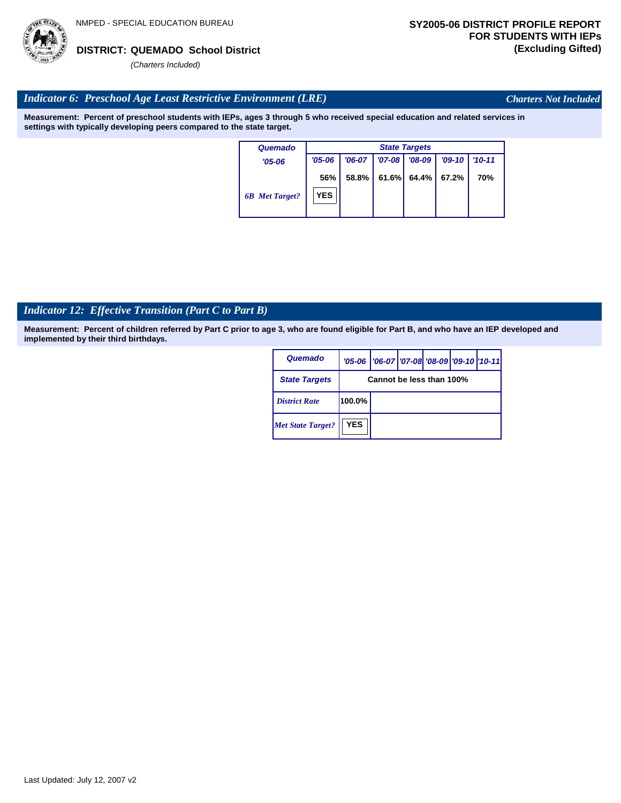

*Charters Not Included*

# *Indicator 6: Preschool Age Least Restrictive Environment (LRE)*

**Measurement: Percent of preschool students with IEPs, ages 3 through 5 who received special education and related services in settings with typically developing peers compared to the state target.**

| Quemado               |                   | <b>State Targets</b> |          |          |          |          |  |  |  |  |  |
|-----------------------|-------------------|----------------------|----------|----------|----------|----------|--|--|--|--|--|
| $'05 - 06$            | $'05 - 06$        | $'06-07$             | $'07-08$ | '08-09   | $'09-10$ | $'10-11$ |  |  |  |  |  |
| <b>6B</b> Met Target? | 56%<br><b>YES</b> | 58.8%                | 61.6%    | $64.4\%$ | 67.2%    | 70%      |  |  |  |  |  |

# *Indicator 12: Effective Transition (Part C to Part B)*

| Quemado                  |            | '05-06   '06-07   '07-08 '08-09   '09-10   '10-11 |  |  |  |  |  |  |  |
|--------------------------|------------|---------------------------------------------------|--|--|--|--|--|--|--|
| <b>State Targets</b>     |            | Cannot be less than 100%                          |  |  |  |  |  |  |  |
| <b>District Rate</b>     | 100.0%     |                                                   |  |  |  |  |  |  |  |
| <b>Met State Target?</b> | <b>YES</b> |                                                   |  |  |  |  |  |  |  |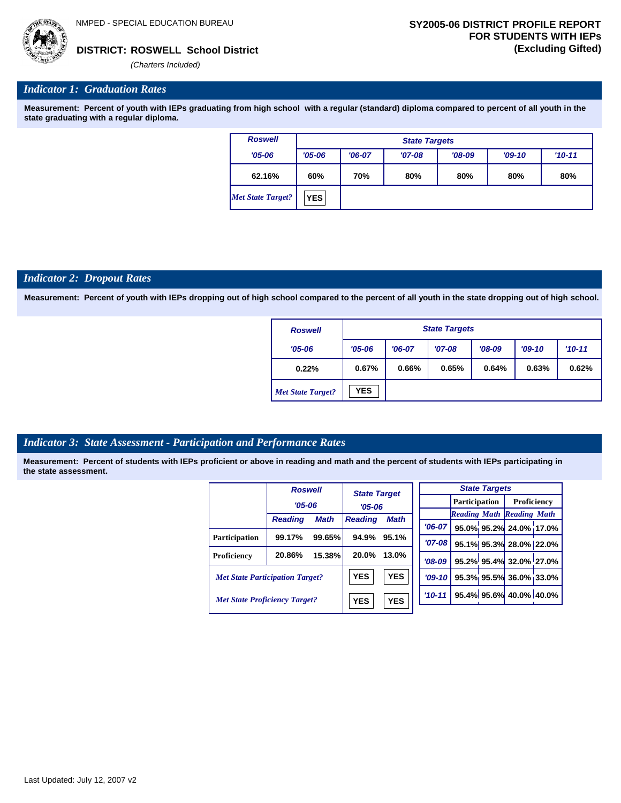*(Charters Included)*

### *Indicator 1: Graduation Rates*

**Measurement: Percent of youth with IEPs graduating from high school with a regular (standard) diploma compared to percent of all youth in the state graduating with a regular diploma.**

| <b>Roswell</b>           |            | <b>State Targets</b> |          |          |          |          |  |  |  |  |  |  |
|--------------------------|------------|----------------------|----------|----------|----------|----------|--|--|--|--|--|--|
| $'05 - 06$               | $'05 - 06$ | $'06-07$             | $'07-08$ | $'08-09$ | $'09-10$ | $'10-11$ |  |  |  |  |  |  |
| 62.16%                   | 60%        | 70%                  | 80%      | 80%      | 80%      | 80%      |  |  |  |  |  |  |
| <b>Met State Target?</b> | <b>YES</b> |                      |          |          |          |          |  |  |  |  |  |  |

### *Indicator 2: Dropout Rates*

**Measurement: Percent of youth with IEPs dropping out of high school compared to the percent of all youth in the state dropping out of high school.**

| <b>Roswell</b>           |                        | <b>State Targets</b> |          |          |          |          |  |  |  |  |  |
|--------------------------|------------------------|----------------------|----------|----------|----------|----------|--|--|--|--|--|
| $'05 - 06$               | $'05 - 06$<br>$'06-07$ |                      | $'07-08$ | $'08-09$ | $'09-10$ | $'10-11$ |  |  |  |  |  |
| 0.22%                    | 0.67%                  | 0.66%                | 0.65%    | 0.64%    | 0.63%    | 0.62%    |  |  |  |  |  |
| <b>Met State Target?</b> | <b>YES</b>             |                      |          |          |          |          |  |  |  |  |  |

#### *Indicator 3: State Assessment - Participation and Performance Rates*

|                                        | <b>Roswell</b> |             | <b>State Target</b>      |             |           |                      | <b>State Targets</b> |                                  |  |
|----------------------------------------|----------------|-------------|--------------------------|-------------|-----------|----------------------|----------------------|----------------------------------|--|
|                                        | $'05 - 06$     |             | $'05 - 06$               |             |           | <b>Participation</b> |                      | Proficiency                      |  |
|                                        |                |             |                          |             |           |                      |                      | <b>Reading Math Reading Math</b> |  |
|                                        | <b>Reading</b> | <b>Math</b> | <b>Reading</b>           | <b>Math</b> | $'06-07$  |                      |                      | 95.0% 95.2% 24.0% 17.0%          |  |
| <b>Participation</b>                   | 99.17%         | 99.65%      | 94.9%                    | 95.1%       | $'07-08$  |                      |                      |                                  |  |
|                                        |                |             |                          |             |           |                      |                      | 95.1% 95.3% 28.0% 22.0%          |  |
| Proficiency                            | 20.86%         | 15.38%      | 20.0%                    | 13.0%       | $'08-09$  |                      |                      | 95.2% 95.4% 32.0% 27.0%          |  |
| <b>Met State Participation Target?</b> |                |             | <b>YES</b>               | <b>YES</b>  | $'09-10'$ |                      |                      | 95.3% 95.5% 36.0% 33.0%          |  |
| <b>Met State Proficiency Target?</b>   |                |             | <b>YES</b><br><b>YES</b> |             | $'10-11$  |                      |                      | 95.4% 95.6% 40.0% 40.0%          |  |
|                                        |                |             |                          |             |           |                      |                      |                                  |  |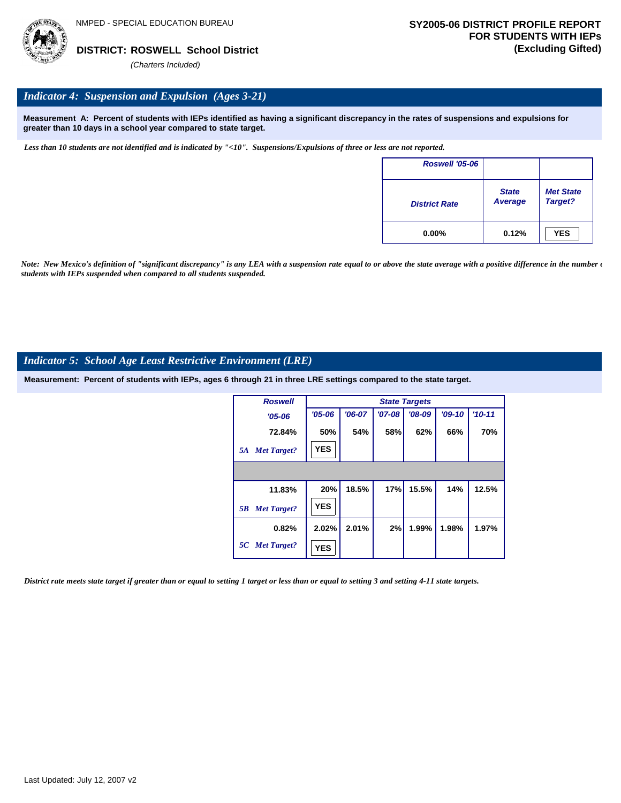

## *Indicator 4: Suspension and Expulsion (Ages 3-21)*

**Measurement A: Percent of students with IEPs identified as having a significant discrepancy in the rates of suspensions and expulsions for greater than 10 days in a school year compared to state target.**

*Less than 10 students are not identified and is indicated by "<10". Suspensions/Expulsions of three or less are not reported.*

| <b>Roswell '05-06</b> |                         |                             |
|-----------------------|-------------------------|-----------------------------|
| <b>District Rate</b>  | <b>State</b><br>Average | <b>Met State</b><br>Target? |
| $0.00\%$              | 0.12%                   | <b>YES</b>                  |

*Note: New Mexico's definition of "significant discrepancy" is any LEA with a suspension rate equal to or above the state average with a positive difference in the number*  $\epsilon$ *students with IEPs suspended when compared to all students suspended.*

#### *Indicator 5: School Age Least Restrictive Environment (LRE)*

**Measurement: Percent of students with IEPs, ages 6 through 21 in three LRE settings compared to the state target.**

| <b>Roswell</b>           |            |          |          | <b>State Targets</b> |          |            |
|--------------------------|------------|----------|----------|----------------------|----------|------------|
| $'05 - 06$               | $'05 - 06$ | $'06-07$ | $'07-08$ | $'08-09$             | $'09-10$ | $'10 - 11$ |
| 72.84%                   | 50%        | 54%      | 58%      | 62%                  | 66%      | 70%        |
| <b>Met Target?</b><br>5A | <b>YES</b> |          |          |                      |          |            |
|                          |            |          |          |                      |          |            |
| 11.83%                   | 20%        | 18.5%    | 17%      | 15.5%                | 14%      | 12.5%      |
| <b>Met Target?</b><br>5B | <b>YES</b> |          |          |                      |          |            |
| 0.82%                    | 2.02%      | 2.01%    | 2%       | 1.99%                | 1.98%    | 1.97%      |
| 5C Met Target?           | <b>YES</b> |          |          |                      |          |            |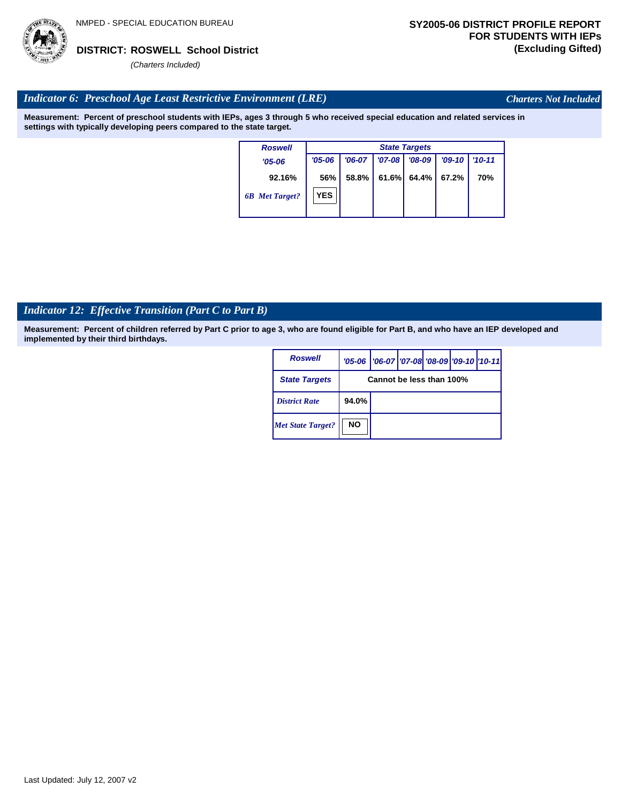

*Charters Not Included*

# *Indicator 6: Preschool Age Least Restrictive Environment (LRE)*

**Measurement: Percent of preschool students with IEPs, ages 3 through 5 who received special education and related services in settings with typically developing peers compared to the state target.**

| <b>Roswell</b>        |            | <b>State Targets</b> |            |          |          |            |  |  |  |
|-----------------------|------------|----------------------|------------|----------|----------|------------|--|--|--|
| $'05-06$              | $'05 - 06$ | $'06-07$             | $'07 - 08$ | $'08-09$ | $'09-10$ | $'10 - 11$ |  |  |  |
| 92.16%                | 56%        | 58.8%                | 61.6%      | 64.4% I  | 67.2%    | 70%        |  |  |  |
| <b>6B</b> Met Target? | <b>YES</b> |                      |            |          |          |            |  |  |  |

# *Indicator 12: Effective Transition (Part C to Part B)*

| <b>Roswell</b>           |           | '05-06   '06-07   '07-08 '08-09   '09-10   '10-11 |  |  |  |  |  |  |
|--------------------------|-----------|---------------------------------------------------|--|--|--|--|--|--|
| <b>State Targets</b>     |           | Cannot be less than 100%                          |  |  |  |  |  |  |
| <b>District Rate</b>     | 94.0%     |                                                   |  |  |  |  |  |  |
| <b>Met State Target?</b> | <b>NO</b> |                                                   |  |  |  |  |  |  |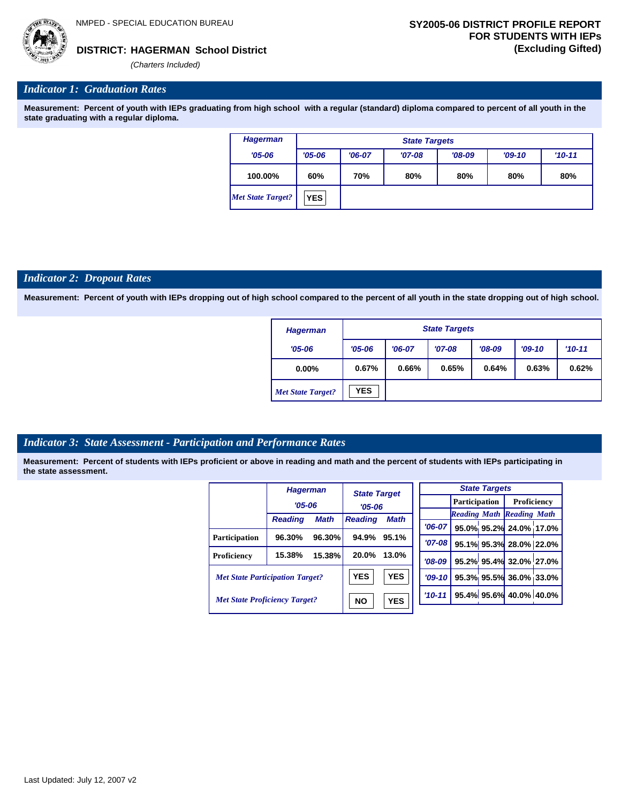**HAGERMAN School District DISTRICT: (Excluding Gifted)**

*(Charters Included)*

# *Indicator 1: Graduation Rates*

**Measurement: Percent of youth with IEPs graduating from high school with a regular (standard) diploma compared to percent of all youth in the state graduating with a regular diploma.**

| <b>Hagerman</b>   |            | <b>State Targets</b>            |          |          |          |          |  |  |  |  |
|-------------------|------------|---------------------------------|----------|----------|----------|----------|--|--|--|--|
| $'05 - 06$        | $'05 - 06$ | $'06-07$                        | $'07-08$ | $'08-09$ | $'09-10$ | $'10-11$ |  |  |  |  |
| 100.00%           | 60%        | 80%<br>70%<br>80%<br>80%<br>80% |          |          |          |          |  |  |  |  |
| Met State Target? | <b>YES</b> |                                 |          |          |          |          |  |  |  |  |

### *Indicator 2: Dropout Rates*

**Measurement: Percent of youth with IEPs dropping out of high school compared to the percent of all youth in the state dropping out of high school.**

| <b>Hagerman</b>          | <b>State Targets</b> |          |          |          |          |            |  |  |  |
|--------------------------|----------------------|----------|----------|----------|----------|------------|--|--|--|
| $'05 - 06$               | $'05 - 06$           | $'06-07$ | $'07-08$ | $'08-09$ | $'09-10$ | $'10 - 11$ |  |  |  |
| $0.00\%$                 | 0.67%                | 0.66%    | 0.65%    | 0.64%    | 0.63%    | 0.62%      |  |  |  |
| <b>Met State Target?</b> | <b>YES</b>           |          |          |          |          |            |  |  |  |

# *Indicator 3: State Assessment - Participation and Performance Rates*

|                                        | <b>Hagerman</b> |             | <b>State Target</b> |             |           |          |  | <b>State Targets</b>    |                                  |  |             |  |
|----------------------------------------|-----------------|-------------|---------------------|-------------|-----------|----------|--|-------------------------|----------------------------------|--|-------------|--|
|                                        | $'05 - 06$      |             | $'05 - 06$          |             |           |          |  | <b>Participation</b>    |                                  |  | Proficiency |  |
|                                        |                 |             |                     |             |           |          |  |                         | <b>Reading Math Reading Math</b> |  |             |  |
|                                        | <b>Reading</b>  | <b>Math</b> | <b>Reading</b>      | <b>Math</b> |           | $'06-07$ |  |                         | 95.0% 95.2% 24.0% 17.0%          |  |             |  |
| <b>Participation</b>                   | 96.30%          | 96.30%      | 94.9%               | 95.1%       |           | $'07-08$ |  |                         | 95.1% 95.3% 28.0% 22.0%          |  |             |  |
| Proficiency                            | 15.38%          | 15.38%      | 20.0%               | 13.0%       |           | $'08-09$ |  |                         | 95.2% 95.4% 32.0% 27.0%          |  |             |  |
| <b>Met State Participation Target?</b> |                 | <b>YES</b>  | <b>YES</b>          |             | $'09-10'$ |          |  | 95.3% 95.5% 36.0% 33.0% |                                  |  |             |  |
| <b>Met State Proficiency Target?</b>   |                 | <b>NO</b>   | <b>YES</b>          |             | $'10-11$  |          |  | 95.4% 95.6% 40.0% 40.0% |                                  |  |             |  |
|                                        |                 |             |                     |             |           |          |  |                         |                                  |  |             |  |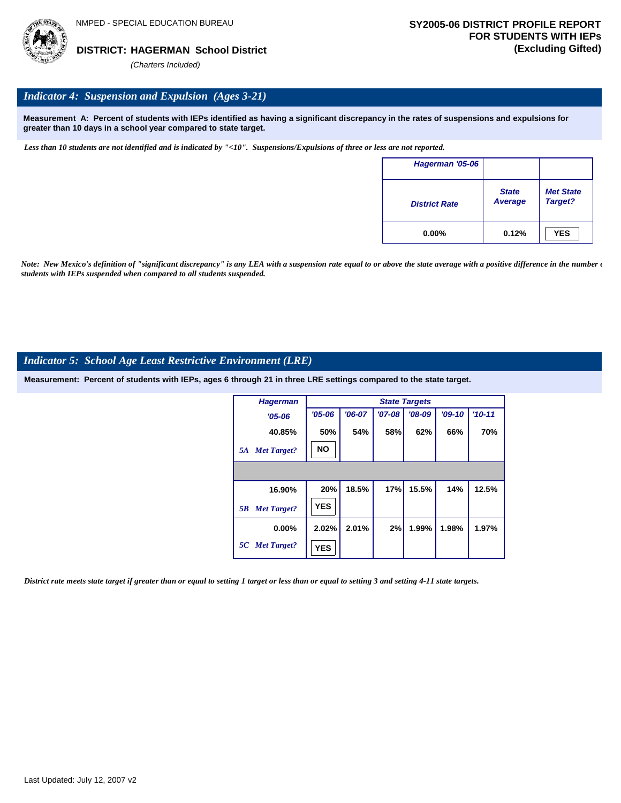# *Indicator 4: Suspension and Expulsion (Ages 3-21)*

**Measurement A: Percent of students with IEPs identified as having a significant discrepancy in the rates of suspensions and expulsions for greater than 10 days in a school year compared to state target.**

*Less than 10 students are not identified and is indicated by "<10". Suspensions/Expulsions of three or less are not reported.*

| Hagerman '05-06      |                                |                             |
|----------------------|--------------------------------|-----------------------------|
| <b>District Rate</b> | <b>State</b><br><b>Average</b> | <b>Met State</b><br>Target? |
| $0.00\%$             | 0.12%                          | <b>YES</b>                  |

*Note: New Mexico's definition of "significant discrepancy" is any LEA with a suspension rate equal to or above the state average with a positive difference in the number*  $\epsilon$ *students with IEPs suspended when compared to all students suspended.*

# *Indicator 5: School Age Least Restrictive Environment (LRE)*

**Measurement: Percent of students with IEPs, ages 6 through 21 in three LRE settings compared to the state target.**

| <b>Hagerman</b>          |            |          |            | <b>State Targets</b> |          |          |
|--------------------------|------------|----------|------------|----------------------|----------|----------|
| $'05 - 06$               | $'05 - 06$ | $'06-07$ | $'07 - 08$ | $'08-09$             | $'09-10$ | $'10-11$ |
| 40.85%                   | 50%        | 54%      | 58%        | 62%                  | 66%      | 70%      |
| <b>Met Target?</b><br>5A | <b>NO</b>  |          |            |                      |          |          |
|                          |            |          |            |                      |          |          |
| 16.90%                   | 20%        | 18.5%    | 17%        | 15.5%                | 14%      | 12.5%    |
| <b>Met Target?</b><br>5B | <b>YES</b> |          |            |                      |          |          |
| $0.00\%$                 | 2.02%      | 2.01%    | 2%         | 1.99%                | 1.98%    | 1.97%    |
| 5C Met Target?           | <b>YES</b> |          |            |                      |          |          |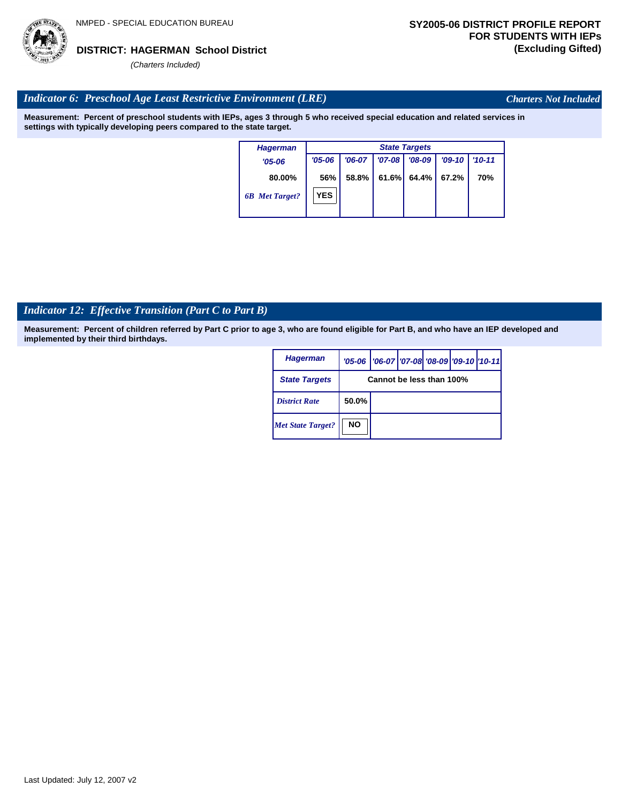

*Charters Not Included*

## *Indicator 6: Preschool Age Least Restrictive Environment (LRE)*

**Measurement: Percent of preschool students with IEPs, ages 3 through 5 who received special education and related services in settings with typically developing peers compared to the state target.**

| <b>Hagerman</b>       | <b>State Targets</b> |          |            |          |          |            |  |  |
|-----------------------|----------------------|----------|------------|----------|----------|------------|--|--|
| $'05 - 06$            | $'05 - 06$           | $'06-07$ | $'07 - 08$ | $'08-09$ | $'09-10$ | $'10 - 11$ |  |  |
| 80.00%                | 56%                  | 58.8%    | 61.6%      | 64.4%    | 67.2%    | 70%        |  |  |
| <b>6B</b> Met Target? | <b>YES</b>           |          |            |          |          |            |  |  |

# *Indicator 12: Effective Transition (Part C to Part B)*

| <b>Hagerman</b>          |           | '05-06   '06-07   '07-08   '08-09   '09-10   '10-11 |  |  |  |  |  |  |
|--------------------------|-----------|-----------------------------------------------------|--|--|--|--|--|--|
| <b>State Targets</b>     |           | Cannot be less than 100%                            |  |  |  |  |  |  |
| <b>District Rate</b>     | 50.0%     |                                                     |  |  |  |  |  |  |
| <b>Met State Target?</b> | <b>NO</b> |                                                     |  |  |  |  |  |  |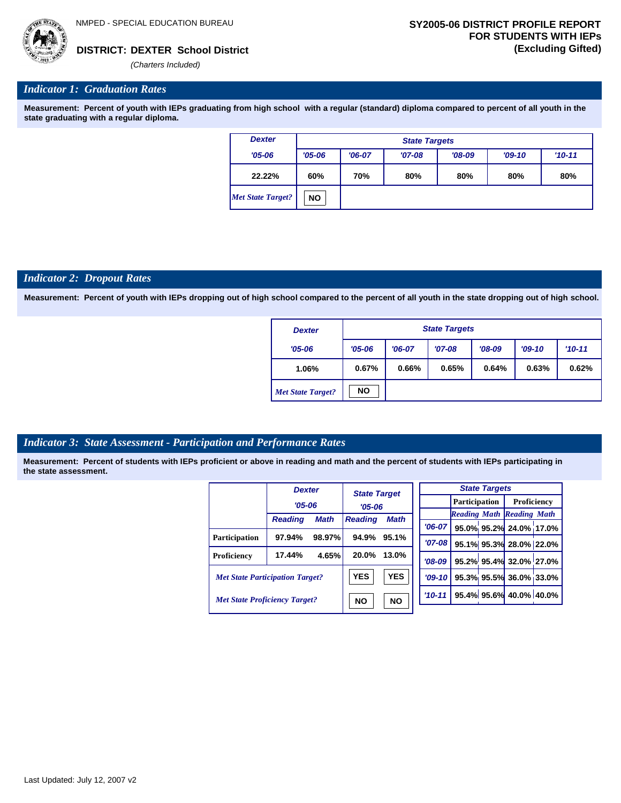

*(Charters Included)*

#### *Indicator 1: Graduation Rates*

**Measurement: Percent of youth with IEPs graduating from high school with a regular (standard) diploma compared to percent of all youth in the state graduating with a regular diploma.**

| <b>Dexter</b>            | <b>State Targets</b> |                                                            |  |  |  |  |  |  |  |
|--------------------------|----------------------|------------------------------------------------------------|--|--|--|--|--|--|--|
| $'05 - 06$               | $'05 - 06$           | $'08-09$<br>$'06-07$<br>$'07-08$<br>$'09-10$<br>$'10 - 11$ |  |  |  |  |  |  |  |
| 22.22%                   | 60%                  | 80%<br>70%<br>80%<br>80%<br>80%                            |  |  |  |  |  |  |  |
| <b>Met State Target?</b> | <b>NO</b>            |                                                            |  |  |  |  |  |  |  |

#### *Indicator 2: Dropout Rates*

**Measurement: Percent of youth with IEPs dropping out of high school compared to the percent of all youth in the state dropping out of high school.**

| <b>Dexter</b>            |            | <b>State Targets</b> |          |          |          |          |  |  |  |  |  |
|--------------------------|------------|----------------------|----------|----------|----------|----------|--|--|--|--|--|
| $'05 - 06$               | $'05 - 06$ | $'06-07$             | $'07-08$ | $'08-09$ | $'09-10$ | $'10-11$ |  |  |  |  |  |
| 1.06%                    | 0.67%      | 0.66%                | 0.65%    | 0.64%    | 0.63%    | 0.62%    |  |  |  |  |  |
| <b>Met State Target?</b> | <b>NO</b>  |                      |          |          |          |          |  |  |  |  |  |

#### *Indicator 3: State Assessment - Participation and Performance Rates*

|                                        | <b>Dexter</b>  |             | <b>State Target</b> |            |  |          |  | <b>State Targets</b> |                                  |  |                      |  |             |  |
|----------------------------------------|----------------|-------------|---------------------|------------|--|----------|--|----------------------|----------------------------------|--|----------------------|--|-------------|--|
|                                        | $'05 - 06$     |             |                     |            |  |          |  |                      |                                  |  | <b>Participation</b> |  | Proficiency |  |
|                                        |                |             |                     | $'05 - 06$ |  |          |  |                      | <b>Reading Math Reading Math</b> |  |                      |  |             |  |
|                                        | <b>Reading</b> | <b>Math</b> | <b>Reading</b>      | Math       |  | $'06-07$ |  |                      | 95.0% 95.2% 24.0% 17.0%          |  |                      |  |             |  |
| <b>Participation</b>                   | 97.94%         | 98.97%      | 94.9%               | 95.1%      |  | '07-08 l |  |                      | 95.1% 95.3% 28.0% 22.0%          |  |                      |  |             |  |
| Proficiency                            | 17.44%         | 4.65%       | 20.0%               | 13.0%      |  |          |  |                      |                                  |  |                      |  |             |  |
|                                        |                |             |                     |            |  | $'08-09$ |  |                      | 95.2% 95.4% 32.0% 27.0%          |  |                      |  |             |  |
| <b>Met State Participation Target?</b> |                |             | <b>YES</b>          | <b>YES</b> |  | $'09-10$ |  |                      | 95.3% 95.5% 36.0% 33.0%          |  |                      |  |             |  |
| <b>Met State Proficiency Target?</b>   |                |             | <b>NO</b>           | <b>NO</b>  |  | $'10-11$ |  |                      | 95.4% 95.6% 40.0% 40.0%          |  |                      |  |             |  |
|                                        |                |             |                     |            |  |          |  |                      |                                  |  |                      |  |             |  |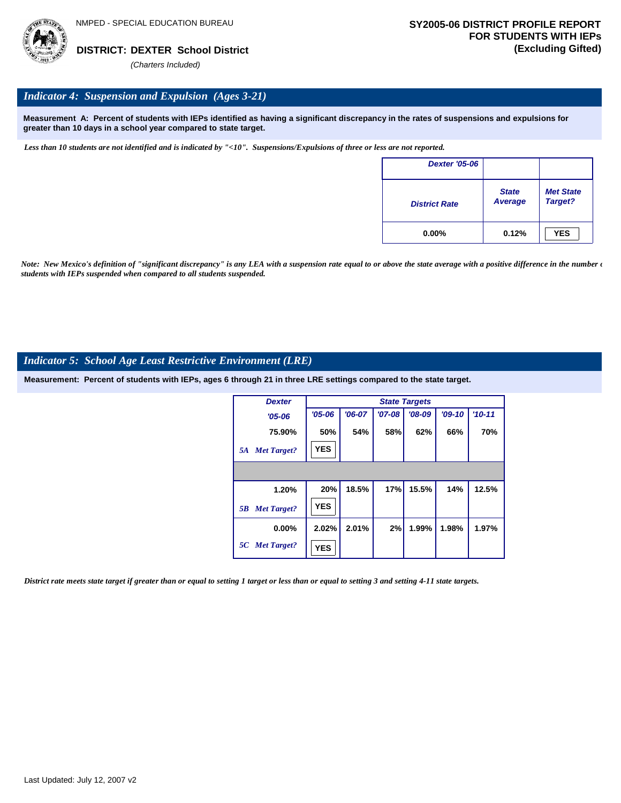

## *Indicator 4: Suspension and Expulsion (Ages 3-21)*

**Measurement A: Percent of students with IEPs identified as having a significant discrepancy in the rates of suspensions and expulsions for greater than 10 days in a school year compared to state target.**

*Less than 10 students are not identified and is indicated by "<10". Suspensions/Expulsions of three or less are not reported.*

| <b>Dexter '05-06</b> |                         |                             |
|----------------------|-------------------------|-----------------------------|
| <b>District Rate</b> | <b>State</b><br>Average | <b>Met State</b><br>Target? |
| $0.00\%$             | 0.12%                   | <b>YES</b>                  |

*Note: New Mexico's definition of "significant discrepancy" is any LEA with a suspension rate equal to or above the state average with a positive difference in the number*  $\epsilon$ *students with IEPs suspended when compared to all students suspended.*

#### *Indicator 5: School Age Least Restrictive Environment (LRE)*

**Measurement: Percent of students with IEPs, ages 6 through 21 in three LRE settings compared to the state target.**

| <b>Dexter</b>            |            | <b>State Targets</b> |          |          |          |          |  |  |  |  |  |
|--------------------------|------------|----------------------|----------|----------|----------|----------|--|--|--|--|--|
| $'05 - 06$               | $'05 - 06$ | $'06-07$             | $'07-08$ | $'08-09$ | $'09-10$ | $'10-11$ |  |  |  |  |  |
| 75.90%                   | 50%        | 54%                  | 58%      | 62%      | 66%      | 70%      |  |  |  |  |  |
| <b>Met Target?</b><br>5A | <b>YES</b> |                      |          |          |          |          |  |  |  |  |  |
|                          |            |                      |          |          |          |          |  |  |  |  |  |
| 1.20%                    | 20%        | 18.5%                | 17%      | 15.5%    | 14%      | 12.5%    |  |  |  |  |  |
| <b>Met Target?</b><br>5B | <b>YES</b> |                      |          |          |          |          |  |  |  |  |  |
| $0.00\%$                 | 2.02%      | 2.01%                | 2%       | 1.99%    | 1.98%    | 1.97%    |  |  |  |  |  |
| 5C Met Target?           | <b>YES</b> |                      |          |          |          |          |  |  |  |  |  |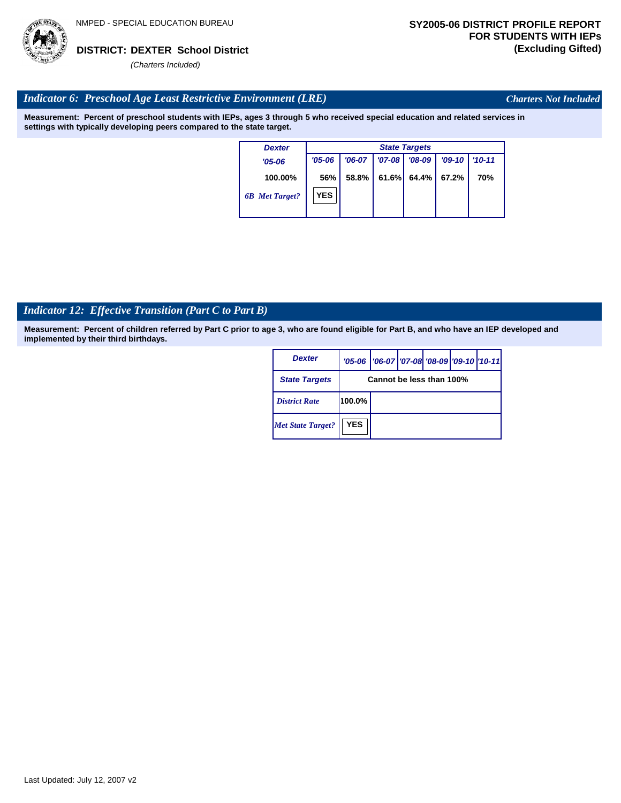

*Charters Not Included*

# *Indicator 6: Preschool Age Least Restrictive Environment (LRE)*

**Measurement: Percent of preschool students with IEPs, ages 3 through 5 who received special education and related services in settings with typically developing peers compared to the state target.**

| <b>Dexter</b>         | <b>State Targets</b> |          |            |          |          |            |  |  |  |  |
|-----------------------|----------------------|----------|------------|----------|----------|------------|--|--|--|--|
| $'05-06$              | $'05 - 06$           | $'06-07$ | $'07 - 08$ | $'08-09$ | $'09-10$ | $'10 - 11$ |  |  |  |  |
| 100.00%               | 56%                  | 58.8%    | 61.6%      | 64.4%    | 67.2%    | 70%        |  |  |  |  |
| <b>6B</b> Met Target? | <b>YES</b>           |          |            |          |          |            |  |  |  |  |

# *Indicator 12: Effective Transition (Part C to Part B)*

| <b>Dexter</b>            |                          | '05-06   '06-07   '07-08 '08-09   '09-10   '10-11 |  |  |  |  |  |
|--------------------------|--------------------------|---------------------------------------------------|--|--|--|--|--|
| <b>State Targets</b>     | Cannot be less than 100% |                                                   |  |  |  |  |  |
| <b>District Rate</b>     | 100.0%                   |                                                   |  |  |  |  |  |
| <b>Met State Target?</b> | <b>YES</b>               |                                                   |  |  |  |  |  |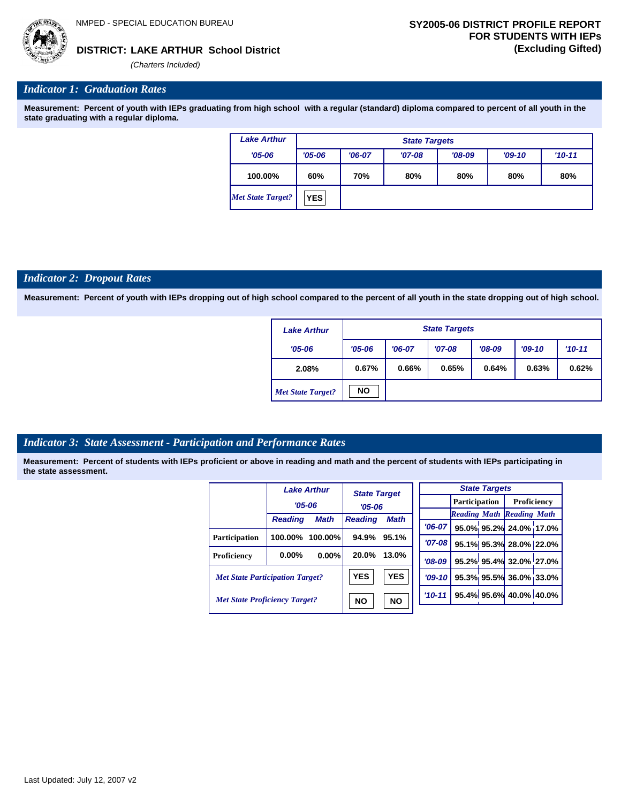# **LAKE ARTHUR School District DISTRICT: (Excluding Gifted)**

*(Charters Included)*

### *Indicator 1: Graduation Rates*

**Measurement: Percent of youth with IEPs graduating from high school with a regular (standard) diploma compared to percent of all youth in the state graduating with a regular diploma.**

| <b>Lake Arthur</b>       |            | <b>State Targets</b> |          |          |          |          |  |  |  |  |  |
|--------------------------|------------|----------------------|----------|----------|----------|----------|--|--|--|--|--|
| $'05 - 06$               | $'05 - 06$ | $'06-07$             | $'07-08$ | $'08-09$ | $'09-10$ | $'10-11$ |  |  |  |  |  |
| 100.00%                  | 60%        | 70%                  | 80%      | 80%      | 80%      | 80%      |  |  |  |  |  |
| <b>Met State Target?</b> | <b>YES</b> |                      |          |          |          |          |  |  |  |  |  |

#### *Indicator 2: Dropout Rates*

**Measurement: Percent of youth with IEPs dropping out of high school compared to the percent of all youth in the state dropping out of high school.**

| <b>Lake Arthur</b>       |            | <b>State Targets</b> |          |          |          |          |  |  |  |  |  |
|--------------------------|------------|----------------------|----------|----------|----------|----------|--|--|--|--|--|
| $'05 - 06$               | $'05 - 06$ | $'06-07$             | $'07-08$ | $'08-09$ | $'09-10$ | $'10-11$ |  |  |  |  |  |
| 2.08%                    | 0.67%      | 0.66%                | 0.65%    | 0.64%    | 0.63%    | 0.62%    |  |  |  |  |  |
| <b>Met State Target?</b> | <b>NO</b>  |                      |          |          |          |          |  |  |  |  |  |

#### *Indicator 3: State Assessment - Participation and Performance Rates*

|                                        |                | <b>Lake Arthur</b> |                | <b>State Target</b> |            | <b>State Targets</b> |                         |                                  |  |  |
|----------------------------------------|----------------|--------------------|----------------|---------------------|------------|----------------------|-------------------------|----------------------------------|--|--|
|                                        | $'05 - 06$     |                    |                |                     |            | <b>Participation</b> |                         | Proficiency                      |  |  |
|                                        |                |                    | $'05 - 06$     |                     |            |                      |                         | <b>Reading Math Reading Math</b> |  |  |
|                                        | <b>Reading</b> | <b>Math</b>        | <b>Reading</b> | <b>Math</b>         | $'06-07$   |                      |                         | 95.0% 95.2% 24.0% 17.0%          |  |  |
| <b>Participation</b>                   | 100.00%        | $100.00\%$         | 94.9%          | 95.1%               |            |                      |                         |                                  |  |  |
|                                        |                |                    |                |                     | $'07 - 08$ |                      |                         | 95.1% 95.3% 28.0% 22.0%          |  |  |
| Proficiency                            | $0.00\%$       | 0.00%              | 20.0%          | 13.0%               | $'08-09$   |                      |                         | 95.2% 95.4% 32.0% 27.0%          |  |  |
| <b>Met State Participation Target?</b> |                | <b>YES</b>         | <b>YES</b>     | $'09-10'$           |            |                      | 95.3% 95.5% 36.0% 33.0% |                                  |  |  |
| <b>Met State Proficiency Target?</b>   |                |                    | <b>NO</b>      | <b>NO</b>           | $'10-11$   |                      |                         | 95.4% 95.6% 40.0% 40.0%          |  |  |
|                                        |                |                    |                |                     |            |                      |                         |                                  |  |  |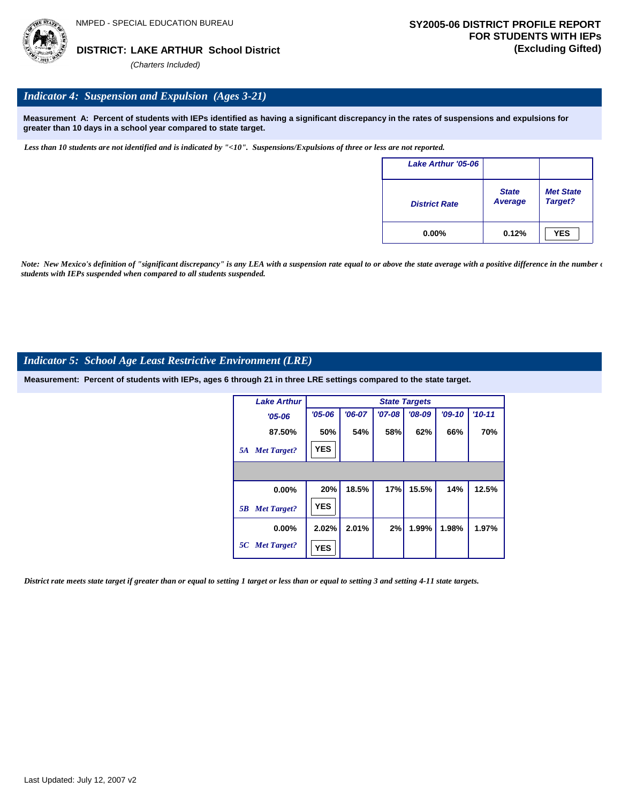

# *Indicator 4: Suspension and Expulsion (Ages 3-21)*

**Measurement A: Percent of students with IEPs identified as having a significant discrepancy in the rates of suspensions and expulsions for greater than 10 days in a school year compared to state target.**

*Less than 10 students are not identified and is indicated by "<10". Suspensions/Expulsions of three or less are not reported.*

| Lake Arthur '05-06   |                                |                             |
|----------------------|--------------------------------|-----------------------------|
| <b>District Rate</b> | <b>State</b><br><b>Average</b> | <b>Met State</b><br>Target? |
| $0.00\%$             | 0.12%                          | <b>YES</b>                  |

*Note: New Mexico's definition of "significant discrepancy" is any LEA with a suspension rate equal to or above the state average with a positive difference in the number*  $\epsilon$ *students with IEPs suspended when compared to all students suspended.*

### *Indicator 5: School Age Least Restrictive Environment (LRE)*

**Measurement: Percent of students with IEPs, ages 6 through 21 in three LRE settings compared to the state target.**

| <b>Lake Arthur</b>       |            | <b>State Targets</b> |          |          |          |            |  |  |  |  |  |
|--------------------------|------------|----------------------|----------|----------|----------|------------|--|--|--|--|--|
| $'05 - 06$               | $'05 - 06$ | $'06-07$             | $'07-08$ | $'08-09$ | $'09-10$ | $'10 - 11$ |  |  |  |  |  |
| 87.50%                   | 50%        | 54%                  | 58%      | 62%      | 66%      | 70%        |  |  |  |  |  |
| <b>Met Target?</b><br>5A | <b>YES</b> |                      |          |          |          |            |  |  |  |  |  |
|                          |            |                      |          |          |          |            |  |  |  |  |  |
| $0.00\%$                 | 20%        | 18.5%                | 17%      | 15.5%    | 14%      | 12.5%      |  |  |  |  |  |
| <b>Met Target?</b><br>5B | <b>YES</b> |                      |          |          |          |            |  |  |  |  |  |
| $0.00\%$                 | 2.02%      | 2.01%                | 2%       | 1.99%    | 1.98%    | 1.97%      |  |  |  |  |  |
| 5C Met Target?           | <b>YES</b> |                      |          |          |          |            |  |  |  |  |  |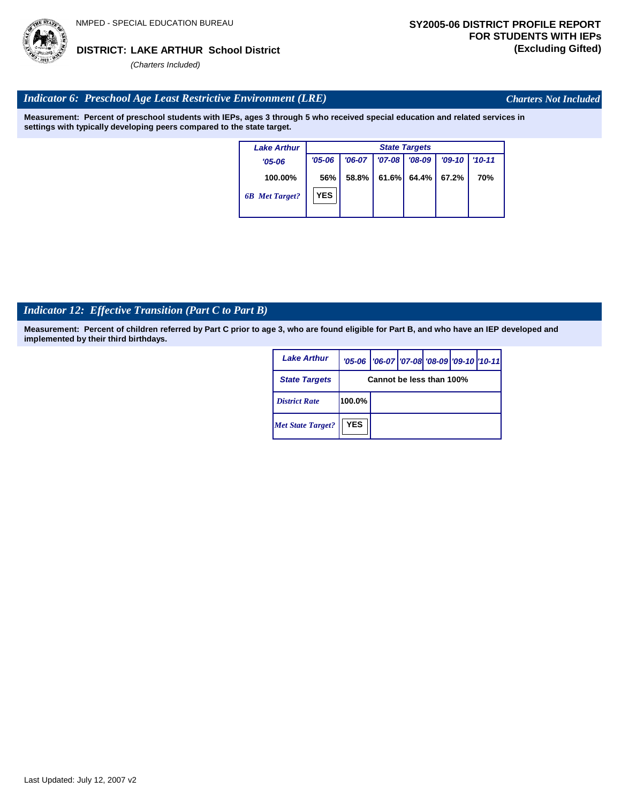#### *Indicator 6: Preschool Age Least Restrictive Environment (LRE)*

**Measurement: Percent of preschool students with IEPs, ages 3 through 5 who received special education and related services in settings with typically developing peers compared to the state target.**

> **100.00%** *'05-06 6B Met Target? Lake Arthur* **56%** *'06-07 '07-08 '08-09 '09-10 '10-11* **58.8% 61.6% 64.4% 67.2% 70%** *State Targets '05-06* **YES**

### *Indicator 12: Effective Transition (Part C to Part B)*

**Measurement: Percent of children referred by Part C prior to age 3, who are found eligible for Part B, and who have an IEP developed and implemented by their third birthdays.**

| <b>Lake Arthur</b>       |                          | '05-06   '06-07   '07-08 '08-09   '09-10   '10-11 |  |  |  |  |  |
|--------------------------|--------------------------|---------------------------------------------------|--|--|--|--|--|
| <b>State Targets</b>     | Cannot be less than 100% |                                                   |  |  |  |  |  |
| <b>District Rate</b>     | 100.0%                   |                                                   |  |  |  |  |  |
| <b>Met State Target?</b> | <b>YES</b>               |                                                   |  |  |  |  |  |

Last Updated: July 12, 2007 v2



# *Charters Not Included*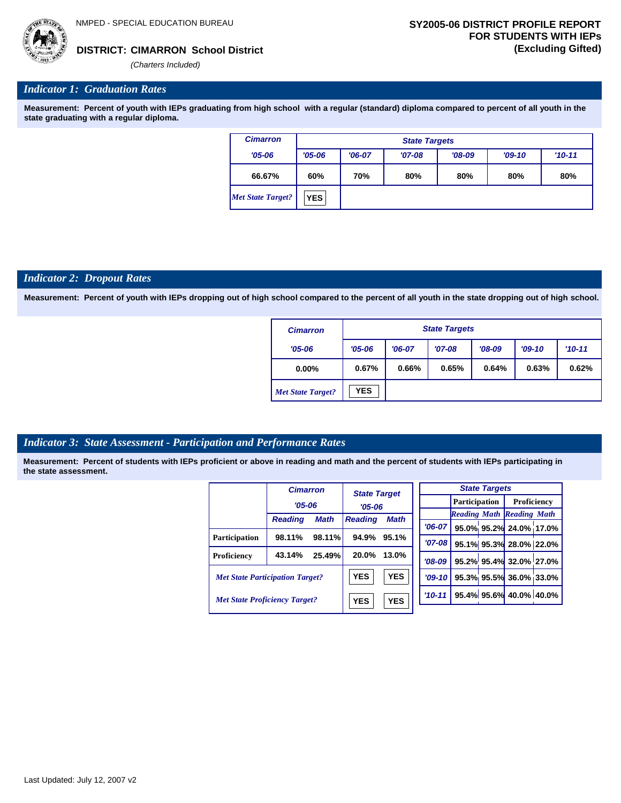*(Charters Included)*

# *Indicator 1: Graduation Rates*

**Measurement: Percent of youth with IEPs graduating from high school with a regular (standard) diploma compared to percent of all youth in the state graduating with a regular diploma.**

| <b>Cimarron</b>   |            | <b>State Targets</b> |          |          |          |          |  |  |  |  |
|-------------------|------------|----------------------|----------|----------|----------|----------|--|--|--|--|
| $'05 - 06$        | $'05 - 06$ | $'06-07$             | $'07-08$ | $'08-09$ | $'09-10$ | $'10-11$ |  |  |  |  |
| 66.67%            | 60%        | 70%                  | 80%      | 80%      | 80%      | 80%      |  |  |  |  |
| Met State Target? | <b>YES</b> |                      |          |          |          |          |  |  |  |  |

#### *Indicator 2: Dropout Rates*

**Measurement: Percent of youth with IEPs dropping out of high school compared to the percent of all youth in the state dropping out of high school.**

| <b>Cimarron</b>          | <b>State Targets</b> |          |          |          |          |          |  |  |
|--------------------------|----------------------|----------|----------|----------|----------|----------|--|--|
| $'05 - 06$               | $'05 - 06$           | $'06-07$ | $'07-08$ | $'08-09$ | $'09-10$ | $'10-11$ |  |  |
| $0.00\%$                 | 0.67%                | 0.66%    | 0.65%    | 0.64%    | 0.63%    | 0.62%    |  |  |
| <b>Met State Target?</b> | <b>YES</b>           |          |          |          |          |          |  |  |

#### *Indicator 3: State Assessment - Participation and Performance Rates*

|                                        | <b>Cimarron</b> |             | <b>State Target</b> |       |          |          |                      | <b>State Targets</b>    |                                  |  |
|----------------------------------------|-----------------|-------------|---------------------|-------|----------|----------|----------------------|-------------------------|----------------------------------|--|
|                                        | $'05 - 06$      |             |                     |       |          |          | <b>Participation</b> |                         | Proficiency                      |  |
|                                        |                 |             | $'05 - 06$          |       |          |          |                      |                         | <b>Reading Math Reading Math</b> |  |
|                                        | <b>Reading</b>  | <b>Math</b> | <b>Reading</b>      | Math  |          | $'06-07$ |                      |                         | 95.0% 95.2% 24.0% 17.0%          |  |
| <b>Participation</b>                   | 98.11%          | 98.11%      | 94.9%               | 95.1% |          |          |                      |                         |                                  |  |
|                                        |                 |             |                     |       |          | '07-08 l |                      |                         | 95.1% 95.3% 28.0% 22.0%          |  |
| Proficiency                            | 43.14%          | 25.49%      | 20.0%               | 13.0% |          | $'08-09$ |                      |                         | 95.2% 95.4% 32.0% 27.0%          |  |
| <b>Met State Participation Target?</b> |                 | <b>YES</b>  | <b>YES</b>          |       | $'09-10$ |          |                      | 95.3% 95.5% 36.0% 33.0% |                                  |  |
| <b>Met State Proficiency Target?</b>   |                 | <b>YES</b>  | <b>YES</b>          |       | $'10-11$ |          |                      | 95.4% 95.6% 40.0% 40.0% |                                  |  |
|                                        |                 |             |                     |       |          |          |                      |                         |                                  |  |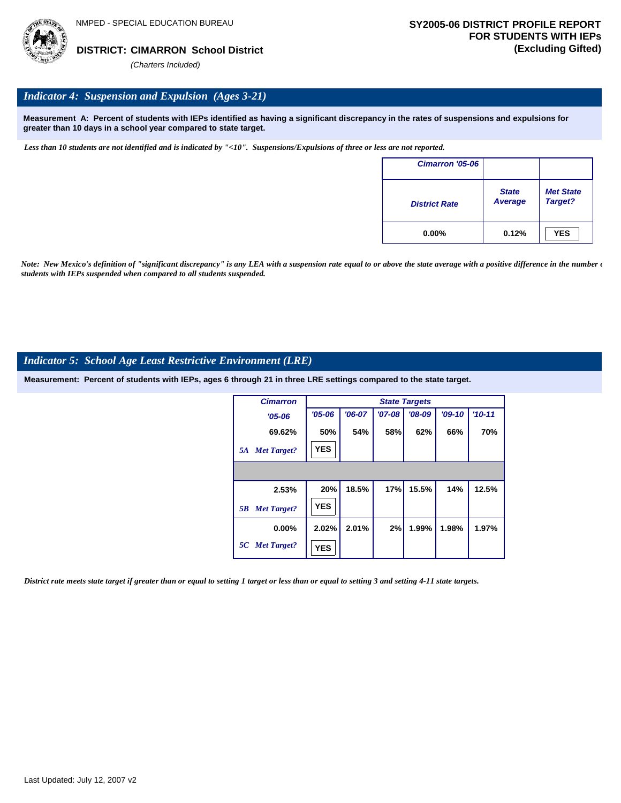

# *Indicator 4: Suspension and Expulsion (Ages 3-21)*

**Measurement A: Percent of students with IEPs identified as having a significant discrepancy in the rates of suspensions and expulsions for greater than 10 days in a school year compared to state target.**

*Less than 10 students are not identified and is indicated by "<10". Suspensions/Expulsions of three or less are not reported.*

| Cimarron '05-06      |                         |                             |
|----------------------|-------------------------|-----------------------------|
| <b>District Rate</b> | <b>State</b><br>Average | <b>Met State</b><br>Target? |
| $0.00\%$             | 0.12%                   | <b>YES</b>                  |

*Note: New Mexico's definition of "significant discrepancy" is any LEA with a suspension rate equal to or above the state average with a positive difference in the number*  $\epsilon$ *students with IEPs suspended when compared to all students suspended.*

#### *Indicator 5: School Age Least Restrictive Environment (LRE)*

**Measurement: Percent of students with IEPs, ages 6 through 21 in three LRE settings compared to the state target.**

| <b>Cimarron</b>          |            | <b>State Targets</b> |          |          |          |            |  |  |  |  |
|--------------------------|------------|----------------------|----------|----------|----------|------------|--|--|--|--|
| $'05 - 06$               | $'05 - 06$ | $'06-07$             | $'07-08$ | $'08-09$ | $'09-10$ | $'10 - 11$ |  |  |  |  |
| 69.62%                   | 50%        | 54%                  | 58%      | 62%      | 66%      | 70%        |  |  |  |  |
| <b>Met Target?</b><br>5A | <b>YES</b> |                      |          |          |          |            |  |  |  |  |
|                          |            |                      |          |          |          |            |  |  |  |  |
| 2.53%                    | 20%        | 18.5%                | 17%      | 15.5%    | 14%      | 12.5%      |  |  |  |  |
| <b>Met Target?</b><br>5B | <b>YES</b> |                      |          |          |          |            |  |  |  |  |
| $0.00\%$                 | 2.02%      | 2.01%                | 2%       | 1.99%    | 1.98%    | 1.97%      |  |  |  |  |
| 5C Met Target?           | <b>YES</b> |                      |          |          |          |            |  |  |  |  |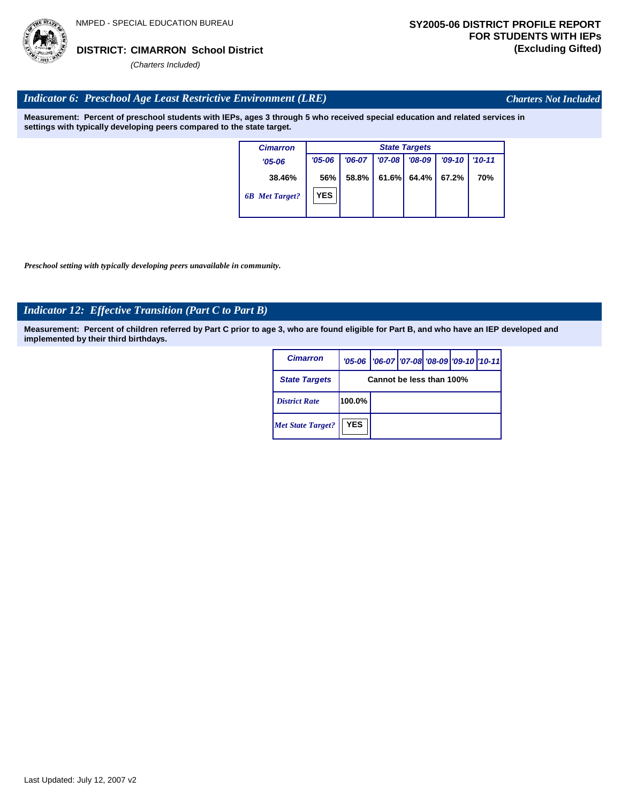

*Charters Not Included*

### *Indicator 6: Preschool Age Least Restrictive Environment (LRE)*

**Measurement: Percent of preschool students with IEPs, ages 3 through 5 who received special education and related services in settings with typically developing peers compared to the state target.**

| <b>Cimarron</b>       |            | <b>State Targets</b> |          |          |          |            |  |  |  |
|-----------------------|------------|----------------------|----------|----------|----------|------------|--|--|--|
| $'05 - 06$            | $'05 - 06$ | $'06-07$             | $'07-08$ | $'08-09$ | $'09-10$ | $'10 - 11$ |  |  |  |
| 38.46%                | 56%        | 58.8%                | 61.6%    | 64.4%    | 67.2%    | 70%        |  |  |  |
| <b>6B</b> Met Target? | <b>YES</b> |                      |          |          |          |            |  |  |  |
|                       |            |                      |          |          |          |            |  |  |  |

*Preschool setting with typically developing peers unavailable in community.*

# *Indicator 12: Effective Transition (Part C to Part B)*

| <b>Cimarron</b>          |                          | '05-06   '06-07   '07-08   '08-09   '09-10   '10-11 |  |  |  |  |  |  |
|--------------------------|--------------------------|-----------------------------------------------------|--|--|--|--|--|--|
| <b>State Targets</b>     | Cannot be less than 100% |                                                     |  |  |  |  |  |  |
| <b>District Rate</b>     | 100.0%                   |                                                     |  |  |  |  |  |  |
| <b>Met State Target?</b> | <b>YES</b>               |                                                     |  |  |  |  |  |  |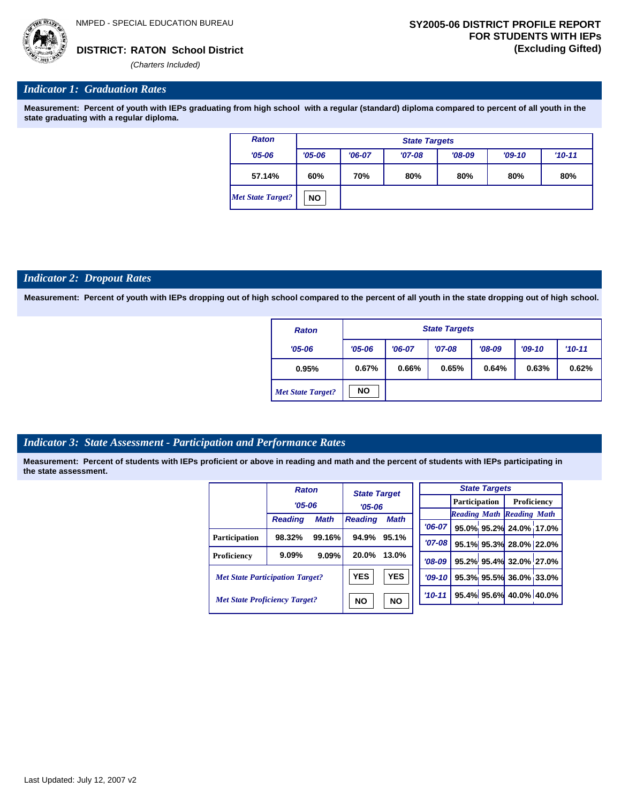

#### *Indicator 1: Graduation Rates*

**Measurement: Percent of youth with IEPs graduating from high school with a regular (standard) diploma compared to percent of all youth in the state graduating with a regular diploma.**

| <b>Raton</b>             | <b>State Targets</b> |          |          |          |          |            |  |  |  |
|--------------------------|----------------------|----------|----------|----------|----------|------------|--|--|--|
| $'05 - 06$               | $'05 - 06$           | $'06-07$ | $'07-08$ | $'08-09$ | $'09-10$ | $'10 - 11$ |  |  |  |
| 57.14%                   | 60%                  | 70%      | 80%      | 80%      | 80%      | 80%        |  |  |  |
| <b>Met State Target?</b> | ΝO                   |          |          |          |          |            |  |  |  |

#### *Indicator 2: Dropout Rates*

**Measurement: Percent of youth with IEPs dropping out of high school compared to the percent of all youth in the state dropping out of high school.**

| <b>Raton</b>             |            | <b>State Targets</b> |          |          |          |          |  |  |  |
|--------------------------|------------|----------------------|----------|----------|----------|----------|--|--|--|
| $'05 - 06$               | $'05 - 06$ | $'06-07$             | $'07-08$ | $'08-09$ | $'09-10$ | $'10-11$ |  |  |  |
| 0.95%                    | 0.67%      | 0.66%                | 0.65%    | 0.64%    | 0.63%    | 0.62%    |  |  |  |
| <b>Met State Target?</b> | <b>NO</b>  |                      |          |          |          |          |  |  |  |

#### *Indicator 3: State Assessment - Participation and Performance Rates*

|                                        | <b>Raton</b>   |                        | <b>State Target</b><br>$'05 - 06$ |             |          |                      | <b>State Targets</b>    |                                  |  |
|----------------------------------------|----------------|------------------------|-----------------------------------|-------------|----------|----------------------|-------------------------|----------------------------------|--|
|                                        | $'05 - 06$     |                        |                                   |             |          | <b>Participation</b> |                         | Proficiency                      |  |
|                                        |                |                        |                                   |             |          |                      |                         | <b>Reading Math Reading Math</b> |  |
|                                        | <b>Reading</b> | <b>Math</b>            | <b>Reading</b>                    | <b>Math</b> | $'06-07$ |                      |                         | 95.0% 95.2% 24.0% 17.0%          |  |
| <b>Participation</b>                   | 98.32%         | 99.16%                 | 94.9%                             | 95.1%       | $'07-08$ |                      |                         | 95.1% 95.3% 28.0% 22.0%          |  |
| Proficiency                            | 9.09%          | 9.09%                  | 20.0%                             | 13.0%       | $'08-09$ |                      |                         | 95.2% 95.4% 32.0% 27.0%          |  |
| <b>Met State Participation Target?</b> |                | <b>YES</b>             | <b>YES</b>                        | $'09-10'$   |          |                      | 95.3% 95.5% 36.0% 33.0% |                                  |  |
| <b>Met State Proficiency Target?</b>   |                | <b>NO</b><br><b>NO</b> |                                   | $'10-11$    |          |                      | 95.4% 95.6% 40.0% 40.0% |                                  |  |
|                                        |                |                        |                                   |             |          |                      |                         |                                  |  |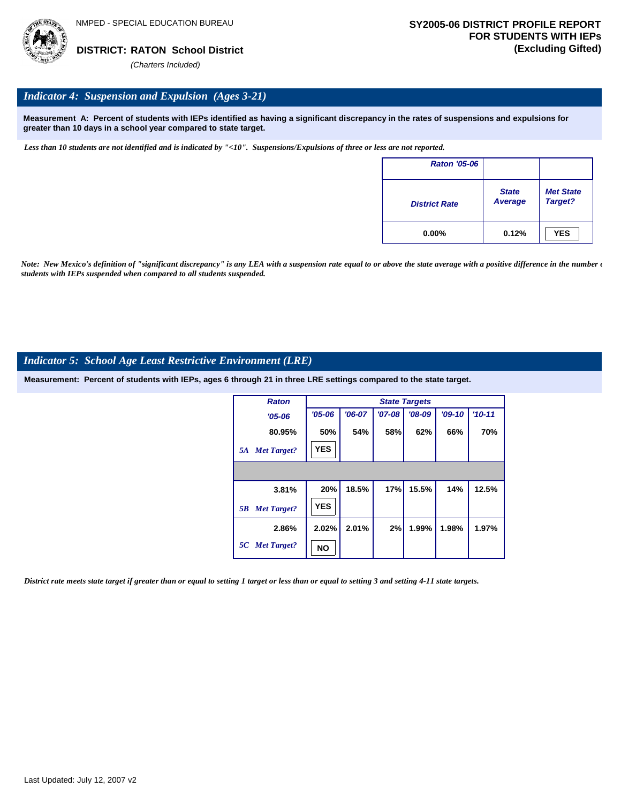

## *Indicator 4: Suspension and Expulsion (Ages 3-21)*

**Measurement A: Percent of students with IEPs identified as having a significant discrepancy in the rates of suspensions and expulsions for greater than 10 days in a school year compared to state target.**

*Less than 10 students are not identified and is indicated by "<10". Suspensions/Expulsions of three or less are not reported.*

| <b>Raton '05-06</b>  |                         |                             |
|----------------------|-------------------------|-----------------------------|
| <b>District Rate</b> | <b>State</b><br>Average | <b>Met State</b><br>Target? |
| $0.00\%$             | 0.12%                   | <b>YES</b>                  |

*Note: New Mexico's definition of "significant discrepancy" is any LEA with a suspension rate equal to or above the state average with a positive difference in the number*  $\epsilon$ *students with IEPs suspended when compared to all students suspended.*

#### *Indicator 5: School Age Least Restrictive Environment (LRE)*

**Measurement: Percent of students with IEPs, ages 6 through 21 in three LRE settings compared to the state target.**

| <b>Raton</b>             |            | <b>State Targets</b> |          |          |          |            |  |  |  |  |
|--------------------------|------------|----------------------|----------|----------|----------|------------|--|--|--|--|
| $'05 - 06$               | $'05 - 06$ | $'06-07$             | $'07-08$ | $'08-09$ | $'09-10$ | $'10 - 11$ |  |  |  |  |
| 80.95%                   | 50%        | 54%                  | 58%      | 62%      | 66%      | 70%        |  |  |  |  |
| <b>Met Target?</b><br>5A | <b>YES</b> |                      |          |          |          |            |  |  |  |  |
|                          |            |                      |          |          |          |            |  |  |  |  |
| 3.81%                    | 20%        | 18.5%                | 17%      | 15.5%    | 14%      | 12.5%      |  |  |  |  |
| <b>Met Target?</b><br>5B | <b>YES</b> |                      |          |          |          |            |  |  |  |  |
| 2.86%                    | 2.02%      | 2.01%                | 2%       | 1.99%    | 1.98%    | 1.97%      |  |  |  |  |
| 5C Met Target?           | NΟ         |                      |          |          |          |            |  |  |  |  |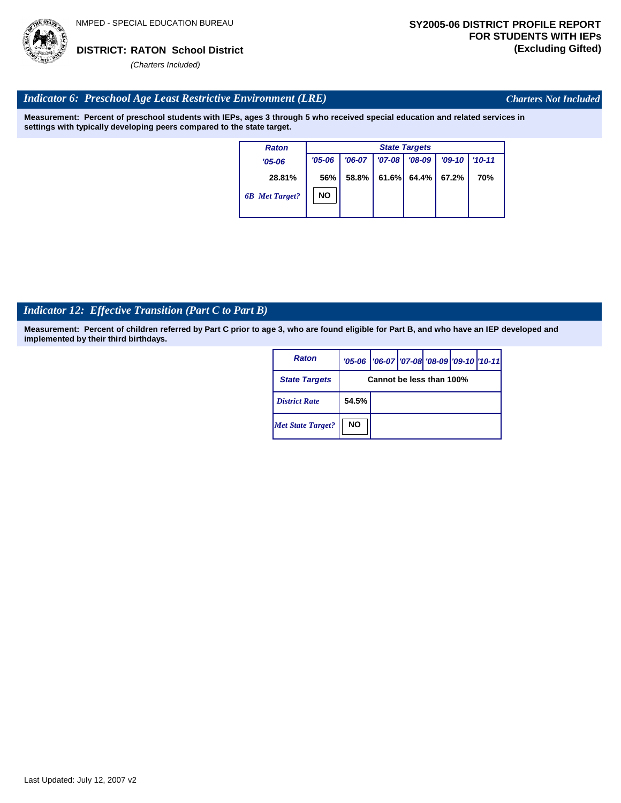

*Charters Not Included*

# *Indicator 6: Preschool Age Least Restrictive Environment (LRE)*

**Measurement: Percent of preschool students with IEPs, ages 3 through 5 who received special education and related services in settings with typically developing peers compared to the state target.**

| <b>Raton</b>          |            | <b>State Targets</b> |          |          |          |            |  |  |  |  |
|-----------------------|------------|----------------------|----------|----------|----------|------------|--|--|--|--|
| $'05 - 06$            | $'05 - 06$ | $'06-07$             | $'07-08$ | $'08-09$ | $'09-10$ | $'10 - 11$ |  |  |  |  |
| 28.81%                | 56%        | 58.8%                | 61.6%    | 64.4%    | 67.2%    | 70%        |  |  |  |  |
| <b>6B</b> Met Target? | NΟ         |                      |          |          |          |            |  |  |  |  |

# *Indicator 12: Effective Transition (Part C to Part B)*

| <b>Raton</b>             |                          | '05-06   '06-07   '07-08   '08-09   '09-10   '10-11 |  |  |  |  |  |
|--------------------------|--------------------------|-----------------------------------------------------|--|--|--|--|--|
| <b>State Targets</b>     | Cannot be less than 100% |                                                     |  |  |  |  |  |
| <b>District Rate</b>     | 54.5%                    |                                                     |  |  |  |  |  |
| <b>Met State Target?</b> | <b>NO</b>                |                                                     |  |  |  |  |  |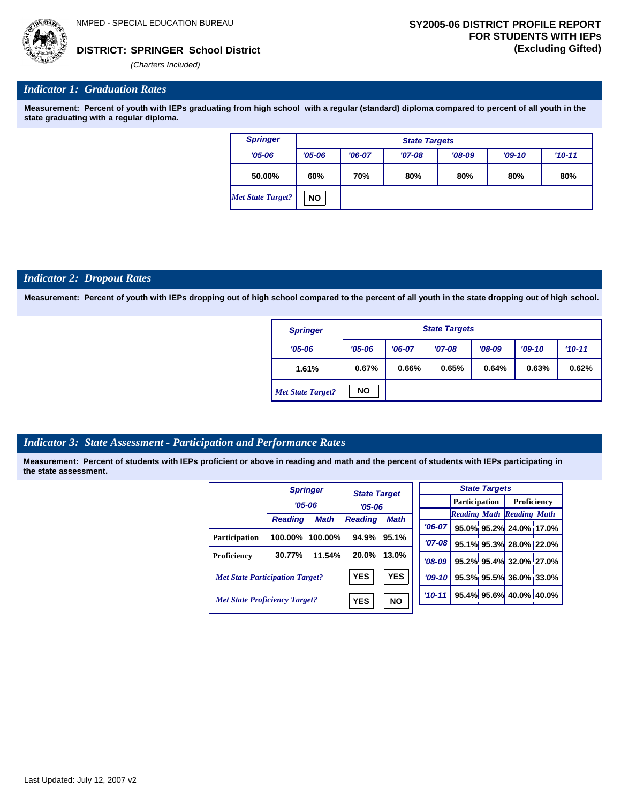*(Charters Included)*

# *Indicator 1: Graduation Rates*

**Measurement: Percent of youth with IEPs graduating from high school with a regular (standard) diploma compared to percent of all youth in the state graduating with a regular diploma.**

| <b>Springer</b>   |            | <b>State Targets</b> |          |          |          |          |  |  |  |  |
|-------------------|------------|----------------------|----------|----------|----------|----------|--|--|--|--|
| $'05 - 06$        | $'05 - 06$ | $'06-07$             | $'07-08$ | $'08-09$ | $'09-10$ | $'10-11$ |  |  |  |  |
| 50.00%            | 60%        | 70%                  | 80%      | 80%      | 80%      | 80%      |  |  |  |  |
| Met State Target? | <b>NO</b>  |                      |          |          |          |          |  |  |  |  |

#### *Indicator 2: Dropout Rates*

**Measurement: Percent of youth with IEPs dropping out of high school compared to the percent of all youth in the state dropping out of high school.**

| <b>Springer</b>          |            | <b>State Targets</b>                         |       |       |       |       |  |  |  |
|--------------------------|------------|----------------------------------------------|-------|-------|-------|-------|--|--|--|
| $'05 - 06$               | $'05 - 06$ | $'08-09$<br>$'07-08$<br>$'09-10$<br>$'06-07$ |       |       |       |       |  |  |  |
| 1.61%                    | 0.67%      | 0.66%                                        | 0.65% | 0.64% | 0.63% | 0.62% |  |  |  |
| <b>Met State Target?</b> | <b>NO</b>  |                                              |       |       |       |       |  |  |  |

#### *Indicator 3: State Assessment - Participation and Performance Rates*

|                                        |                | <b>Springer</b> |                                                                    |            |            |                      | <b>State Targets</b> |                                  |  |
|----------------------------------------|----------------|-----------------|--------------------------------------------------------------------|------------|------------|----------------------|----------------------|----------------------------------|--|
|                                        | $'05 - 06$     |                 | <b>State Target</b><br>$'05 - 06$<br><b>Math</b><br><b>Reading</b> |            |            | <b>Participation</b> |                      | Proficiency                      |  |
|                                        |                |                 |                                                                    |            |            |                      |                      | <b>Reading Math Reading Math</b> |  |
|                                        | <b>Reading</b> | <b>Math</b>     |                                                                    |            | $'06-07$   |                      |                      | 95.0% 95.2% 24.0% 17.0%          |  |
| Participation                          | 100.00%        | $100.00\%$      | 94.9%                                                              | 95.1%      | $'07 - 08$ |                      |                      | 95.1% 95.3% 28.0% 22.0%          |  |
| Proficiency                            | 30.77%         | 11.54%          | 20.0%                                                              | 13.0%      | $'08-09$   |                      |                      | 95.2% 95.4% 32.0% 27.0%          |  |
| <b>Met State Participation Target?</b> |                |                 | <b>YES</b>                                                         | <b>YES</b> | $'09-10'$  |                      |                      | 95.3% 95.5% 36.0% 33.0%          |  |
| <b>Met State Proficiency Target?</b>   |                |                 | <b>YES</b>                                                         | <b>NO</b>  | $'10-11$   |                      |                      | 95.4% 95.6% 40.0% 40.0%          |  |
|                                        |                |                 |                                                                    |            |            |                      |                      |                                  |  |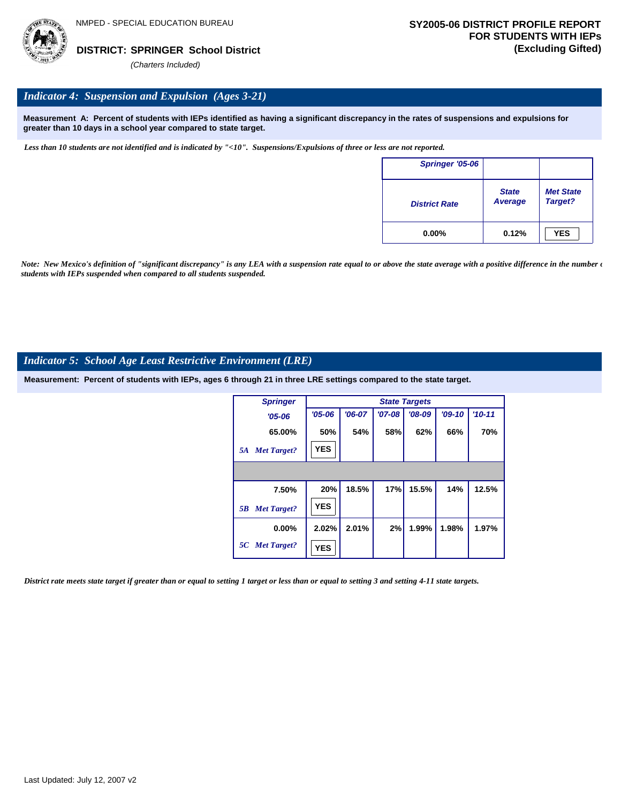

## *Indicator 4: Suspension and Expulsion (Ages 3-21)*

**Measurement A: Percent of students with IEPs identified as having a significant discrepancy in the rates of suspensions and expulsions for greater than 10 days in a school year compared to state target.**

*Less than 10 students are not identified and is indicated by "<10". Suspensions/Expulsions of three or less are not reported.*

| Springer '05-06      |                                |                             |
|----------------------|--------------------------------|-----------------------------|
| <b>District Rate</b> | <b>State</b><br><b>Average</b> | <b>Met State</b><br>Target? |
| $0.00\%$             | 0.12%                          | <b>YES</b>                  |

*Note: New Mexico's definition of "significant discrepancy" is any LEA with a suspension rate equal to or above the state average with a positive difference in the number*  $\epsilon$ *students with IEPs suspended when compared to all students suspended.*

### *Indicator 5: School Age Least Restrictive Environment (LRE)*

**Measurement: Percent of students with IEPs, ages 6 through 21 in three LRE settings compared to the state target.**

| <b>Springer</b>          |            |          |            | <b>State Targets</b> |          |          |
|--------------------------|------------|----------|------------|----------------------|----------|----------|
| $'05 - 06$               | $'05 - 06$ | $'06-07$ | $'07 - 08$ | $'08-09$             | $'09-10$ | $'10-11$ |
| 65.00%                   | 50%        | 54%      | 58%        | 62%                  | 66%      | 70%      |
| <b>Met Target?</b><br>5A | <b>YES</b> |          |            |                      |          |          |
|                          |            |          |            |                      |          |          |
| 7.50%                    | 20%        | 18.5%    | 17%        | 15.5%                | 14%      | 12.5%    |
| <b>Met Target?</b><br>5B | <b>YES</b> |          |            |                      |          |          |
| $0.00\%$                 | 2.02%      | 2.01%    | 2%         | 1.99%                | 1.98%    | 1.97%    |
| 5C Met Target?           | <b>YES</b> |          |            |                      |          |          |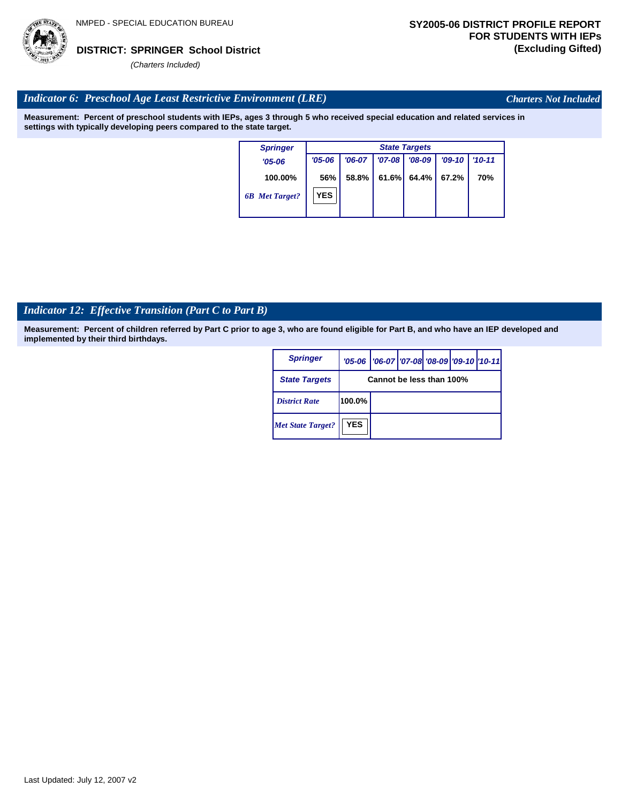

*Charters Not Included*

# *Indicator 6: Preschool Age Least Restrictive Environment (LRE)*

**Measurement: Percent of preschool students with IEPs, ages 3 through 5 who received special education and related services in settings with typically developing peers compared to the state target.**

|                        | <b>State Targets</b>   |  |  |  |  |  |  |  |  |
|------------------------|------------------------|--|--|--|--|--|--|--|--|
| $'07 - 08$<br>$'08-09$ | $'09-10$<br>$'10 - 11$ |  |  |  |  |  |  |  |  |
| 61.6%<br>64.4%         | 67.2%<br>70%           |  |  |  |  |  |  |  |  |
|                        |                        |  |  |  |  |  |  |  |  |
|                        |                        |  |  |  |  |  |  |  |  |

# *Indicator 12: Effective Transition (Part C to Part B)*

| <b>Springer</b>          |                          | '05-06   '06-07   '07-08 '08-09   '09-10   '10-11 |  |  |  |  |  |  |
|--------------------------|--------------------------|---------------------------------------------------|--|--|--|--|--|--|
| <b>State Targets</b>     | Cannot be less than 100% |                                                   |  |  |  |  |  |  |
| <b>District Rate</b>     | 100.0%                   |                                                   |  |  |  |  |  |  |
| <b>Met State Target?</b> | <b>YES</b>               |                                                   |  |  |  |  |  |  |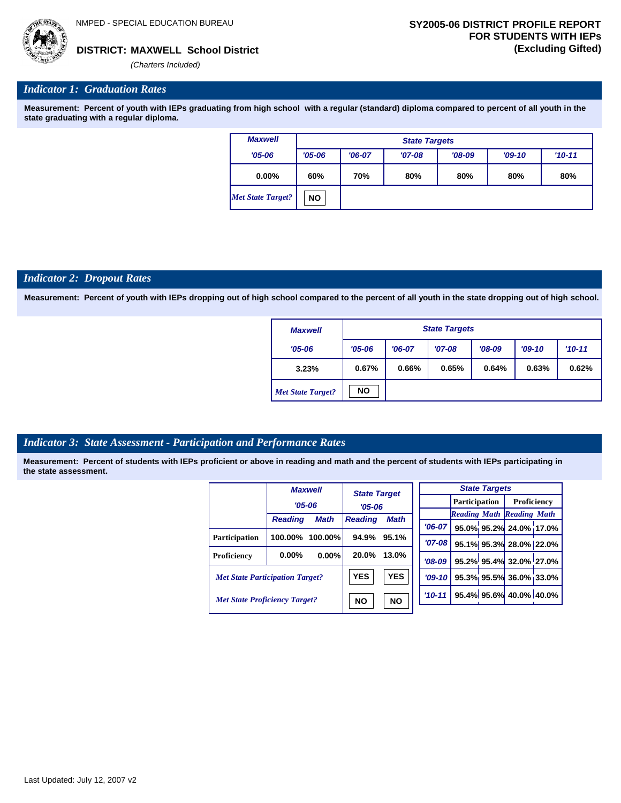*(Charters Included)*

## *Indicator 1: Graduation Rates*

**Measurement: Percent of youth with IEPs graduating from high school with a regular (standard) diploma compared to percent of all youth in the state graduating with a regular diploma.**

| <b>Maxwell</b>    |            | <b>State Targets</b> |          |          |          |          |  |  |  |  |
|-------------------|------------|----------------------|----------|----------|----------|----------|--|--|--|--|
| $'05 - 06$        | $'05 - 06$ | $'06-07$             | $'07-08$ | $'08-09$ | $'09-10$ | $'10-11$ |  |  |  |  |
| $0.00\%$          | 60%        | 70%                  | 80%      | 80%      | 80%      | 80%      |  |  |  |  |
| Met State Target? | <b>NO</b>  |                      |          |          |          |          |  |  |  |  |

## *Indicator 2: Dropout Rates*

**Measurement: Percent of youth with IEPs dropping out of high school compared to the percent of all youth in the state dropping out of high school.**

| <b>Maxwell</b>           |            | <b>State Targets</b>                         |       |       |       |       |  |  |  |
|--------------------------|------------|----------------------------------------------|-------|-------|-------|-------|--|--|--|
| $'05 - 06$               | $'05 - 06$ | $'08-09$<br>$'09-10$<br>$'07-08$<br>$'06-07$ |       |       |       |       |  |  |  |
| 3.23%                    | 0.67%      | 0.66%                                        | 0.65% | 0.64% | 0.63% | 0.62% |  |  |  |
| <b>Met State Target?</b> | <b>NO</b>  |                                              |       |       |       |       |  |  |  |

# *Indicator 3: State Assessment - Participation and Performance Rates*

|                                        | <b>Maxwell</b><br><b>State Target</b> |             |                               |            | <b>State Targets</b> |             |                      |  |                                  |  |
|----------------------------------------|---------------------------------------|-------------|-------------------------------|------------|----------------------|-------------|----------------------|--|----------------------------------|--|
|                                        |                                       | $'05 - 06$  |                               | $'05 - 06$ |                      |             | <b>Participation</b> |  | Proficiency                      |  |
|                                        | <b>Reading</b>                        | <b>Math</b> | <b>Math</b><br><b>Reading</b> |            |                      |             |                      |  | <b>Reading Math Reading Math</b> |  |
|                                        |                                       |             |                               |            |                      | $'06-07$    |                      |  | 95.0% 95.2% 24.0% 17.0%          |  |
| <b>Participation</b>                   | 100.00%                               | 100.00%     | 94.9%                         | 95.1%      |                      | $'07 - 08$  |                      |  | 95.1% 95.3% 28.0% 22.0%          |  |
| Proficiency                            | $0.00\%$                              | 0.00%       | 20.0%                         | 13.0%      |                      | $'08-09$    |                      |  | 95.2% 95.4% 32.0% 27.0%          |  |
| <b>Met State Participation Target?</b> |                                       |             | <b>YES</b>                    | <b>YES</b> |                      | $'09 - 10'$ |                      |  | 95.3% 95.5% 36.0% 33.0%          |  |
| <b>Met State Proficiency Target?</b>   |                                       |             | <b>NO</b><br><b>NO</b>        |            |                      | $'10-11$    |                      |  | 95.4% 95.6% 40.0% 40.0%          |  |
|                                        |                                       |             |                               |            |                      |             |                      |  |                                  |  |

| Last Updated: July 12, 2007 v2 |  |  |
|--------------------------------|--|--|
|--------------------------------|--|--|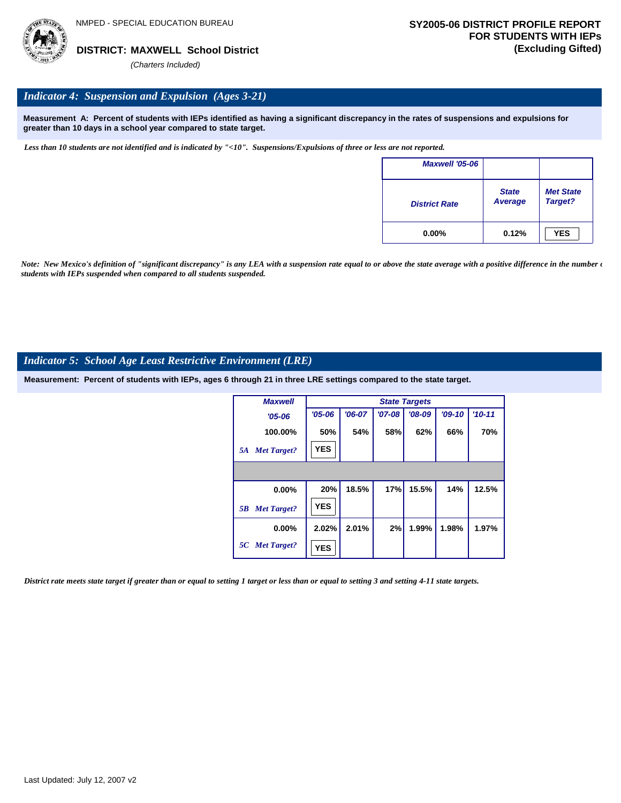

## *Indicator 4: Suspension and Expulsion (Ages 3-21)*

**Measurement A: Percent of students with IEPs identified as having a significant discrepancy in the rates of suspensions and expulsions for greater than 10 days in a school year compared to state target.**

*Less than 10 students are not identified and is indicated by "<10". Suspensions/Expulsions of three or less are not reported.*

| <b>Maxwell '05-06</b> |                         |                             |
|-----------------------|-------------------------|-----------------------------|
| <b>District Rate</b>  | <b>State</b><br>Average | <b>Met State</b><br>Target? |
| $0.00\%$              | 0.12%                   | <b>YES</b>                  |

*Note: New Mexico's definition of "significant discrepancy" is any LEA with a suspension rate equal to or above the state average with a positive difference in the number*  $\epsilon$ *students with IEPs suspended when compared to all students suspended.*

#### *Indicator 5: School Age Least Restrictive Environment (LRE)*

**Measurement: Percent of students with IEPs, ages 6 through 21 in three LRE settings compared to the state target.**

| <b>Maxwell</b>           |            |          |            | <b>State Targets</b> |          |          |
|--------------------------|------------|----------|------------|----------------------|----------|----------|
| $'05 - 06$               | $'05 - 06$ | $'06-07$ | $'07 - 08$ | $'08-09$             | $'09-10$ | $'10-11$ |
| 100.00%                  | 50%        | 54%      | 58%        | 62%                  | 66%      | 70%      |
| <b>Met Target?</b><br>5A | <b>YES</b> |          |            |                      |          |          |
|                          |            |          |            |                      |          |          |
| 0.00%                    | 20%        | 18.5%    | 17%        | 15.5%                | 14%      | 12.5%    |
| <b>Met Target?</b><br>5B | <b>YES</b> |          |            |                      |          |          |
| $0.00\%$                 | 2.02%      | 2.01%    | 2%         | 1.99%                | 1.98%    | 1.97%    |
| 5C Met Target?           | <b>YES</b> |          |            |                      |          |          |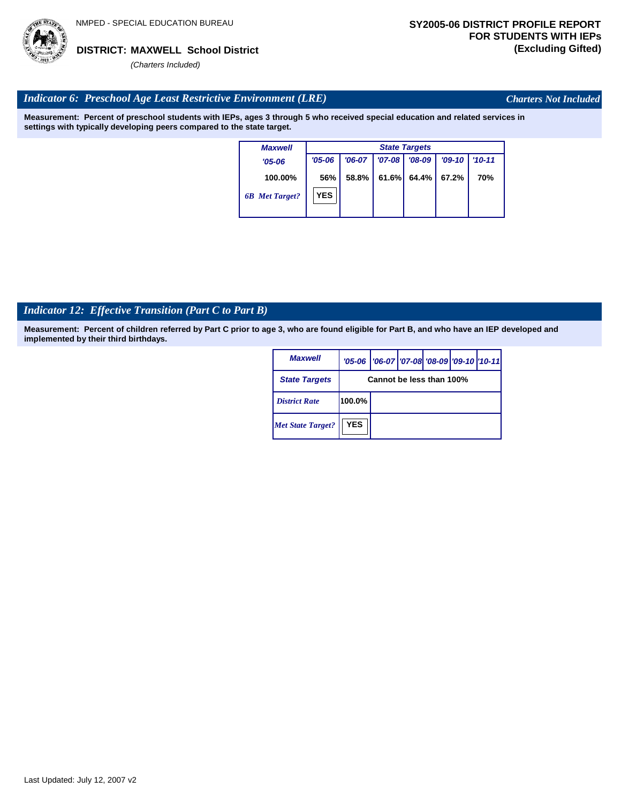

*Charters Not Included*

# *Indicator 6: Preschool Age Least Restrictive Environment (LRE)*

**Measurement: Percent of preschool students with IEPs, ages 3 through 5 who received special education and related services in settings with typically developing peers compared to the state target.**

| <b>Maxwell</b>        |            | <b>State Targets</b> |          |          |          |            |  |  |  |
|-----------------------|------------|----------------------|----------|----------|----------|------------|--|--|--|
| $'05-06$              | $'05 - 06$ | $'06-07$             | $'07-08$ | $'08-09$ | $'09-10$ | $'10 - 11$ |  |  |  |
| 100.00%               | 56%        | 58.8%                | 61.6%    | 64.4%    | 67.2%    | 70%        |  |  |  |
| <b>6B</b> Met Target? | <b>YES</b> |                      |          |          |          |            |  |  |  |

# *Indicator 12: Effective Transition (Part C to Part B)*

| <b>Maxwell</b>           |            | '05-06   '06-07   '07-08 '08-09   '09-10   '10-11 |  |  |
|--------------------------|------------|---------------------------------------------------|--|--|
| <b>State Targets</b>     |            | Cannot be less than 100%                          |  |  |
| <b>District Rate</b>     | 100.0%     |                                                   |  |  |
| <b>Met State Target?</b> | <b>YES</b> |                                                   |  |  |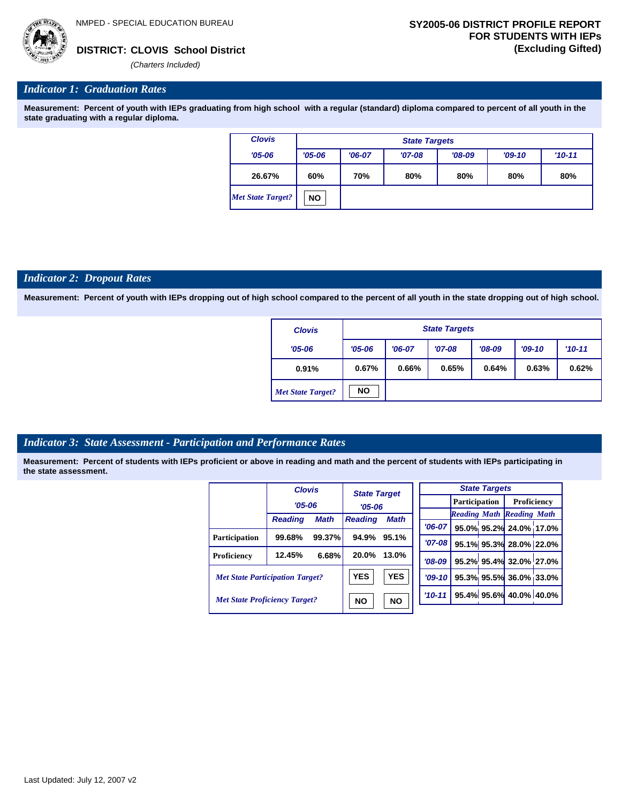

#### *Indicator 1: Graduation Rates*

**Measurement: Percent of youth with IEPs graduating from high school with a regular (standard) diploma compared to percent of all youth in the state graduating with a regular diploma.**

| <b>Clovis</b>            |            | <b>State Targets</b>                         |     |     |     |     |  |  |  |  |  |
|--------------------------|------------|----------------------------------------------|-----|-----|-----|-----|--|--|--|--|--|
| $'05 - 06$               | $'05 - 06$ | $'08-09$<br>$'06-07$<br>$'09-10$<br>$'07-08$ |     |     |     |     |  |  |  |  |  |
| 26.67%                   | 60%        | 70%                                          | 80% | 80% | 80% | 80% |  |  |  |  |  |
| <b>Met State Target?</b> | <b>NO</b>  |                                              |     |     |     |     |  |  |  |  |  |

#### *Indicator 2: Dropout Rates*

**Measurement: Percent of youth with IEPs dropping out of high school compared to the percent of all youth in the state dropping out of high school.**

| <b>Clovis</b>            |            | <b>State Targets</b> |          |          |          |          |  |  |  |  |
|--------------------------|------------|----------------------|----------|----------|----------|----------|--|--|--|--|
| $'05 - 06$               | $'05 - 06$ | $'06-07$             | $'07-08$ | $'08-09$ | $'09-10$ | $'10-11$ |  |  |  |  |
| 0.91%                    | 0.67%      | 0.66%                | 0.65%    | 0.64%    | 0.63%    | 0.62%    |  |  |  |  |
| <b>Met State Target?</b> | <b>NO</b>  |                      |          |          |          |          |  |  |  |  |

#### *Indicator 3: State Assessment - Participation and Performance Rates*

|                                        | <b>Clovis</b>                                     |             |                     |             |           |  | <b>State Targets</b> |                                  |  |             |  |
|----------------------------------------|---------------------------------------------------|-------------|---------------------|-------------|-----------|--|----------------------|----------------------------------|--|-------------|--|
|                                        | $'05 - 06$                                        |             | <b>State Target</b> |             |           |  |                      | <b>Participation</b>             |  | Proficiency |  |
|                                        |                                                   |             | $'05 - 06$          |             |           |  |                      | <b>Reading Math Reading Math</b> |  |             |  |
|                                        | <b>Reading</b>                                    | <b>Math</b> | <b>Reading</b>      | <b>Math</b> | $'06-07$  |  |                      | 95.0% 95.2% 24.0% 17.0%          |  |             |  |
| <b>Participation</b>                   | 99.68%                                            | 99.37%      | 94.9%               | 95.1%       | $'07-08$  |  |                      | 95.1% 95.3% 28.0% 22.0%          |  |             |  |
| Proficiency                            | 12.45%                                            | 6.68%       | 20.0%               | 13.0%       | $'08-09$  |  |                      | 95.2% 95.4% 32.0% 27.0%          |  |             |  |
| <b>Met State Participation Target?</b> |                                                   |             | <b>YES</b>          | <b>YES</b>  | $'09-10'$ |  |                      | 95.3% 95.5% 36.0% 33.0%          |  |             |  |
|                                        | <b>Met State Proficiency Target?</b><br><b>NO</b> |             |                     | <b>NO</b>   | $'10-11$  |  |                      | 95.4% 95.6% 40.0% 40.0%          |  |             |  |
|                                        |                                                   |             |                     |             |           |  |                      |                                  |  |             |  |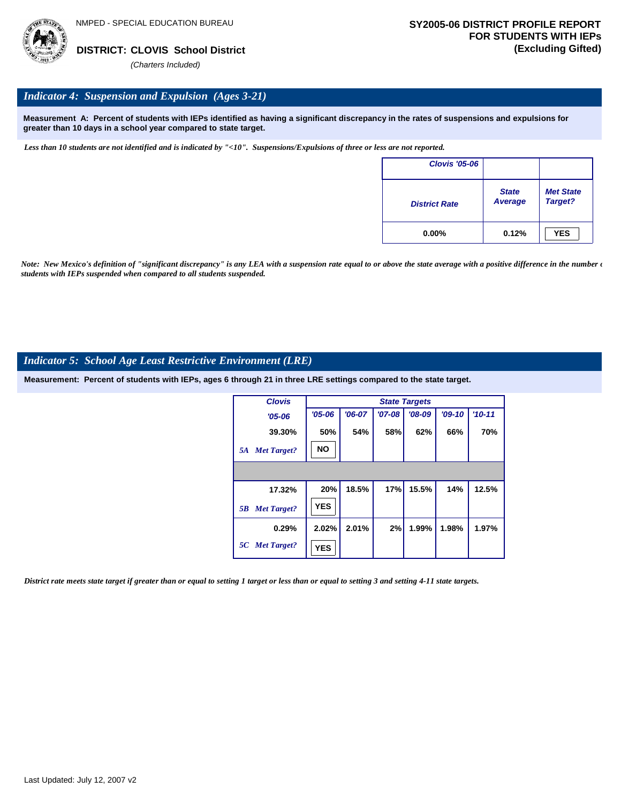

## *Indicator 4: Suspension and Expulsion (Ages 3-21)*

**Measurement A: Percent of students with IEPs identified as having a significant discrepancy in the rates of suspensions and expulsions for greater than 10 days in a school year compared to state target.**

*Less than 10 students are not identified and is indicated by "<10". Suspensions/Expulsions of three or less are not reported.*

| <b>Clovis '05-06</b> |                         |                             |
|----------------------|-------------------------|-----------------------------|
| <b>District Rate</b> | <b>State</b><br>Average | <b>Met State</b><br>Target? |
| $0.00\%$             | 0.12%                   | <b>YES</b>                  |

*Note: New Mexico's definition of "significant discrepancy" is any LEA with a suspension rate equal to or above the state average with a positive difference in the number*  $\epsilon$ *students with IEPs suspended when compared to all students suspended.*

#### *Indicator 5: School Age Least Restrictive Environment (LRE)*

**Measurement: Percent of students with IEPs, ages 6 through 21 in three LRE settings compared to the state target.**

| <b>Clovis</b>            |            |          |          | <b>State Targets</b> |          |            |
|--------------------------|------------|----------|----------|----------------------|----------|------------|
| $'05 - 06$               | $'05 - 06$ | $'06-07$ | $'07-08$ | $'08-09$             | $'09-10$ | $'10 - 11$ |
| 39.30%                   | 50%        | 54%      | 58%      | 62%                  | 66%      | 70%        |
| <b>Met Target?</b><br>5A | <b>NO</b>  |          |          |                      |          |            |
|                          |            |          |          |                      |          |            |
| 17.32%                   | 20%        | 18.5%    | 17%      | 15.5%                | 14%      | 12.5%      |
| <b>Met Target?</b><br>5B | <b>YES</b> |          |          |                      |          |            |
| 0.29%                    | 2.02%      | 2.01%    | 2%       | 1.99%                | 1.98%    | 1.97%      |
| 5C Met Target?           | <b>YES</b> |          |          |                      |          |            |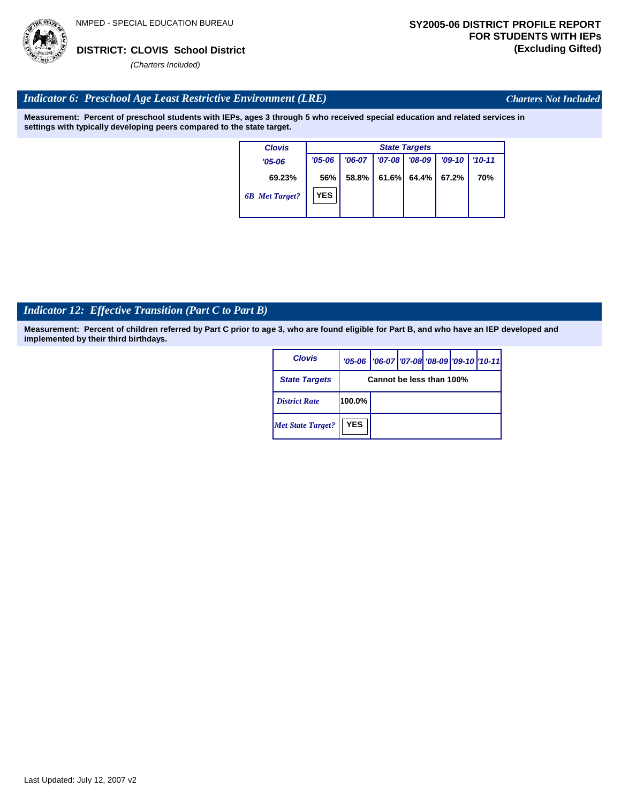

*Charters Not Included*

# *Indicator 6: Preschool Age Least Restrictive Environment (LRE)*

**Measurement: Percent of preschool students with IEPs, ages 3 through 5 who received special education and related services in settings with typically developing peers compared to the state target.**

| <b>Clovis</b>         | <b>State Targets</b> |          |          |                |          |            |  |  |  |
|-----------------------|----------------------|----------|----------|----------------|----------|------------|--|--|--|
| $'05 - 06$            | $'05 - 06$           | $'06-07$ | $'07-08$ | $'08-09$       | $'09-10$ | $'10 - 11$ |  |  |  |
| 69.23%                | 56%                  | 58.8%    |          | $61.6\%$ 64.4% | 67.2%    | 70%        |  |  |  |
| <b>6B</b> Met Target? | <b>YES</b>           |          |          |                |          |            |  |  |  |

# *Indicator 12: Effective Transition (Part C to Part B)*

| <b>Clovis</b>            |            | '05-06   '06-07   '07-08 '08-09   '09-10   '10-11 |  |  |
|--------------------------|------------|---------------------------------------------------|--|--|
| <b>State Targets</b>     |            | Cannot be less than 100%                          |  |  |
| <b>District Rate</b>     | 100.0%     |                                                   |  |  |
| <b>Met State Target?</b> | <b>YES</b> |                                                   |  |  |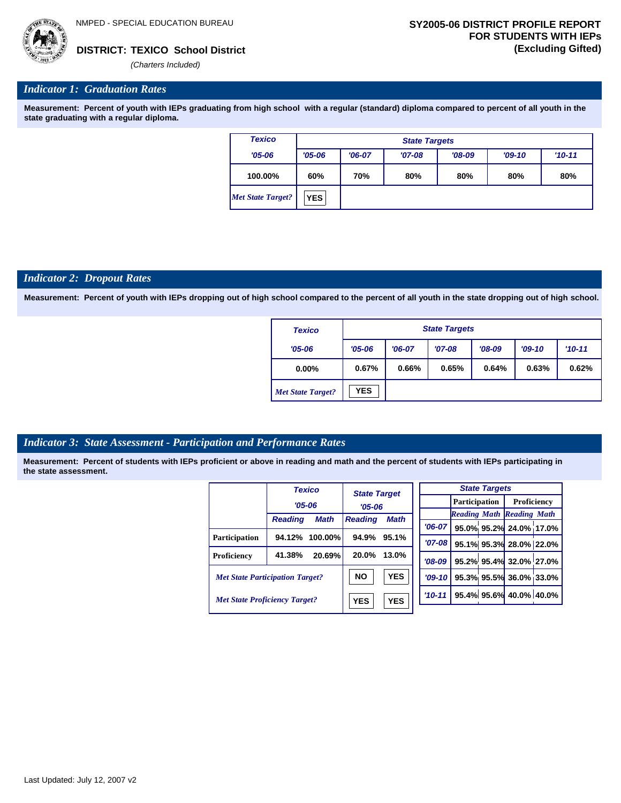

## *Indicator 1: Graduation Rates*

**Measurement: Percent of youth with IEPs graduating from high school with a regular (standard) diploma compared to percent of all youth in the state graduating with a regular diploma.**

| <b>Texico</b>            | <b>State Targets</b> |                                 |          |          |          |            |  |  |
|--------------------------|----------------------|---------------------------------|----------|----------|----------|------------|--|--|
| $'05 - 06$               | $'05 - 06$           | $'06-07$                        | $'07-08$ | $'08-09$ | $'09-10$ | $'10 - 11$ |  |  |
| 100.00%                  | 60%                  | 70%<br>80%<br>80%<br>80%<br>80% |          |          |          |            |  |  |
| <b>Met State Target?</b> | <b>YES</b>           |                                 |          |          |          |            |  |  |

### *Indicator 2: Dropout Rates*

**Measurement: Percent of youth with IEPs dropping out of high school compared to the percent of all youth in the state dropping out of high school.**

| <b>Texico</b>            | <b>State Targets</b> |          |          |          |          |          |  |
|--------------------------|----------------------|----------|----------|----------|----------|----------|--|
| $'05 - 06$               | $'05 - 06$           | $'06-07$ | $'07-08$ | $'08-09$ | $'09-10$ | $'10-11$ |  |
| $0.00\%$                 | 0.67%                | 0.66%    | 0.65%    | 0.64%    | 0.63%    | 0.62%    |  |
| <b>Met State Target?</b> | <b>YES</b>           |          |          |          |          |          |  |

## *Indicator 3: State Assessment - Participation and Performance Rates*

|                                      | <b>Texico</b>                          | <b>State Target</b> |             |            | <b>State Targets</b>             |             |  |  |
|--------------------------------------|----------------------------------------|---------------------|-------------|------------|----------------------------------|-------------|--|--|
|                                      | $'05 - 06$                             | $'05-06$            |             |            | <b>Participation</b>             | Proficiency |  |  |
|                                      |                                        |                     |             |            | <b>Reading Math Reading Math</b> |             |  |  |
|                                      | <b>Math</b><br><b>Reading</b>          | <b>Reading</b>      | <b>Math</b> | $'06-07$   | 95.0% 95.2% 24.0% 17.0           |             |  |  |
| <b>Participation</b>                 | $100.00\%$<br>94.12%                   | 94.9%               | 95.1%       |            |                                  |             |  |  |
|                                      |                                        |                     |             | $'07-08$   | 95.1% 95.3% 28.0% 22.0           |             |  |  |
| <b>Proficiency</b>                   | 41.38%<br>20.69%                       | 20.0%               | 13.0%       | $'08-09$   | 95.2% 95.4% 32.0% 27.0           |             |  |  |
|                                      | <b>Met State Participation Target?</b> | <b>NO</b>           | <b>YES</b>  | $'09-10$   | 95.3% 95.5% 36.0% 33.0           |             |  |  |
| <b>Met State Proficiency Target?</b> |                                        | <b>YES</b>          | <b>YES</b>  | $'10 - 11$ | 95.4% 95.6% 40.0% 40.0           |             |  |  |
|                                      |                                        |                     |             |            |                                  |             |  |  |

| <b>State Targets</b> |  |  |                                  |  |  |  |  |  |
|----------------------|--|--|----------------------------------|--|--|--|--|--|
|                      |  |  | Participation   Proficiency      |  |  |  |  |  |
|                      |  |  | <b>Reading Math Reading Math</b> |  |  |  |  |  |
|                      |  |  | '06-07 95.0% 95.2% 24.0% 17.0%   |  |  |  |  |  |
| $'07-08$             |  |  | 95.1% 95.3% 28.0% 22.0%          |  |  |  |  |  |
|                      |  |  | $708-09$ 95.2% 95.4% 32.0% 27.0% |  |  |  |  |  |
| $'09-10$             |  |  | 95.3% 95.5% 36.0% 33.0%          |  |  |  |  |  |
| $'10-11'$            |  |  | 95.4% 95.6% 40.0% 40.0%          |  |  |  |  |  |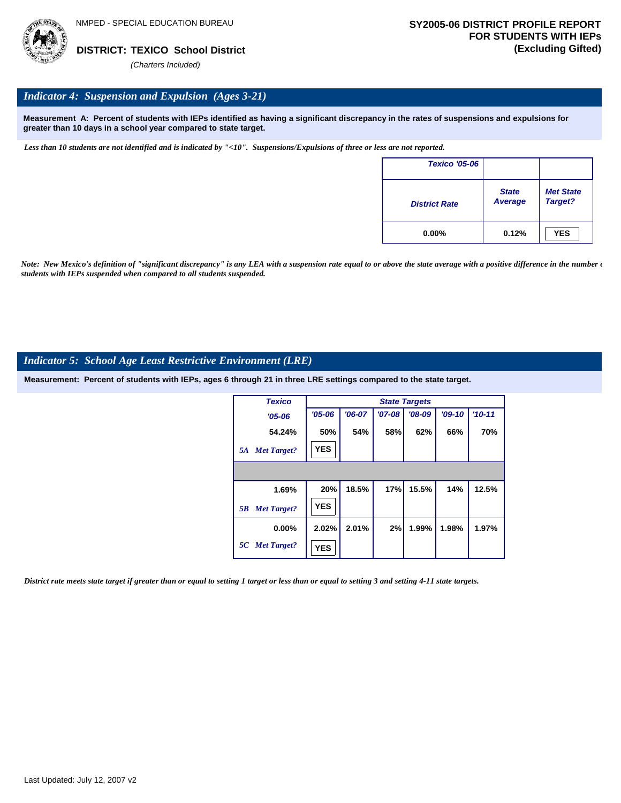

## *Indicator 4: Suspension and Expulsion (Ages 3-21)*

**Measurement A: Percent of students with IEPs identified as having a significant discrepancy in the rates of suspensions and expulsions for greater than 10 days in a school year compared to state target.**

*Less than 10 students are not identified and is indicated by "<10". Suspensions/Expulsions of three or less are not reported.*

| <b>Texico '05-06</b> |                         |                             |
|----------------------|-------------------------|-----------------------------|
| <b>District Rate</b> | <b>State</b><br>Average | <b>Met State</b><br>Target? |
| $0.00\%$             | 0.12%                   | <b>YES</b>                  |

*Note: New Mexico's definition of "significant discrepancy" is any LEA with a suspension rate equal to or above the state average with a positive difference in the number*  $\epsilon$ *students with IEPs suspended when compared to all students suspended.*

## *Indicator 5: School Age Least Restrictive Environment (LRE)*

**Measurement: Percent of students with IEPs, ages 6 through 21 in three LRE settings compared to the state target.**

| <b>Texico</b>            |            |          |          | <b>State Targets</b> |          |          |
|--------------------------|------------|----------|----------|----------------------|----------|----------|
| $'05 - 06$               | $'05 - 06$ | $'06-07$ | $'07-08$ | $'08-09$             | $'09-10$ | $'10-11$ |
| 54.24%                   | 50%        | 54%      | 58%      | 62%                  | 66%      | 70%      |
| <b>Met Target?</b><br>5A | <b>YES</b> |          |          |                      |          |          |
|                          |            |          |          |                      |          |          |
| 1.69%                    | 20%        | 18.5%    | 17%      | 15.5%                | 14%      | 12.5%    |
| <b>Met Target?</b><br>5B | <b>YES</b> |          |          |                      |          |          |
| $0.00\%$                 | 2.02%      | 2.01%    | 2%       | 1.99%                | 1.98%    | 1.97%    |
| 5C Met Target?           | <b>YES</b> |          |          |                      |          |          |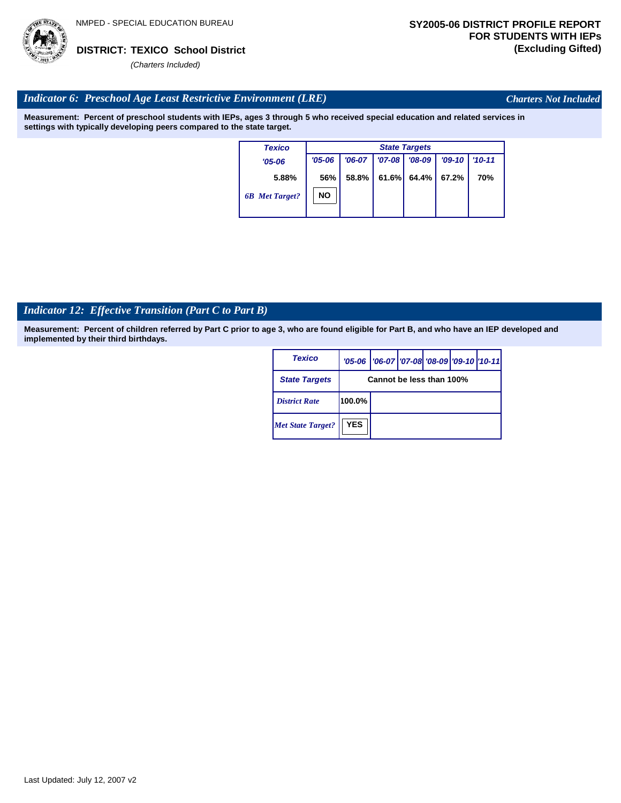

*Charters Not Included*

## *Indicator 6: Preschool Age Least Restrictive Environment (LRE)*

**Measurement: Percent of preschool students with IEPs, ages 3 through 5 who received special education and related services in settings with typically developing peers compared to the state target.**

| <b>Texico</b>         |            | <b>State Targets</b> |            |          |          |            |  |  |  |
|-----------------------|------------|----------------------|------------|----------|----------|------------|--|--|--|
| $'05 - 06$            | $'05 - 06$ | $'06-07$             | $'07 - 08$ | $'08-09$ | $'09-10$ | $'10 - 11$ |  |  |  |
| 5.88%                 | 56%        | 58.8%                | 61.6%      | 64.4%    | 67.2%    | 70%        |  |  |  |
| <b>6B</b> Met Target? | <b>NO</b>  |                      |            |          |          |            |  |  |  |
|                       |            |                      |            |          |          |            |  |  |  |

## *Indicator 12: Effective Transition (Part C to Part B)*

| <b>Texico</b>            |            | '05-06   '06-07   '07-08 '08-09   '09-10   '10-11 |  |  |
|--------------------------|------------|---------------------------------------------------|--|--|
| <b>State Targets</b>     |            | Cannot be less than 100%                          |  |  |
| <b>District Rate</b>     | 100.0%     |                                                   |  |  |
| <b>Met State Target?</b> | <b>YES</b> |                                                   |  |  |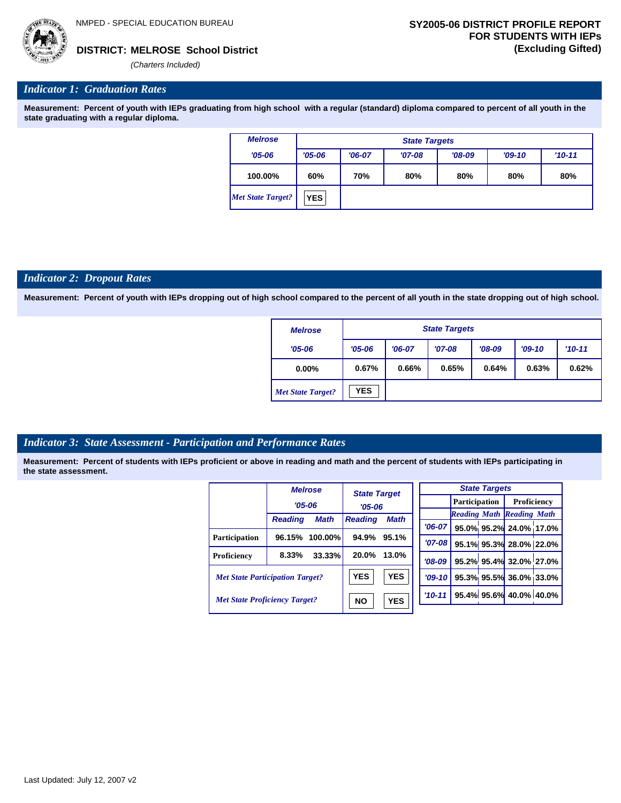

*(Charters Included)*

## *Indicator 1: Graduation Rates*

**Measurement: Percent of youth with IEPs graduating from high school with a regular (standard) diploma compared to percent of all youth in the state graduating with a regular diploma.**

| <b>Melrose</b>    | <b>State Targets</b> |                                 |          |          |          |          |  |
|-------------------|----------------------|---------------------------------|----------|----------|----------|----------|--|
| $'05 - 06$        | $'05 - 06$           | $'06-07$                        | $'07-08$ | $'08-09$ | $'09-10$ | $'10-11$ |  |
| 100.00%           | 60%                  | 80%<br>70%<br>80%<br>80%<br>80% |          |          |          |          |  |
| Met State Target? | <b>YES</b>           |                                 |          |          |          |          |  |

## *Indicator 2: Dropout Rates*

**Measurement: Percent of youth with IEPs dropping out of high school compared to the percent of all youth in the state dropping out of high school.**

| <b>Melrose</b>           | <b>State Targets</b> |                                           |          |          |          |          |  |  |
|--------------------------|----------------------|-------------------------------------------|----------|----------|----------|----------|--|--|
| $'05 - 06$               | $'05 - 06$           | $'06-07$                                  | $'07-08$ | $'08-09$ | $'09-10$ | $'10-11$ |  |  |
| $0.00\%$                 | 0.67%                | 0.66%<br>0.65%<br>0.64%<br>0.63%<br>0.62% |          |          |          |          |  |  |
| <b>Met State Target?</b> | <b>YES</b>           |                                           |          |          |          |          |  |  |

## *Indicator 3: State Assessment - Participation and Performance Rates*

|                                        |                | <b>Melrose</b> | <b>State Target</b> |            |            |  | <b>State Targets</b> |                                  |  |             |  |
|----------------------------------------|----------------|----------------|---------------------|------------|------------|--|----------------------|----------------------------------|--|-------------|--|
|                                        |                | $'05 - 06$     | $'05-06$            |            |            |  | Participation        |                                  |  | Proficiency |  |
|                                        | <b>Reading</b> | <b>Math</b>    | <b>Reading</b>      | Math       |            |  |                      | <b>Reading Math Reading Math</b> |  |             |  |
|                                        |                |                |                     |            | $'06-07$   |  |                      | 95.0% 95.2% 24.0% 17.0%          |  |             |  |
| <b>Participation</b>                   | 96.15%         | $100.00\%$     | 94.9%               | 95.1%      | $'07 - 08$ |  |                      | 95.1% 95.3% 28.0% 22.0%          |  |             |  |
| Proficiency                            | 8.33%          | 33.33%         | 20.0%               | 13.0%      | $'08-09$   |  |                      | 95.2% 95.4% 32.0% 27.0%          |  |             |  |
| <b>Met State Participation Target?</b> |                |                | <b>YES</b>          | <b>YES</b> | '09-10 l   |  |                      | 95.3% 95.5% 36.0% 33.0%          |  |             |  |
| <b>Met State Proficiency Target?</b>   |                |                | <b>NO</b>           | <b>YES</b> | $'10 - 11$ |  |                      | 95.4% 95.6% 40.0% 40.0%          |  |             |  |
|                                        |                |                |                     |            |            |  |                      |                                  |  |             |  |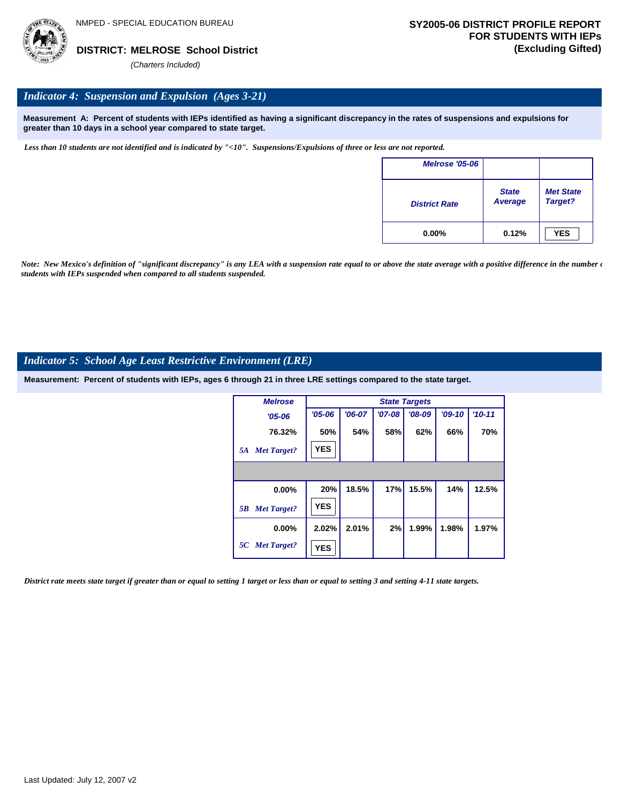

## *Indicator 4: Suspension and Expulsion (Ages 3-21)*

**Measurement A: Percent of students with IEPs identified as having a significant discrepancy in the rates of suspensions and expulsions for greater than 10 days in a school year compared to state target.**

*Less than 10 students are not identified and is indicated by "<10". Suspensions/Expulsions of three or less are not reported.*

| <b>Melrose '05-06</b> |                         |                             |
|-----------------------|-------------------------|-----------------------------|
| <b>District Rate</b>  | <b>State</b><br>Average | <b>Met State</b><br>Target? |
| $0.00\%$              | 0.12%                   | <b>YES</b>                  |

*Note: New Mexico's definition of "significant discrepancy" is any LEA with a suspension rate equal to or above the state average with a positive difference in the number*  $\epsilon$ *students with IEPs suspended when compared to all students suspended.*

## *Indicator 5: School Age Least Restrictive Environment (LRE)*

**Measurement: Percent of students with IEPs, ages 6 through 21 in three LRE settings compared to the state target.**

| <b>Melrose</b>           |            | <b>State Targets</b> |          |          |          |            |  |  |  |  |
|--------------------------|------------|----------------------|----------|----------|----------|------------|--|--|--|--|
| $'05 - 06$               | $'05 - 06$ | $'06-07$             | $'07-08$ | $'08-09$ | $'09-10$ | $'10 - 11$ |  |  |  |  |
| 76.32%                   | 50%        | 54%                  | 58%      | 62%      | 66%      | 70%        |  |  |  |  |
| <b>Met Target?</b><br>5A | <b>YES</b> |                      |          |          |          |            |  |  |  |  |
|                          |            |                      |          |          |          |            |  |  |  |  |
| $0.00\%$                 | 20%        | 18.5%                | 17%      | 15.5%    | 14%      | 12.5%      |  |  |  |  |
| <b>Met Target?</b><br>5B | <b>YES</b> |                      |          |          |          |            |  |  |  |  |
| $0.00\%$                 | 2.02%      | 2.01%                | 2%       | 1.99%    | 1.98%    | 1.97%      |  |  |  |  |
| 5C Met Target?           | <b>YES</b> |                      |          |          |          |            |  |  |  |  |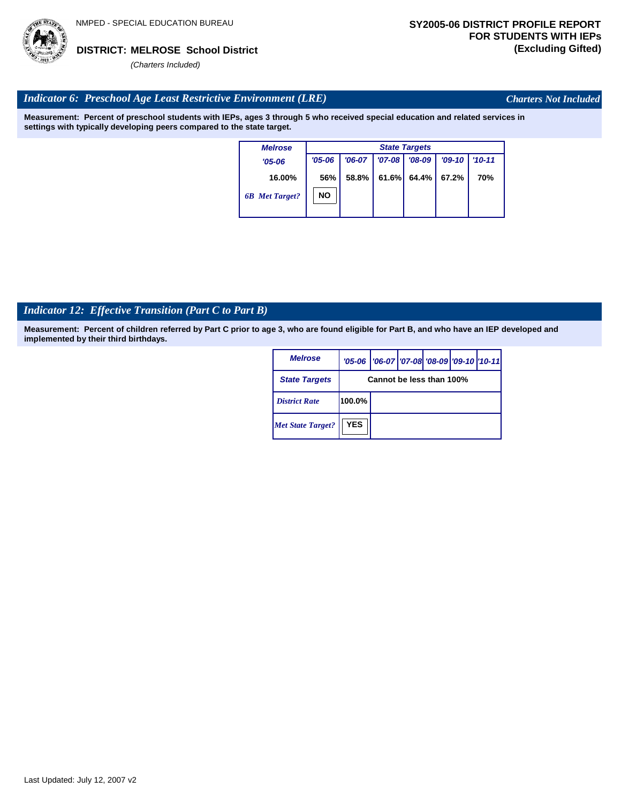

*Charters Not Included*

## *Indicator 6: Preschool Age Least Restrictive Environment (LRE)*

**Measurement: Percent of preschool students with IEPs, ages 3 through 5 who received special education and related services in settings with typically developing peers compared to the state target.**

| <b>Melrose</b>        |            | <b>State Targets</b> |          |          |          |            |  |  |  |
|-----------------------|------------|----------------------|----------|----------|----------|------------|--|--|--|
| $'05 - 06$            | $'05 - 06$ | $'06-07$             | $'07-08$ | $'08-09$ | $'09-10$ | $'10 - 11$ |  |  |  |
| 16.00%                | 56%        | 58.8%                | 61.6%    | 64.4%    | 67.2%    | 70%        |  |  |  |
| <b>6B</b> Met Target? | NO         |                      |          |          |          |            |  |  |  |

## *Indicator 12: Effective Transition (Part C to Part B)*

| <b>Melrose</b>           |                          | '05-06   '06-07   '07-08 '08-09   '09-10   '10-11 |  |  |  |  |
|--------------------------|--------------------------|---------------------------------------------------|--|--|--|--|
| <b>State Targets</b>     | Cannot be less than 100% |                                                   |  |  |  |  |
| <b>District Rate</b>     | 100.0%                   |                                                   |  |  |  |  |
| <b>Met State Target?</b> | <b>YES</b>               |                                                   |  |  |  |  |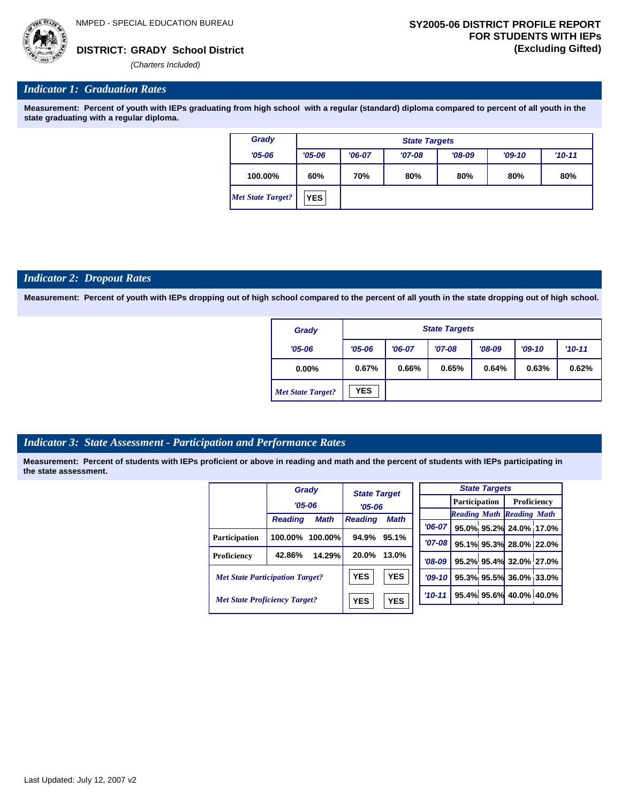

*'06-07* **95.0% 95.2% 24.0% 17.0%**

**95.1% 95.3% 28.0% 22.0% 95.2% 95.4% 32.0% 27.0% 95.3% 95.5% 36.0% 33.0% 95.4% 95.6% 40.0% 40.0%**

*Reading Math Reading Math*

## *Indicator 1: Graduation Rates*

**Measurement: Percent of youth with IEPs graduating from high school with a regular (standard) diploma compared to percent of all youth in the state graduating with a regular diploma.**

| Grady                    |            | <b>State Targets</b> |          |          |          |            |  |  |  |
|--------------------------|------------|----------------------|----------|----------|----------|------------|--|--|--|
| $'05 - 06$               | $'05 - 06$ | $'06-07$             | $'07-08$ | $'08-09$ | $'09-10$ | $'10 - 11$ |  |  |  |
| 100.00%                  | 60%        | 70%                  | 80%      | 80%      | 80%      | 80%        |  |  |  |
| <b>Met State Target?</b> | <b>YES</b> |                      |          |          |          |            |  |  |  |

### *Indicator 2: Dropout Rates*

**Measurement: Percent of youth with IEPs dropping out of high school compared to the percent of all youth in the state dropping out of high school.**

| Grady                    |            | <b>State Targets</b> |          |          |          |          |  |  |  |
|--------------------------|------------|----------------------|----------|----------|----------|----------|--|--|--|
| $'05 - 06$               | $'05 - 06$ | $'06-07$             | $'07-08$ | $'08-09$ | $'09-10$ | $'10-11$ |  |  |  |
| $0.00\%$                 | 0.67%      | 0.66%                | 0.65%    | 0.64%    | 0.63%    | 0.62%    |  |  |  |
| <b>Met State Target?</b> | <b>YES</b> |                      |          |          |          |          |  |  |  |

## *Indicator 3: State Assessment - Participation and Performance Rates*

|                                        |                | Grady       | <b>State Target</b> |             |            |           |                      | <b>State Targets</b>   |                                  |  |
|----------------------------------------|----------------|-------------|---------------------|-------------|------------|-----------|----------------------|------------------------|----------------------------------|--|
|                                        | $'05 - 06$     |             | $'05 - 06$          |             |            |           | <b>Participation</b> |                        | Proficiency                      |  |
|                                        |                |             |                     |             |            |           |                      |                        | <b>Reading Math Reading Math</b> |  |
|                                        | <b>Reading</b> | <b>Math</b> | <b>Reading</b>      | <b>Math</b> |            | $'06-07$  |                      |                        | 95.0% 95.2% 24.0% 17.0           |  |
| Participation                          | 100.00%        | $100.00\%$  | 94.9%               | 95.1%       |            |           |                      |                        |                                  |  |
|                                        |                |             |                     |             | $'07-08'$  |           |                      |                        | 95.1% 95.3% 28.0% 22.0           |  |
| Proficiency                            | 42.86%         | 14.29%      | 20.0%               | 13.0%       |            | $'08-09$  |                      |                        | 95.2% 95.4% 32.0% 27.0           |  |
| <b>Met State Participation Target?</b> |                |             | <b>YES</b>          | <b>YES</b>  |            | $'09-10'$ |                      |                        | 95.3% 95.5% 36.0% 33.0           |  |
| <b>Met State Proficiency Target?</b>   |                | <b>YES</b>  | <b>YES</b>          |             | $'10 - 11$ |           |                      | 95.4% 95.6% 40.0% 40.0 |                                  |  |
|                                        |                |             |                     |             |            |           |                      |                        |                                  |  |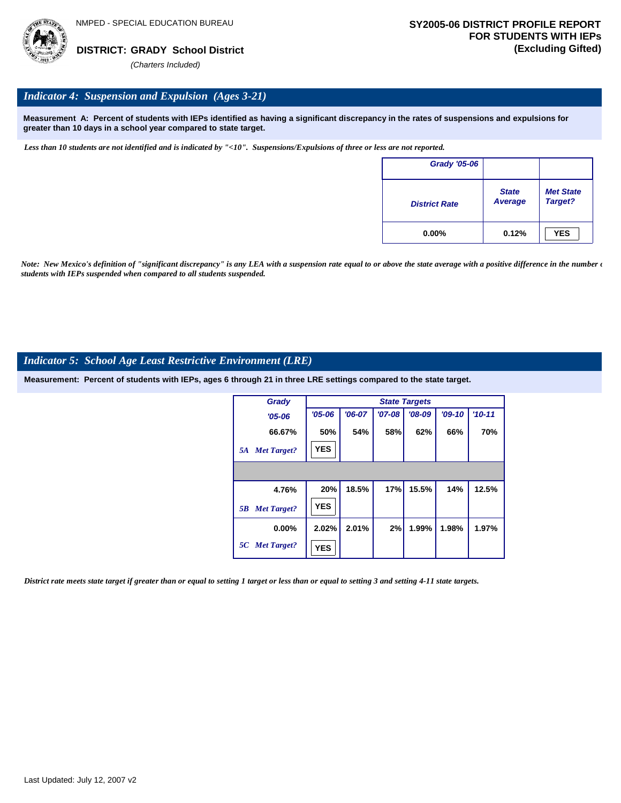

## *Indicator 4: Suspension and Expulsion (Ages 3-21)*

**Measurement A: Percent of students with IEPs identified as having a significant discrepancy in the rates of suspensions and expulsions for greater than 10 days in a school year compared to state target.**

*Less than 10 students are not identified and is indicated by "<10". Suspensions/Expulsions of three or less are not reported.*

| <b>Grady '05-06</b>  |                         |                             |
|----------------------|-------------------------|-----------------------------|
| <b>District Rate</b> | <b>State</b><br>Average | <b>Met State</b><br>Target? |
| $0.00\%$             | 0.12%                   | <b>YES</b>                  |

*Note: New Mexico's definition of "significant discrepancy" is any LEA with a suspension rate equal to or above the state average with a positive difference in the number*  $\epsilon$ *students with IEPs suspended when compared to all students suspended.*

## *Indicator 5: School Age Least Restrictive Environment (LRE)*

**Measurement: Percent of students with IEPs, ages 6 through 21 in three LRE settings compared to the state target.**

| Grady                    |            |          |          | <b>State Targets</b> |          |            |
|--------------------------|------------|----------|----------|----------------------|----------|------------|
| $'05 - 06$               | $'05 - 06$ | $'06-07$ | $'07-08$ | $'08-09$             | $'09-10$ | $'10 - 11$ |
| 66.67%                   | 50%        | 54%      | 58%      | 62%                  | 66%      | 70%        |
| <b>Met Target?</b><br>5A | <b>YES</b> |          |          |                      |          |            |
|                          |            |          |          |                      |          |            |
| 4.76%                    | 20%        | 18.5%    | 17%      | 15.5%                | 14%      | 12.5%      |
| <b>Met Target?</b><br>5B | <b>YES</b> |          |          |                      |          |            |
| $0.00\%$                 | 2.02%      | 2.01%    | 2%       | 1.99%                | 1.98%    | 1.97%      |
| 5C Met Target?           | <b>YES</b> |          |          |                      |          |            |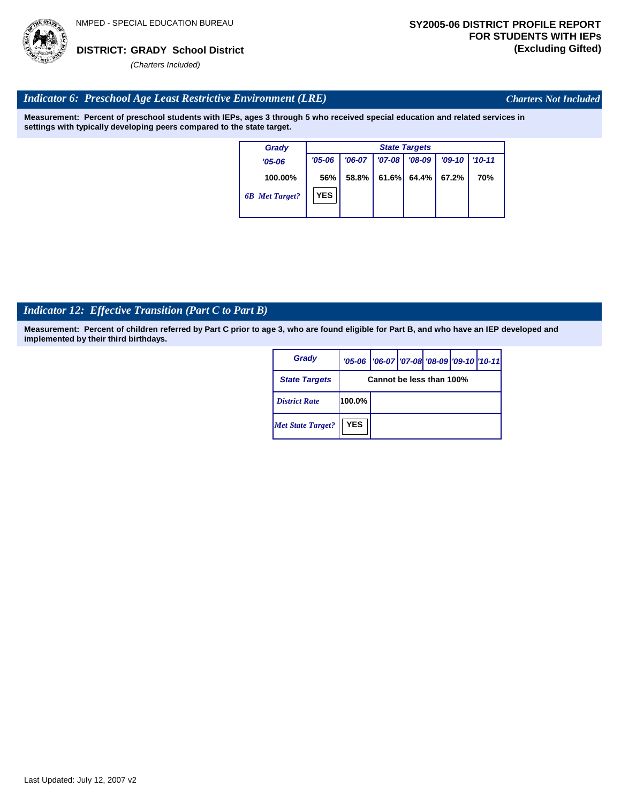

*Charters Not Included*

## *Indicator 6: Preschool Age Least Restrictive Environment (LRE)*

**Measurement: Percent of preschool students with IEPs, ages 3 through 5 who received special education and related services in settings with typically developing peers compared to the state target.**

| Grady                 | <b>State Targets</b> |          |          |          |          |            |  |  |
|-----------------------|----------------------|----------|----------|----------|----------|------------|--|--|
| $'05 - 06$            | $'05 - 06$           | $'06-07$ | $'07-08$ | $'08-09$ | $'09-10$ | $'10 - 11$ |  |  |
| 100.00%               | 56%                  | 58.8%    | 61.6%    | $64.4\%$ | 67.2%    | 70%        |  |  |
| <b>6B</b> Met Target? | <b>YES</b>           |          |          |          |          |            |  |  |

## *Indicator 12: Effective Transition (Part C to Part B)*

| Grady                    |                          | '05-06   '06-07   '07-08 '08-09   '09-10   '10-11 |  |  |  |  |
|--------------------------|--------------------------|---------------------------------------------------|--|--|--|--|
| <b>State Targets</b>     | Cannot be less than 100% |                                                   |  |  |  |  |
| <b>District Rate</b>     | 100.0%                   |                                                   |  |  |  |  |
| <b>Met State Target?</b> | <b>YES</b>               |                                                   |  |  |  |  |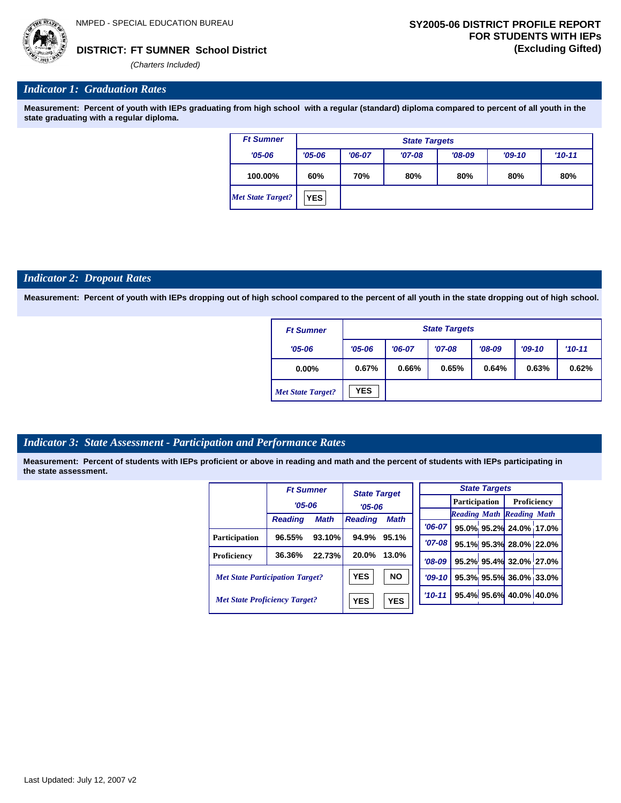*'06-07* **95.0% 95.2% 24.0% 17.0%**

**95.1% 95.3% 28.0% 22.0% 95.2% 95.4% 32.0% 27.0% 95.3% 95.5% 36.0% 33.0% 95.4% 95.6% 40.0% 40.0%**

*Reading Math Reading Math*

**FT SUMNER School District DISTRICT: (Excluding Gifted)**

*(Charters Included)*

## *Indicator 1: Graduation Rates*

**Measurement: Percent of youth with IEPs graduating from high school with a regular (standard) diploma compared to percent of all youth in the state graduating with a regular diploma.**

| <b>Ft Sumner</b>         |            | <b>State Targets</b> |          |          |          |          |  |  |  |
|--------------------------|------------|----------------------|----------|----------|----------|----------|--|--|--|
| $'05 - 06$               | $'05 - 06$ | $'06-07$             | $'07-08$ | $'08-09$ | $'09-10$ | $'10-11$ |  |  |  |
| 100.00%                  | 60%        | 70%                  | 80%      | 80%      | 80%      | 80%      |  |  |  |
| <b>Met State Target?</b> | <b>YES</b> |                      |          |          |          |          |  |  |  |

## *Indicator 2: Dropout Rates*

**Measurement: Percent of youth with IEPs dropping out of high school compared to the percent of all youth in the state dropping out of high school.**

| <b>Ft Sumner</b>         |            | <b>State Targets</b> |          |          |          |            |  |  |  |
|--------------------------|------------|----------------------|----------|----------|----------|------------|--|--|--|
| $'05 - 06$               | $'05 - 06$ | $'06-07$             | $'07-08$ | $'08-09$ | $'09-10$ | $'10 - 11$ |  |  |  |
| $0.00\%$                 | 0.67%      | 0.66%                | 0.65%    | 0.64%    | 0.63%    | 0.62%      |  |  |  |
| <b>Met State Target?</b> | <b>YES</b> |                      |          |          |          |            |  |  |  |

## *Indicator 3: State Assessment - Participation and Performance Rates*

|                                        | <b>Ft Sumner</b> |                          | <b>State Target</b> |            |            |                                  | <b>State Targets</b>    |                        |  |
|----------------------------------------|------------------|--------------------------|---------------------|------------|------------|----------------------------------|-------------------------|------------------------|--|
|                                        | $'05 - 06$       |                          | $'05 - 06$          |            |            | <b>Participation</b>             |                         | Proficiency            |  |
|                                        |                  |                          |                     |            |            | <b>Reading Math Reading Math</b> |                         |                        |  |
|                                        | <b>Reading</b>   | <b>Math</b>              | <b>Reading</b>      | Math       | $'06-07$   |                                  |                         | 95.0% 95.2% 24.0% 17.0 |  |
| <b>Participation</b>                   | 96.55%           | 93.10%                   | 94.9%               | 95.1%      |            |                                  |                         |                        |  |
|                                        |                  |                          |                     |            | $'07 - 08$ |                                  |                         | 95.1% 95.3% 28.0% 22.0 |  |
| Proficiency                            | 36.36%           | 22.73%                   | 20.0%               | 13.0%      | $'08-09$   |                                  |                         | 95.2% 95.4% 32.0% 27.0 |  |
| <b>Met State Participation Target?</b> |                  |                          | <b>YES</b>          | <b>NO</b>  | $'09-10'$  |                                  |                         | 95.3% 95.5% 36.0% 33.0 |  |
| <b>Met State Proficiency Target?</b>   |                  | <b>YES</b><br><b>YES</b> |                     | $'10 - 11$ |            |                                  | 95.4% 95.6% 40.0% 40.0% |                        |  |
|                                        |                  |                          |                     |            |            |                                  |                         |                        |  |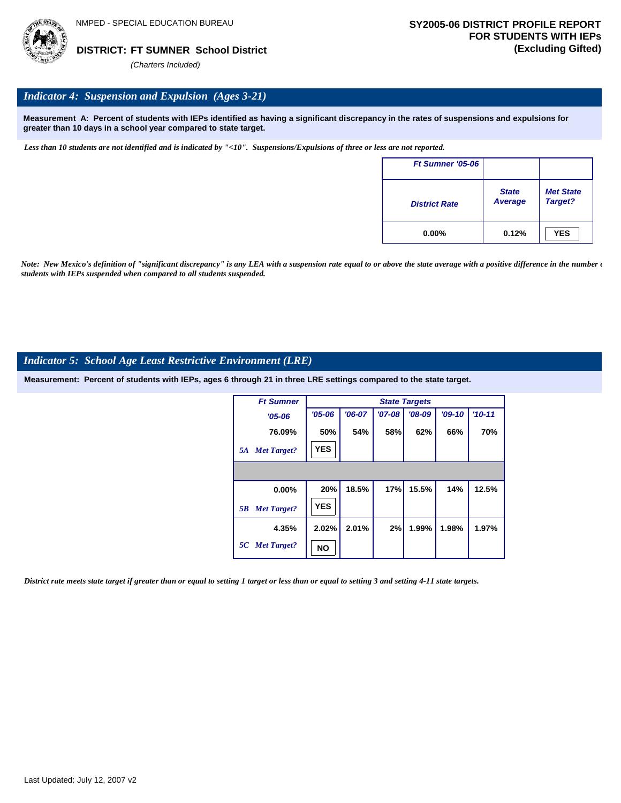

## *Indicator 4: Suspension and Expulsion (Ages 3-21)*

**Measurement A: Percent of students with IEPs identified as having a significant discrepancy in the rates of suspensions and expulsions for greater than 10 days in a school year compared to state target.**

*Less than 10 students are not identified and is indicated by "<10". Suspensions/Expulsions of three or less are not reported.*

| Ft Sumner '05-06     |                         |                             |
|----------------------|-------------------------|-----------------------------|
| <b>District Rate</b> | <b>State</b><br>Average | <b>Met State</b><br>Target? |
| $0.00\%$             | 0.12%                   | <b>YES</b>                  |

*Note: New Mexico's definition of "significant discrepancy" is any LEA with a suspension rate equal to or above the state average with a positive difference in the number*  $\epsilon$ *students with IEPs suspended when compared to all students suspended.*

## *Indicator 5: School Age Least Restrictive Environment (LRE)*

**Measurement: Percent of students with IEPs, ages 6 through 21 in three LRE settings compared to the state target.**

| <b>Ft Sumner</b>         |            |          |          | <b>State Targets</b> |          |          |
|--------------------------|------------|----------|----------|----------------------|----------|----------|
| $'05 - 06$               | $'05 - 06$ | $'06-07$ | $'07-08$ | $'08-09$             | $'09-10$ | $'10-11$ |
| 76.09%                   | 50%        | 54%      | 58%      | 62%                  | 66%      | 70%      |
| <b>Met Target?</b><br>5A | <b>YES</b> |          |          |                      |          |          |
|                          |            |          |          |                      |          |          |
| 0.00%                    | 20%        | 18.5%    | 17%      | 15.5%                | 14%      | 12.5%    |
| <b>Met Target?</b><br>5B | <b>YES</b> |          |          |                      |          |          |
| 4.35%                    | 2.02%      | 2.01%    | 2%       | 1.99%                | 1.98%    | 1.97%    |
| 5C Met Target?           | NO         |          |          |                      |          |          |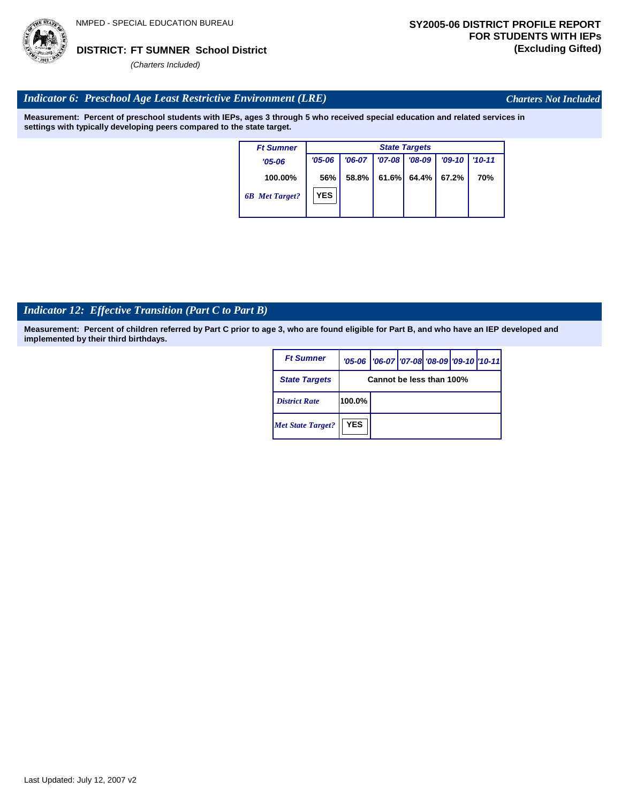

*Charters Not Included*

## *Indicator 6: Preschool Age Least Restrictive Environment (LRE)*

**Measurement: Percent of preschool students with IEPs, ages 3 through 5 who received special education and related services in settings with typically developing peers compared to the state target.**

| <b>Ft Sumner</b>      |            | <b>State Targets</b> |          |          |          |            |  |  |  |
|-----------------------|------------|----------------------|----------|----------|----------|------------|--|--|--|
| $'05 - 06$            | $'05 - 06$ | $'06-07$             | $'07-08$ | $'08-09$ | $'09-10$ | $'10 - 11$ |  |  |  |
| 100.00%               | 56%        | 58.8%                | 61.6%    | 64.4% l  | 67.2%    | 70%        |  |  |  |
| <b>6B</b> Met Target? | <b>YES</b> |                      |          |          |          |            |  |  |  |

## *Indicator 12: Effective Transition (Part C to Part B)*

| <b>Ft Sumner</b>         |            | '05-06   '06-07   '07-08 '08-09   '09-10   '10-11 |  |  |
|--------------------------|------------|---------------------------------------------------|--|--|
| <b>State Targets</b>     |            | Cannot be less than 100%                          |  |  |
| <b>District Rate</b>     | 100.0%     |                                                   |  |  |
| <b>Met State Target?</b> | <b>YES</b> |                                                   |  |  |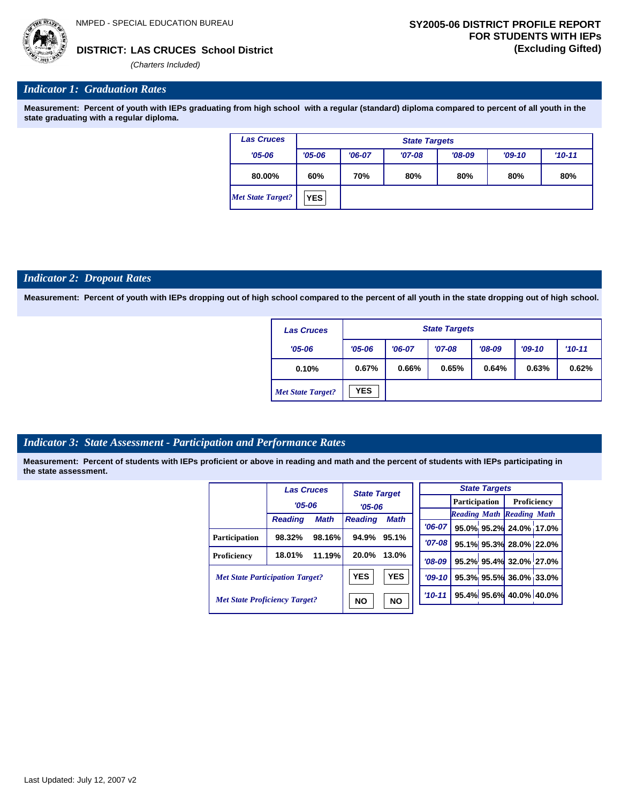

## **LAS CRUCES School District DISTRICT: (Excluding Gifted)**

*(Charters Included)*

## *Indicator 1: Graduation Rates*

**Measurement: Percent of youth with IEPs graduating from high school with a regular (standard) diploma compared to percent of all youth in the state graduating with a regular diploma.**

| <b>Las Cruces</b>        |            | <b>State Targets</b> |          |          |          |          |  |  |  |
|--------------------------|------------|----------------------|----------|----------|----------|----------|--|--|--|
| $'05 - 06$               | $'05 - 06$ | $'06-07$             | $'07-08$ | $'08-09$ | $'09-10$ | $'10-11$ |  |  |  |
| 80.00%                   | 60%        | 70%                  | 80%      | 80%      | 80%      | 80%      |  |  |  |
| <b>Met State Target?</b> | <b>YES</b> |                      |          |          |          |          |  |  |  |

### *Indicator 2: Dropout Rates*

**Measurement: Percent of youth with IEPs dropping out of high school compared to the percent of all youth in the state dropping out of high school.**

| <b>Las Cruces</b>        |            | <b>State Targets</b> |          |          |          |          |  |  |
|--------------------------|------------|----------------------|----------|----------|----------|----------|--|--|
| $'05 - 06$               | $'05 - 06$ | $'06-07$             | $'07-08$ | $'08-09$ | $'09-10$ | $'10-11$ |  |  |
| 0.10%                    | 0.67%      | 0.66%                | 0.65%    | 0.64%    | 0.63%    | 0.62%    |  |  |
| <b>Met State Target?</b> | <b>YES</b> |                      |          |          |          |          |  |  |

## *Indicator 3: State Assessment - Participation and Performance Rates*

|                                        | <b>Las Cruces</b> |             | <b>State Target</b>                       |           |          |                                  | <b>State Targets</b>   |                        |  |
|----------------------------------------|-------------------|-------------|-------------------------------------------|-----------|----------|----------------------------------|------------------------|------------------------|--|
|                                        | $'05 - 06$        |             | $'05-06$<br><b>Reading</b><br><b>Math</b> |           |          | Participation                    |                        | Proficiency            |  |
|                                        | <b>Reading</b>    | <b>Math</b> |                                           |           |          | <b>Reading Math Reading Math</b> |                        |                        |  |
|                                        |                   |             |                                           |           | $'06-07$ |                                  |                        | 95.0% 95.2% 24.0% 17.0 |  |
| <b>Participation</b>                   | 98.32%            | 98.16%      | 94.9%                                     | 95.1%     | $'07-08$ |                                  |                        | 95.1% 95.3% 28.0% 22.0 |  |
| Proficiency                            | 18.01%            | 11.19%      | 20.0%                                     | 13.0%     | $'08-09$ |                                  |                        | 95.2% 95.4% 32.0% 27.0 |  |
| <b>Met State Participation Target?</b> |                   | <b>YES</b>  | <b>YES</b>                                | $'09-10'$ |          |                                  | 95.3% 95.5% 36.0% 33.0 |                        |  |
| <b>Met State Proficiency Target?</b>   |                   | <b>NO</b>   | <b>NO</b>                                 | $'10-11$  |          |                                  | 95.4% 95.6% 40.0% 40.0 |                        |  |

|          | <b>State Targets</b> |  |                                  |  |  |  |  |  |
|----------|----------------------|--|----------------------------------|--|--|--|--|--|
|          |                      |  | <b>Participation</b> Proficiency |  |  |  |  |  |
|          |                      |  | <b>Reading Math Reading Math</b> |  |  |  |  |  |
|          |                      |  | $706-07$ 95.0% 95.2% 24.0% 17.0% |  |  |  |  |  |
| $'07-08$ |                      |  | 95.1% 95.3% 28.0% 22.0%          |  |  |  |  |  |
|          |                      |  | '08-09 95.2% 95.4% 32.0% 27.0%   |  |  |  |  |  |
|          |                      |  | '09-10 95.3% 95.5% 36.0% 33.0%   |  |  |  |  |  |
|          |                      |  | $10-11$ 95.4% 95.6% 40.0% 40.0%  |  |  |  |  |  |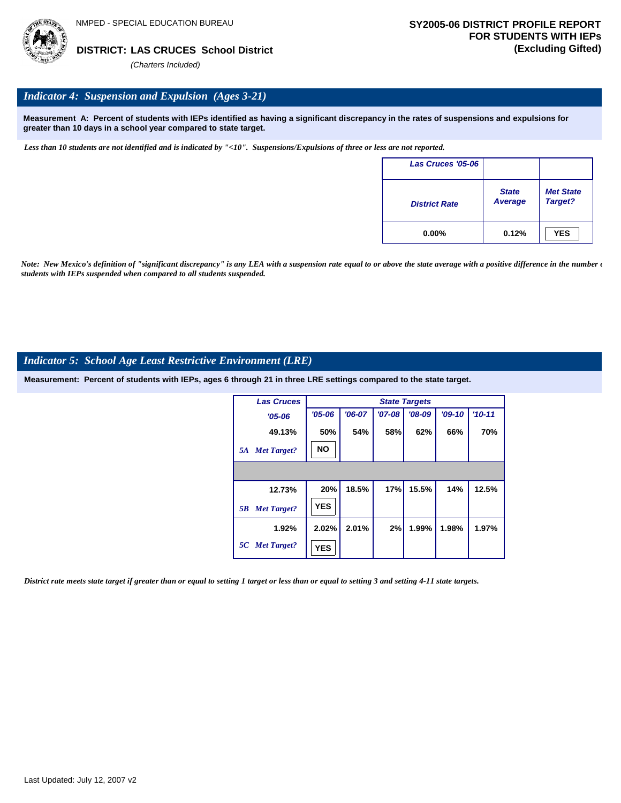

## *Indicator 4: Suspension and Expulsion (Ages 3-21)*

**Measurement A: Percent of students with IEPs identified as having a significant discrepancy in the rates of suspensions and expulsions for greater than 10 days in a school year compared to state target.**

*Less than 10 students are not identified and is indicated by "<10". Suspensions/Expulsions of three or less are not reported.*

| Las Cruces '05-06    |                                |                             |
|----------------------|--------------------------------|-----------------------------|
| <b>District Rate</b> | <b>State</b><br><b>Average</b> | <b>Met State</b><br>Target? |
| $0.00\%$             | 0.12%                          | <b>YES</b>                  |

*Note: New Mexico's definition of "significant discrepancy" is any LEA with a suspension rate equal to or above the state average with a positive difference in the number*  $\epsilon$ *students with IEPs suspended when compared to all students suspended.*

## *Indicator 5: School Age Least Restrictive Environment (LRE)*

**Measurement: Percent of students with IEPs, ages 6 through 21 in three LRE settings compared to the state target.**

| <b>Las Cruces</b>        |            |          |          | <b>State Targets</b> |          |          |
|--------------------------|------------|----------|----------|----------------------|----------|----------|
| $'05 - 06$               | $'05 - 06$ | $'06-07$ | $'07-08$ | $'08-09$             | $'09-10$ | $'10-11$ |
| 49.13%                   | 50%        | 54%      | 58%      | 62%                  | 66%      | 70%      |
| <b>Met Target?</b><br>5A | <b>NO</b>  |          |          |                      |          |          |
|                          |            |          |          |                      |          |          |
| 12.73%                   | 20%        | 18.5%    | 17%      | 15.5%                | 14%      | 12.5%    |
| <b>Met Target?</b><br>5B | <b>YES</b> |          |          |                      |          |          |
| 1.92%                    | 2.02%      | 2.01%    | 2%       | 1.99%                | 1.98%    | 1.97%    |
| 5C Met Target?           | <b>YES</b> |          |          |                      |          |          |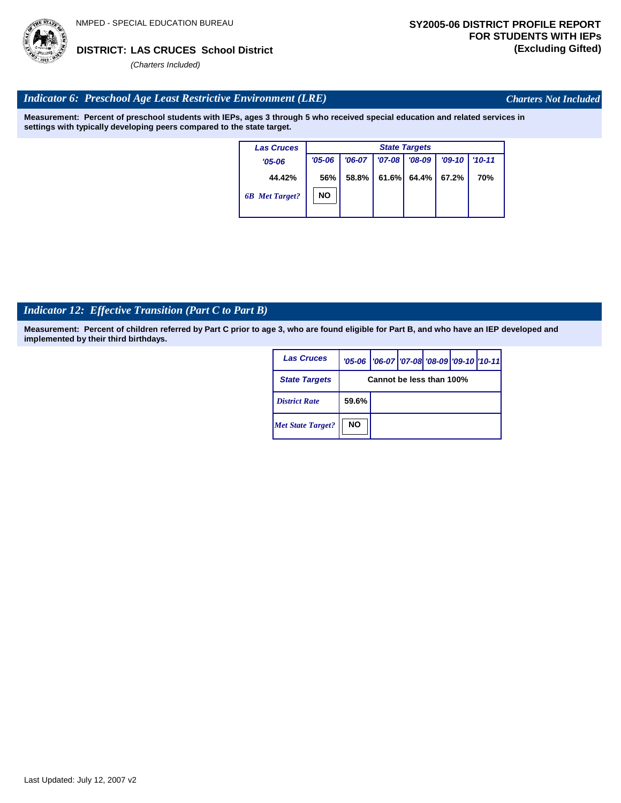## *Indicator 6: Preschool Age Least Restrictive Environment (LRE)*

**Measurement: Percent of preschool students with IEPs, ages 3 through 5 who received special education and related services in settings with typically developing peers compared to the state target.**

| <b>Las Cruces</b>     |            | <b>State Targets</b> |          |          |          |            |  |  |  |
|-----------------------|------------|----------------------|----------|----------|----------|------------|--|--|--|
| $'05 - 06$            | $'05 - 06$ | $'06-07$             | $'07-08$ | $'08-09$ | $'09-10$ | $'10 - 11$ |  |  |  |
| 44.42%                | 56%        | 58.8%                | 61.6%    | 64.4%    | 67.2%    | 70%        |  |  |  |
| <b>6B</b> Met Target? | <b>NO</b>  |                      |          |          |          |            |  |  |  |
|                       |            |                      |          |          |          |            |  |  |  |

## *Indicator 12: Effective Transition (Part C to Part B)*

**Measurement: Percent of children referred by Part C prior to age 3, who are found eligible for Part B, and who have an IEP developed and implemented by their third birthdays.**

| <b>Las Cruces</b>        |                          | '05-06   '06-07   '07-08   '08-09   '09-10   '10-11 |  |  |  |  |  |
|--------------------------|--------------------------|-----------------------------------------------------|--|--|--|--|--|
| <b>State Targets</b>     | Cannot be less than 100% |                                                     |  |  |  |  |  |
| <b>District Rate</b>     | 59.6%                    |                                                     |  |  |  |  |  |
| <b>Met State Target?</b> | <b>NO</b>                |                                                     |  |  |  |  |  |

Last Updated: July 12, 2007 v2



*Charters Not Included*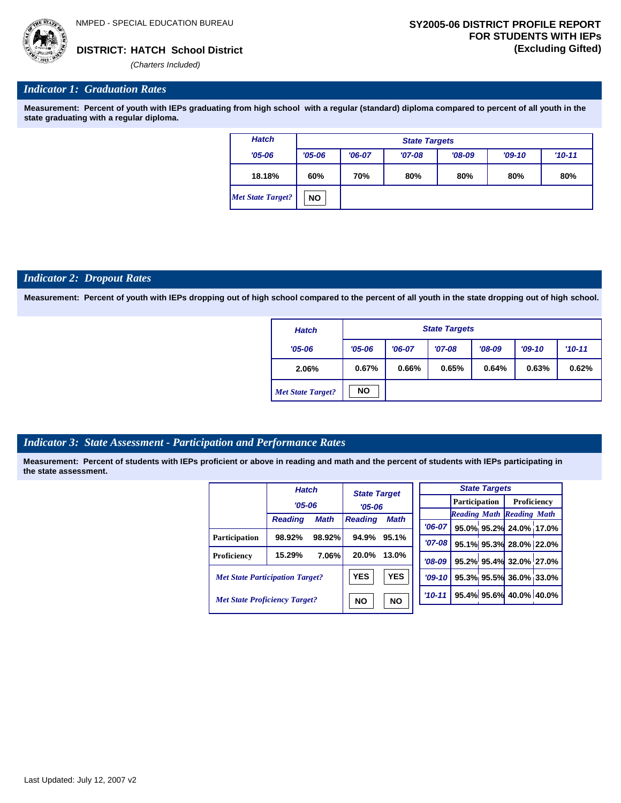

## *Indicator 1: Graduation Rates*

**Measurement: Percent of youth with IEPs graduating from high school with a regular (standard) diploma compared to percent of all youth in the state graduating with a regular diploma.**

| <b>Hatch</b>             | <b>State Targets</b> |          |          |          |          |            |  |  |
|--------------------------|----------------------|----------|----------|----------|----------|------------|--|--|
| $'05 - 06$               | $'05 - 06$           | $'06-07$ | $'07-08$ | $'08-09$ | $'09-10$ | $'10 - 11$ |  |  |
| 18.18%                   | 60%                  | 70%      | 80%      | 80%      | 80%      | 80%        |  |  |
| <b>Met State Target?</b> | <b>NO</b>            |          |          |          |          |            |  |  |

### *Indicator 2: Dropout Rates*

**Measurement: Percent of youth with IEPs dropping out of high school compared to the percent of all youth in the state dropping out of high school.**

| <b>Hatch</b>             |            | <b>State Targets</b> |          |          |          |          |  |  |  |
|--------------------------|------------|----------------------|----------|----------|----------|----------|--|--|--|
| $'05 - 06$               | $'05 - 06$ | $'06-07$             | $'07-08$ | $'08-09$ | $'09-10$ | $'10-11$ |  |  |  |
| 2.06%                    | 0.67%      | 0.66%                | 0.65%    | 0.64%    | 0.63%    | 0.62%    |  |  |  |
| <b>Met State Target?</b> | <b>NO</b>  |                      |          |          |          |          |  |  |  |

## *Indicator 3: State Assessment - Participation and Performance Rates*

|                                        | <b>Hatch</b>   |                        | <b>State Target</b><br>$'05 - 06$ |             |           |  | <b>State Targets</b>    |                                  |  |             |  |
|----------------------------------------|----------------|------------------------|-----------------------------------|-------------|-----------|--|-------------------------|----------------------------------|--|-------------|--|
|                                        | $'05 - 06$     |                        |                                   |             |           |  |                         | <b>Participation</b>             |  | Proficiency |  |
|                                        |                |                        |                                   |             |           |  |                         | <b>Reading Math Reading Math</b> |  |             |  |
|                                        | <b>Reading</b> | <b>Math</b>            | <b>Reading</b>                    | <b>Math</b> | $'06-07$  |  |                         | 95.0% 95.2% 24.0% 17.0%          |  |             |  |
| <b>Participation</b>                   | 98.92%         | 98.92%                 | 94.9%                             | 95.1%       | $'07-08$  |  |                         | 95.1% 95.3% 28.0% 22.0%          |  |             |  |
| Proficiency                            | 15.29%         | 7.06%                  | 20.0%                             | 13.0%       | $'08-09$  |  |                         | 95.2% 95.4% 32.0% 27.0%          |  |             |  |
| <b>Met State Participation Target?</b> |                |                        | <b>YES</b>                        | <b>YES</b>  | $'09-10'$ |  |                         | 95.3% 95.5% 36.0% 33.0%          |  |             |  |
| <b>Met State Proficiency Target?</b>   |                | <b>NO</b><br><b>NO</b> |                                   | $'10-11$    |           |  | 95.4% 95.6% 40.0% 40.0% |                                  |  |             |  |
|                                        |                |                        |                                   |             |           |  |                         |                                  |  |             |  |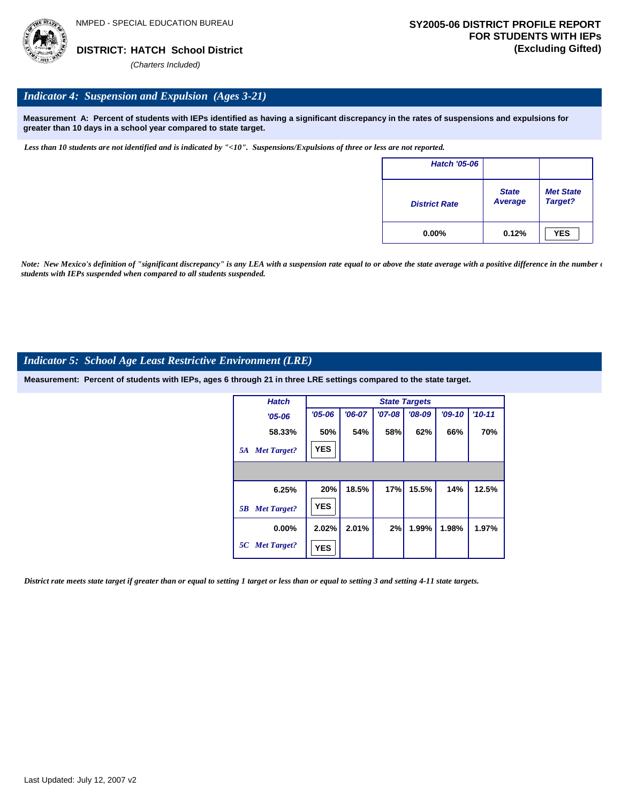

## *Indicator 4: Suspension and Expulsion (Ages 3-21)*

**Measurement A: Percent of students with IEPs identified as having a significant discrepancy in the rates of suspensions and expulsions for greater than 10 days in a school year compared to state target.**

*Less than 10 students are not identified and is indicated by "<10". Suspensions/Expulsions of three or less are not reported.*

| <b>Hatch '05-06</b>  |                         |                             |
|----------------------|-------------------------|-----------------------------|
| <b>District Rate</b> | <b>State</b><br>Average | <b>Met State</b><br>Target? |
| $0.00\%$             | 0.12%                   | <b>YES</b>                  |

*Note: New Mexico's definition of "significant discrepancy" is any LEA with a suspension rate equal to or above the state average with a positive difference in the number*  $\epsilon$ *students with IEPs suspended when compared to all students suspended.*

## *Indicator 5: School Age Least Restrictive Environment (LRE)*

**Measurement: Percent of students with IEPs, ages 6 through 21 in three LRE settings compared to the state target.**

| <b>Hatch</b>             |            |          |          | <b>State Targets</b> |          |          |
|--------------------------|------------|----------|----------|----------------------|----------|----------|
| $'05 - 06$               | $'05 - 06$ | $'06-07$ | $'07-08$ | $'08-09$             | $'09-10$ | $'10-11$ |
| 58.33%                   | 50%        | 54%      | 58%      | 62%                  | 66%      | 70%      |
| <b>Met Target?</b><br>5A | <b>YES</b> |          |          |                      |          |          |
|                          |            |          |          |                      |          |          |
| 6.25%                    | 20%        | 18.5%    | 17%      | 15.5%                | 14%      | 12.5%    |
| <b>Met Target?</b><br>5B | <b>YES</b> |          |          |                      |          |          |
| $0.00\%$                 | 2.02%      | 2.01%    | 2%       | 1.99%                | 1.98%    | 1.97%    |
| 5C Met Target?           | <b>YES</b> |          |          |                      |          |          |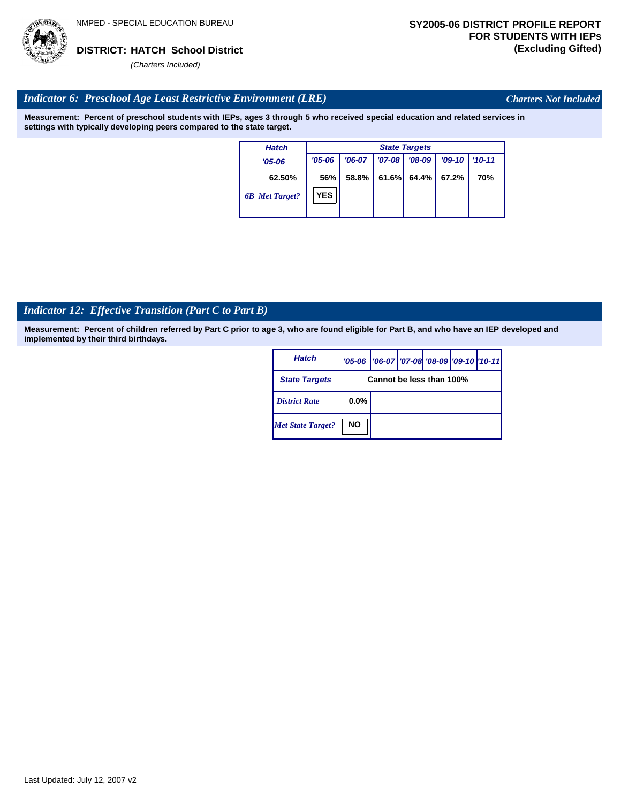

*Charters Not Included*

## *Indicator 6: Preschool Age Least Restrictive Environment (LRE)*

**Measurement: Percent of preschool students with IEPs, ages 3 through 5 who received special education and related services in settings with typically developing peers compared to the state target.**

| <b>Hatch</b>          |            | <b>State Targets</b> |            |          |          |            |  |  |
|-----------------------|------------|----------------------|------------|----------|----------|------------|--|--|
| $'05 - 06$            | $'05 - 06$ | $'06-07$             | $'07 - 08$ | $'08-09$ | $'09-10$ | $'10 - 11$ |  |  |
| 62.50%                | 56%        | 58.8%                | 61.6%      | 64.4% I  | 67.2%    | 70%        |  |  |
| <b>6B</b> Met Target? | <b>YES</b> |                      |            |          |          |            |  |  |

## *Indicator 12: Effective Transition (Part C to Part B)*

| <b>Hatch</b>             |                          | '05-06   '06-07   '07-08   '08-09   '09-10   '10-11 |  |  |  |  |  |
|--------------------------|--------------------------|-----------------------------------------------------|--|--|--|--|--|
| <b>State Targets</b>     | Cannot be less than 100% |                                                     |  |  |  |  |  |
| <b>District Rate</b>     | $0.0\%$                  |                                                     |  |  |  |  |  |
| <b>Met State Target?</b> | <b>NO</b>                |                                                     |  |  |  |  |  |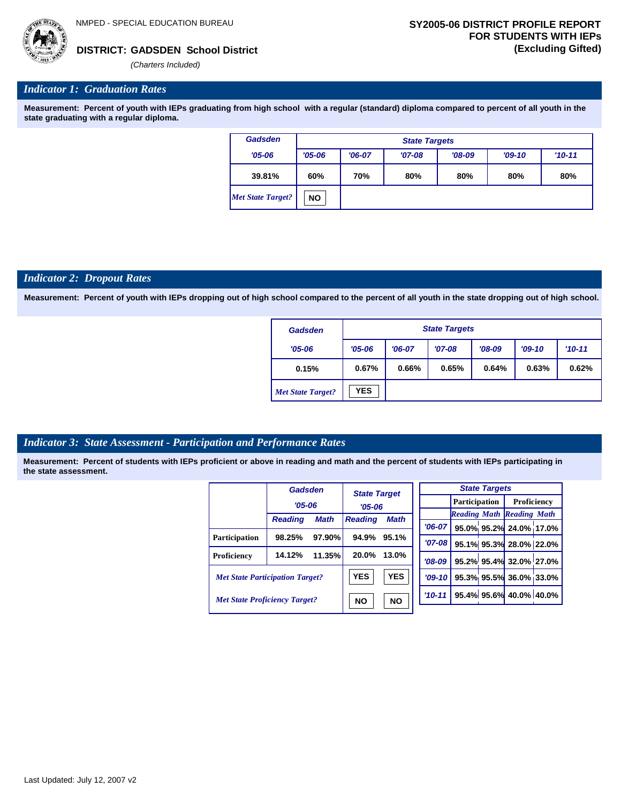

## *Indicator 1: Graduation Rates*

**Measurement: Percent of youth with IEPs graduating from high school with a regular (standard) diploma compared to percent of all youth in the state graduating with a regular diploma.**

| <b>Gadsden</b>    | <b>State Targets</b> |          |          |          |          |          |  |  |
|-------------------|----------------------|----------|----------|----------|----------|----------|--|--|
| $'05 - 06$        | $'05 - 06$           | $'06-07$ | $'07-08$ | $'08-09$ | $'09-10$ | $'10-11$ |  |  |
| 39.81%            | 60%                  | 70%      | 80%      | 80%      | 80%      | 80%      |  |  |
| Met State Target? | <b>NO</b>            |          |          |          |          |          |  |  |

### *Indicator 2: Dropout Rates*

**Measurement: Percent of youth with IEPs dropping out of high school compared to the percent of all youth in the state dropping out of high school.**

| Gadsden                  | <b>State Targets</b> |          |          |          |          |          |  |  |
|--------------------------|----------------------|----------|----------|----------|----------|----------|--|--|
| $'05 - 06$               | $'05 - 06$           | $'06-07$ | $'07-08$ | $'08-09$ | $'09-10$ | $'10-11$ |  |  |
| 0.15%                    | 0.67%                | 0.66%    | 0.65%    | 0.64%    | 0.63%    | 0.62%    |  |  |
| <b>Met State Target?</b> | <b>YES</b>           |          |          |          |          |          |  |  |

## *Indicator 3: State Assessment - Participation and Performance Rates*

|                                        | Gadsden        |             | <b>State Target</b>           |           |          |                                  | <b>State Targets</b>   |                        |  |
|----------------------------------------|----------------|-------------|-------------------------------|-----------|----------|----------------------------------|------------------------|------------------------|--|
|                                        | $'05 - 06$     |             | $'05-06$                      |           |          | <b>Participation</b>             |                        | Proficiency            |  |
|                                        | <b>Reading</b> | <b>Math</b> | <b>Math</b><br><b>Reading</b> |           |          | <b>Reading Math Reading Math</b> |                        |                        |  |
|                                        |                |             |                               |           | $'06-07$ |                                  |                        | 95.0% 95.2% 24.0% 17.0 |  |
| <b>Participation</b>                   | 98.25%         | 97.90%      | 94.9%                         | 95.1%     | $'07-08$ |                                  |                        | 95.1% 95.3% 28.0% 22.0 |  |
| <b>Proficiency</b>                     | 14.12%         | 11.35%      | 20.0%                         | 13.0%     | $'08-09$ |                                  |                        | 95.2% 95.4% 32.0% 27.0 |  |
| <b>Met State Participation Target?</b> |                | <b>YES</b>  | <b>YES</b>                    | $'09-10'$ |          |                                  | 95.3% 95.5% 36.0% 33.0 |                        |  |
| <b>Met State Proficiency Target?</b>   |                |             | <b>NO</b>                     | <b>NO</b> | $'10-11$ |                                  |                        | 95.4% 95.6% 40.0% 40.0 |  |
|                                        |                |             |                               |           |          |                                  |                        |                        |  |

| <b>State Targets</b> |  |  |                                  |  |  |  |  |  |
|----------------------|--|--|----------------------------------|--|--|--|--|--|
|                      |  |  | <b>Participation</b> Proficiency |  |  |  |  |  |
|                      |  |  | <b>Reading Math Reading Math</b> |  |  |  |  |  |
| $06-07$              |  |  | 95.0% 95.2% 24.0% 17.0%          |  |  |  |  |  |
| $'07-08$             |  |  | 95.1% 95.3% 28.0% 22.0%          |  |  |  |  |  |
| $'08-09$             |  |  | 95.2% 95.4% 32.0% 27.0%          |  |  |  |  |  |
| $'09-10$             |  |  | 95.3% 95.5% 36.0% 33.0%          |  |  |  |  |  |
| $10 - 11$            |  |  | 95.4% 95.6% 40.0% 40.0%          |  |  |  |  |  |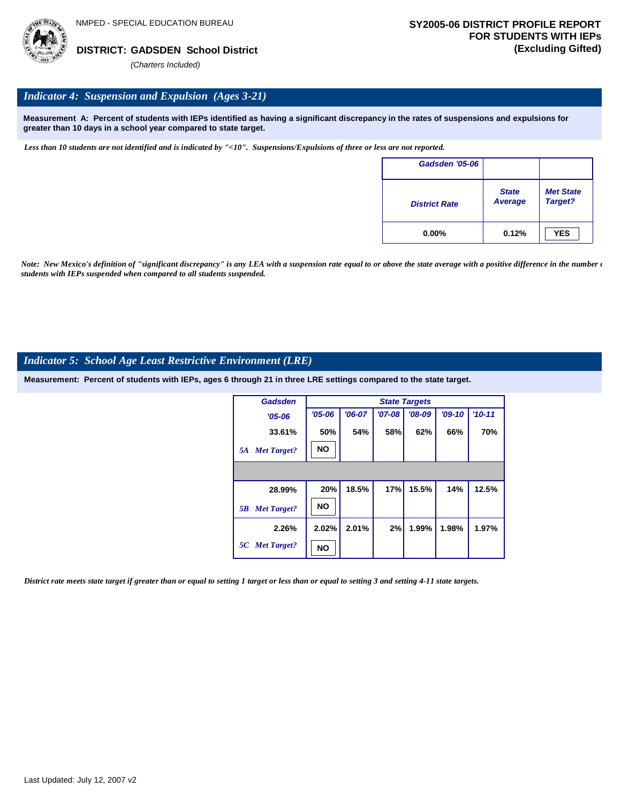

## *Indicator 4: Suspension and Expulsion (Ages 3-21)*

**Measurement A: Percent of students with IEPs identified as having a significant discrepancy in the rates of suspensions and expulsions for greater than 10 days in a school year compared to state target.**

*Less than 10 students are not identified and is indicated by "<10". Suspensions/Expulsions of three or less are not reported.*

| Gadsden '05-06       |                                |                             |
|----------------------|--------------------------------|-----------------------------|
| <b>District Rate</b> | <b>State</b><br><b>Average</b> | <b>Met State</b><br>Target? |
| $0.00\%$             | 0.12%                          | <b>YES</b>                  |

*Note: New Mexico's definition of "significant discrepancy" is any LEA with a suspension rate equal to or above the state average with a positive difference in the number*  $\epsilon$ *students with IEPs suspended when compared to all students suspended.*

## *Indicator 5: School Age Least Restrictive Environment (LRE)*

**Measurement: Percent of students with IEPs, ages 6 through 21 in three LRE settings compared to the state target.**

| Gadsden                  |            |          |          | <b>State Targets</b> |          |          |
|--------------------------|------------|----------|----------|----------------------|----------|----------|
| $'05 - 06$               | $'05 - 06$ | $'06-07$ | $'07-08$ | $'08-09$             | $'09-10$ | $'10-11$ |
| 33.61%                   | 50%        | 54%      | 58%      | 62%                  | 66%      | 70%      |
| <b>Met Target?</b><br>5A | <b>NO</b>  |          |          |                      |          |          |
|                          |            |          |          |                      |          |          |
| 28.99%                   | 20%        | 18.5%    | 17%      | 15.5%                | 14%      | 12.5%    |
| <b>Met Target?</b><br>5B | <b>NO</b>  |          |          |                      |          |          |
| 2.26%                    | 2.02%      | 2.01%    | 2%       | 1.99%                | 1.98%    | 1.97%    |
| 5C Met Target?           | NO         |          |          |                      |          |          |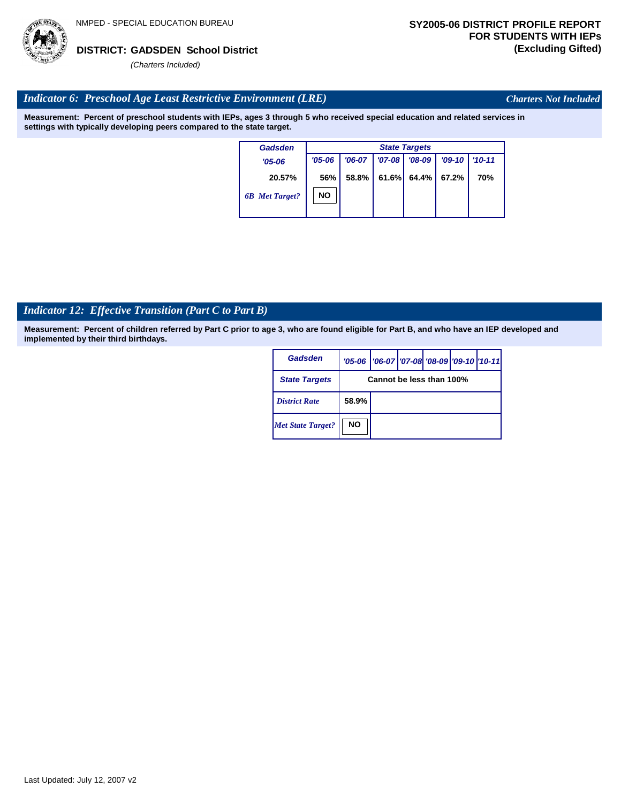

*Charters Not Included*

## *Indicator 6: Preschool Age Least Restrictive Environment (LRE)*

**Measurement: Percent of preschool students with IEPs, ages 3 through 5 who received special education and related services in settings with typically developing peers compared to the state target.**

| Gadsden               |            | <b>State Targets</b> |            |          |           |            |  |  |  |
|-----------------------|------------|----------------------|------------|----------|-----------|------------|--|--|--|
| $'05 - 06$            | $'05 - 06$ | $'06-07$             | $'07 - 08$ | $'08-09$ | $'09-10'$ | $'10 - 11$ |  |  |  |
| 20.57%                | 56%        | 58.8%                | 61.6%      | 64.4%    | 67.2%     | <b>70%</b> |  |  |  |
| <b>6B</b> Met Target? | <b>NO</b>  |                      |            |          |           |            |  |  |  |

## *Indicator 12: Effective Transition (Part C to Part B)*

| Gadsden                  |           | '05-06   '06-07   '07-08   '08-09   '09-10   '10-11 |  |  |  |  |  |  |
|--------------------------|-----------|-----------------------------------------------------|--|--|--|--|--|--|
| <b>State Targets</b>     |           | Cannot be less than 100%                            |  |  |  |  |  |  |
| <b>District Rate</b>     | 58.9%     |                                                     |  |  |  |  |  |  |
| <b>Met State Target?</b> | <b>NO</b> |                                                     |  |  |  |  |  |  |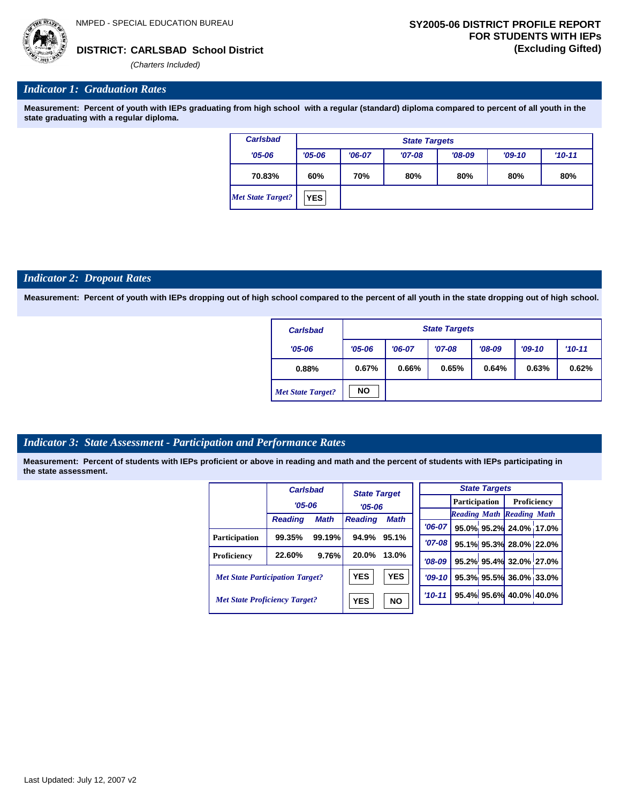*(Charters Included)*

## *Indicator 1: Graduation Rates*

**Measurement: Percent of youth with IEPs graduating from high school with a regular (standard) diploma compared to percent of all youth in the state graduating with a regular diploma.**

| <b>Carlsbad</b>          | <b>State Targets</b> |          |          |          |          |          |  |  |  |
|--------------------------|----------------------|----------|----------|----------|----------|----------|--|--|--|
| $'05 - 06$               | $'05 - 06$           | $'06-07$ | $'07-08$ | $'08-09$ | $'09-10$ | $'10-11$ |  |  |  |
| 70.83%                   | 60%                  | 70%      | 80%      | 80%      | 80%      | 80%      |  |  |  |
| <b>Met State Target?</b> | <b>YES</b>           |          |          |          |          |          |  |  |  |

## *Indicator 2: Dropout Rates*

**Measurement: Percent of youth with IEPs dropping out of high school compared to the percent of all youth in the state dropping out of high school.**

| <b>Carlsbad</b>          |            | <b>State Targets</b>                                       |       |       |       |       |  |  |  |
|--------------------------|------------|------------------------------------------------------------|-------|-------|-------|-------|--|--|--|
| $'05 - 06$               | $'05 - 06$ | $'07-08$<br>$'08-09$<br>$'09-10$<br>$'06-07$<br>$'10 - 11$ |       |       |       |       |  |  |  |
| 0.88%                    | 0.67%      | 0.66%                                                      | 0.65% | 0.64% | 0.63% | 0.62% |  |  |  |
| <b>Met State Target?</b> | <b>NO</b>  |                                                            |       |       |       |       |  |  |  |

## *Indicator 3: State Assessment - Participation and Performance Rates*

|                                        | <b>Carlsbad</b> |             | <b>State Target</b> |            |             |  | <b>State Targets</b>    |                                  |  |                      |  |             |  |
|----------------------------------------|-----------------|-------------|---------------------|------------|-------------|--|-------------------------|----------------------------------|--|----------------------|--|-------------|--|
|                                        | $'05 - 06$      |             |                     |            | $'05 - 06$  |  |                         |                                  |  | <b>Participation</b> |  | Proficiency |  |
|                                        |                 |             |                     |            |             |  |                         | <b>Reading Math Reading Math</b> |  |                      |  |             |  |
|                                        | <b>Reading</b>  | <b>Math</b> | <b>Reading</b>      | Math       | '06-07 l    |  |                         | 95.0% 95.2% 24.0% 17.0%          |  |                      |  |             |  |
| <b>Participation</b>                   | 99.35%          | 99.19%      | 94.9%               | 95.1%      |             |  |                         |                                  |  |                      |  |             |  |
|                                        |                 |             |                     |            | $'07-08$    |  |                         | 95.1% 95.3% 28.0% 22.0%          |  |                      |  |             |  |
| Proficiency                            | 22.60%          | 9.76%       | 20.0%               | 13.0%      | $'08-09$    |  |                         | 95.2% 95.4% 32.0% 27.0%          |  |                      |  |             |  |
| <b>Met State Participation Target?</b> |                 |             | <b>YES</b>          | <b>YES</b> | $'09 - 10'$ |  |                         | 95.3% 95.5% 36.0% 33.0%          |  |                      |  |             |  |
| <b>Met State Proficiency Target?</b>   |                 | <b>YES</b>  | <b>NO</b>           | $'10-11$   |             |  | 95.4% 95.6% 40.0% 40.0% |                                  |  |                      |  |             |  |
|                                        |                 |             |                     |            |             |  |                         |                                  |  |                      |  |             |  |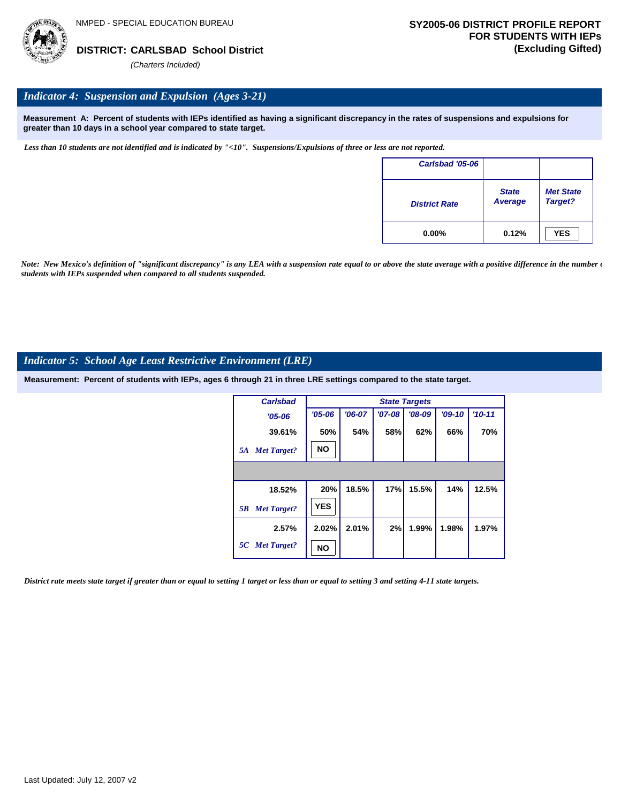

## *Indicator 4: Suspension and Expulsion (Ages 3-21)*

**Measurement A: Percent of students with IEPs identified as having a significant discrepancy in the rates of suspensions and expulsions for greater than 10 days in a school year compared to state target.**

*Less than 10 students are not identified and is indicated by "<10". Suspensions/Expulsions of three or less are not reported.*

| Carlsbad '05-06      |                         |                             |
|----------------------|-------------------------|-----------------------------|
| <b>District Rate</b> | <b>State</b><br>Average | <b>Met State</b><br>Target? |
| $0.00\%$             | 0.12%                   | <b>YES</b>                  |

*Note: New Mexico's definition of "significant discrepancy" is any LEA with a suspension rate equal to or above the state average with a positive difference in the number*  $\epsilon$ *students with IEPs suspended when compared to all students suspended.*

## *Indicator 5: School Age Least Restrictive Environment (LRE)*

**Measurement: Percent of students with IEPs, ages 6 through 21 in three LRE settings compared to the state target.**

| <b>Carlsbad</b>          |            |          |          | <b>State Targets</b> |          |          |
|--------------------------|------------|----------|----------|----------------------|----------|----------|
| $'05 - 06$               | $'05 - 06$ | $'06-07$ | $'07-08$ | $'08-09$             | $'09-10$ | $'10-11$ |
| 39.61%                   | 50%        | 54%      | 58%      | 62%                  | 66%      | 70%      |
| <b>Met Target?</b><br>5A | <b>NO</b>  |          |          |                      |          |          |
|                          |            |          |          |                      |          |          |
| 18.52%                   | 20%        | 18.5%    | 17%      | 15.5%                | 14%      | 12.5%    |
| <b>Met Target?</b><br>5B | <b>YES</b> |          |          |                      |          |          |
| 2.57%                    | 2.02%      | 2.01%    | 2%       | 1.99%                | 1.98%    | 1.97%    |
| 5C Met Target?           | NO         |          |          |                      |          |          |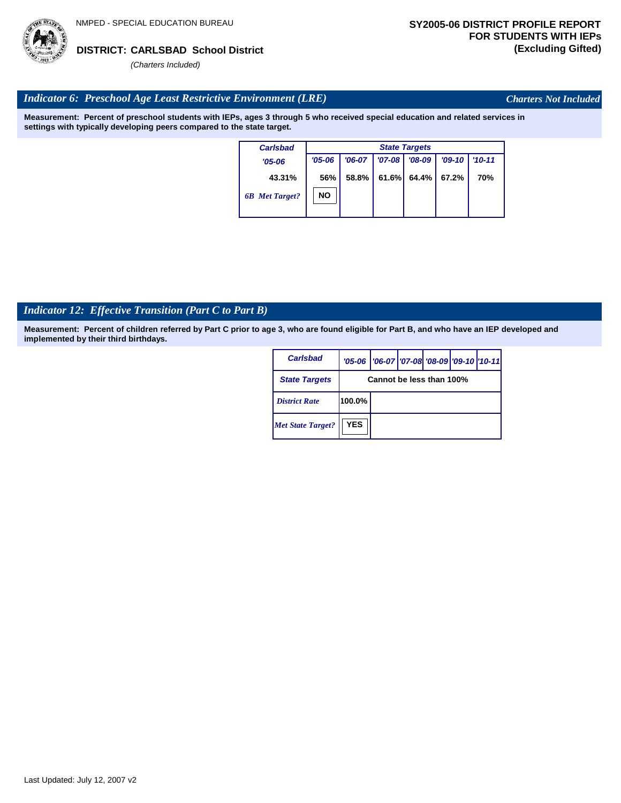

*Charters Not Included*

## *Indicator 6: Preschool Age Least Restrictive Environment (LRE)*

**Measurement: Percent of preschool students with IEPs, ages 3 through 5 who received special education and related services in settings with typically developing peers compared to the state target.**

| <b>Carlsbad</b>       | <b>State Targets</b> |          |          |          |          |            |  |  |
|-----------------------|----------------------|----------|----------|----------|----------|------------|--|--|
| $'05 - 06$            | $'05 - 06$           | $'06-07$ | $'07-08$ | $'08-09$ | $'09-10$ | $'10 - 11$ |  |  |
| 43.31%                | 56%                  | 58.8%    | 61.6%    | 64.4%    | 67.2%    | 70%        |  |  |
| <b>6B</b> Met Target? | <b>NO</b>            |          |          |          |          |            |  |  |

## *Indicator 12: Effective Transition (Part C to Part B)*

| Carlsbad                 |            | '05-06   '06-07   '07-08 '08-09   '09-10   '10-11 |  |  |  |  |  |  |
|--------------------------|------------|---------------------------------------------------|--|--|--|--|--|--|
| <b>State Targets</b>     |            | Cannot be less than 100%                          |  |  |  |  |  |  |
| <b>District Rate</b>     | 100.0%     |                                                   |  |  |  |  |  |  |
| <b>Met State Target?</b> | <b>YES</b> |                                                   |  |  |  |  |  |  |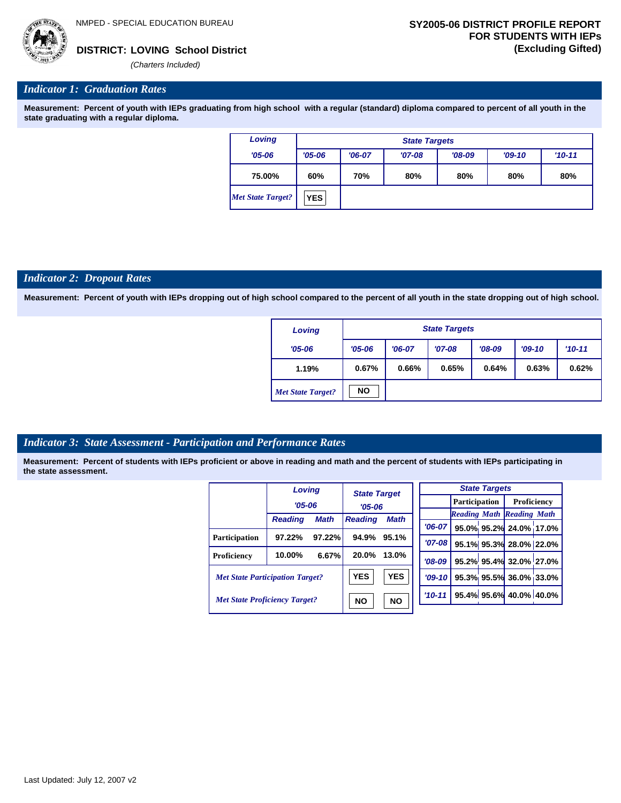

## *Indicator 1: Graduation Rates*

**Measurement: Percent of youth with IEPs graduating from high school with a regular (standard) diploma compared to percent of all youth in the state graduating with a regular diploma.**

| Loving                   | <b>State Targets</b> |                                                            |  |  |  |  |  |  |  |
|--------------------------|----------------------|------------------------------------------------------------|--|--|--|--|--|--|--|
| $'05 - 06$               | $'05 - 06$           | $'08-09$<br>$'06-07$<br>$'10 - 11$<br>$'07-08$<br>$'09-10$ |  |  |  |  |  |  |  |
| 75.00%                   | 60%                  | 80%<br>70%<br>80%<br>80%<br>80%                            |  |  |  |  |  |  |  |
| <b>Met State Target?</b> | <b>YES</b>           |                                                            |  |  |  |  |  |  |  |

### *Indicator 2: Dropout Rates*

**Measurement: Percent of youth with IEPs dropping out of high school compared to the percent of all youth in the state dropping out of high school.**

| Loving                   |            | <b>State Targets</b> |          |          |          |          |  |  |  |  |
|--------------------------|------------|----------------------|----------|----------|----------|----------|--|--|--|--|
| $'05 - 06$               | $'05 - 06$ | $'06-07$             | $'07-08$ | $'08-09$ | $'09-10$ | $'10-11$ |  |  |  |  |
| 1.19%                    | 0.67%      | 0.66%                | 0.65%    | 0.64%    | 0.63%    | 0.62%    |  |  |  |  |
| <b>Met State Target?</b> | <b>NO</b>  |                      |          |          |          |          |  |  |  |  |

## *Indicator 3: State Assessment - Participation and Performance Rates*

|                                        | Loving         |             |                | <b>State Target</b> |          |          |  | <b>State Targets</b>    |                                  |  |             |  |
|----------------------------------------|----------------|-------------|----------------|---------------------|----------|----------|--|-------------------------|----------------------------------|--|-------------|--|
|                                        | $'05 - 06$     |             | $'05 - 06$     |                     |          |          |  |                         | <b>Participation</b>             |  | Proficiency |  |
|                                        |                |             |                |                     |          |          |  |                         | <b>Reading Math Reading Math</b> |  |             |  |
|                                        | <b>Reading</b> | <b>Math</b> | <b>Reading</b> | <b>Math</b>         |          | $'06-07$ |  |                         | 95.0% 95.2% 24.0% 17.0%          |  |             |  |
| <b>Participation</b>                   | 97.22%         | 97.22%      | 94.9%          | 95.1%               |          | '07-08 l |  |                         | 95.1% 95.3% 28.0% 22.0%          |  |             |  |
| Proficiency                            | 10.00%         | 6.67%       | 20.0%          | 13.0%               |          | $'08-09$ |  |                         | 95.2% 95.4% 32.0% 27.0%          |  |             |  |
| <b>Met State Participation Target?</b> |                | <b>YES</b>  | <b>YES</b>     |                     | $'09-10$ |          |  | 95.3% 95.5% 36.0% 33.0% |                                  |  |             |  |
| <b>Met State Proficiency Target?</b>   |                | <b>NO</b>   | <b>NO</b>      |                     | $'10-11$ |          |  | 95.4% 95.6% 40.0% 40.0% |                                  |  |             |  |
|                                        |                |             |                |                     |          |          |  |                         |                                  |  |             |  |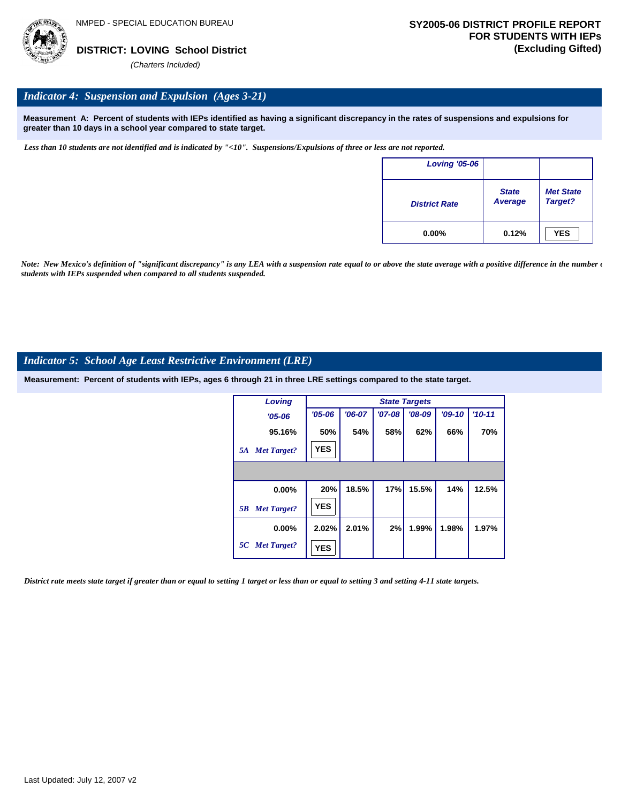

## *Indicator 4: Suspension and Expulsion (Ages 3-21)*

**Measurement A: Percent of students with IEPs identified as having a significant discrepancy in the rates of suspensions and expulsions for greater than 10 days in a school year compared to state target.**

*Less than 10 students are not identified and is indicated by "<10". Suspensions/Expulsions of three or less are not reported.*

| <b>Loving '05-06</b> |                         |                             |
|----------------------|-------------------------|-----------------------------|
| <b>District Rate</b> | <b>State</b><br>Average | <b>Met State</b><br>Target? |
| $0.00\%$             | 0.12%                   | <b>YES</b>                  |

*Note: New Mexico's definition of "significant discrepancy" is any LEA with a suspension rate equal to or above the state average with a positive difference in the number*  $\epsilon$ *students with IEPs suspended when compared to all students suspended.*

## *Indicator 5: School Age Least Restrictive Environment (LRE)*

**Measurement: Percent of students with IEPs, ages 6 through 21 in three LRE settings compared to the state target.**

| Loving                   |            | <b>State Targets</b> |          |          |          |          |  |  |  |  |
|--------------------------|------------|----------------------|----------|----------|----------|----------|--|--|--|--|
| $'05 - 06$               | $'05 - 06$ | $'06-07$             | $'07-08$ | $'08-09$ | $'09-10$ | $'10-11$ |  |  |  |  |
| 95.16%                   | 50%        | 54%                  | 58%      | 62%      | 66%      | 70%      |  |  |  |  |
| <b>Met Target?</b><br>5A | <b>YES</b> |                      |          |          |          |          |  |  |  |  |
|                          |            |                      |          |          |          |          |  |  |  |  |
| 0.00%                    | 20%        | 18.5%                | 17%      | 15.5%    | 14%      | 12.5%    |  |  |  |  |
| <b>Met Target?</b><br>5B | <b>YES</b> |                      |          |          |          |          |  |  |  |  |
| $0.00\%$                 | 2.02%      | 2.01%                | 2%       | 1.99%    | 1.98%    | 1.97%    |  |  |  |  |
| 5C Met Target?           | <b>YES</b> |                      |          |          |          |          |  |  |  |  |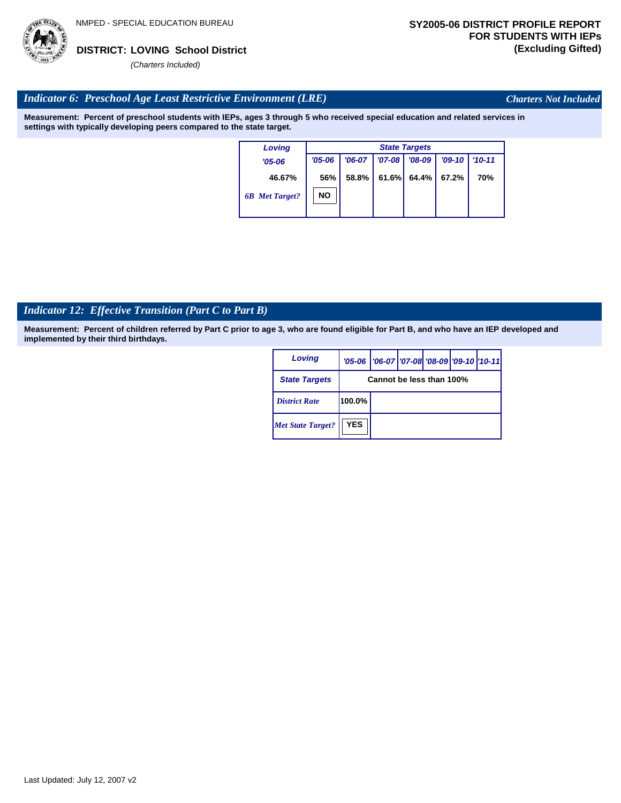

*Charters Not Included*

## *Indicator 6: Preschool Age Least Restrictive Environment (LRE)*

**Measurement: Percent of preschool students with IEPs, ages 3 through 5 who received special education and related services in settings with typically developing peers compared to the state target.**

| Loving                |            | <b>State Targets</b> |            |          |          |            |  |  |  |  |
|-----------------------|------------|----------------------|------------|----------|----------|------------|--|--|--|--|
| $'05 - 06$            | $'05 - 06$ | $'06-07$             | $'07 - 08$ | $'08-09$ | $'09-10$ | $'10 - 11$ |  |  |  |  |
| 46.67%                | 56%        | 58.8%                | 61.6%      | 64.4%    | 67.2%    | 70%        |  |  |  |  |
| <b>6B</b> Met Target? | NO         |                      |            |          |          |            |  |  |  |  |

## *Indicator 12: Effective Transition (Part C to Part B)*

| Loving                   |                          | '05-06   '06-07   '07-08 '08-09   '09-10   '10-11 |  |  |  |  |  |  |
|--------------------------|--------------------------|---------------------------------------------------|--|--|--|--|--|--|
| <b>State Targets</b>     | Cannot be less than 100% |                                                   |  |  |  |  |  |  |
| <b>District Rate</b>     | 100.0%                   |                                                   |  |  |  |  |  |  |
| <b>Met State Target?</b> | <b>YES</b>               |                                                   |  |  |  |  |  |  |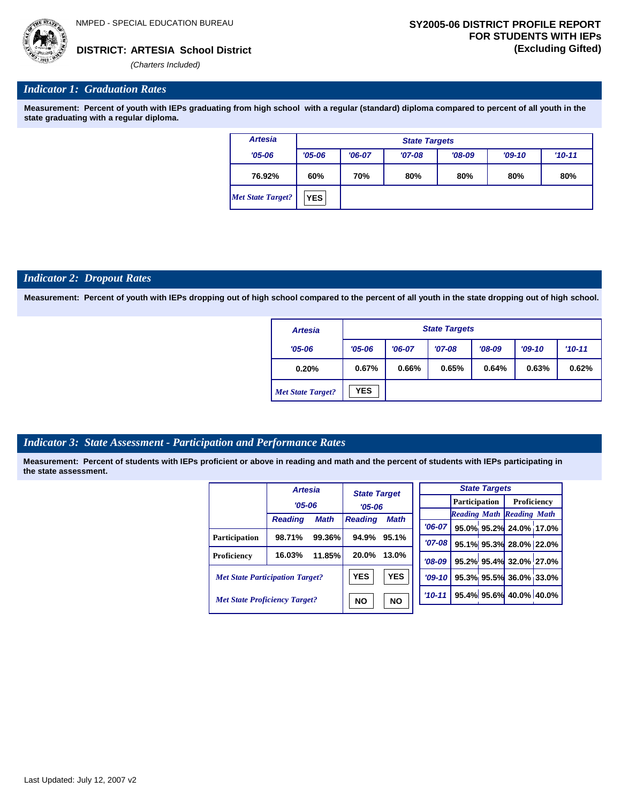## *Indicator 1: Graduation Rates*

**Measurement: Percent of youth with IEPs graduating from high school with a regular (standard) diploma compared to percent of all youth in the state graduating with a regular diploma.**

| <b>Artesia</b>    |            | <b>State Targets</b> |          |          |          |          |  |  |  |  |
|-------------------|------------|----------------------|----------|----------|----------|----------|--|--|--|--|
| $'05 - 06$        | $'05 - 06$ | $'06-07$             | $'07-08$ | $'08-09$ | $'09-10$ | $'10-11$ |  |  |  |  |
| 76.92%            | 60%        | 70%                  | 80%      | 80%      | 80%      | 80%      |  |  |  |  |
| Met State Target? | <b>YES</b> |                      |          |          |          |          |  |  |  |  |

### *Indicator 2: Dropout Rates*

**Measurement: Percent of youth with IEPs dropping out of high school compared to the percent of all youth in the state dropping out of high school.**

| <b>Artesia</b>           |            | <b>State Targets</b> |          |          |          |          |  |  |  |  |
|--------------------------|------------|----------------------|----------|----------|----------|----------|--|--|--|--|
| $'05 - 06$               | $'05 - 06$ | $'06-07$             | $'07-08$ | $'08-09$ | $'09-10$ | $'10-11$ |  |  |  |  |
| 0.20%                    | 0.67%      | 0.66%                | 0.65%    | 0.64%    | 0.63%    | 0.62%    |  |  |  |  |
| <b>Met State Target?</b> | <b>YES</b> |                      |          |          |          |          |  |  |  |  |

## *Indicator 3: State Assessment - Participation and Performance Rates*

|                                        | <b>Artesia</b> |             | <b>State Target</b> |             |                      |  | <b>State Targets</b>    |                                  |  |
|----------------------------------------|----------------|-------------|---------------------|-------------|----------------------|--|-------------------------|----------------------------------|--|
|                                        | $'05 - 06$     |             |                     |             | <b>Participation</b> |  |                         | Proficiency                      |  |
|                                        |                |             | $'05 - 06$          |             |                      |  |                         | <b>Reading Math Reading Math</b> |  |
|                                        | <b>Reading</b> | <b>Math</b> | <b>Reading</b>      | <b>Math</b> | $'06-07$             |  |                         | 95.0% 95.2% 24.0% 17.0%          |  |
|                                        | 98.71%         | 99.36%      | 94.9%               | 95.1%       |                      |  |                         |                                  |  |
| <b>Participation</b>                   |                |             |                     |             | '07-08 l             |  |                         | 95.1% 95.3% 28.0% 22.0%          |  |
| Proficiency                            | 16.03%         | 11.85%      | 20.0%               | 13.0%       | $'08-09$             |  |                         | 95.2% 95.4% 32.0% 27.0%          |  |
| <b>Met State Participation Target?</b> |                | <b>YES</b>  | <b>YES</b>          | $'09-10$    |                      |  | 95.3% 95.5% 36.0% 33.0% |                                  |  |
| <b>Met State Proficiency Target?</b>   |                |             | <b>NO</b>           | <b>NO</b>   | $'10 - 11$           |  |                         | 95.4% 95.6% 40.0% 40.0%          |  |
|                                        |                |             |                     |             |                      |  |                         |                                  |  |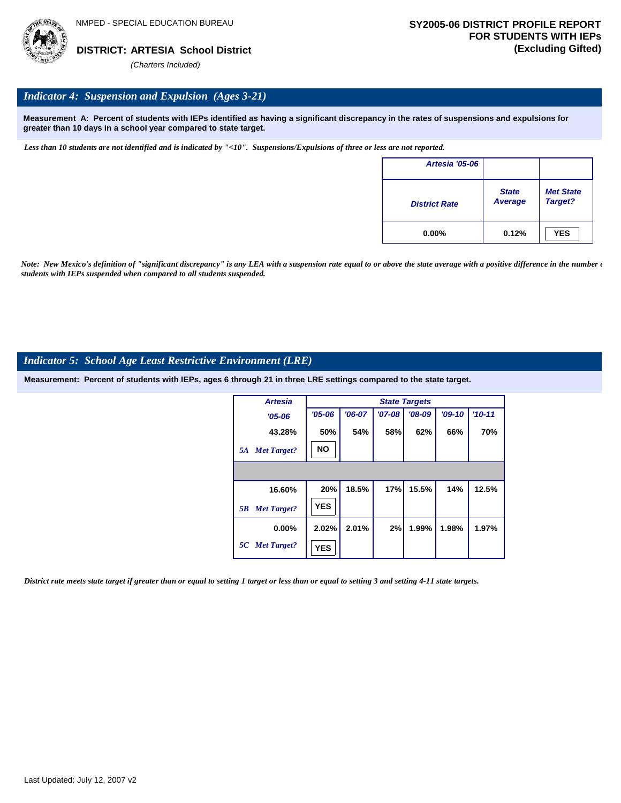

## *Indicator 4: Suspension and Expulsion (Ages 3-21)*

**Measurement A: Percent of students with IEPs identified as having a significant discrepancy in the rates of suspensions and expulsions for greater than 10 days in a school year compared to state target.**

*Less than 10 students are not identified and is indicated by "<10". Suspensions/Expulsions of three or less are not reported.*

| <b>Artesia '05-06</b> |                         |                             |
|-----------------------|-------------------------|-----------------------------|
| <b>District Rate</b>  | <b>State</b><br>Average | <b>Met State</b><br>Target? |
| $0.00\%$              | 0.12%                   | <b>YES</b>                  |

*Note: New Mexico's definition of "significant discrepancy" is any LEA with a suspension rate equal to or above the state average with a positive difference in the number*  $\epsilon$ *students with IEPs suspended when compared to all students suspended.*

## *Indicator 5: School Age Least Restrictive Environment (LRE)*

**Measurement: Percent of students with IEPs, ages 6 through 21 in three LRE settings compared to the state target.**

| <b>Artesia</b>           |            | <b>State Targets</b> |          |          |          |          |  |  |  |  |
|--------------------------|------------|----------------------|----------|----------|----------|----------|--|--|--|--|
| $'05 - 06$               | $'05 - 06$ | $'06-07$             | $'07-08$ | $'08-09$ | $'09-10$ | $'10-11$ |  |  |  |  |
| 43.28%                   | 50%        | 54%                  | 58%      | 62%      | 66%      | 70%      |  |  |  |  |
| <b>Met Target?</b><br>5A | <b>NO</b>  |                      |          |          |          |          |  |  |  |  |
|                          |            |                      |          |          |          |          |  |  |  |  |
| 16.60%                   | 20%        | 18.5%                | 17%      | 15.5%    | 14%      | 12.5%    |  |  |  |  |
| <b>Met Target?</b><br>5B | <b>YES</b> |                      |          |          |          |          |  |  |  |  |
| $0.00\%$                 | 2.02%      | 2.01%                | 2%       | 1.99%    | 1.98%    | 1.97%    |  |  |  |  |
| 5C Met Target?           | <b>YES</b> |                      |          |          |          |          |  |  |  |  |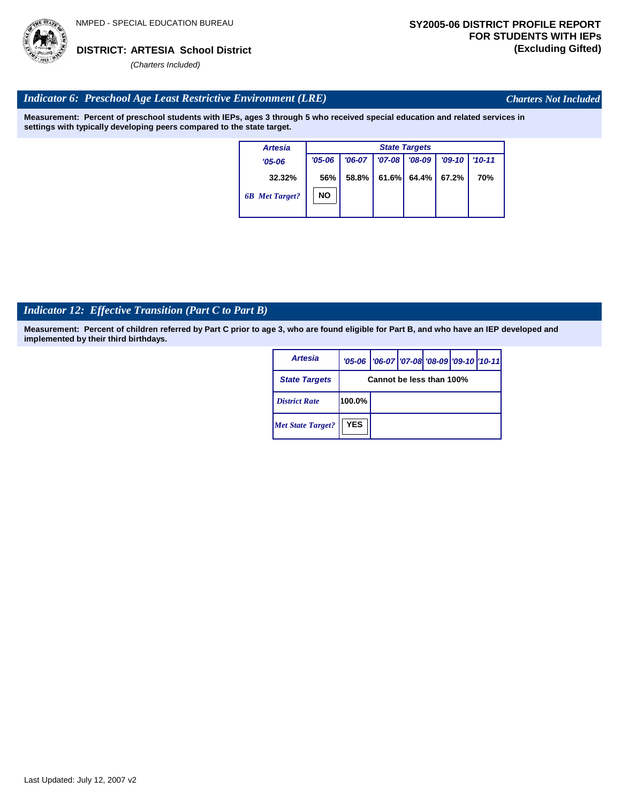

*Charters Not Included*

## *Indicator 6: Preschool Age Least Restrictive Environment (LRE)*

**Measurement: Percent of preschool students with IEPs, ages 3 through 5 who received special education and related services in settings with typically developing peers compared to the state target.**

| <b>Artesia</b>        |            | <b>State Targets</b> |            |          |          |            |  |  |  |  |
|-----------------------|------------|----------------------|------------|----------|----------|------------|--|--|--|--|
| $'05 - 06$            | $'05 - 06$ | $'06-07$             | $'07 - 08$ | $'08-09$ | $'09-10$ | $'10 - 11$ |  |  |  |  |
| 32.32%                | 56%        | 58.8%                | 61.6%      | 64.4%    | 67.2%    | 70%        |  |  |  |  |
| <b>6B</b> Met Target? | <b>NO</b>  |                      |            |          |          |            |  |  |  |  |

## *Indicator 12: Effective Transition (Part C to Part B)*

| <b>Artesia</b>           |                          | '05-06   '06-07   '07-08 '08-09   '09-10   '10-11 |  |  |  |  |  |  |
|--------------------------|--------------------------|---------------------------------------------------|--|--|--|--|--|--|
| <b>State Targets</b>     | Cannot be less than 100% |                                                   |  |  |  |  |  |  |
| <b>District Rate</b>     | 100.0%                   |                                                   |  |  |  |  |  |  |
| <b>Met State Target?</b> | <b>YES</b>               |                                                   |  |  |  |  |  |  |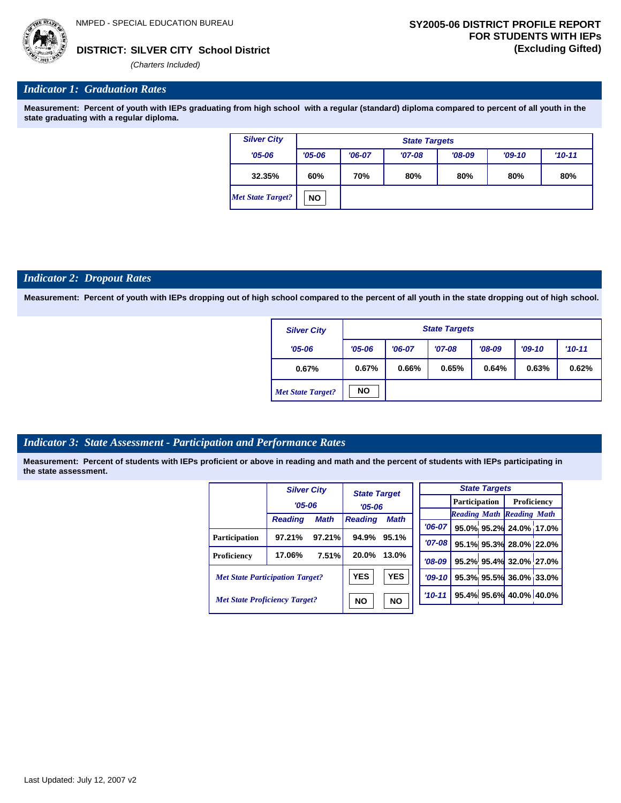

**SILVER CITY School District DISTRICT: (Excluding Gifted)**

*(Charters Included)*

## *Indicator 1: Graduation Rates*

**Measurement: Percent of youth with IEPs graduating from high school with a regular (standard) diploma compared to percent of all youth in the state graduating with a regular diploma.**

| <b>Silver City</b> |            | <b>State Targets</b> |          |          |          |          |  |  |  |
|--------------------|------------|----------------------|----------|----------|----------|----------|--|--|--|
| $'05 - 06$         | $'05 - 06$ | $'06-07$             | $'07-08$ | $'08-09$ | $'09-10$ | $'10-11$ |  |  |  |
| 32.35%             | 60%        | 70%                  | 80%      | 80%      | 80%      | 80%      |  |  |  |
| Met State Target?  | <b>NO</b>  |                      |          |          |          |          |  |  |  |

## *Indicator 2: Dropout Rates*

**Measurement: Percent of youth with IEPs dropping out of high school compared to the percent of all youth in the state dropping out of high school.**

| <b>Silver City</b>       | <b>State Targets</b> |          |          |          |          |          |  |  |
|--------------------------|----------------------|----------|----------|----------|----------|----------|--|--|
| $'05 - 06$               | $'05 - 06$           | $'06-07$ | $'07-08$ | $'08-09$ | $'09-10$ | $'10-11$ |  |  |
| 0.67%                    | 0.67%                | 0.66%    | 0.65%    | 0.64%    | 0.63%    | 0.62%    |  |  |
| <b>Met State Target?</b> | <b>NO</b>            |          |          |          |          |          |  |  |

## *Indicator 3: State Assessment - Participation and Performance Rates*

|                                        | <b>Silver City</b> |                        | <b>State Target</b><br>$'05 - 06$ |             |          |  | <b>State Targets</b>    |                                  |  |                    |  |
|----------------------------------------|--------------------|------------------------|-----------------------------------|-------------|----------|--|-------------------------|----------------------------------|--|--------------------|--|
|                                        | $'05 - 06$         |                        |                                   |             |          |  |                         | <b>Participation</b>             |  | <b>Proficiency</b> |  |
|                                        |                    |                        |                                   |             |          |  |                         | <b>Reading Math Reading Math</b> |  |                    |  |
|                                        | <b>Reading</b>     | <b>Math</b>            | <b>Reading</b>                    | <b>Math</b> | $'06-07$ |  |                         | 95.0% 95.2% 24.0% 17.0%          |  |                    |  |
| <b>Participation</b>                   | 97.21%             | 97.21%                 | 94.9%                             | 95.1%       | $'07-08$ |  |                         | 95.1% 95.3% 28.0% 22.0%          |  |                    |  |
| Proficiency                            | 17.06%             | 7.51%                  | 20.0%                             | 13.0%       | $'08-09$ |  |                         | 95.2% 95.4% 32.0% 27.0%          |  |                    |  |
| <b>Met State Participation Target?</b> |                    | <b>YES</b>             | <b>YES</b>                        | $'09-10$    |          |  | 95.3% 95.5% 36.0% 33.0% |                                  |  |                    |  |
| <b>Met State Proficiency Target?</b>   |                    | <b>NO</b><br><b>NO</b> |                                   | $'10-11$    |          |  | 95.4% 95.6% 40.0% 40.0% |                                  |  |                    |  |
|                                        |                    |                        |                                   |             |          |  |                         |                                  |  |                    |  |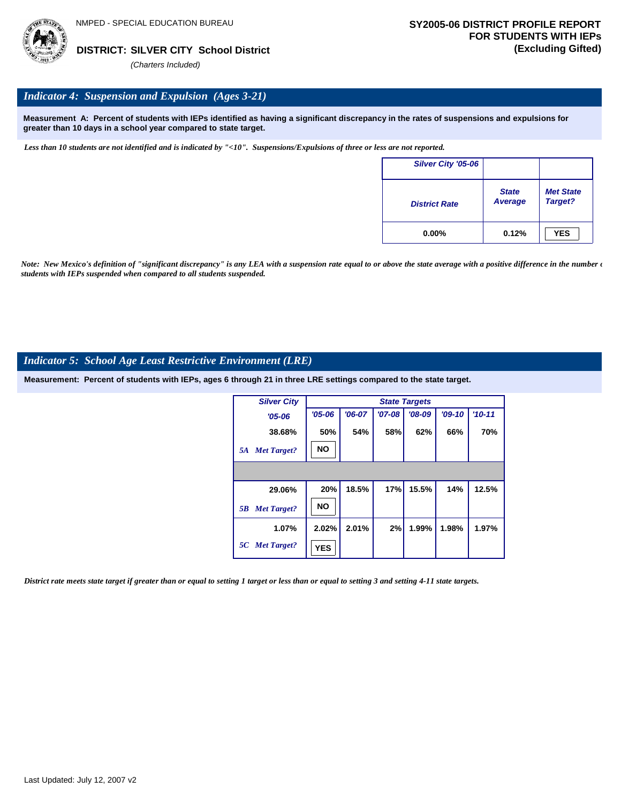

## *Indicator 4: Suspension and Expulsion (Ages 3-21)*

**Measurement A: Percent of students with IEPs identified as having a significant discrepancy in the rates of suspensions and expulsions for greater than 10 days in a school year compared to state target.**

*Less than 10 students are not identified and is indicated by "<10". Suspensions/Expulsions of three or less are not reported.*

| Silver City '05-06   |                                |                             |
|----------------------|--------------------------------|-----------------------------|
| <b>District Rate</b> | <b>State</b><br><b>Average</b> | <b>Met State</b><br>Target? |
| $0.00\%$             | 0.12%                          | <b>YES</b>                  |

*Note: New Mexico's definition of "significant discrepancy" is any LEA with a suspension rate equal to or above the state average with a positive difference in the number*  $\epsilon$ *students with IEPs suspended when compared to all students suspended.*

## *Indicator 5: School Age Least Restrictive Environment (LRE)*

**Measurement: Percent of students with IEPs, ages 6 through 21 in three LRE settings compared to the state target.**

| <b>Silver City</b>       |            |          |          | <b>State Targets</b> |          |            |
|--------------------------|------------|----------|----------|----------------------|----------|------------|
| $'05 - 06$               | $'05 - 06$ | $'06-07$ | $'07-08$ | $'08-09$             | $'09-10$ | $'10 - 11$ |
| 38.68%                   | 50%        | 54%      | 58%      | 62%                  | 66%      | 70%        |
| <b>Met Target?</b><br>5A | <b>NO</b>  |          |          |                      |          |            |
|                          |            |          |          |                      |          |            |
| 29.06%                   | 20%        | 18.5%    | 17%      | 15.5%                | 14%      | 12.5%      |
| <b>Met Target?</b><br>5B | <b>NO</b>  |          |          |                      |          |            |
| 1.07%                    | 2.02%      | 2.01%    | 2%       | 1.99%                | 1.98%    | 1.97%      |
| 5C Met Target?           | <b>YES</b> |          |          |                      |          |            |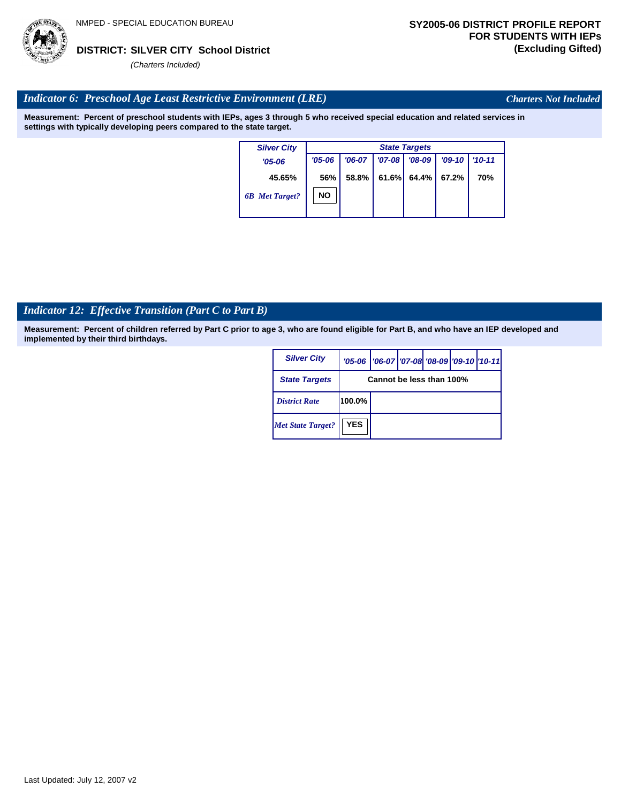

*Charters Not Included*

## *Indicator 6: Preschool Age Least Restrictive Environment (LRE)*

**Measurement: Percent of preschool students with IEPs, ages 3 through 5 who received special education and related services in settings with typically developing peers compared to the state target.**

| <b>Silver City</b>    |            | <b>State Targets</b> |            |          |          |            |  |  |  |
|-----------------------|------------|----------------------|------------|----------|----------|------------|--|--|--|
| $'05 - 06$            | $'05 - 06$ | $'06-07$             | $'07 - 08$ | $'08-09$ | $'09-10$ | $'10 - 11$ |  |  |  |
| 45.65%                | 56%        | 58.8%                | 61.6%      | 64.4%    | 67.2%    | 70%        |  |  |  |
| <b>6B</b> Met Target? | <b>NO</b>  |                      |            |          |          |            |  |  |  |
|                       |            |                      |            |          |          |            |  |  |  |

## *Indicator 12: Effective Transition (Part C to Part B)*

| <b>Silver City</b>       |                          | '05-06   '06-07   '07-08 '08-09   '09-10   '10-11 |  |  |  |  |  |
|--------------------------|--------------------------|---------------------------------------------------|--|--|--|--|--|
| <b>State Targets</b>     | Cannot be less than 100% |                                                   |  |  |  |  |  |
| <b>District Rate</b>     | 100.0%                   |                                                   |  |  |  |  |  |
| <b>Met State Target?</b> | <b>YES</b>               |                                                   |  |  |  |  |  |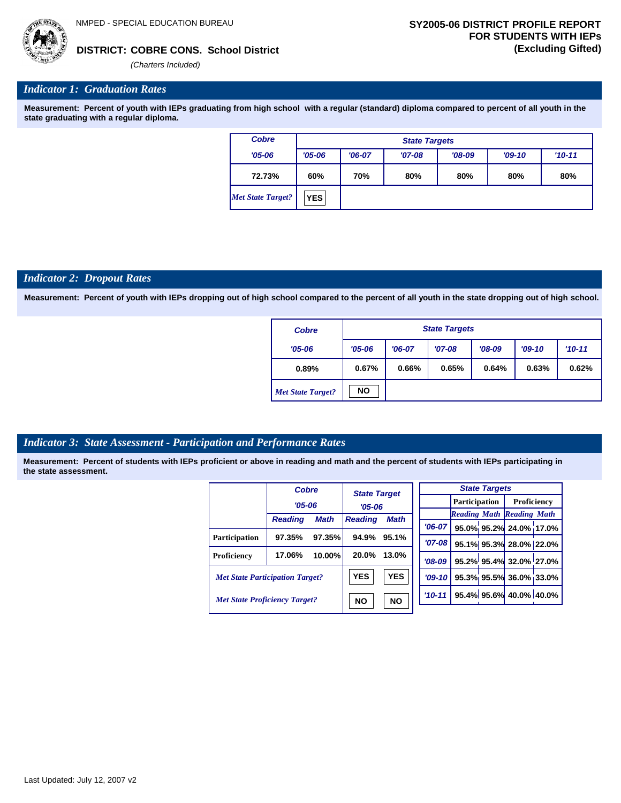

## **COBRE CONS. School District DISTRICT: (Excluding Gifted)**

*(Charters Included)*

## *Indicator 1: Graduation Rates*

**Measurement: Percent of youth with IEPs graduating from high school with a regular (standard) diploma compared to percent of all youth in the state graduating with a regular diploma.**

| <b>Cobre</b>             | <b>State Targets</b> |          |          |          |          |          |  |  |
|--------------------------|----------------------|----------|----------|----------|----------|----------|--|--|
| $'05 - 06$               | $'05 - 06$           | $'06-07$ | $'07-08$ | $'08-09$ | $'09-10$ | $'10-11$ |  |  |
| 72.73%                   | 60%                  | 70%      | 80%      | 80%      | 80%      | 80%      |  |  |
| <b>Met State Target?</b> | <b>YES</b>           |          |          |          |          |          |  |  |

### *Indicator 2: Dropout Rates*

**Measurement: Percent of youth with IEPs dropping out of high school compared to the percent of all youth in the state dropping out of high school.**

| <b>Cobre</b>             |            | <b>State Targets</b> |          |          |          |          |  |  |  |
|--------------------------|------------|----------------------|----------|----------|----------|----------|--|--|--|
| $'05 - 06$               | $'05 - 06$ | $'06-07$             | $'07-08$ | $'08-09$ | $'09-10$ | $'10-11$ |  |  |  |
| 0.89%                    | 0.67%      | 0.66%                | 0.65%    | 0.64%    | 0.63%    | 0.62%    |  |  |  |
| <b>Met State Target?</b> | <b>NO</b>  |                      |          |          |          |          |  |  |  |

## *Indicator 3: State Assessment - Participation and Performance Rates*

|                                        | <b>Cobre</b>   |             | <b>State Target</b>                         |           |          |                                  | <b>State Targets</b>   |                        |  |             |  |
|----------------------------------------|----------------|-------------|---------------------------------------------|-----------|----------|----------------------------------|------------------------|------------------------|--|-------------|--|
|                                        | $'05 - 06$     |             | $'05 - 06$<br><b>Math</b><br><b>Reading</b> |           |          |                                  |                        | <b>Participation</b>   |  | Proficiency |  |
|                                        |                |             |                                             |           |          | <b>Reading Math Reading Math</b> |                        |                        |  |             |  |
|                                        | <b>Reading</b> | <b>Math</b> |                                             |           | $'06-07$ |                                  |                        | 95.0% 95.2% 24.0% 17.0 |  |             |  |
| Participation                          | 97.35%         | 97.35%      | 94.9%                                       | 95.1%     | $'07-08$ |                                  |                        |                        |  |             |  |
|                                        |                |             |                                             |           |          |                                  |                        | 95.1% 95.3% 28.0% 22.0 |  |             |  |
| Proficiency                            | 17.06%         | 10.00%      | 20.0%                                       | 13.0%     | $'08-09$ |                                  |                        | 95.2% 95.4% 32.0% 27.0 |  |             |  |
| <b>Met State Participation Target?</b> |                | <b>YES</b>  | <b>YES</b>                                  | $'09-10'$ |          |                                  | 95.3% 95.5% 36.0% 33.0 |                        |  |             |  |
| <b>Met State Proficiency Target?</b>   |                | <b>NO</b>   | <b>NO</b>                                   | $'10-11$  |          |                                  | 95.4% 95.6% 40.0% 40.0 |                        |  |             |  |
|                                        |                |             |                                             |           |          |                                  |                        |                        |  |             |  |

|           | <b>State Targets</b> |  |                                   |  |  |  |  |  |  |  |
|-----------|----------------------|--|-----------------------------------|--|--|--|--|--|--|--|
|           |                      |  | <b>Participation</b> Proficiency  |  |  |  |  |  |  |  |
|           |                      |  | <b>Reading Math Reading Math</b>  |  |  |  |  |  |  |  |
| $'06-07$  |                      |  | 95.0% 95.2% 24.0% 17.0%           |  |  |  |  |  |  |  |
| $'07-08$  |                      |  | 95.1% 95.3% 28.0% 22.0%           |  |  |  |  |  |  |  |
| $'08-09$  |                      |  | 95.2% 95.4% 32.0% 27.0%           |  |  |  |  |  |  |  |
|           |                      |  | $ 09-10 $ 95.3% 95.5% 36.0% 33.0% |  |  |  |  |  |  |  |
| $10 - 11$ |                      |  | 95.4% 95.6% 40.0% 40.0%           |  |  |  |  |  |  |  |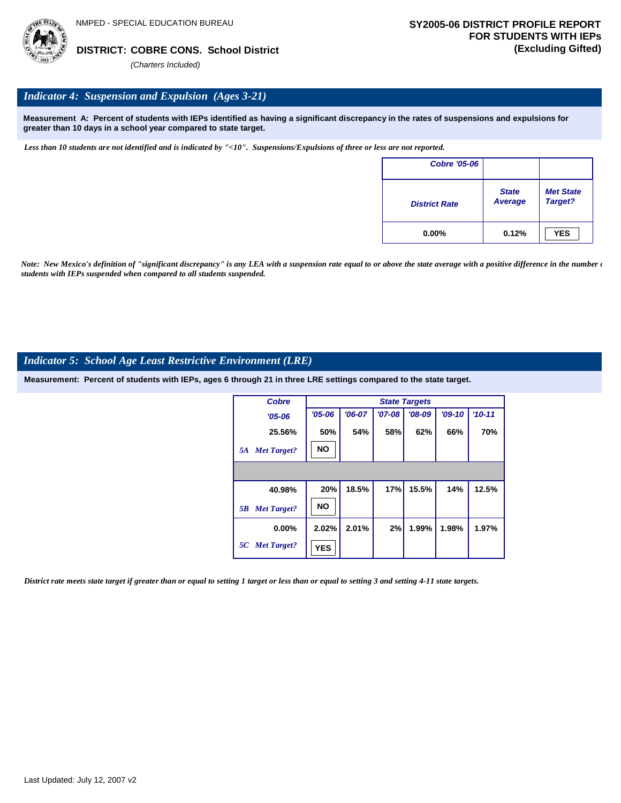## *Indicator 4: Suspension and Expulsion (Ages 3-21)*

**Measurement A: Percent of students with IEPs identified as having a significant discrepancy in the rates of suspensions and expulsions for greater than 10 days in a school year compared to state target.**

*Less than 10 students are not identified and is indicated by "<10". Suspensions/Expulsions of three or less are not reported.*

| Cobre '05-06         |                         |                             |
|----------------------|-------------------------|-----------------------------|
| <b>District Rate</b> | <b>State</b><br>Average | <b>Met State</b><br>Target? |
| $0.00\%$             | 0.12%                   | <b>YES</b>                  |

*Note: New Mexico's definition of "significant discrepancy" is any LEA with a suspension rate equal to or above the state average with a positive difference in the number*  $\epsilon$ *students with IEPs suspended when compared to all students suspended.*

## *Indicator 5: School Age Least Restrictive Environment (LRE)*

**Measurement: Percent of students with IEPs, ages 6 through 21 in three LRE settings compared to the state target.**

| <b>Cobre</b>             | <b>State Targets</b> |          |          |          |          |            |  |
|--------------------------|----------------------|----------|----------|----------|----------|------------|--|
| $'05 - 06$               | $'05 - 06$           | $'06-07$ | $'07-08$ | $'08-09$ | $'09-10$ | $'10 - 11$ |  |
| 25.56%                   | 50%                  | 54%      | 58%      | 62%      | 66%      | 70%        |  |
| <b>Met Target?</b><br>5A | <b>NO</b>            |          |          |          |          |            |  |
|                          |                      |          |          |          |          |            |  |
| 40.98%                   | 20%                  | 18.5%    | 17%      | 15.5%    | 14%      | 12.5%      |  |
| <b>Met Target?</b><br>5B | <b>NO</b>            |          |          |          |          |            |  |
| $0.00\%$                 | 2.02%                | 2.01%    | 2%       | 1.99%    | 1.98%    | 1.97%      |  |
| 5C Met Target?           | <b>YES</b>           |          |          |          |          |            |  |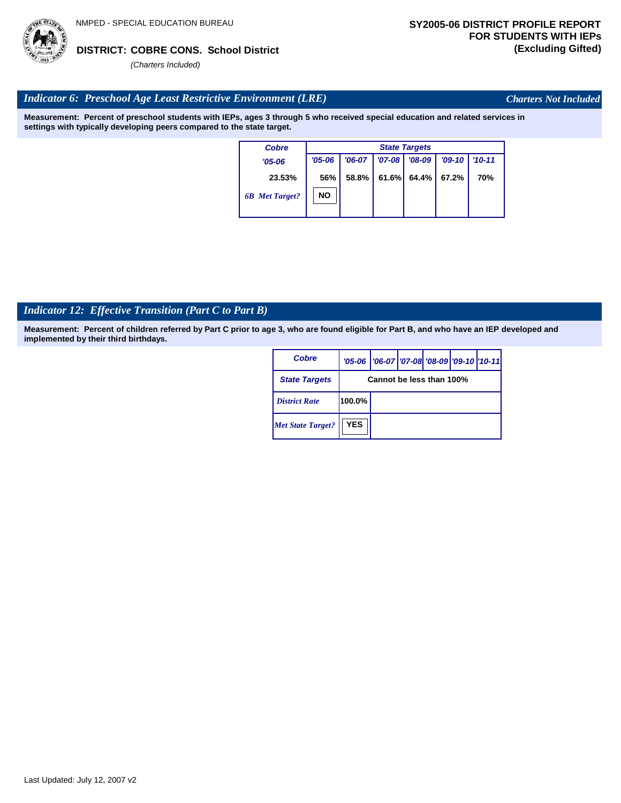# Last Updated: July 12, 2007 v2

## **COBRE CONS. School District DISTRICT: (Excluding Gifted)**

*(Charters Included)*

## *Indicator 6: Preschool Age Least Restrictive Environment (LRE)*

**Measurement: Percent of preschool students with IEPs, ages 3 through 5 who received special education and related services in settings with typically developing peers compared to the state target.**

| <b>Cobre</b>          | <b>State Targets</b> |          |            |             |          |            |  |
|-----------------------|----------------------|----------|------------|-------------|----------|------------|--|
| $'05 - 06$            | $'05 - 06$           | $'06-07$ | $'07 - 08$ | $'08-09$    | $'09-10$ | $'10 - 11$ |  |
| 23.53%                | 56%                  | 58.8%    | 61.6%      | 64.4% 67.2% |          | 70%        |  |
| <b>6B</b> Met Target? | <b>NO</b>            |          |            |             |          |            |  |

## *Indicator 12: Effective Transition (Part C to Part B)*

**Measurement: Percent of children referred by Part C prior to age 3, who are found eligible for Part B, and who have an IEP developed and implemented by their third birthdays.**

| Cobre                    |                          | '05-06   '06-07   '07-08 '08-09   '09-10   '10-11 |  |  |  |  |
|--------------------------|--------------------------|---------------------------------------------------|--|--|--|--|
| <b>State Targets</b>     | Cannot be less than 100% |                                                   |  |  |  |  |
| <b>District Rate</b>     | 100.0%                   |                                                   |  |  |  |  |
| <b>Met State Target?</b> | <b>YES</b>               |                                                   |  |  |  |  |



*Charters Not Included*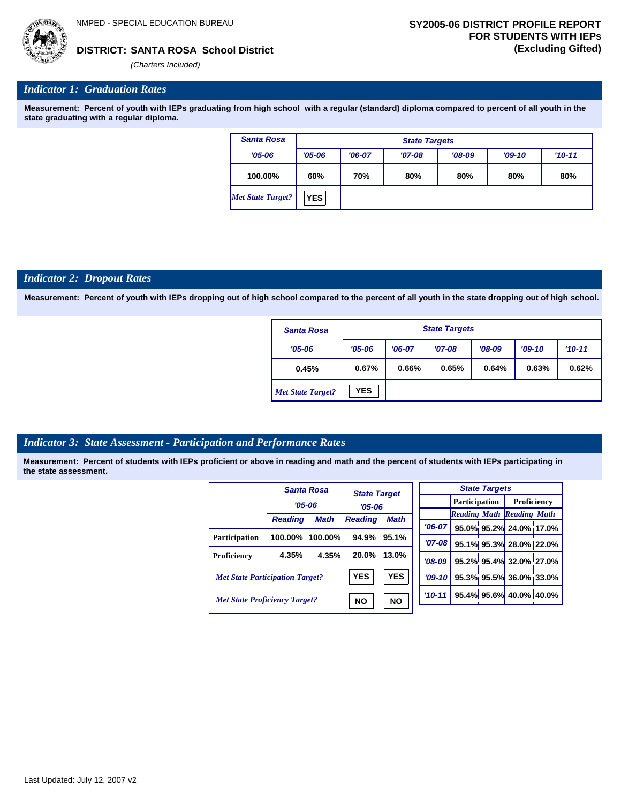

#### *Indicator 1: Graduation Rates*

**Measurement: Percent of youth with IEPs graduating from high school with a regular (standard) diploma compared to percent of all youth in the state graduating with a regular diploma.**

| <b>Santa Rosa</b>        |            | <b>State Targets</b>            |          |          |  |  |  |  |  |
|--------------------------|------------|---------------------------------|----------|----------|--|--|--|--|--|
| $'05 - 06$               | $'05 - 06$ | $'06-07$                        | $'09-10$ | $'10-11$ |  |  |  |  |  |
| 100.00%                  | 60%        | 80%<br>70%<br>80%<br>80%<br>80% |          |          |  |  |  |  |  |
| <b>Met State Target?</b> | <b>YES</b> |                                 |          |          |  |  |  |  |  |

#### *Indicator 2: Dropout Rates*

**Measurement: Percent of youth with IEPs dropping out of high school compared to the percent of all youth in the state dropping out of high school.**

| <b>Santa Rosa</b>        |            | <b>State Targets</b> |          |          |          |            |  |  |  |
|--------------------------|------------|----------------------|----------|----------|----------|------------|--|--|--|
| $'05 - 06$               | $'05 - 06$ | $'06-07$             | $'07-08$ | $'08-09$ | $'09-10$ | $'10 - 11$ |  |  |  |
| 0.45%                    | 0.67%      | 0.66%                | 0.65%    | 0.64%    | 0.63%    | 0.62%      |  |  |  |
| <b>Met State Target?</b> | <b>YES</b> |                      |          |          |          |            |  |  |  |

#### *Indicator 3: State Assessment - Participation and Performance Rates*

|                                        |                | <b>Santa Rosa</b> | <b>State Target</b> |             |           |                      |  | <b>State Targets</b> |                                  |  |
|----------------------------------------|----------------|-------------------|---------------------|-------------|-----------|----------------------|--|----------------------|----------------------------------|--|
|                                        |                | $'05 - 06$        |                     | $'05 - 06$  |           | <b>Participation</b> |  |                      | Proficiency                      |  |
|                                        | <b>Reading</b> | <b>Math</b>       | <b>Reading</b>      | <b>Math</b> |           |                      |  |                      | <b>Reading Math Reading Math</b> |  |
|                                        |                |                   |                     |             | $'06-07$  |                      |  |                      | 95.0% 95.2% 24.0% 17.0           |  |
| Participation                          | 100.00%        | $100.00\%$        | 94.9%               | 95.1%       | $'07-08$  |                      |  |                      | 95.1% 95.3% 28.0% 22.0           |  |
| Proficiency                            | 4.35%          | 4.35%             | 20.0%               | 13.0%       | $'08-09$  |                      |  |                      | 95.2% 95.4% 32.0% 27.0           |  |
| <b>Met State Participation Target?</b> |                |                   | <b>YES</b>          | <b>YES</b>  | $'09-10'$ |                      |  |                      | 95.3% 95.5% 36.0% 33.0           |  |
| <b>Met State Proficiency Target?</b>   |                |                   | <b>NO</b>           | <b>NO</b>   | $'10-11$  |                      |  |                      | 95.4% 95.6% 40.0% 40.0%          |  |
|                                        |                |                   |                     |             |           |                      |  |                      |                                  |  |

| <b>State Targets</b> |                                   |  |                                  |  |  |  |  |
|----------------------|-----------------------------------|--|----------------------------------|--|--|--|--|
|                      |                                   |  | <b>Participation</b> Proficiency |  |  |  |  |
|                      | <b>Reading Math Reading Math</b>  |  |                                  |  |  |  |  |
|                      | $ 06-07 $ 95.0% 95.2% 24.0% 17.0% |  |                                  |  |  |  |  |
|                      | $707-08$ 95.1% 95.3% 28.0% 22.0%  |  |                                  |  |  |  |  |
|                      | '08-09 95.2% 95.4% 32.0% 27.0%    |  |                                  |  |  |  |  |
|                      | '09-10 95.3% 95.5% 36.0% 33.0%    |  |                                  |  |  |  |  |
|                      | $10-11$ 95.4% 95.6% 40.0% 40.0%   |  |                                  |  |  |  |  |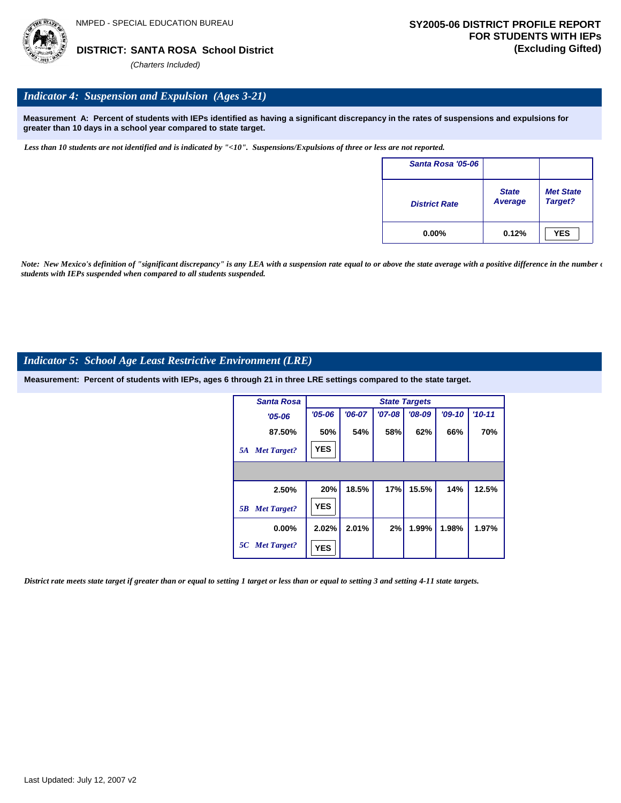

### *Indicator 4: Suspension and Expulsion (Ages 3-21)*

**Measurement A: Percent of students with IEPs identified as having a significant discrepancy in the rates of suspensions and expulsions for greater than 10 days in a school year compared to state target.**

*Less than 10 students are not identified and is indicated by "<10". Suspensions/Expulsions of three or less are not reported.*

| Santa Rosa '05-06    |                         |                             |
|----------------------|-------------------------|-----------------------------|
| <b>District Rate</b> | <b>State</b><br>Average | <b>Met State</b><br>Target? |
| $0.00\%$             | 0.12%                   | <b>YES</b>                  |

*Note: New Mexico's definition of "significant discrepancy" is any LEA with a suspension rate equal to or above the state average with a positive difference in the number*  $\epsilon$ *students with IEPs suspended when compared to all students suspended.*

#### *Indicator 5: School Age Least Restrictive Environment (LRE)*

**Measurement: Percent of students with IEPs, ages 6 through 21 in three LRE settings compared to the state target.**

| <b>Santa Rosa</b>        |            | <b>State Targets</b> |            |          |          |          |  |  |  |
|--------------------------|------------|----------------------|------------|----------|----------|----------|--|--|--|
| $'05 - 06$               | $'05 - 06$ | $'06-07$             | $'07 - 08$ | $'08-09$ | $'09-10$ | $'10-11$ |  |  |  |
| 87.50%                   | 50%        | 54%                  | 58%        | 62%      | 66%      | 70%      |  |  |  |
| <b>Met Target?</b><br>5A | <b>YES</b> |                      |            |          |          |          |  |  |  |
|                          |            |                      |            |          |          |          |  |  |  |
| 2.50%                    | 20%        | 18.5%                | 17%        | 15.5%    | 14%      | 12.5%    |  |  |  |
| <b>Met Target?</b><br>5B | <b>YES</b> |                      |            |          |          |          |  |  |  |
| $0.00\%$                 | 2.02%      | 2.01%                | 2%         | 1.99%    | 1.98%    | 1.97%    |  |  |  |
| 5C Met Target?           | <b>YES</b> |                      |            |          |          |          |  |  |  |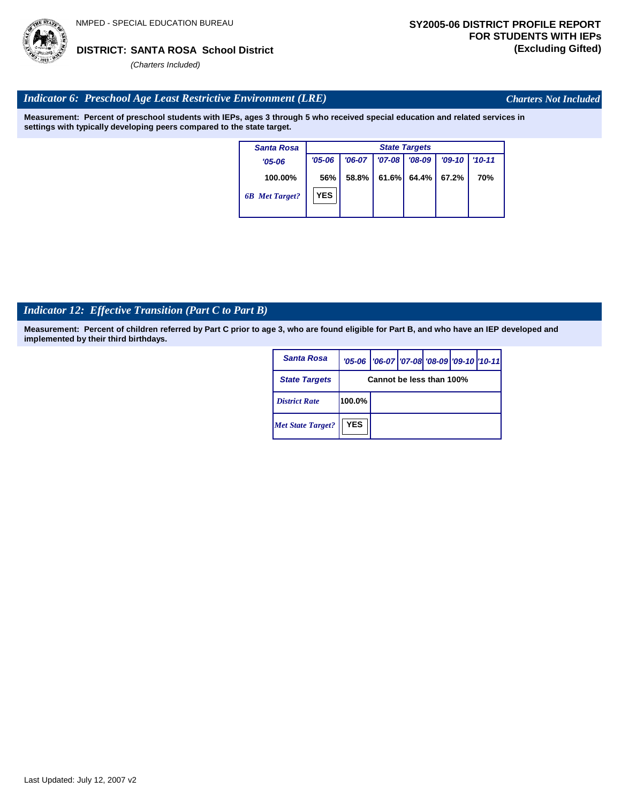# Last Updated: July 12, 2007 v2

*(Charters Included)*

# *Indicator 6: Preschool Age Least Restrictive Environment (LRE)*

**Measurement: Percent of preschool students with IEPs, ages 3 through 5 who received special education and related services in settings with typically developing peers compared to the state target.**

| <b>Santa Rosa</b>     |            | <b>State Targets</b> |          |          |          |            |  |  |  |
|-----------------------|------------|----------------------|----------|----------|----------|------------|--|--|--|
| $'05 - 06$            | $'05 - 06$ | $'06-07$             | $'07-08$ | $'08-09$ | $'09-10$ | $'10 - 11$ |  |  |  |
| 100.00%               | 56%        | 58.8%                | 61.6%    | 64.4%    | 67.2%    | 70%        |  |  |  |
| <b>6B</b> Met Target? | <b>YES</b> |                      |          |          |          |            |  |  |  |

# *Indicator 12: Effective Transition (Part C to Part B)*

**Measurement: Percent of children referred by Part C prior to age 3, who are found eligible for Part B, and who have an IEP developed and implemented by their third birthdays.**

| <b>Santa Rosa</b>        |                          | '05-06   '06-07   '07-08 '08-09   '09-10   '10-11 |  |  |  |  |  |
|--------------------------|--------------------------|---------------------------------------------------|--|--|--|--|--|
| <b>State Targets</b>     | Cannot be less than 100% |                                                   |  |  |  |  |  |
| <b>District Rate</b>     | 100.0%                   |                                                   |  |  |  |  |  |
| <b>Met State Target?</b> | <b>YES</b>               |                                                   |  |  |  |  |  |



*Charters Not Included*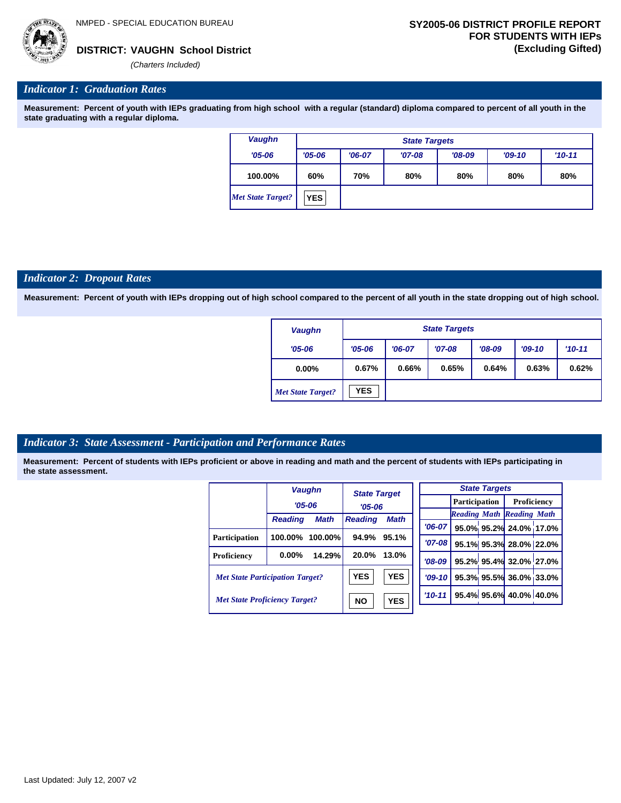*(Charters Included)*

#### *Indicator 1: Graduation Rates*

**Measurement: Percent of youth with IEPs graduating from high school with a regular (standard) diploma compared to percent of all youth in the state graduating with a regular diploma.**

| <b>Vaughn</b>            |            | <b>State Targets</b>                         |  |  |  |  |  |  |  |
|--------------------------|------------|----------------------------------------------|--|--|--|--|--|--|--|
| $'05 - 06$               | $'05 - 06$ | $'08-09$<br>$'09-10$<br>$'06-07$<br>$'07-08$ |  |  |  |  |  |  |  |
| 100.00%                  | 60%        | 80%<br>70%<br>80%<br>80%<br>80%              |  |  |  |  |  |  |  |
| <b>Met State Target?</b> | <b>YES</b> |                                              |  |  |  |  |  |  |  |

#### *Indicator 2: Dropout Rates*

**Measurement: Percent of youth with IEPs dropping out of high school compared to the percent of all youth in the state dropping out of high school.**

| <b>Vaughn</b>            |            | <b>State Targets</b>                         |       |       |       |       |  |  |  |
|--------------------------|------------|----------------------------------------------|-------|-------|-------|-------|--|--|--|
| $'05 - 06$               | $'05 - 06$ | $'07-08$<br>$'06-07$<br>$'08-09$<br>$'09-10$ |       |       |       |       |  |  |  |
| $0.00\%$                 | 0.67%      | 0.66%                                        | 0.65% | 0.64% | 0.63% | 0.62% |  |  |  |
| <b>Met State Target?</b> | <b>YES</b> |                                              |       |       |       |       |  |  |  |

#### *Indicator 3: State Assessment - Participation and Performance Rates*

|                                        |                | <b>Vaughn</b> | <b>State Target</b> |            |          |                      | <b>State Targets</b> |                                  |  |
|----------------------------------------|----------------|---------------|---------------------|------------|----------|----------------------|----------------------|----------------------------------|--|
|                                        | $'05 - 06$     |               | $'05 - 06$          |            |          | <b>Participation</b> |                      | Proficiency                      |  |
|                                        |                |               | <b>Math</b>         |            |          |                      |                      | <b>Reading Math Reading Math</b> |  |
|                                        | <b>Reading</b> | <b>Math</b>   | <b>Reading</b>      |            | $'06-07$ |                      |                      | 95.0% 95.2% 24.0% 17.0%          |  |
| Participation                          | 100.00%        | 100.00%       | 94.9%               | 95.1%      | '07-08 l |                      |                      | 95.1% 95.3% 28.0% 22.0%          |  |
| Proficiency                            | $0.00\%$       | 14.29%        | 20.0%               | 13.0%      | $'08-09$ |                      |                      | 95.2% 95.4% 32.0% 27.0%          |  |
| <b>Met State Participation Target?</b> |                |               | <b>YES</b>          | <b>YES</b> | $'09-10$ |                      |                      | 95.3% 95.5% 36.0% 33.0%          |  |
| <b>Met State Proficiency Target?</b>   |                |               | <b>NO</b>           | <b>YES</b> | $'10-11$ |                      |                      | 95.4% 95.6% 40.0% 40.0%          |  |
|                                        |                |               |                     |            |          |                      |                      |                                  |  |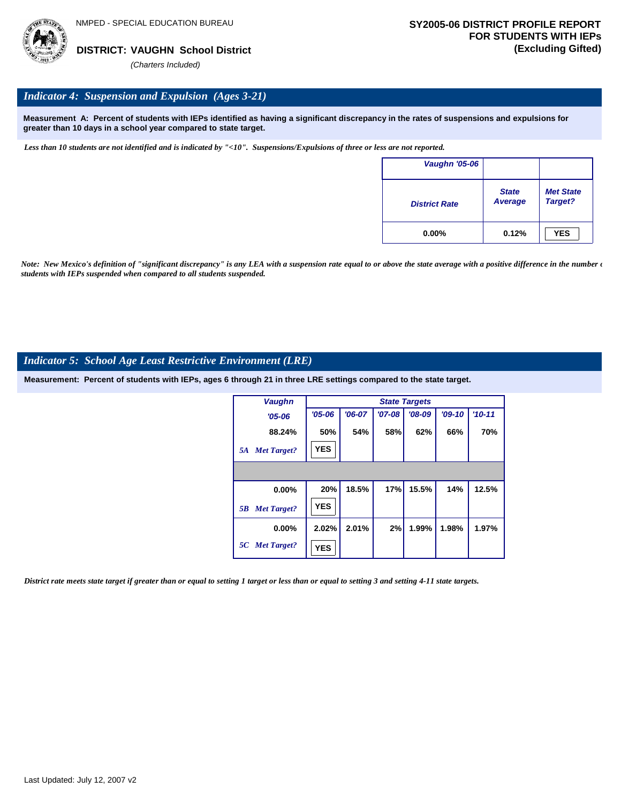

#### *Indicator 4: Suspension and Expulsion (Ages 3-21)*

**Measurement A: Percent of students with IEPs identified as having a significant discrepancy in the rates of suspensions and expulsions for greater than 10 days in a school year compared to state target.**

*Less than 10 students are not identified and is indicated by "<10". Suspensions/Expulsions of three or less are not reported.*

| Vaughn '05-06        |                                |                             |
|----------------------|--------------------------------|-----------------------------|
| <b>District Rate</b> | <b>State</b><br><b>Average</b> | <b>Met State</b><br>Target? |
| $0.00\%$             | 0.12%                          | <b>YES</b>                  |

*Note: New Mexico's definition of "significant discrepancy" is any LEA with a suspension rate equal to or above the state average with a positive difference in the number*  $\epsilon$ *students with IEPs suspended when compared to all students suspended.*

#### *Indicator 5: School Age Least Restrictive Environment (LRE)*

**Measurement: Percent of students with IEPs, ages 6 through 21 in three LRE settings compared to the state target.**

| <b>Vaughn</b>            |            | <b>State Targets</b> |            |          |          |          |  |  |  |  |
|--------------------------|------------|----------------------|------------|----------|----------|----------|--|--|--|--|
| $'05 - 06$               | $'05 - 06$ | $'06-07$             | $'07 - 08$ | $'08-09$ | $'09-10$ | $'10-11$ |  |  |  |  |
| 88.24%                   | 50%        | 54%                  | 58%        | 62%      | 66%      | 70%      |  |  |  |  |
| <b>Met Target?</b><br>5A | <b>YES</b> |                      |            |          |          |          |  |  |  |  |
|                          |            |                      |            |          |          |          |  |  |  |  |
| 0.00%                    | 20%        | 18.5%                | 17%        | 15.5%    | 14%      | 12.5%    |  |  |  |  |
| <b>Met Target?</b><br>5B | <b>YES</b> |                      |            |          |          |          |  |  |  |  |
| $0.00\%$                 | 2.02%      | 2.01%                | 2%         | 1.99%    | 1.98%    | 1.97%    |  |  |  |  |
| 5C Met Target?           | <b>YES</b> |                      |            |          |          |          |  |  |  |  |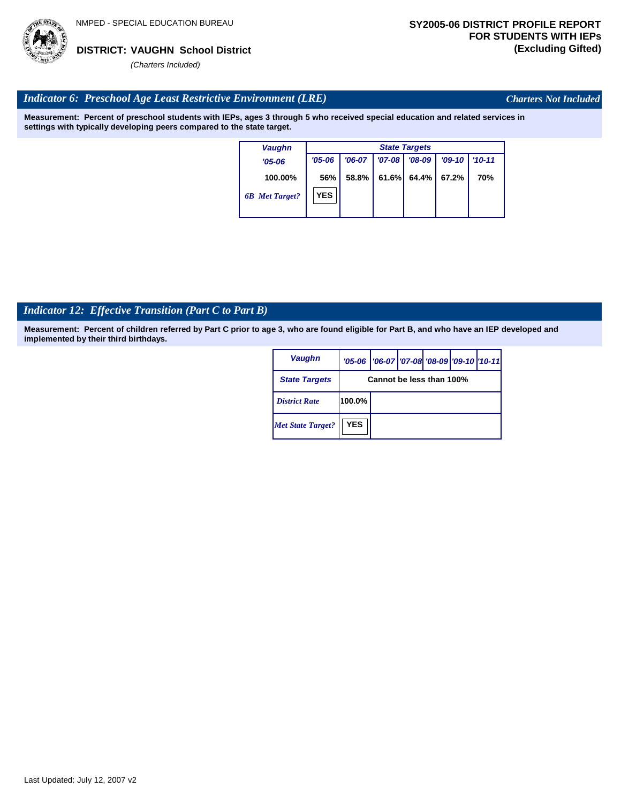

*Charters Not Included*

#### *Indicator 6: Preschool Age Least Restrictive Environment (LRE)*

**Measurement: Percent of preschool students with IEPs, ages 3 through 5 who received special education and related services in settings with typically developing peers compared to the state target.**

| <b>Vaughn</b>         | <b>State Targets</b> |          |          |          |          |            |  |  |
|-----------------------|----------------------|----------|----------|----------|----------|------------|--|--|
| $'05 - 06$            | $'05 - 06$           | $'06-07$ | $'07-08$ | $'08-09$ | $'09-10$ | $'10 - 11$ |  |  |
| 100.00%               | 56%                  | 58.8%    | 61.6%    | 64.4%    | 67.2%    | 70%        |  |  |
| <b>6B</b> Met Target? | <b>YES</b>           |          |          |          |          |            |  |  |

# *Indicator 12: Effective Transition (Part C to Part B)*

| <b>Vaughn</b>            |                          | '05-06   '06-07   '07-08   '08-09   '09-10   '10-11 |  |  |  |  |
|--------------------------|--------------------------|-----------------------------------------------------|--|--|--|--|
| <b>State Targets</b>     | Cannot be less than 100% |                                                     |  |  |  |  |
| <b>District Rate</b>     | 100.0%                   |                                                     |  |  |  |  |
| <b>Met State Target?</b> | <b>YES</b>               |                                                     |  |  |  |  |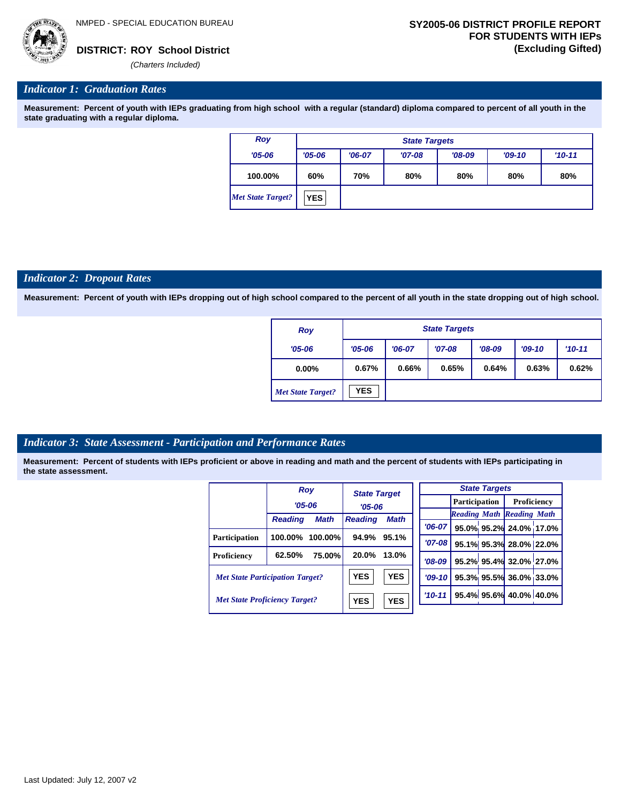

#### *Indicator 1: Graduation Rates*

**Measurement: Percent of youth with IEPs graduating from high school with a regular (standard) diploma compared to percent of all youth in the state graduating with a regular diploma.**

| Roy                      |            | <b>State Targets</b> |          |          |          |            |  |  |  |  |
|--------------------------|------------|----------------------|----------|----------|----------|------------|--|--|--|--|
| $'05 - 06$               | $'05 - 06$ | $'06-07$             | $'07-08$ | $'08-09$ | $'09-10$ | $'10 - 11$ |  |  |  |  |
| 100.00%                  | 60%        | 70%                  | 80%      | 80%      | 80%      | 80%        |  |  |  |  |
| <b>Met State Target?</b> | <b>YES</b> |                      |          |          |          |            |  |  |  |  |

#### *Indicator 2: Dropout Rates*

**Measurement: Percent of youth with IEPs dropping out of high school compared to the percent of all youth in the state dropping out of high school.**

| Roy                      |            | <b>State Targets</b> |          |          |          |            |  |  |  |
|--------------------------|------------|----------------------|----------|----------|----------|------------|--|--|--|
| $'05 - 06$               | $'05 - 06$ | $'06-07$             | $'07-08$ | $'08-09$ | $'09-10$ | $'10 - 11$ |  |  |  |
| $0.00\%$                 | 0.67%      | 0.66%                | 0.65%    | 0.64%    | 0.63%    | 0.62%      |  |  |  |
| <b>Met State Target?</b> | <b>YES</b> |                      |          |          |          |            |  |  |  |

#### *Indicator 3: State Assessment - Participation and Performance Rates*

|                                        | <b>Roy</b>     |                          | <b>State Target</b> |             |          |  |  | <b>State Targets</b>    |                                  |             |  |  |
|----------------------------------------|----------------|--------------------------|---------------------|-------------|----------|--|--|-------------------------|----------------------------------|-------------|--|--|
|                                        | $'05 - 06$     |                          | $'05 - 06$          |             |          |  |  | <b>Participation</b>    |                                  | Proficiency |  |  |
|                                        |                |                          |                     |             |          |  |  |                         | <b>Reading Math Reading Math</b> |             |  |  |
|                                        | <b>Reading</b> | <b>Math</b>              | <b>Reading</b>      | <b>Math</b> | $'06-07$ |  |  |                         | 95.0% 95.2% 24.0% 17.0%          |             |  |  |
| Participation                          | 100.00%        | $100.00\%$               | 94.9%               | 95.1%       | $'07-08$ |  |  |                         |                                  |             |  |  |
|                                        |                |                          |                     |             |          |  |  |                         | 95.1% 95.3% 28.0% 22.0%          |             |  |  |
| Proficiency                            | 62.50%         | 75.00%                   | 20.0%               | 13.0%       | $'08-09$ |  |  |                         | 95.2% 95.4% 32.0% 27.0%          |             |  |  |
| <b>Met State Participation Target?</b> |                |                          | <b>YES</b>          | <b>YES</b>  | $'09-10$ |  |  |                         | 95.3% 95.5% 36.0% 33.0%          |             |  |  |
| <b>Met State Proficiency Target?</b>   |                | <b>YES</b><br><b>YES</b> |                     | $'10-11$    |          |  |  | 95.4% 95.6% 40.0% 40.0% |                                  |             |  |  |
|                                        |                |                          |                     |             |          |  |  |                         |                                  |             |  |  |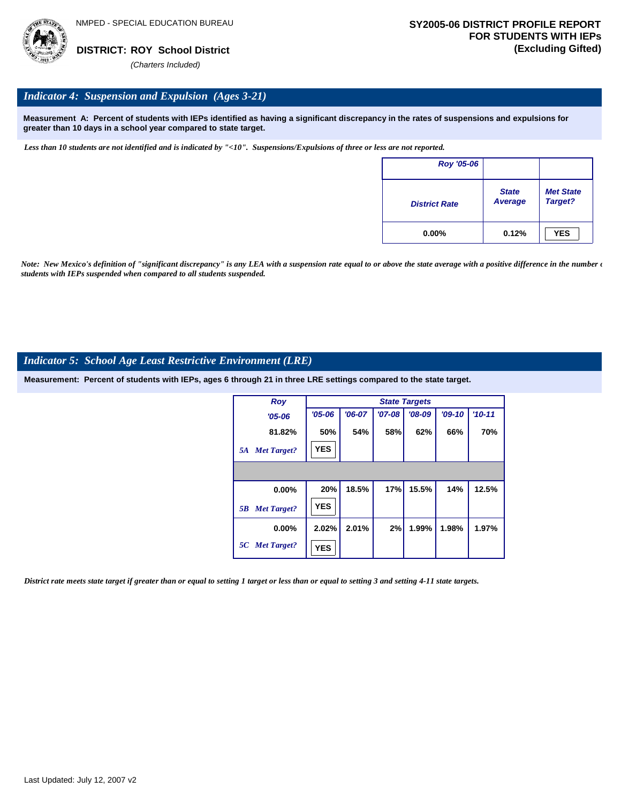

#### *Indicator 4: Suspension and Expulsion (Ages 3-21)*

**Measurement A: Percent of students with IEPs identified as having a significant discrepancy in the rates of suspensions and expulsions for greater than 10 days in a school year compared to state target.**

*Less than 10 students are not identified and is indicated by "<10". Suspensions/Expulsions of three or less are not reported.*

| <b>Roy '05-06</b>    |                         |                             |
|----------------------|-------------------------|-----------------------------|
| <b>District Rate</b> | <b>State</b><br>Average | <b>Met State</b><br>Target? |
| $0.00\%$             | 0.12%                   | <b>YES</b>                  |

*Note: New Mexico's definition of "significant discrepancy" is any LEA with a suspension rate equal to or above the state average with a positive difference in the number*  $\epsilon$ *students with IEPs suspended when compared to all students suspended.*

#### *Indicator 5: School Age Least Restrictive Environment (LRE)*

**Measurement: Percent of students with IEPs, ages 6 through 21 in three LRE settings compared to the state target.**

| <b>Roy</b>               |            | <b>State Targets</b> |          |          |          |            |  |  |  |  |
|--------------------------|------------|----------------------|----------|----------|----------|------------|--|--|--|--|
| $'05 - 06$               | $'05 - 06$ | $'06-07$             | $'07-08$ | $'08-09$ | $'09-10$ | $'10 - 11$ |  |  |  |  |
| 81.82%                   | 50%        | 54%                  | 58%      | 62%      | 66%      | 70%        |  |  |  |  |
| <b>Met Target?</b><br>5A | <b>YES</b> |                      |          |          |          |            |  |  |  |  |
|                          |            |                      |          |          |          |            |  |  |  |  |
| 0.00%                    | 20%        | 18.5%                | 17%      | 15.5%    | 14%      | 12.5%      |  |  |  |  |
| <b>Met Target?</b><br>5B | <b>YES</b> |                      |          |          |          |            |  |  |  |  |
| $0.00\%$                 | 2.02%      | 2.01%                | 2%       | 1.99%    | 1.98%    | 1.97%      |  |  |  |  |
| 5C Met Target?           | <b>YES</b> |                      |          |          |          |            |  |  |  |  |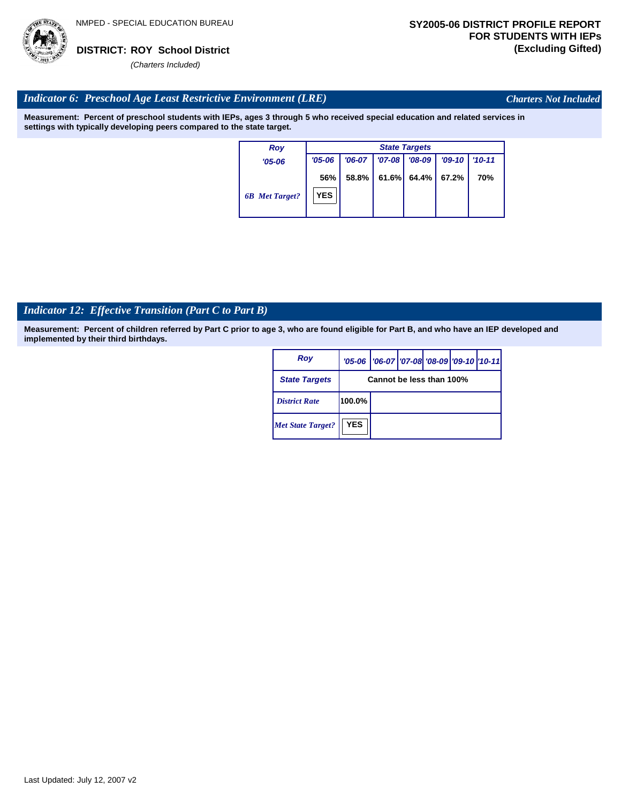

*Charters Not Included*

### *Indicator 6: Preschool Age Least Restrictive Environment (LRE)*

**Measurement: Percent of preschool students with IEPs, ages 3 through 5 who received special education and related services in settings with typically developing peers compared to the state target.**

| <b>Roy</b>            |                   | <b>State Targets</b> |            |          |          |            |  |  |
|-----------------------|-------------------|----------------------|------------|----------|----------|------------|--|--|
| $'05 - 06$            | $'05 - 06$        | $'06-07$             | $'07 - 08$ | $'08-09$ | $'09-10$ | $'10 - 11$ |  |  |
| <b>6B</b> Met Target? | 56%<br><b>YES</b> | 58.8%                | 61.6%      | 64.4%    | 67.2%    | 70%        |  |  |

# *Indicator 12: Effective Transition (Part C to Part B)*

| Roy                      |                          | '05-06   '06-07   '07-08   '08-09   '09-10   '10-11 |  |  |  |  |
|--------------------------|--------------------------|-----------------------------------------------------|--|--|--|--|
| <b>State Targets</b>     | Cannot be less than 100% |                                                     |  |  |  |  |
| <b>District Rate</b>     | 100.0%                   |                                                     |  |  |  |  |
| <b>Met State Target?</b> | <b>YES</b>               |                                                     |  |  |  |  |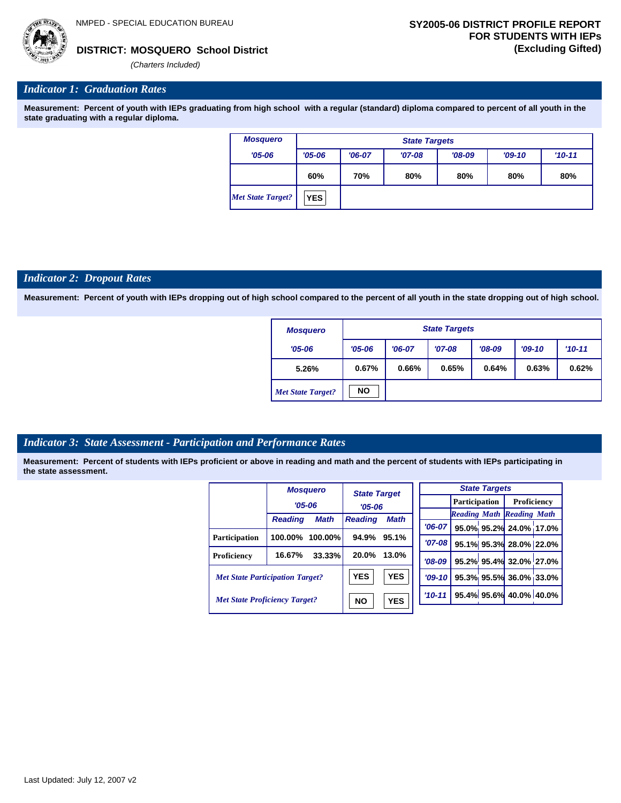**MOSQUERO School District DISTRICT: (Excluding Gifted)**

*(Charters Included)*

#### *Indicator 1: Graduation Rates*

**Measurement: Percent of youth with IEPs graduating from high school with a regular (standard) diploma compared to percent of all youth in the state graduating with a regular diploma.**

| <b>Mosquero</b>          | <b>State Targets</b> |          |          |          |          |          |  |  |  |
|--------------------------|----------------------|----------|----------|----------|----------|----------|--|--|--|
| $'05 - 06$               | $'05 - 06$           | $'06-07$ | $'07-08$ | $'08-09$ | $'09-10$ | $'10-11$ |  |  |  |
|                          | 60%                  | 70%      | 80%      | 80%      | 80%      | 80%      |  |  |  |
| <b>Met State Target?</b> | <b>YES</b>           |          |          |          |          |          |  |  |  |

#### *Indicator 2: Dropout Rates*

**Measurement: Percent of youth with IEPs dropping out of high school compared to the percent of all youth in the state dropping out of high school.**

| <b>Mosquero</b>          |            | <b>State Targets</b> |          |          |          |          |  |  |  |
|--------------------------|------------|----------------------|----------|----------|----------|----------|--|--|--|
| $'05 - 06$               | $'05 - 06$ | $'06-07$             | $'07-08$ | $'08-09$ | $'09-10$ | $'10-11$ |  |  |  |
| 5.26%                    | 0.67%      | 0.66%                | 0.65%    | 0.64%    | 0.63%    | 0.62%    |  |  |  |
| <b>Met State Target?</b> | <b>NO</b>  |                      |          |          |          |          |  |  |  |

#### *Indicator 3: State Assessment - Participation and Performance Rates*

|                                        |                | <b>Mosquero</b> | <b>State Target</b> |             |          |  |  | <b>State Targets</b>    |                                  |  |
|----------------------------------------|----------------|-----------------|---------------------|-------------|----------|--|--|-------------------------|----------------------------------|--|
|                                        | $'05 - 06$     |                 | $'05 - 06$          |             |          |  |  | <b>Participation</b>    | Proficiency                      |  |
|                                        |                |                 |                     |             |          |  |  |                         | <b>Reading Math Reading Math</b> |  |
|                                        | <b>Reading</b> | <b>Math</b>     | <b>Reading</b>      | <b>Math</b> | $'06-07$ |  |  |                         | 95.0% 95.2% 24.0% 17.0%          |  |
| Participation                          | 100.00%        | $100.00\%$      | 94.9%               | 95.1%       |          |  |  |                         |                                  |  |
|                                        |                |                 |                     |             | $'07-08$ |  |  |                         | 95.1% 95.3% 28.0% 22.0%          |  |
| Proficiency                            | 16.67%         | 33.33%          | 20.0%               | 13.0%       | $'08-09$ |  |  |                         | 95.2% 95.4% 32.0% 27.0%          |  |
| <b>Met State Participation Target?</b> |                |                 | <b>YES</b>          | <b>YES</b>  | $'09-10$ |  |  |                         | 95.3% 95.5% 36.0% 33.0%          |  |
| <b>Met State Proficiency Target?</b>   |                | <b>NO</b>       | <b>YES</b>          | $'10-11$    |          |  |  | 95.4% 95.6% 40.0% 40.0% |                                  |  |
|                                        |                |                 |                     |             |          |  |  |                         |                                  |  |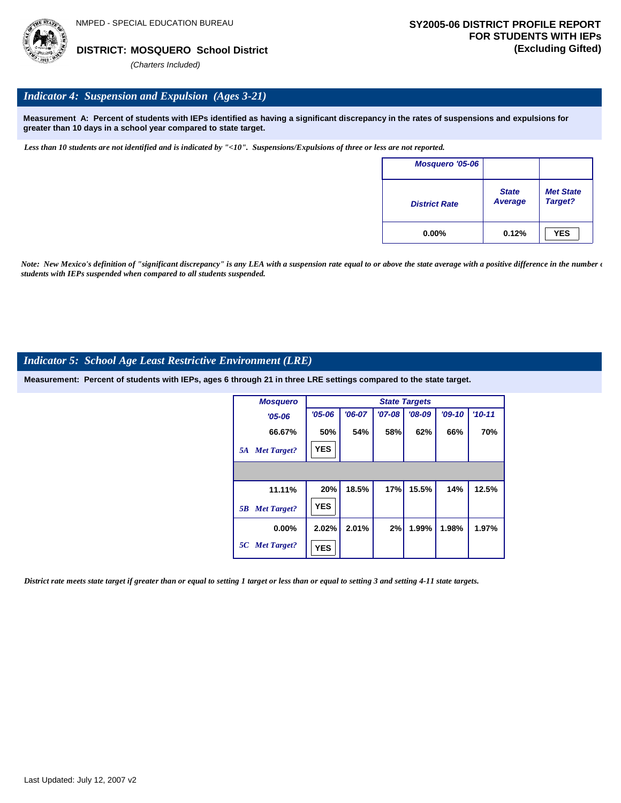### *Indicator 4: Suspension and Expulsion (Ages 3-21)*

**Measurement A: Percent of students with IEPs identified as having a significant discrepancy in the rates of suspensions and expulsions for greater than 10 days in a school year compared to state target.**

*Less than 10 students are not identified and is indicated by "<10". Suspensions/Expulsions of three or less are not reported.*

| <b>Mosquero '05-06</b> |                                |                             |
|------------------------|--------------------------------|-----------------------------|
| <b>District Rate</b>   | <b>State</b><br><b>Average</b> | <b>Met State</b><br>Target? |
| $0.00\%$               | 0.12%                          | <b>YES</b>                  |

*Note: New Mexico's definition of "significant discrepancy" is any LEA with a suspension rate equal to or above the state average with a positive difference in the number*  $\epsilon$ *students with IEPs suspended when compared to all students suspended.*

### *Indicator 5: School Age Least Restrictive Environment (LRE)*

**Measurement: Percent of students with IEPs, ages 6 through 21 in three LRE settings compared to the state target.**

| <b>Mosquero</b>          |            |          |          | <b>State Targets</b> |          |            |
|--------------------------|------------|----------|----------|----------------------|----------|------------|
| $'05 - 06$               | $'05 - 06$ | $'06-07$ | $'07-08$ | $'08-09$             | $'09-10$ | $'10 - 11$ |
| 66.67%                   | 50%        | 54%      | 58%      | 62%                  | 66%      | 70%        |
| <b>Met Target?</b><br>5A | <b>YES</b> |          |          |                      |          |            |
|                          |            |          |          |                      |          |            |
| 11.11%                   | 20%        | 18.5%    | 17%      | 15.5%                | 14%      | 12.5%      |
| <b>Met Target?</b><br>5B | <b>YES</b> |          |          |                      |          |            |
| 0.00%                    | 2.02%      | 2.01%    | 2%       | 1.99%                | 1.98%    | 1.97%      |
| 5C Met Target?           | <b>YES</b> |          |          |                      |          |            |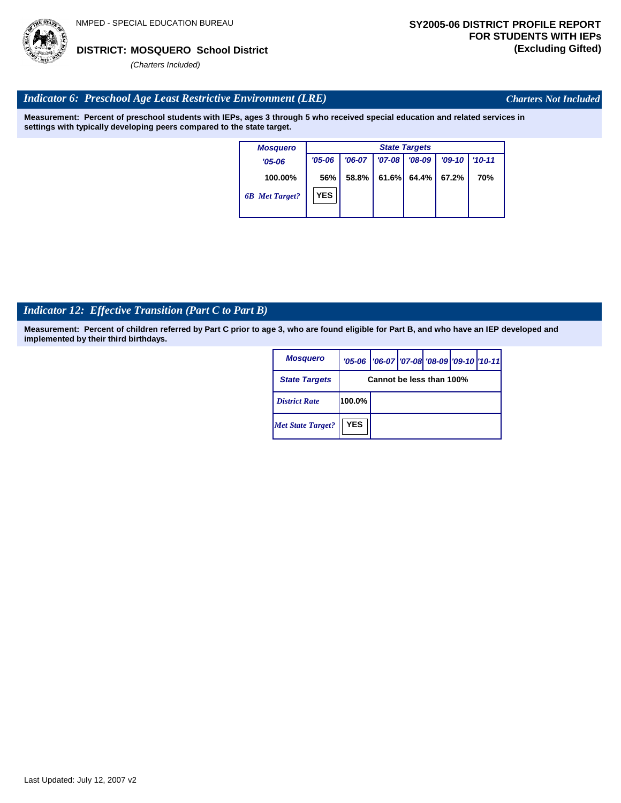

*Charters Not Included*

#### *Indicator 6: Preschool Age Least Restrictive Environment (LRE)*

**Measurement: Percent of preschool students with IEPs, ages 3 through 5 who received special education and related services in settings with typically developing peers compared to the state target.**

| <b>Mosquero</b>       |            | <b>State Targets</b> |            |          |          |            |  |  |  |  |  |
|-----------------------|------------|----------------------|------------|----------|----------|------------|--|--|--|--|--|
| $'05-06$              | $'05 - 06$ | $'06-07$             | $'07 - 08$ | $'08-09$ | $'09-10$ | $'10 - 11$ |  |  |  |  |  |
| 100.00%               | 56%        | 58.8%                | 61.6%      | 64.4%    | 67.2%    | 70%        |  |  |  |  |  |
| <b>6B</b> Met Target? | <b>YES</b> |                      |            |          |          |            |  |  |  |  |  |

# *Indicator 12: Effective Transition (Part C to Part B)*

| <b>Mosquero</b>          |                          | '05-06   '06-07   '07-08 '08-09   '09-10   '10-11 |  |  |  |  |  |  |
|--------------------------|--------------------------|---------------------------------------------------|--|--|--|--|--|--|
| <b>State Targets</b>     | Cannot be less than 100% |                                                   |  |  |  |  |  |  |
| <b>District Rate</b>     | 100.0%                   |                                                   |  |  |  |  |  |  |
| <b>Met State Target?</b> | <b>YES</b>               |                                                   |  |  |  |  |  |  |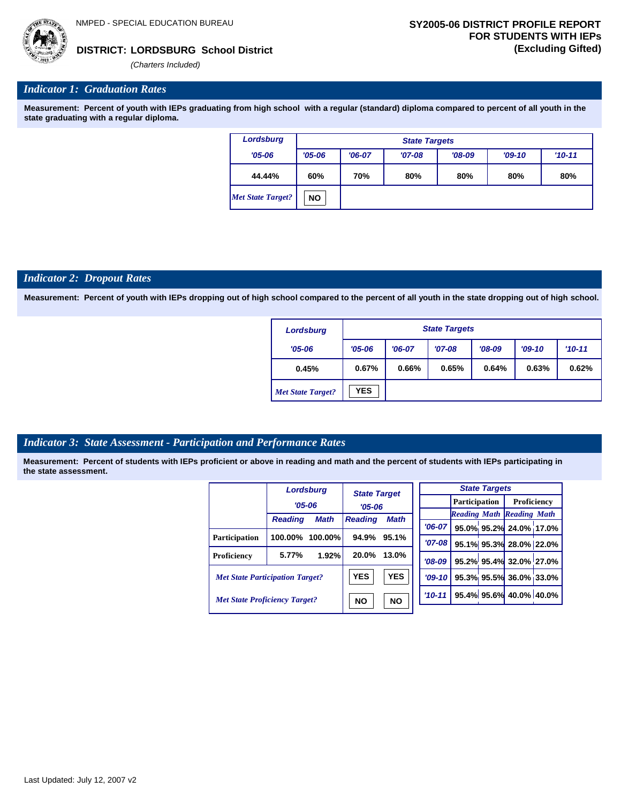**LORDSBURG School District DISTRICT: (Excluding Gifted)**

*(Charters Included)*

#### *Indicator 1: Graduation Rates*

**Measurement: Percent of youth with IEPs graduating from high school with a regular (standard) diploma compared to percent of all youth in the state graduating with a regular diploma.**

| <b>Lordsburg</b>         |            | <b>State Targets</b> |          |          |          |          |  |  |  |  |  |  |
|--------------------------|------------|----------------------|----------|----------|----------|----------|--|--|--|--|--|--|
| $'05 - 06$               | $'05 - 06$ | $'06-07$             | $'07-08$ | $'08-09$ | $'09-10$ | $'10-11$ |  |  |  |  |  |  |
| 44.44%                   | 60%        | 70%                  | 80%      | 80%      | 80%      | 80%      |  |  |  |  |  |  |
| <b>Met State Target?</b> | <b>NO</b>  |                      |          |          |          |          |  |  |  |  |  |  |

#### *Indicator 2: Dropout Rates*

**Measurement: Percent of youth with IEPs dropping out of high school compared to the percent of all youth in the state dropping out of high school.**

| <b>Lordsburg</b>         |            | <b>State Targets</b> |          |          |          |          |  |  |  |  |
|--------------------------|------------|----------------------|----------|----------|----------|----------|--|--|--|--|
| $'05 - 06$               | $'05 - 06$ | $'06-07$             | $'07-08$ | $'08-09$ | $'09-10$ | $'10-11$ |  |  |  |  |
| 0.45%                    | 0.67%      | 0.66%                | 0.65%    | 0.64%    | 0.63%    | 0.62%    |  |  |  |  |
| <b>Met State Target?</b> | <b>YES</b> |                      |          |          |          |          |  |  |  |  |

### *Indicator 3: State Assessment - Participation and Performance Rates*

|                                        |                | <b>Lordsburg</b>       | <b>State Target</b><br>$'05 - 06$ |             |            |                      |  | <b>State Targets</b>    |                                  |  |
|----------------------------------------|----------------|------------------------|-----------------------------------|-------------|------------|----------------------|--|-------------------------|----------------------------------|--|
|                                        | $'05 - 06$     |                        |                                   |             |            | <b>Participation</b> |  | Proficiency             |                                  |  |
|                                        | <b>Reading</b> | <b>Math</b>            | <b>Reading</b>                    | <b>Math</b> |            |                      |  |                         | <b>Reading Math Reading Math</b> |  |
|                                        |                |                        |                                   |             |            | $'06-07$             |  |                         | 95.0% 95.2% 24.0% 17.0%          |  |
| <b>Participation</b>                   | 100.00%        | $100.00\%$             | 94.9%                             | 95.1%       |            | $'07 - 08$           |  |                         | 95.1% 95.3% 28.0% 22.0%          |  |
| Proficiency                            | 5.77%          | 1.92%                  | 20.0%                             | 13.0%       |            | $'08-09$             |  |                         | 95.2% 95.4% 32.0% 27.0%          |  |
| <b>Met State Participation Target?</b> |                | <b>YES</b>             | <b>YES</b>                        |             | $'09-10'$  |                      |  | 95.3% 95.5% 36.0% 33.0% |                                  |  |
| <b>Met State Proficiency Target?</b>   |                | <b>NO</b><br><b>NO</b> |                                   |             | $'10 - 11$ |                      |  | 95.4% 95.6% 40.0% 40.0% |                                  |  |
|                                        |                |                        |                                   |             |            |                      |  |                         |                                  |  |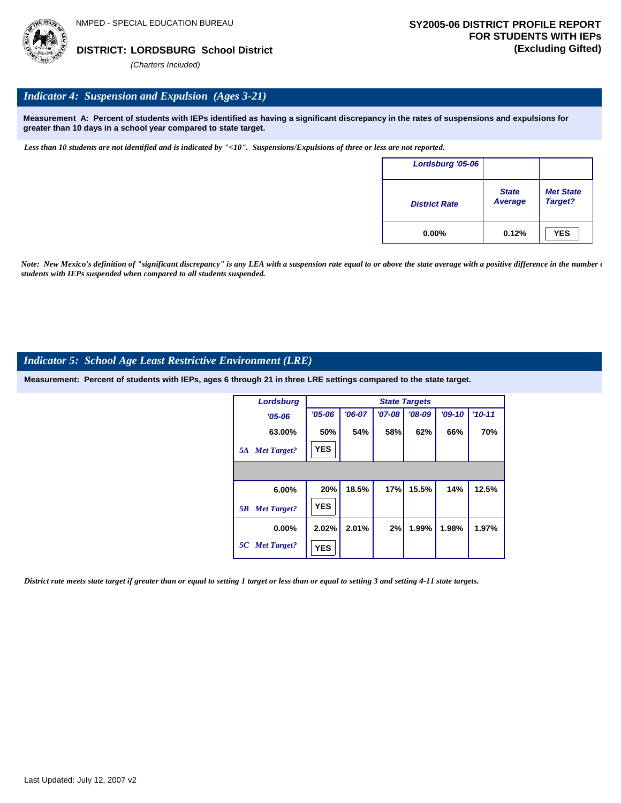

## *Indicator 4: Suspension and Expulsion (Ages 3-21)*

**Measurement A: Percent of students with IEPs identified as having a significant discrepancy in the rates of suspensions and expulsions for greater than 10 days in a school year compared to state target.**

*Less than 10 students are not identified and is indicated by "<10". Suspensions/Expulsions of three or less are not reported.*

| Lordsburg '05-06     |                                |                             |
|----------------------|--------------------------------|-----------------------------|
| <b>District Rate</b> | <b>State</b><br><b>Average</b> | <b>Met State</b><br>Target? |
| $0.00\%$             | 0.12%                          | <b>YES</b>                  |

*Note: New Mexico's definition of "significant discrepancy" is any LEA with a suspension rate equal to or above the state average with a positive difference in the number*  $\epsilon$ *students with IEPs suspended when compared to all students suspended.*

#### *Indicator 5: School Age Least Restrictive Environment (LRE)*

**Measurement: Percent of students with IEPs, ages 6 through 21 in three LRE settings compared to the state target.**

| <b>Lordsburg</b>         |            |          |            | <b>State Targets</b> |          |          |
|--------------------------|------------|----------|------------|----------------------|----------|----------|
| $'05 - 06$               | $'05 - 06$ | $'06-07$ | $'07 - 08$ | $'08-09$             | $'09-10$ | $'10-11$ |
| 63.00%                   | 50%        | 54%      | 58%        | 62%                  | 66%      | 70%      |
| <b>Met Target?</b><br>5A | <b>YES</b> |          |            |                      |          |          |
|                          |            |          |            |                      |          |          |
| 6.00%                    | 20%        | 18.5%    | 17%        | 15.5%                | 14%      | 12.5%    |
| <b>Met Target?</b><br>5B | <b>YES</b> |          |            |                      |          |          |
| $0.00\%$                 | 2.02%      | 2.01%    | 2%         | 1.99%                | 1.98%    | 1.97%    |
| 5C Met Target?           | <b>YES</b> |          |            |                      |          |          |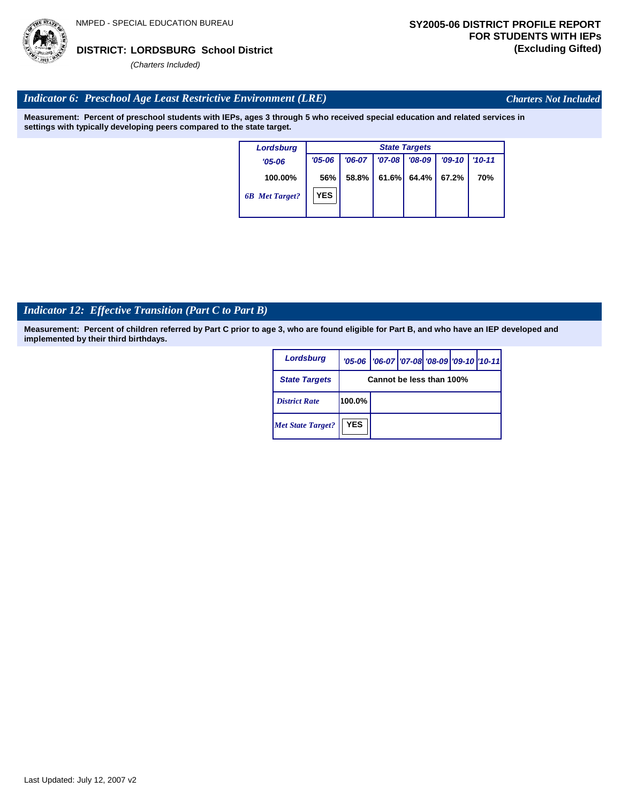### *Indicator 6: Preschool Age Least Restrictive Environment (LRE)*

**Measurement: Percent of preschool students with IEPs, ages 3 through 5 who received special education and related services in settings with typically developing peers compared to the state target.**

| <b>Lordsburg</b>      |            | <b>State Targets</b> |          |          |          |            |  |  |  |  |  |
|-----------------------|------------|----------------------|----------|----------|----------|------------|--|--|--|--|--|
| $'05 - 06$            | $'05 - 06$ | $'06-07$             | $'07-08$ | $'08-09$ | $'09-10$ | $'10 - 11$ |  |  |  |  |  |
| 100.00%               | 56%        | 58.8%                | 61.6%    | 64.4%    | 67.2%    | 70%        |  |  |  |  |  |
| <b>6B</b> Met Target? | <b>YES</b> |                      |          |          |          |            |  |  |  |  |  |

# *Indicator 12: Effective Transition (Part C to Part B)*

**Measurement: Percent of children referred by Part C prior to age 3, who are found eligible for Part B, and who have an IEP developed and implemented by their third birthdays.**

| <b>Lordsburg</b>         |                          | '05-06   '06-07   '07-08   '08-09   '09-10   '10-11 |  |  |  |  |  |  |
|--------------------------|--------------------------|-----------------------------------------------------|--|--|--|--|--|--|
| <b>State Targets</b>     | Cannot be less than 100% |                                                     |  |  |  |  |  |  |
| <b>District Rate</b>     | $100.0\%$                |                                                     |  |  |  |  |  |  |
| <b>Met State Target?</b> | <b>YES</b>               |                                                     |  |  |  |  |  |  |



## *Charters Not Included*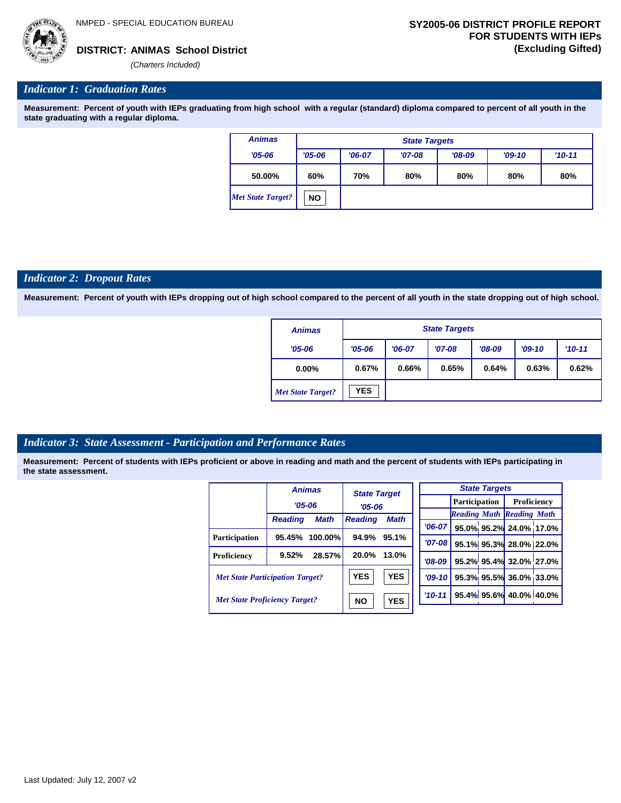*(Charters Included)*

#### *Indicator 1: Graduation Rates*

**Measurement: Percent of youth with IEPs graduating from high school with a regular (standard) diploma compared to percent of all youth in the state graduating with a regular diploma.**

| <b>Animas</b>            | <b>State Targets</b> |          |          |          |          |          |  |  |  |
|--------------------------|----------------------|----------|----------|----------|----------|----------|--|--|--|
| $'05 - 06$               | $'05 - 06$           | $'06-07$ | $'07-08$ | $'08-09$ | $'09-10$ | $'10-11$ |  |  |  |
| 50.00%                   | 60%                  | 70%      | 80%      | 80%      | 80%      | 80%      |  |  |  |
| <b>Met State Target?</b> | <b>NO</b>            |          |          |          |          |          |  |  |  |

#### *Indicator 2: Dropout Rates*

**Measurement: Percent of youth with IEPs dropping out of high school compared to the percent of all youth in the state dropping out of high school.**

| <b>Animas</b>            |            | <b>State Targets</b> |          |          |          |            |  |  |  |
|--------------------------|------------|----------------------|----------|----------|----------|------------|--|--|--|
| $'05 - 06$               | $'05 - 06$ | $'06-07$             | $'07-08$ | $'08-09$ | $'09-10$ | $'10 - 11$ |  |  |  |
| $0.00\%$                 | 0.67%      | 0.66%                | 0.65%    | 0.64%    | 0.63%    | 0.62%      |  |  |  |
| <b>Met State Target?</b> | <b>YES</b> |                      |          |          |          |            |  |  |  |

#### *Indicator 3: State Assessment - Participation and Performance Rates*

|                                        |                | <b>Animas</b> | <b>State Target</b><br>$'05-06$ |            |          |               |  | <b>State Targets</b>    |                                  |  |
|----------------------------------------|----------------|---------------|---------------------------------|------------|----------|---------------|--|-------------------------|----------------------------------|--|
|                                        |                | $'05 - 06$    |                                 |            |          | Participation |  | Proficiency             |                                  |  |
|                                        |                |               |                                 |            |          |               |  |                         | <b>Reading Math Reading Math</b> |  |
|                                        | <b>Reading</b> | <b>Math</b>   | <b>Reading</b>                  | Math       |          | $'06-07$      |  |                         | 95.0% 95.2% 24.0% 17.0%          |  |
| <b>Participation</b>                   | 95.45%         | 100.00%       | 94.9%                           | 95.1%      |          | $'07 - 08$    |  |                         | 95.1% 95.3% 28.0% 22.0%          |  |
| Proficiency                            | 9.52%          | 28.57%        | 20.0%                           | 13.0%      |          | $'08-09$      |  |                         | 95.2% 95.4% 32.0% 27.0%          |  |
| <b>Met State Participation Target?</b> |                |               | <b>YES</b>                      | <b>YES</b> |          | $'09-10'$     |  |                         | 95.3% 95.5% 36.0% 33.0%          |  |
| <b>Met State Proficiency Target?</b>   |                | <b>NO</b>     | <b>YES</b>                      |            | $'10-11$ |               |  | 95.4% 95.6% 40.0% 40.0% |                                  |  |
|                                        |                |               |                                 |            |          |               |  |                         |                                  |  |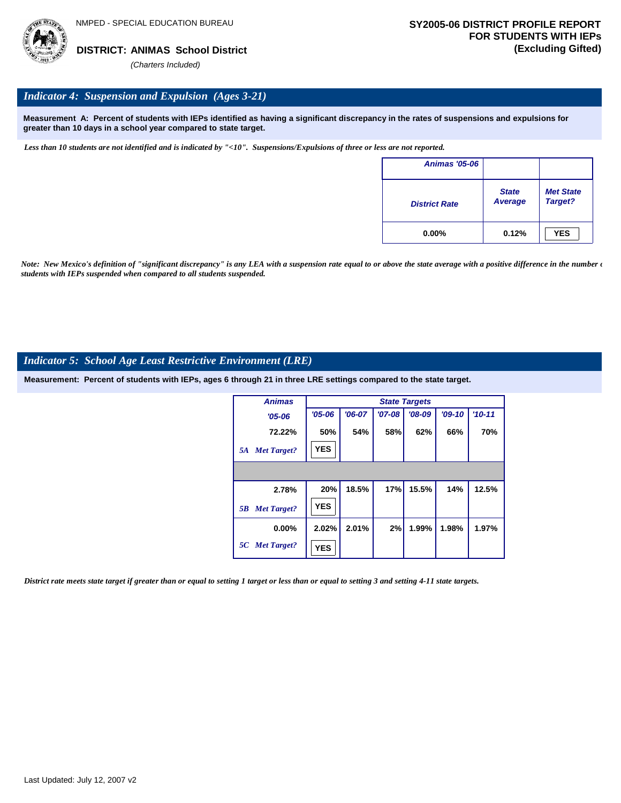

#### *Indicator 4: Suspension and Expulsion (Ages 3-21)*

**Measurement A: Percent of students with IEPs identified as having a significant discrepancy in the rates of suspensions and expulsions for greater than 10 days in a school year compared to state target.**

*Less than 10 students are not identified and is indicated by "<10". Suspensions/Expulsions of three or less are not reported.*

| <b>Animas '05-06</b> |                         |                             |
|----------------------|-------------------------|-----------------------------|
| <b>District Rate</b> | <b>State</b><br>Average | <b>Met State</b><br>Target? |
| $0.00\%$             | 0.12%                   | <b>YES</b>                  |

*Note: New Mexico's definition of "significant discrepancy" is any LEA with a suspension rate equal to or above the state average with a positive difference in the number*  $\epsilon$ *students with IEPs suspended when compared to all students suspended.*

#### *Indicator 5: School Age Least Restrictive Environment (LRE)*

**Measurement: Percent of students with IEPs, ages 6 through 21 in three LRE settings compared to the state target.**

| <b>Animas</b>            |            | <b>State Targets</b> |          |          |          |          |  |  |  |  |
|--------------------------|------------|----------------------|----------|----------|----------|----------|--|--|--|--|
| $'05 - 06$               | $'05 - 06$ | $'06-07$             | $'07-08$ | $'08-09$ | $'09-10$ | $'10-11$ |  |  |  |  |
| 72.22%                   | 50%        | 54%                  | 58%      | 62%      | 66%      | 70%      |  |  |  |  |
| <b>Met Target?</b><br>5A | <b>YES</b> |                      |          |          |          |          |  |  |  |  |
|                          |            |                      |          |          |          |          |  |  |  |  |
| 2.78%                    | 20%        | 18.5%                | 17%      | 15.5%    | 14%      | 12.5%    |  |  |  |  |
| <b>Met Target?</b><br>5B | <b>YES</b> |                      |          |          |          |          |  |  |  |  |
| $0.00\%$                 | 2.02%      | 2.01%                | 2%       | 1.99%    | 1.98%    | 1.97%    |  |  |  |  |
| 5C Met Target?           | <b>YES</b> |                      |          |          |          |          |  |  |  |  |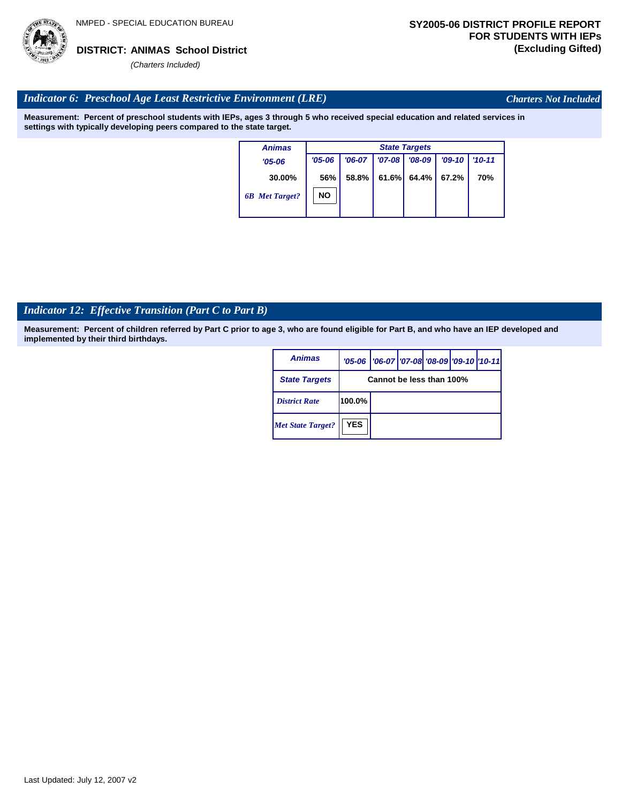

*Charters Not Included*

#### *Indicator 6: Preschool Age Least Restrictive Environment (LRE)*

**Measurement: Percent of preschool students with IEPs, ages 3 through 5 who received special education and related services in settings with typically developing peers compared to the state target.**

| <b>Animas</b>         |            | <b>State Targets</b> |          |          |          |            |  |  |  |  |
|-----------------------|------------|----------------------|----------|----------|----------|------------|--|--|--|--|
| $'05 - 06$            | $'05 - 06$ | $'06-07$             | $'07-08$ | $'08-09$ | $'09-10$ | $'10 - 11$ |  |  |  |  |
| 30.00%                | 56%        | 58.8%                | 61.6%    | 64.4% I  | 67.2%    | 70%        |  |  |  |  |
| <b>6B</b> Met Target? | NΟ         |                      |          |          |          |            |  |  |  |  |

# *Indicator 12: Effective Transition (Part C to Part B)*

| <b>Animas</b>            |                          | '05-06   '06-07   '07-08 '08-09   '09-10   '10-11 |  |  |  |  |  |  |  |
|--------------------------|--------------------------|---------------------------------------------------|--|--|--|--|--|--|--|
| <b>State Targets</b>     | Cannot be less than 100% |                                                   |  |  |  |  |  |  |  |
| <b>District Rate</b>     | 100.0%                   |                                                   |  |  |  |  |  |  |  |
| <b>Met State Target?</b> | <b>YES</b>               |                                                   |  |  |  |  |  |  |  |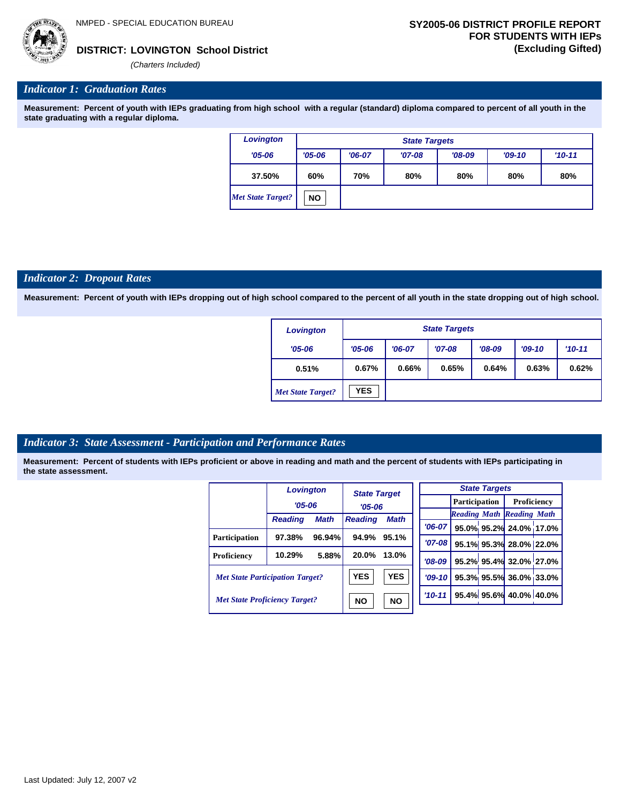*(Charters Included)*

#### *Indicator 1: Graduation Rates*

**Measurement: Percent of youth with IEPs graduating from high school with a regular (standard) diploma compared to percent of all youth in the state graduating with a regular diploma.**

| Lovington                |            | <b>State Targets</b> |          |          |          |          |  |  |  |  |
|--------------------------|------------|----------------------|----------|----------|----------|----------|--|--|--|--|
| $'05 - 06$               | $'05 - 06$ | $'06-07$             | $'07-08$ | $'08-09$ | $'09-10$ | $'10-11$ |  |  |  |  |
| 37.50%                   | 60%        | 70%                  | 80%      | 80%      | 80%      | 80%      |  |  |  |  |
| <b>Met State Target?</b> | <b>NO</b>  |                      |          |          |          |          |  |  |  |  |

#### *Indicator 2: Dropout Rates*

**Measurement: Percent of youth with IEPs dropping out of high school compared to the percent of all youth in the state dropping out of high school.**

| Lovington                |            | <b>State Targets</b> |          |          |          |          |  |  |  |  |
|--------------------------|------------|----------------------|----------|----------|----------|----------|--|--|--|--|
| $'05 - 06$               | $'05 - 06$ | $'06-07$             | $'07-08$ | $'08-09$ | $'09-10$ | $'10-11$ |  |  |  |  |
| 0.51%                    | 0.67%      | 0.66%                | 0.65%    | 0.64%    | 0.63%    | 0.62%    |  |  |  |  |
| <b>Met State Target?</b> | <b>YES</b> |                      |          |          |          |          |  |  |  |  |

#### *Indicator 3: State Assessment - Participation and Performance Rates*

|                                        | <b>Lovington</b> |             | <b>State Target</b> |             |          |           |                      | <b>State Targets</b>    |                                  |  |
|----------------------------------------|------------------|-------------|---------------------|-------------|----------|-----------|----------------------|-------------------------|----------------------------------|--|
|                                        | $'05 - 06$       |             |                     |             |          |           | <b>Participation</b> |                         | Proficiency                      |  |
|                                        |                  |             | $'05 - 06$          |             |          |           |                      |                         | <b>Reading Math Reading Math</b> |  |
|                                        | <b>Reading</b>   | <b>Math</b> | <b>Reading</b>      | <b>Math</b> |          | $'06-07$  |                      |                         | 95.0% 95.2% 24.0% 17.0%          |  |
| <b>Participation</b>                   | 97.38%           | 96.94%      | 94.9%               | 95.1%       |          | $'07-08$  |                      |                         |                                  |  |
|                                        |                  |             |                     |             |          |           |                      |                         | 95.1% 95.3% 28.0% 22.0%          |  |
| Proficiency                            | 10.29%           | 5.88%       | 20.0%               | 13.0%       |          | $'08-09$  |                      |                         | 95.2% 95.4% 32.0% 27.0%          |  |
| <b>Met State Participation Target?</b> |                  |             | <b>YES</b>          | <b>YES</b>  |          | $'09-10'$ |                      |                         | 95.3% 95.5% 36.0% 33.0%          |  |
| <b>Met State Proficiency Target?</b>   |                  | <b>NO</b>   | <b>NO</b>           |             | $'10-11$ |           |                      | 95.4% 95.6% 40.0% 40.0% |                                  |  |
|                                        |                  |             |                     |             |          |           |                      |                         |                                  |  |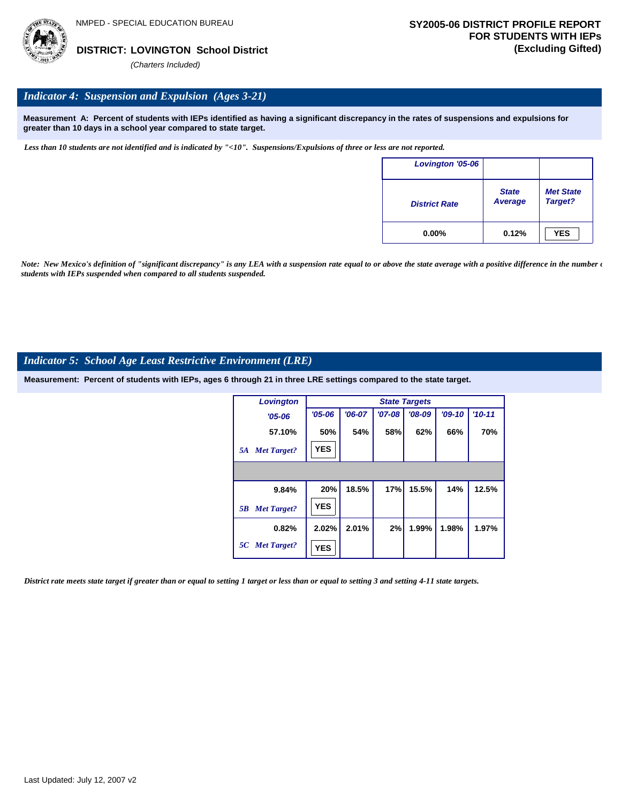

#### *Indicator 4: Suspension and Expulsion (Ages 3-21)*

**Measurement A: Percent of students with IEPs identified as having a significant discrepancy in the rates of suspensions and expulsions for greater than 10 days in a school year compared to state target.**

*Less than 10 students are not identified and is indicated by "<10". Suspensions/Expulsions of three or less are not reported.*

| <b>Lovington '05-06</b> |                                |                             |
|-------------------------|--------------------------------|-----------------------------|
| <b>District Rate</b>    | <b>State</b><br><b>Average</b> | <b>Met State</b><br>Target? |
| $0.00\%$                | 0.12%                          | <b>YES</b>                  |

*Note: New Mexico's definition of "significant discrepancy" is any LEA with a suspension rate equal to or above the state average with a positive difference in the number*  $\epsilon$ *students with IEPs suspended when compared to all students suspended.*

#### *Indicator 5: School Age Least Restrictive Environment (LRE)*

**Measurement: Percent of students with IEPs, ages 6 through 21 in three LRE settings compared to the state target.**

| Lovington                |            | <b>State Targets</b> |          |          |          |          |  |  |  |  |
|--------------------------|------------|----------------------|----------|----------|----------|----------|--|--|--|--|
| $'05 - 06$               | $'05 - 06$ | $'06-07$             | $'07-08$ | $'08-09$ | $'09-10$ | $'10-11$ |  |  |  |  |
| 57.10%                   | 50%        | 54%                  | 58%      | 62%      | 66%      | 70%      |  |  |  |  |
| <b>Met Target?</b><br>5A | <b>YES</b> |                      |          |          |          |          |  |  |  |  |
|                          |            |                      |          |          |          |          |  |  |  |  |
| 9.84%                    | 20%        | 18.5%                | 17%      | 15.5%    | 14%      | 12.5%    |  |  |  |  |
| <b>Met Target?</b><br>5B | <b>YES</b> |                      |          |          |          |          |  |  |  |  |
| 0.82%                    | 2.02%      | 2.01%                | 2%       | 1.99%    | 1.98%    | 1.97%    |  |  |  |  |
| 5C Met Target?           | <b>YES</b> |                      |          |          |          |          |  |  |  |  |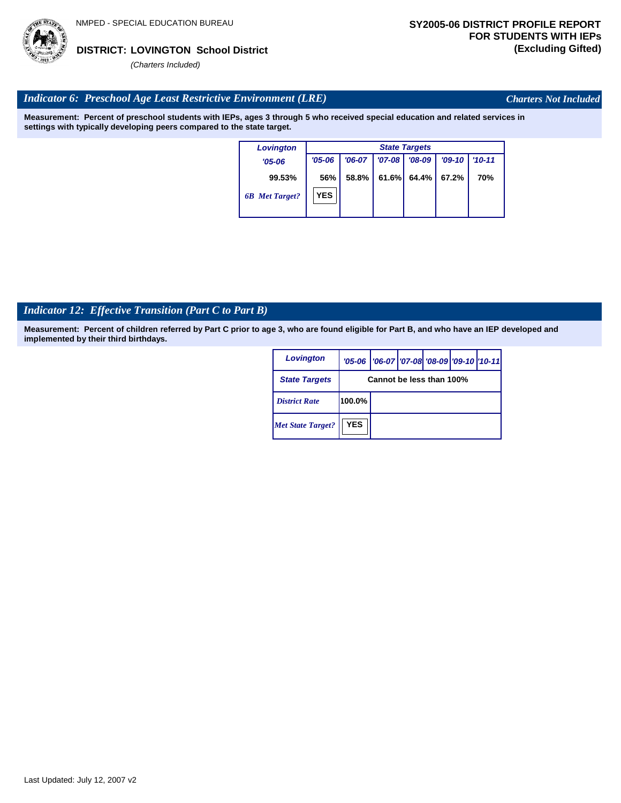

*Charters Not Included*

#### *Indicator 6: Preschool Age Least Restrictive Environment (LRE)*

**Measurement: Percent of preschool students with IEPs, ages 3 through 5 who received special education and related services in settings with typically developing peers compared to the state target.**

| <b>Lovington</b>      |            |          |          | <b>State Targets</b> |          |            |
|-----------------------|------------|----------|----------|----------------------|----------|------------|
| $'05 - 06$            | $'05 - 06$ | $'06-07$ | $'07-08$ | $'08-09$             | $'09-10$ | $'10 - 11$ |
| 99.53%                | 56%        | 58.8%    | 61.6%    | 64.4%                | 67.2%    | 70%        |
| <b>6B</b> Met Target? | <b>YES</b> |          |          |                      |          |            |

# *Indicator 12: Effective Transition (Part C to Part B)*

| Lovington                |                          | '05-06   '06-07   '07-08 '08-09   '09-10   '10-11 |  |  |  |  |  |
|--------------------------|--------------------------|---------------------------------------------------|--|--|--|--|--|
| <b>State Targets</b>     | Cannot be less than 100% |                                                   |  |  |  |  |  |
| <b>District Rate</b>     | 100.0%                   |                                                   |  |  |  |  |  |
| <b>Met State Target?</b> | <b>YES</b>               |                                                   |  |  |  |  |  |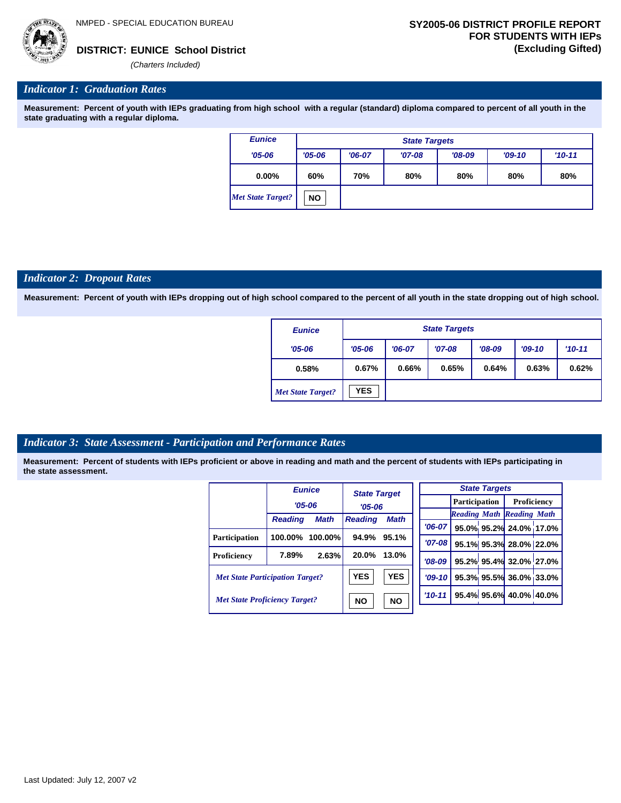

*(Charters Included)*

#### *Indicator 1: Graduation Rates*

**Measurement: Percent of youth with IEPs graduating from high school with a regular (standard) diploma compared to percent of all youth in the state graduating with a regular diploma.**

| <b>Eunice</b>            |            | <b>State Targets</b> |          |          |          |            |  |  |  |  |  |
|--------------------------|------------|----------------------|----------|----------|----------|------------|--|--|--|--|--|
| $'05 - 06$               | $'05 - 06$ | $'06-07$             | $'07-08$ | $'08-09$ | $'09-10$ | $'10 - 11$ |  |  |  |  |  |
| $0.00\%$                 | 60%        | 70%                  | 80%      | 80%      | 80%      | 80%        |  |  |  |  |  |
| <b>Met State Target?</b> | <b>NO</b>  |                      |          |          |          |            |  |  |  |  |  |

#### *Indicator 2: Dropout Rates*

**Measurement: Percent of youth with IEPs dropping out of high school compared to the percent of all youth in the state dropping out of high school.**

| <b>Eunice</b>            |                        | <b>State Targets</b> |          |          |       |          |  |  |  |  |  |
|--------------------------|------------------------|----------------------|----------|----------|-------|----------|--|--|--|--|--|
| $'05 - 06$               | $'05 - 06$<br>$'06-07$ |                      | $'07-08$ | $'08-09$ |       | $'10-11$ |  |  |  |  |  |
| 0.58%                    | 0.67%<br>0.66%         |                      | 0.65%    | 0.64%    | 0.63% | 0.62%    |  |  |  |  |  |
| <b>Met State Target?</b> | <b>YES</b>             |                      |          |          |       |          |  |  |  |  |  |

#### *Indicator 3: State Assessment - Participation and Performance Rates*

|                                        |                | <b>Eunice</b> | <b>State Target</b>    |             |            |                      | <b>State Targets</b> |                                  |  |
|----------------------------------------|----------------|---------------|------------------------|-------------|------------|----------------------|----------------------|----------------------------------|--|
|                                        |                | $'05 - 06$    | $'05 - 06$             |             |            | <b>Participation</b> |                      | Proficiency                      |  |
|                                        |                |               |                        |             |            |                      |                      | <b>Reading Math Reading Math</b> |  |
|                                        | <b>Reading</b> | <b>Math</b>   | <b>Reading</b>         | <b>Math</b> | '06-07 l   |                      |                      | 95.0% 95.2% 24.0% 17.0%          |  |
| <b>Participation</b>                   | 100.00%        | 100.00%       | 94.9%                  | 95.1%       | '07-08 l   |                      |                      | 95.1% 95.3% 28.0% 22.0%          |  |
| Proficiency                            | 7.89%          | 2.63%         | 20.0%                  | 13.0%       | $'08-09$   |                      |                      | 95.2% 95.4% 32.0% 27.0%          |  |
| <b>Met State Participation Target?</b> |                |               | <b>YES</b>             | <b>YES</b>  | $'09-10$   |                      |                      | 95.3% 95.5% 36.0% 33.0%          |  |
| <b>Met State Proficiency Target?</b>   |                |               | <b>NO</b><br><b>NO</b> |             | $'10 - 11$ |                      |                      | 95.4% 95.6% 40.0% 40.0%          |  |
|                                        |                |               |                        |             |            |                      |                      |                                  |  |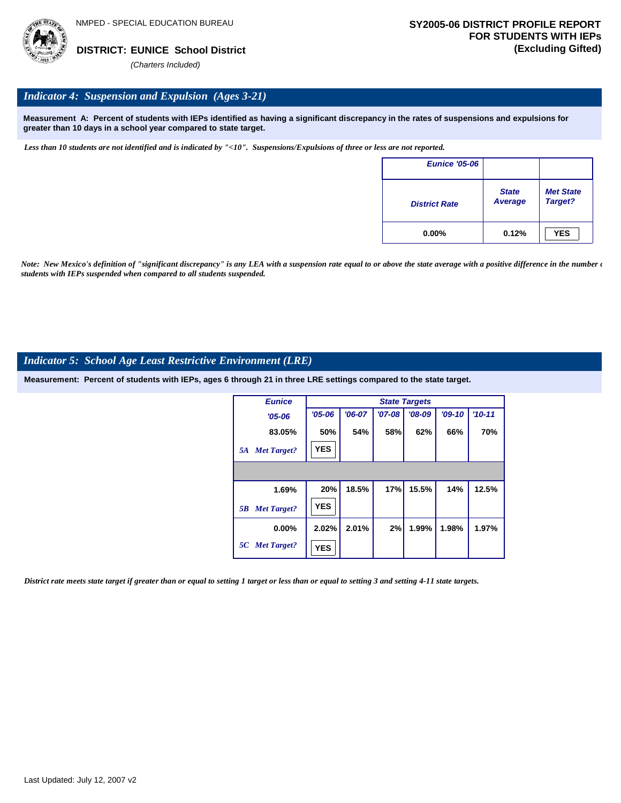

#### *Indicator 4: Suspension and Expulsion (Ages 3-21)*

**Measurement A: Percent of students with IEPs identified as having a significant discrepancy in the rates of suspensions and expulsions for greater than 10 days in a school year compared to state target.**

*Less than 10 students are not identified and is indicated by "<10". Suspensions/Expulsions of three or less are not reported.*

| <b>Eunice '05-06</b> |                         |                             |
|----------------------|-------------------------|-----------------------------|
| <b>District Rate</b> | <b>State</b><br>Average | <b>Met State</b><br>Target? |
| $0.00\%$             | 0.12%                   | <b>YES</b>                  |

*Note: New Mexico's definition of "significant discrepancy" is any LEA with a suspension rate equal to or above the state average with a positive difference in the number*  $\epsilon$ *students with IEPs suspended when compared to all students suspended.*

#### *Indicator 5: School Age Least Restrictive Environment (LRE)*

**Measurement: Percent of students with IEPs, ages 6 through 21 in three LRE settings compared to the state target.**

| <b>Eunice</b>            |            |          |          | <b>State Targets</b> |          |            |
|--------------------------|------------|----------|----------|----------------------|----------|------------|
| $'05 - 06$               | $'05 - 06$ | $'06-07$ | $'07-08$ | $'08-09$             | $'09-10$ | $'10 - 11$ |
| 83.05%                   | 50%        | 54%      | 58%      | 62%                  | 66%      | 70%        |
| <b>Met Target?</b><br>5A | <b>YES</b> |          |          |                      |          |            |
|                          |            |          |          |                      |          |            |
| 1.69%                    | 20%        | 18.5%    | 17%      | 15.5%                | 14%      | 12.5%      |
| <b>Met Target?</b><br>5B | <b>YES</b> |          |          |                      |          |            |
| $0.00\%$                 | 2.02%      | 2.01%    | 2%       | 1.99%                | 1.98%    | 1.97%      |
| 5C Met Target?           | <b>YES</b> |          |          |                      |          |            |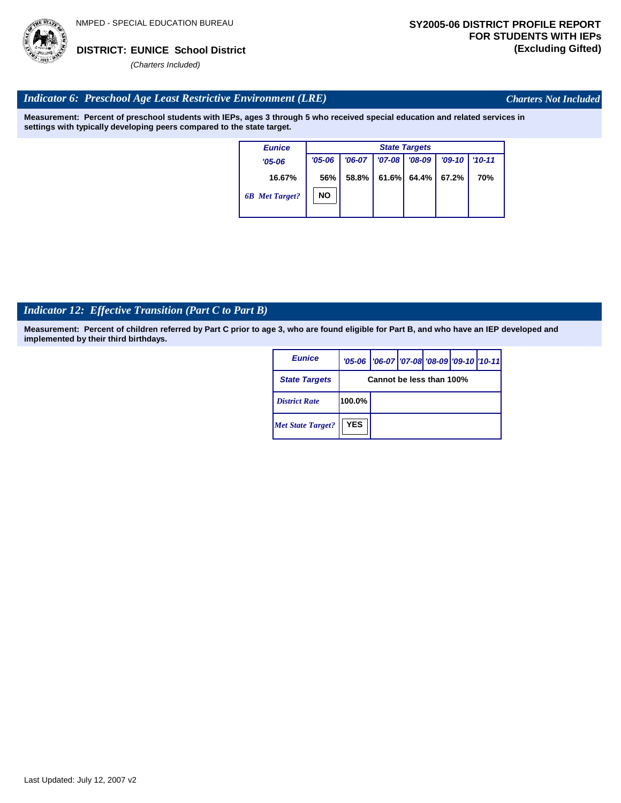

*Charters Not Included*

#### *Indicator 6: Preschool Age Least Restrictive Environment (LRE)*

**Measurement: Percent of preschool students with IEPs, ages 3 through 5 who received special education and related services in settings with typically developing peers compared to the state target.**

| <b>Eunice</b>         |            |          |            | <b>State Targets</b> |          |            |
|-----------------------|------------|----------|------------|----------------------|----------|------------|
| $'05 - 06$            | $'05 - 06$ | $'06-07$ | $'07 - 08$ | $'08-09$             | $'09-10$ | $'10 - 11$ |
| 16.67%                | 56%        | 58.8%    | 61.6%      | 64.4%                | 67.2%    | 70%        |
| <b>6B</b> Met Target? | <b>NO</b>  |          |            |                      |          |            |

# *Indicator 12: Effective Transition (Part C to Part B)*

| <b>Eunice</b>            |            | '05-06   '06-07   '07-08 '08-09   '09-10   '10-11 |  |  |  |  |  |  |  |
|--------------------------|------------|---------------------------------------------------|--|--|--|--|--|--|--|
| <b>State Targets</b>     |            | Cannot be less than 100%                          |  |  |  |  |  |  |  |
| <b>District Rate</b>     | 100.0%     |                                                   |  |  |  |  |  |  |  |
| <b>Met State Target?</b> | <b>YES</b> |                                                   |  |  |  |  |  |  |  |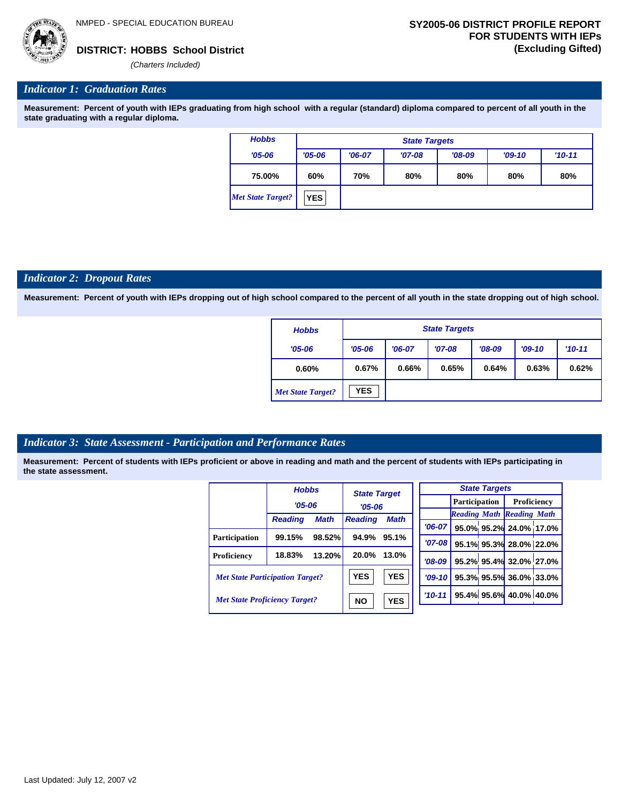

*'06-07* **95.0% 95.2% 24.0% 17.0%**

**95.1% 95.3% 28.0% 22.0% 95.2% 95.4% 32.0% 27.0% 95.3% 95.5% 36.0% 33.0% 95.4% 95.6% 40.0% 40.0%**

*Reading Math Reading Math*

#### *Indicator 1: Graduation Rates*

**Measurement: Percent of youth with IEPs graduating from high school with a regular (standard) diploma compared to percent of all youth in the state graduating with a regular diploma.**

| <b>Hobbs</b>             |            | <b>State Targets</b> |          |          |          |            |  |  |  |  |  |
|--------------------------|------------|----------------------|----------|----------|----------|------------|--|--|--|--|--|
| $'05 - 06$               | $'05 - 06$ | $'06-07$             | $'07-08$ | $'08-09$ | $'09-10$ | $'10 - 11$ |  |  |  |  |  |
| 75.00%                   | 60%        | 70%                  | 80%      | 80%      | 80%      | 80%        |  |  |  |  |  |
| <b>Met State Target?</b> | <b>YES</b> |                      |          |          |          |            |  |  |  |  |  |

#### *Indicator 2: Dropout Rates*

**Measurement: Percent of youth with IEPs dropping out of high school compared to the percent of all youth in the state dropping out of high school.**

| <b>Hobbs</b>             |                        | <b>State Targets</b> |          |          |          |            |  |  |  |  |  |
|--------------------------|------------------------|----------------------|----------|----------|----------|------------|--|--|--|--|--|
| $'05 - 06$               | $'05 - 06$<br>$'06-07$ |                      | $'07-08$ | $'08-09$ | $'09-10$ | $'10 - 11$ |  |  |  |  |  |
| 0.60%                    | 0.67%<br>0.66%         |                      | 0.65%    | 0.64%    | 0.63%    | 0.62%      |  |  |  |  |  |
| <b>Met State Target?</b> | <b>YES</b>             |                      |          |          |          |            |  |  |  |  |  |

#### *Indicator 3: State Assessment - Participation and Performance Rates*

|                                        | <b>Hobbs</b>   |             | <b>State Target</b> |             |            |           |                      | <b>State Targets</b> |                                  |  |
|----------------------------------------|----------------|-------------|---------------------|-------------|------------|-----------|----------------------|----------------------|----------------------------------|--|
|                                        | $'05 - 06$     |             | $'05 - 06$          |             |            |           | <b>Participation</b> |                      | Proficiency                      |  |
|                                        |                |             |                     |             |            |           |                      |                      | <b>Reading Math Reading Math</b> |  |
|                                        | <b>Reading</b> | <b>Math</b> | <b>Reading</b>      | <b>Math</b> | $'06-07$   |           |                      |                      | 95.0% 95.2% 24.0% 17.0           |  |
| <b>Participation</b>                   | 99.15%         | 98.52%      | 94.9%               | 95.1%       |            |           |                      |                      |                                  |  |
|                                        |                |             |                     |             |            | $'07-08$  |                      |                      | 95.1% 95.3% 28.0% 22.0           |  |
| Proficiency                            | 18.83%         | 13.20%      | 20.0%               | 13.0%       | $'08-09$   |           |                      |                      | 95.2% 95.4% 32.0% 27.0           |  |
| <b>Met State Participation Target?</b> |                |             | <b>YES</b>          | <b>YES</b>  |            | $'09-10'$ |                      |                      | 95.3% 95.5% 36.0% 33.0           |  |
| <b>Met State Proficiency Target?</b>   |                |             | <b>NO</b>           | <b>YES</b>  | $'10 - 11$ |           |                      |                      | 95.4% 95.6% 40.0% 40.0%          |  |
|                                        |                |             |                     |             |            |           |                      |                      |                                  |  |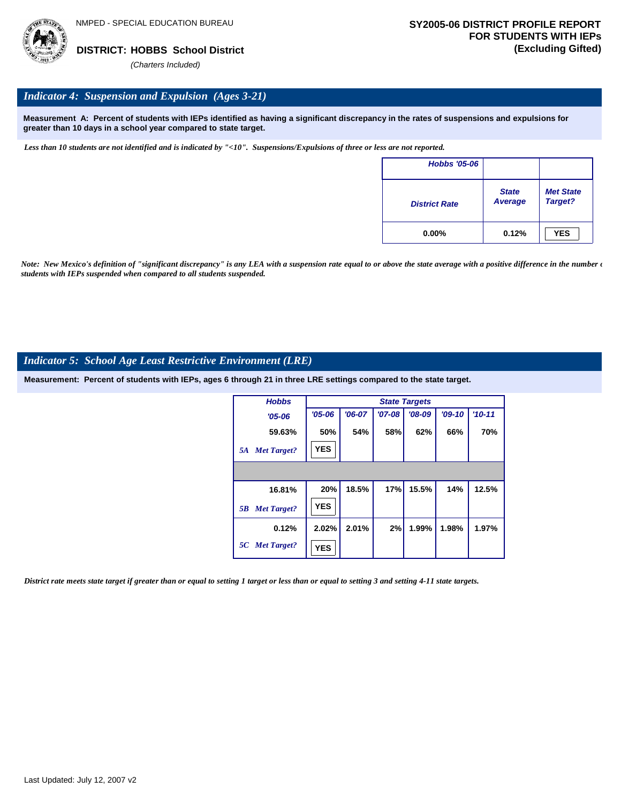

#### *Indicator 4: Suspension and Expulsion (Ages 3-21)*

**Measurement A: Percent of students with IEPs identified as having a significant discrepancy in the rates of suspensions and expulsions for greater than 10 days in a school year compared to state target.**

*Less than 10 students are not identified and is indicated by "<10". Suspensions/Expulsions of three or less are not reported.*

| <b>Hobbs '05-06</b>  |                         |                             |
|----------------------|-------------------------|-----------------------------|
| <b>District Rate</b> | <b>State</b><br>Average | <b>Met State</b><br>Target? |
| $0.00\%$             | 0.12%                   | <b>YES</b>                  |

*Note: New Mexico's definition of "significant discrepancy" is any LEA with a suspension rate equal to or above the state average with a positive difference in the number*  $\epsilon$ *students with IEPs suspended when compared to all students suspended.*

#### *Indicator 5: School Age Least Restrictive Environment (LRE)*

**Measurement: Percent of students with IEPs, ages 6 through 21 in three LRE settings compared to the state target.**

| <b>Hobbs</b>             |            |          |          | <b>State Targets</b> |          |            |
|--------------------------|------------|----------|----------|----------------------|----------|------------|
| $'05 - 06$               | $'05 - 06$ | $'06-07$ | $'07-08$ | $'08-09$             | $'09-10$ | $'10 - 11$ |
| 59.63%                   | 50%        | 54%      | 58%      | 62%                  | 66%      | 70%        |
| <b>Met Target?</b><br>5A | <b>YES</b> |          |          |                      |          |            |
|                          |            |          |          |                      |          |            |
| 16.81%                   | 20%        | 18.5%    | 17%      | 15.5%                | 14%      | 12.5%      |
| <b>Met Target?</b><br>5B | <b>YES</b> |          |          |                      |          |            |
| 0.12%                    | 2.02%      | 2.01%    | 2%       | 1.99%                | 1.98%    | 1.97%      |
| 5C Met Target?           | <b>YES</b> |          |          |                      |          |            |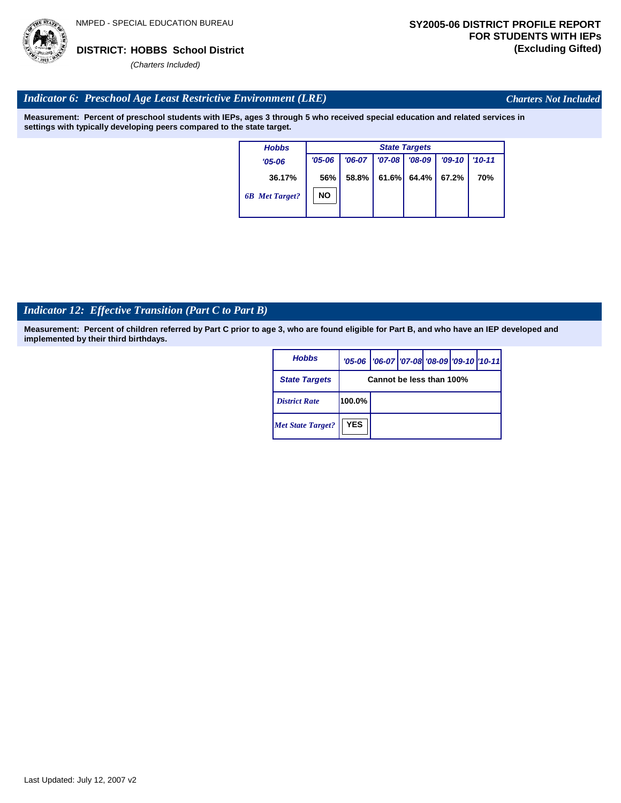

*Charters Not Included*

### *Indicator 6: Preschool Age Least Restrictive Environment (LRE)*

**Measurement: Percent of preschool students with IEPs, ages 3 through 5 who received special education and related services in settings with typically developing peers compared to the state target.**

| <b>Hobbs</b>          |            | <b>State Targets</b> |          |          |          |            |  |  |  |
|-----------------------|------------|----------------------|----------|----------|----------|------------|--|--|--|
| $'05 - 06$            | $'05 - 06$ | $'06-07$             | $'07-08$ | $'08-09$ | $'09-10$ | $'10 - 11$ |  |  |  |
| 36.17%                | 56%        | 58.8%                | 61.6%    | 64.4%    | 67.2%    | 70%        |  |  |  |
| <b>6B</b> Met Target? | <b>NO</b>  |                      |          |          |          |            |  |  |  |

# *Indicator 12: Effective Transition (Part C to Part B)*

| <b>Hobbs</b>             |            | '05-06   '06-07   '07-08 '08-09   '09-10   '10-11 |  |  |  |  |  |  |
|--------------------------|------------|---------------------------------------------------|--|--|--|--|--|--|
| <b>State Targets</b>     |            | Cannot be less than 100%                          |  |  |  |  |  |  |
| <b>District Rate</b>     | 100.0%     |                                                   |  |  |  |  |  |  |
| <b>Met State Target?</b> | <b>YES</b> |                                                   |  |  |  |  |  |  |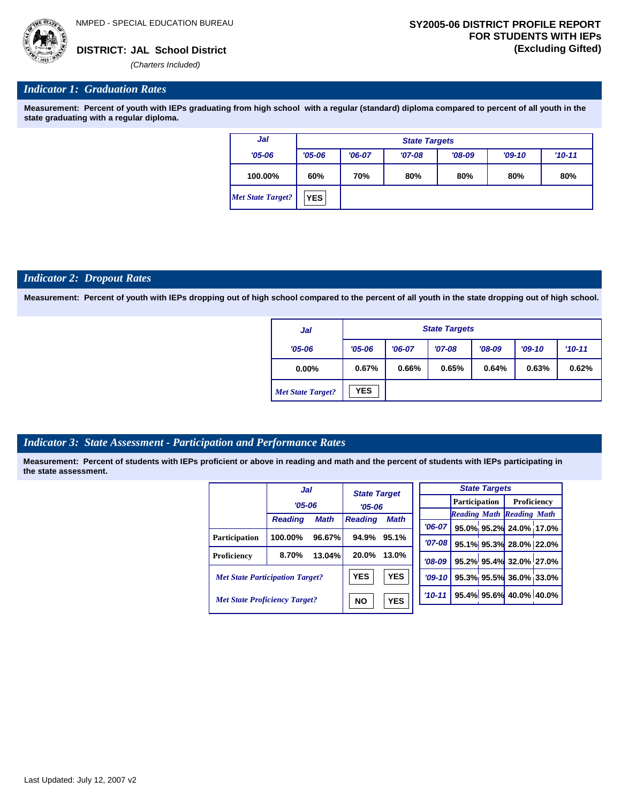

#### *Indicator 1: Graduation Rates*

**Measurement: Percent of youth with IEPs graduating from high school with a regular (standard) diploma compared to percent of all youth in the state graduating with a regular diploma.**

| Jal               |                  | <b>State Targets</b>            |          |          |          |          |  |  |  |
|-------------------|------------------|---------------------------------|----------|----------|----------|----------|--|--|--|
| $'05 - 06$        | $'05 - 06$       | $'06-07$                        | $'07-08$ | $'08-09$ | $'09-10$ | $'10-11$ |  |  |  |
| 100.00%           | 60%              | 70%<br>80%<br>80%<br>80%<br>80% |          |          |          |          |  |  |  |
| Met State Target? | YES <sub>1</sub> |                                 |          |          |          |          |  |  |  |

#### *Indicator 2: Dropout Rates*

**Measurement: Percent of youth with IEPs dropping out of high school compared to the percent of all youth in the state dropping out of high school.**

| Jal                      |            | <b>State Targets</b> |          |          |          |          |  |  |  |
|--------------------------|------------|----------------------|----------|----------|----------|----------|--|--|--|
| $'05 - 06$               | $'05 - 06$ | $'06-07$             | $'07-08$ | $'08-09$ | $'09-10$ | $'10-11$ |  |  |  |
| $0.00\%$                 | 0.67%      | 0.66%                | 0.65%    | 0.64%    | 0.63%    | 0.62%    |  |  |  |
| <b>Met State Target?</b> | <b>YES</b> |                      |          |          |          |          |  |  |  |

#### *Indicator 3: State Assessment - Participation and Performance Rates*

|                                        | Jal            |                         | <b>State Target</b> |             |          |           |                      | <b>State Targets</b>    |                                  |             |  |
|----------------------------------------|----------------|-------------------------|---------------------|-------------|----------|-----------|----------------------|-------------------------|----------------------------------|-------------|--|
|                                        | $'05 - 06$     |                         | $'05 - 06$          |             |          |           | <b>Participation</b> |                         |                                  | Proficiency |  |
|                                        |                |                         |                     |             |          |           |                      |                         | <b>Reading Math Reading Math</b> |             |  |
|                                        | <b>Reading</b> | <b>Math</b>             | <b>Reading</b>      | <b>Math</b> |          | $'06-07$  |                      |                         | 95.0% 95.2% 24.0% 17.0%          |             |  |
| <b>Participation</b>                   | 100.00%        | 96.67%                  | 94.9%               | 95.1%       |          | $'07-08$  |                      |                         | 95.1% 95.3% 28.0% 22.0%          |             |  |
| Proficiency                            | 8.70%          | 13.04%                  | 20.0%               | 13.0%       |          | $'08-09$  |                      |                         | 95.2% 95.4% 32.0% 27.0%          |             |  |
| <b>Met State Participation Target?</b> |                |                         | <b>YES</b>          | <b>YES</b>  |          | $'09-10'$ |                      |                         | 95.3% 95.5% 36.0% 33.0%          |             |  |
| <b>Met State Proficiency Target?</b>   |                | <b>YES</b><br><b>NO</b> |                     |             | $'10-11$ |           |                      | 95.4% 95.6% 40.0% 40.0% |                                  |             |  |
|                                        |                |                         |                     |             |          |           |                      |                         |                                  |             |  |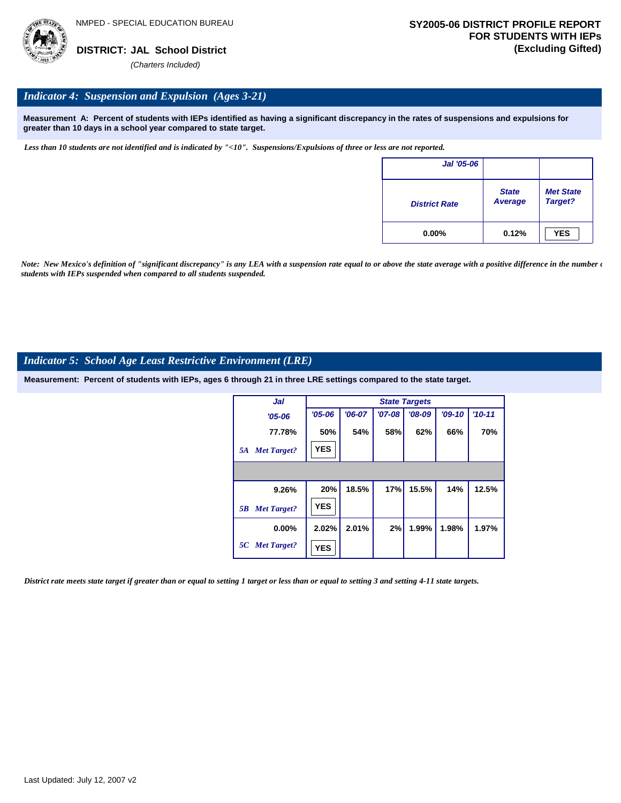

#### *Indicator 4: Suspension and Expulsion (Ages 3-21)*

**Measurement A: Percent of students with IEPs identified as having a significant discrepancy in the rates of suspensions and expulsions for greater than 10 days in a school year compared to state target.**

*Less than 10 students are not identified and is indicated by "<10". Suspensions/Expulsions of three or less are not reported.*

| Jal '05-06           |                         |                             |
|----------------------|-------------------------|-----------------------------|
| <b>District Rate</b> | <b>State</b><br>Average | <b>Met State</b><br>Target? |
| $0.00\%$             | 0.12%                   | <b>YES</b>                  |

*Note: New Mexico's definition of "significant discrepancy" is any LEA with a suspension rate equal to or above the state average with a positive difference in the number*  $\epsilon$ *students with IEPs suspended when compared to all students suspended.*

#### *Indicator 5: School Age Least Restrictive Environment (LRE)*

**Measurement: Percent of students with IEPs, ages 6 through 21 in three LRE settings compared to the state target.**

| Jal                      |            |          |          | <b>State Targets</b> |          |            |
|--------------------------|------------|----------|----------|----------------------|----------|------------|
| $'05 - 06$               | $'05 - 06$ | $'06-07$ | $'07-08$ | $'08-09$             | $'09-10$ | $'10 - 11$ |
| 77.78%                   | 50%        | 54%      | 58%      | 62%                  | 66%      | 70%        |
| <b>Met Target?</b><br>5A | <b>YES</b> |          |          |                      |          |            |
|                          |            |          |          |                      |          |            |
| 9.26%                    | 20%        | 18.5%    | 17%      | 15.5%                | 14%      | 12.5%      |
| <b>Met Target?</b><br>5B | <b>YES</b> |          |          |                      |          |            |
| $0.00\%$                 | 2.02%      | 2.01%    | 2%       | 1.99%                | 1.98%    | 1.97%      |
| 5C Met Target?           | <b>YES</b> |          |          |                      |          |            |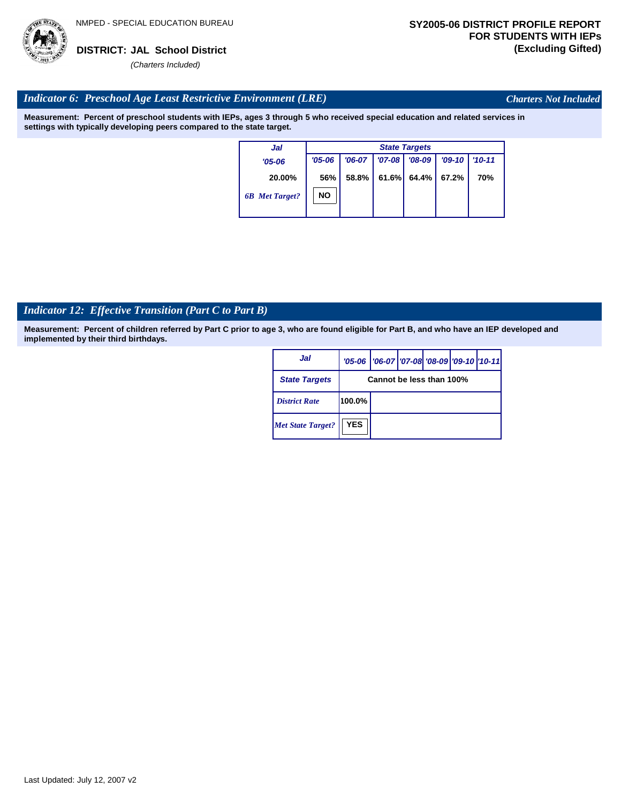

*Charters Not Included*

### *Indicator 6: Preschool Age Least Restrictive Environment (LRE)*

**Measurement: Percent of preschool students with IEPs, ages 3 through 5 who received special education and related services in settings with typically developing peers compared to the state target.**

| Jal                   | <b>State Targets</b> |          |          |          |          |            |  |  |
|-----------------------|----------------------|----------|----------|----------|----------|------------|--|--|
| $'05 - 06$            | $'05 - 06$           | $'06-07$ | $'07-08$ | $'08-09$ | $'09-10$ | $'10 - 11$ |  |  |
| 20.00%                | 56%                  | 58.8%    | 61.6%    | $64.4\%$ | 67.2%    | <b>70%</b> |  |  |
| <b>6B</b> Met Target? | NΟ                   |          |          |          |          |            |  |  |

# *Indicator 12: Effective Transition (Part C to Part B)*

| Jal                      |            | '05-06   '06-07   '07-08   '08-09   '09-10   '10-11 |  |  |  |  |  |  |
|--------------------------|------------|-----------------------------------------------------|--|--|--|--|--|--|
| <b>State Targets</b>     |            | Cannot be less than 100%                            |  |  |  |  |  |  |
| <b>District Rate</b>     | 100.0%     |                                                     |  |  |  |  |  |  |
| <b>Met State Target?</b> | <b>YES</b> |                                                     |  |  |  |  |  |  |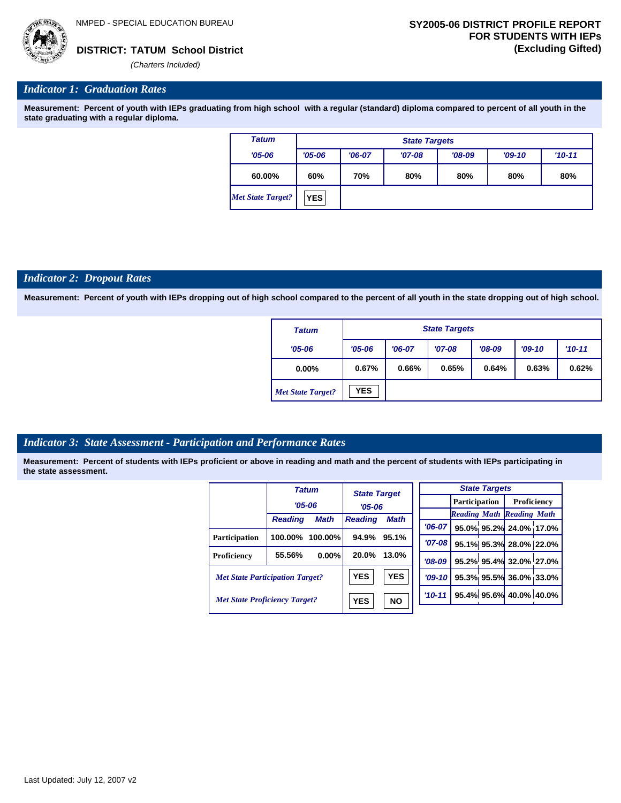

#### *Indicator 1: Graduation Rates*

**Measurement: Percent of youth with IEPs graduating from high school with a regular (standard) diploma compared to percent of all youth in the state graduating with a regular diploma.**

| <b>Tatum</b>             | <b>State Targets</b> |                                 |          |          |          |            |  |  |  |
|--------------------------|----------------------|---------------------------------|----------|----------|----------|------------|--|--|--|
| $'05 - 06$               | $'05 - 06$           | $'06-07$                        | $'07-08$ | $'08-09$ | $'09-10$ | $'10 - 11$ |  |  |  |
| 60.00%                   | 60%                  | 70%<br>80%<br>80%<br>80%<br>80% |          |          |          |            |  |  |  |
| <b>Met State Target?</b> | <b>YES</b>           |                                 |          |          |          |            |  |  |  |

#### *Indicator 2: Dropout Rates*

**Measurement: Percent of youth with IEPs dropping out of high school compared to the percent of all youth in the state dropping out of high school.**

| <b>Tatum</b>             |            | <b>State Targets</b> |          |          |       |          |  |  |  |  |
|--------------------------|------------|----------------------|----------|----------|-------|----------|--|--|--|--|
| $'05 - 06$               | $'05 - 06$ | $'06-07$             | $'07-08$ | $'08-09$ |       | $'10-11$ |  |  |  |  |
| $0.00\%$                 | 0.67%      | 0.66%                | 0.65%    | 0.64%    | 0.63% | 0.62%    |  |  |  |  |
| <b>Met State Target?</b> | <b>YES</b> |                      |          |          |       |          |  |  |  |  |

#### *Indicator 3: State Assessment - Participation and Performance Rates*

|                                        |                | <b>Tatum</b> |                | <b>State Target</b> |            |            |                      | <b>State Targets</b>    |                                  |  |
|----------------------------------------|----------------|--------------|----------------|---------------------|------------|------------|----------------------|-------------------------|----------------------------------|--|
|                                        | $'05 - 06$     |              |                |                     |            |            | <b>Participation</b> |                         | Proficiency                      |  |
|                                        |                |              | $'05 - 06$     |                     |            |            |                      |                         | <b>Reading Math Reading Math</b> |  |
|                                        | <b>Reading</b> | <b>Math</b>  | <b>Reading</b> | <b>Math</b>         |            | $'06-07$   |                      |                         | 95.0% 95.2% 24.0% 17.0%          |  |
| <b>Participation</b>                   | 100.00%        | 100.00%      | 94.9%          | 95.1%               |            |            |                      |                         |                                  |  |
|                                        |                |              |                |                     |            | $'07 - 08$ |                      |                         | 95.1% 95.3% 28.0% 22.0%          |  |
| <b>Proficiency</b>                     | 55.56%         | 0.00%        | 20.0%          | 13.0%               |            | $'08-09$   |                      |                         | 95.2% 95.4% 32.0% 27.0%          |  |
| <b>Met State Participation Target?</b> |                | <b>YES</b>   | <b>YES</b>     |                     | $'09-10$   |            |                      | 95.3% 95.5% 36.0% 33.0% |                                  |  |
| <b>Met State Proficiency Target?</b>   |                | <b>YES</b>   | <b>NO</b>      |                     | $'10 - 11$ |            |                      | 95.4% 95.6% 40.0% 40.0% |                                  |  |
|                                        |                |              |                |                     |            |            |                      |                         |                                  |  |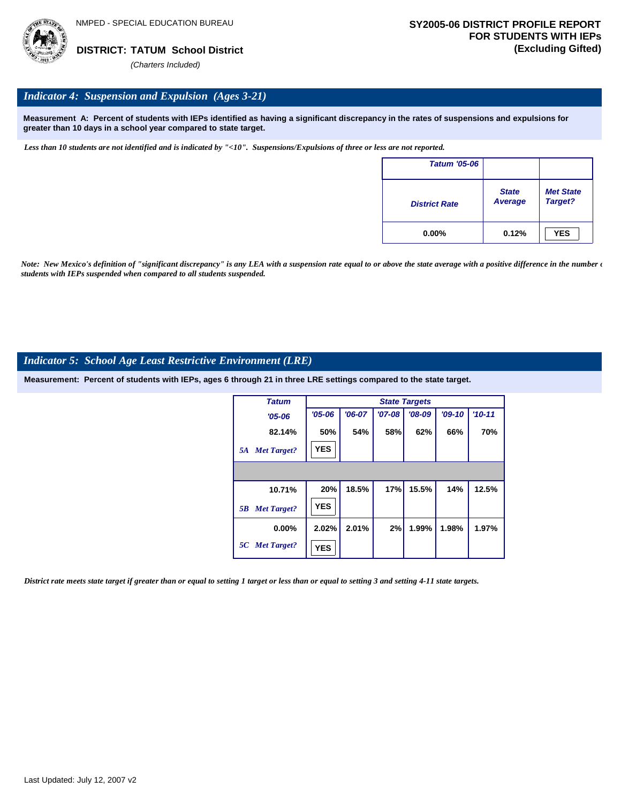

#### *Indicator 4: Suspension and Expulsion (Ages 3-21)*

**Measurement A: Percent of students with IEPs identified as having a significant discrepancy in the rates of suspensions and expulsions for greater than 10 days in a school year compared to state target.**

*Less than 10 students are not identified and is indicated by "<10". Suspensions/Expulsions of three or less are not reported.*

| <b>Tatum '05-06</b>  |                         |                             |
|----------------------|-------------------------|-----------------------------|
| <b>District Rate</b> | <b>State</b><br>Average | <b>Met State</b><br>Target? |
| $0.00\%$             | 0.12%                   | <b>YES</b>                  |

*Note: New Mexico's definition of "significant discrepancy" is any LEA with a suspension rate equal to or above the state average with a positive difference in the number*  $\epsilon$ *students with IEPs suspended when compared to all students suspended.*

#### *Indicator 5: School Age Least Restrictive Environment (LRE)*

**Measurement: Percent of students with IEPs, ages 6 through 21 in three LRE settings compared to the state target.**

| <b>Tatum</b>             |            | <b>State Targets</b> |          |          |          |          |  |  |  |  |  |
|--------------------------|------------|----------------------|----------|----------|----------|----------|--|--|--|--|--|
| $'05 - 06$               | $'05 - 06$ | $'06-07$             | $'07-08$ | $'08-09$ | $'09-10$ | $'10-11$ |  |  |  |  |  |
| 82.14%                   | 50%        | 54%                  | 58%      | 62%      | 66%      | 70%      |  |  |  |  |  |
| <b>Met Target?</b><br>5A | <b>YES</b> |                      |          |          |          |          |  |  |  |  |  |
|                          |            |                      |          |          |          |          |  |  |  |  |  |
| 10.71%                   | 20%        | 18.5%                | 17%      | 15.5%    | 14%      | 12.5%    |  |  |  |  |  |
| <b>Met Target?</b><br>5B | <b>YES</b> |                      |          |          |          |          |  |  |  |  |  |
| $0.00\%$                 | 2.02%      | 2.01%                | 2%       | 1.99%    | 1.98%    | 1.97%    |  |  |  |  |  |
| 5C Met Target?           | <b>YES</b> |                      |          |          |          |          |  |  |  |  |  |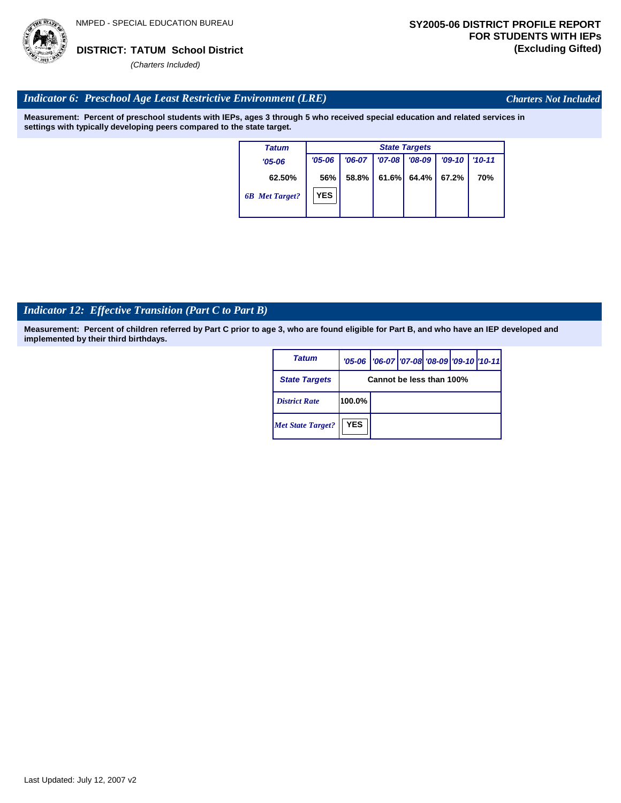

*Charters Not Included*

### *Indicator 6: Preschool Age Least Restrictive Environment (LRE)*

**Measurement: Percent of preschool students with IEPs, ages 3 through 5 who received special education and related services in settings with typically developing peers compared to the state target.**

| Tatum                 | <b>State Targets</b> |          |          |          |          |            |  |  |  |
|-----------------------|----------------------|----------|----------|----------|----------|------------|--|--|--|
| $'05-06$              | $'05 - 06$           | $'06-07$ | $'07-08$ | $'08-09$ | $'09-10$ | $'10 - 11$ |  |  |  |
| 62.50%                | 56%                  | 58.8%    | 61.6%    | 64.4% I  | 67.2%    | 70%        |  |  |  |
| <b>6B</b> Met Target? | <b>YES</b>           |          |          |          |          |            |  |  |  |

# *Indicator 12: Effective Transition (Part C to Part B)*

| <b>Tatum</b>             |                          | '05-06   '06-07   '07-08 '08-09   '09-10   '10-11 |  |  |  |  |  |  |
|--------------------------|--------------------------|---------------------------------------------------|--|--|--|--|--|--|
| <b>State Targets</b>     | Cannot be less than 100% |                                                   |  |  |  |  |  |  |
| <b>District Rate</b>     | 100.0%                   |                                                   |  |  |  |  |  |  |
| <b>Met State Target?</b> | <b>YES</b>               |                                                   |  |  |  |  |  |  |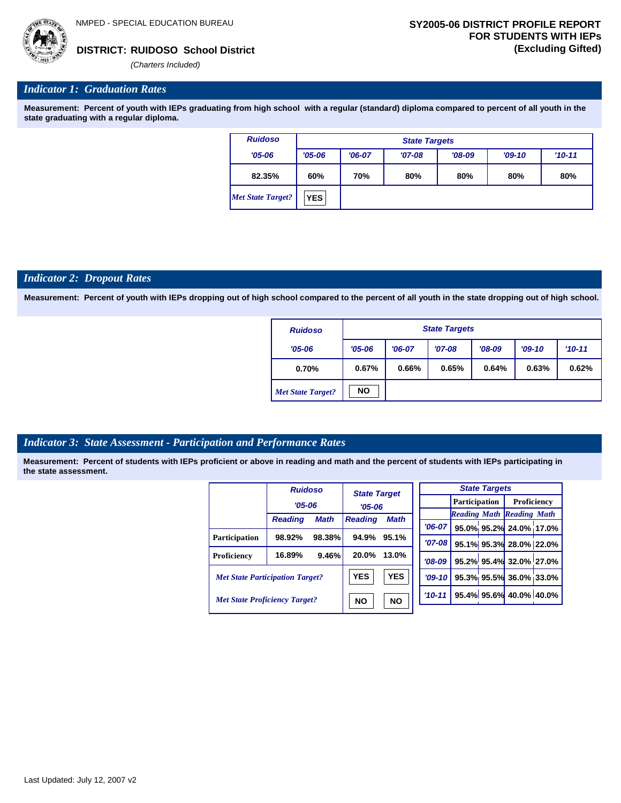#### *Indicator 1: Graduation Rates*

**Measurement: Percent of youth with IEPs graduating from high school with a regular (standard) diploma compared to percent of all youth in the state graduating with a regular diploma.**

| <b>Ruidoso</b>           |            | <b>State Targets</b> |          |            |     |     |  |  |  |  |
|--------------------------|------------|----------------------|----------|------------|-----|-----|--|--|--|--|
| $'05 - 06$               | $'05 - 06$ | $'06-07$             | $'09-10$ | $'10 - 11$ |     |     |  |  |  |  |
| 82.35%                   | 60%        | 70%                  | 80%      | 80%        | 80% | 80% |  |  |  |  |
| <b>Met State Target?</b> | <b>YES</b> |                      |          |            |     |     |  |  |  |  |

#### *Indicator 2: Dropout Rates*

**Measurement: Percent of youth with IEPs dropping out of high school compared to the percent of all youth in the state dropping out of high school.**

| <b>Ruidoso</b>           |            | <b>State Targets</b> |          |          |          |          |  |  |  |  |
|--------------------------|------------|----------------------|----------|----------|----------|----------|--|--|--|--|
| $'05 - 06$               | $'05 - 06$ | $'06-07$             | $'07-08$ | $'08-09$ | $'09-10$ | $'10-11$ |  |  |  |  |
| 0.70%                    | 0.67%      | 0.66%                | 0.65%    | 0.64%    | 0.63%    | 0.62%    |  |  |  |  |
| <b>Met State Target?</b> | <b>NO</b>  |                      |          |          |          |          |  |  |  |  |

#### *Indicator 3: State Assessment - Participation and Performance Rates*

|                                        | <b>Ruidoso</b> |             | <b>State Target</b> |             |           |          |                      | <b>State Targets</b>    |                                  |  |
|----------------------------------------|----------------|-------------|---------------------|-------------|-----------|----------|----------------------|-------------------------|----------------------------------|--|
|                                        | $'05 - 06$     |             | $'05 - 06$          |             |           |          | <b>Participation</b> |                         | Proficiency                      |  |
|                                        |                |             |                     |             |           |          |                      |                         | <b>Reading Math Reading Math</b> |  |
|                                        | <b>Reading</b> | <b>Math</b> | <b>Reading</b>      | <b>Math</b> |           | $'06-07$ |                      |                         | 95.0% 95.2% 24.0% 17.0%          |  |
| <b>Participation</b>                   | 98.92%         | 98.38%      | 94.9%               | 95.1%       |           |          |                      |                         |                                  |  |
|                                        |                |             |                     |             | $'07-08$  |          |                      | 95.1% 95.3% 28.0% 22.0% |                                  |  |
| Proficiency                            | 16.89%         | 9.46%       | 20.0%               | 13.0%       |           | $'08-09$ |                      |                         | 95.2% 95.4% 32.0% 27.0%          |  |
| <b>Met State Participation Target?</b> |                | <b>YES</b>  | <b>YES</b>          |             | $'09-10'$ |          |                      | 95.3% 95.5% 36.0% 33.0% |                                  |  |
| <b>Met State Proficiency Target?</b>   |                | <b>NO</b>   | <b>NO</b>           |             | $'10-11$  |          |                      | 95.4% 95.6% 40.0% 40.0% |                                  |  |
|                                        |                |             |                     |             |           |          |                      |                         |                                  |  |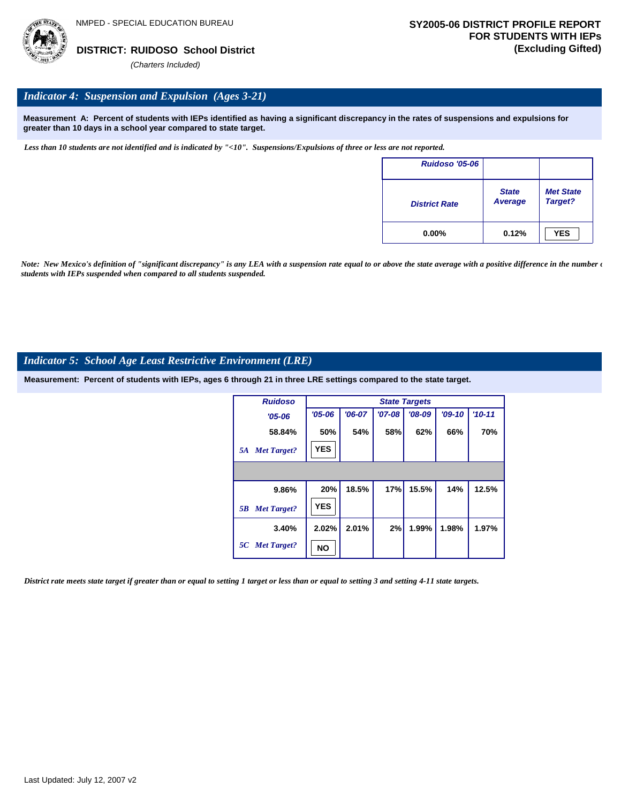

#### *Indicator 4: Suspension and Expulsion (Ages 3-21)*

**Measurement A: Percent of students with IEPs identified as having a significant discrepancy in the rates of suspensions and expulsions for greater than 10 days in a school year compared to state target.**

*Less than 10 students are not identified and is indicated by "<10". Suspensions/Expulsions of three or less are not reported.*

| <b>Ruidoso '05-06</b> |                         |                             |
|-----------------------|-------------------------|-----------------------------|
| <b>District Rate</b>  | <b>State</b><br>Average | <b>Met State</b><br>Target? |
| $0.00\%$              | 0.12%                   | <b>YES</b>                  |

*Note: New Mexico's definition of "significant discrepancy" is any LEA with a suspension rate equal to or above the state average with a positive difference in the number*  $\epsilon$ *students with IEPs suspended when compared to all students suspended.*

#### *Indicator 5: School Age Least Restrictive Environment (LRE)*

**Measurement: Percent of students with IEPs, ages 6 through 21 in three LRE settings compared to the state target.**

| <b>Ruidoso</b>           | <b>State Targets</b> |          |          |          |          |          |  |  |  |
|--------------------------|----------------------|----------|----------|----------|----------|----------|--|--|--|
| $'05 - 06$               | $'05 - 06$           | $'06-07$ | $'07-08$ | $'08-09$ | $'09-10$ | $'10-11$ |  |  |  |
| 58.84%                   | 50%                  | 54%      | 58%      | 62%      | 66%      | 70%      |  |  |  |
| <b>Met Target?</b><br>5A | <b>YES</b>           |          |          |          |          |          |  |  |  |
|                          |                      |          |          |          |          |          |  |  |  |
| 9.86%                    | 20%                  | 18.5%    | 17%      | 15.5%    | 14%      | 12.5%    |  |  |  |
| <b>Met Target?</b><br>5B | <b>YES</b>           |          |          |          |          |          |  |  |  |
| 3.40%                    | 2.02%                | 2.01%    | 2%       | 1.99%    | 1.98%    | 1.97%    |  |  |  |
| 5C Met Target?           | NΟ                   |          |          |          |          |          |  |  |  |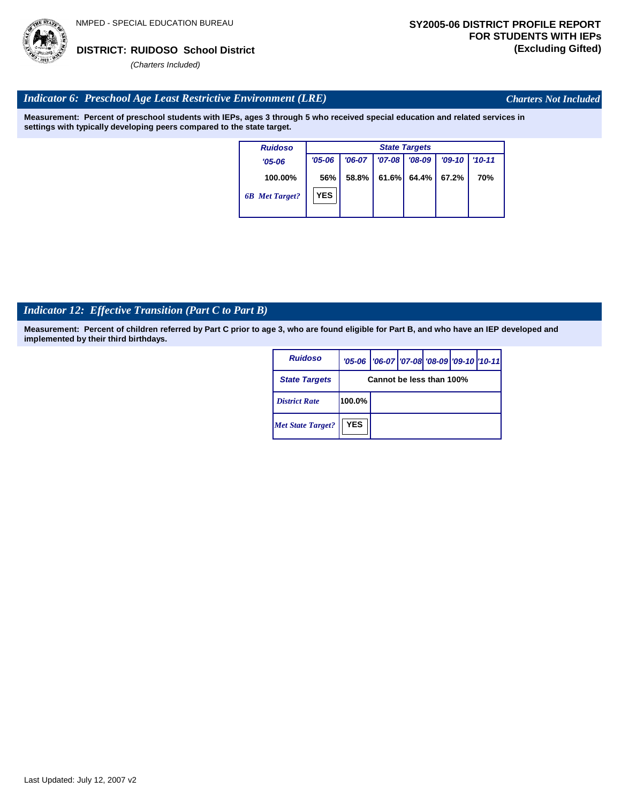

*Charters Not Included*

#### *Indicator 6: Preschool Age Least Restrictive Environment (LRE)*

**Measurement: Percent of preschool students with IEPs, ages 3 through 5 who received special education and related services in settings with typically developing peers compared to the state target.**

| <b>Ruidoso</b>        | <b>State Targets</b> |          |            |          |          |            |  |  |  |
|-----------------------|----------------------|----------|------------|----------|----------|------------|--|--|--|
| $'05-06$              | $'05 - 06$           | $'06-07$ | $'07 - 08$ | $'08-09$ | $'09-10$ | $'10 - 11$ |  |  |  |
| 100.00%               | 56%                  | 58.8%    | 61.6%      | 64.4%    | 67.2%    | 70%        |  |  |  |
| <b>6B</b> Met Target? | <b>YES</b>           |          |            |          |          |            |  |  |  |

# *Indicator 12: Effective Transition (Part C to Part B)*

| <b>Ruidoso</b>           |                          | '05-06   '06-07   '07-08 '08-09   '09-10   '10-11 |  |  |  |  |
|--------------------------|--------------------------|---------------------------------------------------|--|--|--|--|
| <b>State Targets</b>     | Cannot be less than 100% |                                                   |  |  |  |  |
| <b>District Rate</b>     | 100.0%                   |                                                   |  |  |  |  |
| <b>Met State Target?</b> | <b>YES</b>               |                                                   |  |  |  |  |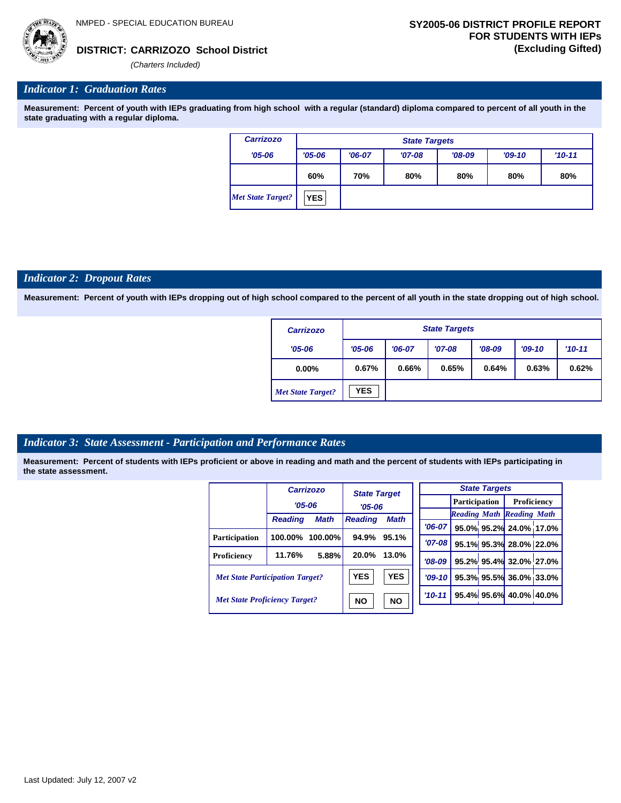**CARRIZOZO School District DISTRICT: (Excluding Gifted)**

*(Charters Included)*

#### *Indicator 1: Graduation Rates*

**Measurement: Percent of youth with IEPs graduating from high school with a regular (standard) diploma compared to percent of all youth in the state graduating with a regular diploma.**

| <b>Carrizozo</b>         | <b>State Targets</b> |          |          |          |          |          |  |  |
|--------------------------|----------------------|----------|----------|----------|----------|----------|--|--|
| $'05 - 06$               | $'05 - 06$           | $'06-07$ | $'07-08$ | $'08-09$ | $'09-10$ | $'10-11$ |  |  |
|                          | 60%                  | 70%      | 80%      | 80%      | 80%      | 80%      |  |  |
| <b>Met State Target?</b> | <b>YES</b>           |          |          |          |          |          |  |  |

#### *Indicator 2: Dropout Rates*

**Measurement: Percent of youth with IEPs dropping out of high school compared to the percent of all youth in the state dropping out of high school.**

| <b>Carrizozo</b>         |            | <b>State Targets</b> |          |          |          |       |  |  |  |
|--------------------------|------------|----------------------|----------|----------|----------|-------|--|--|--|
| $'05 - 06$               | $'05 - 06$ | $'06-07$             | $'08-09$ | $'09-10$ | $'10-11$ |       |  |  |  |
| $0.00\%$                 | 0.67%      | 0.66%                | 0.65%    | 0.64%    | 0.63%    | 0.62% |  |  |  |
| <b>Met State Target?</b> | <b>YES</b> |                      |          |          |          |       |  |  |  |

#### *Indicator 3: State Assessment - Participation and Performance Rates*

|                                        |                | <b>Carrizozo</b> | <b>State Target</b>                                |           |            | <b>State Targets</b> |                         |                                  |             |
|----------------------------------------|----------------|------------------|----------------------------------------------------|-----------|------------|----------------------|-------------------------|----------------------------------|-------------|
|                                        | $'05 - 06$     |                  |                                                    |           |            |                      | <b>Participation</b>    |                                  | Proficiency |
|                                        |                |                  | $'05 - 06$                                         |           |            |                      |                         | <b>Reading Math Reading Math</b> |             |
|                                        | <b>Reading</b> | <b>Math</b>      | <b>Reading</b>                                     | Math      | $'06-07$   |                      |                         | 95.0% 95.2% 24.0% 17.0%          |             |
| <b>Participation</b>                   | 100.00%        | $100.00\%$       | 94.9%                                              | 95.1%     | $'07 - 08$ |                      |                         | 95.1% 95.3% 28.0% 22.0%          |             |
| Proficiency                            | 11.76%         | 5.88%            | 20.0%                                              | 13.0%     | $'08-09$   |                      |                         | 95.2% 95.4% 32.0% 27.0%          |             |
| <b>Met State Participation Target?</b> |                | <b>YES</b>       | <b>YES</b>                                         | $'09-10'$ |            |                      | 95.3% 95.5% 36.0% 33.0% |                                  |             |
| <b>Met State Proficiency Target?</b>   |                | <b>NO</b>        | 95.4% 95.6% 40.0% 40.0%<br>$'10 - 11$<br><b>NO</b> |           |            |                      |                         |                                  |             |
|                                        |                |                  |                                                    |           |            |                      |                         |                                  |             |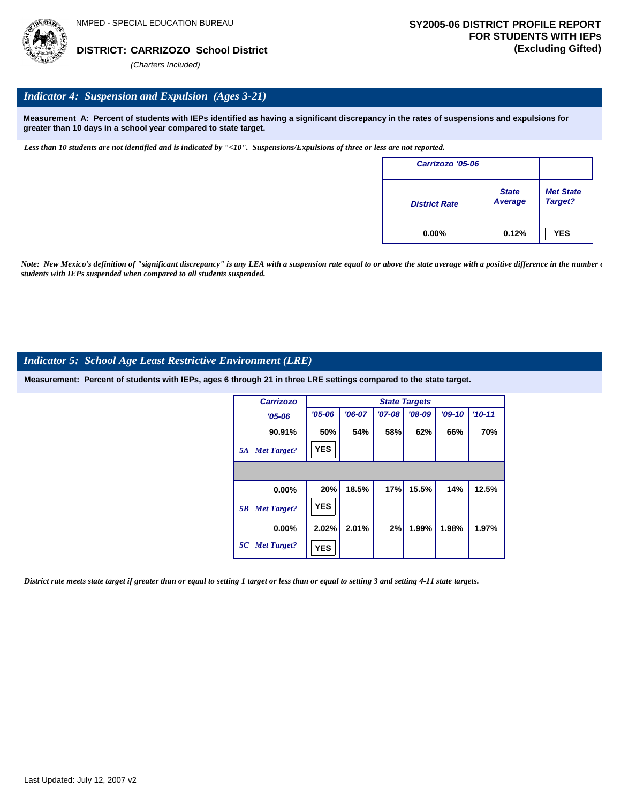### *Indicator 4: Suspension and Expulsion (Ages 3-21)*

**Measurement A: Percent of students with IEPs identified as having a significant discrepancy in the rates of suspensions and expulsions for greater than 10 days in a school year compared to state target.**

*Less than 10 students are not identified and is indicated by "<10". Suspensions/Expulsions of three or less are not reported.*

| Carrizozo '05-06     |                         |                             |
|----------------------|-------------------------|-----------------------------|
| <b>District Rate</b> | <b>State</b><br>Average | <b>Met State</b><br>Target? |
| $0.00\%$             | 0.12%                   | <b>YES</b>                  |

*Note: New Mexico's definition of "significant discrepancy" is any LEA with a suspension rate equal to or above the state average with a positive difference in the number*  $\epsilon$ *students with IEPs suspended when compared to all students suspended.*

#### *Indicator 5: School Age Least Restrictive Environment (LRE)*

**Measurement: Percent of students with IEPs, ages 6 through 21 in three LRE settings compared to the state target.**

| <b>Carrizozo</b>         |            | <b>State Targets</b> |            |          |          |          |  |  |  |
|--------------------------|------------|----------------------|------------|----------|----------|----------|--|--|--|
| $'05 - 06$               | $'05 - 06$ | $'06-07$             | $'07 - 08$ | $'08-09$ | $'09-10$ | $'10-11$ |  |  |  |
| 90.91%                   | 50%        | 54%                  | 58%        | 62%      | 66%      | 70%      |  |  |  |
| <b>Met Target?</b><br>5A | <b>YES</b> |                      |            |          |          |          |  |  |  |
|                          |            |                      |            |          |          |          |  |  |  |
| 0.00%                    | 20%        | 18.5%                | 17%        | 15.5%    | 14%      | 12.5%    |  |  |  |
| <b>Met Target?</b><br>5B | <b>YES</b> |                      |            |          |          |          |  |  |  |
| $0.00\%$                 | 2.02%      | 2.01%                | 2%         | 1.99%    | 1.98%    | 1.97%    |  |  |  |
| 5C Met Target?           | <b>YES</b> |                      |            |          |          |          |  |  |  |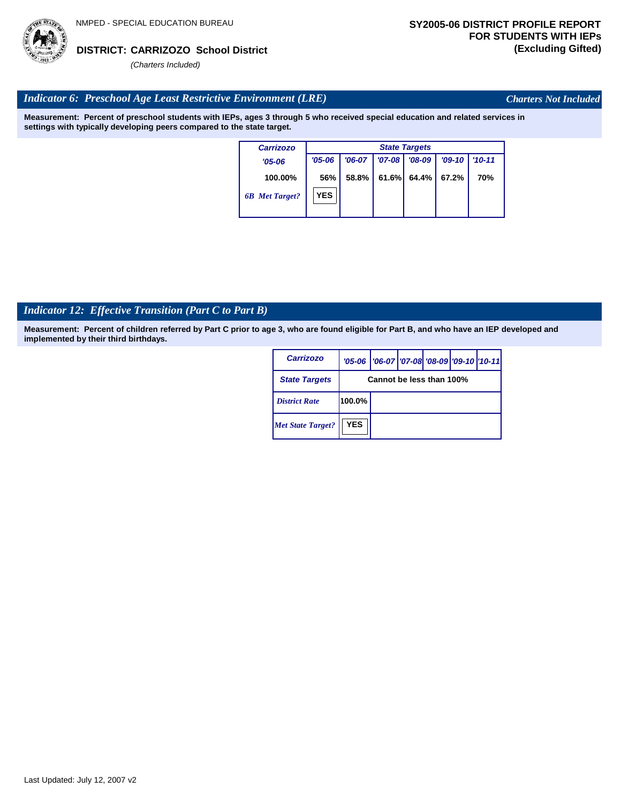

*Charters Not Included*

### *Indicator 6: Preschool Age Least Restrictive Environment (LRE)*

**Measurement: Percent of preschool students with IEPs, ages 3 through 5 who received special education and related services in settings with typically developing peers compared to the state target.**

| <b>Carrizozo</b>      | <b>State Targets</b> |          |          |          |          |            |  |  |
|-----------------------|----------------------|----------|----------|----------|----------|------------|--|--|
| $'05 - 06$            | $'05 - 06$           | $'06-07$ | $'07-08$ | $'08-09$ | $'09-10$ | $'10 - 11$ |  |  |
| 100.00%               | 56%                  | $58.8\%$ | 61.6%    | 64.4%    | 67.2%    | 70%        |  |  |
| <b>6B</b> Met Target? | <b>YES</b>           |          |          |          |          |            |  |  |

# *Indicator 12: Effective Transition (Part C to Part B)*

| <b>Carrizozo</b>         |                          | '05-06   '06-07   '07-08   '08-09   '09-10   '10-11 |  |  |  |  |  |
|--------------------------|--------------------------|-----------------------------------------------------|--|--|--|--|--|
| <b>State Targets</b>     | Cannot be less than 100% |                                                     |  |  |  |  |  |
| <b>District Rate</b>     | 100.0%                   |                                                     |  |  |  |  |  |
| <b>Met State Target?</b> | <b>YES</b>               |                                                     |  |  |  |  |  |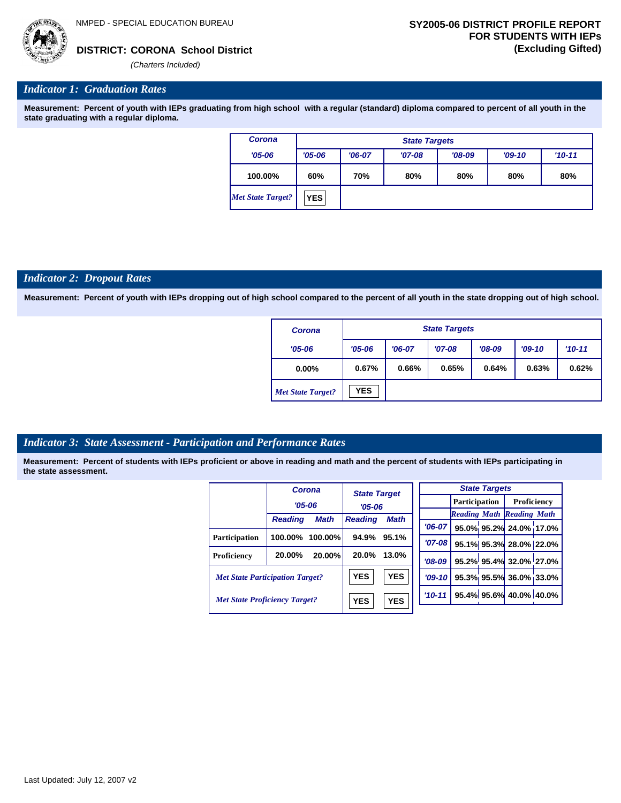*(Charters Included)*

#### *Indicator 1: Graduation Rates*

**Measurement: Percent of youth with IEPs graduating from high school with a regular (standard) diploma compared to percent of all youth in the state graduating with a regular diploma.**

| Corona                   |            | <b>State Targets</b> |          |          |          |            |  |  |  |
|--------------------------|------------|----------------------|----------|----------|----------|------------|--|--|--|
| $'05 - 06$               | $'05 - 06$ | $'06-07$             | $'07-08$ | $'08-09$ | $'09-10$ | $'10 - 11$ |  |  |  |
| 100.00%                  | 60%        | 70%                  | 80%      | 80%      | 80%      | 80%        |  |  |  |
| <b>Met State Target?</b> | <b>YES</b> |                      |          |          |          |            |  |  |  |

#### *Indicator 2: Dropout Rates*

**Measurement: Percent of youth with IEPs dropping out of high school compared to the percent of all youth in the state dropping out of high school.**

| Corona                   |            | <b>State Targets</b> |          |          |          |            |  |  |  |
|--------------------------|------------|----------------------|----------|----------|----------|------------|--|--|--|
| $'05 - 06$               | $'05 - 06$ | $'06-07$             | $'07-08$ | $'08-09$ | $'09-10$ | $'10 - 11$ |  |  |  |
| $0.00\%$                 | 0.67%      | 0.66%                | 0.65%    | 0.64%    | 0.63%    | 0.62%      |  |  |  |
| <b>Met State Target?</b> | <b>YES</b> |                      |          |          |          |            |  |  |  |

#### *Indicator 3: State Assessment - Participation and Performance Rates*

|                                        |                | Corona      | <b>State Target</b> |             |            | <b>State Targets</b> |                         |                                  |  |
|----------------------------------------|----------------|-------------|---------------------|-------------|------------|----------------------|-------------------------|----------------------------------|--|
|                                        | $'05 - 06$     |             |                     |             |            | <b>Participation</b> |                         | <b>Proficiency</b>               |  |
|                                        |                |             | $'05 - 06$          |             |            |                      |                         | <b>Reading Math Reading Math</b> |  |
|                                        | <b>Reading</b> | <b>Math</b> | <b>Reading</b>      | <b>Math</b> | $'06-07$   |                      |                         | 95.0% 95.2% 24.0% 17.0%          |  |
| <b>Participation</b>                   | 100.00%        | $100.00\%$  | 94.9%               | 95.1%       | $'07 - 08$ |                      |                         | 95.1% 95.3% 28.0% 22.0%          |  |
| Proficiency                            | 20.00%         | 20.00%      | 20.0%               | 13.0%       | $'08-09$   |                      |                         | 95.2% 95.4% 32.0% 27.0%          |  |
| <b>Met State Participation Target?</b> |                | <b>YES</b>  | <b>YES</b>          | $'09-10'$   |            |                      | 95.3% 95.5% 36.0% 33.0% |                                  |  |
| <b>Met State Proficiency Target?</b>   |                | <b>YES</b>  | <b>YES</b>          | $'10 - 11$  |            |                      | 95.4% 95.6% 40.0% 40.0% |                                  |  |
|                                        |                |             |                     |             |            |                      |                         |                                  |  |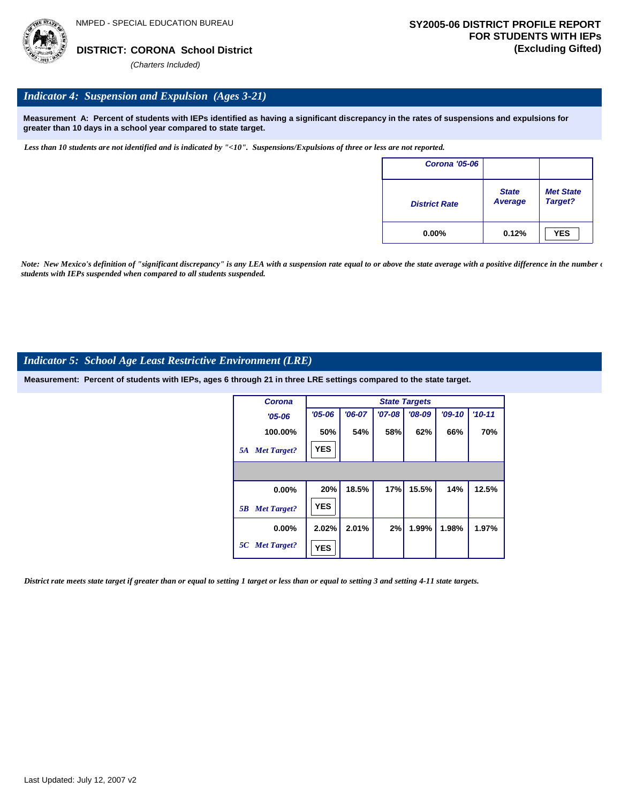

### *Indicator 4: Suspension and Expulsion (Ages 3-21)*

**Measurement A: Percent of students with IEPs identified as having a significant discrepancy in the rates of suspensions and expulsions for greater than 10 days in a school year compared to state target.**

*Less than 10 students are not identified and is indicated by "<10". Suspensions/Expulsions of three or less are not reported.*

| <b>Corona '05-06</b> |                                |                             |
|----------------------|--------------------------------|-----------------------------|
| <b>District Rate</b> | <b>State</b><br><b>Average</b> | <b>Met State</b><br>Target? |
| $0.00\%$             | 0.12%                          | <b>YES</b>                  |

*Note: New Mexico's definition of "significant discrepancy" is any LEA with a suspension rate equal to or above the state average with a positive difference in the number*  $\epsilon$ *students with IEPs suspended when compared to all students suspended.*

#### *Indicator 5: School Age Least Restrictive Environment (LRE)*

**Measurement: Percent of students with IEPs, ages 6 through 21 in three LRE settings compared to the state target.**

| Corona                   |            | <b>State Targets</b> |          |          |          |          |  |  |  |
|--------------------------|------------|----------------------|----------|----------|----------|----------|--|--|--|
| $'05 - 06$               | $'05 - 06$ | $'06-07$             | $'07-08$ | $'08-09$ | $'09-10$ | $'10-11$ |  |  |  |
| 100.00%                  | 50%        | 54%                  | 58%      | 62%      | 66%      | 70%      |  |  |  |
| <b>Met Target?</b><br>5A | <b>YES</b> |                      |          |          |          |          |  |  |  |
|                          |            |                      |          |          |          |          |  |  |  |
| 0.00%                    | 20%        | 18.5%                | 17%      | 15.5%    | 14%      | 12.5%    |  |  |  |
| <b>Met Target?</b><br>5B | <b>YES</b> |                      |          |          |          |          |  |  |  |
| $0.00\%$                 | 2.02%      | 2.01%                | 2%       | 1.99%    | 1.98%    | 1.97%    |  |  |  |
| 5C Met Target?           | <b>YES</b> |                      |          |          |          |          |  |  |  |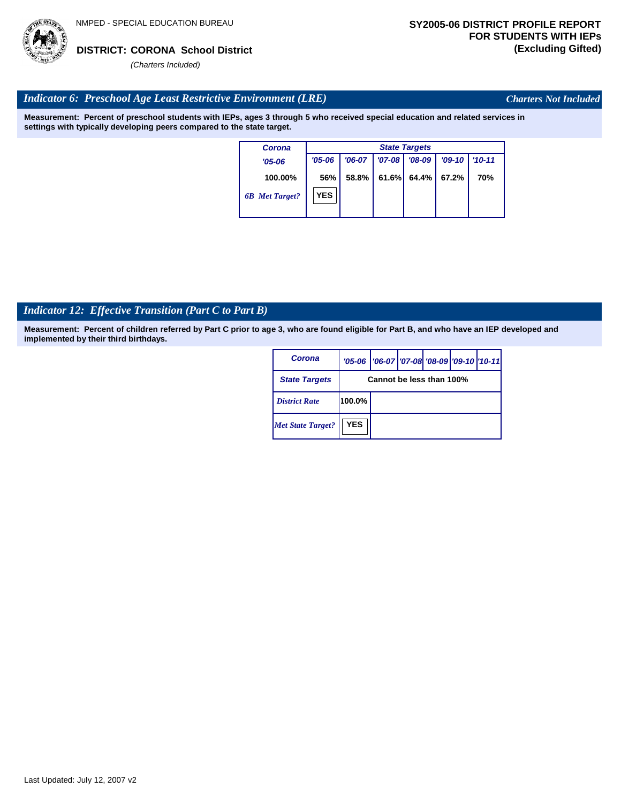

*Charters Not Included*

### *Indicator 6: Preschool Age Least Restrictive Environment (LRE)*

**Measurement: Percent of preschool students with IEPs, ages 3 through 5 who received special education and related services in settings with typically developing peers compared to the state target.**

| Corona                | <b>State Targets</b> |          |            |          |          |            |  |  |  |  |
|-----------------------|----------------------|----------|------------|----------|----------|------------|--|--|--|--|
| $'05 - 06$            | $'05 - 06$           | $'06-07$ | $'07 - 08$ | $'08-09$ | $'09-10$ | $'10 - 11$ |  |  |  |  |
| 100.00%               | 56%                  | 58.8%    | 61.6%      | 64.4%    | 67.2%    | <b>70%</b> |  |  |  |  |
| <b>6B</b> Met Target? | <b>YES</b>           |          |            |          |          |            |  |  |  |  |

# *Indicator 12: Effective Transition (Part C to Part B)*

| Corona                   |            | '05-06   '06-07   '07-08 '08-09   '09-10   '10-11 |  |  |  |  |  |  |  |
|--------------------------|------------|---------------------------------------------------|--|--|--|--|--|--|--|
| <b>State Targets</b>     |            | Cannot be less than 100%                          |  |  |  |  |  |  |  |
| <b>District Rate</b>     | 100.0%     |                                                   |  |  |  |  |  |  |  |
| <b>Met State Target?</b> | <b>YES</b> |                                                   |  |  |  |  |  |  |  |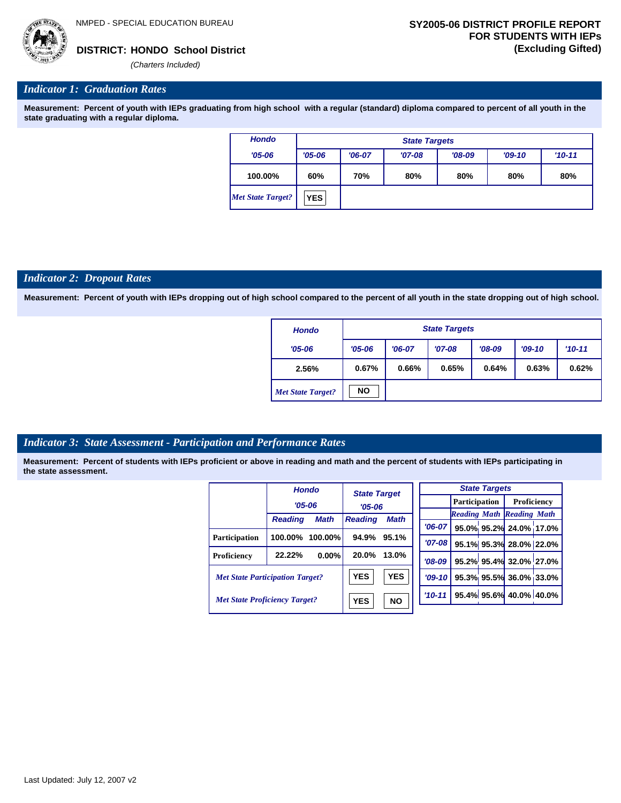

*(Charters Included)*

#### *Indicator 1: Graduation Rates*

**Measurement: Percent of youth with IEPs graduating from high school with a regular (standard) diploma compared to percent of all youth in the state graduating with a regular diploma.**

| <b>Hondo</b>             |            | <b>State Targets</b> |          |          |          |            |  |  |  |  |  |
|--------------------------|------------|----------------------|----------|----------|----------|------------|--|--|--|--|--|
| $'05 - 06$               | $'05 - 06$ | $'06-07$             | $'07-08$ | $'08-09$ | $'09-10$ | $'10 - 11$ |  |  |  |  |  |
| 100.00%                  | 60%        | 70%                  | 80%      | 80%      | 80%      | 80%        |  |  |  |  |  |
| <b>Met State Target?</b> | <b>YES</b> |                      |          |          |          |            |  |  |  |  |  |

#### *Indicator 2: Dropout Rates*

**Measurement: Percent of youth with IEPs dropping out of high school compared to the percent of all youth in the state dropping out of high school.**

| <b>Hondo</b>             |                        | <b>State Targets</b> |          |          |          |          |  |  |  |  |  |
|--------------------------|------------------------|----------------------|----------|----------|----------|----------|--|--|--|--|--|
| $'05 - 06$               | $'05 - 06$<br>$'06-07$ |                      | $'07-08$ | $'08-09$ | $'09-10$ | $'10-11$ |  |  |  |  |  |
| 2.56%                    | 0.67%<br>0.66%         |                      | 0.65%    | 0.64%    | 0.63%    | 0.62%    |  |  |  |  |  |
| <b>Met State Target?</b> | <b>NO</b>              |                      |          |          |          |          |  |  |  |  |  |

#### *Indicator 3: State Assessment - Participation and Performance Rates*

|                                        |                | <b>Hondo</b> | <b>State Target</b> |            |  |          |                      | <b>State Targets</b> |                                  |  |
|----------------------------------------|----------------|--------------|---------------------|------------|--|----------|----------------------|----------------------|----------------------------------|--|
|                                        | $'05 - 06$     |              | $'05 - 06$          |            |  |          | <b>Participation</b> |                      | Proficiency                      |  |
|                                        |                |              |                     |            |  |          |                      |                      | <b>Reading Math Reading Math</b> |  |
|                                        | <b>Reading</b> | <b>Math</b>  | <b>Reading</b>      | Math       |  | $'06-07$ |                      |                      | 95.0% 95.2% 24.0% 17.0%          |  |
| Participation                          | 100.00%        | 100.00%      | 94.9%               | 95.1%      |  | '07-08 l |                      |                      | 95.1% 95.3% 28.0% 22.0%          |  |
| Proficiency                            | 22.22%         | $0.00\%$     | 20.0%               | 13.0%      |  | $'08-09$ |                      |                      | 95.2% 95.4% 32.0% 27.0%          |  |
| <b>Met State Participation Target?</b> |                |              | <b>YES</b>          | <b>YES</b> |  | $'09-10$ |                      |                      | 95.3% 95.5% 36.0% 33.0%          |  |
| <b>Met State Proficiency Target?</b>   |                |              | <b>YES</b>          | <b>NO</b>  |  | $'10-11$ |                      |                      | 95.4% 95.6% 40.0% 40.0%          |  |
|                                        |                |              |                     |            |  |          |                      |                      |                                  |  |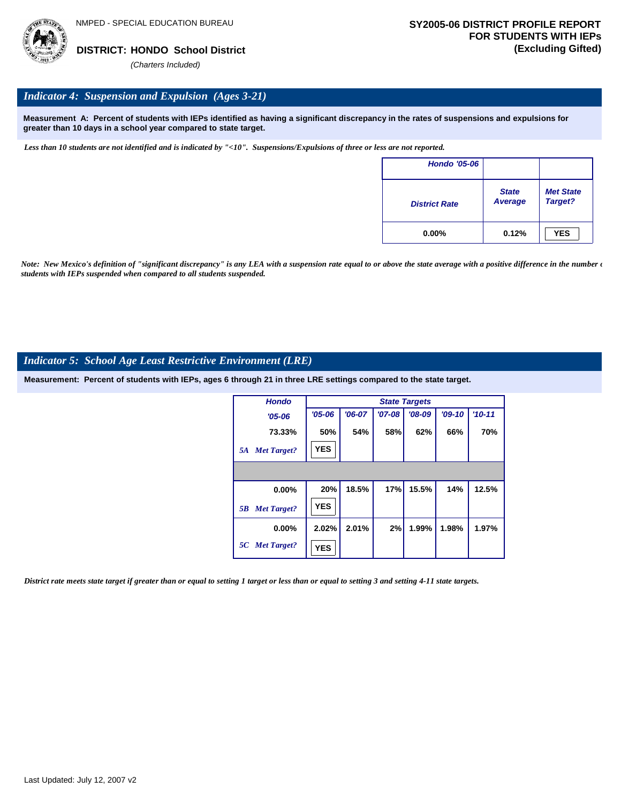

#### *Indicator 4: Suspension and Expulsion (Ages 3-21)*

**Measurement A: Percent of students with IEPs identified as having a significant discrepancy in the rates of suspensions and expulsions for greater than 10 days in a school year compared to state target.**

*Less than 10 students are not identified and is indicated by "<10". Suspensions/Expulsions of three or less are not reported.*

| <b>Hondo '05-06</b>  |                         |                             |
|----------------------|-------------------------|-----------------------------|
| <b>District Rate</b> | <b>State</b><br>Average | <b>Met State</b><br>Target? |
| $0.00\%$             | 0.12%                   | <b>YES</b>                  |

*Note: New Mexico's definition of "significant discrepancy" is any LEA with a suspension rate equal to or above the state average with a positive difference in the number*  $\epsilon$ *students with IEPs suspended when compared to all students suspended.*

#### *Indicator 5: School Age Least Restrictive Environment (LRE)*

**Measurement: Percent of students with IEPs, ages 6 through 21 in three LRE settings compared to the state target.**

| <b>Hondo</b>             |            |          |          | <b>State Targets</b> |          |          |
|--------------------------|------------|----------|----------|----------------------|----------|----------|
| $'05 - 06$               | $'05 - 06$ | $'06-07$ | $'07-08$ | $'08-09$             | $'09-10$ | $'10-11$ |
| 73.33%                   | 50%        | 54%      | 58%      | 62%                  | 66%      | 70%      |
| <b>Met Target?</b><br>5A | <b>YES</b> |          |          |                      |          |          |
|                          |            |          |          |                      |          |          |
| 0.00%                    | 20%        | 18.5%    | 17%      | 15.5%                | 14%      | 12.5%    |
| <b>Met Target?</b><br>5B | <b>YES</b> |          |          |                      |          |          |
| $0.00\%$                 | 2.02%      | 2.01%    | 2%       | 1.99%                | 1.98%    | 1.97%    |
| 5C Met Target?           | <b>YES</b> |          |          |                      |          |          |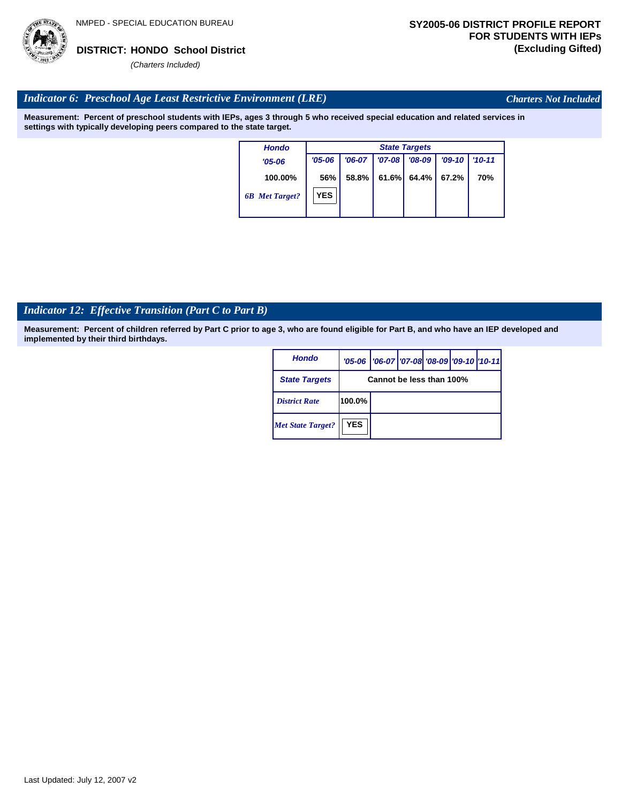

*Charters Not Included*

### *Indicator 6: Preschool Age Least Restrictive Environment (LRE)*

**Measurement: Percent of preschool students with IEPs, ages 3 through 5 who received special education and related services in settings with typically developing peers compared to the state target.**

| <b>Hondo</b>          |            |          |          | <b>State Targets</b> |          |            |
|-----------------------|------------|----------|----------|----------------------|----------|------------|
| $'05-06$              | $'05 - 06$ | $'06-07$ | $'07-08$ | $'08-09$             | $'09-10$ | $'10 - 11$ |
| 100.00%               | 56%        | 58.8%    | 61.6%    | 64.4%                | 67.2%    | 70%        |
| <b>6B</b> Met Target? | YES        |          |          |                      |          |            |

# *Indicator 12: Effective Transition (Part C to Part B)*

| Hondo                    |            | '05-06   '06-07   '07-08 '08-09   '09-10   '10-11 |  |  |  |  |  |  |  |
|--------------------------|------------|---------------------------------------------------|--|--|--|--|--|--|--|
| <b>State Targets</b>     |            | Cannot be less than 100%                          |  |  |  |  |  |  |  |
| <b>District Rate</b>     | 100.0%     |                                                   |  |  |  |  |  |  |  |
| <b>Met State Target?</b> | <b>YES</b> |                                                   |  |  |  |  |  |  |  |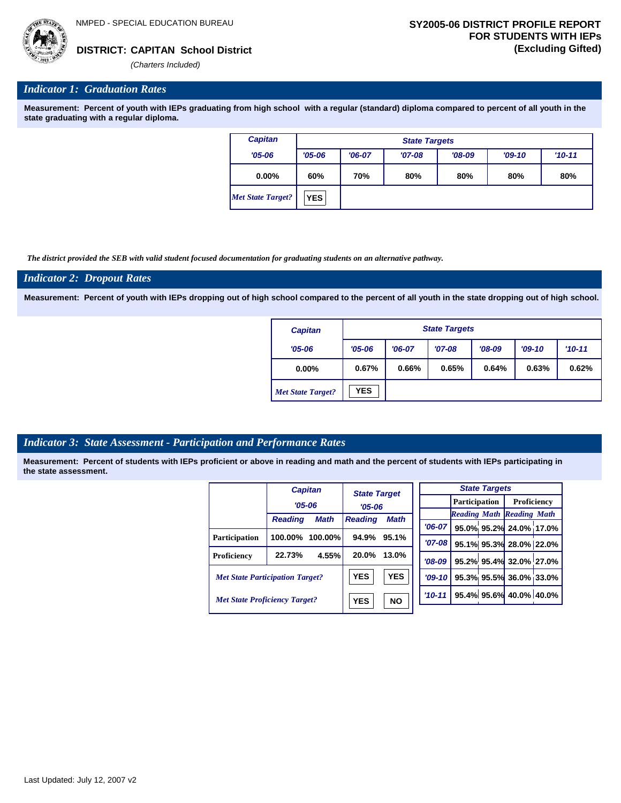*'06-07* **95.0% 95.2% 24.0% 17.0%**

**95.1% 95.3% 28.0% 22.0% 95.2% 95.4% 32.0% 27.0% 95.3% 95.5% 36.0% 33.0% 95.4% 95.6% 40.0% 40.0%**

*Reading Math Reading Math*

### **CAPITAN School District DISTRICT: (Excluding Gifted)**

*(Charters Included)*

#### *Indicator 1: Graduation Rates*

**Measurement: Percent of youth with IEPs graduating from high school with a regular (standard) diploma compared to percent of all youth in the state graduating with a regular diploma.**

| <b>Capitan</b>           |            | <b>State Targets</b> |          |          |          |            |  |  |  |  |  |
|--------------------------|------------|----------------------|----------|----------|----------|------------|--|--|--|--|--|
| $'05 - 06$               | $'05 - 06$ | $'06-07$             | $'07-08$ | $'08-09$ | $'09-10$ | $'10 - 11$ |  |  |  |  |  |
| $0.00\%$                 | 60%        | 70%                  | 80%      | 80%      | 80%      | 80%        |  |  |  |  |  |
| <b>Met State Target?</b> | <b>YES</b> |                      |          |          |          |            |  |  |  |  |  |

*The district provided the SEB with valid student focused documentation for graduating students on an alternative pathway.*

#### *Indicator 2: Dropout Rates*

**Measurement: Percent of youth with IEPs dropping out of high school compared to the percent of all youth in the state dropping out of high school.**

| <b>Capitan</b>           |                        | <b>State Targets</b> |          |          |          |            |  |  |  |  |  |
|--------------------------|------------------------|----------------------|----------|----------|----------|------------|--|--|--|--|--|
| $'05 - 06$               | $'06-07$<br>$'05 - 06$ |                      | $'07-08$ | $'08-09$ | $'09-10$ | $'10 - 11$ |  |  |  |  |  |
| 0.00%                    | 0.67%<br>0.66%         |                      | 0.65%    | 0.64%    | 0.63%    | 0.62%      |  |  |  |  |  |
| <b>Met State Target?</b> | <b>YES</b>             |                      |          |          |          |            |  |  |  |  |  |

#### *Indicator 3: State Assessment - Participation and Performance Rates*

|                                        |                | <b>Capitan</b> | <b>State Target</b> |             |             |                      |  | <b>State Targets</b> |                                  |  |
|----------------------------------------|----------------|----------------|---------------------|-------------|-------------|----------------------|--|----------------------|----------------------------------|--|
|                                        |                | $'05 - 06$     | $'05 - 06$          |             |             | <b>Participation</b> |  |                      | Proficiency                      |  |
|                                        |                | <b>Math</b>    |                     |             |             |                      |  |                      | <b>Reading Math Reading Math</b> |  |
|                                        | <b>Reading</b> |                | <b>Reading</b>      | <b>Math</b> | $'06-07$    |                      |  |                      | 95.0% 95.2% 24.0% 17.0           |  |
| Participation                          | 100.00%        | $100.00\%$     | 94.9%               | 95.1%       |             | $'07-08$             |  |                      | 95.1% 95.3% 28.0% 22.0           |  |
|                                        | 22.73%         | 4.55%          | 20.0%               | 13.0%       |             |                      |  |                      |                                  |  |
| Proficiency                            |                |                |                     |             | $'08-09$    |                      |  |                      | 95.2% 95.4% 32.0% 27.0           |  |
| <b>Met State Participation Target?</b> |                |                | <b>YES</b>          | <b>YES</b>  | $'09 - 10'$ |                      |  |                      | 95.3% 95.5% 36.0% 33.0           |  |
| <b>Met State Proficiency Target?</b>   |                |                | <b>YES</b>          | <b>NO</b>   | $'10 - 11$  |                      |  |                      | 95.4% 95.6% 40.0% 40.0%          |  |
|                                        |                |                |                     |             |             |                      |  |                      |                                  |  |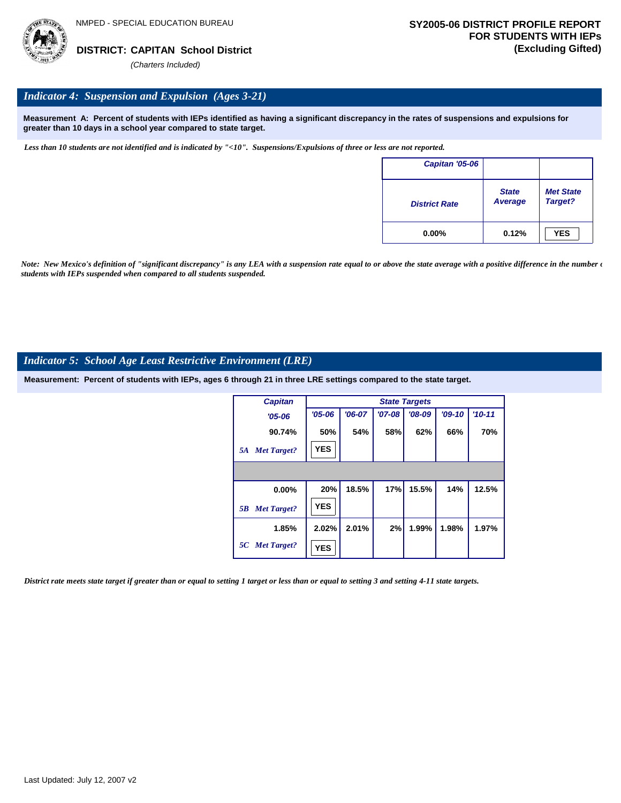

### *Indicator 4: Suspension and Expulsion (Ages 3-21)*

**Measurement A: Percent of students with IEPs identified as having a significant discrepancy in the rates of suspensions and expulsions for greater than 10 days in a school year compared to state target.**

*Less than 10 students are not identified and is indicated by "<10". Suspensions/Expulsions of three or less are not reported.*

| Capitan '05-06       |                         |                             |
|----------------------|-------------------------|-----------------------------|
| <b>District Rate</b> | <b>State</b><br>Average | <b>Met State</b><br>Target? |
| $0.00\%$             | 0.12%                   | <b>YES</b>                  |

*Note: New Mexico's definition of "significant discrepancy" is any LEA with a suspension rate equal to or above the state average with a positive difference in the number*  $\epsilon$ *students with IEPs suspended when compared to all students suspended.*

#### *Indicator 5: School Age Least Restrictive Environment (LRE)*

**Measurement: Percent of students with IEPs, ages 6 through 21 in three LRE settings compared to the state target.**

| <b>Capitan</b>           |            |          |          | <b>State Targets</b> |          |          |
|--------------------------|------------|----------|----------|----------------------|----------|----------|
| $'05 - 06$               | $'05 - 06$ | $'06-07$ | $'07-08$ | $'08-09$             | $'09-10$ | $'10-11$ |
| 90.74%                   | 50%        | 54%      | 58%      | 62%                  | 66%      | 70%      |
| <b>Met Target?</b><br>5A | <b>YES</b> |          |          |                      |          |          |
|                          |            |          |          |                      |          |          |
| 0.00%                    | 20%        | 18.5%    | 17%      | 15.5%                | 14%      | 12.5%    |
| <b>Met Target?</b><br>5B | <b>YES</b> |          |          |                      |          |          |
| 1.85%                    | 2.02%      | 2.01%    | 2%       | 1.99%                | 1.98%    | 1.97%    |
| 5C Met Target?           | <b>YES</b> |          |          |                      |          |          |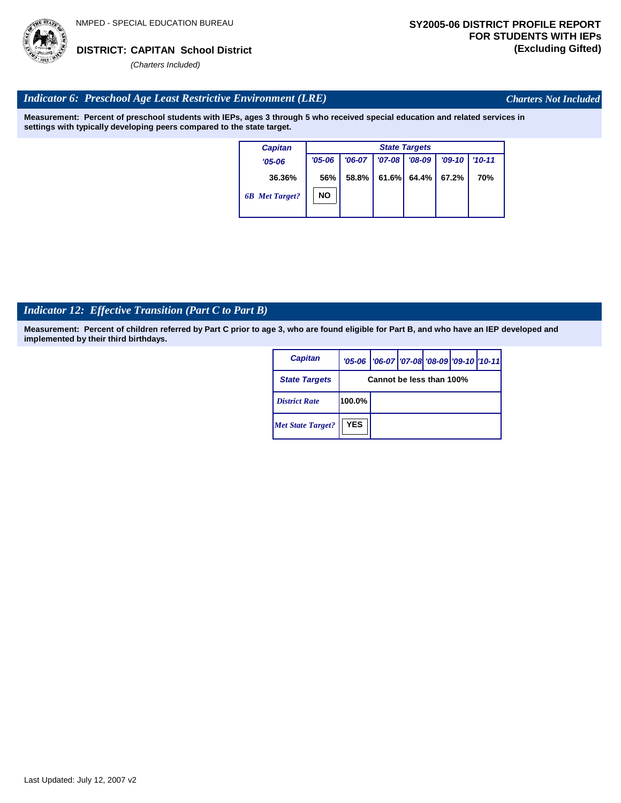

*Charters Not Included*

### *Indicator 6: Preschool Age Least Restrictive Environment (LRE)*

**Measurement: Percent of preschool students with IEPs, ages 3 through 5 who received special education and related services in settings with typically developing peers compared to the state target.**

| <b>Capitan</b>        |            | <b>State Targets</b> |          |          |          |            |  |  |
|-----------------------|------------|----------------------|----------|----------|----------|------------|--|--|
| $'05 - 06$            | $'05 - 06$ | $'06-07$             | $'07-08$ | $'08-09$ | $'09-10$ | $'10 - 11$ |  |  |
| 36.36%                | 56%        | 58.8%                | 61.6%    | 64.4%    | 67.2%    | 70%        |  |  |
| <b>6B</b> Met Target? | NO         |                      |          |          |          |            |  |  |

# *Indicator 12: Effective Transition (Part C to Part B)*

| <b>Capitan</b>           |            | '05-06   '06-07   '07-08 '08-09   '09-10   '10-11 |  |  |  |  |  |  |
|--------------------------|------------|---------------------------------------------------|--|--|--|--|--|--|
| <b>State Targets</b>     |            | Cannot be less than 100%                          |  |  |  |  |  |  |
| <b>District Rate</b>     | 100.0%     |                                                   |  |  |  |  |  |  |
| <b>Met State Target?</b> | <b>YES</b> |                                                   |  |  |  |  |  |  |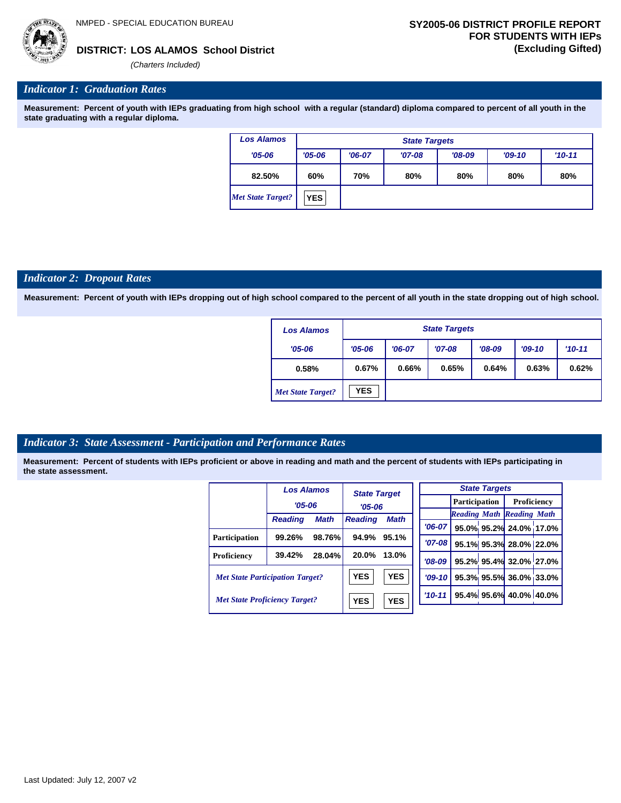**LOS ALAMOS School District DISTRICT: (Excluding Gifted)**

*(Charters Included)*

#### *Indicator 1: Graduation Rates*

**Measurement: Percent of youth with IEPs graduating from high school with a regular (standard) diploma compared to percent of all youth in the state graduating with a regular diploma.**

| <b>Los Alamos</b>        | <b>State Targets</b> |                                 |          |          |          |          |  |  |  |
|--------------------------|----------------------|---------------------------------|----------|----------|----------|----------|--|--|--|
| $'05 - 06$               | $'05 - 06$           | $'06-07$                        | $'07-08$ | $'08-09$ | $'09-10$ | $'10-11$ |  |  |  |
| 82.50%                   | 60%                  | 70%<br>80%<br>80%<br>80%<br>80% |          |          |          |          |  |  |  |
| <b>Met State Target?</b> | <b>YES</b>           |                                 |          |          |          |          |  |  |  |

#### *Indicator 2: Dropout Rates*

**Measurement: Percent of youth with IEPs dropping out of high school compared to the percent of all youth in the state dropping out of high school.**

| <b>Los Alamos</b>        |            | <b>State Targets</b> |          |          |          |            |  |  |  |  |
|--------------------------|------------|----------------------|----------|----------|----------|------------|--|--|--|--|
| $'05 - 06$               | $'05 - 06$ | $'06-07$             | $'07-08$ | $'08-09$ | $'09-10$ | $'10 - 11$ |  |  |  |  |
| 0.58%                    | 0.67%      | 0.66%                | 0.65%    | 0.64%    | 0.63%    | 0.62%      |  |  |  |  |
| <b>Met State Target?</b> | <b>YES</b> |                      |          |          |          |            |  |  |  |  |

#### *Indicator 3: State Assessment - Participation and Performance Rates*

|                                        | <b>Los Alamos</b> |             | <b>State Target</b> |             |            |            |  | <b>State Targets</b>    |                                  |  |             |  |
|----------------------------------------|-------------------|-------------|---------------------|-------------|------------|------------|--|-------------------------|----------------------------------|--|-------------|--|
|                                        | $'05 - 06$        |             |                     |             | $'05 - 06$ |            |  |                         | Participation                    |  | Proficiency |  |
|                                        |                   |             |                     |             |            |            |  |                         | <b>Reading Math Reading Math</b> |  |             |  |
|                                        | <b>Reading</b>    | <b>Math</b> | <b>Reading</b>      | <b>Math</b> |            | $'06-07$   |  |                         | 95.0% 95.2% 24.0% 17.0%          |  |             |  |
| <b>Participation</b>                   | 99.26%            | 98.76%      | 94.9%               | 95.1%       |            | $'07 - 08$ |  |                         |                                  |  |             |  |
|                                        |                   |             |                     |             |            |            |  |                         | 95.1% 95.3% 28.0% 22.0%          |  |             |  |
| Proficiency                            | 39.42%            | 28.04%      | 20.0%               | 13.0%       |            | $'08-09$   |  |                         | 95.2% 95.4% 32.0% 27.0%          |  |             |  |
| <b>Met State Participation Target?</b> |                   | <b>YES</b>  | <b>YES</b>          |             | $'09-10'$  |            |  | 95.3% 95.5% 36.0% 33.0% |                                  |  |             |  |
| <b>Met State Proficiency Target?</b>   |                   | <b>YES</b>  | <b>YES</b>          |             | $'10 - 11$ |            |  | 95.4% 95.6% 40.0% 40.0% |                                  |  |             |  |
|                                        |                   |             |                     |             |            |            |  |                         |                                  |  |             |  |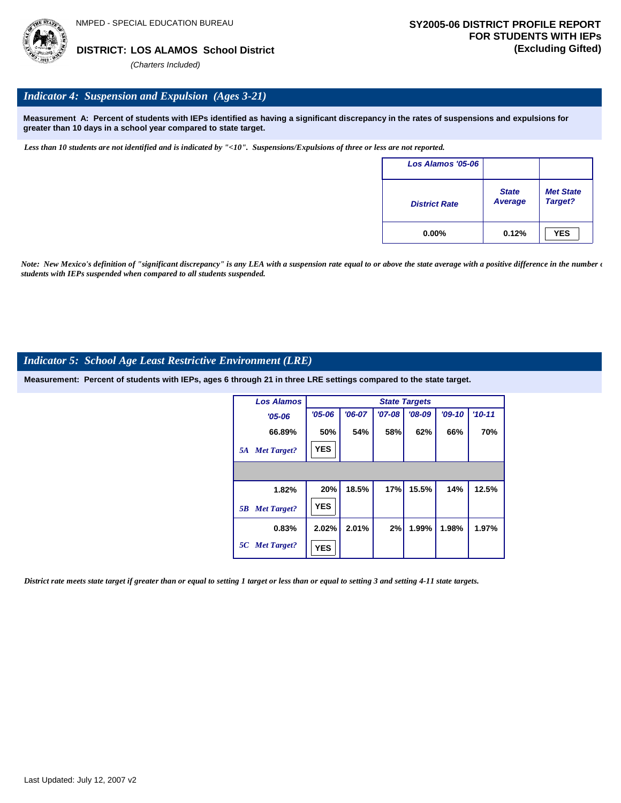

# *Indicator 4: Suspension and Expulsion (Ages 3-21)*

**Measurement A: Percent of students with IEPs identified as having a significant discrepancy in the rates of suspensions and expulsions for greater than 10 days in a school year compared to state target.**

*Less than 10 students are not identified and is indicated by "<10". Suspensions/Expulsions of three or less are not reported.*

| Los Alamos '05-06    |                                |                             |
|----------------------|--------------------------------|-----------------------------|
| <b>District Rate</b> | <b>State</b><br><b>Average</b> | <b>Met State</b><br>Target? |
| $0.00\%$             | 0.12%                          | <b>YES</b>                  |

*Note: New Mexico's definition of "significant discrepancy" is any LEA with a suspension rate equal to or above the state average with a positive difference in the number*  $\epsilon$ *students with IEPs suspended when compared to all students suspended.*

#### *Indicator 5: School Age Least Restrictive Environment (LRE)*

**Measurement: Percent of students with IEPs, ages 6 through 21 in three LRE settings compared to the state target.**

| <b>Los Alamos</b>        |            |          |            | <b>State Targets</b> |          |          |
|--------------------------|------------|----------|------------|----------------------|----------|----------|
| $'05 - 06$               | $'05 - 06$ | $'06-07$ | $'07 - 08$ | $'08-09$             | $'09-10$ | $'10-11$ |
| 66.89%                   | 50%        | 54%      | 58%        | 62%                  | 66%      | 70%      |
| <b>Met Target?</b><br>5A | <b>YES</b> |          |            |                      |          |          |
|                          |            |          |            |                      |          |          |
| 1.82%                    | 20%        | 18.5%    | 17%        | 15.5%                | 14%      | 12.5%    |
| <b>Met Target?</b><br>5B | <b>YES</b> |          |            |                      |          |          |
| 0.83%                    | 2.02%      | 2.01%    | 2%         | 1.99%                | 1.98%    | 1.97%    |
| 5C Met Target?           | <b>YES</b> |          |            |                      |          |          |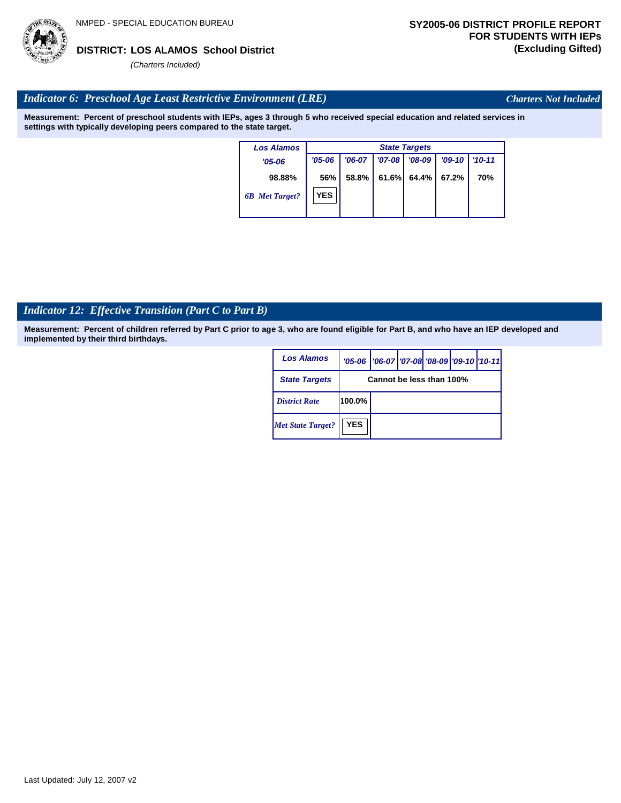# *Indicator 6: Preschool Age Least Restrictive Environment (LRE)*

**Measurement: Percent of preschool students with IEPs, ages 3 through 5 who received special education and related services in settings with typically developing peers compared to the state target.**

| <b>Los Alamos</b>     |            | <b>State Targets</b> |            |          |          |            |  |  |
|-----------------------|------------|----------------------|------------|----------|----------|------------|--|--|
| $'05 - 06$            | $'05 - 06$ | $'06-07$             | $'07 - 08$ | $'08-09$ | $'09-10$ | $'10-11$   |  |  |
| 98.88%                | 56%        | 58.8%                | 61.6%      | 64.4%    | 67.2%    | <b>70%</b> |  |  |
| <b>6B</b> Met Target? | <b>YES</b> |                      |            |          |          |            |  |  |

# *Indicator 12: Effective Transition (Part C to Part B)*

**Measurement: Percent of children referred by Part C prior to age 3, who are found eligible for Part B, and who have an IEP developed and implemented by their third birthdays.**

| <b>Los Alamos</b>        |            | '05-06   '06-07   '07-08 '08-09   '09-10   '10-11 |  |  |  |  |  |
|--------------------------|------------|---------------------------------------------------|--|--|--|--|--|
| <b>State Targets</b>     |            | Cannot be less than 100%                          |  |  |  |  |  |
| <b>District Rate</b>     | 100.0%     |                                                   |  |  |  |  |  |
| <b>Met State Target?</b> | <b>YES</b> |                                                   |  |  |  |  |  |



*Charters Not Included*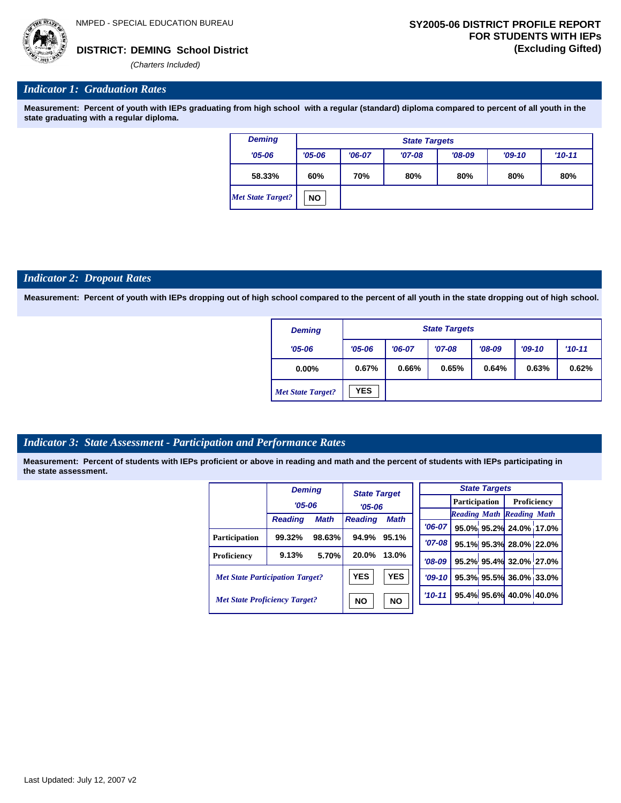

#### *Indicator 1: Graduation Rates*

**Measurement: Percent of youth with IEPs graduating from high school with a regular (standard) diploma compared to percent of all youth in the state graduating with a regular diploma.**

| <b>Deming</b>            | <b>State Targets</b> |                                                            |  |  |  |  |  |  |  |
|--------------------------|----------------------|------------------------------------------------------------|--|--|--|--|--|--|--|
| $'05 - 06$               | $'05 - 06$           | $'08-09$<br>$'06-07$<br>$'09-10$<br>$'10 - 11$<br>$'07-08$ |  |  |  |  |  |  |  |
| 58.33%                   | 60%                  | 80%<br>70%<br>80%<br>80%<br>80%                            |  |  |  |  |  |  |  |
| <b>Met State Target?</b> | <b>NO</b>            |                                                            |  |  |  |  |  |  |  |

#### *Indicator 2: Dropout Rates*

**Measurement: Percent of youth with IEPs dropping out of high school compared to the percent of all youth in the state dropping out of high school.**

| <b>Deming</b>            |            | <b>State Targets</b> |          |          |          |          |  |  |  |
|--------------------------|------------|----------------------|----------|----------|----------|----------|--|--|--|
| $'05 - 06$               | $'05 - 06$ | $'06-07$             | $'07-08$ | $'08-09$ | $'09-10$ | $'10-11$ |  |  |  |
| $0.00\%$                 | 0.67%      | 0.66%                | 0.65%    | 0.64%    | 0.63%    | 0.62%    |  |  |  |
| <b>Met State Target?</b> | <b>YES</b> |                      |          |          |          |          |  |  |  |

#### *Indicator 3: State Assessment - Participation and Performance Rates*

|                                        | <b>Deming</b>  |             | <b>State Target</b><br>$'05 - 06$ |             |          |  | <b>State Targets</b>    |                                  |  |                    |  |
|----------------------------------------|----------------|-------------|-----------------------------------|-------------|----------|--|-------------------------|----------------------------------|--|--------------------|--|
|                                        | $'05 - 06$     |             |                                   |             |          |  |                         | <b>Participation</b>             |  | <b>Proficiency</b> |  |
|                                        |                |             |                                   |             |          |  |                         | <b>Reading Math Reading Math</b> |  |                    |  |
|                                        | <b>Reading</b> | <b>Math</b> | <b>Reading</b>                    | <b>Math</b> | $'06-07$ |  |                         | 95.0% 95.2% 24.0% 17.0%          |  |                    |  |
| <b>Participation</b>                   | 99.32%         | 98.63%      | 94.9%                             | 95.1%       | $'07-08$ |  |                         | 95.1% 95.3% 28.0% 22.0%          |  |                    |  |
| Proficiency                            | 9.13%          | 5.70%       | 20.0%                             | 13.0%       | $'08-09$ |  |                         | 95.2% 95.4% 32.0% 27.0%          |  |                    |  |
| <b>Met State Participation Target?</b> |                | <b>YES</b>  | <b>YES</b>                        | $'09-10'$   |          |  | 95.3% 95.5% 36.0% 33.0% |                                  |  |                    |  |
| <b>Met State Proficiency Target?</b>   |                |             | <b>NO</b><br><b>NO</b>            | $'10-11$    |          |  | 95.4% 95.6% 40.0% 40.0% |                                  |  |                    |  |
|                                        |                |             |                                   |             |          |  |                         |                                  |  |                    |  |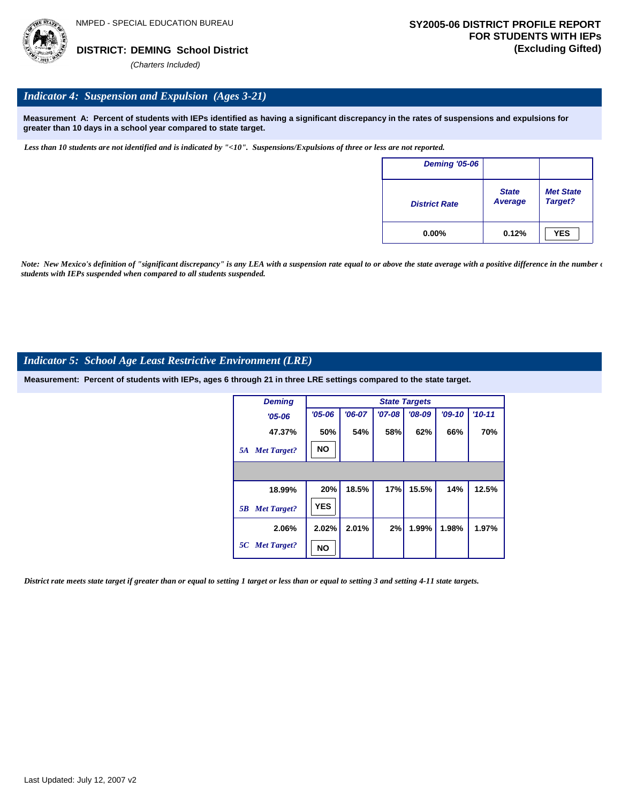

#### *Indicator 4: Suspension and Expulsion (Ages 3-21)*

**Measurement A: Percent of students with IEPs identified as having a significant discrepancy in the rates of suspensions and expulsions for greater than 10 days in a school year compared to state target.**

*Less than 10 students are not identified and is indicated by "<10". Suspensions/Expulsions of three or less are not reported.*

| <b>Deming '05-06</b> |                         |                             |
|----------------------|-------------------------|-----------------------------|
| <b>District Rate</b> | <b>State</b><br>Average | <b>Met State</b><br>Target? |
| $0.00\%$             | 0.12%                   | <b>YES</b>                  |

*Note: New Mexico's definition of "significant discrepancy" is any LEA with a suspension rate equal to or above the state average with a positive difference in the number*  $\epsilon$ *students with IEPs suspended when compared to all students suspended.*

#### *Indicator 5: School Age Least Restrictive Environment (LRE)*

**Measurement: Percent of students with IEPs, ages 6 through 21 in three LRE settings compared to the state target.**

| <b>Deming</b>            |            | <b>State Targets</b> |            |          |          |          |  |  |  |  |  |
|--------------------------|------------|----------------------|------------|----------|----------|----------|--|--|--|--|--|
| $'05 - 06$               | $'05 - 06$ | $'06-07$             | $'07 - 08$ | $'08-09$ | $'09-10$ | $'10-11$ |  |  |  |  |  |
| 47.37%                   | 50%        | 54%                  | 58%        | 62%      | 66%      | 70%      |  |  |  |  |  |
| <b>Met Target?</b><br>5A | <b>NO</b>  |                      |            |          |          |          |  |  |  |  |  |
|                          |            |                      |            |          |          |          |  |  |  |  |  |
| 18.99%                   | 20%        | 18.5%                | 17%        | 15.5%    | 14%      | 12.5%    |  |  |  |  |  |
| <b>Met Target?</b><br>5B | <b>YES</b> |                      |            |          |          |          |  |  |  |  |  |
| 2.06%                    | 2.02%      | 2.01%                | 2%         | 1.99%    | 1.98%    | 1.97%    |  |  |  |  |  |
| 5C Met Target?           | NO         |                      |            |          |          |          |  |  |  |  |  |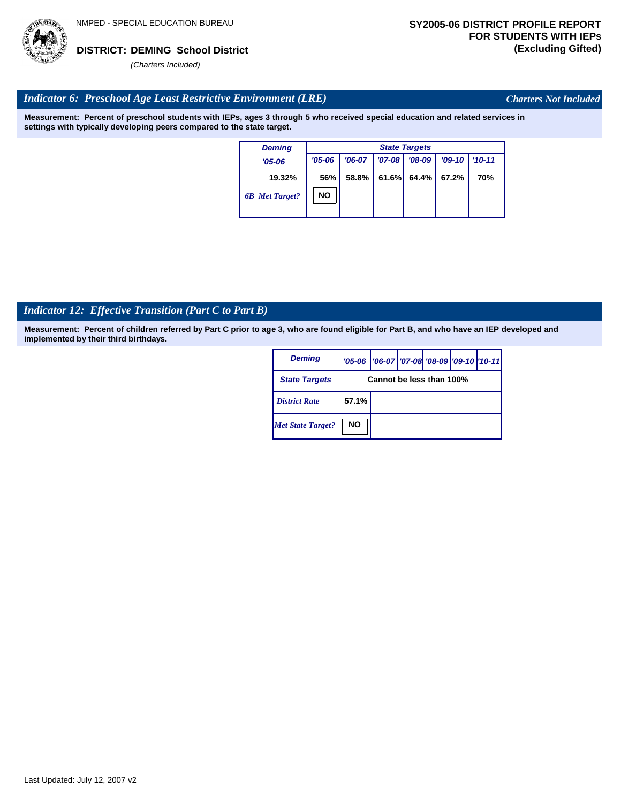

*Charters Not Included*

#### *Indicator 6: Preschool Age Least Restrictive Environment (LRE)*

**Measurement: Percent of preschool students with IEPs, ages 3 through 5 who received special education and related services in settings with typically developing peers compared to the state target.**

| <b>Deming</b>         | <b>State Targets</b> |          |            |          |          |            |  |  |  |
|-----------------------|----------------------|----------|------------|----------|----------|------------|--|--|--|
| $'05 - 06$            | $'05 - 06$           | $'06-07$ | $'07 - 08$ | $'08-09$ | $'09-10$ | $'10 - 11$ |  |  |  |
| 19.32%                | 56%                  | 58.8%    | 61.6%      | 64.4%    | 67.2%    | 70%        |  |  |  |
| <b>6B</b> Met Target? | <b>NO</b>            |          |            |          |          |            |  |  |  |

# *Indicator 12: Effective Transition (Part C to Part B)*

| <b>Deming</b>            |                          | '05-06   '06-07   '07-08   '08-09   '09-10   '10-11 |  |  |  |  |  |  |
|--------------------------|--------------------------|-----------------------------------------------------|--|--|--|--|--|--|
| <b>State Targets</b>     | Cannot be less than 100% |                                                     |  |  |  |  |  |  |
| <b>District Rate</b>     | 57.1%                    |                                                     |  |  |  |  |  |  |
| <b>Met State Target?</b> | <b>NO</b>                |                                                     |  |  |  |  |  |  |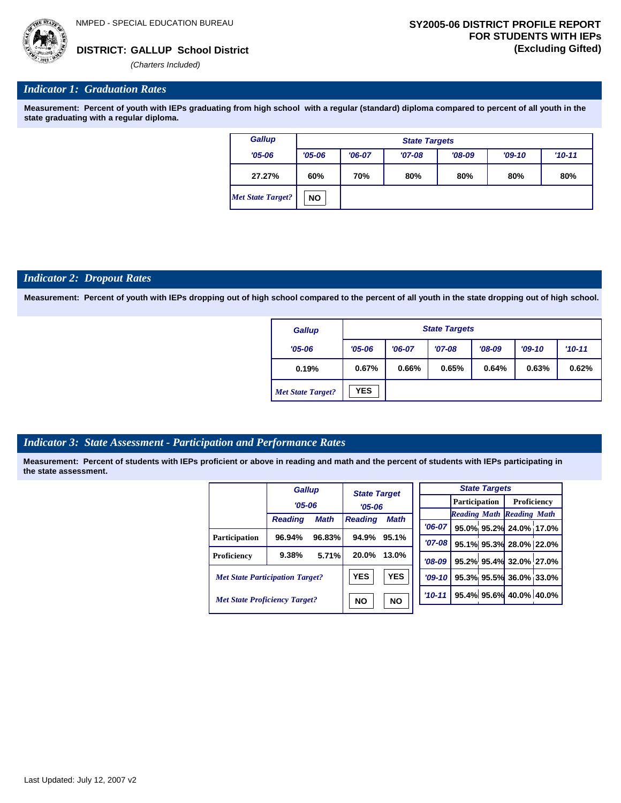*(Charters Included)*

### *Indicator 1: Graduation Rates*

**Measurement: Percent of youth with IEPs graduating from high school with a regular (standard) diploma compared to percent of all youth in the state graduating with a regular diploma.**

| Gallup            |            | <b>State Targets</b> |          |          |          |     |  |  |  |  |
|-------------------|------------|----------------------|----------|----------|----------|-----|--|--|--|--|
| $'05 - 06$        | $'05 - 06$ | $'06-07$             | $'07-08$ | $'09-10$ | $'10-11$ |     |  |  |  |  |
| 27.27%            | 60%        | 70%                  | 80%      | 80%      | 80%      | 80% |  |  |  |  |
| Met State Target? | <b>NO</b>  |                      |          |          |          |     |  |  |  |  |

#### *Indicator 2: Dropout Rates*

**Measurement: Percent of youth with IEPs dropping out of high school compared to the percent of all youth in the state dropping out of high school.**

| Gallup                   |            | <b>State Targets</b> |          |          |          |            |  |  |  |
|--------------------------|------------|----------------------|----------|----------|----------|------------|--|--|--|
| $'05 - 06$               | $'05 - 06$ | $'06-07$             | $'07-08$ | $'08-09$ | $'09-10$ | $'10 - 11$ |  |  |  |
| 0.19%                    | 0.67%      | 0.66%                | 0.65%    | 0.64%    | 0.63%    | 0.62%      |  |  |  |
| <b>Met State Target?</b> | <b>YES</b> |                      |          |          |          |            |  |  |  |

### *Indicator 3: State Assessment - Participation and Performance Rates*

|                                        | <b>Gallup</b>  |             | <b>State Target</b><br>$'05 - 06$ |             |          |  |                         |                                  | <b>State Targets</b> |                      |  |             |  |
|----------------------------------------|----------------|-------------|-----------------------------------|-------------|----------|--|-------------------------|----------------------------------|----------------------|----------------------|--|-------------|--|
|                                        | $'05 - 06$     |             |                                   |             |          |  |                         |                                  |                      | <b>Participation</b> |  | Proficiency |  |
|                                        |                |             |                                   |             |          |  |                         | <b>Reading Math Reading Math</b> |                      |                      |  |             |  |
|                                        | <b>Reading</b> | <b>Math</b> | <b>Reading</b>                    | <b>Math</b> | $'06-07$ |  |                         | 95.0% 95.2% 24.0% 17.0%          |                      |                      |  |             |  |
| <b>Participation</b>                   | 96.94%         | 96.83%      | 94.9%                             | 95.1%       | '07-08 l |  |                         |                                  |                      |                      |  |             |  |
|                                        |                |             |                                   |             |          |  |                         | 95.1% 95.3% 28.0% 22.0%          |                      |                      |  |             |  |
| Proficiency                            | 9.38%          | 5.71%       | 20.0%                             | 13.0%       | $'08-09$ |  |                         | 95.2% 95.4% 32.0% 27.0%          |                      |                      |  |             |  |
| <b>Met State Participation Target?</b> |                | <b>YES</b>  | <b>YES</b>                        | $'09 - 10'$ |          |  | 95.3% 95.5% 36.0% 33.0% |                                  |                      |                      |  |             |  |
| <b>Met State Proficiency Target?</b>   |                |             | <b>NO</b>                         | <b>NO</b>   | $'10-11$ |  |                         | 95.4% 95.6% 40.0% 40.0%          |                      |                      |  |             |  |
|                                        |                |             |                                   |             |          |  |                         |                                  |                      |                      |  |             |  |

|  | Last Updated: July 12, 2007 v2 |  |  |  |  |
|--|--------------------------------|--|--|--|--|
|--|--------------------------------|--|--|--|--|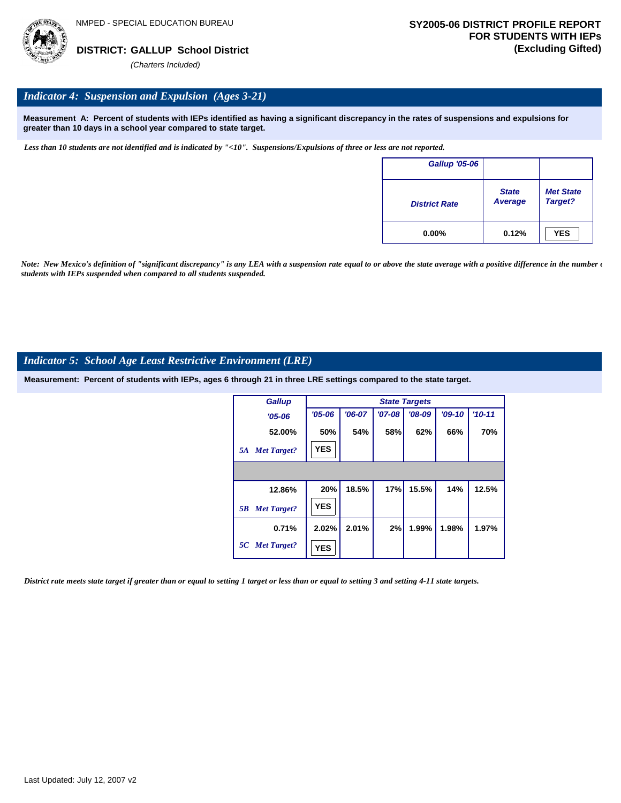

#### *Indicator 4: Suspension and Expulsion (Ages 3-21)*

**Measurement A: Percent of students with IEPs identified as having a significant discrepancy in the rates of suspensions and expulsions for greater than 10 days in a school year compared to state target.**

*Less than 10 students are not identified and is indicated by "<10". Suspensions/Expulsions of three or less are not reported.*

| <b>Gallup '05-06</b> |                         |                             |
|----------------------|-------------------------|-----------------------------|
| <b>District Rate</b> | <b>State</b><br>Average | <b>Met State</b><br>Target? |
| $0.00\%$             | 0.12%                   | <b>YES</b>                  |

*Note: New Mexico's definition of "significant discrepancy" is any LEA with a suspension rate equal to or above the state average with a positive difference in the number*  $\epsilon$ *students with IEPs suspended when compared to all students suspended.*

#### *Indicator 5: School Age Least Restrictive Environment (LRE)*

**Measurement: Percent of students with IEPs, ages 6 through 21 in three LRE settings compared to the state target.**

| <b>Gallup</b>            | <b>State Targets</b> |          |          |          |          |          |  |  |  |
|--------------------------|----------------------|----------|----------|----------|----------|----------|--|--|--|
| $'05 - 06$               | $'05 - 06$           | $'06-07$ | $'07-08$ | $'08-09$ | $'09-10$ | $'10-11$ |  |  |  |
| 52.00%                   | 50%                  | 54%      | 58%      | 62%      | 66%      | 70%      |  |  |  |
| <b>Met Target?</b><br>5A | <b>YES</b>           |          |          |          |          |          |  |  |  |
|                          |                      |          |          |          |          |          |  |  |  |
| 12.86%                   | 20%                  | 18.5%    | 17%      | 15.5%    | 14%      | 12.5%    |  |  |  |
| <b>Met Target?</b><br>5B | <b>YES</b>           |          |          |          |          |          |  |  |  |
| 0.71%                    | 2.02%                | 2.01%    | 2%       | 1.99%    | 1.98%    | 1.97%    |  |  |  |
| 5C Met Target?           | <b>YES</b>           |          |          |          |          |          |  |  |  |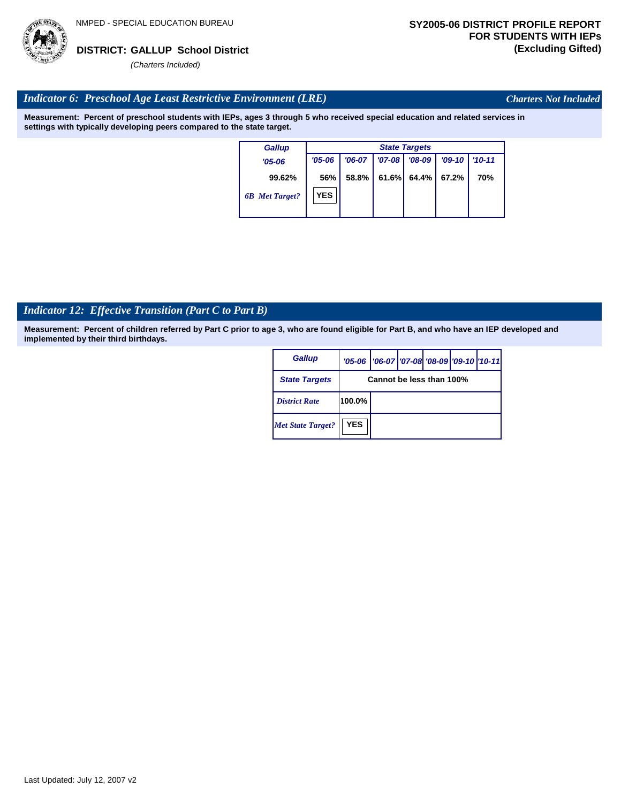

*Charters Not Included*

### *Indicator 6: Preschool Age Least Restrictive Environment (LRE)*

**Measurement: Percent of preschool students with IEPs, ages 3 through 5 who received special education and related services in settings with typically developing peers compared to the state target.**

| Gallup                |            | <b>State Targets</b> |          |          |          |            |  |
|-----------------------|------------|----------------------|----------|----------|----------|------------|--|
| $'05 - 06$            | $'05 - 06$ | $'06-07$             | $'07-08$ | $'08-09$ | $'09-10$ | $'10 - 11$ |  |
| 99.62%                | 56%        | 58.8%                | 61.6%    | 64.4%    | 67.2%    | 70%        |  |
| <b>6B</b> Met Target? | <b>YES</b> |                      |          |          |          |            |  |

# *Indicator 12: Effective Transition (Part C to Part B)*

| <b>Gallup</b>            |            | '05-06   '06-07   '07-08   '08-09   '09-10   '10-11 |  |  |
|--------------------------|------------|-----------------------------------------------------|--|--|
| <b>State Targets</b>     |            | Cannot be less than 100%                            |  |  |
| <b>District Rate</b>     | 100.0%     |                                                     |  |  |
| <b>Met State Target?</b> | <b>YES</b> |                                                     |  |  |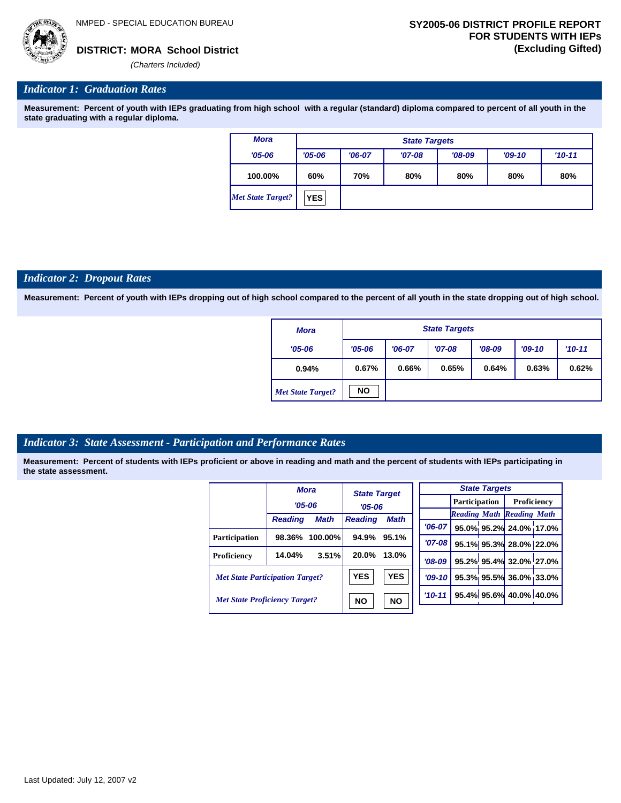

#### *Indicator 1: Graduation Rates*

**Measurement: Percent of youth with IEPs graduating from high school with a regular (standard) diploma compared to percent of all youth in the state graduating with a regular diploma.**

| Mora              |                  |          | <b>State Targets</b> |          |          |          |
|-------------------|------------------|----------|----------------------|----------|----------|----------|
| $'05 - 06$        | $'05 - 06$       | $'06-07$ | $'07-08$             | $'08-09$ | $'09-10$ | $'10-11$ |
| 100.00%           | 60%              | 70%      | 80%                  | 80%      | 80%      | 80%      |
| Met State Target? | YES <sub>1</sub> |          |                      |          |          |          |

#### *Indicator 2: Dropout Rates*

**Measurement: Percent of youth with IEPs dropping out of high school compared to the percent of all youth in the state dropping out of high school.**

| <b>Mora</b>              |            |          | <b>State Targets</b> |          |          |          |
|--------------------------|------------|----------|----------------------|----------|----------|----------|
| $'05 - 06$               | $'05 - 06$ | $'06-07$ | $'07-08$             | $'08-09$ | $'09-10$ | $'10-11$ |
| 0.94%                    | 0.67%      | 0.66%    | 0.65%                | 0.64%    | 0.63%    | 0.62%    |
| <b>Met State Target?</b> | <b>NO</b>  |          |                      |          |          |          |

#### *Indicator 3: State Assessment - Participation and Performance Rates*

|                                        |                | <b>Mora</b> |                | <b>State Target</b> |          |          |  | <b>State Targets</b> |                                  |  |             |  |
|----------------------------------------|----------------|-------------|----------------|---------------------|----------|----------|--|----------------------|----------------------------------|--|-------------|--|
|                                        | $'05 - 06$     |             | $'05 - 06$     |                     |          |          |  | <b>Participation</b> |                                  |  | Proficiency |  |
|                                        |                |             |                |                     |          |          |  |                      | <b>Reading Math Reading Math</b> |  |             |  |
|                                        | <b>Reading</b> | <b>Math</b> | <b>Reading</b> | Math                | $'06-07$ |          |  |                      | 95.0% 95.2% 24.0% 17.0%          |  |             |  |
| <b>Participation</b>                   | 98.36%         | 100.00%     | 94.9%          | 95.1%               |          | '07-08 l |  |                      | 95.1% 95.3% 28.0% 22.0%          |  |             |  |
| Proficiency                            | 14.04%         | 3.51%       | 20.0%          | 13.0%               | $'08-09$ |          |  |                      | 95.2% 95.4% 32.0% 27.0%          |  |             |  |
| <b>Met State Participation Target?</b> |                |             | <b>YES</b>     | <b>YES</b>          | $'09-10$ |          |  |                      | 95.3% 95.5% 36.0% 33.0%          |  |             |  |
| <b>Met State Proficiency Target?</b>   |                |             | <b>NO</b>      | <b>NO</b>           | $'10-11$ |          |  |                      | 95.4% 95.6% 40.0% 40.0%          |  |             |  |
|                                        |                |             |                |                     |          |          |  |                      |                                  |  |             |  |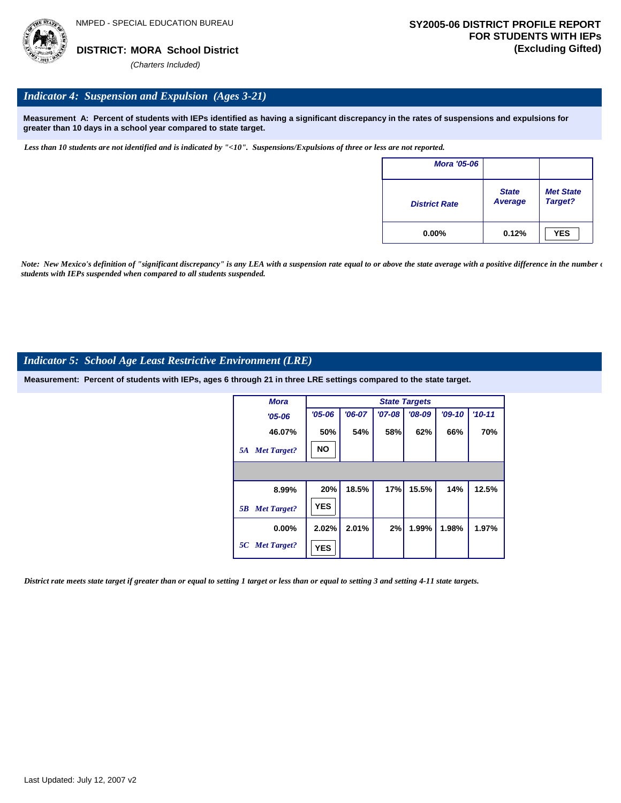

#### *Indicator 4: Suspension and Expulsion (Ages 3-21)*

**Measurement A: Percent of students with IEPs identified as having a significant discrepancy in the rates of suspensions and expulsions for greater than 10 days in a school year compared to state target.**

*Less than 10 students are not identified and is indicated by "<10". Suspensions/Expulsions of three or less are not reported.*

| <b>Mora '05-06</b>   |                         |                             |
|----------------------|-------------------------|-----------------------------|
| <b>District Rate</b> | <b>State</b><br>Average | <b>Met State</b><br>Target? |
| $0.00\%$             | 0.12%                   | <b>YES</b>                  |

*Note: New Mexico's definition of "significant discrepancy" is any LEA with a suspension rate equal to or above the state average with a positive difference in the number*  $\epsilon$ *students with IEPs suspended when compared to all students suspended.*

#### *Indicator 5: School Age Least Restrictive Environment (LRE)*

**Measurement: Percent of students with IEPs, ages 6 through 21 in three LRE settings compared to the state target.**

| <b>Mora</b>              | <b>State Targets</b> |          |          |          |          |          |  |
|--------------------------|----------------------|----------|----------|----------|----------|----------|--|
| $'05 - 06$               | $'05 - 06$           | $'06-07$ | $'07-08$ | $'08-09$ | $'09-10$ | $'10-11$ |  |
| 46.07%                   | 50%                  | 54%      | 58%      | 62%      | 66%      | 70%      |  |
| <b>Met Target?</b><br>5A | <b>NO</b>            |          |          |          |          |          |  |
|                          |                      |          |          |          |          |          |  |
| 8.99%                    | 20%                  | 18.5%    | 17%      | 15.5%    | 14%      | 12.5%    |  |
| <b>Met Target?</b><br>5B | <b>YES</b>           |          |          |          |          |          |  |
| $0.00\%$                 | 2.02%                | 2.01%    | 2%       | 1.99%    | 1.98%    | 1.97%    |  |
| 5C Met Target?           | <b>YES</b>           |          |          |          |          |          |  |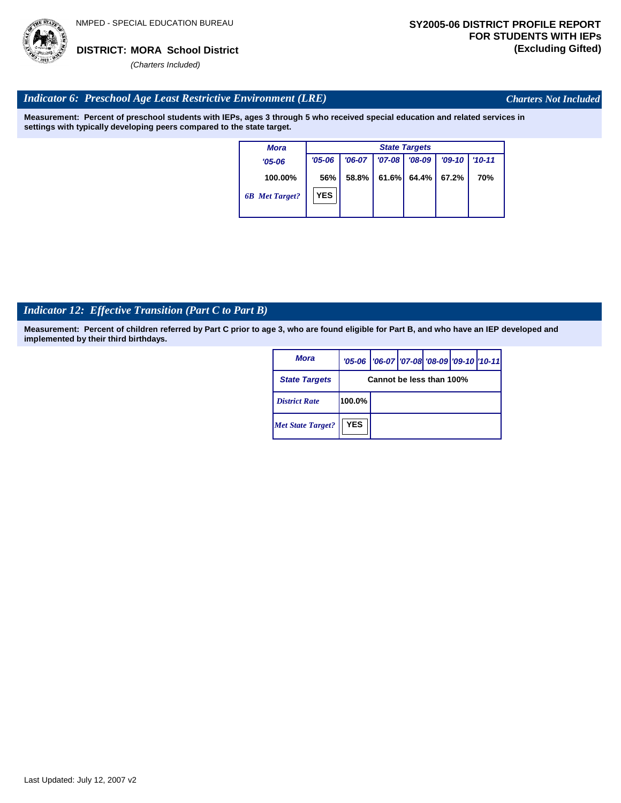

*Charters Not Included*

### *Indicator 6: Preschool Age Least Restrictive Environment (LRE)*

**Measurement: Percent of preschool students with IEPs, ages 3 through 5 who received special education and related services in settings with typically developing peers compared to the state target.**

> **100.00%** *'05-06 6B Met Target? Mora* **56%** *'06-07 '07-08 '08-09 '09-10 '10-11* **58.8% 61.6% 64.4% 67.2% 70%** *State Targets '05-06* **YES**

### *Indicator 12: Effective Transition (Part C to Part B)*

| <b>Mora</b>              |            | '05-06   '06-07   '07-08   '08-09   '09-10   '10-11 |  |  |
|--------------------------|------------|-----------------------------------------------------|--|--|
| <b>State Targets</b>     |            | Cannot be less than 100%                            |  |  |
| <b>District Rate</b>     | 100.0%     |                                                     |  |  |
| <b>Met State Target?</b> | <b>YES</b> |                                                     |  |  |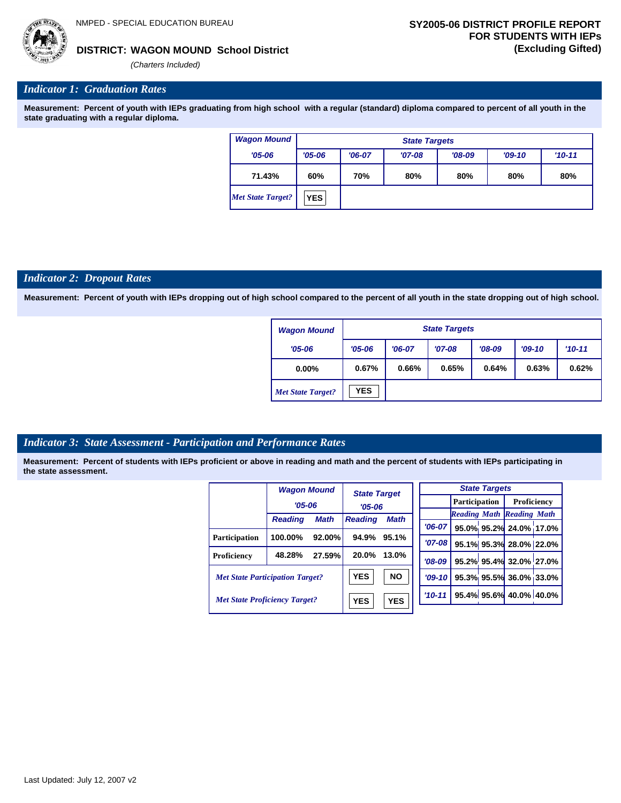

#### **WAGON MOUND School District DISTRICT: (Excluding Gifted)**

*(Charters Included)*

#### *Indicator 1: Graduation Rates*

**Measurement: Percent of youth with IEPs graduating from high school with a regular (standard) diploma compared to percent of all youth in the state graduating with a regular diploma.**

| <b>Wagon Mound</b>       | <b>State Targets</b> |                                 |          |          |          |           |  |
|--------------------------|----------------------|---------------------------------|----------|----------|----------|-----------|--|
| $'05 - 06$               | $'05 - 06$           | $'06-07$                        | $'07-08$ | $'08-09$ | $'09-10$ | $'10-11'$ |  |
| 71.43%                   | 60%                  | 70%<br>80%<br>80%<br>80%<br>80% |          |          |          |           |  |
| <b>Met State Target?</b> | <b>YES</b>           |                                 |          |          |          |           |  |

#### *Indicator 2: Dropout Rates*

**Measurement: Percent of youth with IEPs dropping out of high school compared to the percent of all youth in the state dropping out of high school.**

| <b>Wagon Mound</b>       |            |          | <b>State Targets</b> |          |          |          |
|--------------------------|------------|----------|----------------------|----------|----------|----------|
| $'05 - 06$               | $'05 - 06$ | $'06-07$ | $'07-08$             | $'08-09$ | $'09-10$ | $'10-11$ |
| $0.00\%$                 | 0.67%      | 0.66%    | 0.65%                | 0.64%    | 0.63%    | 0.62%    |
| <b>Met State Target?</b> | <b>YES</b> |          |                      |          |          |          |

#### *Indicator 3: State Assessment - Participation and Performance Rates*

|                                        | <b>Wagon Mound</b> |             | <b>State Target</b> |             |             |  | <b>State Targets</b> |                                  |  |
|----------------------------------------|--------------------|-------------|---------------------|-------------|-------------|--|----------------------|----------------------------------|--|
|                                        | $'05 - 06$         |             |                     |             |             |  | <b>Participation</b> |                                  |  |
|                                        |                    |             | $'05 - 06$          |             |             |  |                      | <b>Reading Math Reading Math</b> |  |
|                                        | <b>Reading</b>     | <b>Math</b> | <b>Reading</b>      | <b>Math</b> | $'06-07$    |  |                      | 95.0% 95.2% 24.0% 17.0%          |  |
| <b>Participation</b>                   | 100.00%            | $92.00\%$   | 94.9%               | 95.1%       | '07-08 l    |  |                      | 95.1% 95.3% 28.0% 22.0%          |  |
| Proficiency                            | 48.28%             | 27.59%      | 20.0%               | 13.0%       | $'08-09$    |  |                      | 95.2% 95.4% 32.0% 27.0%          |  |
| <b>Met State Participation Target?</b> |                    |             | <b>YES</b>          | <b>NO</b>   | $'09-10$    |  |                      | 95.3% 95.5% 36.0% 33.0%          |  |
| <b>Met State Proficiency Target?</b>   |                    |             | <b>YES</b>          | <b>YES</b>  | $'10 - 11'$ |  |                      | 95.4% 95.6% 40.0% 40.0%          |  |
|                                        |                    |             |                     |             |             |  |                      |                                  |  |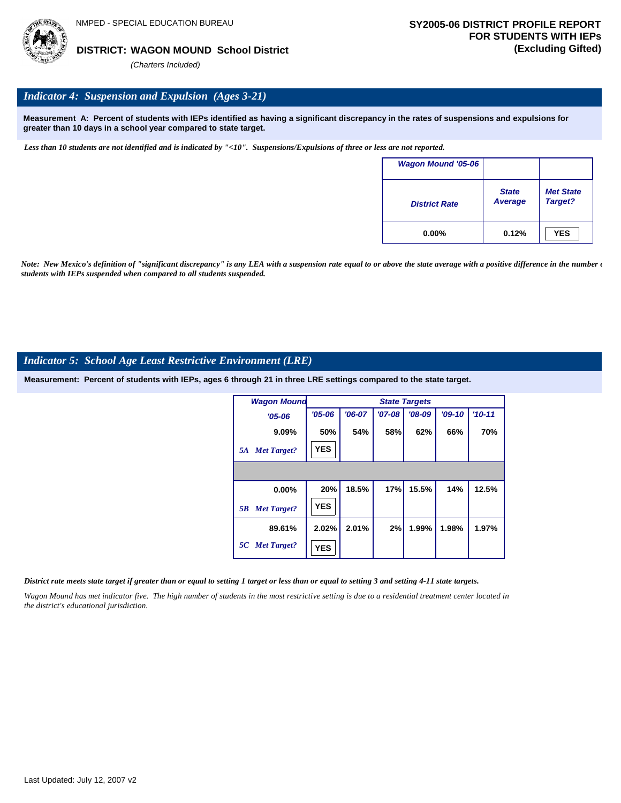

# *Indicator 4: Suspension and Expulsion (Ages 3-21)*

**Measurement A: Percent of students with IEPs identified as having a significant discrepancy in the rates of suspensions and expulsions for greater than 10 days in a school year compared to state target.**

*Less than 10 students are not identified and is indicated by "<10". Suspensions/Expulsions of three or less are not reported.*

| <b>Wagon Mound '05-06</b> |                                |                             |
|---------------------------|--------------------------------|-----------------------------|
| <b>District Rate</b>      | <b>State</b><br><b>Average</b> | <b>Met State</b><br>Target? |
| $0.00\%$                  | 0.12%                          | <b>YES</b>                  |

Note: New Mexico's definition of "significant discrepancy" is any LEA with a suspension rate equal to or above the state average with a positive difference in the number  $\epsilon$ *students with IEPs suspended when compared to all students suspended.*

#### *Indicator 5: School Age Least Restrictive Environment (LRE)*

**Measurement: Percent of students with IEPs, ages 6 through 21 in three LRE settings compared to the state target.**

| <b>Wagon Mound</b>       |            | <b>State Targets</b> |          |          |          |            |  |  |  |  |
|--------------------------|------------|----------------------|----------|----------|----------|------------|--|--|--|--|
| $'05 - 06$               | $'05 - 06$ | $'06-07$             | $'07-08$ | $'08-09$ | $'09-10$ | $'10 - 11$ |  |  |  |  |
| 9.09%                    | 50%        | 54%                  | 58%      | 62%      | 66%      | 70%        |  |  |  |  |
| <b>Met Target?</b><br>5A | <b>YES</b> |                      |          |          |          |            |  |  |  |  |
|                          |            |                      |          |          |          |            |  |  |  |  |
| $0.00\%$                 | 20%        | 18.5%                | 17%      | 15.5%    | 14%      | 12.5%      |  |  |  |  |
| <b>Met Target?</b><br>5B | <b>YES</b> |                      |          |          |          |            |  |  |  |  |
| 89.61%                   | 2.02%      | 2.01%                | 2%       | 1.99%    | 1.98%    | 1.97%      |  |  |  |  |
| 5C Met Target?           | <b>YES</b> |                      |          |          |          |            |  |  |  |  |

#### *District rate meets state target if greater than or equal to setting 1 target or less than or equal to setting 3 and setting 4-11 state targets.*

*Wagon Mound has met indicator five. The high number of students in the most restrictive setting is due to a residential treatment center located in the district's educational jurisdiction.*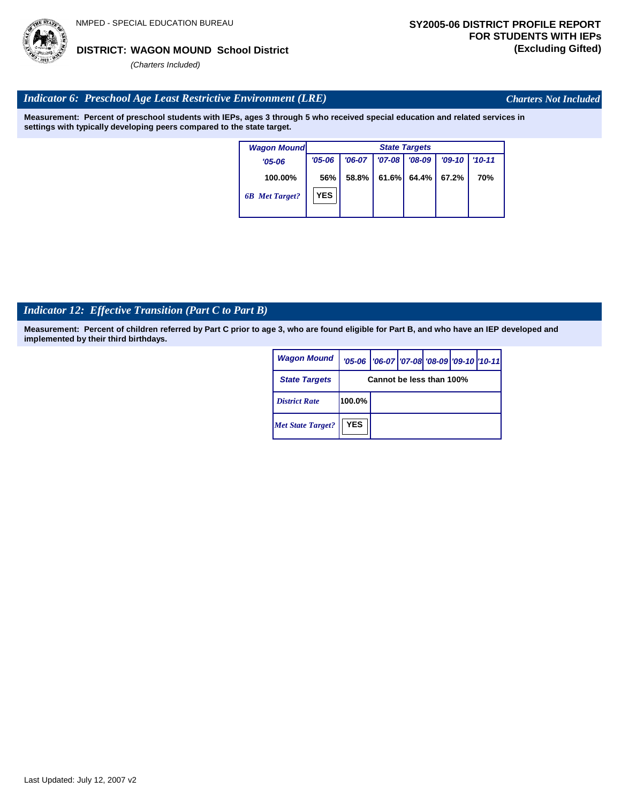

Last Updated: July 12, 2007 v2

*(Charters Included)*

# *Indicator 6: Preschool Age Least Restrictive Environment (LRE)*

**Measurement: Percent of preschool students with IEPs, ages 3 through 5 who received special education and related services in settings with typically developing peers compared to the state target.**

| <b>Wagon Mound</b>    |            | <b>State Targets</b> |          |          |          |            |  |  |  |
|-----------------------|------------|----------------------|----------|----------|----------|------------|--|--|--|
| $'05 - 06$            | $'05 - 06$ | $'06-07$             | $'07-08$ | $'08-09$ | $'09-10$ | $'10 - 11$ |  |  |  |
| 100.00%               | 56%        | 58.8%                | 61.6%    | 64.4%    | 67.2%    | <b>70%</b> |  |  |  |
| <b>6B</b> Met Target? | <b>YES</b> |                      |          |          |          |            |  |  |  |

# *Indicator 12: Effective Transition (Part C to Part B)*

**Measurement: Percent of children referred by Part C prior to age 3, who are found eligible for Part B, and who have an IEP developed and implemented by their third birthdays.**

| <b>Wagon Mound</b>       |                          | '05-06   '06-07   '07-08 '08-09   '09-10   '10-11 |  |  |  |  |  |
|--------------------------|--------------------------|---------------------------------------------------|--|--|--|--|--|
| <b>State Targets</b>     | Cannot be less than 100% |                                                   |  |  |  |  |  |
| <b>District Rate</b>     | 100.0%                   |                                                   |  |  |  |  |  |
| <b>Met State Target?</b> | <b>YES</b>               |                                                   |  |  |  |  |  |



*Charters Not Included*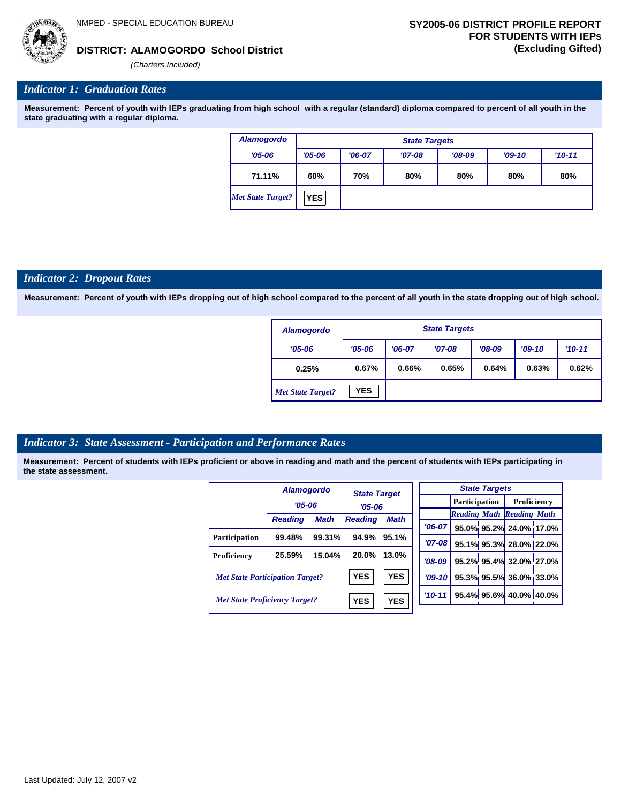

#### **ALAMOGORDO School District DISTRICT: (Excluding Gifted)**

*(Charters Included)*

### *Indicator 1: Graduation Rates*

**Measurement: Percent of youth with IEPs graduating from high school with a regular (standard) diploma compared to percent of all youth in the state graduating with a regular diploma.**

| <b>Alamogordo</b>        | <b>State Targets</b> |          |          |          |          |          |  |  |
|--------------------------|----------------------|----------|----------|----------|----------|----------|--|--|
| $'05 - 06$               | $'05 - 06$           | $'06-07$ | $'07-08$ | $'08-09$ | $'09-10$ | $'10-11$ |  |  |
| 71.11%                   | 60%                  | 70%      | 80%      | 80%      | 80%      | 80%      |  |  |
| <b>Met State Target?</b> | <b>YES</b>           |          |          |          |          |          |  |  |

#### *Indicator 2: Dropout Rates*

**Measurement: Percent of youth with IEPs dropping out of high school compared to the percent of all youth in the state dropping out of high school.**

| <b>Alamogordo</b>        |            | <b>State Targets</b> |          |          |          |          |  |  |  |
|--------------------------|------------|----------------------|----------|----------|----------|----------|--|--|--|
| $'05 - 06$               | $'05 - 06$ | $'06-07$             | $'07-08$ | $'08-09$ | $'09-10$ | $'10-11$ |  |  |  |
| 0.25%                    | 0.67%      | 0.66%                | 0.65%    | 0.64%    | 0.63%    | 0.62%    |  |  |  |
| <b>Met State Target?</b> | <b>YES</b> |                      |          |          |          |          |  |  |  |

#### *Indicator 3: State Assessment - Participation and Performance Rates*

|                                        | <b>Alamogordo</b> |             | <b>State Target</b><br>$'05-06$ |             |            |  | <b>State Targets</b>    |                                  |  |             |  |
|----------------------------------------|-------------------|-------------|---------------------------------|-------------|------------|--|-------------------------|----------------------------------|--|-------------|--|
|                                        | $'05 - 06$        |             |                                 |             |            |  | Participation           |                                  |  | Proficiency |  |
|                                        |                   |             |                                 |             |            |  |                         | <b>Reading Math Reading Math</b> |  |             |  |
|                                        | <b>Reading</b>    | <b>Math</b> | <b>Reading</b>                  | <b>Math</b> | $'06-07$   |  |                         | 95.0% 95.2% 24.0% 17.0%          |  |             |  |
| Participation                          | 99.48%            | 99.31%      | 94.9%                           | 95.1%       |            |  |                         |                                  |  |             |  |
|                                        |                   |             |                                 |             | $'07 - 08$ |  |                         | 95.1% 95.3% 28.0% 22.0%          |  |             |  |
| Proficiency                            | 25.59%            | 15.04%      | 20.0%                           | 13.0%       | $'08-09$   |  |                         | 95.2% 95.4% 32.0% 27.0%          |  |             |  |
| <b>Met State Participation Target?</b> |                   |             | <b>YES</b>                      | <b>YES</b>  | $'09-10'$  |  |                         | 95.3% 95.5% 36.0% 33.0%          |  |             |  |
| <b>Met State Proficiency Target?</b>   |                   | <b>YES</b>  | <b>YES</b>                      | $'10 - 11$  |            |  | 95.4% 95.6% 40.0% 40.0% |                                  |  |             |  |
|                                        |                   |             |                                 |             |            |  |                         |                                  |  |             |  |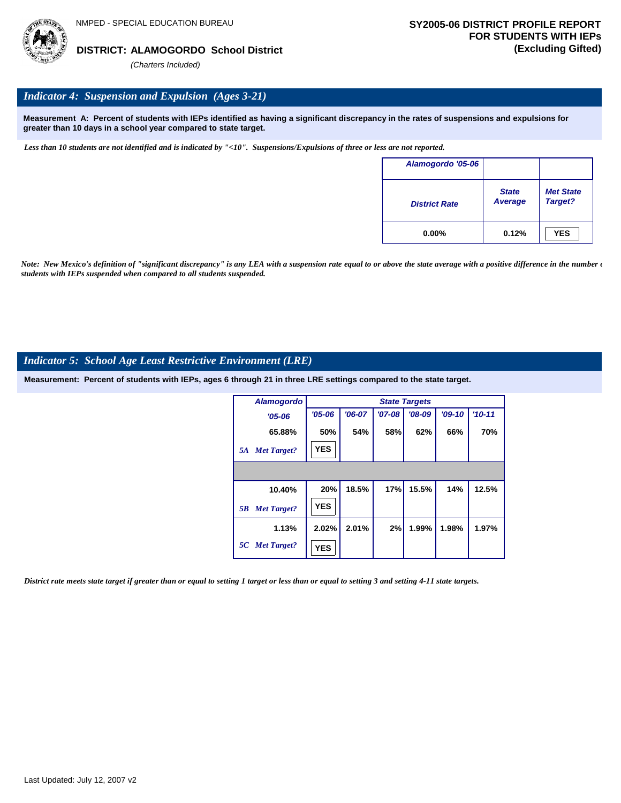

# *Indicator 4: Suspension and Expulsion (Ages 3-21)*

**Measurement A: Percent of students with IEPs identified as having a significant discrepancy in the rates of suspensions and expulsions for greater than 10 days in a school year compared to state target.**

*Less than 10 students are not identified and is indicated by "<10". Suspensions/Expulsions of three or less are not reported.*

| Alamogordo '05-06    |                                |                             |
|----------------------|--------------------------------|-----------------------------|
| <b>District Rate</b> | <b>State</b><br><b>Average</b> | <b>Met State</b><br>Target? |
| $0.00\%$             | 0.12%                          | <b>YES</b>                  |

*Note: New Mexico's definition of "significant discrepancy" is any LEA with a suspension rate equal to or above the state average with a positive difference in the number*  $\epsilon$ *students with IEPs suspended when compared to all students suspended.*

#### *Indicator 5: School Age Least Restrictive Environment (LRE)*

**Measurement: Percent of students with IEPs, ages 6 through 21 in three LRE settings compared to the state target.**

| <b>Alamogordo</b>        |            | <b>State Targets</b> |            |          |          |          |  |  |  |  |
|--------------------------|------------|----------------------|------------|----------|----------|----------|--|--|--|--|
| $'05 - 06$               | $'05 - 06$ | $'06-07$             | $'07 - 08$ | $'08-09$ | $'09-10$ | $'10-11$ |  |  |  |  |
| 65.88%                   | 50%        | 54%                  | 58%        | 62%      | 66%      | 70%      |  |  |  |  |
| <b>Met Target?</b><br>5A | <b>YES</b> |                      |            |          |          |          |  |  |  |  |
|                          |            |                      |            |          |          |          |  |  |  |  |
| 10.40%                   | 20%        | 18.5%                | 17%        | 15.5%    | 14%      | 12.5%    |  |  |  |  |
| <b>Met Target?</b><br>5B | <b>YES</b> |                      |            |          |          |          |  |  |  |  |
| 1.13%                    | 2.02%      | 2.01%                | 2%         | 1.99%    | 1.98%    | 1.97%    |  |  |  |  |
| 5C Met Target?           | <b>YES</b> |                      |            |          |          |          |  |  |  |  |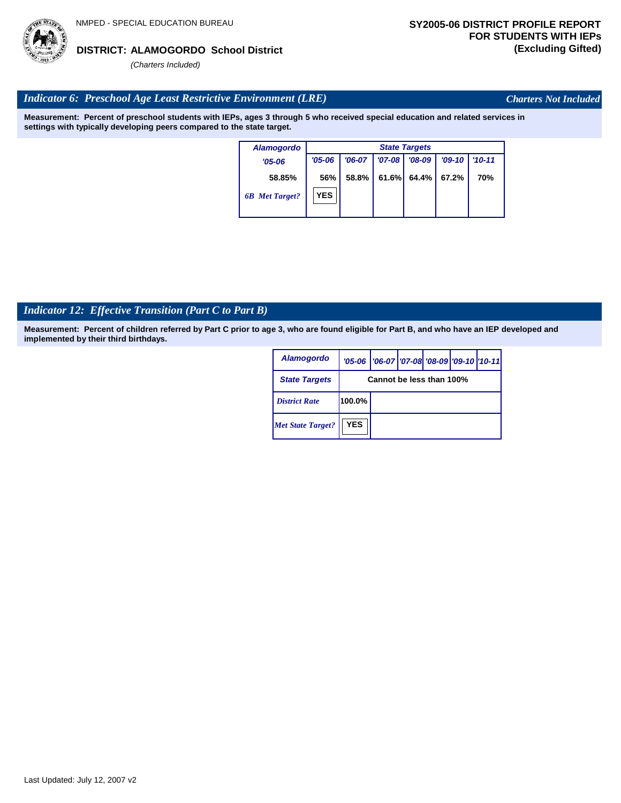# Last Updated: July 12, 2007 v2

#### **ALAMOGORDO School District DISTRICT: (Excluding Gifted)**

*(Charters Included)*

# *Indicator 6: Preschool Age Least Restrictive Environment (LRE)*

**Measurement: Percent of preschool students with IEPs, ages 3 through 5 who received special education and related services in settings with typically developing peers compared to the state target.**

| <b>Alamogordo</b>     |            | <b>State Targets</b> |          |          |          |            |  |  |  |
|-----------------------|------------|----------------------|----------|----------|----------|------------|--|--|--|
| $'05 - 06$            | $'05 - 06$ | $'06-07$             | $'07-08$ | $'08-09$ | $'09-10$ | $'10 - 11$ |  |  |  |
| 58.85%                | 56%        | 58.8%                | 61.6%    | 64.4%    | 67.2%    | 70%        |  |  |  |
| <b>6B</b> Met Target? | <b>YES</b> |                      |          |          |          |            |  |  |  |

# *Indicator 12: Effective Transition (Part C to Part B)*

**Measurement: Percent of children referred by Part C prior to age 3, who are found eligible for Part B, and who have an IEP developed and implemented by their third birthdays.**

| <b>Alamogordo</b>        |                          | '05-06   '06-07   '07-08 '08-09   '09-10   '10-11 |  |  |  |  |  |
|--------------------------|--------------------------|---------------------------------------------------|--|--|--|--|--|
| <b>State Targets</b>     | Cannot be less than 100% |                                                   |  |  |  |  |  |
| <b>District Rate</b>     | 100.0%                   |                                                   |  |  |  |  |  |
| <b>Met State Target?</b> | <b>YES</b>               |                                                   |  |  |  |  |  |



*Charters Not Included*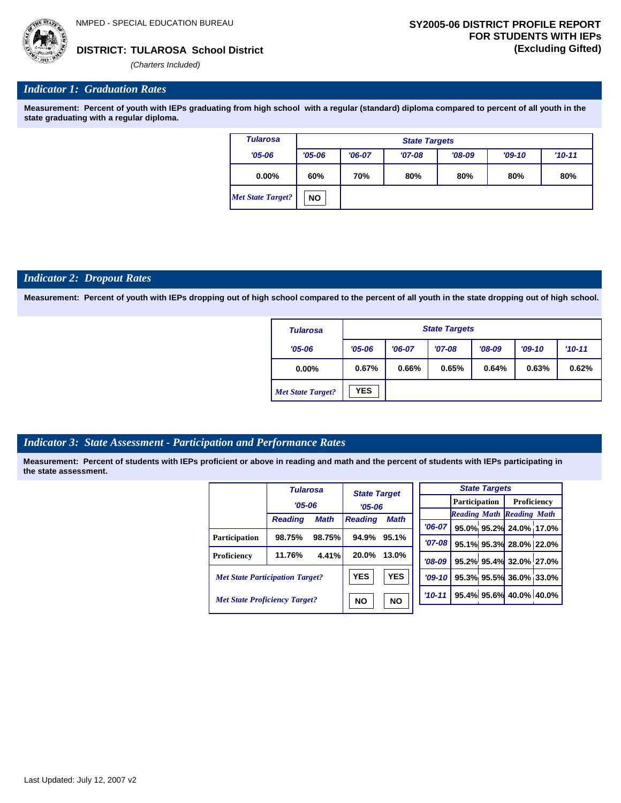*(Charters Included)*

### *Indicator 1: Graduation Rates*

**Measurement: Percent of youth with IEPs graduating from high school with a regular (standard) diploma compared to percent of all youth in the state graduating with a regular diploma.**

| <b>Tularosa</b>   |            | <b>State Targets</b> |          |          |          |          |  |  |  |
|-------------------|------------|----------------------|----------|----------|----------|----------|--|--|--|
| $'05 - 06$        | $'05 - 06$ | $'06-07$             | $'07-08$ | $'08-09$ | $'09-10$ | $'10-11$ |  |  |  |
| $0.00\%$          | 60%        | 70%                  | 80%      | 80%      | 80%      | 80%      |  |  |  |
| Met State Target? | <b>NO</b>  |                      |          |          |          |          |  |  |  |

#### *Indicator 2: Dropout Rates*

**Measurement: Percent of youth with IEPs dropping out of high school compared to the percent of all youth in the state dropping out of high school.**

| <b>Tularosa</b>          |            | <b>State Targets</b> |          |          |          |          |  |  |  |
|--------------------------|------------|----------------------|----------|----------|----------|----------|--|--|--|
| $'05 - 06$               | $'05 - 06$ | $'06-07$             | $'07-08$ | $'08-09$ | $'09-10$ | $'10-11$ |  |  |  |
| $0.00\%$                 | 0.67%      | 0.66%                | 0.65%    | 0.64%    | 0.63%    | 0.62%    |  |  |  |
| <b>Met State Target?</b> | <b>YES</b> |                      |          |          |          |          |  |  |  |

#### *Indicator 3: State Assessment - Participation and Performance Rates*

|                                        | <b>Tularosa</b> |             | <b>State Target</b> |             |                      |  | <b>State Targets</b>    |                                  |  |
|----------------------------------------|-----------------|-------------|---------------------|-------------|----------------------|--|-------------------------|----------------------------------|--|
|                                        | $'05 - 06$      |             | $'05 - 06$          |             | <b>Participation</b> |  |                         | Proficiency                      |  |
|                                        | <b>Reading</b>  | <b>Math</b> | <b>Reading</b>      | <b>Math</b> |                      |  |                         | <b>Reading Math Reading Math</b> |  |
|                                        |                 |             |                     |             | $'06-07$             |  |                         | 95.0% 95.2% 24.0% 17.0%          |  |
| Participation                          | 98.75%          | 98.75%      | 94.9%               | 95.1%       | $'07 - 08$           |  |                         | 95.1% 95.3% 28.0% 22.0%          |  |
| Proficiency                            | 11.76%          | 4.41%       | 20.0%               | 13.0%       | $'08-09$             |  |                         | 95.2% 95.4% 32.0% 27.0%          |  |
| <b>Met State Participation Target?</b> |                 | <b>YES</b>  | <b>YES</b>          | $'09-10'$   |                      |  | 95.3% 95.5% 36.0% 33.0% |                                  |  |
| <b>Met State Proficiency Target?</b>   |                 | <b>NO</b>   | <b>NO</b>           | $'10-11$    |                      |  | 95.4% 95.6% 40.0% 40.0% |                                  |  |
|                                        |                 |             |                     |             |                      |  |                         |                                  |  |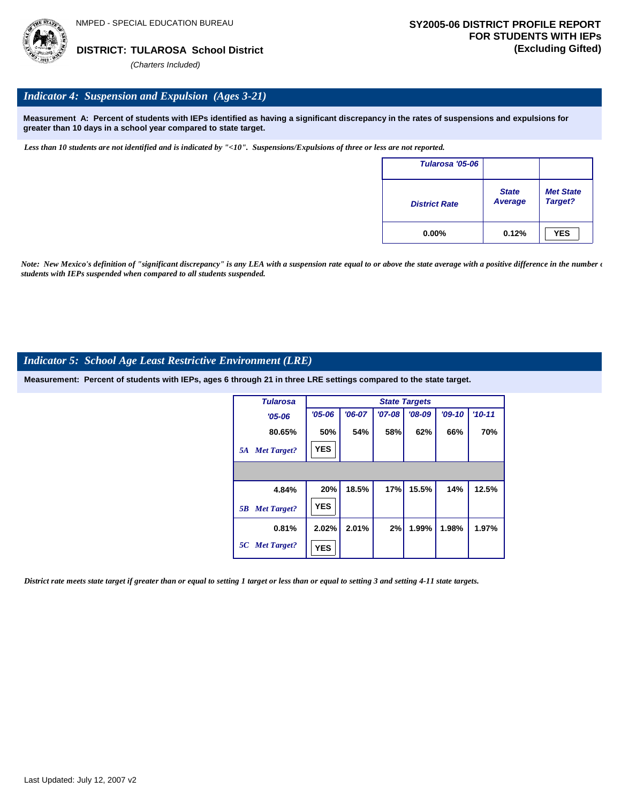

### *Indicator 4: Suspension and Expulsion (Ages 3-21)*

**Measurement A: Percent of students with IEPs identified as having a significant discrepancy in the rates of suspensions and expulsions for greater than 10 days in a school year compared to state target.**

*Less than 10 students are not identified and is indicated by "<10". Suspensions/Expulsions of three or less are not reported.*

| Tularosa '05-06      |                         |                             |
|----------------------|-------------------------|-----------------------------|
| <b>District Rate</b> | <b>State</b><br>Average | <b>Met State</b><br>Target? |
| $0.00\%$             | 0.12%                   | <b>YES</b>                  |

*Note: New Mexico's definition of "significant discrepancy" is any LEA with a suspension rate equal to or above the state average with a positive difference in the number*  $\epsilon$ *students with IEPs suspended when compared to all students suspended.*

#### *Indicator 5: School Age Least Restrictive Environment (LRE)*

**Measurement: Percent of students with IEPs, ages 6 through 21 in three LRE settings compared to the state target.**

| <b>Tularosa</b>          |            |          |          | <b>State Targets</b> |          |            |
|--------------------------|------------|----------|----------|----------------------|----------|------------|
| $'05 - 06$               | $'05 - 06$ | $'06-07$ | $'07-08$ | $'08-09$             | $'09-10$ | $'10 - 11$ |
| 80.65%                   | 50%        | 54%      | 58%      | 62%                  | 66%      | 70%        |
| <b>Met Target?</b><br>5A | <b>YES</b> |          |          |                      |          |            |
|                          |            |          |          |                      |          |            |
| 4.84%                    | 20%        | 18.5%    | 17%      | 15.5%                | 14%      | 12.5%      |
| <b>Met Target?</b><br>5B | <b>YES</b> |          |          |                      |          |            |
| 0.81%                    | 2.02%      | 2.01%    | 2%       | 1.99%                | 1.98%    | 1.97%      |
| 5C Met Target?           | <b>YES</b> |          |          |                      |          |            |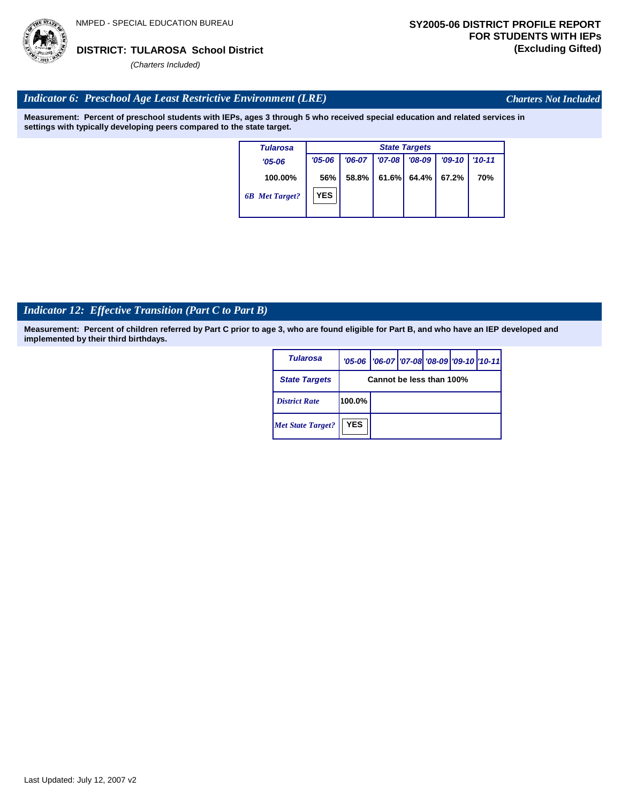

*Charters Not Included*

### *Indicator 6: Preschool Age Least Restrictive Environment (LRE)*

**Measurement: Percent of preschool students with IEPs, ages 3 through 5 who received special education and related services in settings with typically developing peers compared to the state target.**

| <b>Tularosa</b>       | <b>State Targets</b> |          |          |          |          |            |  |  |
|-----------------------|----------------------|----------|----------|----------|----------|------------|--|--|
| $'05 - 06$            | $'05 - 06$           | $'06-07$ | $'07-08$ | $'08-09$ | $'09-10$ | $'10 - 11$ |  |  |
| 100.00%               | 56%                  | 58.8%    | 61.6%    | 64.4%    | 67.2%    | 70%        |  |  |
| <b>6B</b> Met Target? | <b>YES</b>           |          |          |          |          |            |  |  |

# *Indicator 12: Effective Transition (Part C to Part B)*

| Tularosa                 |                          | '05-06   '06-07   '07-08 '08-09   '09-10   '10-11 |  |  |  |  |  |  |  |
|--------------------------|--------------------------|---------------------------------------------------|--|--|--|--|--|--|--|
| <b>State Targets</b>     | Cannot be less than 100% |                                                   |  |  |  |  |  |  |  |
| <b>District Rate</b>     | 100.0%                   |                                                   |  |  |  |  |  |  |  |
| <b>Met State Target?</b> | <b>YES</b>               |                                                   |  |  |  |  |  |  |  |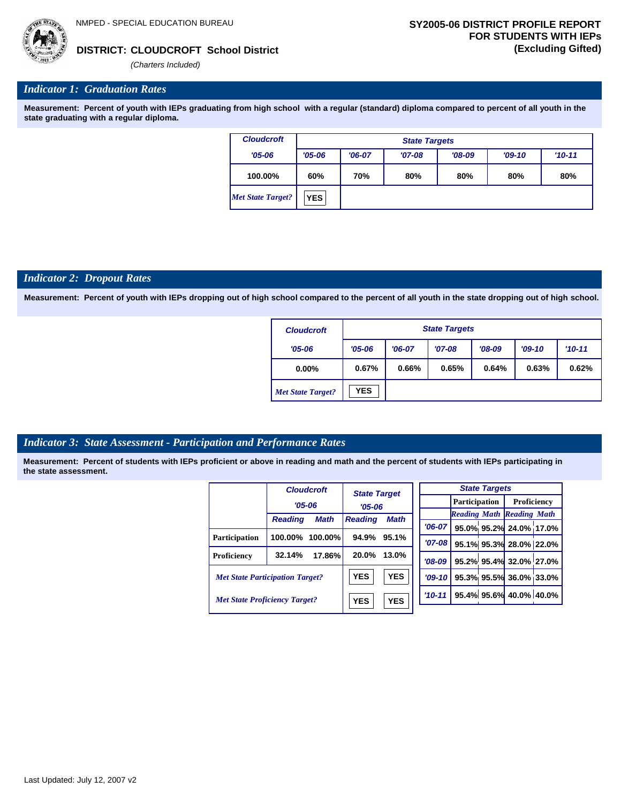*'06-07* **95.0% 95.2% 24.0% 17.0%**

**95.1% 95.3% 28.0% 22.0% 95.2% 95.4% 32.0% 27.0% 95.3% 95.5% 36.0% 33.0% 95.4% 95.6% 40.0% 40.0%**

*Reading Math Reading Math*



### **CLOUDCROFT School District DISTRICT: (Excluding Gifted)**

*(Charters Included)*

### *Indicator 1: Graduation Rates*

**Measurement: Percent of youth with IEPs graduating from high school with a regular (standard) diploma compared to percent of all youth in the state graduating with a regular diploma.**

| <b>Cloudcroft</b> |            | <b>State Targets</b> |          |          |          |          |  |  |  |  |  |
|-------------------|------------|----------------------|----------|----------|----------|----------|--|--|--|--|--|
| $'05 - 06$        | $'05 - 06$ | $'06-07$             | $'07-08$ | $'08-09$ | $'09-10$ | $'10-11$ |  |  |  |  |  |
| 100.00%           | 60%        | 70%                  | 80%      | 80%      | 80%      | 80%      |  |  |  |  |  |
| Met State Target? | <b>YES</b> |                      |          |          |          |          |  |  |  |  |  |

#### *Indicator 2: Dropout Rates*

**Measurement: Percent of youth with IEPs dropping out of high school compared to the percent of all youth in the state dropping out of high school.**

| <b>Cloudcroft</b>        |            | <b>State Targets</b> |          |          |          |            |  |  |  |  |
|--------------------------|------------|----------------------|----------|----------|----------|------------|--|--|--|--|
| $'05 - 06$               | $'05 - 06$ | $'06-07$             | $'07-08$ | $'08-09$ | $'09-10$ | $'10 - 11$ |  |  |  |  |
| $0.00\%$                 | 0.67%      | 0.66%                | 0.65%    | 0.64%    | 0.63%    | 0.62%      |  |  |  |  |
| <b>Met State Target?</b> | <b>YES</b> |                      |          |          |          |            |  |  |  |  |

#### *Indicator 3: State Assessment - Participation and Performance Rates*

|                                        |                | <b>Cloudcroft</b> | <b>State Target</b>           |            | <b>State Targets</b> |  |                        |                                  |  |          |  |  |                      |             |  |
|----------------------------------------|----------------|-------------------|-------------------------------|------------|----------------------|--|------------------------|----------------------------------|--|----------|--|--|----------------------|-------------|--|
|                                        |                | $'05 - 06$        |                               |            |                      |  |                        |                                  |  | $'05-06$ |  |  | <b>Participation</b> | Proficiency |  |
|                                        | <b>Reading</b> | <b>Math</b>       | <b>Math</b><br><b>Reading</b> |            |                      |  |                        | <b>Reading Math Reading Math</b> |  |          |  |  |                      |             |  |
|                                        |                |                   |                               |            | $'06-07$             |  |                        | 95.0% 95.2% 24.0% 17.0           |  |          |  |  |                      |             |  |
| <b>Participation</b>                   | 100.00%        | 100.00%           | 94.9%                         | 95.1%      | $'07-08$             |  |                        | 95.1% 95.3% 28.0% 22.0           |  |          |  |  |                      |             |  |
| Proficiency                            | 32.14%         | 17.86%            | 20.0%                         | 13.0%      | $'08-09$             |  |                        | 95.2% 95.4% 32.0% 27.0           |  |          |  |  |                      |             |  |
| <b>Met State Participation Target?</b> |                | <b>YES</b>        | <b>YES</b>                    | $'09-10'$  |                      |  | 95.3% 95.5% 36.0% 33.0 |                                  |  |          |  |  |                      |             |  |
| <b>Met State Proficiency Target?</b>   |                | <b>YES</b>        | <b>YES</b>                    | $'10 - 11$ |                      |  | 95.4% 95.6% 40.0% 40.0 |                                  |  |          |  |  |                      |             |  |
|                                        |                |                   |                               |            |                      |  |                        |                                  |  |          |  |  |                      |             |  |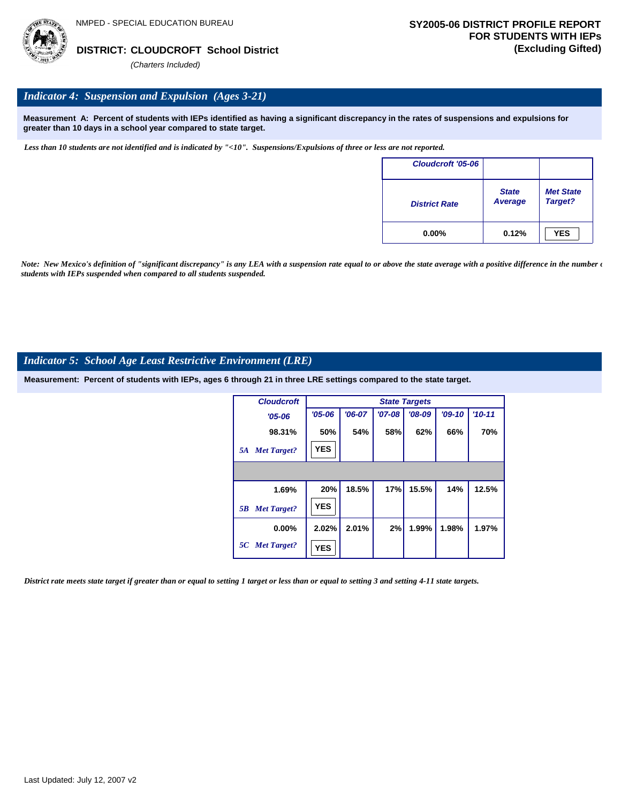

# *Indicator 4: Suspension and Expulsion (Ages 3-21)*

**Measurement A: Percent of students with IEPs identified as having a significant discrepancy in the rates of suspensions and expulsions for greater than 10 days in a school year compared to state target.**

*Less than 10 students are not identified and is indicated by "<10". Suspensions/Expulsions of three or less are not reported.*

| Cloudcroft '05-06    |                         |                             |
|----------------------|-------------------------|-----------------------------|
| <b>District Rate</b> | <b>State</b><br>Average | <b>Met State</b><br>Target? |
| $0.00\%$             | 0.12%                   | <b>YES</b>                  |

*Note: New Mexico's definition of "significant discrepancy" is any LEA with a suspension rate equal to or above the state average with a positive difference in the number*  $\epsilon$ *students with IEPs suspended when compared to all students suspended.*

#### *Indicator 5: School Age Least Restrictive Environment (LRE)*

**Measurement: Percent of students with IEPs, ages 6 through 21 in three LRE settings compared to the state target.**

| <b>Cloudcroft</b>        |            |          |          | <b>State Targets</b> |          |            |
|--------------------------|------------|----------|----------|----------------------|----------|------------|
| $'05 - 06$               | $'05 - 06$ | $'06-07$ | $'07-08$ | $'08-09$             | $'09-10$ | $'10 - 11$ |
| 98.31%                   | 50%        | 54%      | 58%      | 62%                  | 66%      | 70%        |
| <b>Met Target?</b><br>5A | <b>YES</b> |          |          |                      |          |            |
|                          |            |          |          |                      |          |            |
| 1.69%                    | 20%        | 18.5%    | 17%      | 15.5%                | 14%      | 12.5%      |
| <b>Met Target?</b><br>5B | <b>YES</b> |          |          |                      |          |            |
| $0.00\%$                 | 2.02%      | 2.01%    | 2%       | 1.99%                | 1.98%    | 1.97%      |
| 5C Met Target?           | <b>YES</b> |          |          |                      |          |            |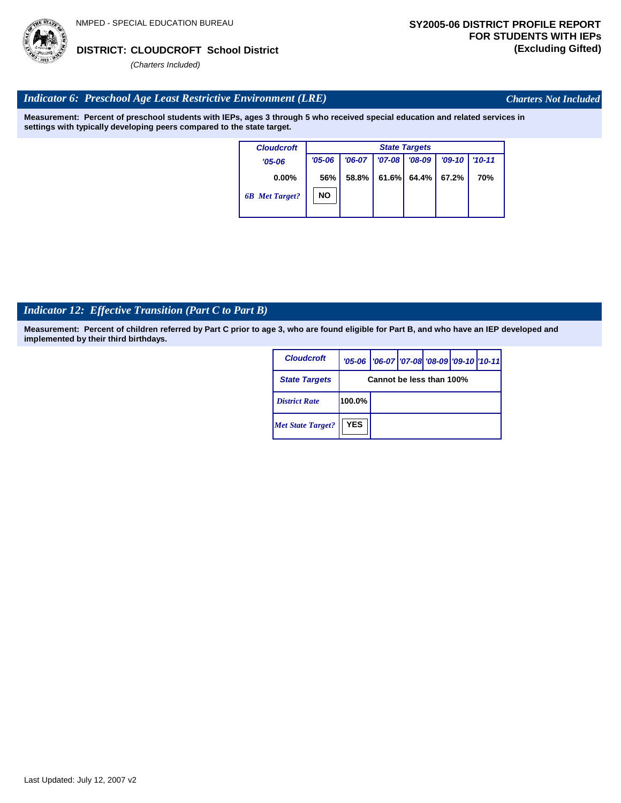# Last Updated: July 12, 2007 v2

# **CLOUDCROFT School District DISTRICT: (Excluding Gifted)**

*(Charters Included)*

# *Indicator 6: Preschool Age Least Restrictive Environment (LRE)*

**Measurement: Percent of preschool students with IEPs, ages 3 through 5 who received special education and related services in settings with typically developing peers compared to the state target.**

| <b>Cloudcroft</b>     |            | <b>State Targets</b> |          |          |          |            |  |  |  |  |  |
|-----------------------|------------|----------------------|----------|----------|----------|------------|--|--|--|--|--|
| $'05 - 06$            | $'05 - 06$ | $'06-07$             | $'07-08$ | $'08-09$ | $'09-10$ | $'10 - 11$ |  |  |  |  |  |
| $0.00\%$              | 56%        | 58.8%                | 61.6%    | 64.4%    | 67.2%    | 70%        |  |  |  |  |  |
| <b>6B</b> Met Target? | NO         |                      |          |          |          |            |  |  |  |  |  |

# *Indicator 12: Effective Transition (Part C to Part B)*

**Measurement: Percent of children referred by Part C prior to age 3, who are found eligible for Part B, and who have an IEP developed and implemented by their third birthdays.**

| <b>Cloudcroft</b>        |                          | '05-06   '06-07   '07-08 '08-09   '09-10   '10-11 |  |  |  |  |  |  |  |
|--------------------------|--------------------------|---------------------------------------------------|--|--|--|--|--|--|--|
| <b>State Targets</b>     | Cannot be less than 100% |                                                   |  |  |  |  |  |  |  |
| <b>District Rate</b>     | 100.0%                   |                                                   |  |  |  |  |  |  |  |
| <b>Met State Target?</b> | <b>YES</b>               |                                                   |  |  |  |  |  |  |  |



*Charters Not Included*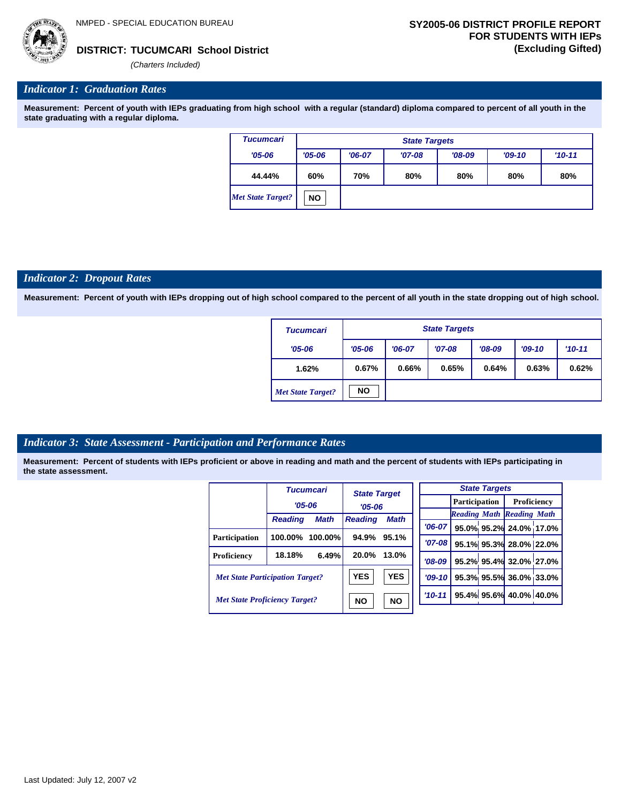*(Charters Included)*

#### *Indicator 1: Graduation Rates*

**Measurement: Percent of youth with IEPs graduating from high school with a regular (standard) diploma compared to percent of all youth in the state graduating with a regular diploma.**

| <b>Tucumcari</b>  |            | <b>State Targets</b> |          |          |     |     |  |  |  |  |
|-------------------|------------|----------------------|----------|----------|-----|-----|--|--|--|--|
| $'05 - 06$        | $'05 - 06$ | $'06-07$             | $'09-10$ | $'10-11$ |     |     |  |  |  |  |
| 44.44%            | 60%        | 70%                  | 80%      | 80%      | 80% | 80% |  |  |  |  |
| Met State Target? | <b>NO</b>  |                      |          |          |     |     |  |  |  |  |

#### *Indicator 2: Dropout Rates*

**Measurement: Percent of youth with IEPs dropping out of high school compared to the percent of all youth in the state dropping out of high school.**

| <b>Tucumcari</b>         | <b>State Targets</b> |          |          |          |          |          |  |  |  |
|--------------------------|----------------------|----------|----------|----------|----------|----------|--|--|--|
| $'05 - 06$               | $'05 - 06$           | $'06-07$ | $'07-08$ | $'08-09$ | $'09-10$ | $'10-11$ |  |  |  |
| 1.62%                    | 0.67%                | 0.66%    | 0.65%    | 0.64%    | 0.63%    | 0.62%    |  |  |  |
| <b>Met State Target?</b> | <b>NO</b>            |          |          |          |          |          |  |  |  |

#### *Indicator 3: State Assessment - Participation and Performance Rates*

|                                        |                | <b>Tucumcari</b> |                | <b>State Target</b><br>$'05 - 06$ |            |                                  | <b>State Targets</b>    |                         |  |
|----------------------------------------|----------------|------------------|----------------|-----------------------------------|------------|----------------------------------|-------------------------|-------------------------|--|
|                                        | $'05 - 06$     |                  |                |                                   |            | <b>Participation</b>             |                         | Proficiency             |  |
|                                        | <b>Reading</b> | <b>Math</b>      | <b>Reading</b> | <b>Math</b>                       |            | <b>Reading Math Reading Math</b> |                         |                         |  |
|                                        |                |                  |                |                                   | $'06-07$   |                                  |                         | 95.0% 95.2% 24.0% 17.0% |  |
| <b>Participation</b>                   | 100.00%        | $100.00\%$       | 94.9%          | 95.1%                             | $'07 - 08$ |                                  |                         | 95.1% 95.3% 28.0% 22.0% |  |
| <b>Proficiency</b>                     | 18.18%         | 6.49%            | 20.0%          | 13.0%                             | $'08-09$   |                                  |                         | 95.2% 95.4% 32.0% 27.0% |  |
| <b>Met State Participation Target?</b> |                | <b>YES</b>       | <b>YES</b>     | $'09-10'$                         |            |                                  | 95.3% 95.5% 36.0% 33.0% |                         |  |
| <b>Met State Proficiency Target?</b>   |                |                  | <b>NO</b>      | <b>NO</b>                         | $'10 - 11$ |                                  |                         | 95.4% 95.6% 40.0% 40.0% |  |
|                                        |                |                  |                |                                   |            |                                  |                         |                         |  |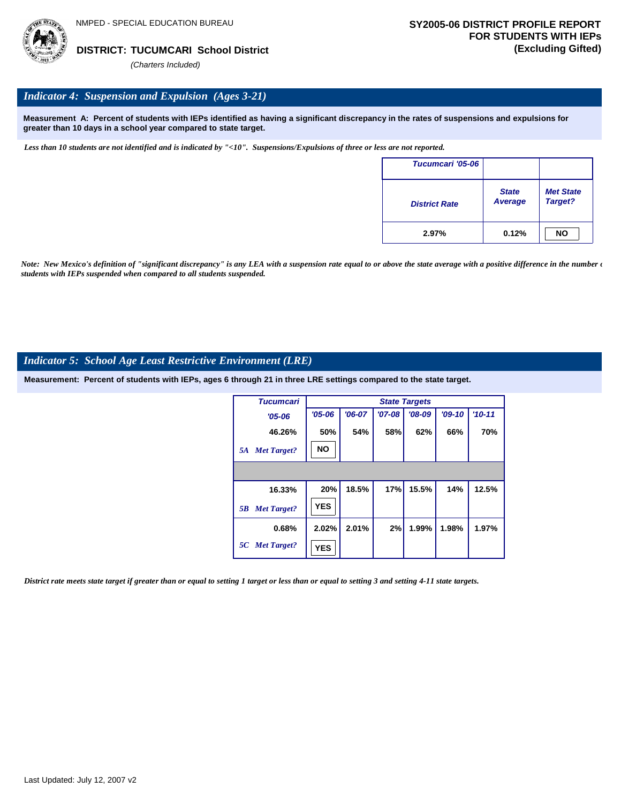

### *Indicator 4: Suspension and Expulsion (Ages 3-21)*

**Measurement A: Percent of students with IEPs identified as having a significant discrepancy in the rates of suspensions and expulsions for greater than 10 days in a school year compared to state target.**

*Less than 10 students are not identified and is indicated by "<10". Suspensions/Expulsions of three or less are not reported.*

| Tucumcari '05-06     |                         |                             |
|----------------------|-------------------------|-----------------------------|
| <b>District Rate</b> | <b>State</b><br>Average | <b>Met State</b><br>Target? |
| 2.97%                | 0.12%                   | <b>NO</b>                   |

*Note: New Mexico's definition of "significant discrepancy" is any LEA with a suspension rate equal to or above the state average with a positive difference in the number*  $\epsilon$ *students with IEPs suspended when compared to all students suspended.*

#### *Indicator 5: School Age Least Restrictive Environment (LRE)*

**Measurement: Percent of students with IEPs, ages 6 through 21 in three LRE settings compared to the state target.**

| <b>Tucumcari</b>         |            |          |            | <b>State Targets</b> |          |          |
|--------------------------|------------|----------|------------|----------------------|----------|----------|
| $'05 - 06$               | $'05 - 06$ | $'06-07$ | $'07 - 08$ | $'08-09$             | $'09-10$ | $'10-11$ |
| 46.26%                   | 50%        | 54%      | 58%        | 62%                  | 66%      | 70%      |
| <b>Met Target?</b><br>5A | <b>NO</b>  |          |            |                      |          |          |
|                          |            |          |            |                      |          |          |
| 16.33%                   | 20%        | 18.5%    | 17%        | 15.5%                | 14%      | 12.5%    |
| <b>Met Target?</b><br>5B | <b>YES</b> |          |            |                      |          |          |
| 0.68%                    | 2.02%      | 2.01%    | 2%         | 1.99%                | 1.98%    | 1.97%    |
| 5C Met Target?           | <b>YES</b> |          |            |                      |          |          |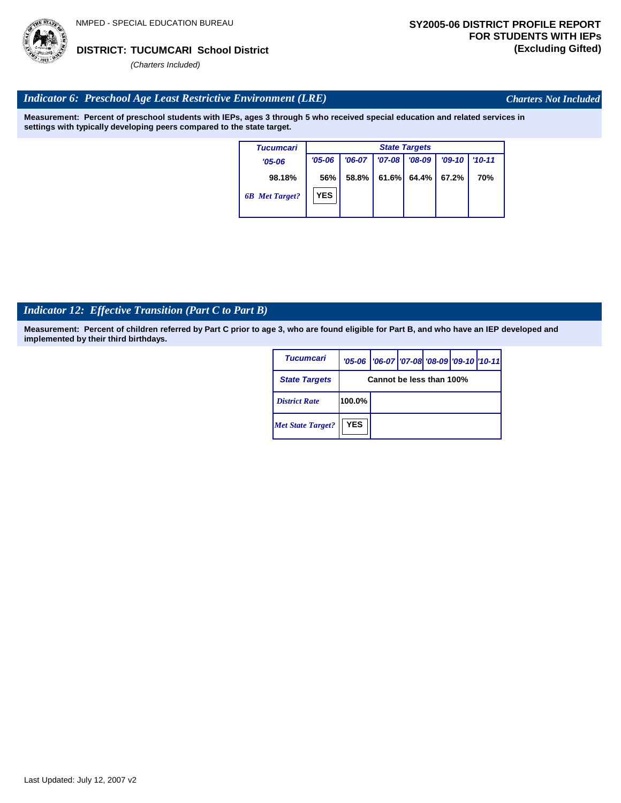

*Charters Not Included*

#### *Indicator 6: Preschool Age Least Restrictive Environment (LRE)*

**Measurement: Percent of preschool students with IEPs, ages 3 through 5 who received special education and related services in settings with typically developing peers compared to the state target.**

| <b>Tucumcari</b>      |            | <b>State Targets</b> |          |          |          |            |  |  |  |  |
|-----------------------|------------|----------------------|----------|----------|----------|------------|--|--|--|--|
| $'05 - 06$            | $'05 - 06$ | $'06-07$             | $'07-08$ | $'08-09$ | $'09-10$ | $'10 - 11$ |  |  |  |  |
| 98.18%                | 56%        | 58.8%                | 61.6%    | 64.4%    | 67.2%    | 70%        |  |  |  |  |
| <b>6B</b> Met Target? | <b>YES</b> |                      |          |          |          |            |  |  |  |  |

# *Indicator 12: Effective Transition (Part C to Part B)*

| Tucumcari                |                          | '05-06   '06-07   '07-08 '08-09   '09-10   '10-11 |  |  |  |  |  |
|--------------------------|--------------------------|---------------------------------------------------|--|--|--|--|--|
| <b>State Targets</b>     | Cannot be less than 100% |                                                   |  |  |  |  |  |
| <b>District Rate</b>     | 100.0%                   |                                                   |  |  |  |  |  |
| <b>Met State Target?</b> | <b>YES</b>               |                                                   |  |  |  |  |  |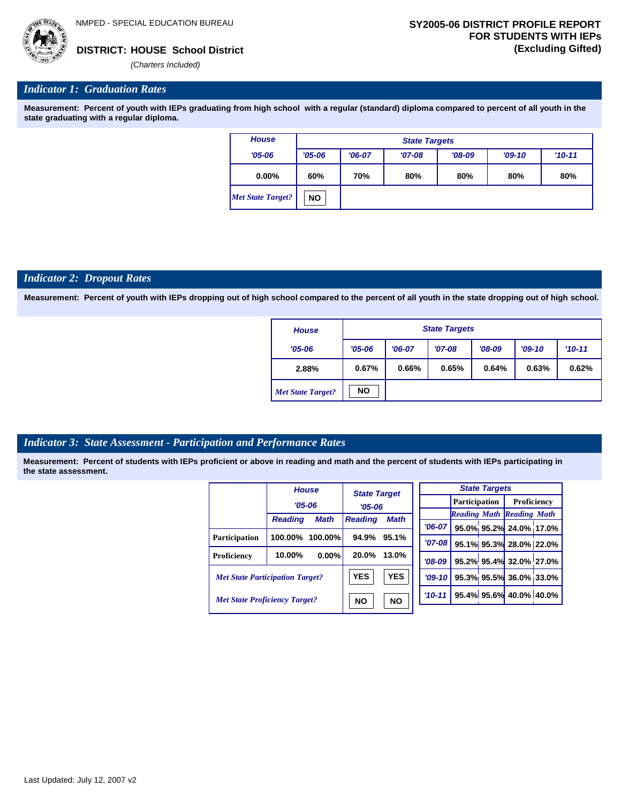

#### *Indicator 1: Graduation Rates*

**Measurement: Percent of youth with IEPs graduating from high school with a regular (standard) diploma compared to percent of all youth in the state graduating with a regular diploma.**

| <b>House</b>             |            | <b>State Targets</b> |          |            |     |     |  |  |  |  |
|--------------------------|------------|----------------------|----------|------------|-----|-----|--|--|--|--|
| $'05 - 06$               | $'05 - 06$ | $'06-07$             | $'09-10$ | $'10 - 11$ |     |     |  |  |  |  |
| $0.00\%$                 | 60%        | 70%                  | 80%      | 80%        | 80% | 80% |  |  |  |  |
| <b>Met State Target?</b> | <b>NO</b>  |                      |          |            |     |     |  |  |  |  |

#### *Indicator 2: Dropout Rates*

**Measurement: Percent of youth with IEPs dropping out of high school compared to the percent of all youth in the state dropping out of high school.**

| <b>House</b>             |                | <b>State Targets</b> |          |          |          |          |  |  |  |  |
|--------------------------|----------------|----------------------|----------|----------|----------|----------|--|--|--|--|
| $'05 - 06$               | $'05 - 06$     | $'06-07$             | $'07-08$ | $'08-09$ | $'09-10$ | $'10-11$ |  |  |  |  |
| 2.88%                    | 0.67%<br>0.66% |                      | 0.65%    | 0.64%    | 0.63%    | 0.62%    |  |  |  |  |
| <b>Met State Target?</b> | <b>NO</b>      |                      |          |          |          |          |  |  |  |  |

#### *Indicator 3: State Assessment - Participation and Performance Rates*

|                                        | <b>House</b>   |                        | <b>State Target</b><br>$'05 - 06$ |             | <b>State Targets</b> |  |                      |                         |                                  |  |  |
|----------------------------------------|----------------|------------------------|-----------------------------------|-------------|----------------------|--|----------------------|-------------------------|----------------------------------|--|--|
|                                        | $'05 - 06$     |                        |                                   |             |                      |  | <b>Participation</b> |                         | Proficiency                      |  |  |
|                                        |                |                        |                                   |             |                      |  |                      |                         | <b>Reading Math Reading Math</b> |  |  |
|                                        | <b>Reading</b> | <b>Math</b>            | <b>Reading</b>                    | <b>Math</b> | $'06-07$             |  |                      |                         | 95.0% 95.2% 24.0% 17.0%          |  |  |
| Participation                          | 100.00%        | $100.00\%$             | 94.9%                             | 95.1%       | $'07-08$             |  |                      |                         | 95.1% 95.3% 28.0% 22.0%          |  |  |
|                                        | 10.00%         | 0.00%                  | 20.0%                             | 13.0%       |                      |  |                      |                         |                                  |  |  |
| Proficiency                            |                |                        |                                   |             | $'08-09$             |  |                      |                         | 95.2% 95.4% 32.0% 27.0%          |  |  |
| <b>Met State Participation Target?</b> |                | <b>YES</b>             | <b>YES</b>                        | $'09-10$    |                      |  |                      | 95.3% 95.5% 36.0% 33.0% |                                  |  |  |
| <b>Met State Proficiency Target?</b>   |                | <b>NO</b><br><b>NO</b> |                                   | $'10-11$    |                      |  |                      | 95.4% 95.6% 40.0% 40.0% |                                  |  |  |
|                                        |                |                        |                                   |             |                      |  |                      |                         |                                  |  |  |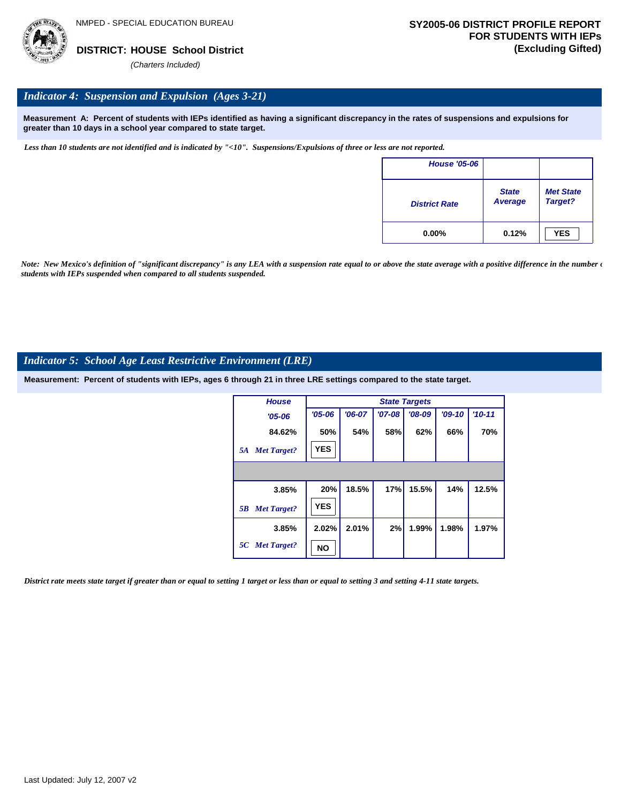

#### *Indicator 4: Suspension and Expulsion (Ages 3-21)*

**Measurement A: Percent of students with IEPs identified as having a significant discrepancy in the rates of suspensions and expulsions for greater than 10 days in a school year compared to state target.**

*Less than 10 students are not identified and is indicated by "<10". Suspensions/Expulsions of three or less are not reported.*

| <b>House '05-06</b>  |                         |                             |
|----------------------|-------------------------|-----------------------------|
| <b>District Rate</b> | <b>State</b><br>Average | <b>Met State</b><br>Target? |
| $0.00\%$             | 0.12%                   | <b>YES</b>                  |

*Note: New Mexico's definition of "significant discrepancy" is any LEA with a suspension rate equal to or above the state average with a positive difference in the number*  $\epsilon$ *students with IEPs suspended when compared to all students suspended.*

#### *Indicator 5: School Age Least Restrictive Environment (LRE)*

**Measurement: Percent of students with IEPs, ages 6 through 21 in three LRE settings compared to the state target.**

| <b>House</b>             |            | <b>State Targets</b> |          |          |          |            |  |  |  |  |
|--------------------------|------------|----------------------|----------|----------|----------|------------|--|--|--|--|
| $'05 - 06$               | $'05 - 06$ | $'06-07$             | $'07-08$ | $'08-09$ | $'09-10$ | $'10 - 11$ |  |  |  |  |
| 84.62%                   | 50%        | 54%                  | 58%      | 62%      | 66%      | 70%        |  |  |  |  |
| <b>Met Target?</b><br>5A | <b>YES</b> |                      |          |          |          |            |  |  |  |  |
|                          |            |                      |          |          |          |            |  |  |  |  |
| 3.85%                    | 20%        | 18.5%                | 17%      | 15.5%    | 14%      | 12.5%      |  |  |  |  |
| <b>Met Target?</b><br>5B | <b>YES</b> |                      |          |          |          |            |  |  |  |  |
| 3.85%                    | 2.02%      | 2.01%                | 2%       | 1.99%    | 1.98%    | 1.97%      |  |  |  |  |
| 5C Met Target?           | NO         |                      |          |          |          |            |  |  |  |  |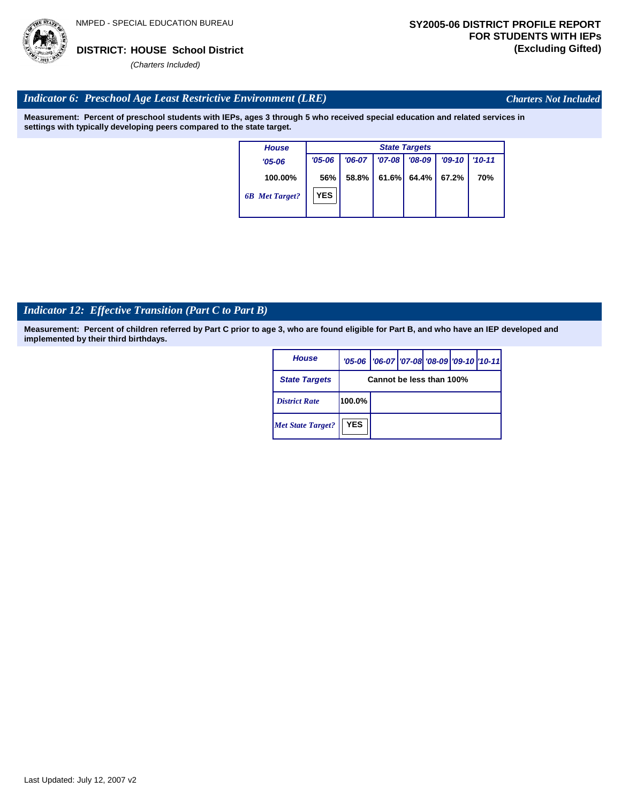

*Charters Not Included*

#### *Indicator 6: Preschool Age Least Restrictive Environment (LRE)*

**Measurement: Percent of preschool students with IEPs, ages 3 through 5 who received special education and related services in settings with typically developing peers compared to the state target.**

| <b>House</b>          | <b>State Targets</b> |          |          |          |          |            |  |  |
|-----------------------|----------------------|----------|----------|----------|----------|------------|--|--|
| $'05 - 06$            | $'05 - 06$           | $'06-07$ | $'07-08$ | $'08-09$ | $'09-10$ | $'10 - 11$ |  |  |
| 100.00%               | 56%                  | 58.8%    | 61.6%    | $64.4\%$ | 67.2%    | 70%        |  |  |
| <b>6B</b> Met Target? | <b>YES</b>           |          |          |          |          |            |  |  |

# *Indicator 12: Effective Transition (Part C to Part B)*

| <b>House</b>             |            | '05-06   '06-07   '07-08 '08-09   '09-10   '10-11 |  |  |  |  |  |
|--------------------------|------------|---------------------------------------------------|--|--|--|--|--|
| <b>State Targets</b>     |            | Cannot be less than 100%                          |  |  |  |  |  |
| <b>District Rate</b>     | 100.0%     |                                                   |  |  |  |  |  |
| <b>Met State Target?</b> | <b>YES</b> |                                                   |  |  |  |  |  |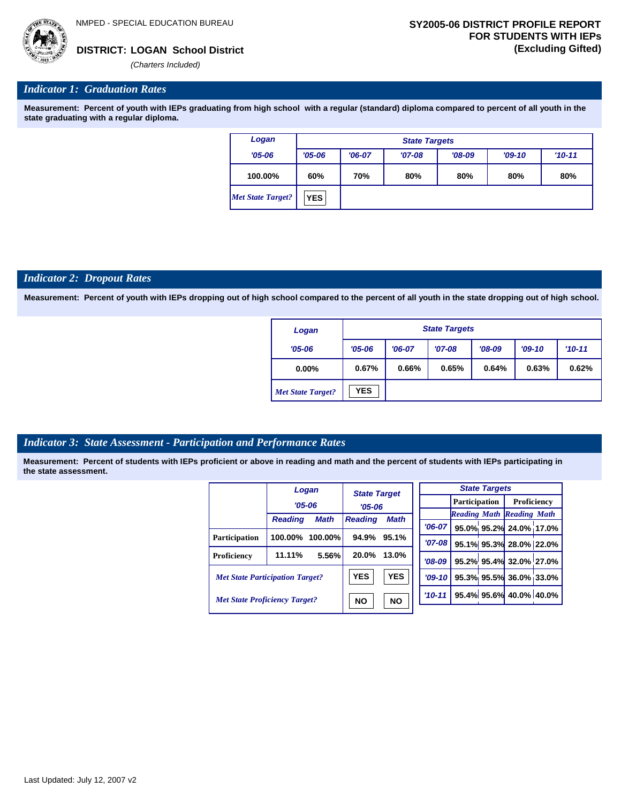

#### *Indicator 1: Graduation Rates*

**Measurement: Percent of youth with IEPs graduating from high school with a regular (standard) diploma compared to percent of all youth in the state graduating with a regular diploma.**

| Logan                    | <b>State Targets</b> |          |          |          |          |            |  |
|--------------------------|----------------------|----------|----------|----------|----------|------------|--|
| $'05 - 06$               | $'05 - 06$           | $'06-07$ | $'07-08$ | $'08-09$ | $'09-10$ | $'10 - 11$ |  |
| 100.00%                  | 60%                  | 70%      | 80%      | 80%      | 80%      | 80%        |  |
| <b>Met State Target?</b> | <b>YES</b>           |          |          |          |          |            |  |

#### *Indicator 2: Dropout Rates*

**Measurement: Percent of youth with IEPs dropping out of high school compared to the percent of all youth in the state dropping out of high school.**

| Logan                    | <b>State Targets</b> |          |          |          |          |          |  |  |
|--------------------------|----------------------|----------|----------|----------|----------|----------|--|--|
| $'05 - 06$               | $'05 - 06$           | $'06-07$ | $'07-08$ | $'08-09$ | $'09-10$ | $'10-11$ |  |  |
| $0.00\%$                 | 0.67%                | 0.66%    | 0.65%    | 0.64%    | 0.63%    | 0.62%    |  |  |
| <b>Met State Target?</b> | <b>YES</b>           |          |          |          |          |          |  |  |

#### *Indicator 3: State Assessment - Participation and Performance Rates*

|                                        |                | Logan                  | <b>State Target</b><br>$'05 - 06$<br><b>Math</b><br><b>Reading</b> |       |          |          |  | <b>State Targets</b>    |                                  |  |                      |  |             |  |
|----------------------------------------|----------------|------------------------|--------------------------------------------------------------------|-------|----------|----------|--|-------------------------|----------------------------------|--|----------------------|--|-------------|--|
|                                        |                | $'05 - 06$             |                                                                    |       |          |          |  |                         |                                  |  | <b>Participation</b> |  | Proficiency |  |
|                                        | <b>Reading</b> | <b>Math</b>            |                                                                    |       |          |          |  |                         | <b>Reading Math Reading Math</b> |  |                      |  |             |  |
|                                        |                |                        |                                                                    |       |          | $'06-07$ |  |                         | 95.0% 95.2% 24.0% 17.0%          |  |                      |  |             |  |
| <b>Participation</b>                   | 100.00%        | 100.00%                | 94.9%                                                              | 95.1% |          | '07-08 l |  |                         | 95.1% 95.3% 28.0% 22.0%          |  |                      |  |             |  |
| <b>Proficiency</b>                     | 11.11%         | 5.56%                  | 20.0%                                                              | 13.0% |          | $'08-09$ |  |                         | 95.2% 95.4% 32.0% 27.0%          |  |                      |  |             |  |
| <b>Met State Participation Target?</b> |                | <b>YES</b>             | <b>YES</b>                                                         |       | $'09-10$ |          |  | 95.3% 95.5% 36.0% 33.0% |                                  |  |                      |  |             |  |
| <b>Met State Proficiency Target?</b>   |                | <b>NO</b><br><b>NO</b> |                                                                    |       | $'10-11$ |          |  | 95.4% 95.6% 40.0% 40.0% |                                  |  |                      |  |             |  |
|                                        |                |                        |                                                                    |       |          |          |  |                         |                                  |  |                      |  |             |  |

| Last Updated: July 12, 2007 v2 |
|--------------------------------|
|--------------------------------|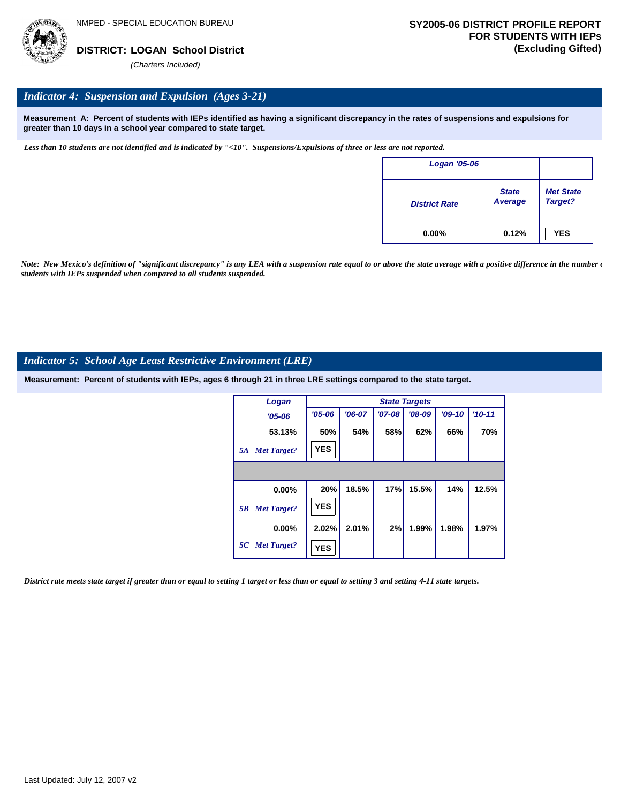

#### *Indicator 4: Suspension and Expulsion (Ages 3-21)*

**Measurement A: Percent of students with IEPs identified as having a significant discrepancy in the rates of suspensions and expulsions for greater than 10 days in a school year compared to state target.**

*Less than 10 students are not identified and is indicated by "<10". Suspensions/Expulsions of three or less are not reported.*

| <b>Logan '05-06</b>  |                         |                             |
|----------------------|-------------------------|-----------------------------|
| <b>District Rate</b> | <b>State</b><br>Average | <b>Met State</b><br>Target? |
| $0.00\%$             | 0.12%                   | <b>YES</b>                  |

*Note: New Mexico's definition of "significant discrepancy" is any LEA with a suspension rate equal to or above the state average with a positive difference in the number*  $\epsilon$ *students with IEPs suspended when compared to all students suspended.*

#### *Indicator 5: School Age Least Restrictive Environment (LRE)*

**Measurement: Percent of students with IEPs, ages 6 through 21 in three LRE settings compared to the state target.**

| Logan                    |            |          |          | <b>State Targets</b> |          |          |
|--------------------------|------------|----------|----------|----------------------|----------|----------|
| $'05 - 06$               | $'05 - 06$ | $'06-07$ | $'07-08$ | $'08-09$             | $'09-10$ | $'10-11$ |
| 53.13%                   | 50%        | 54%      | 58%      | 62%                  | 66%      | 70%      |
| <b>Met Target?</b><br>5A | <b>YES</b> |          |          |                      |          |          |
|                          |            |          |          |                      |          |          |
| 0.00%                    | 20%        | 18.5%    | 17%      | 15.5%                | 14%      | 12.5%    |
| <b>Met Target?</b><br>5B | <b>YES</b> |          |          |                      |          |          |
| $0.00\%$                 | 2.02%      | 2.01%    | 2%       | 1.99%                | 1.98%    | 1.97%    |
| 5C Met Target?           | <b>YES</b> |          |          |                      |          |          |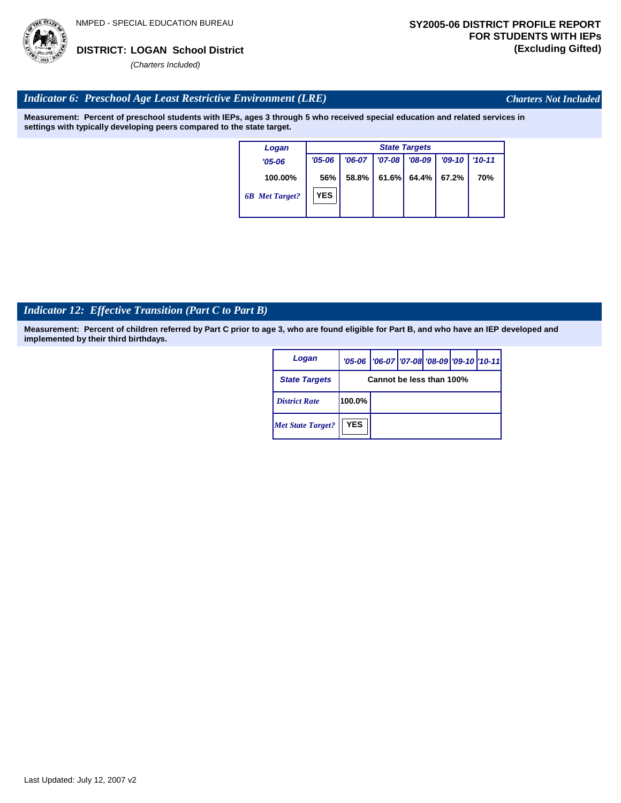

*Charters Not Included*

### *Indicator 6: Preschool Age Least Restrictive Environment (LRE)*

**Measurement: Percent of preschool students with IEPs, ages 3 through 5 who received special education and related services in settings with typically developing peers compared to the state target.**

| Logan                 | <b>State Targets</b> |          |            |          |          |            |  |  |
|-----------------------|----------------------|----------|------------|----------|----------|------------|--|--|
| $'05 - 06$            | $'05 - 06$           | $'06-07$ | $'07 - 08$ | $'08-09$ | $'09-10$ | $'10 - 11$ |  |  |
| 100.00%               | 56%                  | 58.8%    | 61.6%      | 64.4%    | 67.2%    | 70%        |  |  |
| <b>6B</b> Met Target? | <b>YES</b>           |          |            |          |          |            |  |  |

# *Indicator 12: Effective Transition (Part C to Part B)*

| Logan                    |                          | '05-06   '06-07   '07-08 '08-09   '09-10   '10-11 |  |  |  |  |
|--------------------------|--------------------------|---------------------------------------------------|--|--|--|--|
| <b>State Targets</b>     | Cannot be less than 100% |                                                   |  |  |  |  |
| <b>District Rate</b>     | 100.0%                   |                                                   |  |  |  |  |
| <b>Met State Target?</b> | <b>YES</b>               |                                                   |  |  |  |  |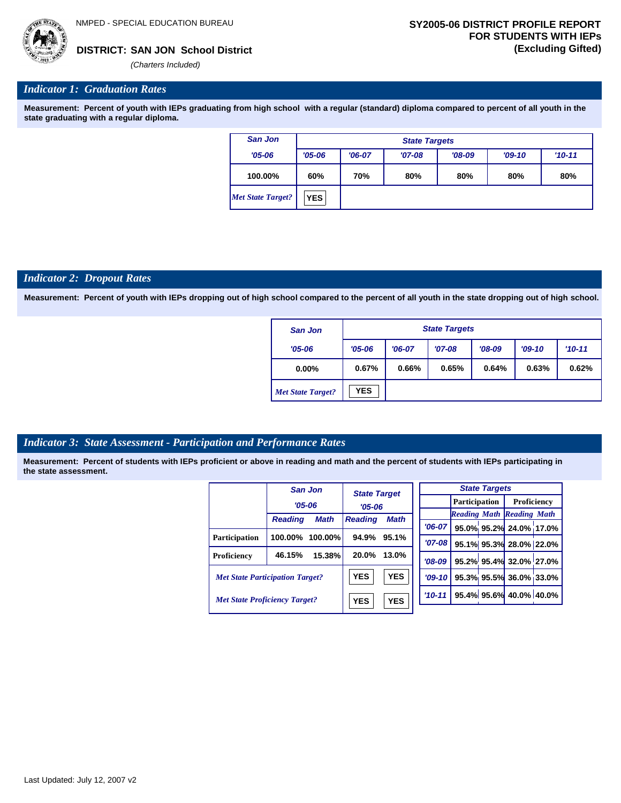## **SAN JON School District DISTRICT: (Excluding Gifted)**

*(Charters Included)*

#### *Indicator 1: Graduation Rates*

**Measurement: Percent of youth with IEPs graduating from high school with a regular (standard) diploma compared to percent of all youth in the state graduating with a regular diploma.**

| San Jon           | <b>State Targets</b> |          |          |          |          |          |  |  |
|-------------------|----------------------|----------|----------|----------|----------|----------|--|--|
| $'05 - 06$        | $'05 - 06$           | $'06-07$ | $'07-08$ | $'08-09$ | $'09-10$ | $'10-11$ |  |  |
| 100.00%           | 60%                  | 70%      | 80%      | 80%      | 80%      | 80%      |  |  |
| Met State Target? | <b>YES</b>           |          |          |          |          |          |  |  |

#### *Indicator 2: Dropout Rates*

**Measurement: Percent of youth with IEPs dropping out of high school compared to the percent of all youth in the state dropping out of high school.**

| <b>San Jon</b>           | <b>State Targets</b> |                                                          |       |       |       |       |  |
|--------------------------|----------------------|----------------------------------------------------------|-------|-------|-------|-------|--|
| $'05 - 06$               | $'05 - 06$           | $'08-09$<br>$'07-08$<br>$'10-11$<br>$'06-07$<br>$'09-10$ |       |       |       |       |  |
| $0.00\%$                 | 0.67%                | 0.66%                                                    | 0.65% | 0.64% | 0.63% | 0.62% |  |
| <b>Met State Target?</b> | <b>YES</b>           |                                                          |       |       |       |       |  |

#### *Indicator 3: State Assessment - Participation and Performance Rates*

|                                        |                | San Jon     | <b>State Target</b> |             |           |          | <b>State Targets</b> |                         |                                  |  |  |               |  |             |  |
|----------------------------------------|----------------|-------------|---------------------|-------------|-----------|----------|----------------------|-------------------------|----------------------------------|--|--|---------------|--|-------------|--|
|                                        | $'05 - 06$     |             | $'05 - 06$          |             |           |          |                      |                         |                                  |  |  | Participation |  | Proficiency |  |
|                                        |                |             |                     |             |           |          |                      |                         | <b>Reading Math Reading Math</b> |  |  |               |  |             |  |
|                                        | <b>Reading</b> | <b>Math</b> | <b>Reading</b>      | <b>Math</b> |           | '06-07 l |                      |                         | 95.0% 95.2% 24.0% 17.0%          |  |  |               |  |             |  |
| <b>Participation</b>                   | 100.00%        | $100.00\%$  | 94.9%               | 95.1%       |           |          |                      |                         |                                  |  |  |               |  |             |  |
|                                        |                |             |                     |             |           | $'07-08$ |                      |                         | 95.1% 95.3% 28.0% 22.0%          |  |  |               |  |             |  |
| Proficiency                            | 46.15%         | 15.38%      | 20.0%               | 13.0%       |           | $'08-09$ |                      |                         | 95.2% 95.4% 32.0% 27.0%          |  |  |               |  |             |  |
| <b>Met State Participation Target?</b> |                | <b>YES</b>  | <b>YES</b>          |             | $'09-10'$ |          |                      | 95.3% 95.5% 36.0% 33.0% |                                  |  |  |               |  |             |  |
| <b>Met State Proficiency Target?</b>   |                | <b>YES</b>  | <b>YES</b>          |             | $'10-11$  |          |                      | 95.4% 95.6% 40.0% 40.0% |                                  |  |  |               |  |             |  |
|                                        |                |             |                     |             |           |          |                      |                         |                                  |  |  |               |  |             |  |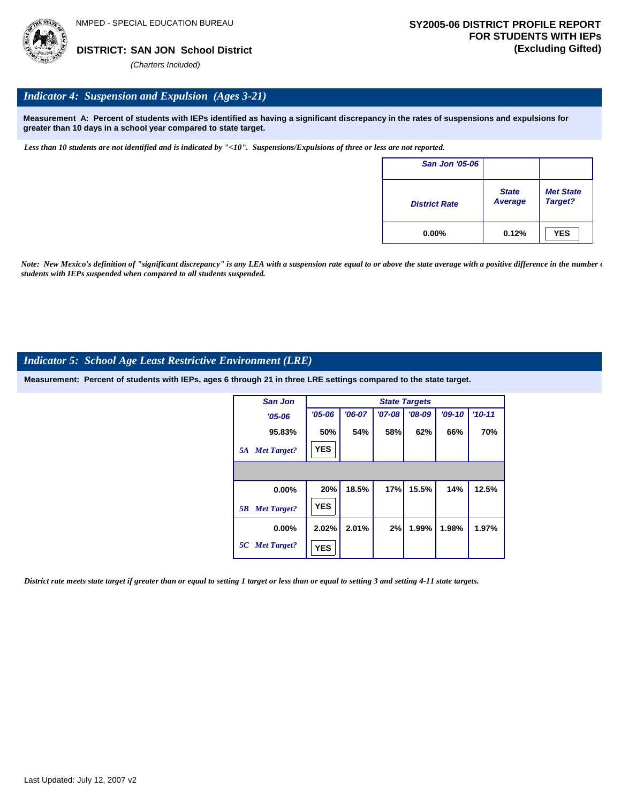

#### *Indicator 4: Suspension and Expulsion (Ages 3-21)*

**Measurement A: Percent of students with IEPs identified as having a significant discrepancy in the rates of suspensions and expulsions for greater than 10 days in a school year compared to state target.**

*Less than 10 students are not identified and is indicated by "<10". Suspensions/Expulsions of three or less are not reported.*

| <b>San Jon '05-06</b> |                         |                             |
|-----------------------|-------------------------|-----------------------------|
| <b>District Rate</b>  | <b>State</b><br>Average | <b>Met State</b><br>Target? |
| $0.00\%$              | 0.12%                   | <b>YES</b>                  |

*Note: New Mexico's definition of "significant discrepancy" is any LEA with a suspension rate equal to or above the state average with a positive difference in the number*  $\epsilon$ *students with IEPs suspended when compared to all students suspended.*

#### *Indicator 5: School Age Least Restrictive Environment (LRE)*

**Measurement: Percent of students with IEPs, ages 6 through 21 in three LRE settings compared to the state target.**

| <b>San Jon</b>           |            |          |          | <b>State Targets</b> |          |          |
|--------------------------|------------|----------|----------|----------------------|----------|----------|
| $'05 - 06$               | $'05 - 06$ | $'06-07$ | $'07-08$ | $'08-09$             | $'09-10$ | $'10-11$ |
| 95.83%                   | 50%        | 54%      | 58%      | 62%                  | 66%      | 70%      |
| <b>Met Target?</b><br>5A | <b>YES</b> |          |          |                      |          |          |
|                          |            |          |          |                      |          |          |
| 0.00%                    | 20%        | 18.5%    | 17%      | 15.5%                | 14%      | 12.5%    |
| <b>Met Target?</b><br>5B | <b>YES</b> |          |          |                      |          |          |
| $0.00\%$                 | 2.02%      | 2.01%    | 2%       | 1.99%                | 1.98%    | 1.97%    |
| 5C Met Target?           | <b>YES</b> |          |          |                      |          |          |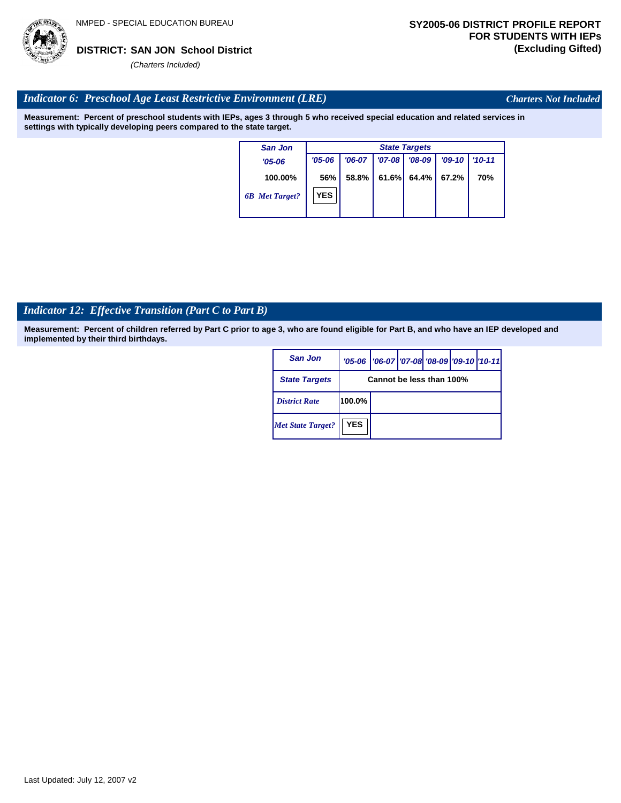

*Charters Not Included*

### *Indicator 6: Preschool Age Least Restrictive Environment (LRE)*

**Measurement: Percent of preschool students with IEPs, ages 3 through 5 who received special education and related services in settings with typically developing peers compared to the state target.**

| $'10 - 11$ |
|------------|
|            |
| 70%        |
|            |
|            |

# *Indicator 12: Effective Transition (Part C to Part B)*

| San Jon                  |                          | '05-06   '06-07   '07-08   '08-09   '09-10   '10-11 |  |  |  |  |  |
|--------------------------|--------------------------|-----------------------------------------------------|--|--|--|--|--|
| <b>State Targets</b>     | Cannot be less than 100% |                                                     |  |  |  |  |  |
| <b>District Rate</b>     | 100.0%                   |                                                     |  |  |  |  |  |
| <b>Met State Target?</b> | <b>YES</b>               |                                                     |  |  |  |  |  |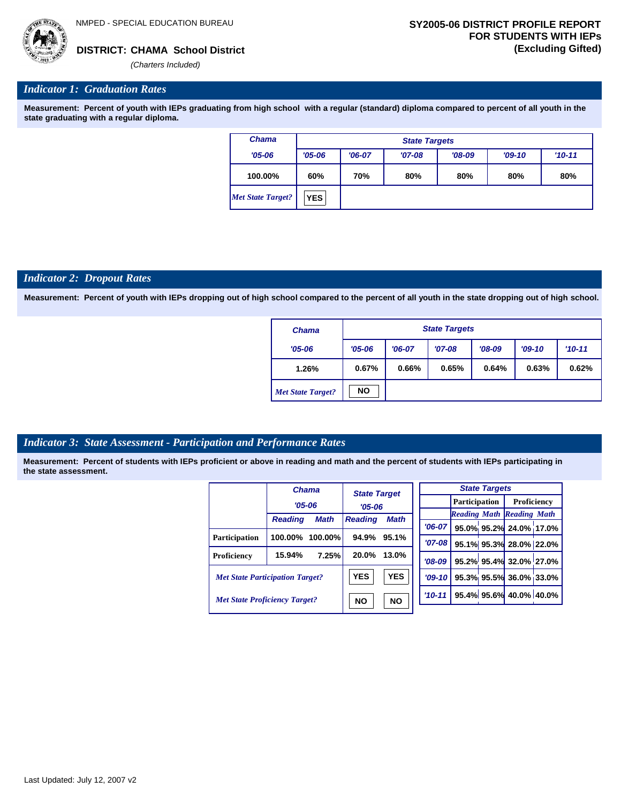

#### *Indicator 1: Graduation Rates*

**Measurement: Percent of youth with IEPs graduating from high school with a regular (standard) diploma compared to percent of all youth in the state graduating with a regular diploma.**

| <b>Chama</b>             |            | <b>State Targets</b> |          |          |          |            |  |  |  |  |  |
|--------------------------|------------|----------------------|----------|----------|----------|------------|--|--|--|--|--|
| $'05 - 06$               | $'05 - 06$ | $'06-07$             | $'07-08$ | $'08-09$ | $'09-10$ | $'10 - 11$ |  |  |  |  |  |
| 100.00%                  | 60%        | 70%                  | 80%      | 80%      | 80%      | 80%        |  |  |  |  |  |
| <b>Met State Target?</b> | <b>YES</b> |                      |          |          |          |            |  |  |  |  |  |

#### *Indicator 2: Dropout Rates*

**Measurement: Percent of youth with IEPs dropping out of high school compared to the percent of all youth in the state dropping out of high school.**

| <b>Chama</b>             |            | <b>State Targets</b> |          |          |                        |       |  |  |  |  |  |
|--------------------------|------------|----------------------|----------|----------|------------------------|-------|--|--|--|--|--|
| $'05 - 06$               | $'05 - 06$ | $'06-07$             | $'07-08$ | $'08-09$ | $'09-10$<br>$'10 - 11$ |       |  |  |  |  |  |
| 1.26%                    | 0.67%      | 0.66%                | 0.65%    | 0.64%    | 0.63%                  | 0.62% |  |  |  |  |  |
| <b>Met State Target?</b> | <b>NO</b>  |                      |          |          |                        |       |  |  |  |  |  |

#### *Indicator 3: State Assessment - Participation and Performance Rates*

|                                        |                | <b>Chama</b> | <b>State Target</b><br>$'05 - 06$ |             |            | <b>State Targets</b> |  |                         |                                  |  |                      |  |
|----------------------------------------|----------------|--------------|-----------------------------------|-------------|------------|----------------------|--|-------------------------|----------------------------------|--|----------------------|--|
|                                        | $'05 - 06$     |              |                                   |             |            |                      |  |                         |                                  |  | <b>Participation</b> |  |
|                                        | <b>Reading</b> | <b>Math</b>  | <b>Reading</b>                    | <b>Math</b> |            |                      |  |                         | <b>Reading Math Reading Math</b> |  |                      |  |
|                                        |                |              |                                   |             |            | $'06-07$             |  |                         | 95.0% 95.2% 24.0% 17.0%          |  |                      |  |
| Participation                          | 100.00%        | $100.00\%$   | 94.9%                             | 95.1%       |            | $'07-08$             |  |                         | 95.1% 95.3% 28.0% 22.0%          |  |                      |  |
| Proficiency                            | 15.94%         | 7.25%        | 20.0%                             | 13.0%       |            | $'08-09$             |  |                         | 95.2% 95.4% 32.0% 27.0%          |  |                      |  |
| <b>Met State Participation Target?</b> |                | <b>YES</b>   | <b>YES</b>                        |             | $'09-10$   |                      |  | 95.3% 95.5% 36.0% 33.0% |                                  |  |                      |  |
| <b>Met State Proficiency Target?</b>   |                | <b>NO</b>    | <b>NO</b>                         |             | $'10 - 11$ |                      |  | 95.4% 95.6% 40.0% 40.0% |                                  |  |                      |  |
|                                        |                |              |                                   |             |            |                      |  |                         |                                  |  |                      |  |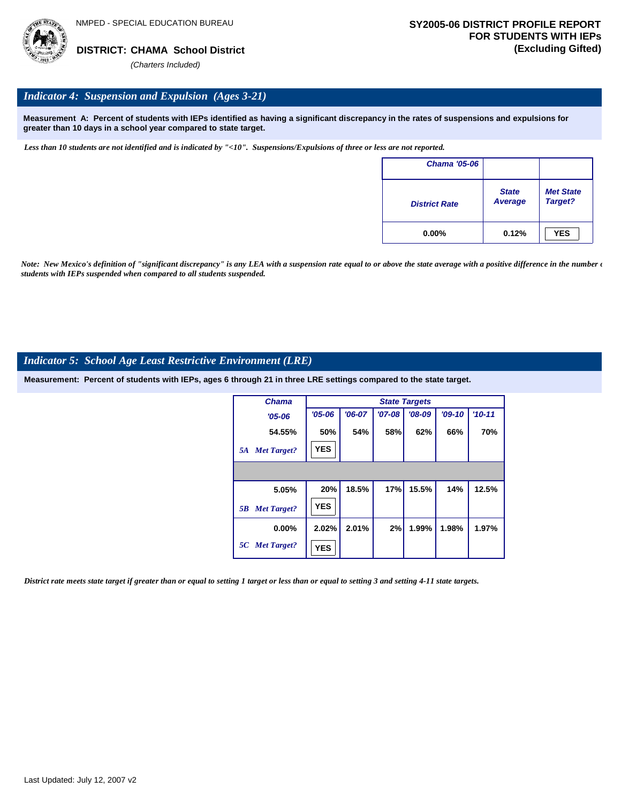

#### *Indicator 4: Suspension and Expulsion (Ages 3-21)*

**Measurement A: Percent of students with IEPs identified as having a significant discrepancy in the rates of suspensions and expulsions for greater than 10 days in a school year compared to state target.**

*Less than 10 students are not identified and is indicated by "<10". Suspensions/Expulsions of three or less are not reported.*

| Chama '05-06         |                                |                             |
|----------------------|--------------------------------|-----------------------------|
| <b>District Rate</b> | <b>State</b><br><b>Average</b> | <b>Met State</b><br>Target? |
| $0.00\%$             | 0.12%                          | <b>YES</b>                  |

*Note: New Mexico's definition of "significant discrepancy" is any LEA with a suspension rate equal to or above the state average with a positive difference in the number*  $\epsilon$ *students with IEPs suspended when compared to all students suspended.*

#### *Indicator 5: School Age Least Restrictive Environment (LRE)*

**Measurement: Percent of students with IEPs, ages 6 through 21 in three LRE settings compared to the state target.**

| <b>Chama</b>             |            |          |          | <b>State Targets</b> |          |            |
|--------------------------|------------|----------|----------|----------------------|----------|------------|
| $'05 - 06$               | $'05 - 06$ | $'06-07$ | $'07-08$ | $'08-09$             | $'09-10$ | $'10 - 11$ |
| 54.55%                   | 50%        | 54%      | 58%      | 62%                  | 66%      | 70%        |
| <b>Met Target?</b><br>5A | <b>YES</b> |          |          |                      |          |            |
|                          |            |          |          |                      |          |            |
| 5.05%                    | 20%        | 18.5%    | 17%      | 15.5%                | 14%      | 12.5%      |
| <b>Met Target?</b><br>5B | <b>YES</b> |          |          |                      |          |            |
| $0.00\%$                 | 2.02%      | 2.01%    | 2%       | 1.99%                | 1.98%    | 1.97%      |
| 5C Met Target?           | <b>YES</b> |          |          |                      |          |            |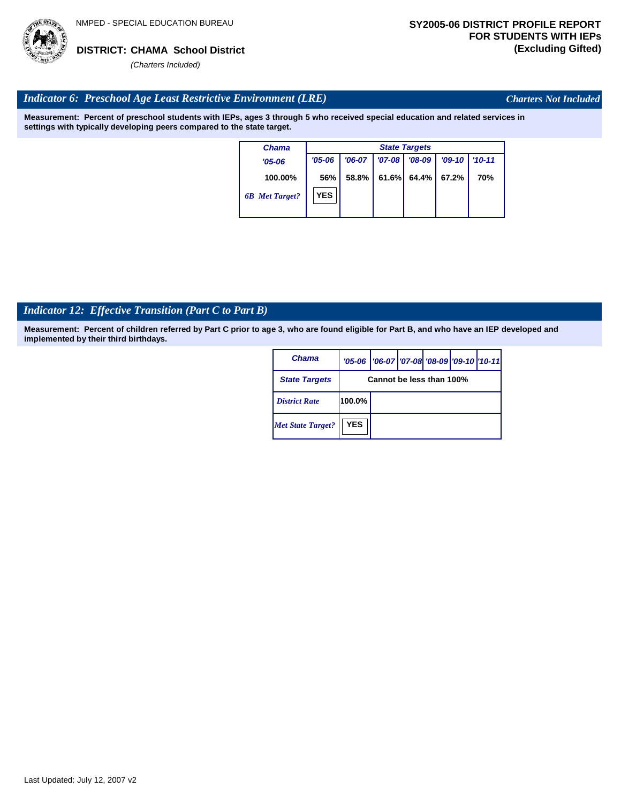

*Charters Not Included*

#### *Indicator 6: Preschool Age Least Restrictive Environment (LRE)*

**Measurement: Percent of preschool students with IEPs, ages 3 through 5 who received special education and related services in settings with typically developing peers compared to the state target.**

| <b>Chama</b>          |            | <b>State Targets</b> |            |          |          |            |  |  |  |
|-----------------------|------------|----------------------|------------|----------|----------|------------|--|--|--|
| $'05 - 06$            | $'05 - 06$ | $'06-07$             | $'07 - 08$ | $'08-09$ | $'09-10$ | $'10 - 11$ |  |  |  |
| 100.00%               | 56%        | 58.8%                | 61.6%      | 64.4%    | 67.2%    | 70%        |  |  |  |
| <b>6B</b> Met Target? | <b>YES</b> |                      |            |          |          |            |  |  |  |

# *Indicator 12: Effective Transition (Part C to Part B)*

| Chama                    |            | '05-06   '06-07   '07-08 '08-09   '09-10   '10-11 |  |  |
|--------------------------|------------|---------------------------------------------------|--|--|
| <b>State Targets</b>     |            | Cannot be less than 100%                          |  |  |
| <b>District Rate</b>     | 100.0%     |                                                   |  |  |
| <b>Met State Target?</b> | <b>YES</b> |                                                   |  |  |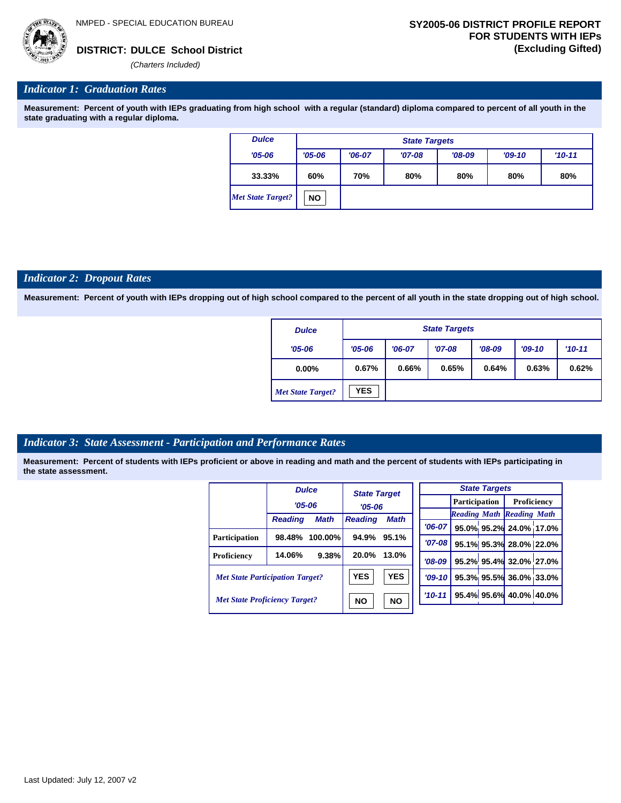

#### *Indicator 1: Graduation Rates*

**Measurement: Percent of youth with IEPs graduating from high school with a regular (standard) diploma compared to percent of all youth in the state graduating with a regular diploma.**

| <b>Dulce</b>             |            | <b>State Targets</b> |          |            |     |     |  |  |  |
|--------------------------|------------|----------------------|----------|------------|-----|-----|--|--|--|
| $'05 - 06$               | $'05 - 06$ | $'06-07$             | $'09-10$ | $'10 - 11$ |     |     |  |  |  |
| 33.33%                   | 60%        | 70%                  | 80%      | 80%        | 80% | 80% |  |  |  |
| <b>Met State Target?</b> | <b>NO</b>  |                      |          |            |     |     |  |  |  |

#### *Indicator 2: Dropout Rates*

**Measurement: Percent of youth with IEPs dropping out of high school compared to the percent of all youth in the state dropping out of high school.**

| <b>Dulce</b>             |            | <b>State Targets</b> |          |          |          |            |  |  |  |
|--------------------------|------------|----------------------|----------|----------|----------|------------|--|--|--|
| $'05 - 06$               | $'05 - 06$ | $'06-07$             | $'07-08$ | $'08-09$ | $'09-10$ | $'10 - 11$ |  |  |  |
| $0.00\%$                 | 0.67%      | 0.66%                | 0.65%    | 0.64%    | 0.63%    | 0.62%      |  |  |  |
| <b>Met State Target?</b> | <b>YES</b> |                      |          |          |          |            |  |  |  |

#### *Indicator 3: State Assessment - Participation and Performance Rates*

|                                        |                | <b>Dulce</b>           | <b>State Target</b> |             |          |          |  | <b>State Targets</b>    |                                  |  |             |  |
|----------------------------------------|----------------|------------------------|---------------------|-------------|----------|----------|--|-------------------------|----------------------------------|--|-------------|--|
|                                        | $'05 - 06$     |                        | $'05 - 06$          |             |          |          |  |                         | <b>Participation</b>             |  | Proficiency |  |
|                                        |                |                        |                     |             |          |          |  |                         | <b>Reading Math Reading Math</b> |  |             |  |
|                                        | <b>Reading</b> | <b>Math</b>            | <b>Reading</b>      | <b>Math</b> |          | $'06-07$ |  |                         | 95.0% 95.2% 24.0% 17.0%          |  |             |  |
| Participation                          | 98.48%         | $100.00\%$             | 94.9%               | 95.1%       |          | $'07-08$ |  |                         | 95.1% 95.3% 28.0% 22.0%          |  |             |  |
| Proficiency                            | 14.06%         | 9.38%                  | 20.0%               | 13.0%       | $'08-09$ |          |  |                         | 95.2% 95.4% 32.0% 27.0%          |  |             |  |
| <b>Met State Participation Target?</b> |                |                        | <b>YES</b>          | <b>YES</b>  |          | $'09-10$ |  |                         | 95.3% 95.5% 36.0% 33.0%          |  |             |  |
| <b>Met State Proficiency Target?</b>   |                | <b>NO</b><br><b>NO</b> |                     | $'10-11$    |          |          |  | 95.4% 95.6% 40.0% 40.0% |                                  |  |             |  |
|                                        |                |                        |                     |             |          |          |  |                         |                                  |  |             |  |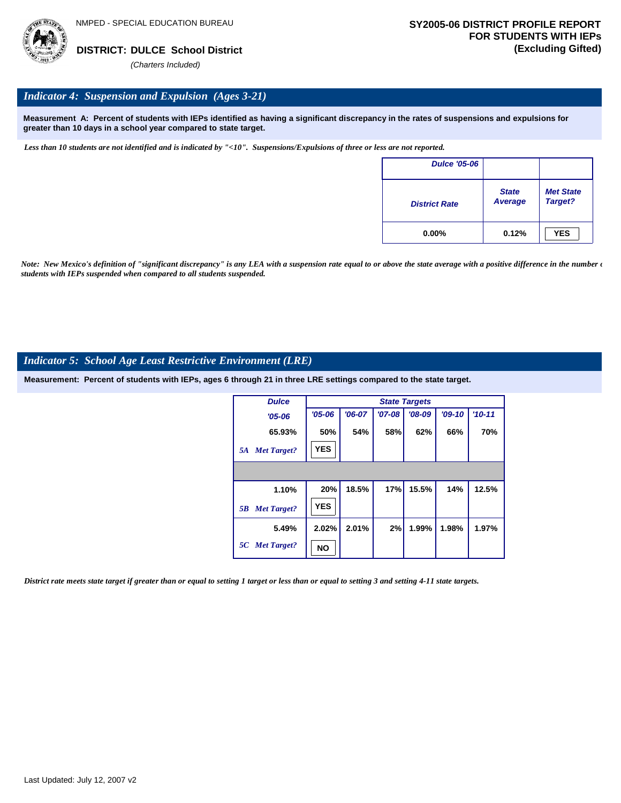

#### *Indicator 4: Suspension and Expulsion (Ages 3-21)*

**Measurement A: Percent of students with IEPs identified as having a significant discrepancy in the rates of suspensions and expulsions for greater than 10 days in a school year compared to state target.**

*Less than 10 students are not identified and is indicated by "<10". Suspensions/Expulsions of three or less are not reported.*

| <b>Dulce '05-06</b>  |                         |                             |
|----------------------|-------------------------|-----------------------------|
| <b>District Rate</b> | <b>State</b><br>Average | <b>Met State</b><br>Target? |
| $0.00\%$             | 0.12%                   | <b>YES</b>                  |

*Note: New Mexico's definition of "significant discrepancy" is any LEA with a suspension rate equal to or above the state average with a positive difference in the number*  $\epsilon$ *students with IEPs suspended when compared to all students suspended.*

#### *Indicator 5: School Age Least Restrictive Environment (LRE)*

**Measurement: Percent of students with IEPs, ages 6 through 21 in three LRE settings compared to the state target.**

| <b>Dulce</b>             |            | <b>State Targets</b> |          |          |          |          |  |  |  |  |
|--------------------------|------------|----------------------|----------|----------|----------|----------|--|--|--|--|
| $'05 - 06$               | $'05 - 06$ | $'06-07$             | $'07-08$ | $'08-09$ | $'09-10$ | $'10-11$ |  |  |  |  |
| 65.93%                   | 50%        | 54%                  | 58%      | 62%      | 66%      | 70%      |  |  |  |  |
| <b>Met Target?</b><br>5A | <b>YES</b> |                      |          |          |          |          |  |  |  |  |
|                          |            |                      |          |          |          |          |  |  |  |  |
| 1.10%                    | 20%        | 18.5%                | 17%      | 15.5%    | 14%      | 12.5%    |  |  |  |  |
| <b>Met Target?</b><br>5B | <b>YES</b> |                      |          |          |          |          |  |  |  |  |
| 5.49%                    | 2.02%      | 2.01%                | 2%       | 1.99%    | 1.98%    | 1.97%    |  |  |  |  |
| 5C Met Target?           | NO         |                      |          |          |          |          |  |  |  |  |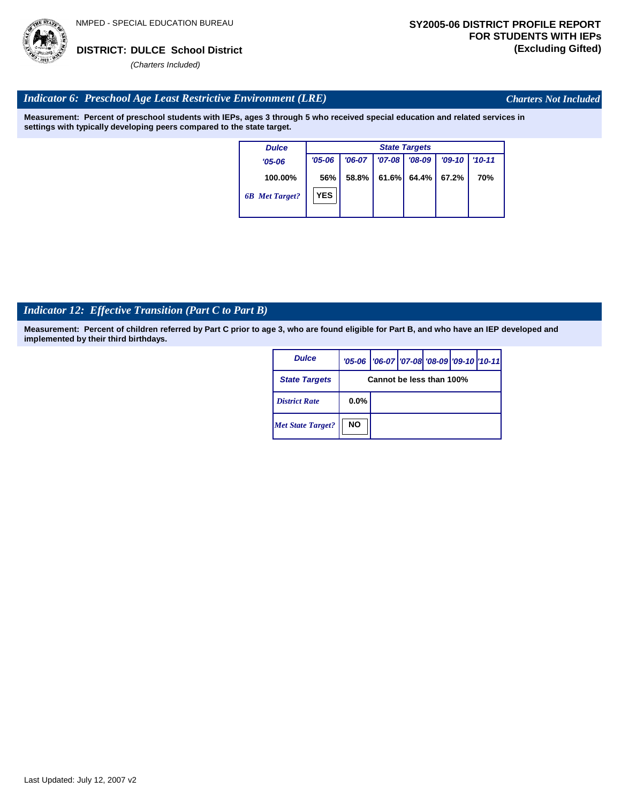

*Charters Not Included*

#### *Indicator 6: Preschool Age Least Restrictive Environment (LRE)*

**Measurement: Percent of preschool students with IEPs, ages 3 through 5 who received special education and related services in settings with typically developing peers compared to the state target.**

| <b>Dulce</b>          | <b>State Targets</b> |          |            |          |          |            |  |  |  |
|-----------------------|----------------------|----------|------------|----------|----------|------------|--|--|--|
| $'05 - 06$            | $'05 - 06$           | $'06-07$ | $'07 - 08$ | $'08-09$ | $'09-10$ | $'10 - 11$ |  |  |  |
| 100.00%               | 56%                  | 58.8%    | 61.6%      | $64.4\%$ | 67.2%    | 70%        |  |  |  |
| <b>6B</b> Met Target? | <b>YES</b>           |          |            |          |          |            |  |  |  |

# *Indicator 12: Effective Transition (Part C to Part B)*

| <b>Dulce</b>             |                          | '05-06   '06-07   '07-08   '08-09   '09-10   '10-11 |  |  |  |  |  |  |
|--------------------------|--------------------------|-----------------------------------------------------|--|--|--|--|--|--|
| <b>State Targets</b>     | Cannot be less than 100% |                                                     |  |  |  |  |  |  |
| <b>District Rate</b>     | $0.0\%$                  |                                                     |  |  |  |  |  |  |
| <b>Met State Target?</b> | <b>NO</b>                |                                                     |  |  |  |  |  |  |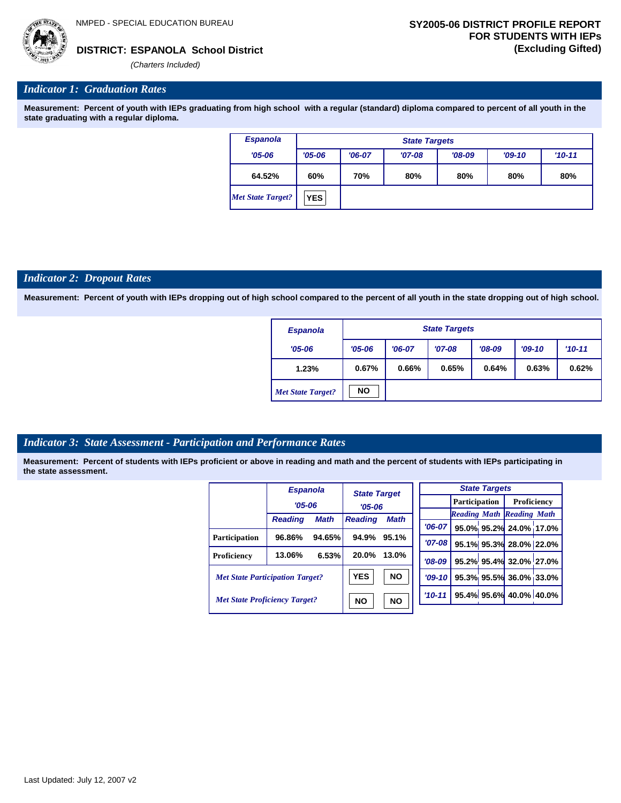*'06-07* **95.0% 95.2% 24.0% 17.0%**

**95.1% 95.3% 28.0% 22.0% 95.2% 95.4% 32.0% 27.0% 95.3% 95.5% 36.0% 33.0% 95.4% 95.6% 40.0% 40.0%**

*Reading Math Reading Math*

*(Charters Included)*

#### *Indicator 1: Graduation Rates*

**Measurement: Percent of youth with IEPs graduating from high school with a regular (standard) diploma compared to percent of all youth in the state graduating with a regular diploma.**

| <b>Espanola</b>          |            | <b>State Targets</b> |          |          |          |          |  |  |  |  |
|--------------------------|------------|----------------------|----------|----------|----------|----------|--|--|--|--|
| $'05 - 06$               | $'05 - 06$ | $'06-07$             | $'07-08$ | $'08-09$ | $'09-10$ | $'10-11$ |  |  |  |  |
| 64.52%                   | 60%        | 70%                  | 80%      | 80%      | 80%      | 80%      |  |  |  |  |
| <b>Met State Target?</b> | <b>YES</b> |                      |          |          |          |          |  |  |  |  |

#### *Indicator 2: Dropout Rates*

**Measurement: Percent of youth with IEPs dropping out of high school compared to the percent of all youth in the state dropping out of high school.**

| <b>Espanola</b>          |            | <b>State Targets</b> |          |          |          |          |  |  |  |
|--------------------------|------------|----------------------|----------|----------|----------|----------|--|--|--|
| $'05 - 06$               | $'05 - 06$ | $'06-07$             | $'07-08$ | $'08-09$ | $'09-10$ | $'10-11$ |  |  |  |
| 1.23%                    | 0.67%      | 0.66%                | 0.65%    | 0.64%    | 0.63%    | 0.62%    |  |  |  |
| <b>Met State Target?</b> | <b>NO</b>  |                      |          |          |          |          |  |  |  |

#### *Indicator 3: State Assessment - Participation and Performance Rates*

|                                        | <b>Espanola</b> |             | <b>State Target</b> |             |  |          |                      | <b>State Targets</b>    |                                  |  |
|----------------------------------------|-----------------|-------------|---------------------|-------------|--|----------|----------------------|-------------------------|----------------------------------|--|
|                                        | $'05 - 06$      |             |                     | $'05 - 06$  |  |          | <b>Participation</b> |                         | Proficiency                      |  |
|                                        |                 | <b>Math</b> |                     | <b>Math</b> |  |          |                      |                         | <b>Reading Math Reading Math</b> |  |
|                                        | <b>Reading</b>  |             | <b>Reading</b>      |             |  | $'06-07$ |                      |                         | 95.0% 95.2% 24.0% 17.0           |  |
| Participation                          | 96.86%          | 94.65%      | 94.9%               | 95.1%       |  | $'07-08$ |                      |                         | 95.1% 95.3% 28.0% 22.0           |  |
| Proficiency                            | 13.06%          | 6.53%       | 20.0%               | 13.0%       |  | $'08-09$ |                      |                         | 95.2% 95.4% 32.0% 27.0           |  |
| <b>Met State Participation Target?</b> |                 |             | <b>YES</b>          | <b>NO</b>   |  | $'09-10$ |                      |                         | 95.3% 95.5% 36.0% 33.0           |  |
| <b>Met State Proficiency Target?</b>   |                 | <b>NO</b>   | <b>NO</b>           | $'10 - 11$  |  |          |                      | 95.4% 95.6% 40.0% 40.0% |                                  |  |
|                                        |                 |             |                     |             |  |          |                      |                         |                                  |  |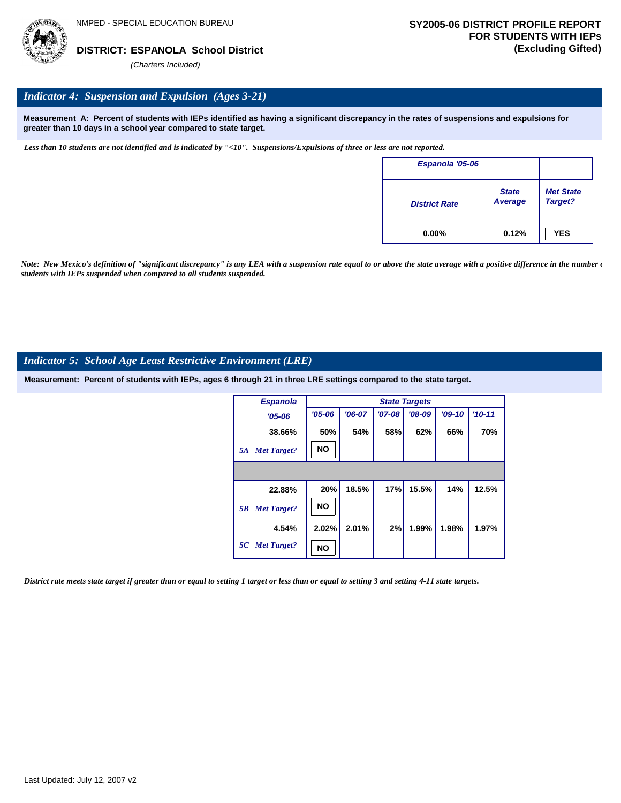

#### *Indicator 4: Suspension and Expulsion (Ages 3-21)*

**Measurement A: Percent of students with IEPs identified as having a significant discrepancy in the rates of suspensions and expulsions for greater than 10 days in a school year compared to state target.**

*Less than 10 students are not identified and is indicated by "<10". Suspensions/Expulsions of three or less are not reported.*

| Espanola '05-06      |                                |                             |
|----------------------|--------------------------------|-----------------------------|
| <b>District Rate</b> | <b>State</b><br><b>Average</b> | <b>Met State</b><br>Target? |
| $0.00\%$             | 0.12%                          | <b>YES</b>                  |

*Note: New Mexico's definition of "significant discrepancy" is any LEA with a suspension rate equal to or above the state average with a positive difference in the number*  $\epsilon$ *students with IEPs suspended when compared to all students suspended.*

#### *Indicator 5: School Age Least Restrictive Environment (LRE)*

**Measurement: Percent of students with IEPs, ages 6 through 21 in three LRE settings compared to the state target.**

| <b>Espanola</b>          |            | <b>State Targets</b> |          |          |          |            |  |  |  |  |
|--------------------------|------------|----------------------|----------|----------|----------|------------|--|--|--|--|
| $'05 - 06$               | $'05 - 06$ | $'06-07$             | $'07-08$ | $'08-09$ | $'09-10$ | $'10 - 11$ |  |  |  |  |
| 38.66%                   | 50%        | 54%                  | 58%      | 62%      | 66%      | 70%        |  |  |  |  |
| <b>Met Target?</b><br>5A | <b>NO</b>  |                      |          |          |          |            |  |  |  |  |
|                          |            |                      |          |          |          |            |  |  |  |  |
| 22.88%                   | 20%        | 18.5%                | 17%      | 15.5%    | 14%      | 12.5%      |  |  |  |  |
| <b>Met Target?</b><br>5B | <b>NO</b>  |                      |          |          |          |            |  |  |  |  |
| 4.54%                    | 2.02%      | 2.01%                | 2%       | 1.99%    | 1.98%    | 1.97%      |  |  |  |  |
| 5C Met Target?           | NO         |                      |          |          |          |            |  |  |  |  |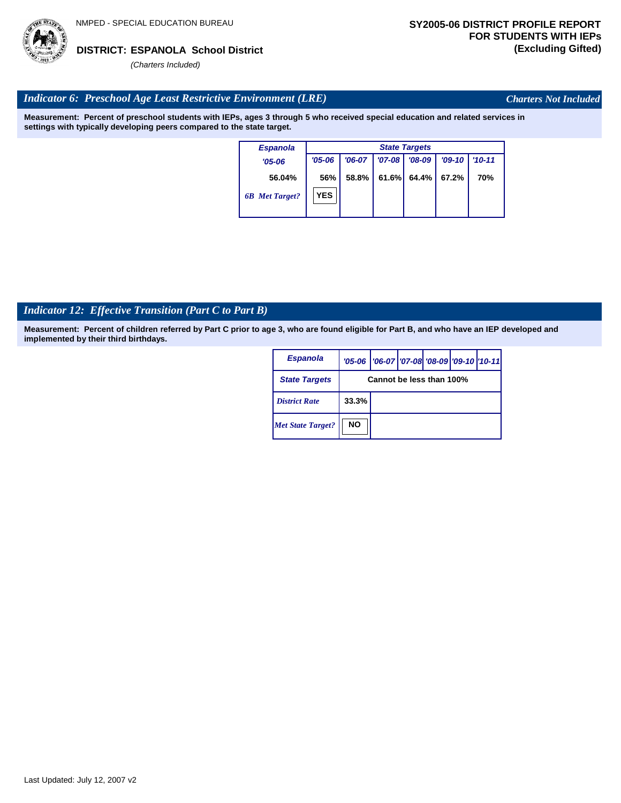

*Charters Not Included*

#### *Indicator 6: Preschool Age Least Restrictive Environment (LRE)*

**Measurement: Percent of preschool students with IEPs, ages 3 through 5 who received special education and related services in settings with typically developing peers compared to the state target.**

| <b>Espanola</b>       |            | <b>State Targets</b> |          |          |          |            |  |  |  |
|-----------------------|------------|----------------------|----------|----------|----------|------------|--|--|--|
| $'05 - 06$            | $'05 - 06$ | $'06-07$             | $'07-08$ | $'08-09$ | $'09-10$ | $'10 - 11$ |  |  |  |
| 56.04%                | 56%        | 58.8%                | 61.6%    | 64.4%    | 67.2%    | 70%        |  |  |  |
| <b>6B</b> Met Target? | <b>YES</b> |                      |          |          |          |            |  |  |  |

# *Indicator 12: Effective Transition (Part C to Part B)*

| <b>Espanola</b>          |                          | '05-06   '06-07   '07-08   '08-09   '09-10   '10-11 |  |  |  |  |
|--------------------------|--------------------------|-----------------------------------------------------|--|--|--|--|
| <b>State Targets</b>     | Cannot be less than 100% |                                                     |  |  |  |  |
| <b>District Rate</b>     | 33.3%                    |                                                     |  |  |  |  |
| <b>Met State Target?</b> | <b>NO</b>                |                                                     |  |  |  |  |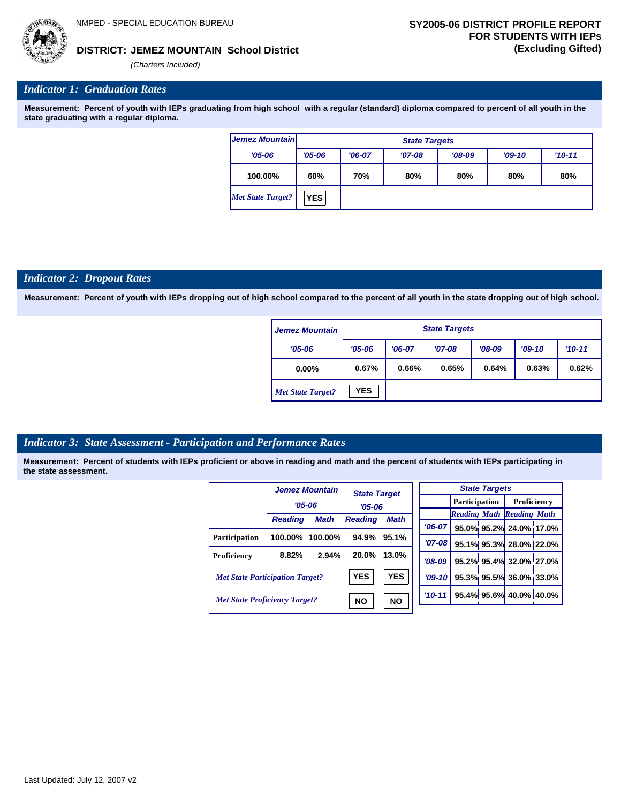

#### **JEMEZ MOUNTAIN School District DISTRICT: (Excluding Gifted)**

*(Charters Included)*

#### *Indicator 1: Graduation Rates*

**Measurement: Percent of youth with IEPs graduating from high school with a regular (standard) diploma compared to percent of all youth in the state graduating with a regular diploma.**

| <b>Jemez Mountain</b> |            | <b>State Targets</b>                                       |  |  |  |  |  |  |  |  |
|-----------------------|------------|------------------------------------------------------------|--|--|--|--|--|--|--|--|
| $'05 - 06$            | $'05 - 06$ | $'06-07$<br>$'08-09$<br>$'09-10$<br>$'07-08$<br>$'10 - 11$ |  |  |  |  |  |  |  |  |
| 100.00%               | 60%        | 70%<br>80%<br>80%<br>80%<br>80%                            |  |  |  |  |  |  |  |  |
| Met State Target?     | <b>YES</b> |                                                            |  |  |  |  |  |  |  |  |

#### *Indicator 2: Dropout Rates*

**Measurement: Percent of youth with IEPs dropping out of high school compared to the percent of all youth in the state dropping out of high school.**

| <b>Jemez Mountain</b>    |            | <b>State Targets</b>                                     |  |  |  |  |  |  |  |
|--------------------------|------------|----------------------------------------------------------|--|--|--|--|--|--|--|
| $'05 - 06$               | $'05 - 06$ | $'08-09$<br>$'09-10$<br>$'10-11$<br>$'07-08$<br>$'06-07$ |  |  |  |  |  |  |  |
| $0.00\%$                 | 0.67%      | 0.64%<br>0.63%<br>0.65%<br>0.62%<br>0.66%                |  |  |  |  |  |  |  |
| <b>Met State Target?</b> | <b>YES</b> |                                                          |  |  |  |  |  |  |  |

#### *Indicator 3: State Assessment - Participation and Performance Rates*

|                                        |                | <b>Jemez Mountain</b> | <b>State Target</b>           |           |          |                                  | <b>State Targets</b>    |                        |  |
|----------------------------------------|----------------|-----------------------|-------------------------------|-----------|----------|----------------------------------|-------------------------|------------------------|--|
|                                        | $'05 - 06$     |                       | $'05-06$                      |           |          | <b>Participation</b>             |                         | Proficiency            |  |
|                                        | <b>Reading</b> | <b>Math</b>           | <b>Reading</b><br><b>Math</b> |           |          | <b>Reading Math Reading Math</b> |                         |                        |  |
|                                        |                |                       |                               |           | $'06-07$ |                                  |                         | 95.0% 95.2% 24.0% 17.0 |  |
| <b>Participation</b>                   | 100.00%        | $100.00\%$            | 94.9%                         | 95.1%     | $'07-08$ |                                  |                         | 95.1% 95.3% 28.0% 22.0 |  |
| Proficiency                            | 8.82%          | 2.94%                 | 20.0%                         | 13.0%     | $'08-09$ |                                  |                         | 95.2% 95.4% 32.0% 27.0 |  |
| <b>Met State Participation Target?</b> |                | <b>YES</b>            | <b>YES</b>                    | $'09-10'$ |          |                                  | 95.3% 95.5% 36.0% 33.0  |                        |  |
| <b>Met State Proficiency Target?</b>   |                | <b>NO</b>             | <b>NO</b>                     | $'10-11$  |          |                                  | 95.4% 95.6% 40.0% 40.0% |                        |  |

| <b>State Targets</b> |  |  |                                  |  |  |  |  |  |
|----------------------|--|--|----------------------------------|--|--|--|--|--|
|                      |  |  | <b>Participation</b> Proficiency |  |  |  |  |  |
|                      |  |  | <b>Reading Math Reading Math</b> |  |  |  |  |  |
| $'06-07$             |  |  | 95.0% 95.2% 24.0% 17.0%          |  |  |  |  |  |
| $'07-08$             |  |  | 95.1% 95.3% 28.0% 22.0%          |  |  |  |  |  |
| $'08-09$             |  |  | 95.2% 95.4% 32.0% 27.0%          |  |  |  |  |  |
| $'09-10$             |  |  | 95.3% 95.5% 36.0% 33.0%          |  |  |  |  |  |
| $'10 - 11'$          |  |  | 95.4% 95.6% 40.0% 40.0%          |  |  |  |  |  |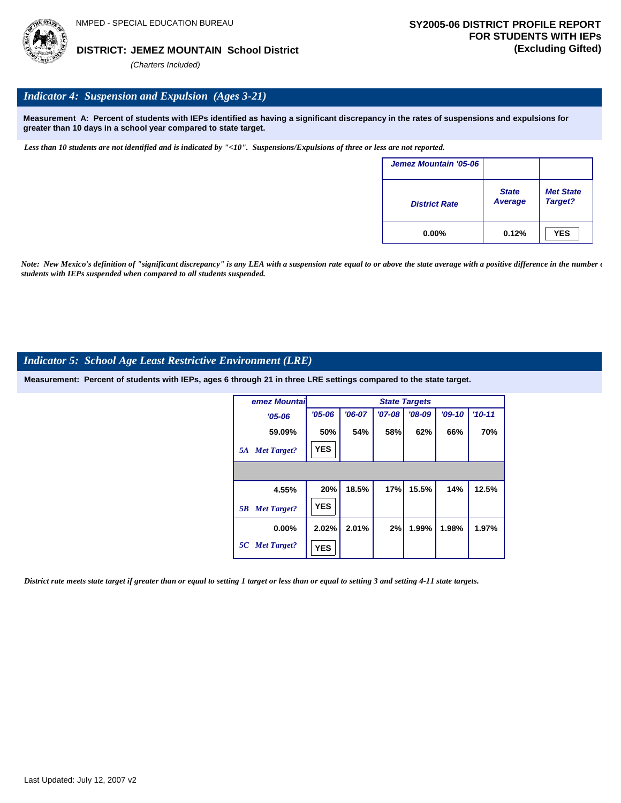

#### **JEMEZ MOUNTAIN School District DISTRICT: (Excluding Gifted)**

*(Charters Included)*

# *Indicator 4: Suspension and Expulsion (Ages 3-21)*

**Measurement A: Percent of students with IEPs identified as having a significant discrepancy in the rates of suspensions and expulsions for greater than 10 days in a school year compared to state target.**

*Less than 10 students are not identified and is indicated by "<10". Suspensions/Expulsions of three or less are not reported.*

| Jemez Mountain '05-06 |                         |                             |
|-----------------------|-------------------------|-----------------------------|
| <b>District Rate</b>  | <b>State</b><br>Average | <b>Met State</b><br>Target? |
| $0.00\%$              | 0.12%                   | <b>YES</b>                  |

*Note: New Mexico's definition of "significant discrepancy" is any LEA with a suspension rate equal to or above the state average with a positive difference in the number*  $\epsilon$ *students with IEPs suspended when compared to all students suspended.*

#### *Indicator 5: School Age Least Restrictive Environment (LRE)*

**Measurement: Percent of students with IEPs, ages 6 through 21 in three LRE settings compared to the state target.**

| <b>lemez Mountai</b>     |            |          |          | <b>State Targets</b> |          |            |
|--------------------------|------------|----------|----------|----------------------|----------|------------|
| $'05 - 06$               | $'05 - 06$ | $'06-07$ | $'07-08$ | $'08-09$             | $'09-10$ | $'10 - 11$ |
| 59.09%                   | 50%        | 54%      | 58%      | 62%                  | 66%      | 70%        |
| <b>Met Target?</b><br>5A | <b>YES</b> |          |          |                      |          |            |
|                          |            |          |          |                      |          |            |
| 4.55%                    | 20%        | 18.5%    | 17%      | 15.5%                | 14%      | 12.5%      |
| <b>Met Target?</b><br>5B | <b>YES</b> |          |          |                      |          |            |
| $0.00\%$                 | 2.02%      | 2.01%    | 2%       | 1.99%                | 1.98%    | 1.97%      |
| 5C Met Target?           | <b>YES</b> |          |          |                      |          |            |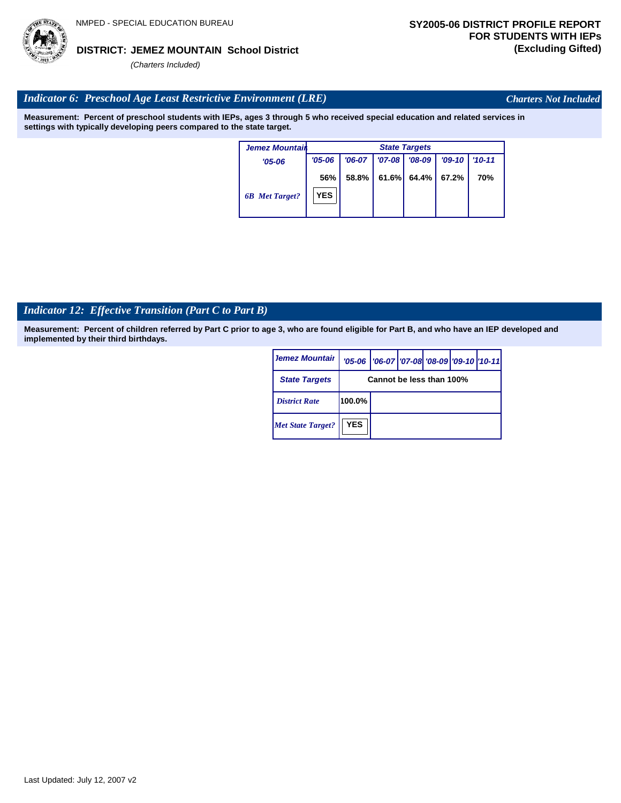# Last Updated: July 12, 2007 v2

#### **JEMEZ MOUNTAIN School District DISTRICT: (Excluding Gifted)**

*(Charters Included)*

# *Indicator 6: Preschool Age Least Restrictive Environment (LRE)*

**Measurement: Percent of preschool students with IEPs, ages 3 through 5 who received special education and related services in settings with typically developing peers compared to the state target.**

| <b>Jemez Mountair</b> |                   | <b>State Targets</b> |            |          |          |            |  |  |
|-----------------------|-------------------|----------------------|------------|----------|----------|------------|--|--|
| $'05 - 06$            | $'05 - 06$        | $'06-07$             | $'07 - 08$ | $'08-09$ | $'09-10$ | $'10 - 11$ |  |  |
| <b>6B</b> Met Target? | 56%<br><b>YES</b> | 58.8%                | $61.6\%$   | 64.4%    | 67.2%    | 70%        |  |  |

# *Indicator 12: Effective Transition (Part C to Part B)*

**Measurement: Percent of children referred by Part C prior to age 3, who are found eligible for Part B, and who have an IEP developed and implemented by their third birthdays.**

| <b>Jemez Mountair</b>    |            | '05-06   '06-07   '07-08   '08-09   '09-10   '10-11 |  |  |  |  |
|--------------------------|------------|-----------------------------------------------------|--|--|--|--|
| <b>State Targets</b>     |            | Cannot be less than 100%                            |  |  |  |  |
| <b>District Rate</b>     | 100.0%     |                                                     |  |  |  |  |
| <b>Met State Target?</b> | <b>YES</b> |                                                     |  |  |  |  |



*Charters Not Included*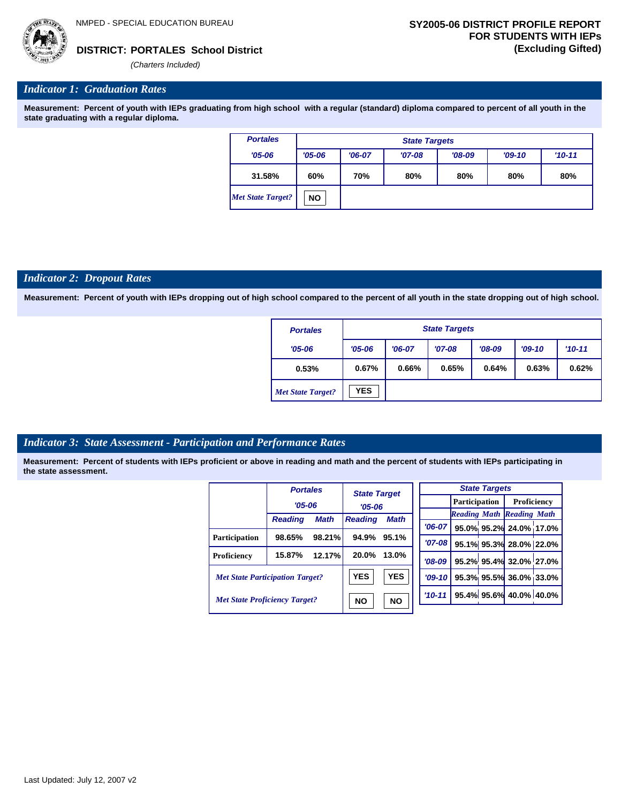

#### *Indicator 1: Graduation Rates*

**Measurement: Percent of youth with IEPs graduating from high school with a regular (standard) diploma compared to percent of all youth in the state graduating with a regular diploma.**

| <b>Portales</b>   |            | <b>State Targets</b>                         |  |  |  |  |  |  |  |
|-------------------|------------|----------------------------------------------|--|--|--|--|--|--|--|
| $'05 - 06$        | $'05 - 06$ | $'08-09$<br>$'09-10$<br>$'06-07$<br>$'07-08$ |  |  |  |  |  |  |  |
| 31.58%            | 60%        | 80%<br>70%<br>80%<br>80%<br>80%              |  |  |  |  |  |  |  |
| Met State Target? | <b>NO</b>  |                                              |  |  |  |  |  |  |  |

#### *Indicator 2: Dropout Rates*

**Measurement: Percent of youth with IEPs dropping out of high school compared to the percent of all youth in the state dropping out of high school.**

| <b>Portales</b>          |            | <b>State Targets</b>                                     |  |  |  |  |  |  |  |
|--------------------------|------------|----------------------------------------------------------|--|--|--|--|--|--|--|
| $'05 - 06$               | $'05 - 06$ | $'08-09$<br>$'07-08$<br>$'10-11$<br>$'06-07$<br>$'09-10$ |  |  |  |  |  |  |  |
| 0.53%                    | 0.67%      | 0.66%<br>0.65%<br>0.64%<br>0.63%<br>0.62%                |  |  |  |  |  |  |  |
| <b>Met State Target?</b> | <b>YES</b> |                                                          |  |  |  |  |  |  |  |

#### *Indicator 3: State Assessment - Participation and Performance Rates*

|                                        | <b>Portales</b> |             | <b>State Target</b>                       |            |           |                                  | <b>State Targets</b>   |                        |  |             |  |
|----------------------------------------|-----------------|-------------|-------------------------------------------|------------|-----------|----------------------------------|------------------------|------------------------|--|-------------|--|
|                                        | $'05 - 06$      |             | $'05-06$<br><b>Reading</b><br><b>Math</b> |            |           |                                  |                        | Participation          |  | Proficiency |  |
|                                        | <b>Reading</b>  | <b>Math</b> |                                           |            |           | <b>Reading Math Reading Math</b> |                        |                        |  |             |  |
|                                        |                 |             |                                           |            | $'06-07$  |                                  |                        | 95.0% 95.2% 24.0% 17.0 |  |             |  |
| <b>Participation</b>                   | 98.65%          | 98.21%      | 94.9%                                     | 95.1%      | $'07-08$  |                                  |                        | 95.1% 95.3% 28.0% 22.0 |  |             |  |
| Proficiency                            | 15.87%          | 12.17%      | 20.0%                                     | 13.0%      | $'08-09$  |                                  |                        | 95.2% 95.4% 32.0% 27.0 |  |             |  |
| <b>Met State Participation Target?</b> |                 |             | <b>YES</b>                                | <b>YES</b> | $'09-10'$ |                                  |                        | 95.3% 95.5% 36.0% 33.0 |  |             |  |
| <b>Met State Proficiency Target?</b>   |                 | <b>NO</b>   | <b>NO</b>                                 | $'10-11$   |           |                                  | 95.4% 95.6% 40.0% 40.0 |                        |  |             |  |

| <b>State Targets</b> |  |  |                                  |  |  |  |  |  |
|----------------------|--|--|----------------------------------|--|--|--|--|--|
|                      |  |  | Participation   Proficiency      |  |  |  |  |  |
|                      |  |  | <b>Reading Math Reading Math</b> |  |  |  |  |  |
|                      |  |  | '06-07 95.0% 95.2% 24.0% 17.0%   |  |  |  |  |  |
| $'07-08$             |  |  | 95.1% 95.3% 28.0% 22.0%          |  |  |  |  |  |
|                      |  |  | $708-09$ 95.2% 95.4% 32.0% 27.0% |  |  |  |  |  |
| $'09-10$             |  |  | 95.3% 95.5% 36.0% 33.0%          |  |  |  |  |  |
| $'10-11'$            |  |  | 95.4% 95.6% 40.0% 40.0%          |  |  |  |  |  |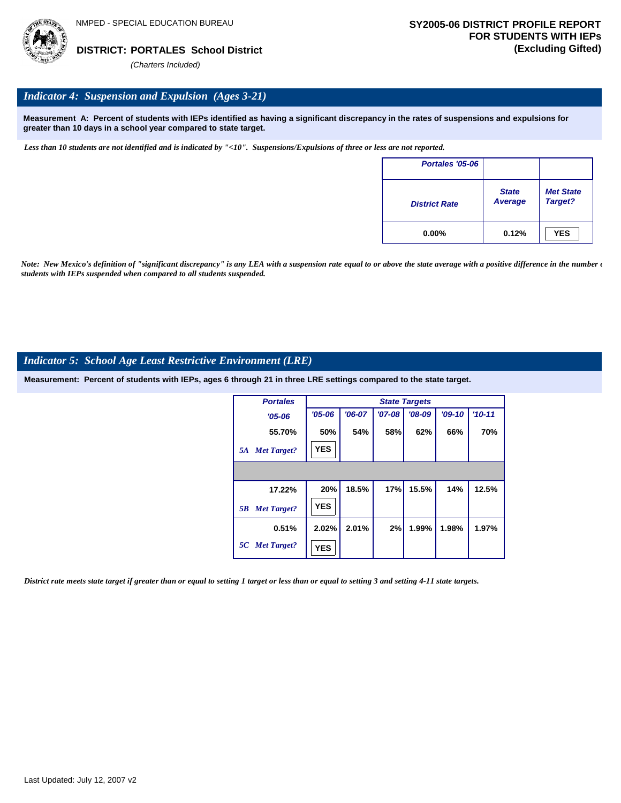

#### *Indicator 4: Suspension and Expulsion (Ages 3-21)*

**Measurement A: Percent of students with IEPs identified as having a significant discrepancy in the rates of suspensions and expulsions for greater than 10 days in a school year compared to state target.**

*Less than 10 students are not identified and is indicated by "<10". Suspensions/Expulsions of three or less are not reported.*

| Portales '05-06      |                                |                             |
|----------------------|--------------------------------|-----------------------------|
| <b>District Rate</b> | <b>State</b><br><b>Average</b> | <b>Met State</b><br>Target? |
| $0.00\%$             | 0.12%                          | <b>YES</b>                  |

*Note: New Mexico's definition of "significant discrepancy" is any LEA with a suspension rate equal to or above the state average with a positive difference in the number*  $\epsilon$ *students with IEPs suspended when compared to all students suspended.*

#### *Indicator 5: School Age Least Restrictive Environment (LRE)*

**Measurement: Percent of students with IEPs, ages 6 through 21 in three LRE settings compared to the state target.**

| <b>Portales</b>          |            | <b>State Targets</b> |            |          |          |          |  |  |  |  |
|--------------------------|------------|----------------------|------------|----------|----------|----------|--|--|--|--|
| $'05 - 06$               | $'05 - 06$ | $'06-07$             | $'07 - 08$ | $'08-09$ | $'09-10$ | $'10-11$ |  |  |  |  |
| 55.70%                   | 50%        | 54%                  | 58%        | 62%      | 66%      | 70%      |  |  |  |  |
| <b>Met Target?</b><br>5A | <b>YES</b> |                      |            |          |          |          |  |  |  |  |
|                          |            |                      |            |          |          |          |  |  |  |  |
| 17.22%                   | 20%        | 18.5%                | 17%        | 15.5%    | 14%      | 12.5%    |  |  |  |  |
| <b>Met Target?</b><br>5B | <b>YES</b> |                      |            |          |          |          |  |  |  |  |
| 0.51%                    | 2.02%      | 2.01%                | 2%         | 1.99%    | 1.98%    | 1.97%    |  |  |  |  |
| 5C Met Target?           | <b>YES</b> |                      |            |          |          |          |  |  |  |  |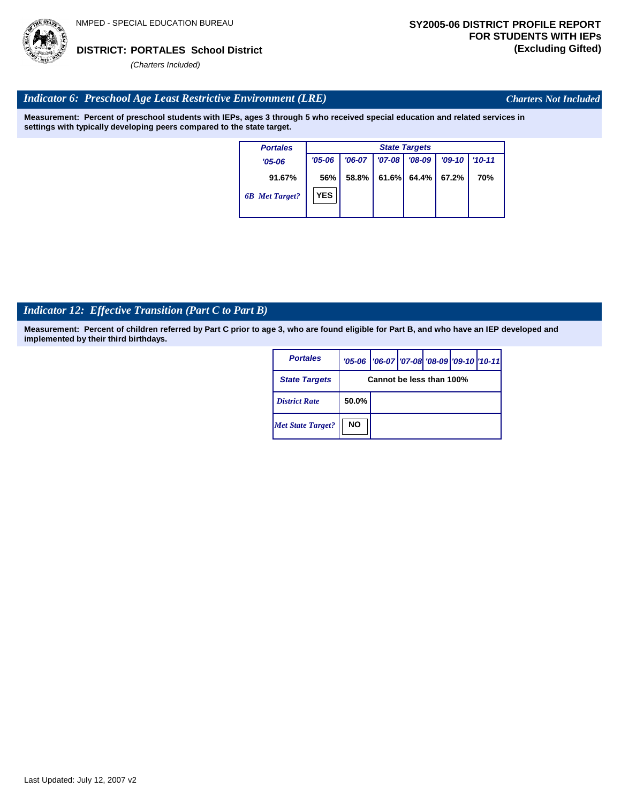

*Charters Not Included*

### *Indicator 6: Preschool Age Least Restrictive Environment (LRE)*

**Measurement: Percent of preschool students with IEPs, ages 3 through 5 who received special education and related services in settings with typically developing peers compared to the state target.**

| <b>Portales</b>       |            | <b>State Targets</b> |          |          |          |            |  |  |  |
|-----------------------|------------|----------------------|----------|----------|----------|------------|--|--|--|
| $'05 - 06$            | $'05 - 06$ | $'06-07$             | $'07-08$ | $'08-09$ | $'09-10$ | $'10 - 11$ |  |  |  |
| 91.67%                | 56%        | 58.8%                | 61.6%    | 64.4%    | 67.2%    | 70%        |  |  |  |
| <b>6B</b> Met Target? | <b>YES</b> |                      |          |          |          |            |  |  |  |

# *Indicator 12: Effective Transition (Part C to Part B)*

| <b>Portales</b>          |           | '05-06   '06-07   '07-08   '08-09   '09-10   '10-11 |  |  |
|--------------------------|-----------|-----------------------------------------------------|--|--|
| <b>State Targets</b>     |           | Cannot be less than 100%                            |  |  |
| <b>District Rate</b>     | 50.0%     |                                                     |  |  |
| <b>Met State Target?</b> | <b>NO</b> |                                                     |  |  |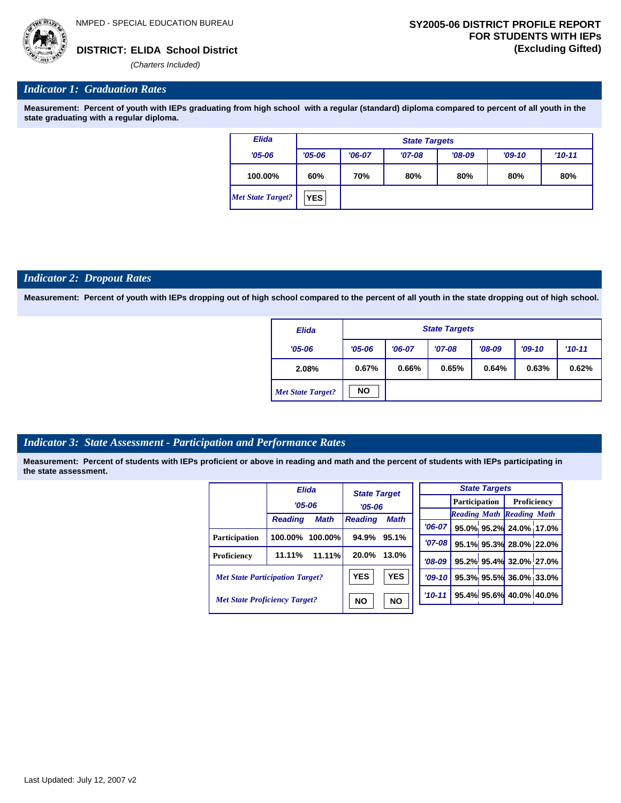

#### *Indicator 1: Graduation Rates*

**Measurement: Percent of youth with IEPs graduating from high school with a regular (standard) diploma compared to percent of all youth in the state graduating with a regular diploma.**

| <b>Elida</b>             | <b>State Targets</b> |                                 |          |          |          |            |  |  |
|--------------------------|----------------------|---------------------------------|----------|----------|----------|------------|--|--|
| $'05 - 06$               | $'05 - 06$           | $'06-07$                        | $'07-08$ | $'08-09$ | $'09-10$ | $'10 - 11$ |  |  |
| 100.00%                  | 60%                  | 80%<br>70%<br>80%<br>80%<br>80% |          |          |          |            |  |  |
| <b>Met State Target?</b> | <b>YES</b>           |                                 |          |          |          |            |  |  |

#### *Indicator 2: Dropout Rates*

**Measurement: Percent of youth with IEPs dropping out of high school compared to the percent of all youth in the state dropping out of high school.**

| <b>Elida</b>             |            | <b>State Targets</b>             |       |       |       |          |  |  |  |
|--------------------------|------------|----------------------------------|-------|-------|-------|----------|--|--|--|
| $'05 - 06$               | $'05 - 06$ | $'07-08$<br>$'06-07$<br>$'08-09$ |       |       |       | $'10-11$ |  |  |  |
| 2.08%                    | 0.67%      | 0.66%                            | 0.65% | 0.64% | 0.63% | 0.62%    |  |  |  |
| <b>Met State Target?</b> | <b>NO</b>  |                                  |       |       |       |          |  |  |  |

#### *Indicator 3: State Assessment - Participation and Performance Rates*

|                                        | <b>Elida</b>   |                        | <b>State Target</b> |             |                      |  | <b>State Targets</b>    |                                  |  |
|----------------------------------------|----------------|------------------------|---------------------|-------------|----------------------|--|-------------------------|----------------------------------|--|
|                                        | $'05 - 06$     |                        | $'05 - 06$          |             | <b>Participation</b> |  |                         | Proficiency                      |  |
|                                        |                |                        |                     |             |                      |  |                         | <b>Reading Math Reading Math</b> |  |
|                                        | <b>Reading</b> | <b>Math</b>            | <b>Reading</b>      | <b>Math</b> | $'06-07$             |  |                         | 95.0% 95.2% 24.0% 17.0           |  |
| <b>Participation</b>                   | 100.00%        | $100.00\%$             | 94.9%               | 95.1%       | $'07 - 08$           |  |                         |                                  |  |
|                                        |                |                        |                     |             |                      |  |                         | 95.1% 95.3% 28.0% 22.0           |  |
| Proficiency                            | 11.11%         | $11.11\%$              | 20.0%               | 13.0%       | $'08-09$             |  |                         | 95.2% 95.4% 32.0% 27.0           |  |
| <b>Met State Participation Target?</b> |                |                        | <b>YES</b>          | <b>YES</b>  | $'09-10$             |  |                         | 95.3% 95.5% 36.0% 33.0           |  |
| <b>Met State Proficiency Target?</b>   |                | <b>NO</b><br><b>NO</b> |                     | $'10 - 11$  |                      |  | 95.4% 95.6% 40.0% 40.0% |                                  |  |
|                                        |                |                        |                     |             |                      |  |                         |                                  |  |

|            | <b>State Targets</b>              |  |                                  |  |  |  |  |  |
|------------|-----------------------------------|--|----------------------------------|--|--|--|--|--|
|            |                                   |  | <b>Participation</b> Proficiency |  |  |  |  |  |
|            | <b>Reading Math Reading Math</b>  |  |                                  |  |  |  |  |  |
|            | $706-07$ 95.0% 95.2% 24.0% 17.0%  |  |                                  |  |  |  |  |  |
| $'07 - 08$ | 95.1% 95.3% 28.0% 22.0%           |  |                                  |  |  |  |  |  |
|            | '08-09 95.2% 95.4% 32.0% 27.0%    |  |                                  |  |  |  |  |  |
|            | $ 09-10 $ 95.3% 95.5% 36.0% 33.0% |  |                                  |  |  |  |  |  |
|            | $10-11$ 95.4% 95.6% 40.0% 40.0%   |  |                                  |  |  |  |  |  |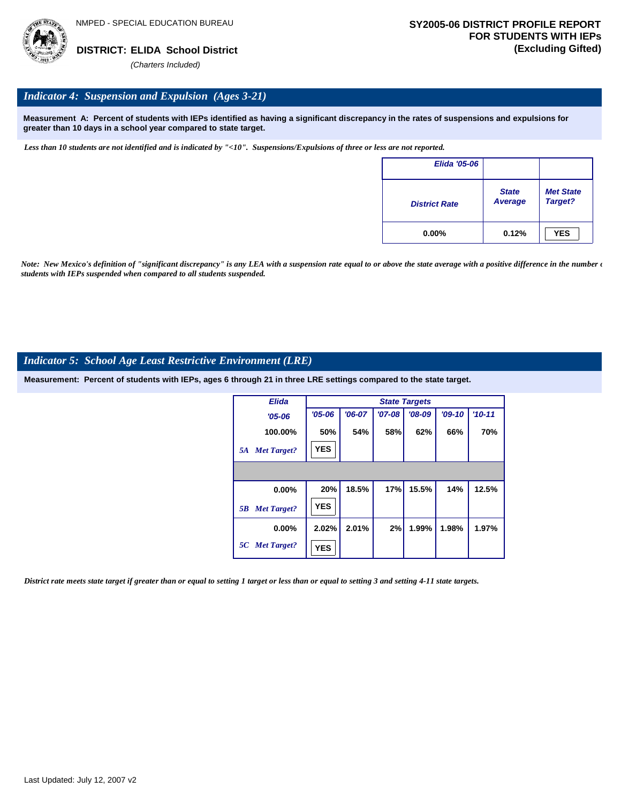

#### *Indicator 4: Suspension and Expulsion (Ages 3-21)*

**Measurement A: Percent of students with IEPs identified as having a significant discrepancy in the rates of suspensions and expulsions for greater than 10 days in a school year compared to state target.**

*Less than 10 students are not identified and is indicated by "<10". Suspensions/Expulsions of three or less are not reported.*

| <b>Elida '05-06</b>  |                         |                             |
|----------------------|-------------------------|-----------------------------|
| <b>District Rate</b> | <b>State</b><br>Average | <b>Met State</b><br>Target? |
| $0.00\%$             | 0.12%                   | <b>YES</b>                  |

*Note: New Mexico's definition of "significant discrepancy" is any LEA with a suspension rate equal to or above the state average with a positive difference in the number*  $\epsilon$ *students with IEPs suspended when compared to all students suspended.*

#### *Indicator 5: School Age Least Restrictive Environment (LRE)*

**Measurement: Percent of students with IEPs, ages 6 through 21 in three LRE settings compared to the state target.**

| <b>Elida</b>             |            |          |          | <b>State Targets</b> |          |            |
|--------------------------|------------|----------|----------|----------------------|----------|------------|
| $'05 - 06$               | $'05 - 06$ | $'06-07$ | $'07-08$ | $'08-09$             | $'09-10$ | $'10 - 11$ |
| 100.00%                  | 50%        | 54%      | 58%      | 62%                  | 66%      | 70%        |
| <b>Met Target?</b><br>5A | <b>YES</b> |          |          |                      |          |            |
|                          |            |          |          |                      |          |            |
| 0.00%                    | 20%        | 18.5%    | 17%      | 15.5%                | 14%      | 12.5%      |
| <b>Met Target?</b><br>5B | <b>YES</b> |          |          |                      |          |            |
| $0.00\%$                 | 2.02%      | 2.01%    | 2%       | 1.99%                | 1.98%    | 1.97%      |
| 5C Met Target?           | <b>YES</b> |          |          |                      |          |            |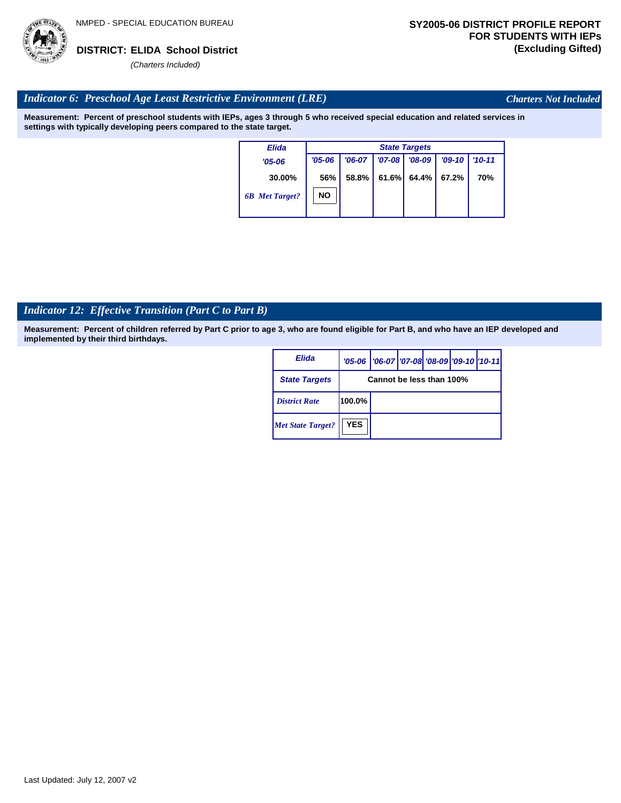

*Charters Not Included*

### *Indicator 6: Preschool Age Least Restrictive Environment (LRE)*

**Measurement: Percent of preschool students with IEPs, ages 3 through 5 who received special education and related services in settings with typically developing peers compared to the state target.**

| Elida                 |            |          |          | <b>State Targets</b> |          |            |
|-----------------------|------------|----------|----------|----------------------|----------|------------|
| $'05 - 06$            | $'05 - 06$ | $'06-07$ | $'07-08$ | $'08-09$             | $'09-10$ | $'10 - 11$ |
| 30.00%                | 56%        | 58.8%    | 61.6%    | 64.4%                | 67.2%    | 70%        |
| <b>6B</b> Met Target? | NΟ         |          |          |                      |          |            |

# *Indicator 12: Effective Transition (Part C to Part B)*

| Elida                    |                          | '05-06   '06-07   '07-08   '08-09   '09-10   '10-11 |  |  |  |  |  |  |
|--------------------------|--------------------------|-----------------------------------------------------|--|--|--|--|--|--|
| <b>State Targets</b>     | Cannot be less than 100% |                                                     |  |  |  |  |  |  |
| <b>District Rate</b>     | 100.0%                   |                                                     |  |  |  |  |  |  |
| <b>Met State Target?</b> | <b>YES</b>               |                                                     |  |  |  |  |  |  |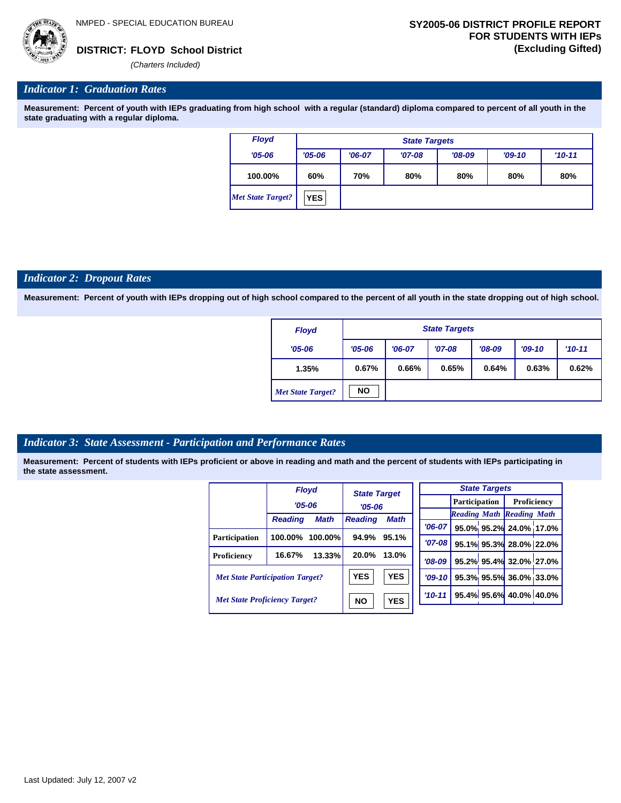

#### *Indicator 1: Graduation Rates*

**Measurement: Percent of youth with IEPs graduating from high school with a regular (standard) diploma compared to percent of all youth in the state graduating with a regular diploma.**

| <b>Floyd</b>             |            | <b>State Targets</b> |          |          |          |          |  |  |  |  |  |  |
|--------------------------|------------|----------------------|----------|----------|----------|----------|--|--|--|--|--|--|
| $'05 - 06$               | $'05 - 06$ | $'06-07$             | $'07-08$ | $'08-09$ | $'09-10$ | $'10-11$ |  |  |  |  |  |  |
| 100.00%                  | 60%        | 70%                  | 80%      | 80%      | 80%      | 80%      |  |  |  |  |  |  |
| <b>Met State Target?</b> | <b>YES</b> |                      |          |          |          |          |  |  |  |  |  |  |

#### *Indicator 2: Dropout Rates*

**Measurement: Percent of youth with IEPs dropping out of high school compared to the percent of all youth in the state dropping out of high school.**

| <b>Floyd</b>             | <b>State Targets</b>   |  |          |          |       |          |  |  |  |  |
|--------------------------|------------------------|--|----------|----------|-------|----------|--|--|--|--|
| $'05 - 06$               | $'05 - 06$<br>$'06-07$ |  | $'07-08$ | $'08-09$ |       | $'10-11$ |  |  |  |  |
| 1.35%                    | 0.67%<br>0.66%         |  | 0.65%    | 0.64%    | 0.63% | 0.62%    |  |  |  |  |
| <b>Met State Target?</b> | <b>NO</b>              |  |          |          |       |          |  |  |  |  |

#### *Indicator 3: State Assessment - Participation and Performance Rates*

|                                        |                | <b>Floyd</b> | <b>State Target</b> |            |  |          |                      | <b>State Targets</b> |                                  |  |
|----------------------------------------|----------------|--------------|---------------------|------------|--|----------|----------------------|----------------------|----------------------------------|--|
|                                        | $'05 - 06$     |              | $'05 - 06$          |            |  |          | <b>Participation</b> |                      | Proficiency                      |  |
|                                        |                |              |                     |            |  |          |                      |                      | <b>Reading Math Reading Math</b> |  |
|                                        | <b>Reading</b> | <b>Math</b>  | <b>Reading</b>      | Math       |  | $'06-07$ |                      |                      | 95.0% 95.2% 24.0% 17.0%          |  |
| Participation                          | 100.00%        | 100.00%      | 94.9%               | 95.1%      |  | '07-08 l |                      |                      | 95.1% 95.3% 28.0% 22.0%          |  |
| Proficiency                            | 16.67%         | 13.33%       | 20.0%               | 13.0%      |  | $'08-09$ |                      |                      | 95.2% 95.4% 32.0% 27.0%          |  |
| <b>Met State Participation Target?</b> |                |              | <b>YES</b>          | <b>YES</b> |  | $'09-10$ |                      |                      | 95.3% 95.5% 36.0% 33.0%          |  |
| <b>Met State Proficiency Target?</b>   |                |              | <b>NO</b>           | <b>YES</b> |  | $'10-11$ |                      |                      | 95.4% 95.6% 40.0% 40.0%          |  |
|                                        |                |              |                     |            |  |          |                      |                      |                                  |  |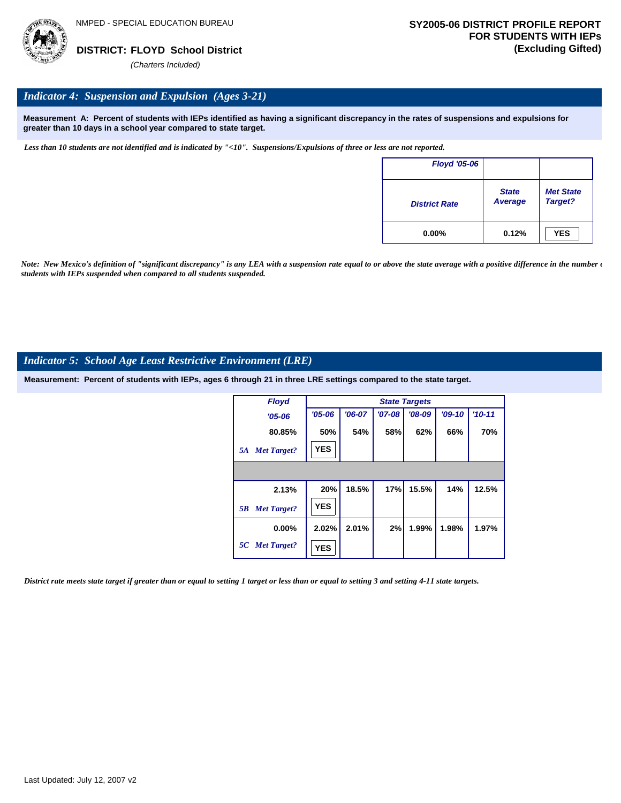

#### *Indicator 4: Suspension and Expulsion (Ages 3-21)*

**Measurement A: Percent of students with IEPs identified as having a significant discrepancy in the rates of suspensions and expulsions for greater than 10 days in a school year compared to state target.**

*Less than 10 students are not identified and is indicated by "<10". Suspensions/Expulsions of three or less are not reported.*

| <b>Floyd '05-06</b>  |                         |                             |
|----------------------|-------------------------|-----------------------------|
| <b>District Rate</b> | <b>State</b><br>Average | <b>Met State</b><br>Target? |
| $0.00\%$             | 0.12%                   | <b>YES</b>                  |

*Note: New Mexico's definition of "significant discrepancy" is any LEA with a suspension rate equal to or above the state average with a positive difference in the number*  $\epsilon$ *students with IEPs suspended when compared to all students suspended.*

#### *Indicator 5: School Age Least Restrictive Environment (LRE)*

**Measurement: Percent of students with IEPs, ages 6 through 21 in three LRE settings compared to the state target.**

| <b>Floyd</b>             |            |          |          | <b>State Targets</b> |          |            |
|--------------------------|------------|----------|----------|----------------------|----------|------------|
| $'05 - 06$               | $'05 - 06$ | $'06-07$ | $'07-08$ | $'08-09$             | $'09-10$ | $'10 - 11$ |
| 80.85%                   | 50%        | 54%      | 58%      | 62%                  | 66%      | 70%        |
| <b>Met Target?</b><br>5A | <b>YES</b> |          |          |                      |          |            |
|                          |            |          |          |                      |          |            |
| 2.13%                    | 20%        | 18.5%    | 17%      | 15.5%                | 14%      | 12.5%      |
| <b>Met Target?</b><br>5B | <b>YES</b> |          |          |                      |          |            |
| $0.00\%$                 | 2.02%      | 2.01%    | 2%       | 1.99%                | 1.98%    | 1.97%      |
| 5C Met Target?           | <b>YES</b> |          |          |                      |          |            |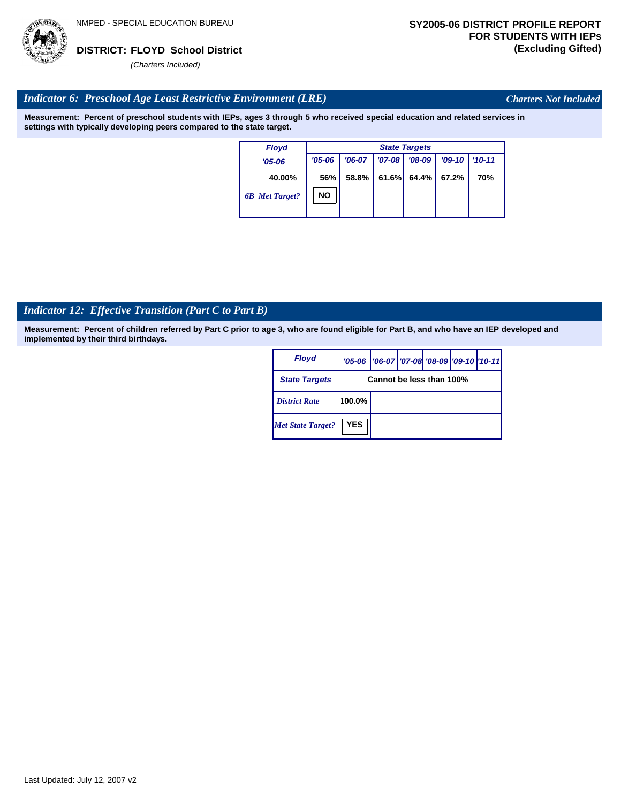

*Charters Not Included*

#### *Indicator 6: Preschool Age Least Restrictive Environment (LRE)*

**Measurement: Percent of preschool students with IEPs, ages 3 through 5 who received special education and related services in settings with typically developing peers compared to the state target.**

| <b>Floyd</b>          |            | <b>State Targets</b> |          |                |          |            |  |  |  |  |  |
|-----------------------|------------|----------------------|----------|----------------|----------|------------|--|--|--|--|--|
| $'05 - 06$            | $'05 - 06$ | $'06-07$             | $'07-08$ | $'08-09$       | $'09-10$ | $'10 - 11$ |  |  |  |  |  |
| 40.00%                | 56%        | 58.8%                |          | $61.6\%$ 64.4% | 67.2%    | 70%        |  |  |  |  |  |
| <b>6B</b> Met Target? | NΟ         |                      |          |                |          |            |  |  |  |  |  |

# *Indicator 12: Effective Transition (Part C to Part B)*

| Floyd                    |            | '05-06   '06-07   '07-08   '08-09   '09-10   '10-11 |  |  |  |  |  |  |
|--------------------------|------------|-----------------------------------------------------|--|--|--|--|--|--|
| <b>State Targets</b>     |            | Cannot be less than 100%                            |  |  |  |  |  |  |
| <b>District Rate</b>     | 100.0%     |                                                     |  |  |  |  |  |  |
| <b>Met State Target?</b> | <b>YES</b> |                                                     |  |  |  |  |  |  |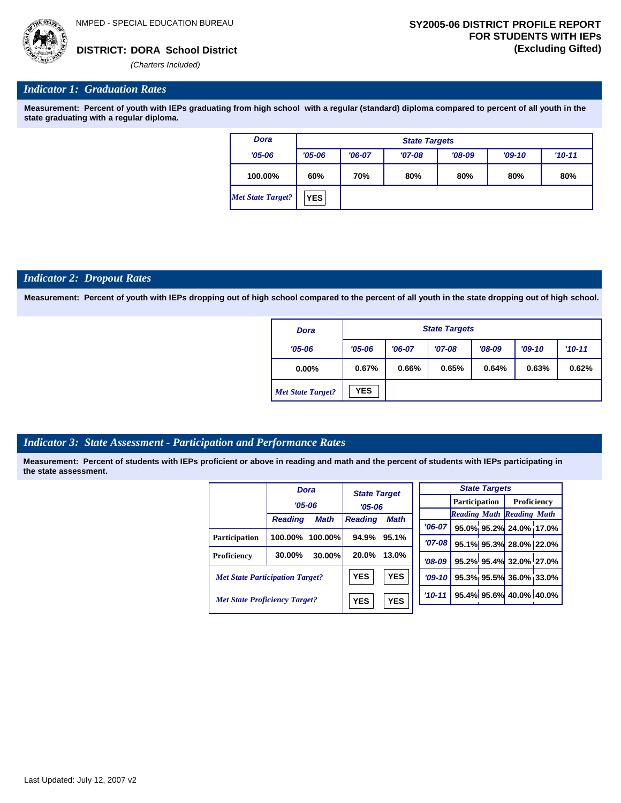

#### *Indicator 1: Graduation Rates*

**Measurement: Percent of youth with IEPs graduating from high school with a regular (standard) diploma compared to percent of all youth in the state graduating with a regular diploma.**

| <b>Dora</b>              |            | <b>State Targets</b> |          |          |          |          |  |  |  |  |  |
|--------------------------|------------|----------------------|----------|----------|----------|----------|--|--|--|--|--|
| $'05 - 06$               | $'05 - 06$ | $'06-07$             | $'07-08$ | $'08-09$ | $'09-10$ | $'10-11$ |  |  |  |  |  |
| 100.00%                  | 60%        | 70%                  | 80%      | 80%      | 80%      | 80%      |  |  |  |  |  |
| <b>Met State Target?</b> | <b>YES</b> |                      |          |          |          |          |  |  |  |  |  |

#### *Indicator 2: Dropout Rates*

**Measurement: Percent of youth with IEPs dropping out of high school compared to the percent of all youth in the state dropping out of high school.**

| <b>Dora</b>              |                        | <b>State Targets</b> |          |          |       |          |  |  |  |  |  |
|--------------------------|------------------------|----------------------|----------|----------|-------|----------|--|--|--|--|--|
| $'05 - 06$               | $'05 - 06$<br>$'06-07$ |                      | $'07-08$ | $'08-09$ |       | $'10-11$ |  |  |  |  |  |
| $0.00\%$                 | 0.67%<br>0.66%         |                      | 0.65%    | 0.64%    | 0.63% | 0.62%    |  |  |  |  |  |
| <b>Met State Target?</b> | <b>YES</b>             |                      |          |          |       |          |  |  |  |  |  |

#### *Indicator 3: State Assessment - Participation and Performance Rates*

|                                        | <b>Dora</b>    |             | <b>State Target</b> |             |          |          |                      | <b>State Targets</b>    |                                  |  |
|----------------------------------------|----------------|-------------|---------------------|-------------|----------|----------|----------------------|-------------------------|----------------------------------|--|
|                                        | $'05 - 06$     |             |                     |             |          |          | <b>Participation</b> |                         | Proficiency                      |  |
|                                        |                |             | $'05 - 06$          |             |          |          |                      |                         | <b>Reading Math Reading Math</b> |  |
|                                        | <b>Reading</b> | <b>Math</b> | <b>Reading</b>      | <b>Math</b> |          | $'06-07$ |                      |                         | 95.0% 95.2% 24.0% 17.0%          |  |
| Participation                          | 100.00%        | $100.00\%$  | 94.9%               | 95.1%       |          |          |                      |                         |                                  |  |
|                                        |                |             |                     |             |          | $'07-08$ |                      |                         | 95.1% 95.3% 28.0% 22.0%          |  |
| Proficiency                            | 30.00%         | 30.00%      | 20.0%<br>13.0%      |             | $'08-09$ |          |                      | 95.2% 95.4% 32.0% 27.0% |                                  |  |
| <b>Met State Participation Target?</b> |                |             | <b>YES</b>          | <b>YES</b>  |          | $'09-10$ |                      |                         | 95.3% 95.5% 36.0% 33.0%          |  |
| <b>Met State Proficiency Target?</b>   |                |             | <b>YES</b>          | <b>YES</b>  |          | $'10-11$ |                      |                         | 95.4% 95.6% 40.0% 40.0%          |  |
|                                        |                |             |                     |             |          |          |                      |                         |                                  |  |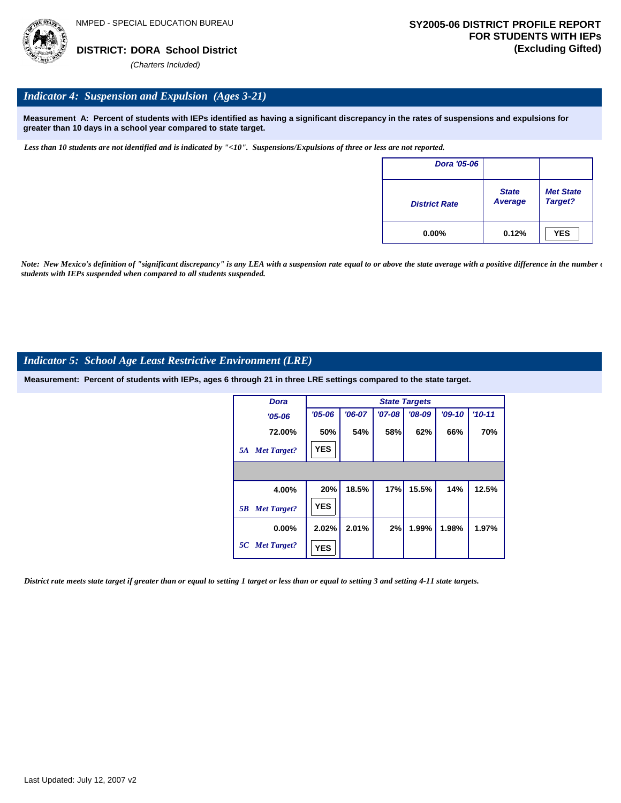

#### *Indicator 4: Suspension and Expulsion (Ages 3-21)*

**Measurement A: Percent of students with IEPs identified as having a significant discrepancy in the rates of suspensions and expulsions for greater than 10 days in a school year compared to state target.**

*Less than 10 students are not identified and is indicated by "<10". Suspensions/Expulsions of three or less are not reported.*

| Dora '05-06          |                         |                             |
|----------------------|-------------------------|-----------------------------|
| <b>District Rate</b> | <b>State</b><br>Average | <b>Met State</b><br>Target? |
| $0.00\%$             | 0.12%                   | <b>YES</b>                  |

*Note: New Mexico's definition of "significant discrepancy" is any LEA with a suspension rate equal to or above the state average with a positive difference in the number*  $\epsilon$ *students with IEPs suspended when compared to all students suspended.*

#### *Indicator 5: School Age Least Restrictive Environment (LRE)*

**Measurement: Percent of students with IEPs, ages 6 through 21 in three LRE settings compared to the state target.**

| Dora                     | <b>State Targets</b> |          |          |          |          |            |  |
|--------------------------|----------------------|----------|----------|----------|----------|------------|--|
| $'05 - 06$               | $'05 - 06$           | $'06-07$ | $'07-08$ | $'08-09$ | $'09-10$ | $'10 - 11$ |  |
| 72.00%                   | 50%                  | 54%      | 58%      | 62%      | 66%      | 70%        |  |
| <b>Met Target?</b><br>5A | <b>YES</b>           |          |          |          |          |            |  |
|                          |                      |          |          |          |          |            |  |
| 4.00%                    | 20%                  | 18.5%    | 17%      | 15.5%    | 14%      | 12.5%      |  |
| <b>Met Target?</b><br>5B | <b>YES</b>           |          |          |          |          |            |  |
| $0.00\%$                 | 2.02%                | 2.01%    | 2%       | 1.99%    | 1.98%    | 1.97%      |  |
| 5C Met Target?           | <b>YES</b>           |          |          |          |          |            |  |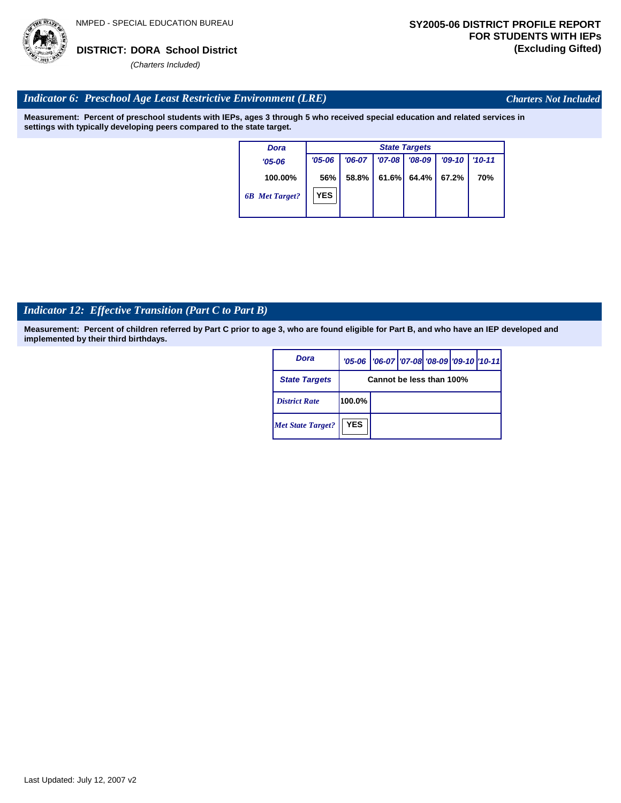

*Charters Not Included*

#### *Indicator 6: Preschool Age Least Restrictive Environment (LRE)*

**Measurement: Percent of preschool students with IEPs, ages 3 through 5 who received special education and related services in settings with typically developing peers compared to the state target.**

| <b>Dora</b>           | <b>State Targets</b> |          |            |          |          |            |
|-----------------------|----------------------|----------|------------|----------|----------|------------|
| $'05 - 06$            | $'05 - 06$           | $'06-07$ | $'07 - 08$ | $'08-09$ | $'09-10$ | $'10 - 11$ |
| 100.00%               | 56%                  | 58.8%    | 61.6%      | 64.4%    | 67.2%    | 70%        |
| <b>6B</b> Met Target? | <b>YES</b>           |          |            |          |          |            |

# *Indicator 12: Effective Transition (Part C to Part B)*

| Dora                     |                          | '05-06   '06-07   '07-08   '08-09   '09-10   '10-11 |  |  |  |  |
|--------------------------|--------------------------|-----------------------------------------------------|--|--|--|--|
| <b>State Targets</b>     | Cannot be less than 100% |                                                     |  |  |  |  |
| <b>District Rate</b>     | 100.0%                   |                                                     |  |  |  |  |
| <b>Met State Target?</b> | <b>YES</b>               |                                                     |  |  |  |  |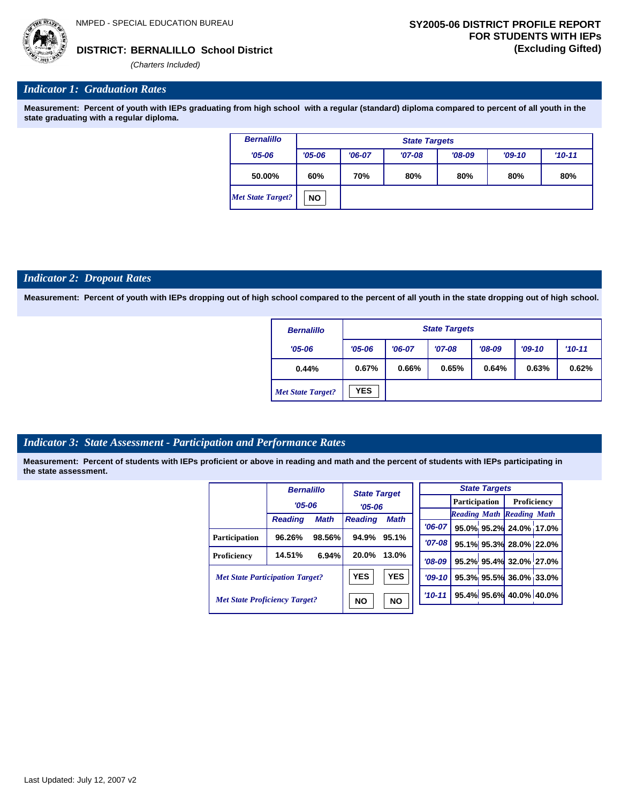*(Charters Included)*

## *Indicator 1: Graduation Rates*

**Measurement: Percent of youth with IEPs graduating from high school with a regular (standard) diploma compared to percent of all youth in the state graduating with a regular diploma.**

| <b>Bernalillo</b> |            | <b>State Targets</b> |          |          |          |          |  |  |  |  |
|-------------------|------------|----------------------|----------|----------|----------|----------|--|--|--|--|
| $'05 - 06$        | $'05 - 06$ | $'06-07$             | $'07-08$ | $'08-09$ | $'09-10$ | $'10-11$ |  |  |  |  |
| 50.00%            | 60%        | 70%                  | 80%      | 80%      | 80%      | 80%      |  |  |  |  |
| Met State Target? | <b>NO</b>  |                      |          |          |          |          |  |  |  |  |

#### *Indicator 2: Dropout Rates*

**Measurement: Percent of youth with IEPs dropping out of high school compared to the percent of all youth in the state dropping out of high school.**

| <b>Bernalillo</b>        | <b>State Targets</b> |          |          |          |          |            |  |  |
|--------------------------|----------------------|----------|----------|----------|----------|------------|--|--|
| $'05 - 06$               | $'05 - 06$           | $'06-07$ | $'07-08$ | $'08-09$ | $'09-10$ | $'10 - 11$ |  |  |
| 0.44%                    | 0.67%                | 0.66%    | 0.65%    | 0.64%    | 0.63%    | 0.62%      |  |  |
| <b>Met State Target?</b> | <b>YES</b>           |          |          |          |          |            |  |  |

## *Indicator 3: State Assessment - Participation and Performance Rates*

|                                        | <b>Bernalillo</b> |                        | <b>State Target</b> |             |            | <b>State Targets</b> |  |                         |                                  |  |
|----------------------------------------|-------------------|------------------------|---------------------|-------------|------------|----------------------|--|-------------------------|----------------------------------|--|
|                                        | $'05 - 06$        |                        |                     |             |            | <b>Participation</b> |  |                         | <b>Proficiency</b>               |  |
|                                        |                   |                        | $'05 - 06$          |             |            |                      |  |                         | <b>Reading Math Reading Math</b> |  |
|                                        | <b>Reading</b>    | <b>Math</b>            | <b>Reading</b>      | <b>Math</b> | $'06-07$   |                      |  |                         | 95.0% 95.2% 24.0% 17.0%          |  |
| <b>Participation</b>                   | 96.26%            | 98.56%                 | 94.9%               | 95.1%       | $'07 - 08$ |                      |  |                         | 95.1% 95.3% 28.0% 22.0%          |  |
| Proficiency                            | 14.51%            | 6.94%                  | 20.0%               | 13.0%       | $'08-09$   |                      |  |                         | 95.2% 95.4% 32.0% 27.0%          |  |
| <b>Met State Participation Target?</b> |                   | <b>YES</b>             | <b>YES</b>          | $'09-10'$   |            |                      |  | 95.3% 95.5% 36.0% 33.0% |                                  |  |
| <b>Met State Proficiency Target?</b>   |                   | <b>NO</b><br><b>NO</b> |                     | $'10 - 11$  |            |                      |  | 95.4% 95.6% 40.0% 40.0% |                                  |  |
|                                        |                   |                        |                     |             |            |                      |  |                         |                                  |  |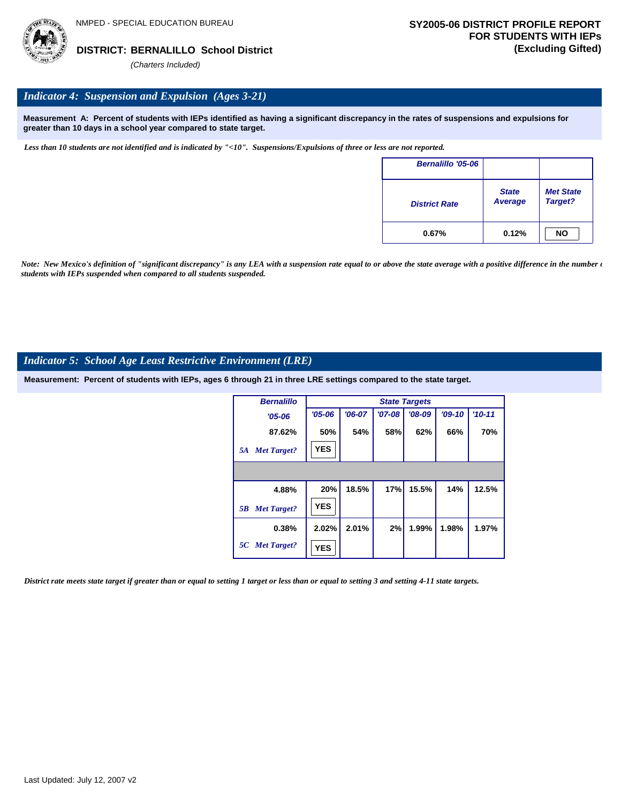

## *Indicator 4: Suspension and Expulsion (Ages 3-21)*

**Measurement A: Percent of students with IEPs identified as having a significant discrepancy in the rates of suspensions and expulsions for greater than 10 days in a school year compared to state target.**

*Less than 10 students are not identified and is indicated by "<10". Suspensions/Expulsions of three or less are not reported.*

| <b>Bernalillo '05-06</b> |                         |                             |
|--------------------------|-------------------------|-----------------------------|
| <b>District Rate</b>     | <b>State</b><br>Average | <b>Met State</b><br>Target? |
| 0.67%                    | 0.12%                   | <b>NO</b>                   |

*Note: New Mexico's definition of "significant discrepancy" is any LEA with a suspension rate equal to or above the state average with a positive difference in the number*  $\epsilon$ *students with IEPs suspended when compared to all students suspended.*

## *Indicator 5: School Age Least Restrictive Environment (LRE)*

**Measurement: Percent of students with IEPs, ages 6 through 21 in three LRE settings compared to the state target.**

| <b>Bernalillo</b>        | <b>State Targets</b> |          |          |          |          |            |  |  |  |
|--------------------------|----------------------|----------|----------|----------|----------|------------|--|--|--|
| $'05 - 06$               | $'05 - 06$           | $'06-07$ | $'07-08$ | $'08-09$ | $'09-10$ | $'10 - 11$ |  |  |  |
| 87.62%                   | 50%                  | 54%      | 58%      | 62%      | 66%      | 70%        |  |  |  |
| <b>Met Target?</b><br>5A | <b>YES</b>           |          |          |          |          |            |  |  |  |
|                          |                      |          |          |          |          |            |  |  |  |
| 4.88%                    | 20%                  | 18.5%    | 17%      | 15.5%    | 14%      | 12.5%      |  |  |  |
| <b>Met Target?</b><br>5B | <b>YES</b>           |          |          |          |          |            |  |  |  |
| 0.38%                    | 2.02%                | 2.01%    | 2%       | 1.99%    | 1.98%    | 1.97%      |  |  |  |
| 5C Met Target?           | <b>YES</b>           |          |          |          |          |            |  |  |  |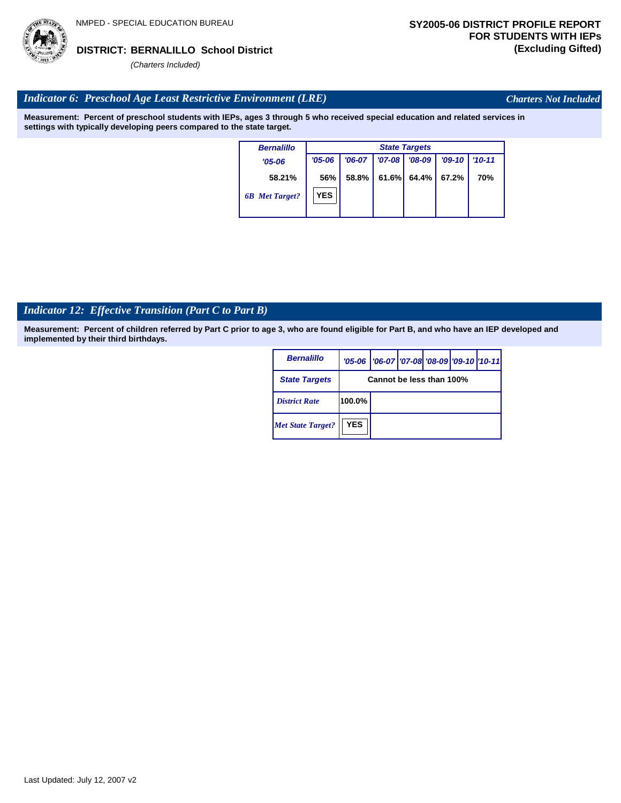## *Indicator 6: Preschool Age Least Restrictive Environment (LRE)*

**Measurement: Percent of preschool students with IEPs, ages 3 through 5 who received special education and related services in settings with typically developing peers compared to the state target.**

| <b>Bernalillo</b>     | <b>State Targets</b> |          |            |          |           |            |  |  |  |
|-----------------------|----------------------|----------|------------|----------|-----------|------------|--|--|--|
| $'05 - 06$            | $'05 - 06$           | $'06-07$ | $'07 - 08$ | $'08-09$ | $'09-10'$ | $'10 - 11$ |  |  |  |
| 58.21%                | 56%                  | 58.8%    | 61.6%      | 64.4%    | 67.2%     | 70%        |  |  |  |
| <b>6B</b> Met Target? | <b>YES</b>           |          |            |          |           |            |  |  |  |

## *Indicator 12: Effective Transition (Part C to Part B)*

**Measurement: Percent of children referred by Part C prior to age 3, who are found eligible for Part B, and who have an IEP developed and implemented by their third birthdays.**

| <b>Bernalillo</b>        |                          | '05-06   '06-07   '07-08 '08-09   '09-10   '10-11 |  |  |  |  |  |  |
|--------------------------|--------------------------|---------------------------------------------------|--|--|--|--|--|--|
| <b>State Targets</b>     | Cannot be less than 100% |                                                   |  |  |  |  |  |  |
| <b>District Rate</b>     | 100.0%                   |                                                   |  |  |  |  |  |  |
| <b>Met State Target?</b> | <b>YES</b>               |                                                   |  |  |  |  |  |  |





*Charters Not Included*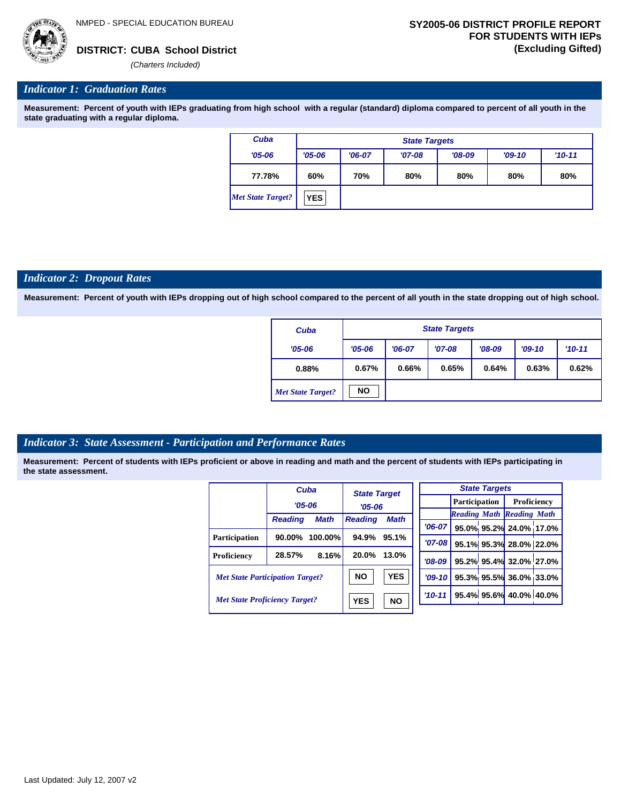

## *Indicator 1: Graduation Rates*

**Measurement: Percent of youth with IEPs graduating from high school with a regular (standard) diploma compared to percent of all youth in the state graduating with a regular diploma.**

| Cuba              |            | <b>State Targets</b> |          |          |          |          |  |  |  |  |
|-------------------|------------|----------------------|----------|----------|----------|----------|--|--|--|--|
| $'05 - 06$        | $'05 - 06$ | $'06-07$             | $'07-08$ | $'08-09$ | $'09-10$ | $'10-11$ |  |  |  |  |
| 77.78%            | 60%        | 70%                  | 80%      | 80%      | 80%      | 80%      |  |  |  |  |
| Met State Target? | <b>YES</b> |                      |          |          |          |          |  |  |  |  |

#### *Indicator 2: Dropout Rates*

**Measurement: Percent of youth with IEPs dropping out of high school compared to the percent of all youth in the state dropping out of high school.**

| Cuba                     |                | <b>State Targets</b> |          |          |          |            |  |  |  |  |
|--------------------------|----------------|----------------------|----------|----------|----------|------------|--|--|--|--|
| $'05 - 06$               | $'05 - 06$     | $'06-07$             | $'07-08$ | $'08-09$ | $'09-10$ | $'10 - 11$ |  |  |  |  |
| 0.88%                    | 0.67%<br>0.66% |                      | 0.65%    | 0.64%    | 0.63%    | 0.62%      |  |  |  |  |
| <b>Met State Target?</b> | <b>NO</b>      |                      |          |          |          |            |  |  |  |  |

## *Indicator 3: State Assessment - Participation and Performance Rates*

|                                        |                | Cuba        | <b>State Target</b><br>$'05 - 06$ |             |            |                      | <b>State Targets</b>    |                                  |  |
|----------------------------------------|----------------|-------------|-----------------------------------|-------------|------------|----------------------|-------------------------|----------------------------------|--|
|                                        | $'05 - 06$     |             |                                   |             |            | <b>Participation</b> |                         | <b>Proficiency</b>               |  |
|                                        |                |             |                                   |             |            |                      |                         | <b>Reading Math Reading Math</b> |  |
|                                        | <b>Reading</b> | <b>Math</b> | <b>Reading</b>                    | <b>Math</b> | $'06-07$   |                      |                         | 95.0% 95.2% 24.0% 17.0%          |  |
| <b>Participation</b>                   | 90.00%         | $100.00\%$  | 94.9%                             | 95.1%       | $'07 - 08$ |                      |                         | 95.1% 95.3% 28.0% 22.0%          |  |
| Proficiency                            | 28.57%         | 8.16%       | 20.0%                             | 13.0%       | $'08-09$   |                      |                         | 95.2% 95.4% 32.0% 27.0%          |  |
| <b>Met State Participation Target?</b> |                | <b>NO</b>   | <b>YES</b>                        | $'09-10'$   |            |                      | 95.3% 95.5% 36.0% 33.0% |                                  |  |
| <b>Met State Proficiency Target?</b>   |                | <b>YES</b>  | <b>NO</b>                         | $'10 - 11$  |            |                      | 95.4% 95.6% 40.0% 40.0% |                                  |  |
|                                        |                |             |                                   |             |            |                      |                         |                                  |  |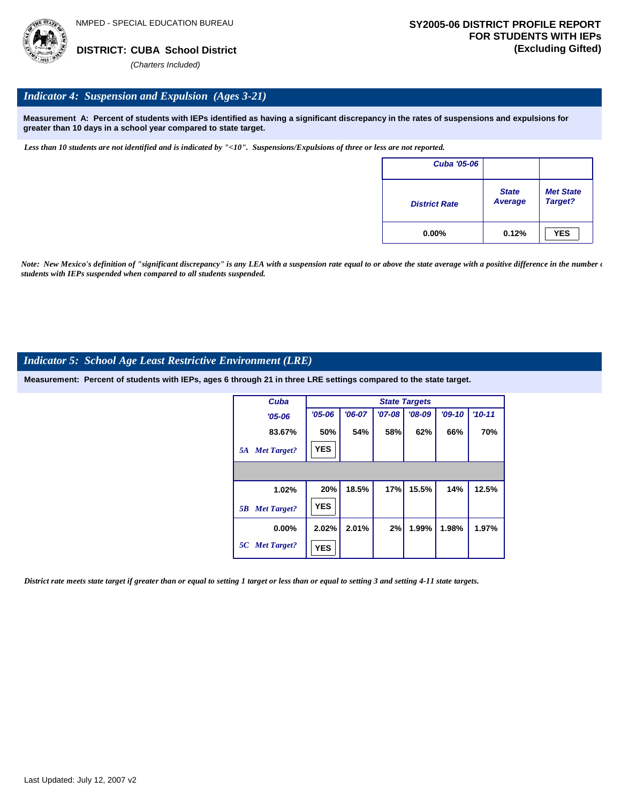

## *Indicator 4: Suspension and Expulsion (Ages 3-21)*

**Measurement A: Percent of students with IEPs identified as having a significant discrepancy in the rates of suspensions and expulsions for greater than 10 days in a school year compared to state target.**

*Less than 10 students are not identified and is indicated by "<10". Suspensions/Expulsions of three or less are not reported.*

| <b>Cuba '05-06</b>   |                         |                             |
|----------------------|-------------------------|-----------------------------|
| <b>District Rate</b> | <b>State</b><br>Average | <b>Met State</b><br>Target? |
| $0.00\%$             | 0.12%                   | <b>YES</b>                  |

*Note: New Mexico's definition of "significant discrepancy" is any LEA with a suspension rate equal to or above the state average with a positive difference in the number*  $\epsilon$ *students with IEPs suspended when compared to all students suspended.*

## *Indicator 5: School Age Least Restrictive Environment (LRE)*

**Measurement: Percent of students with IEPs, ages 6 through 21 in three LRE settings compared to the state target.**

| Cuba                     |            | <b>State Targets</b> |          |          |          |          |  |  |  |  |
|--------------------------|------------|----------------------|----------|----------|----------|----------|--|--|--|--|
| $'05 - 06$               | $'05 - 06$ | $'06-07$             | $'07-08$ | $'08-09$ | $'09-10$ | $'10-11$ |  |  |  |  |
| 83.67%                   | 50%        | 54%                  | 58%      | 62%      | 66%      | 70%      |  |  |  |  |
| <b>Met Target?</b><br>5A | <b>YES</b> |                      |          |          |          |          |  |  |  |  |
|                          |            |                      |          |          |          |          |  |  |  |  |
| 1.02%                    | 20%        | 18.5%                | 17%      | 15.5%    | 14%      | 12.5%    |  |  |  |  |
| <b>Met Target?</b><br>5B | <b>YES</b> |                      |          |          |          |          |  |  |  |  |
| $0.00\%$                 | 2.02%      | 2.01%                | 2%       | 1.99%    | 1.98%    | 1.97%    |  |  |  |  |
| 5C Met Target?           | <b>YES</b> |                      |          |          |          |          |  |  |  |  |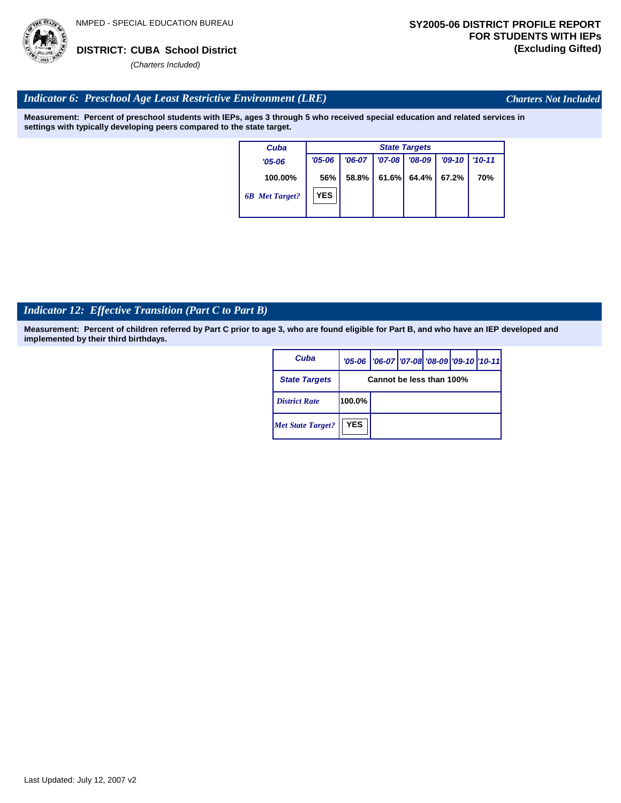

*Charters Not Included*

## *Indicator 6: Preschool Age Least Restrictive Environment (LRE)*

**Measurement: Percent of preschool students with IEPs, ages 3 through 5 who received special education and related services in settings with typically developing peers compared to the state target.**

| Cuba                  |            |          |            | <b>State Targets</b> |          |            |
|-----------------------|------------|----------|------------|----------------------|----------|------------|
| $'05 - 06$            | $'05 - 06$ | $'06-07$ | $'07 - 08$ | $'08-09$             | $'09-10$ | $'10 - 11$ |
| 100.00%               | 56%        | 58.8%    | 61.6%      | $64.4\%$             | 67.2%    | 70%        |
| <b>6B</b> Met Target? | <b>YES</b> |          |            |                      |          |            |

## *Indicator 12: Effective Transition (Part C to Part B)*

**Measurement: Percent of children referred by Part C prior to age 3, who are found eligible for Part B, and who have an IEP developed and implemented by their third birthdays.**

| Cuba                     |                          | '05-06   '06-07   '07-08   '08-09   '09-10   '10-11 |  |  |  |  |  |  |
|--------------------------|--------------------------|-----------------------------------------------------|--|--|--|--|--|--|
| <b>State Targets</b>     | Cannot be less than 100% |                                                     |  |  |  |  |  |  |
| <b>District Rate</b>     | 100.0%                   |                                                     |  |  |  |  |  |  |
| <b>Met State Target?</b> | <b>YES</b>               |                                                     |  |  |  |  |  |  |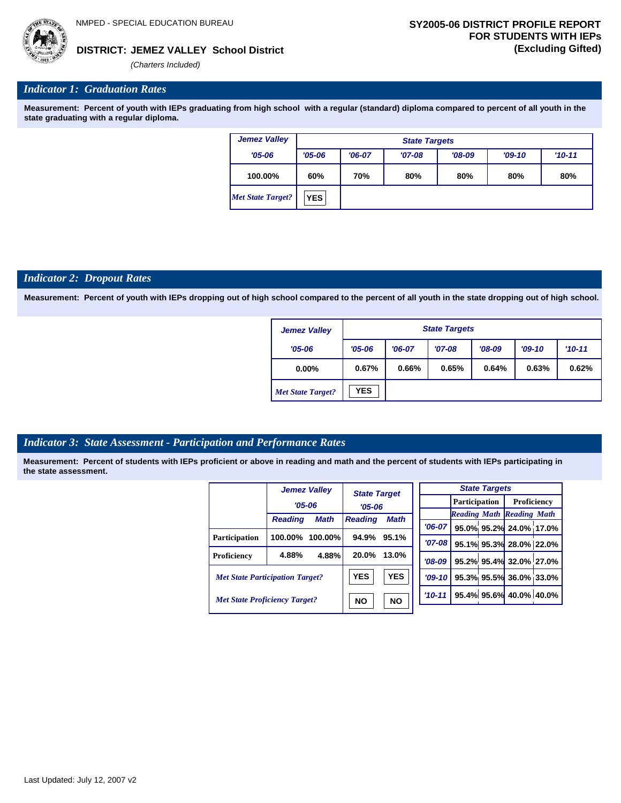**JEMEZ VALLEY School District DISTRICT: (Excluding Gifted)**

*(Charters Included)*

## *Indicator 1: Graduation Rates*

**Measurement: Percent of youth with IEPs graduating from high school with a regular (standard) diploma compared to percent of all youth in the state graduating with a regular diploma.**

| <b>Jemez Valley</b> |            | <b>State Targets</b> |          |          |          |            |  |  |  |  |  |  |
|---------------------|------------|----------------------|----------|----------|----------|------------|--|--|--|--|--|--|
| $'05 - 06$          | $'05 - 06$ | $'06-07$             | $'07-08$ | $'08-09$ | $'09-10$ | $'10 - 11$ |  |  |  |  |  |  |
| 100.00%             | 60%        | 70%                  | 80%      | 80%      | 80%      | 80%        |  |  |  |  |  |  |
| Met State Target?   | <b>YES</b> |                      |          |          |          |            |  |  |  |  |  |  |

## *Indicator 2: Dropout Rates*

**Measurement: Percent of youth with IEPs dropping out of high school compared to the percent of all youth in the state dropping out of high school.**

| <b>Jemez Valley</b>      |            | <b>State Targets</b> |          |          |          |          |  |  |  |  |  |
|--------------------------|------------|----------------------|----------|----------|----------|----------|--|--|--|--|--|
| $'05 - 06$               | $'05 - 06$ | $'06-07$             | $'07-08$ | $'08-09$ | $'09-10$ | $'10-11$ |  |  |  |  |  |
| $0.00\%$                 | 0.67%      | 0.66%                | 0.65%    | 0.64%    | 0.63%    | 0.62%    |  |  |  |  |  |
| <b>Met State Target?</b> | <b>YES</b> |                      |          |          |          |          |  |  |  |  |  |

## *Indicator 3: State Assessment - Participation and Performance Rates*

|                                        |                | <b>Jemez Valley</b> | <b>State Target</b> |             |            |                      | <b>State Targets</b> |                                  |  |
|----------------------------------------|----------------|---------------------|---------------------|-------------|------------|----------------------|----------------------|----------------------------------|--|
|                                        | $'05 - 06$     |                     | $'05 - 06$          |             |            | <b>Participation</b> |                      | Proficiency                      |  |
|                                        | <b>Reading</b> | <b>Math</b>         | <b>Reading</b>      | <b>Math</b> |            |                      |                      | <b>Reading Math Reading Math</b> |  |
|                                        |                |                     |                     |             | $'06-07$   |                      |                      | 95.0% 95.2% 24.0% 17.0%          |  |
| Participation                          | 100.00%        | $100.00\%$          | 94.9%               | 95.1%       | $'07-08$   |                      |                      | 95.1% 95.3% 28.0% 22.0%          |  |
| Proficiency                            | 4.88%          | 4.88%               | 20.0%               | 13.0%       | $'08-09$   |                      |                      | 95.2% 95.4% 32.0% 27.0%          |  |
| <b>Met State Participation Target?</b> |                |                     | <b>YES</b>          | <b>YES</b>  | $'09-10$   |                      |                      | 95.3% 95.5% 36.0% 33.0%          |  |
| <b>Met State Proficiency Target?</b>   |                |                     | <b>NO</b>           | <b>NO</b>   | $'10 - 11$ |                      |                      | 95.4% 95.6% 40.0% 40.0%          |  |
|                                        |                |                     |                     |             |            |                      |                      |                                  |  |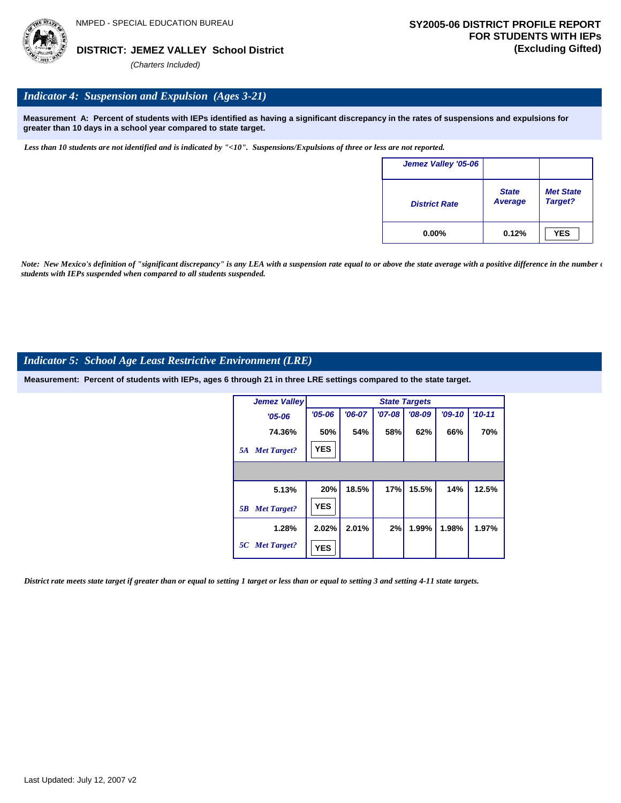

## *Indicator 4: Suspension and Expulsion (Ages 3-21)*

**Measurement A: Percent of students with IEPs identified as having a significant discrepancy in the rates of suspensions and expulsions for greater than 10 days in a school year compared to state target.**

*Less than 10 students are not identified and is indicated by "<10". Suspensions/Expulsions of three or less are not reported.*

| Jemez Valley '05-06  |                                |                             |
|----------------------|--------------------------------|-----------------------------|
| <b>District Rate</b> | <b>State</b><br><b>Average</b> | <b>Met State</b><br>Target? |
| $0.00\%$             | 0.12%                          | <b>YES</b>                  |

*Note: New Mexico's definition of "significant discrepancy" is any LEA with a suspension rate equal to or above the state average with a positive difference in the number*  $\epsilon$ *students with IEPs suspended when compared to all students suspended.*

## *Indicator 5: School Age Least Restrictive Environment (LRE)*

**Measurement: Percent of students with IEPs, ages 6 through 21 in three LRE settings compared to the state target.**

| <b>Jemez Valley</b>      |            |          |          | <b>State Targets</b> |          |            |
|--------------------------|------------|----------|----------|----------------------|----------|------------|
| $'05 - 06$               | $'05 - 06$ | $'06-07$ | $'07-08$ | $'08-09$             | $'09-10$ | $'10 - 11$ |
| 74.36%                   | 50%        | 54%      | 58%      | 62%                  | 66%      | 70%        |
| <b>Met Target?</b><br>5A | <b>YES</b> |          |          |                      |          |            |
|                          |            |          |          |                      |          |            |
| 5.13%                    | 20%        | 18.5%    | 17%      | 15.5%                | 14%      | 12.5%      |
| <b>Met Target?</b><br>5B | <b>YES</b> |          |          |                      |          |            |
| 1.28%                    | 2.02%      | 2.01%    | 2%       | 1.99%                | 1.98%    | 1.97%      |
| 5C Met Target?           | <b>YES</b> |          |          |                      |          |            |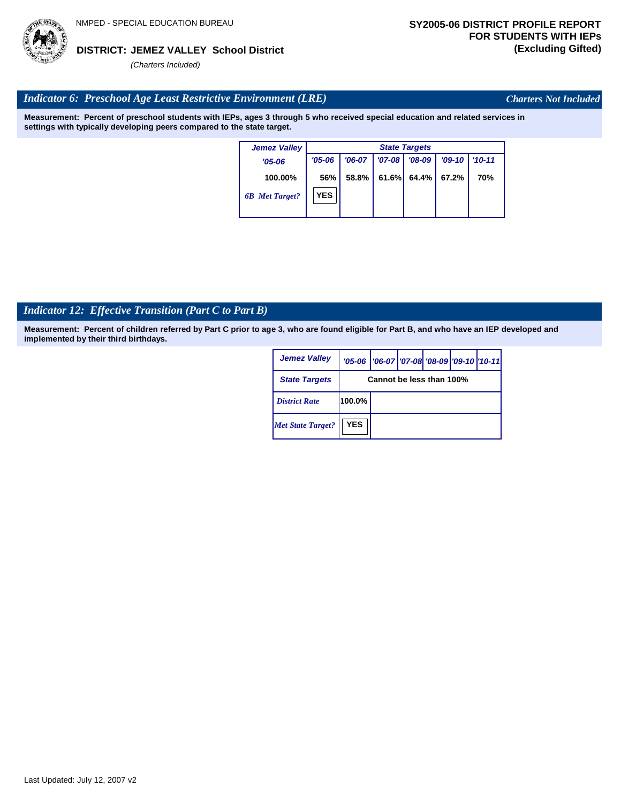## **JEMEZ VALLEY School District DISTRICT: (Excluding Gifted)**

*(Charters Included)*

## *Indicator 6: Preschool Age Least Restrictive Environment (LRE)*

**Measurement: Percent of preschool students with IEPs, ages 3 through 5 who received special education and related services in settings with typically developing peers compared to the state target.**

| <b>Jemez Valley</b>   |            |          |          | <b>State Targets</b> |          |            |
|-----------------------|------------|----------|----------|----------------------|----------|------------|
| $'05 - 06$            | $'05 - 06$ | $'06-07$ | $'07-08$ | $'08-09$             | $'09-10$ | $'10 - 11$ |
| 100.00%               | 56%        | 58.8%    | 61.6%    | 64.4%                | 67.2%    | 70%        |
| <b>6B</b> Met Target? | <b>YES</b> |          |          |                      |          |            |
|                       |            |          |          |                      |          |            |

## *Indicator 12: Effective Transition (Part C to Part B)*

**Measurement: Percent of children referred by Part C prior to age 3, who are found eligible for Part B, and who have an IEP developed and implemented by their third birthdays.**

| <b>Jemez Valley</b>      |            | '05-06   '06-07   '07-08 '08-09   '09-10   '10-11 |  |  |  |  |  |  |  |
|--------------------------|------------|---------------------------------------------------|--|--|--|--|--|--|--|
| <b>State Targets</b>     |            | Cannot be less than 100%                          |  |  |  |  |  |  |  |
| <b>District Rate</b>     | 100.0%     |                                                   |  |  |  |  |  |  |  |
| <b>Met State Target?</b> | <b>YES</b> |                                                   |  |  |  |  |  |  |  |



*Charters Not Included*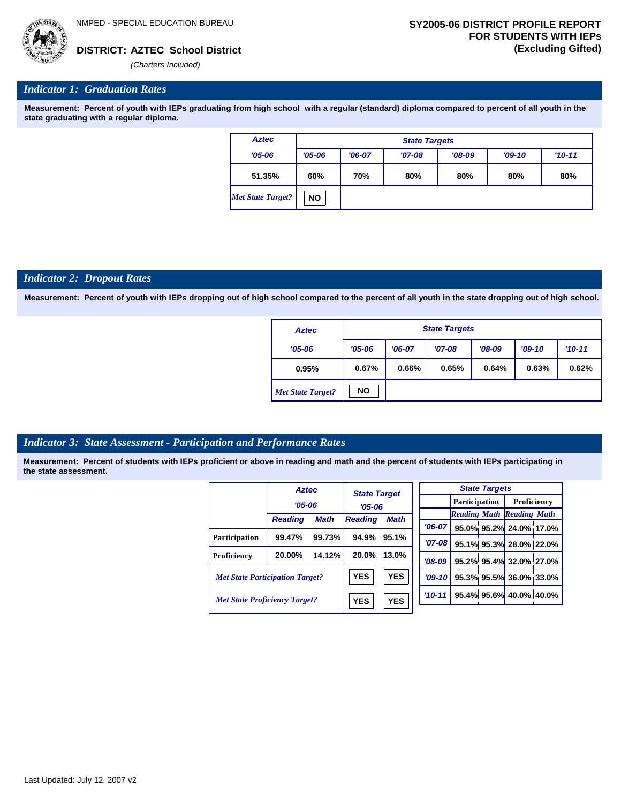

## *Indicator 1: Graduation Rates*

**Measurement: Percent of youth with IEPs graduating from high school with a regular (standard) diploma compared to percent of all youth in the state graduating with a regular diploma.**

| <b>Aztec</b>             |            | <b>State Targets</b> |          |          |            |     |  |  |  |  |  |
|--------------------------|------------|----------------------|----------|----------|------------|-----|--|--|--|--|--|
| $'05 - 06$               | $'05 - 06$ | $'06-07$             | $'07-08$ | $'08-09$ | $'10 - 11$ |     |  |  |  |  |  |
| 51.35%                   | 60%        | 70%                  | 80%      | 80%      | 80%        | 80% |  |  |  |  |  |
| <b>Met State Target?</b> | <b>NO</b>  |                      |          |          |            |     |  |  |  |  |  |

#### *Indicator 2: Dropout Rates*

**Measurement: Percent of youth with IEPs dropping out of high school compared to the percent of all youth in the state dropping out of high school.**

| <b>Aztec</b>             |                        | <b>State Targets</b> |          |          |       |            |  |  |  |  |  |
|--------------------------|------------------------|----------------------|----------|----------|-------|------------|--|--|--|--|--|
| $'05 - 06$               | $'06-07$<br>$'05 - 06$ |                      | $'07-08$ | $'08-09$ |       | $'10 - 11$ |  |  |  |  |  |
| 0.95%                    | 0.67%                  | 0.66%                | 0.65%    | 0.64%    | 0.63% | 0.62%      |  |  |  |  |  |
| <b>Met State Target?</b> | <b>NO</b>              |                      |          |          |       |            |  |  |  |  |  |

## *Indicator 3: State Assessment - Participation and Performance Rates*

|                                        | <b>Aztec</b>   |             | <b>State Target</b> |             |  |            |               | <b>State Targets</b> |                                  |  |
|----------------------------------------|----------------|-------------|---------------------|-------------|--|------------|---------------|----------------------|----------------------------------|--|
|                                        | $'05 - 06$     |             | $'05 - 06$          |             |  |            | Participation |                      | Proficiency                      |  |
|                                        |                |             |                     |             |  |            |               |                      | <b>Reading Math Reading Math</b> |  |
|                                        | <b>Reading</b> | <b>Math</b> | <b>Reading</b>      | <b>Math</b> |  | '06-07 l   |               |                      | 95.0% 95.2% 24.0% 17.0%          |  |
| <b>Participation</b>                   | 99.47%         | 99.73%      | 94.9%               | 95.1%       |  |            |               |                      |                                  |  |
|                                        |                |             |                     |             |  | $'07 - 08$ |               |                      | 95.1% 95.3% 28.0% 22.0%          |  |
| Proficiency                            | 20.00%         | 14.12%      | 20.0%               | 13.0%       |  | $'08-09$   |               |                      | 95.2% 95.4% 32.0% 27.0%          |  |
| <b>Met State Participation Target?</b> |                |             | <b>YES</b>          | <b>YES</b>  |  | $'09-10'$  |               |                      | 95.3% 95.5% 36.0% 33.0%          |  |
| <b>Met State Proficiency Target?</b>   |                |             | <b>YES</b>          | <b>YES</b>  |  | $'10 - 11$ |               |                      | 95.4% 95.6% 40.0% 40.0%          |  |
|                                        |                |             |                     |             |  |            |               |                      |                                  |  |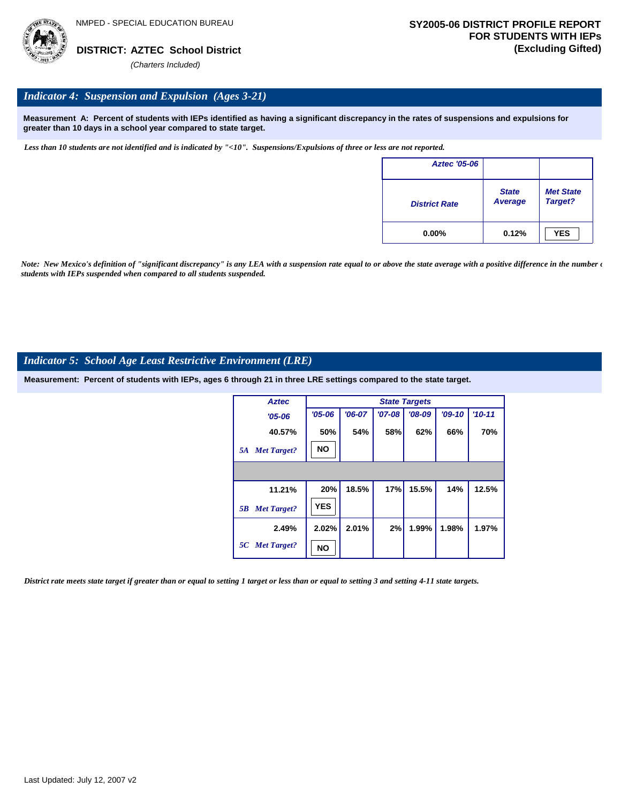

## *Indicator 4: Suspension and Expulsion (Ages 3-21)*

**Measurement A: Percent of students with IEPs identified as having a significant discrepancy in the rates of suspensions and expulsions for greater than 10 days in a school year compared to state target.**

*Less than 10 students are not identified and is indicated by "<10". Suspensions/Expulsions of three or less are not reported.*

| <b>Aztec '05-06</b>  |                         |                             |
|----------------------|-------------------------|-----------------------------|
| <b>District Rate</b> | <b>State</b><br>Average | <b>Met State</b><br>Target? |
| $0.00\%$             | 0.12%                   | <b>YES</b>                  |

*Note: New Mexico's definition of "significant discrepancy" is any LEA with a suspension rate equal to or above the state average with a positive difference in the number*  $\epsilon$ *students with IEPs suspended when compared to all students suspended.*

## *Indicator 5: School Age Least Restrictive Environment (LRE)*

**Measurement: Percent of students with IEPs, ages 6 through 21 in three LRE settings compared to the state target.**

| <b>Aztec</b>             | <b>State Targets</b> |          |          |          |          |          |  |  |
|--------------------------|----------------------|----------|----------|----------|----------|----------|--|--|
| $'05 - 06$               | $'05 - 06$           | $'06-07$ | $'07-08$ | $'08-09$ | $'09-10$ | $'10-11$ |  |  |
| 40.57%                   | 50%                  | 54%      | 58%      | 62%      | 66%      | 70%      |  |  |
| <b>Met Target?</b><br>5A | <b>NO</b>            |          |          |          |          |          |  |  |
|                          |                      |          |          |          |          |          |  |  |
| 11.21%                   | 20%                  | 18.5%    | 17%      | 15.5%    | 14%      | 12.5%    |  |  |
| <b>Met Target?</b><br>5B | <b>YES</b>           |          |          |          |          |          |  |  |
| 2.49%                    | 2.02%                | 2.01%    | 2%       | 1.99%    | 1.98%    | 1.97%    |  |  |
| 5C Met Target?           | NΟ                   |          |          |          |          |          |  |  |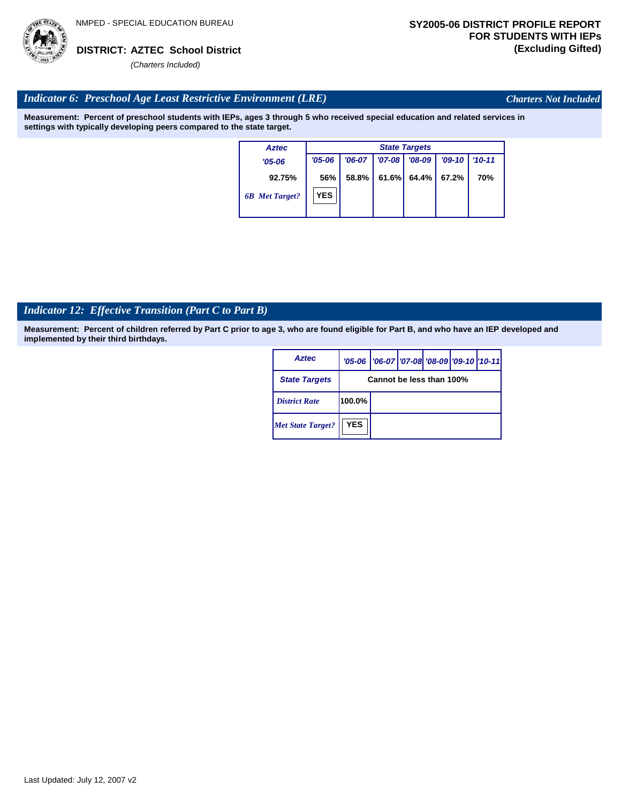

*Charters Not Included*

## *Indicator 6: Preschool Age Least Restrictive Environment (LRE)*

**Measurement: Percent of preschool students with IEPs, ages 3 through 5 who received special education and related services in settings with typically developing peers compared to the state target.**

| Aztec                 | <b>State Targets</b> |          |          |                |          |            |  |  |
|-----------------------|----------------------|----------|----------|----------------|----------|------------|--|--|
| $'05 - 06$            | $'05 - 06$           | $'06-07$ | $'07-08$ | $'08-09$       | $'09-10$ | $'10 - 11$ |  |  |
| 92.75%                | 56%                  | 58.8%    |          | $61.6\%$ 64.4% | 67.2%    | 70%        |  |  |
| <b>6B</b> Met Target? | <b>YES</b>           |          |          |                |          |            |  |  |

## *Indicator 12: Effective Transition (Part C to Part B)*

**Measurement: Percent of children referred by Part C prior to age 3, who are found eligible for Part B, and who have an IEP developed and implemented by their third birthdays.**

| <b>Aztec</b>             |                          | '05-06   '06-07   '07-08   '08-09   '09-10   '10-11 |  |  |  |  |  |
|--------------------------|--------------------------|-----------------------------------------------------|--|--|--|--|--|
| <b>State Targets</b>     | Cannot be less than 100% |                                                     |  |  |  |  |  |
| <b>District Rate</b>     | 100.0%                   |                                                     |  |  |  |  |  |
| <b>Met State Target?</b> | <b>YES</b>               |                                                     |  |  |  |  |  |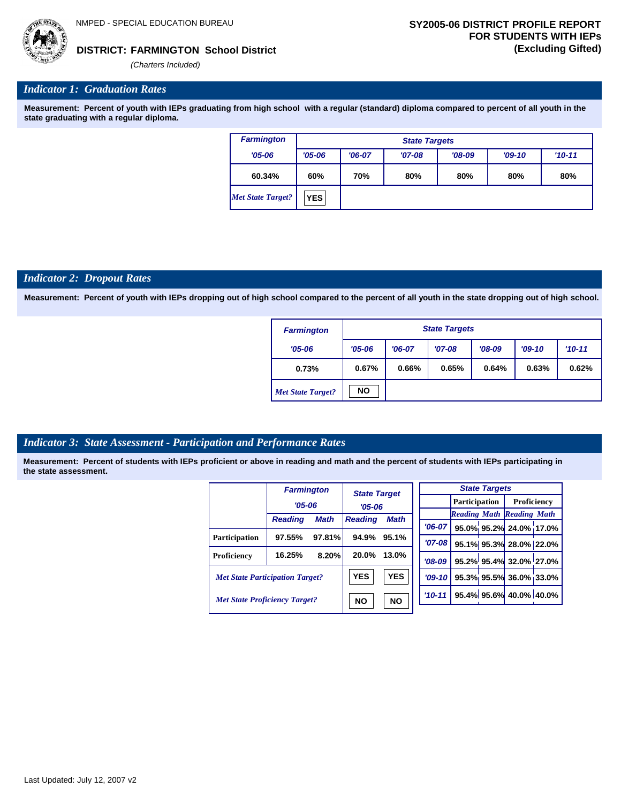## **FARMINGTON School District DISTRICT: (Excluding Gifted)**

*(Charters Included)*

## *Indicator 1: Graduation Rates*

**Measurement: Percent of youth with IEPs graduating from high school with a regular (standard) diploma compared to percent of all youth in the state graduating with a regular diploma.**

| <b>Farmington</b>        | <b>State Targets</b> |          |          |          |          |          |  |  |  |
|--------------------------|----------------------|----------|----------|----------|----------|----------|--|--|--|
| $'05 - 06$               | $'05 - 06$           | $'06-07$ | $'07-08$ | $'08-09$ | $'09-10$ | $'10-11$ |  |  |  |
| 60.34%                   | 60%                  | 70%      | 80%      | 80%      | 80%      | 80%      |  |  |  |
| <b>Met State Target?</b> | <b>YES</b>           |          |          |          |          |          |  |  |  |

## *Indicator 2: Dropout Rates*

**Measurement: Percent of youth with IEPs dropping out of high school compared to the percent of all youth in the state dropping out of high school.**

| <b>Farmington</b>        |            | <b>State Targets</b> |          |          |          |          |  |  |  |
|--------------------------|------------|----------------------|----------|----------|----------|----------|--|--|--|
| $'05 - 06$               | $'05 - 06$ | $'06-07$             | $'07-08$ | $'08-09$ | $'09-10$ | $'10-11$ |  |  |  |
| 0.73%                    | 0.67%      | 0.66%                | 0.65%    | 0.64%    | 0.63%    | 0.62%    |  |  |  |
| <b>Met State Target?</b> | <b>NO</b>  |                      |          |          |          |          |  |  |  |

## *Indicator 3: State Assessment - Participation and Performance Rates*

|                                        | <b>Farmington</b> |             | <b>State Target</b> |             |           |          |  | <b>State Targets</b>    |                                  |  |             |  |
|----------------------------------------|-------------------|-------------|---------------------|-------------|-----------|----------|--|-------------------------|----------------------------------|--|-------------|--|
|                                        | $'05 - 06$        |             |                     |             |           |          |  |                         | <b>Participation</b>             |  | Proficiency |  |
|                                        |                   |             |                     | $'05 - 06$  |           |          |  |                         | <b>Reading Math Reading Math</b> |  |             |  |
|                                        | <b>Reading</b>    | <b>Math</b> | <b>Reading</b>      | <b>Math</b> |           |          |  |                         |                                  |  |             |  |
|                                        |                   |             |                     |             |           | $'06-07$ |  |                         | 95.0% 95.2% 24.0% 17.0%          |  |             |  |
| <b>Participation</b>                   | 97.55%            | 97.81%      | 94.9%               | 95.1%       |           | $'07-08$ |  |                         | 95.1% 95.3% 28.0% 22.0%          |  |             |  |
| Proficiency                            | 16.25%            | 8.20%       | 20.0%               | 13.0%       |           | $'08-09$ |  |                         | 95.2% 95.4% 32.0% 27.0%          |  |             |  |
| <b>Met State Participation Target?</b> |                   | <b>YES</b>  | <b>YES</b>          |             | $'09-10'$ |          |  | 95.3% 95.5% 36.0% 33.0% |                                  |  |             |  |
| <b>Met State Proficiency Target?</b>   |                   | <b>NO</b>   | <b>NO</b>           |             | $'10-11$  |          |  | 95.4% 95.6% 40.0% 40.0% |                                  |  |             |  |
|                                        |                   |             |                     |             |           |          |  |                         |                                  |  |             |  |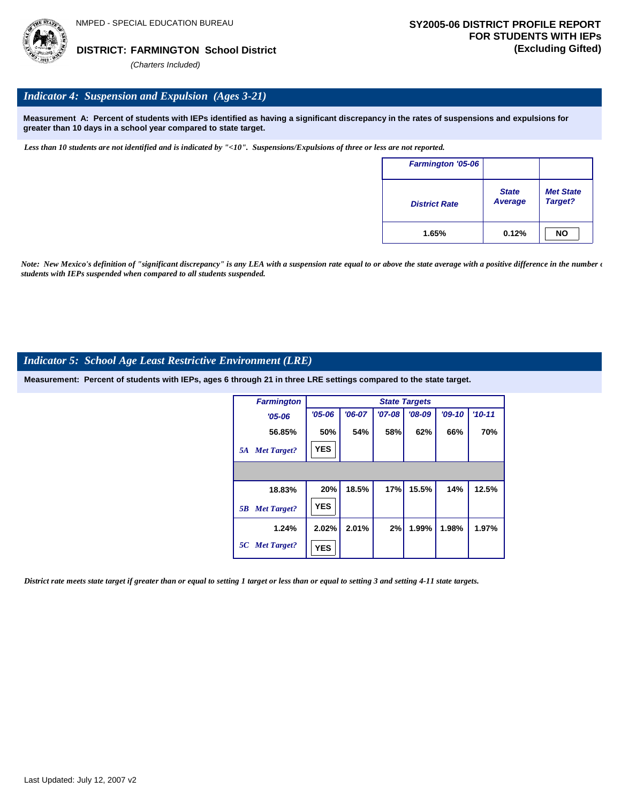

## *Indicator 4: Suspension and Expulsion (Ages 3-21)*

**Measurement A: Percent of students with IEPs identified as having a significant discrepancy in the rates of suspensions and expulsions for greater than 10 days in a school year compared to state target.**

*Less than 10 students are not identified and is indicated by "<10". Suspensions/Expulsions of three or less are not reported.*

| <b>Farmington '05-06</b> |                         |                             |
|--------------------------|-------------------------|-----------------------------|
| <b>District Rate</b>     | <b>State</b><br>Average | <b>Met State</b><br>Target? |
| 1.65%                    | 0.12%                   | <b>NO</b>                   |

*Note: New Mexico's definition of "significant discrepancy" is any LEA with a suspension rate equal to or above the state average with a positive difference in the number*  $\epsilon$ *students with IEPs suspended when compared to all students suspended.*

## *Indicator 5: School Age Least Restrictive Environment (LRE)*

**Measurement: Percent of students with IEPs, ages 6 through 21 in three LRE settings compared to the state target.**

| <b>Farmington</b>        |            |          |            | <b>State Targets</b> |          |          |
|--------------------------|------------|----------|------------|----------------------|----------|----------|
| $'05 - 06$               | $'05 - 06$ | $'06-07$ | $'07 - 08$ | $'08-09$             | $'09-10$ | $'10-11$ |
| 56.85%                   | 50%        | 54%      | 58%        | 62%                  | 66%      | 70%      |
| <b>Met Target?</b><br>5A | <b>YES</b> |          |            |                      |          |          |
|                          |            |          |            |                      |          |          |
| 18.83%                   | 20%        | 18.5%    | 17%        | 15.5%                | 14%      | 12.5%    |
| <b>Met Target?</b><br>5B | <b>YES</b> |          |            |                      |          |          |
| 1.24%                    | 2.02%      | 2.01%    | 2%         | 1.99%                | 1.98%    | 1.97%    |
| 5C Met Target?           | <b>YES</b> |          |            |                      |          |          |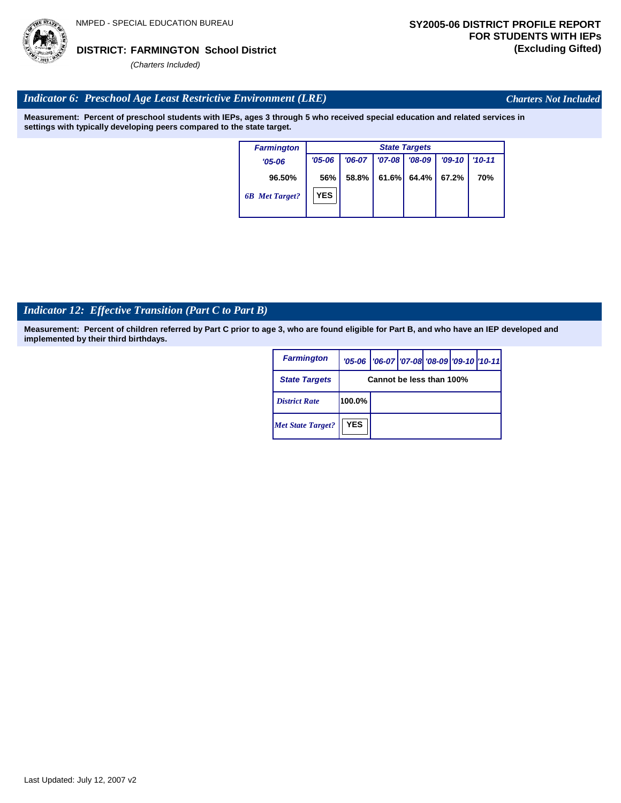## *Indicator 12: Effective Transition (Part C to Part B)*

**Measurement: Percent of children referred by Part C prior to age 3, who are found eligible for Part B, and who have an IEP developed and implemented by their third birthdays.**

| <b>Farmington</b>        |                          | '05-06   '06-07   '07-08   '08-09   '09-10   '10-11 |  |  |  |  |
|--------------------------|--------------------------|-----------------------------------------------------|--|--|--|--|
| <b>State Targets</b>     | Cannot be less than 100% |                                                     |  |  |  |  |
| <b>District Rate</b>     | $100.0\%$                |                                                     |  |  |  |  |
| <b>Met State Target?</b> | <b>YES</b>               |                                                     |  |  |  |  |

# *(Charters Included)*

## *Indicator 6: Preschool Age Least Restrictive Environment (LRE)*

**Measurement: Percent of preschool students with IEPs, ages 3 through 5 who received special education and related services in settings with typically developing peers compared to the state target.**

| <b>Farmington</b>     | <b>State Targets</b> |          |            |             |          |          |  |  |
|-----------------------|----------------------|----------|------------|-------------|----------|----------|--|--|
| $'05-06$              | $'05 - 06$           | $'06-07$ | $'07 - 08$ | $708 - 09$  | $'09-10$ | $'10-11$ |  |  |
| 96.50%                | 56%                  | 58.8%    | 61.6%      | 64.4% 67.2% |          | 70%      |  |  |
| <b>6B</b> Met Target? | <b>YES</b>           |          |            |             |          |          |  |  |



*Charters Not Included*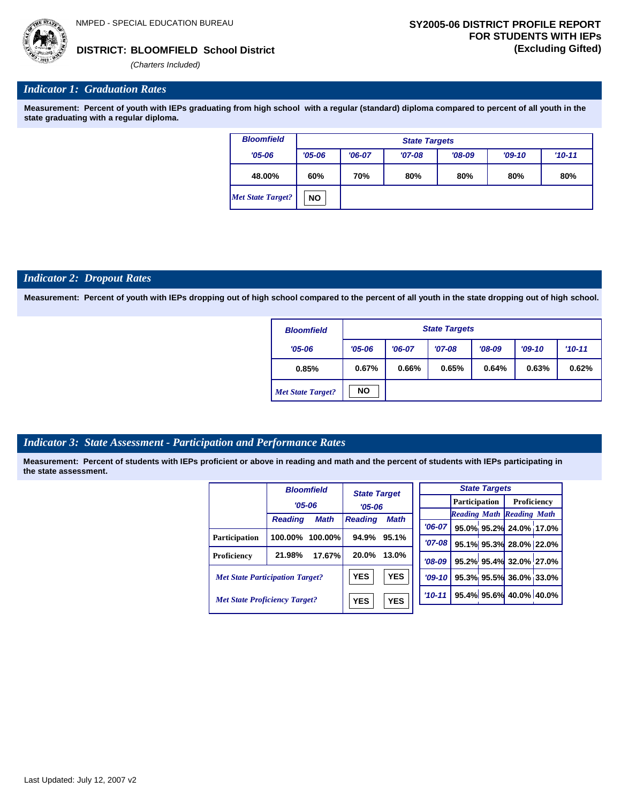**BLOOMFIELD School District DISTRICT: (Excluding Gifted)**

*(Charters Included)*

## *Indicator 1: Graduation Rates*

**Measurement: Percent of youth with IEPs graduating from high school with a regular (standard) diploma compared to percent of all youth in the state graduating with a regular diploma.**

| <b>Bloomfield</b> | <b>State Targets</b> |                                 |          |          |          |          |  |  |  |
|-------------------|----------------------|---------------------------------|----------|----------|----------|----------|--|--|--|
| $'05 - 06$        | $'05 - 06$           | $'06-07$                        | $'07-08$ | $'08-09$ | $'09-10$ | $'10-11$ |  |  |  |
| 48.00%            | 60%                  | 80%<br>70%<br>80%<br>80%<br>80% |          |          |          |          |  |  |  |
| Met State Target? | <b>NO</b>            |                                 |          |          |          |          |  |  |  |

## *Indicator 2: Dropout Rates*

**Measurement: Percent of youth with IEPs dropping out of high school compared to the percent of all youth in the state dropping out of high school.**

| <b>Bloomfield</b>        |            | <b>State Targets</b> |          |          |          |          |  |  |  |  |
|--------------------------|------------|----------------------|----------|----------|----------|----------|--|--|--|--|
| $'05 - 06$               | $'05 - 06$ | $'06-07$             | $'07-08$ | $'08-09$ | $'09-10$ | $'10-11$ |  |  |  |  |
| 0.85%                    | 0.67%      | 0.66%                | 0.65%    | 0.64%    | 0.63%    | 0.62%    |  |  |  |  |
| <b>Met State Target?</b> | <b>NO</b>  |                      |          |          |          |          |  |  |  |  |

## *Indicator 3: State Assessment - Participation and Performance Rates*

|                                        |                | <b>Bloomfield</b> | <b>State Target</b> |             |          | <b>State Targets</b> |  |                         |                                  |  |             |  |
|----------------------------------------|----------------|-------------------|---------------------|-------------|----------|----------------------|--|-------------------------|----------------------------------|--|-------------|--|
|                                        | $'05 - 06$     |                   | $'05 - 06$          |             |          |                      |  |                         | <b>Participation</b>             |  | Proficiency |  |
|                                        |                |                   |                     |             |          |                      |  |                         | <b>Reading Math Reading Math</b> |  |             |  |
|                                        | <b>Reading</b> | <b>Math</b>       | <b>Reading</b>      | <b>Math</b> |          | $'06-07$             |  |                         | 95.0% 95.2% 24.0% 17.0%          |  |             |  |
| Participation                          | 100.00%        | $100.00\%$        | 94.9%               | 95.1%       |          | $'07-08$             |  |                         | 95.1% 95.3% 28.0% 22.0%          |  |             |  |
| Proficiency                            | 21.98%         | 17.67%            | 20.0%               | 13.0%       | $'08-09$ |                      |  |                         | 95.2% 95.4% 32.0% 27.0%          |  |             |  |
| <b>Met State Participation Target?</b> |                | <b>YES</b>        | <b>YES</b>          |             | $'09-10$ |                      |  | 95.3% 95.5% 36.0% 33.0% |                                  |  |             |  |
| <b>Met State Proficiency Target?</b>   |                | <b>YES</b>        | <b>YES</b>          | $'10-11$    |          |                      |  | 95.4% 95.6% 40.0% 40.0% |                                  |  |             |  |
|                                        |                |                   |                     |             |          |                      |  |                         |                                  |  |             |  |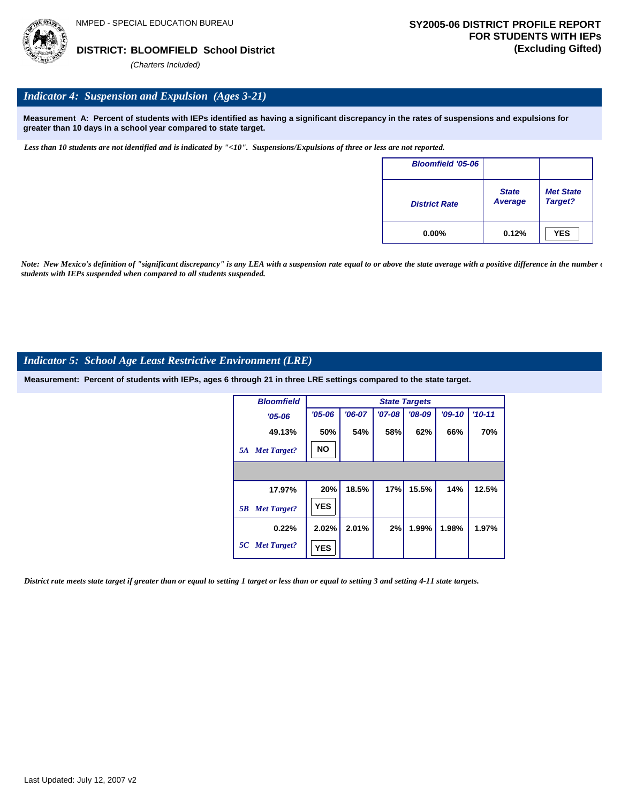## *Indicator 4: Suspension and Expulsion (Ages 3-21)*

**Measurement A: Percent of students with IEPs identified as having a significant discrepancy in the rates of suspensions and expulsions for greater than 10 days in a school year compared to state target.**

*Less than 10 students are not identified and is indicated by "<10". Suspensions/Expulsions of three or less are not reported.*

| <b>Bloomfield '05-06</b> |                         |                             |
|--------------------------|-------------------------|-----------------------------|
| <b>District Rate</b>     | <b>State</b><br>Average | <b>Met State</b><br>Target? |
| $0.00\%$                 | 0.12%                   | <b>YES</b>                  |

*Note: New Mexico's definition of "significant discrepancy" is any LEA with a suspension rate equal to or above the state average with a positive difference in the number*  $\epsilon$ *students with IEPs suspended when compared to all students suspended.*

## *Indicator 5: School Age Least Restrictive Environment (LRE)*

**Measurement: Percent of students with IEPs, ages 6 through 21 in three LRE settings compared to the state target.**

| <b>Bloomfield</b>        | <b>State Targets</b> |          |          |          |          |          |  |  |  |  |
|--------------------------|----------------------|----------|----------|----------|----------|----------|--|--|--|--|
| $'05 - 06$               | $'05 - 06$           | $'06-07$ | $'07-08$ | $'08-09$ | $'09-10$ | $'10-11$ |  |  |  |  |
| 49.13%                   | 50%                  | 54%      | 58%      | 62%      | 66%      | 70%      |  |  |  |  |
| <b>Met Target?</b><br>5A | <b>NO</b>            |          |          |          |          |          |  |  |  |  |
|                          |                      |          |          |          |          |          |  |  |  |  |
| 17.97%                   | 20%                  | 18.5%    | 17%      | 15.5%    | 14%      | 12.5%    |  |  |  |  |
| <b>Met Target?</b><br>5B | <b>YES</b>           |          |          |          |          |          |  |  |  |  |
| 0.22%                    | 2.02%                | 2.01%    | 2%       | 1.99%    | 1.98%    | 1.97%    |  |  |  |  |
| 5C Met Target?           | <b>YES</b>           |          |          |          |          |          |  |  |  |  |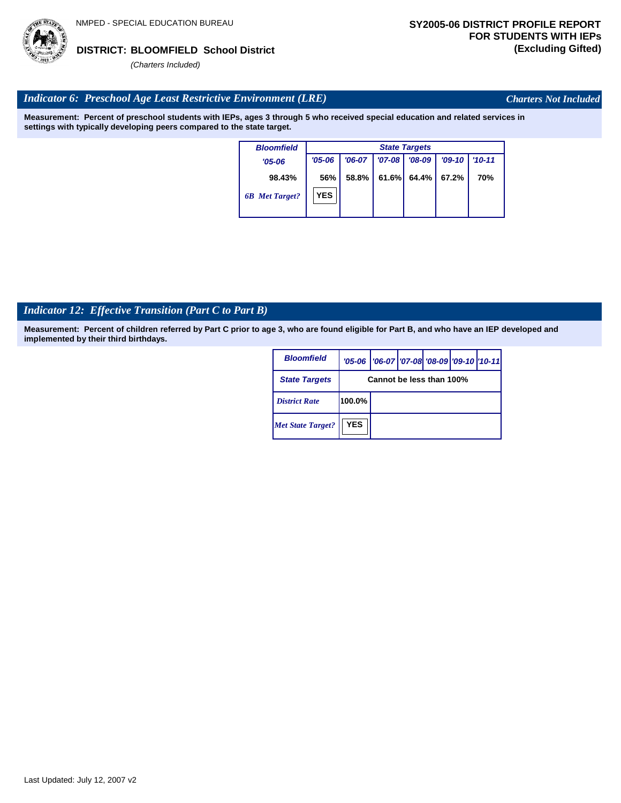# Last Updated: July 12, 2007 v2

## **BLOOMFIELD School District DISTRICT: (Excluding Gifted)**

*(Charters Included)*

## *Indicator 6: Preschool Age Least Restrictive Environment (LRE)*

**Measurement: Percent of preschool students with IEPs, ages 3 through 5 who received special education and related services in settings with typically developing peers compared to the state target.**

> **98.43%** *'05-06 6B Met Target? Bloomfield* **56%** *'06-07 '07-08 '08-09 '09-10 '10-11* **58.8% 61.6% 64.4% 67.2% 70%** *State Targets '05-06* **YES**

## *Indicator 12: Effective Transition (Part C to Part B)*

**Measurement: Percent of children referred by Part C prior to age 3, who are found eligible for Part B, and who have an IEP developed and implemented by their third birthdays.**

| <b>Bloomfield</b>        |            | '05-06   '06-07   '07-08   '08-09   '09-10   '10-11 |  |  |
|--------------------------|------------|-----------------------------------------------------|--|--|
| <b>State Targets</b>     |            | Cannot be less than 100%                            |  |  |
| <b>District Rate</b>     | 100.0%     |                                                     |  |  |
| <b>Met State Target?</b> | <b>YES</b> |                                                     |  |  |



*Charters Not Included*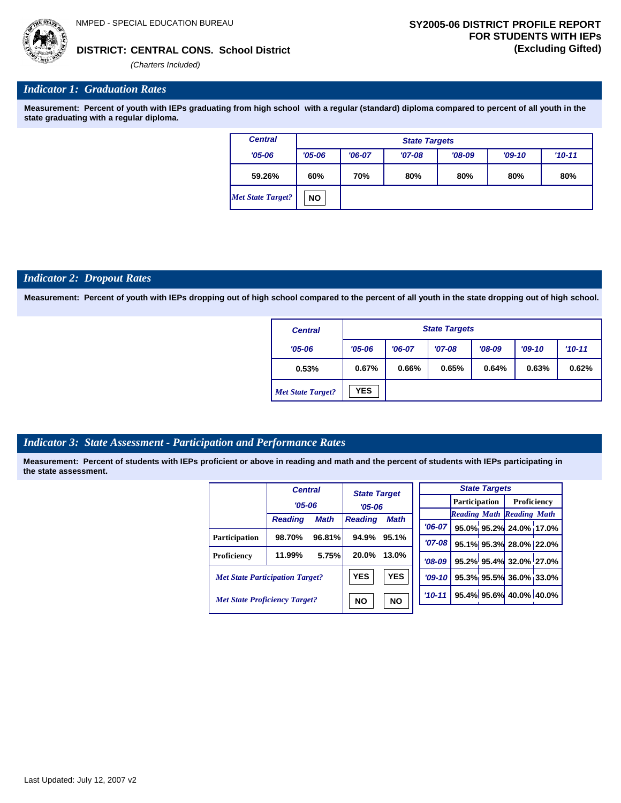

*(Charters Included)*

## *Indicator 1: Graduation Rates*

**Measurement: Percent of youth with IEPs graduating from high school with a regular (standard) diploma compared to percent of all youth in the state graduating with a regular diploma.**

| <b>Central</b>    |            | <b>State Targets</b> |          |          |     |     |  |  |  |  |  |
|-------------------|------------|----------------------|----------|----------|-----|-----|--|--|--|--|--|
| $'05 - 06$        | $'05 - 06$ | $'06-07$             | $'09-10$ | $'10-11$ |     |     |  |  |  |  |  |
| 59.26%            | 60%        | 70%                  | 80%      | 80%      | 80% | 80% |  |  |  |  |  |
| Met State Target? | <b>NO</b>  |                      |          |          |     |     |  |  |  |  |  |

### *Indicator 2: Dropout Rates*

**Measurement: Percent of youth with IEPs dropping out of high school compared to the percent of all youth in the state dropping out of high school.**

| <b>Central</b>           |            | <b>State Targets</b> |          |          |          |          |  |  |  |  |
|--------------------------|------------|----------------------|----------|----------|----------|----------|--|--|--|--|
| $'05 - 06$               | $'05 - 06$ | $'06-07$             | $'07-08$ | $'08-09$ | $'09-10$ | $'10-11$ |  |  |  |  |
| 0.53%                    | 0.67%      | 0.66%                | 0.65%    | 0.64%    | 0.63%    | 0.62%    |  |  |  |  |
| <b>Met State Target?</b> | <b>YES</b> |                      |          |          |          |          |  |  |  |  |

## *Indicator 3: State Assessment - Participation and Performance Rates*

|                                        | <b>Central</b> |             |                | <b>State Target</b> |          |            | <b>State Targets</b> |                         |                                  |  |
|----------------------------------------|----------------|-------------|----------------|---------------------|----------|------------|----------------------|-------------------------|----------------------------------|--|
|                                        | $'05 - 06$     |             |                |                     |          |            | <b>Participation</b> |                         | Proficiency                      |  |
|                                        |                |             | $'05 - 06$     |                     |          |            |                      |                         | <b>Reading Math Reading Math</b> |  |
|                                        | <b>Reading</b> | <b>Math</b> | <b>Reading</b> | <b>Math</b>         |          |            |                      |                         |                                  |  |
|                                        |                |             |                |                     |          | $'06-07$   |                      |                         | 95.0% 95.2% 24.0% 17.0%          |  |
| <b>Participation</b>                   | 98.70%         | 96.81%      | 94.9%          | 95.1%               |          | '07-08 l   |                      |                         | 95.1% 95.3% 28.0% 22.0%          |  |
| Proficiency                            | 11.99%         | 5.75%       | 20.0%          | 13.0%               |          | $'08-09$   |                      |                         | 95.2% 95.4% 32.0% 27.0%          |  |
| <b>Met State Participation Target?</b> |                | <b>YES</b>  | <b>YES</b>     |                     | $'09-10$ |            |                      | 95.3% 95.5% 36.0% 33.0% |                                  |  |
| <b>Met State Proficiency Target?</b>   |                |             | <b>NO</b>      | <b>NO</b>           |          | $'10 - 11$ |                      |                         | 95.4% 95.6% 40.0% 40.0%          |  |
|                                        |                |             |                |                     |          |            |                      |                         |                                  |  |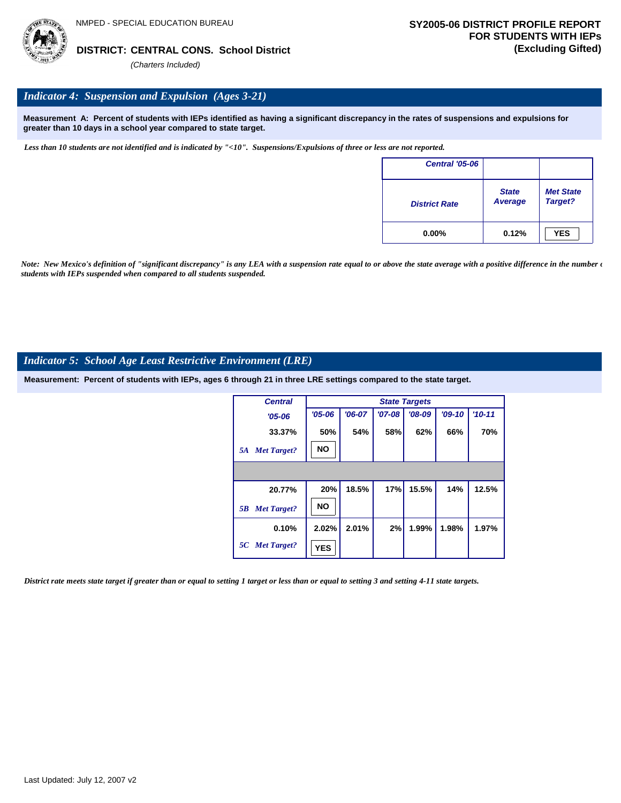

## *Indicator 4: Suspension and Expulsion (Ages 3-21)*

**Measurement A: Percent of students with IEPs identified as having a significant discrepancy in the rates of suspensions and expulsions for greater than 10 days in a school year compared to state target.**

*Less than 10 students are not identified and is indicated by "<10". Suspensions/Expulsions of three or less are not reported.*

| <b>Central '05-06</b> |                         |                             |
|-----------------------|-------------------------|-----------------------------|
| <b>District Rate</b>  | <b>State</b><br>Average | <b>Met State</b><br>Target? |
| $0.00\%$              | 0.12%                   | <b>YES</b>                  |

*Note: New Mexico's definition of "significant discrepancy" is any LEA with a suspension rate equal to or above the state average with a positive difference in the number*  $\epsilon$ *students with IEPs suspended when compared to all students suspended.*

## *Indicator 5: School Age Least Restrictive Environment (LRE)*

**Measurement: Percent of students with IEPs, ages 6 through 21 in three LRE settings compared to the state target.**

| <b>Central</b>           | <b>State Targets</b> |          |          |          |          |            |  |  |  |
|--------------------------|----------------------|----------|----------|----------|----------|------------|--|--|--|
| $'05 - 06$               | $'05 - 06$           | $'06-07$ | $'07-08$ | $'08-09$ | $'09-10$ | $'10 - 11$ |  |  |  |
| 33.37%                   | 50%                  | 54%      | 58%      | 62%      | 66%      | 70%        |  |  |  |
| <b>Met Target?</b><br>5A | <b>NO</b>            |          |          |          |          |            |  |  |  |
|                          |                      |          |          |          |          |            |  |  |  |
| 20.77%                   | 20%                  | 18.5%    | 17%      | 15.5%    | 14%      | 12.5%      |  |  |  |
| <b>Met Target?</b><br>5B | <b>NO</b>            |          |          |          |          |            |  |  |  |
| 0.10%                    | 2.02%                | 2.01%    | 2%       | 1.99%    | 1.98%    | 1.97%      |  |  |  |
| 5C Met Target?           | <b>YES</b>           |          |          |          |          |            |  |  |  |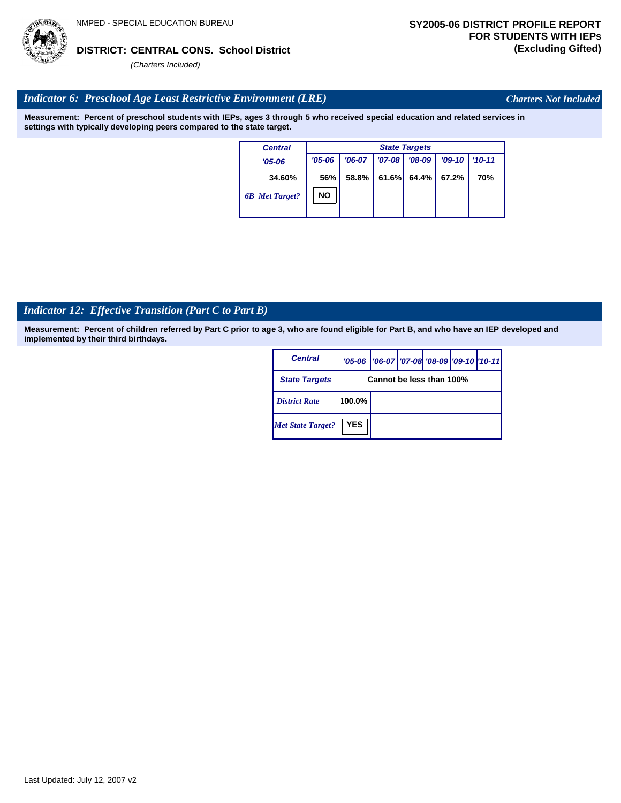## *Indicator 12: Effective Transition (Part C to Part B)*

**Measurement: Percent of children referred by Part C prior to age 3, who are found eligible for Part B, and who have an IEP developed and implemented by their third birthdays.**

**Measurement: Percent of preschool students with IEPs, ages 3 through 5 who received special education and related services in** 

*Central*

*'05-06*

**34.60%**

*6B Met Target?*

*'05-06*

**56%**

**NO**

| <b>Central</b>           |                          | '05-06   '06-07   '07-08 '08-09   '09-10   '10-11 |  |  |  |  |
|--------------------------|--------------------------|---------------------------------------------------|--|--|--|--|
| <b>State Targets</b>     | Cannot be less than 100% |                                                   |  |  |  |  |
| <b>District Rate</b>     | 100.0%                   |                                                   |  |  |  |  |
| <b>Met State Target?</b> | <b>YES</b>               |                                                   |  |  |  |  |

*'06-07 '07-08 '08-09 '09-10 '10-11* **58.8% 61.6% 64.4% 67.2% 70%**

*State Targets*

 *Indicator 6: Preschool Age Least Restrictive Environment (LRE)*

*(Charters Included)*

**settings with typically developing peers compared to the state target.**



*Charters Not Included*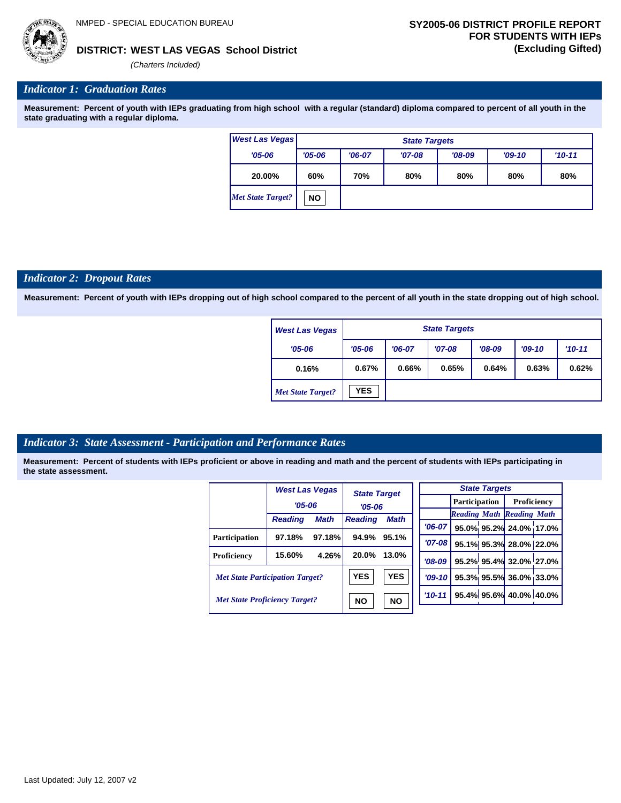

## **WEST LAS VEGAS School District DISTRICT: (Excluding Gifted)**

*(Charters Included)*

## *Indicator 1: Graduation Rates*

**Measurement: Percent of youth with IEPs graduating from high school with a regular (standard) diploma compared to percent of all youth in the state graduating with a regular diploma.**

| <b>West Las Vegas</b>    |            | <b>State Targets</b>            |          |          |          |          |  |  |  |
|--------------------------|------------|---------------------------------|----------|----------|----------|----------|--|--|--|
| $'05 - 06$               | $'05 - 06$ | $'06-07$                        | $'07-08$ | $'08-09$ | $'09-10$ | $'10-11$ |  |  |  |
| 20.00%                   | 60%        | 70%<br>80%<br>80%<br>80%<br>80% |          |          |          |          |  |  |  |
| <b>Met State Target?</b> | <b>NO</b>  |                                 |          |          |          |          |  |  |  |

### *Indicator 2: Dropout Rates*

**Measurement: Percent of youth with IEPs dropping out of high school compared to the percent of all youth in the state dropping out of high school.**

| <b>West Las Vegas</b>    |            | <b>State Targets</b>                                       |       |       |       |       |  |  |  |
|--------------------------|------------|------------------------------------------------------------|-------|-------|-------|-------|--|--|--|
| $'05 - 06$               | $'05 - 06$ | $'08-09$<br>$'09-10$<br>$'10 - 11$<br>$'07-08$<br>$'06-07$ |       |       |       |       |  |  |  |
| 0.16%                    | 0.67%      | 0.66%                                                      | 0.65% | 0.64% | 0.63% | 0.62% |  |  |  |
| <b>Met State Target?</b> | <b>YES</b> |                                                            |       |       |       |       |  |  |  |

## *Indicator 3: State Assessment - Participation and Performance Rates*

|                                        | <b>West Las Vegas</b> |             | <b>State Target</b>           |           |          |                                  | <b>State Targets</b>   |                        |  |             |  |
|----------------------------------------|-----------------------|-------------|-------------------------------|-----------|----------|----------------------------------|------------------------|------------------------|--|-------------|--|
|                                        | $'05 - 06$            |             | $'05-06$                      |           |          |                                  |                        | <b>Participation</b>   |  | Proficiency |  |
|                                        | <b>Reading</b>        | <b>Math</b> | <b>Math</b><br><b>Reading</b> |           |          | <b>Reading Math Reading Math</b> |                        |                        |  |             |  |
|                                        |                       |             |                               |           | $'06-07$ |                                  |                        | 95.0% 95.2% 24.0% 17.0 |  |             |  |
| <b>Participation</b>                   | 97.18%                | 97.18%      | 94.9%                         | 95.1%     | $'07-08$ |                                  |                        | 95.1% 95.3% 28.0% 22.0 |  |             |  |
| Proficiency                            | 15.60%                | 4.26%       | 20.0%                         | 13.0%     | $'08-09$ |                                  |                        | 95.2% 95.4% 32.0% 27.0 |  |             |  |
| <b>Met State Participation Target?</b> |                       | <b>YES</b>  | <b>YES</b>                    | $'09-10'$ |          |                                  | 95.3% 95.5% 36.0% 33.0 |                        |  |             |  |
| <b>Met State Proficiency Target?</b>   |                       | <b>NO</b>   | <b>NO</b>                     | $'10-11$  |          |                                  | 95.4% 95.6% 40.0% 40.0 |                        |  |             |  |
|                                        |                       |             |                               |           |          |                                  |                        |                        |  |             |  |

| <b>State Targets</b> |  |  |                                  |  |  |  |  |  |
|----------------------|--|--|----------------------------------|--|--|--|--|--|
|                      |  |  | <b>Participation</b> Proficiency |  |  |  |  |  |
|                      |  |  | <b>Reading Math Reading Math</b> |  |  |  |  |  |
| $'06-07$             |  |  | 95.0% 95.2% 24.0% 17.0%          |  |  |  |  |  |
| $'07-08$             |  |  | 95.1% 95.3% 28.0% 22.0%          |  |  |  |  |  |
| $'08-09$             |  |  | 95.2% 95.4% 32.0% 27.0%          |  |  |  |  |  |
| $'09-10$             |  |  | 95.3% 95.5% 36.0% 33.0%          |  |  |  |  |  |
| $10 - 11$            |  |  | 95.4% 95.6% 40.0% 40.0%          |  |  |  |  |  |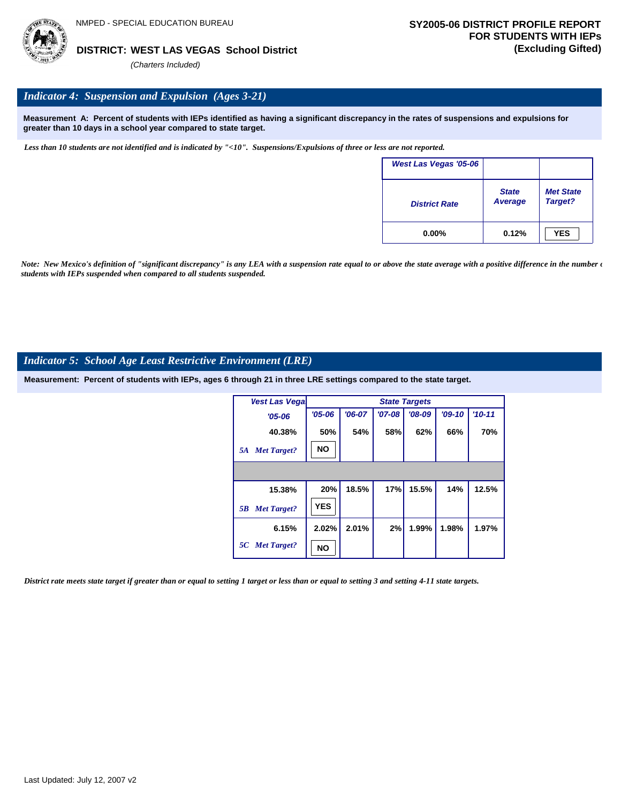

## *Indicator 4: Suspension and Expulsion (Ages 3-21)*

**Measurement A: Percent of students with IEPs identified as having a significant discrepancy in the rates of suspensions and expulsions for greater than 10 days in a school year compared to state target.**

*Less than 10 students are not identified and is indicated by "<10". Suspensions/Expulsions of three or less are not reported.*

| West Las Vegas '05-06 |                                |                             |
|-----------------------|--------------------------------|-----------------------------|
| <b>District Rate</b>  | <b>State</b><br><b>Average</b> | <b>Met State</b><br>Target? |
| $0.00\%$              | 0.12%                          | <b>YES</b>                  |

*Note: New Mexico's definition of "significant discrepancy" is any LEA with a suspension rate equal to or above the state average with a positive difference in the number*  $\epsilon$ *students with IEPs suspended when compared to all students suspended.*

## *Indicator 5: School Age Least Restrictive Environment (LRE)*

**Measurement: Percent of students with IEPs, ages 6 through 21 in three LRE settings compared to the state target.**

| <b>Vest Las Vegal</b>    |            | <b>State Targets</b> |            |          |          |            |  |  |  |  |
|--------------------------|------------|----------------------|------------|----------|----------|------------|--|--|--|--|
| $'05 - 06$               | $'05 - 06$ | $'06-07$             | $'07 - 08$ | $'08-09$ | $'09-10$ | $'10 - 11$ |  |  |  |  |
| 40.38%                   | 50%        | 54%                  | 58%        | 62%      | 66%      | 70%        |  |  |  |  |
| <b>Met Target?</b><br>5A | <b>NO</b>  |                      |            |          |          |            |  |  |  |  |
|                          |            |                      |            |          |          |            |  |  |  |  |
| 15.38%                   | 20%        | 18.5%                | 17%        | 15.5%    | 14%      | 12.5%      |  |  |  |  |
| <b>Met Target?</b><br>5B | <b>YES</b> |                      |            |          |          |            |  |  |  |  |
| 6.15%                    | 2.02%      | 2.01%                | 2%         | 1.99%    | 1.98%    | 1.97%      |  |  |  |  |
| 5C Met Target?           | <b>NO</b>  |                      |            |          |          |            |  |  |  |  |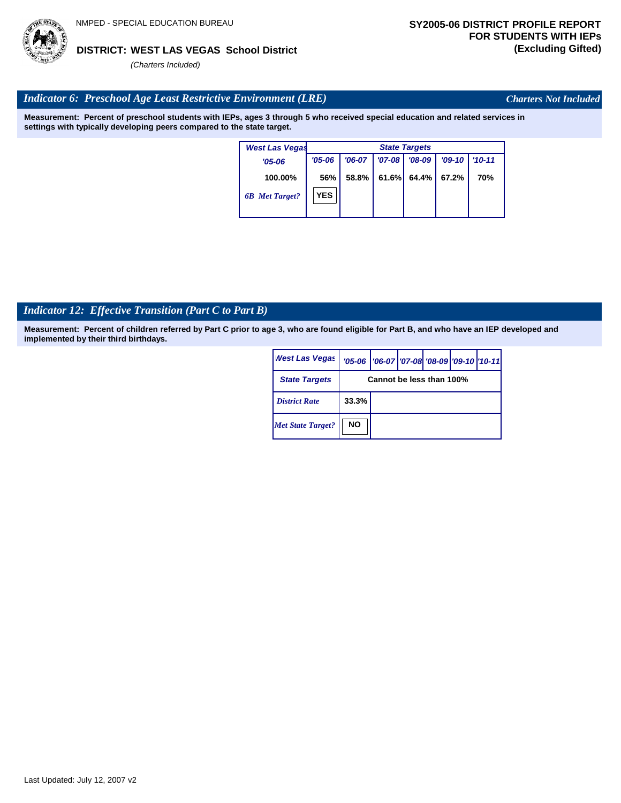# Last Updated: July 12, 2007 v2

## **WEST LAS VEGAS School District DISTRICT: (Excluding Gifted)**

*(Charters Included)*

## *Indicator 6: Preschool Age Least Restrictive Environment (LRE)*

**Measurement: Percent of preschool students with IEPs, ages 3 through 5 who received special education and related services in settings with typically developing peers compared to the state target.**

| <b>West Las Vegas</b> |            | <b>State Targets</b> |            |          |          |            |  |  |  |
|-----------------------|------------|----------------------|------------|----------|----------|------------|--|--|--|
| $'05 - 06$            | $'05 - 06$ | $'06-07$             | $'07 - 08$ | $'08-09$ | $'09-10$ | $'10-11$   |  |  |  |
| 100.00%               | 56%        | 58.8%                | 61.6%      | 64.4%    | 67.2%    | <b>70%</b> |  |  |  |
| <b>6B</b> Met Target? | <b>YES</b> |                      |            |          |          |            |  |  |  |
|                       |            |                      |            |          |          |            |  |  |  |

## *Indicator 12: Effective Transition (Part C to Part B)*

**Measurement: Percent of children referred by Part C prior to age 3, who are found eligible for Part B, and who have an IEP developed and implemented by their third birthdays.**

| <b>West Las Vegas</b>    |                          | '05-06   '06-07   '07-08   '08-09   '09-10   '10-11 |  |  |  |  |
|--------------------------|--------------------------|-----------------------------------------------------|--|--|--|--|
| <b>State Targets</b>     | Cannot be less than 100% |                                                     |  |  |  |  |
| <b>District Rate</b>     | 33.3%                    |                                                     |  |  |  |  |
| <b>Met State Target?</b> | <b>NO</b>                |                                                     |  |  |  |  |



*Charters Not Included*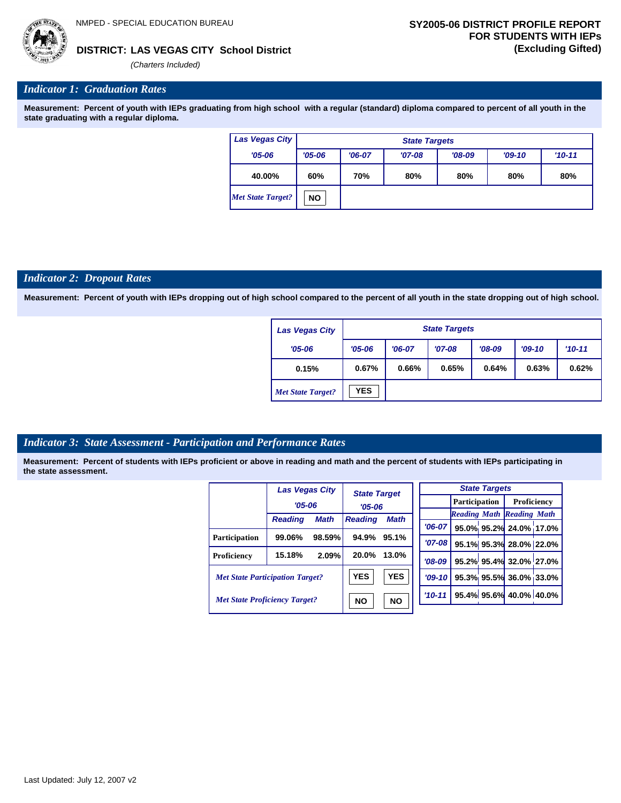

## **LAS VEGAS CITY School District DISTRICT: (Excluding Gifted)**

*(Charters Included)*

## *Indicator 1: Graduation Rates*

**Measurement: Percent of youth with IEPs graduating from high school with a regular (standard) diploma compared to percent of all youth in the state graduating with a regular diploma.**

| Las Vegas City           | <b>State Targets</b> |                                 |          |          |          |          |  |  |  |
|--------------------------|----------------------|---------------------------------|----------|----------|----------|----------|--|--|--|
| $'05 - 06$               | $'05 - 06$           | $'06-07$                        | $'07-08$ | $'08-09$ | $'09-10$ | $'10-11$ |  |  |  |
| 40.00%                   | 60%                  | 70%<br>80%<br>80%<br>80%<br>80% |          |          |          |          |  |  |  |
| <b>Met State Target?</b> | <b>NO</b>            |                                 |          |          |          |          |  |  |  |

#### *Indicator 2: Dropout Rates*

**Measurement: Percent of youth with IEPs dropping out of high school compared to the percent of all youth in the state dropping out of high school.**

| Las Vegas City           |            | <b>State Targets</b> |          |          |          |            |  |  |  |
|--------------------------|------------|----------------------|----------|----------|----------|------------|--|--|--|
| $'05 - 06$               | $'05 - 06$ | $'06-07$             | $'07-08$ | $'08-09$ | $'09-10$ | $'10 - 11$ |  |  |  |
| 0.15%                    | 0.67%      | 0.66%                | 0.65%    | 0.64%    | 0.63%    | 0.62%      |  |  |  |
| <b>Met State Target?</b> | YES        |                      |          |          |          |            |  |  |  |

## *Indicator 3: State Assessment - Participation and Performance Rates*

|                                        | Las Vegas City |             | <b>State Target</b>           |           |          |                                  | <b>State Targets</b>    |                        |  |             |  |
|----------------------------------------|----------------|-------------|-------------------------------|-----------|----------|----------------------------------|-------------------------|------------------------|--|-------------|--|
|                                        | $'05 - 06$     |             | $'05-06$                      |           |          |                                  |                         | <b>Participation</b>   |  | Proficiency |  |
|                                        | <b>Reading</b> | <b>Math</b> | <b>Math</b><br><b>Reading</b> |           |          | <b>Reading Math Reading Math</b> |                         |                        |  |             |  |
|                                        |                |             |                               |           | $'06-07$ |                                  |                         | 95.0% 95.2% 24.0% 17.0 |  |             |  |
| <b>Participation</b>                   | 99.06%         | 98.59%      | 94.9%                         | 95.1%     | $'07-08$ |                                  |                         | 95.1% 95.3% 28.0% 22.0 |  |             |  |
| Proficiency                            | 15.18%         | 2.09%       | 20.0%                         | 13.0%     | $'08-09$ |                                  |                         | 95.2% 95.4% 32.0% 27.0 |  |             |  |
| <b>Met State Participation Target?</b> |                | <b>YES</b>  | <b>YES</b>                    | $'09-10'$ |          |                                  | 95.3% 95.5% 36.0% 33.0  |                        |  |             |  |
| <b>Met State Proficiency Target?</b>   |                | <b>NO</b>   | <b>NO</b>                     | $'10-11$  |          |                                  | 95.4% 95.6% 40.0% 40.0% |                        |  |             |  |
|                                        |                |             |                               |           |          |                                  |                         |                        |  |             |  |

|             | <b>State Targets</b> |  |                                  |  |  |  |  |  |  |
|-------------|----------------------|--|----------------------------------|--|--|--|--|--|--|
|             |                      |  | <b>Participation</b> Proficiency |  |  |  |  |  |  |
|             |                      |  | <b>Reading Math Reading Math</b> |  |  |  |  |  |  |
| $06-07$     |                      |  | 95.0% 95.2% 24.0% 17.0%          |  |  |  |  |  |  |
| $'07-08$    |                      |  | 95.1% 95.3% 28.0% 22.0%          |  |  |  |  |  |  |
| $'08-09$    |                      |  | 95.2% 95.4% 32.0% 27.0%          |  |  |  |  |  |  |
| $'09-10$    |                      |  | 95.3% 95.5% 36.0% 33.0%          |  |  |  |  |  |  |
| $'10 - 11'$ |                      |  | 95.4% 95.6% 40.0% 40.0%          |  |  |  |  |  |  |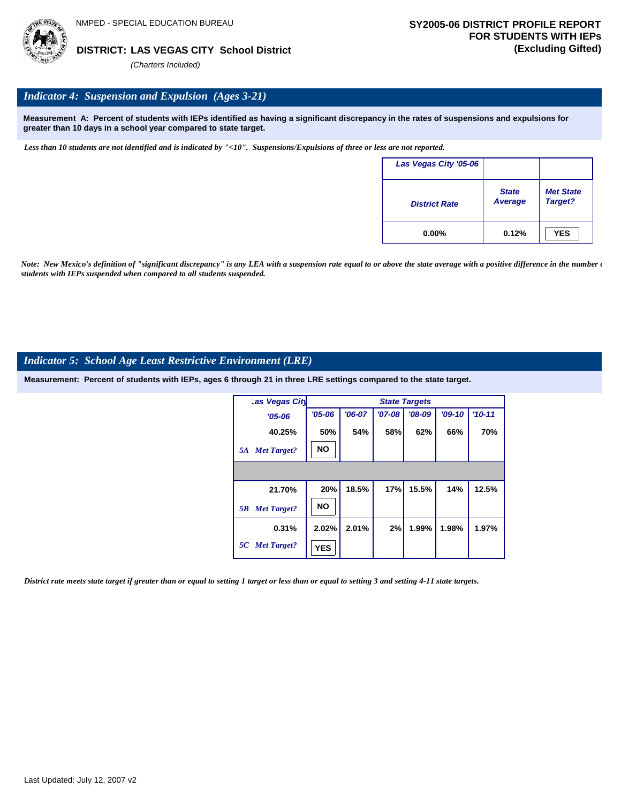

**LAS VEGAS CITY School District DISTRICT: (Excluding Gifted)**

*(Charters Included)*

## *Indicator 4: Suspension and Expulsion (Ages 3-21)*

**Measurement A: Percent of students with IEPs identified as having a significant discrepancy in the rates of suspensions and expulsions for greater than 10 days in a school year compared to state target.**

*Less than 10 students are not identified and is indicated by "<10". Suspensions/Expulsions of three or less are not reported.*

| Las Vegas City '05-06 |                                |                             |
|-----------------------|--------------------------------|-----------------------------|
| <b>District Rate</b>  | <b>State</b><br><b>Average</b> | <b>Met State</b><br>Target? |
| $0.00\%$              | 0.12%                          | <b>YES</b>                  |

*Note: New Mexico's definition of "significant discrepancy" is any LEA with a suspension rate equal to or above the state average with a positive difference in the number*  $\epsilon$ *students with IEPs suspended when compared to all students suspended.*

## *Indicator 5: School Age Least Restrictive Environment (LRE)*

**Measurement: Percent of students with IEPs, ages 6 through 21 in three LRE settings compared to the state target.**

| Las Vegas City           |            |          |          | <b>State Targets</b> |          |            |
|--------------------------|------------|----------|----------|----------------------|----------|------------|
| $'05 - 06$               | $'05 - 06$ | $'06-07$ | $'07-08$ | $'08-09$             | $'09-10$ | $'10 - 11$ |
| 40.25%                   | 50%        | 54%      | 58%      | 62%                  | 66%      | 70%        |
| <b>Met Target?</b><br>5A | <b>NO</b>  |          |          |                      |          |            |
|                          |            |          |          |                      |          |            |
| 21.70%                   | 20%        | 18.5%    | 17%      | 15.5%                | 14%      | 12.5%      |
| <b>Met Target?</b><br>5B | <b>NO</b>  |          |          |                      |          |            |
| 0.31%                    | 2.02%      | 2.01%    | 2%       | 1.99%                | 1.98%    | 1.97%      |
| 5C Met Target?           | <b>YES</b> |          |          |                      |          |            |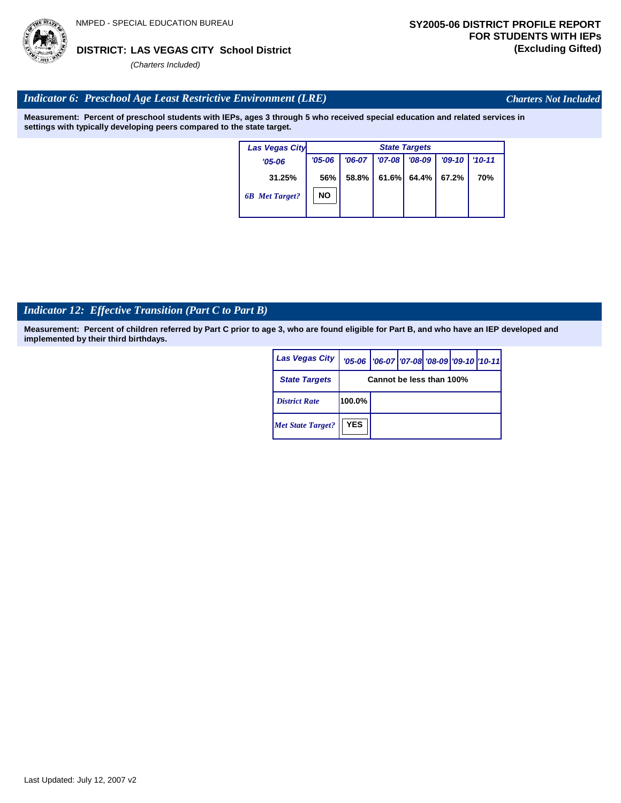# Last Updated: July 12, 2007 v2

## **LAS VEGAS CITY School District DISTRICT: (Excluding Gifted)**

*(Charters Included)*

## *Indicator 6: Preschool Age Least Restrictive Environment (LRE)*

**Measurement: Percent of preschool students with IEPs, ages 3 through 5 who received special education and related services in settings with typically developing peers compared to the state target.**

| <b>Las Vegas City</b> |            | <b>State Targets</b> |            |          |          |            |  |  |  |
|-----------------------|------------|----------------------|------------|----------|----------|------------|--|--|--|
| $'05 - 06$            | $'05 - 06$ | $'06-07$             | $'07 - 08$ | $'08-09$ | $'09-10$ | $'10 - 11$ |  |  |  |
| 31.25%                | 56%        | 58.8%                | 61.6%      | 64.4%    | 67.2%    | 70%        |  |  |  |
| <b>6B</b> Met Target? | <b>NO</b>  |                      |            |          |          |            |  |  |  |
|                       |            |                      |            |          |          |            |  |  |  |

## *Indicator 12: Effective Transition (Part C to Part B)*

**Measurement: Percent of children referred by Part C prior to age 3, who are found eligible for Part B, and who have an IEP developed and implemented by their third birthdays.**

| Las Vegas City           |            | '05-06   '06-07   '07-08 '08-09   '09-10   '10-11 |  |  |
|--------------------------|------------|---------------------------------------------------|--|--|
| <b>State Targets</b>     |            | Cannot be less than 100%                          |  |  |
| <b>District Rate</b>     | 100.0%     |                                                   |  |  |
| <b>Met State Target?</b> | <b>YES</b> |                                                   |  |  |



*Charters Not Included*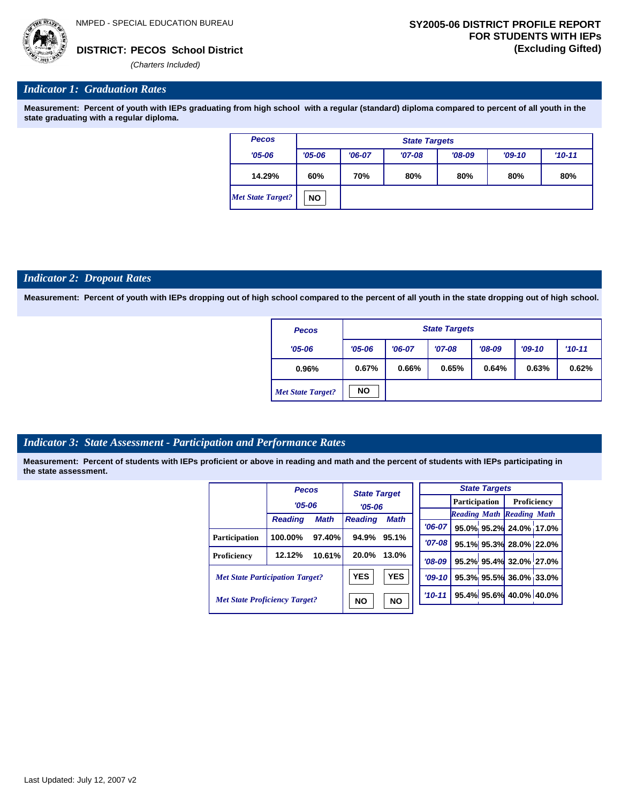

## *Indicator 1: Graduation Rates*

**Measurement: Percent of youth with IEPs graduating from high school with a regular (standard) diploma compared to percent of all youth in the state graduating with a regular diploma.**

| <b>Pecos</b>             |            | <b>State Targets</b> |          |          |          |            |  |  |  |  |  |
|--------------------------|------------|----------------------|----------|----------|----------|------------|--|--|--|--|--|
| $'05 - 06$               | $'05 - 06$ | $'06-07$             | $'07-08$ | $'08-09$ | $'09-10$ | $'10 - 11$ |  |  |  |  |  |
| 14.29%                   | 60%        | 70%                  | 80%      | 80%      | 80%      | 80%        |  |  |  |  |  |
| <b>Met State Target?</b> | <b>NO</b>  |                      |          |          |          |            |  |  |  |  |  |

#### *Indicator 2: Dropout Rates*

**Measurement: Percent of youth with IEPs dropping out of high school compared to the percent of all youth in the state dropping out of high school.**

| <b>Pecos</b>             |            | <b>State Targets</b> |          |          |          |            |  |  |  |  |
|--------------------------|------------|----------------------|----------|----------|----------|------------|--|--|--|--|
| $'05 - 06$               | $'05 - 06$ | $'06-07$             | $'07-08$ | $'08-09$ | $'09-10$ | $'10 - 11$ |  |  |  |  |
| 0.96%                    | 0.67%      | 0.66%                | 0.65%    | 0.64%    | 0.63%    | 0.62%      |  |  |  |  |
| <b>Met State Target?</b> | <b>NO</b>  |                      |          |          |          |            |  |  |  |  |

## *Indicator 3: State Assessment - Participation and Performance Rates*

|                                        | <b>Pecos</b>   |             | <b>State Target</b> |             |            |          |  | <b>State Targets</b>    |                                  |  |                      |  |             |  |
|----------------------------------------|----------------|-------------|---------------------|-------------|------------|----------|--|-------------------------|----------------------------------|--|----------------------|--|-------------|--|
|                                        |                | $'05 - 06$  |                     | $'05 - 06$  |            |          |  |                         |                                  |  | <b>Participation</b> |  | Proficiency |  |
|                                        |                | <b>Math</b> |                     |             |            |          |  |                         | <b>Reading Math Reading Math</b> |  |                      |  |             |  |
|                                        | <b>Reading</b> |             | <b>Reading</b>      | <b>Math</b> |            | $'06-07$ |  |                         | 95.0% 95.2% 24.0% 17.0           |  |                      |  |             |  |
| Participation                          | 100.00%        | 97.40%      | 94.9%               | 95.1%       |            |          |  |                         |                                  |  |                      |  |             |  |
|                                        |                |             |                     |             |            | $'07-08$ |  |                         | 95.1% 95.3% 28.0% 22.0           |  |                      |  |             |  |
| Proficiency                            | 12.12%         | 10.61%      | 20.0%               | 13.0%       |            | $'08-09$ |  |                         | 95.2% 95.4% 32.0% 27.0           |  |                      |  |             |  |
| <b>Met State Participation Target?</b> |                | <b>YES</b>  | <b>YES</b>          |             | $'09-10'$  |          |  | 95.3% 95.5% 36.0% 33.0  |                                  |  |                      |  |             |  |
| <b>Met State Proficiency Target?</b>   |                | <b>NO</b>   | <b>NO</b>           |             | $'10 - 11$ |          |  | 95.4% 95.6% 40.0% 40.0% |                                  |  |                      |  |             |  |
|                                        |                |             |                     |             |            |          |  |                         |                                  |  |                      |  |             |  |

| <b>State Targets</b> |                                  |                                |  |  |  |  |  |  |
|----------------------|----------------------------------|--------------------------------|--|--|--|--|--|--|
|                      | <b>Participation</b> Proficiency |                                |  |  |  |  |  |  |
|                      | <b>Reading Math Reading Math</b> |                                |  |  |  |  |  |  |
|                      |                                  | '06-07 95.0% 95.2% 24.0% 17.0% |  |  |  |  |  |  |
| $'07-08$             |                                  | 95.1% 95.3% 28.0% 22.0%        |  |  |  |  |  |  |
|                      |                                  | '08-09 95.2% 95.4% 32.0% 27.0% |  |  |  |  |  |  |
| $09-10$              |                                  | 95.3% 95.5% 36.0% 33.0%        |  |  |  |  |  |  |
|                      |                                  | 10-11 95.4% 95.6% 40.0% 40.0%  |  |  |  |  |  |  |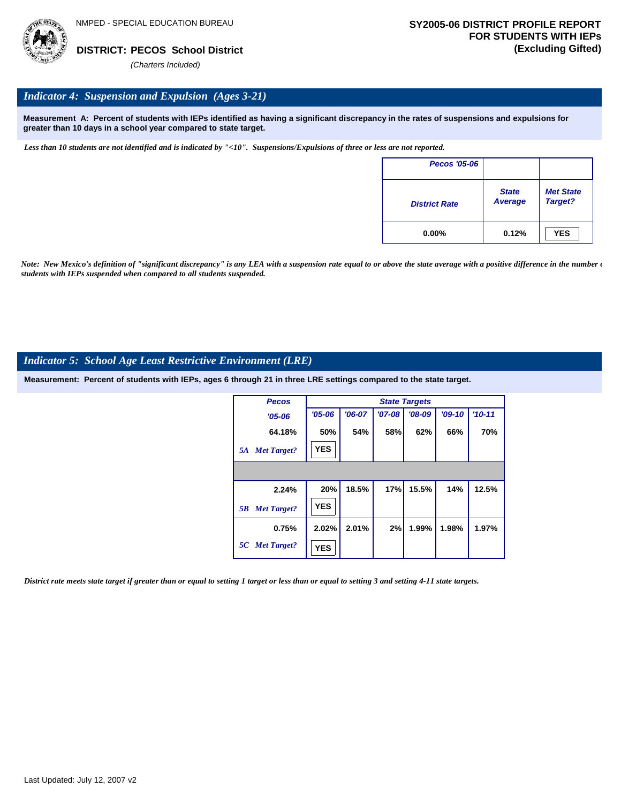

## *Indicator 4: Suspension and Expulsion (Ages 3-21)*

**Measurement A: Percent of students with IEPs identified as having a significant discrepancy in the rates of suspensions and expulsions for greater than 10 days in a school year compared to state target.**

*Less than 10 students are not identified and is indicated by "<10". Suspensions/Expulsions of three or less are not reported.*

| Pecos '05-06         |                         |                             |
|----------------------|-------------------------|-----------------------------|
| <b>District Rate</b> | <b>State</b><br>Average | <b>Met State</b><br>Target? |
| $0.00\%$             | 0.12%                   | <b>YES</b>                  |

*Note: New Mexico's definition of "significant discrepancy" is any LEA with a suspension rate equal to or above the state average with a positive difference in the number*  $\epsilon$ *students with IEPs suspended when compared to all students suspended.*

## *Indicator 5: School Age Least Restrictive Environment (LRE)*

**Measurement: Percent of students with IEPs, ages 6 through 21 in three LRE settings compared to the state target.**

| <b>Pecos</b>             |            |          |          | <b>State Targets</b> |          |            |
|--------------------------|------------|----------|----------|----------------------|----------|------------|
| $'05 - 06$               | $'05 - 06$ | $'06-07$ | $'07-08$ | $'08-09$             | $'09-10$ | $'10 - 11$ |
| 64.18%                   | 50%        | 54%      | 58%      | 62%                  | 66%      | 70%        |
| <b>Met Target?</b><br>5A | <b>YES</b> |          |          |                      |          |            |
|                          |            |          |          |                      |          |            |
| 2.24%                    | 20%        | 18.5%    | 17%      | 15.5%                | 14%      | 12.5%      |
| <b>Met Target?</b><br>5B | <b>YES</b> |          |          |                      |          |            |
| 0.75%                    | 2.02%      | 2.01%    | 2%       | 1.99%                | 1.98%    | 1.97%      |
| 5C Met Target?           | <b>YES</b> |          |          |                      |          |            |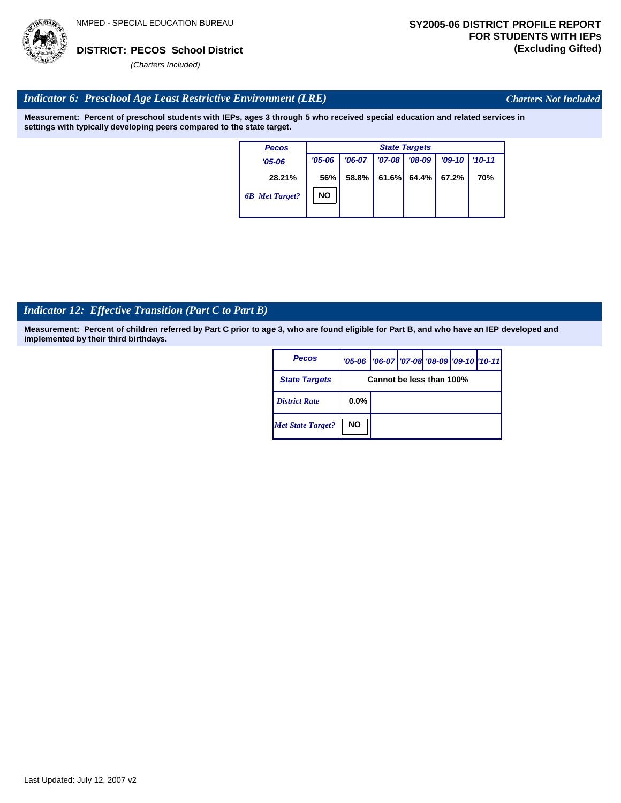

*Charters Not Included*

## *Indicator 6: Preschool Age Least Restrictive Environment (LRE)*

**Measurement: Percent of preschool students with IEPs, ages 3 through 5 who received special education and related services in settings with typically developing peers compared to the state target.**

| <b>Pecos</b>          | <b>State Targets</b> |          |          |          |          |            |  |  |  |
|-----------------------|----------------------|----------|----------|----------|----------|------------|--|--|--|
| $'05 - 06$            | $'05 - 06$           | $'06-07$ | $'07-08$ | $'08-09$ | $'09-10$ | $'10 - 11$ |  |  |  |
| 28.21%                | 56%                  | 58.8%    | 61.6%    | $64.4\%$ | 67.2%    | 70%        |  |  |  |
| <b>6B</b> Met Target? | <b>NO</b>            |          |          |          |          |            |  |  |  |

## *Indicator 12: Effective Transition (Part C to Part B)*

**Measurement: Percent of children referred by Part C prior to age 3, who are found eligible for Part B, and who have an IEP developed and implemented by their third birthdays.**

| <b>Pecos</b>             |           | '05-06   '06-07   '07-08   '08-09   '09-10   '10-11 |  |  |
|--------------------------|-----------|-----------------------------------------------------|--|--|
| <b>State Targets</b>     |           | Cannot be less than 100%                            |  |  |
| <b>District Rate</b>     | $0.0\%$   |                                                     |  |  |
| <b>Met State Target?</b> | <b>NO</b> |                                                     |  |  |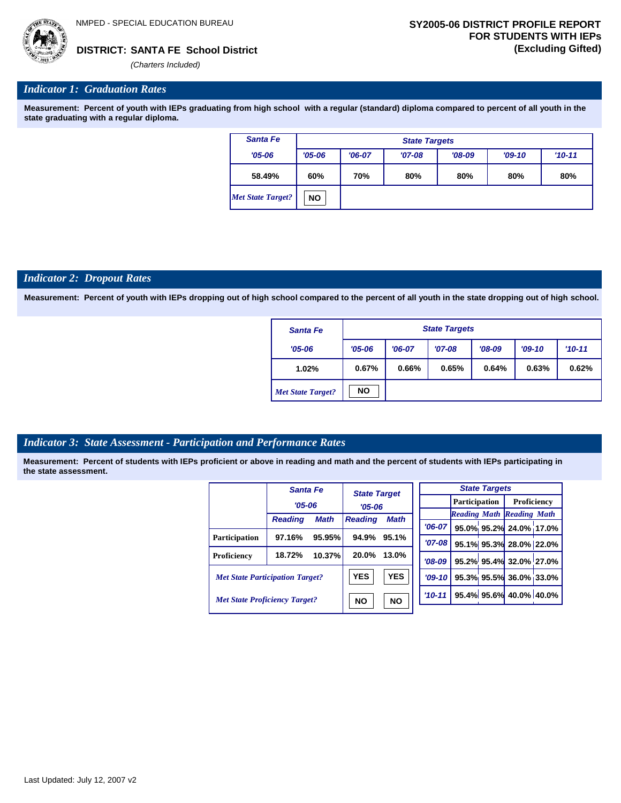

*(Charters Included)*

## *Indicator 1: Graduation Rates*

**Measurement: Percent of youth with IEPs graduating from high school with a regular (standard) diploma compared to percent of all youth in the state graduating with a regular diploma.**

| <b>Santa Fe</b>          | <b>State Targets</b> |                                 |          |          |          |          |  |  |
|--------------------------|----------------------|---------------------------------|----------|----------|----------|----------|--|--|
| $'05 - 06$               | $'05 - 06$           | $'06-07$                        | $'07-08$ | $'08-09$ | $'09-10$ | $'10-11$ |  |  |
| 58.49%                   | 60%                  | 70%<br>80%<br>80%<br>80%<br>80% |          |          |          |          |  |  |
| <b>Met State Target?</b> | <b>NO</b>            |                                 |          |          |          |          |  |  |

#### *Indicator 2: Dropout Rates*

**Measurement: Percent of youth with IEPs dropping out of high school compared to the percent of all youth in the state dropping out of high school.**

| <b>Santa Fe</b>          | <b>State Targets</b> |          |          |          |          |          |  |  |
|--------------------------|----------------------|----------|----------|----------|----------|----------|--|--|
| $'05 - 06$               | $'05 - 06$           | $'06-07$ | $'07-08$ | $'08-09$ | $'09-10$ | $'10-11$ |  |  |
| 1.02%                    | 0.67%                | 0.66%    | 0.65%    | 0.64%    | 0.63%    | 0.62%    |  |  |
| <b>Met State Target?</b> | <b>NO</b>            |          |          |          |          |          |  |  |

## *Indicator 3: State Assessment - Participation and Performance Rates*

|                                        | Santa Fe       |             |                | <b>State Target</b> |  |          |  | <b>State Targets</b> |                                  |  |             |  |
|----------------------------------------|----------------|-------------|----------------|---------------------|--|----------|--|----------------------|----------------------------------|--|-------------|--|
|                                        | $'05 - 06$     |             | $'05 - 06$     |                     |  |          |  | <b>Participation</b> |                                  |  | Proficiency |  |
|                                        | <b>Reading</b> | <b>Math</b> | <b>Reading</b> | <b>Math</b>         |  |          |  |                      | <b>Reading Math Reading Math</b> |  |             |  |
|                                        |                |             |                |                     |  | $'06-07$ |  |                      | 95.0% 95.2% 24.0% 17.0%          |  |             |  |
| Participation                          | 97.16%         | 95.95%      | 94.9%          | 95.1%               |  | '07-08 l |  |                      | 95.1% 95.3% 28.0% 22.0%          |  |             |  |
| <b>Proficiency</b>                     | 18.72%         | 10.37%      | 20.0%          | 13.0%               |  | $'08-09$ |  |                      | 95.2% 95.4% 32.0% 27.0%          |  |             |  |
| <b>Met State Participation Target?</b> |                |             | <b>YES</b>     | <b>YES</b>          |  | $'09-10$ |  |                      | 95.3% 95.5% 36.0% 33.0%          |  |             |  |
| <b>Met State Proficiency Target?</b>   |                |             | <b>NO</b>      | <b>NO</b>           |  | $'10-11$ |  |                      | 95.4% 95.6% 40.0% 40.0%          |  |             |  |
|                                        |                |             |                |                     |  |          |  |                      |                                  |  |             |  |

|  | Last Updated: July 12, 2007 v2 |  |  |  |  |
|--|--------------------------------|--|--|--|--|
|--|--------------------------------|--|--|--|--|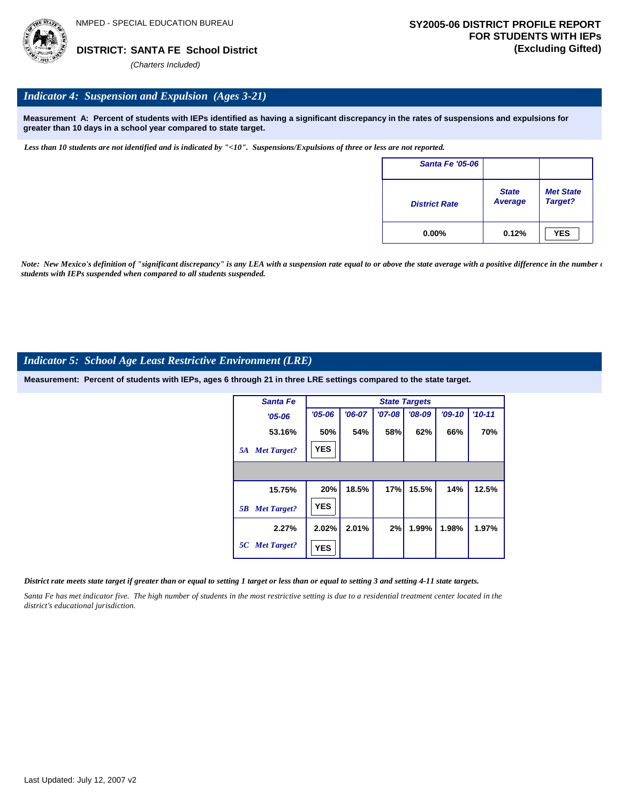

## *Indicator 4: Suspension and Expulsion (Ages 3-21)*

**Measurement A: Percent of students with IEPs identified as having a significant discrepancy in the rates of suspensions and expulsions for greater than 10 days in a school year compared to state target.**

*Less than 10 students are not identified and is indicated by "<10". Suspensions/Expulsions of three or less are not reported.*

| <b>Santa Fe '05-06</b> |                         |                             |
|------------------------|-------------------------|-----------------------------|
| <b>District Rate</b>   | <b>State</b><br>Average | <b>Met State</b><br>Target? |
| $0.00\%$               | 0.12%                   | <b>YES</b>                  |

Note: New Mexico's definition of "significant discrepancy" is any LEA with a suspension rate equal to or above the state average with a positive difference in the number  $\epsilon$ *students with IEPs suspended when compared to all students suspended.*

## *Indicator 5: School Age Least Restrictive Environment (LRE)*

**Measurement: Percent of students with IEPs, ages 6 through 21 in three LRE settings compared to the state target.**

| Santa Fe                 | <b>State Targets</b> |          |          |          |          |            |  |  |
|--------------------------|----------------------|----------|----------|----------|----------|------------|--|--|
| $'05 - 06$               | $'05 - 06$           | $'06-07$ | $'07-08$ | $'08-09$ | $'09-10$ | $'10 - 11$ |  |  |
| 53.16%                   | 50%                  | 54%      | 58%      | 62%      | 66%      | 70%        |  |  |
| <b>Met Target?</b><br>5A | <b>YES</b>           |          |          |          |          |            |  |  |
|                          |                      |          |          |          |          |            |  |  |
| 15.75%                   | 20%                  | 18.5%    | 17%      | 15.5%    | 14%      | 12.5%      |  |  |
| <b>Met Target?</b><br>5B | <b>YES</b>           |          |          |          |          |            |  |  |
| 2.27%                    | 2.02%                | 2.01%    | 2%       | 1.99%    | 1.98%    | 1.97%      |  |  |
| 5C Met Target?           | <b>YES</b>           |          |          |          |          |            |  |  |

#### *District rate meets state target if greater than or equal to setting 1 target or less than or equal to setting 3 and setting 4-11 state targets.*

Santa Fe has met indicator five. The high number of students in the most restrictive setting is due to a residential treatment center located in the *district's educational jurisdiction.*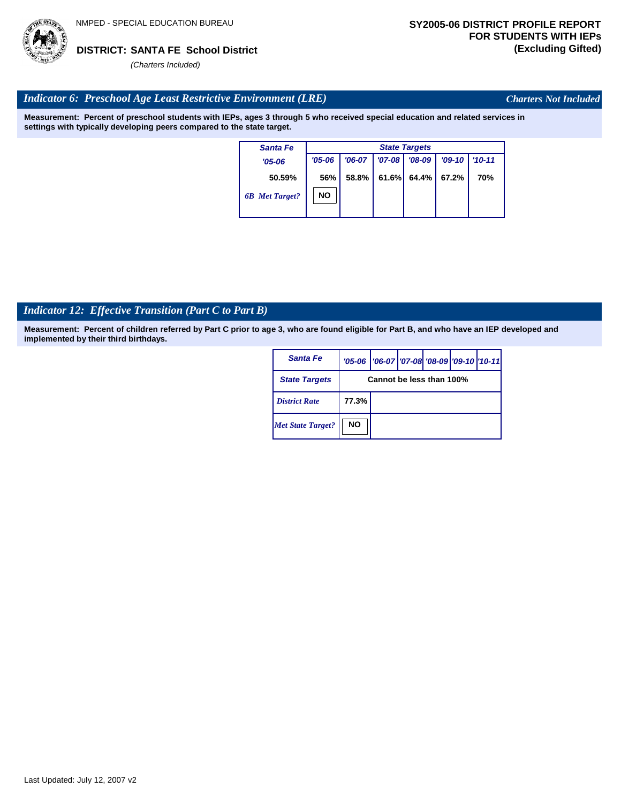

*Charters Not Included*

## *Indicator 6: Preschool Age Least Restrictive Environment (LRE)*

**Measurement: Percent of preschool students with IEPs, ages 3 through 5 who received special education and related services in settings with typically developing peers compared to the state target.**

| <b>Santa Fe</b>       |            | <b>State Targets</b> |            |          |          |            |  |  |  |
|-----------------------|------------|----------------------|------------|----------|----------|------------|--|--|--|
| $'05 - 06$            | $'05 - 06$ | $'06-07$             | $'07 - 08$ | $'08-09$ | $'09-10$ | $'10 - 11$ |  |  |  |
| 50.59%                | 56%        | 58.8%                | 61.6%      | 64.4%    | 67.2%    | <b>70%</b> |  |  |  |
| <b>6B</b> Met Target? | NΟ         |                      |            |          |          |            |  |  |  |

## *Indicator 12: Effective Transition (Part C to Part B)*

**Measurement: Percent of children referred by Part C prior to age 3, who are found eligible for Part B, and who have an IEP developed and implemented by their third birthdays.**

| Santa Fe                 |                          | '05-06   '06-07   '07-08   '08-09   '09-10   '10-11 |  |  |  |  |  |
|--------------------------|--------------------------|-----------------------------------------------------|--|--|--|--|--|
| <b>State Targets</b>     | Cannot be less than 100% |                                                     |  |  |  |  |  |
| <b>District Rate</b>     | 77.3%                    |                                                     |  |  |  |  |  |
| <b>Met State Target?</b> | <b>NO</b>                |                                                     |  |  |  |  |  |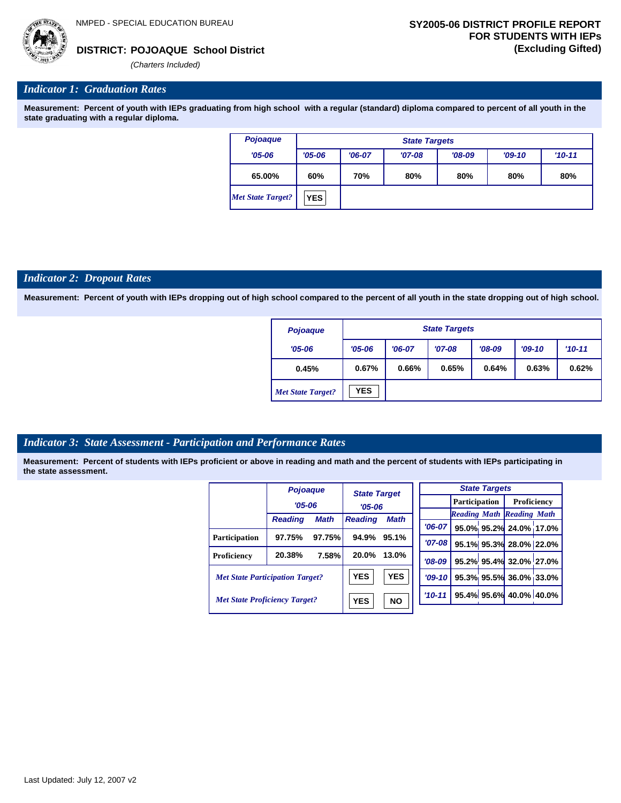*(Charters Included)*

## *Indicator 1: Graduation Rates*

**Measurement: Percent of youth with IEPs graduating from high school with a regular (standard) diploma compared to percent of all youth in the state graduating with a regular diploma.**

| Pojoaque                 |            | <b>State Targets</b>            |          |          |  |  |  |  |  |
|--------------------------|------------|---------------------------------|----------|----------|--|--|--|--|--|
| $'05 - 06$               | $'05 - 06$ | $'06-07$                        | $'09-10$ | $'10-11$ |  |  |  |  |  |
| 65.00%                   | 60%        | 80%<br>70%<br>80%<br>80%<br>80% |          |          |  |  |  |  |  |
| <b>Met State Target?</b> | <b>YES</b> |                                 |          |          |  |  |  |  |  |

## *Indicator 2: Dropout Rates*

**Measurement: Percent of youth with IEPs dropping out of high school compared to the percent of all youth in the state dropping out of high school.**

| Pojoaque                 | <b>State Targets</b> |          |          |          |          |          |  |  |
|--------------------------|----------------------|----------|----------|----------|----------|----------|--|--|
| $'05 - 06$               | $'05 - 06$           | $'06-07$ | $'07-08$ | $'08-09$ | $'09-10$ | $'10-11$ |  |  |
| 0.45%                    | 0.67%                | 0.66%    | 0.65%    | 0.64%    | 0.63%    | 0.62%    |  |  |
| <b>Met State Target?</b> | <b>YES</b>           |          |          |          |          |          |  |  |

## *Indicator 3: State Assessment - Participation and Performance Rates*

|                                        | Pojoaque       |        |                | <b>State Target</b> |  |             |               | <b>State Targets</b> |                                  |  |
|----------------------------------------|----------------|--------|----------------|---------------------|--|-------------|---------------|----------------------|----------------------------------|--|
|                                        | $'05 - 06$     |        | $'05 - 06$     |                     |  |             | Participation |                      | Proficiency                      |  |
|                                        |                |        |                |                     |  |             |               |                      | <b>Reading Math Reading Math</b> |  |
|                                        | <b>Reading</b> | Math   | <b>Reading</b> | <b>Math</b>         |  | $'06-07$    |               |                      | 95.0% 95.2% 24.0% 17.0%          |  |
| <b>Participation</b>                   | 97.75%         | 97.75% | 94.9%          | 95.1%               |  |             |               |                      |                                  |  |
|                                        |                |        |                |                     |  | $'07 - 08$  |               |                      | 95.1% 95.3% 28.0% 22.0%          |  |
| Proficiency                            | 20.38%         | 7.58%  | 20.0%          | 13.0%               |  | $'08-09$    |               |                      | 95.2% 95.4% 32.0% 27.0%          |  |
| <b>Met State Participation Target?</b> |                |        | <b>YES</b>     | <b>YES</b>          |  | $'09 - 10'$ |               |                      | 95.3% 95.5% 36.0% 33.0%          |  |
| <b>Met State Proficiency Target?</b>   |                |        | <b>YES</b>     | <b>NO</b>           |  | $'10-11$    |               |                      | 95.4% 95.6% 40.0% 40.0%          |  |
|                                        |                |        |                |                     |  |             |               |                      |                                  |  |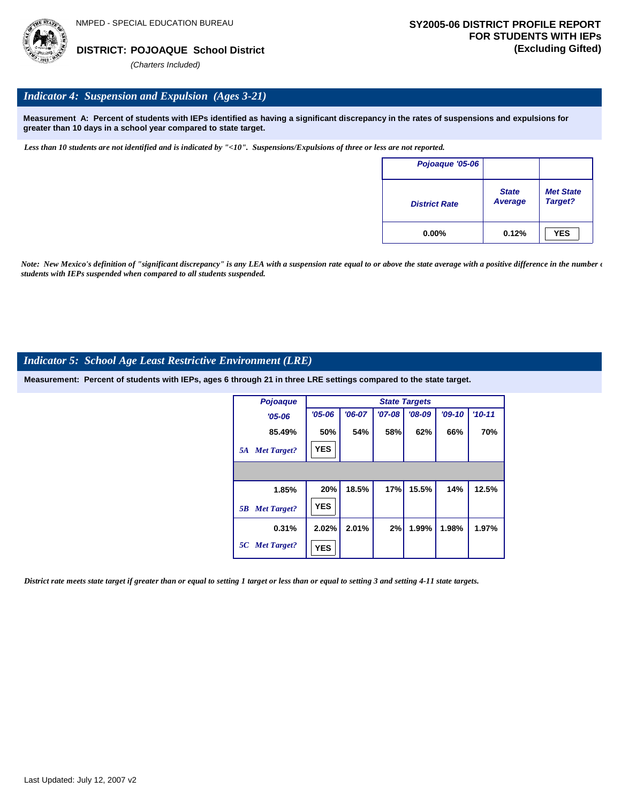

## *Indicator 4: Suspension and Expulsion (Ages 3-21)*

**Measurement A: Percent of students with IEPs identified as having a significant discrepancy in the rates of suspensions and expulsions for greater than 10 days in a school year compared to state target.**

*Less than 10 students are not identified and is indicated by "<10". Suspensions/Expulsions of three or less are not reported.*

| Pojoaque '05-06      |                                |                             |
|----------------------|--------------------------------|-----------------------------|
| <b>District Rate</b> | <b>State</b><br><b>Average</b> | <b>Met State</b><br>Target? |
| $0.00\%$             | 0.12%                          | <b>YES</b>                  |

*Note: New Mexico's definition of "significant discrepancy" is any LEA with a suspension rate equal to or above the state average with a positive difference in the number*  $\epsilon$ *students with IEPs suspended when compared to all students suspended.*

## *Indicator 5: School Age Least Restrictive Environment (LRE)*

**Measurement: Percent of students with IEPs, ages 6 through 21 in three LRE settings compared to the state target.**

| Pojoaque                 | <b>State Targets</b> |          |          |          |          |            |  |
|--------------------------|----------------------|----------|----------|----------|----------|------------|--|
| $'05 - 06$               | $'05 - 06$           | $'06-07$ | $'07-08$ | $'08-09$ | $'09-10$ | $'10 - 11$ |  |
| 85.49%                   | 50%                  | 54%      | 58%      | 62%      | 66%      | 70%        |  |
| <b>Met Target?</b><br>5A | <b>YES</b>           |          |          |          |          |            |  |
|                          |                      |          |          |          |          |            |  |
| 1.85%                    | 20%                  | 18.5%    | 17%      | 15.5%    | 14%      | 12.5%      |  |
| <b>Met Target?</b><br>5B | <b>YES</b>           |          |          |          |          |            |  |
| 0.31%                    | 2.02%                | 2.01%    | 2%       | 1.99%    | 1.98%    | 1.97%      |  |
| 5C Met Target?           | <b>YES</b>           |          |          |          |          |            |  |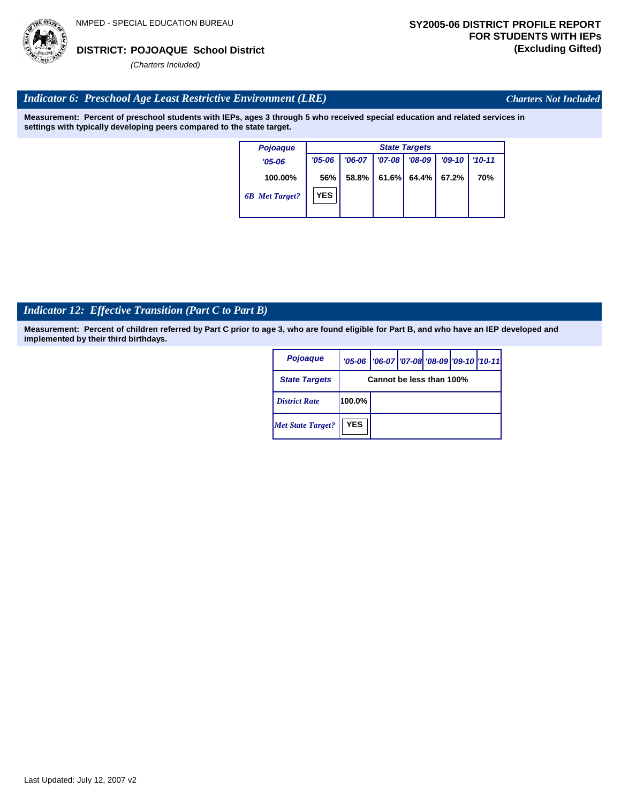

*Charters Not Included*

## *Indicator 6: Preschool Age Least Restrictive Environment (LRE)*

**Measurement: Percent of preschool students with IEPs, ages 3 through 5 who received special education and related services in settings with typically developing peers compared to the state target.**

| <b>Pojoaque</b>       | <b>State Targets</b> |          |            |          |          |            |  |
|-----------------------|----------------------|----------|------------|----------|----------|------------|--|
| $'05 - 06$            | $'05 - 06$           | $'06-07$ | $'07 - 08$ | $'08-09$ | $'09-10$ | $'10 - 11$ |  |
| 100.00%               | 56%                  | 58.8%    | 61.6%      | 64.4%    | 67.2%    | 70%        |  |
| <b>6B</b> Met Target? | <b>YES</b>           |          |            |          |          |            |  |

## *Indicator 12: Effective Transition (Part C to Part B)*

**Measurement: Percent of children referred by Part C prior to age 3, who are found eligible for Part B, and who have an IEP developed and implemented by their third birthdays.**

| Pojoaque                 |                          | '05-06   '06-07   '07-08   '08-09   '09-10   '10-11 |  |  |  |  |  |
|--------------------------|--------------------------|-----------------------------------------------------|--|--|--|--|--|
| <b>State Targets</b>     | Cannot be less than 100% |                                                     |  |  |  |  |  |
| <b>District Rate</b>     | $100.0\%$                |                                                     |  |  |  |  |  |
| <b>Met State Target?</b> | <b>YES</b>               |                                                     |  |  |  |  |  |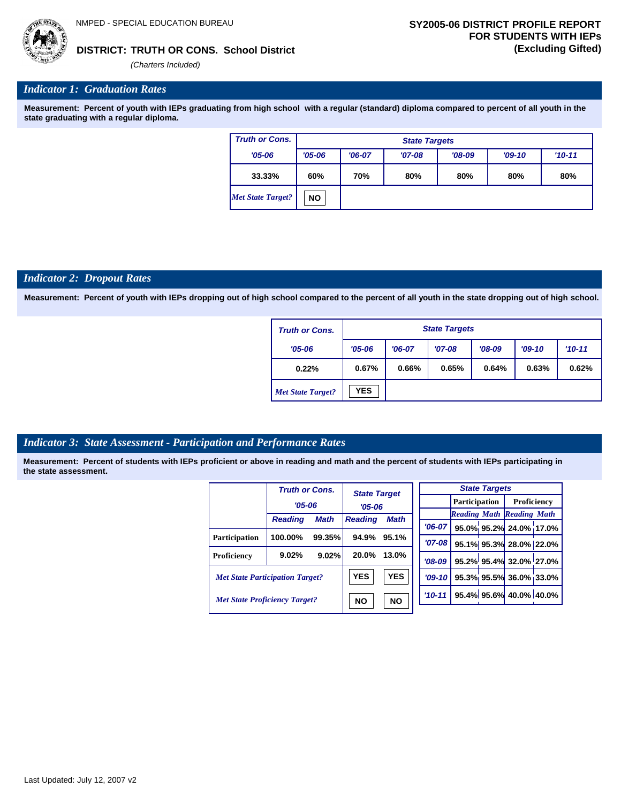

### **TRUTH OR CONS. School District DISTRICT: (Excluding Gifted)**

*(Charters Included)*

### *Indicator 1: Graduation Rates*

**Measurement: Percent of youth with IEPs graduating from high school with a regular (standard) diploma compared to percent of all youth in the state graduating with a regular diploma.**

| <b>Truth or Cons.</b>    | <b>State Targets</b> |                                 |          |          |          |          |  |
|--------------------------|----------------------|---------------------------------|----------|----------|----------|----------|--|
| $'05 - 06$               | $'05 - 06$           | $'06-07$                        | $'07-08$ | $'08-09$ | $'09-10$ | $'10-11$ |  |
| 33.33%                   | 60%                  | 70%<br>80%<br>80%<br>80%<br>80% |          |          |          |          |  |
| <b>Met State Target?</b> | <b>NO</b>            |                                 |          |          |          |          |  |

#### *Indicator 2: Dropout Rates*

**Measurement: Percent of youth with IEPs dropping out of high school compared to the percent of all youth in the state dropping out of high school.**

| <b>Truth or Cons.</b>    | <b>State Targets</b> |                                                          |  |  |  |  |  |  |
|--------------------------|----------------------|----------------------------------------------------------|--|--|--|--|--|--|
| $'05 - 06$               | $'05 - 06$           | $'08-09$<br>$'07-08$<br>$'09-10$<br>$'10-11$<br>$'06-07$ |  |  |  |  |  |  |
| 0.22%                    | 0.67%                | 0.66%<br>0.65%<br>0.64%<br>0.63%<br>0.62%                |  |  |  |  |  |  |
| <b>Met State Target?</b> | <b>YES</b>           |                                                          |  |  |  |  |  |  |

# *Indicator 3: State Assessment - Participation and Performance Rates*

|                                        | <b>Truth or Cons.</b> |             | <b>State Target</b>           |            |            |  | <b>State Targets</b> |                                  |  |             |  |
|----------------------------------------|-----------------------|-------------|-------------------------------|------------|------------|--|----------------------|----------------------------------|--|-------------|--|
|                                        | $'05 - 06$            |             | $'05 - 06$                    |            |            |  |                      | <b>Participation</b>             |  | Proficiency |  |
|                                        | <b>Reading</b>        | <b>Math</b> | <b>Math</b><br><b>Reading</b> |            |            |  |                      | <b>Reading Math Reading Math</b> |  |             |  |
|                                        |                       |             |                               |            | $'06-07$   |  |                      | 95.0% 95.2% 24.0% 17.0           |  |             |  |
| Participation                          | 100.00%               | 99.35%      | 94.9%                         | 95.1%      | $'07 - 08$ |  |                      | 95.1% 95.3% 28.0% 22.0           |  |             |  |
| Proficiency                            | 9.02%                 | 9.02%       | 20.0%                         | 13.0%      | $'08-09$   |  |                      | 95.2% 95.4% 32.0% 27.0           |  |             |  |
| <b>Met State Participation Target?</b> |                       |             | <b>YES</b>                    | <b>YES</b> | $'09-10'$  |  |                      | 95.3% 95.5% 36.0% 33.0           |  |             |  |
| <b>Met State Proficiency Target?</b>   |                       |             | <b>NO</b>                     | <b>NO</b>  | $'10 - 11$ |  |                      | 95.4% 95.6% 40.0% 40.0%          |  |             |  |

| <b>State Targets</b> |                                    |                                   |  |  |  |  |  |
|----------------------|------------------------------------|-----------------------------------|--|--|--|--|--|
|                      | <b>Participation</b>   Proficiency |                                   |  |  |  |  |  |
|                      | <b>Reading Math Reading Math</b>   |                                   |  |  |  |  |  |
|                      |                                    | '06-07 95.0% 95.2% 24.0% 17.0%    |  |  |  |  |  |
| $'07 - 08$           |                                    | 95.1% 95.3% 28.0% 22.0%           |  |  |  |  |  |
|                      |                                    | '08-09   95.2% 95.4% 32.0% 27.0%  |  |  |  |  |  |
|                      |                                    | $ 09-10 $ 95.3% 95.5% 36.0% 33.0% |  |  |  |  |  |
|                      |                                    | $10-11$ 95.4% 95.6% 40.0% 40.0%   |  |  |  |  |  |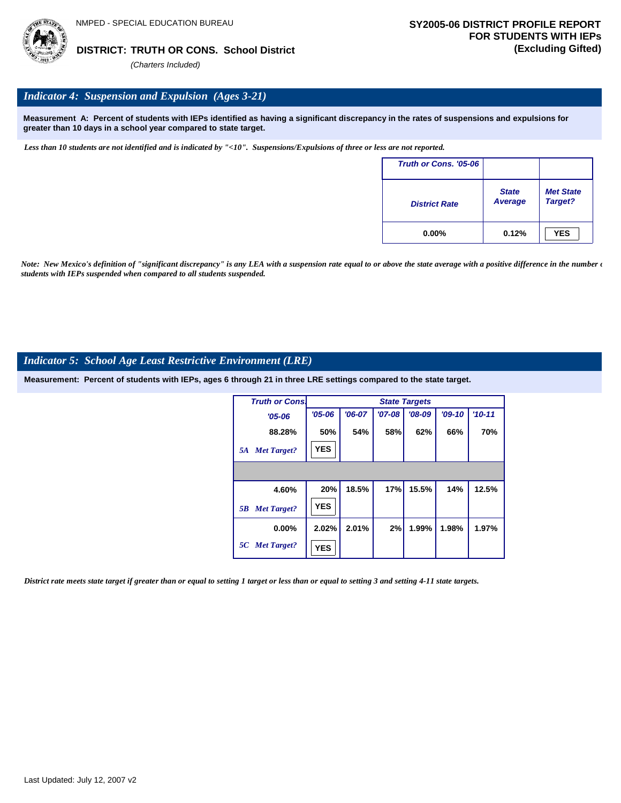

# *Indicator 4: Suspension and Expulsion (Ages 3-21)*

**Measurement A: Percent of students with IEPs identified as having a significant discrepancy in the rates of suspensions and expulsions for greater than 10 days in a school year compared to state target.**

*Less than 10 students are not identified and is indicated by "<10". Suspensions/Expulsions of three or less are not reported.*

| Truth or Cons. '05-06 |                                |                             |
|-----------------------|--------------------------------|-----------------------------|
| <b>District Rate</b>  | <b>State</b><br><b>Average</b> | <b>Met State</b><br>Target? |
| $0.00\%$              | 0.12%                          | <b>YES</b>                  |

*Note: New Mexico's definition of "significant discrepancy" is any LEA with a suspension rate equal to or above the state average with a positive difference in the number*  $\epsilon$ *students with IEPs suspended when compared to all students suspended.*

#### *Indicator 5: School Age Least Restrictive Environment (LRE)*

**Measurement: Percent of students with IEPs, ages 6 through 21 in three LRE settings compared to the state target.**

| <b>Truth or Cons.</b>    |            |          |          | <b>State Targets</b> |          |            |
|--------------------------|------------|----------|----------|----------------------|----------|------------|
| $'05 - 06$               | $'05 - 06$ | $'06-07$ | $'07-08$ | $'08-09$             | $'09-10$ | $'10 - 11$ |
| 88.28%                   | 50%        | 54%      | 58%      | 62%                  | 66%      | 70%        |
| <b>Met Target?</b><br>5A | <b>YES</b> |          |          |                      |          |            |
|                          |            |          |          |                      |          |            |
| 4.60%                    | 20%        | 18.5%    | 17%      | 15.5%                | 14%      | 12.5%      |
| <b>Met Target?</b><br>5B | <b>YES</b> |          |          |                      |          |            |
| $0.00\%$                 | 2.02%      | 2.01%    | 2%       | 1.99%                | 1.98%    | 1.97%      |
| 5C Met Target?           | <b>YES</b> |          |          |                      |          |            |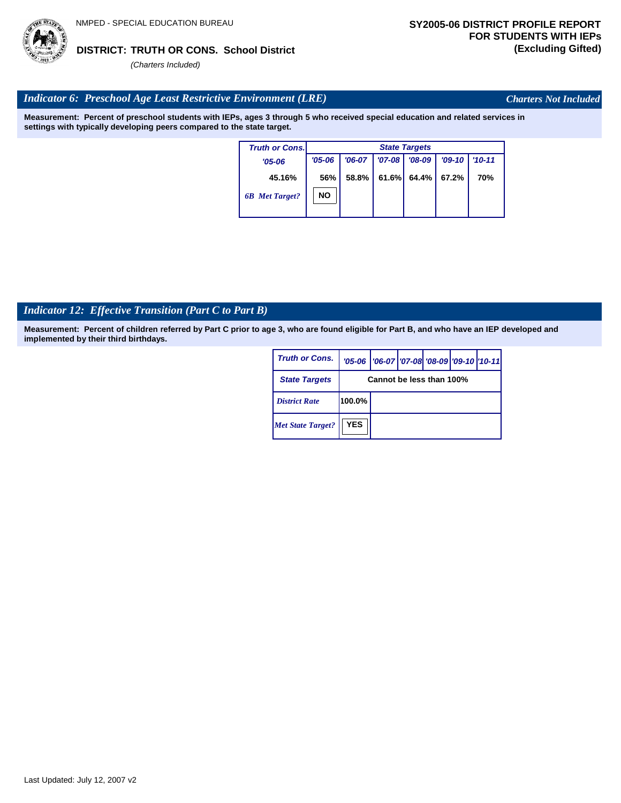# **TRUTH OR CONS. School District DISTRICT: (Excluding Gifted)**

*(Charters Included)*

# *Indicator 6: Preschool Age Least Restrictive Environment (LRE)*

**Measurement: Percent of preschool students with IEPs, ages 3 through 5 who received special education and related services in settings with typically developing peers compared to the state target.**

| <b>Truth or Cons.</b> |            | <b>State Targets</b> |            |          |          |          |  |  |  |
|-----------------------|------------|----------------------|------------|----------|----------|----------|--|--|--|
| $'05 - 06$            | $'05 - 06$ | $'06-07$             | $'07 - 08$ | $'08-09$ | $'09-10$ | $'10-11$ |  |  |  |
| 45.16%                | 56%        | 58.8%                | 61.6%      | 64.4%    | 67.2%    | 70%      |  |  |  |
| <b>6B</b> Met Target? | <b>NO</b>  |                      |            |          |          |          |  |  |  |
|                       |            |                      |            |          |          |          |  |  |  |

# *Indicator 12: Effective Transition (Part C to Part B)*

**Measurement: Percent of children referred by Part C prior to age 3, who are found eligible for Part B, and who have an IEP developed and implemented by their third birthdays.**

| <b>Truth or Cons.</b>    |                          | '05-06   '06-07   '07-08 '08-09   '09-10   '10-11 |  |  |  |  |
|--------------------------|--------------------------|---------------------------------------------------|--|--|--|--|
| <b>State Targets</b>     | Cannot be less than 100% |                                                   |  |  |  |  |
| <b>District Rate</b>     | 100.0%                   |                                                   |  |  |  |  |
| <b>Met State Target?</b> | <b>YES</b>               |                                                   |  |  |  |  |



*Charters Not Included*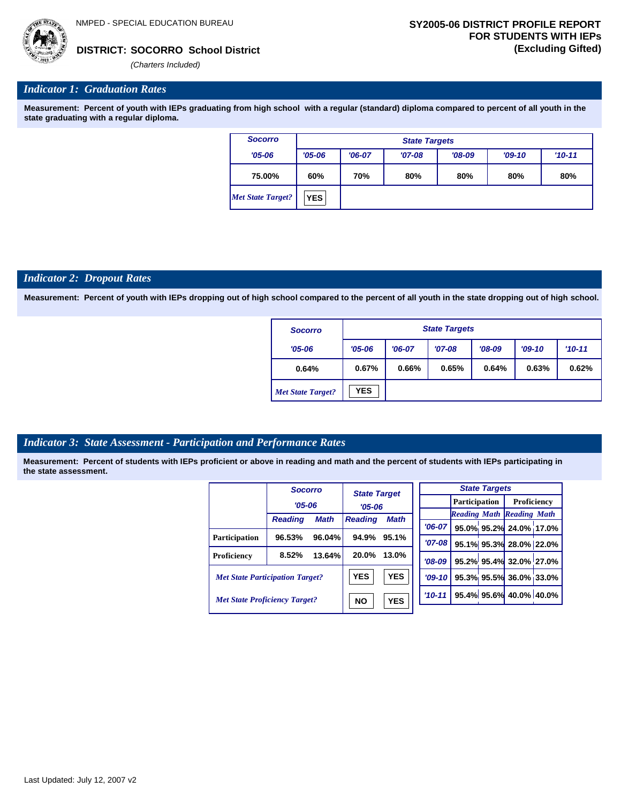*'06-07* **95.0% 95.2% 24.0% 17.0%**

**95.1% 95.3% 28.0% 22.0% 95.2% 95.4% 32.0% 27.0% 95.3% 95.5% 36.0% 33.0% 95.4% 95.6% 40.0% 40.0%**

*Reading Math Reading Math*



*(Charters Included)*

# *Indicator 1: Graduation Rates*

**Measurement: Percent of youth with IEPs graduating from high school with a regular (standard) diploma compared to percent of all youth in the state graduating with a regular diploma.**

| <b>Socorro</b>    | <b>State Targets</b> |                                 |          |          |          |          |  |
|-------------------|----------------------|---------------------------------|----------|----------|----------|----------|--|
| $'05 - 06$        | $'05 - 06$           | $'06-07$                        | $'07-08$ | $'08-09$ | $'09-10$ | $'10-11$ |  |
| 75.00%            | 60%                  | 80%<br>70%<br>80%<br>80%<br>80% |          |          |          |          |  |
| Met State Target? | <b>YES</b>           |                                 |          |          |          |          |  |

#### *Indicator 2: Dropout Rates*

**Measurement: Percent of youth with IEPs dropping out of high school compared to the percent of all youth in the state dropping out of high school.**

| <b>Socorro</b>           | <b>State Targets</b> |                                                          |  |  |  |  |  |  |
|--------------------------|----------------------|----------------------------------------------------------|--|--|--|--|--|--|
| $'05 - 06$               | $'05 - 06$           | $'08-09$<br>$'07-08$<br>$'10-11$<br>$'06-07$<br>$'09-10$ |  |  |  |  |  |  |
| 0.64%                    | 0.67%                | 0.66%<br>0.65%<br>0.64%<br>0.63%<br>0.62%                |  |  |  |  |  |  |
| <b>Met State Target?</b> | <b>YES</b>           |                                                          |  |  |  |  |  |  |

#### *Indicator 3: State Assessment - Participation and Performance Rates*

|                                        | <b>Socorro</b> |             | <b>State Target</b>           |            |           | <b>State Targets</b> |                        |                                  |  |
|----------------------------------------|----------------|-------------|-------------------------------|------------|-----------|----------------------|------------------------|----------------------------------|--|
|                                        | $'05 - 06$     |             | $'05 - 06$                    |            |           | <b>Participation</b> |                        | Proficiency                      |  |
|                                        |                | <b>Math</b> | <b>Math</b><br><b>Reading</b> |            |           |                      |                        | <b>Reading Math Reading Math</b> |  |
|                                        | <b>Reading</b> |             |                               |            | $'06-07$  |                      |                        | 95.0% 95.2% 24.0% 17.0           |  |
| Participation                          | 96.53%         | 96.04%      | 94.9%                         | 95.1%      | $'07-08'$ |                      |                        | 95.1% 95.3% 28.0% 22.0           |  |
| Proficiency                            | 8.52%          | 13.64%      | 20.0%                         | 13.0%      | $'08-09$  |                      |                        | 95.2% 95.4% 32.0% 27.0           |  |
| <b>Met State Participation Target?</b> |                |             | <b>YES</b>                    | <b>YES</b> | $'09-10'$ |                      |                        | 95.3% 95.5% 36.0% 33.0           |  |
| <b>Met State Proficiency Target?</b>   |                | <b>NO</b>   | <b>YES</b>                    | $'10 - 11$ |           |                      | 95.4% 95.6% 40.0% 40.0 |                                  |  |
|                                        |                |             |                               |            |           |                      |                        |                                  |  |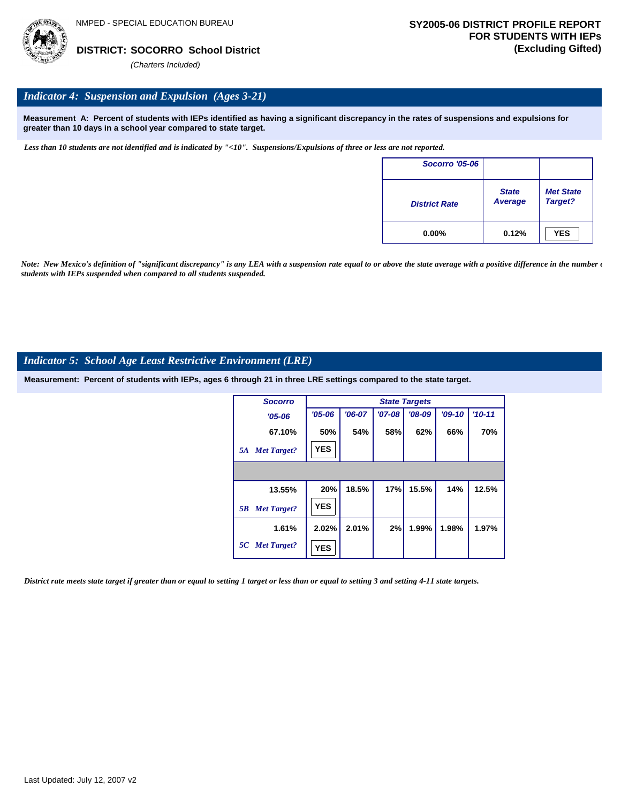

### *Indicator 4: Suspension and Expulsion (Ages 3-21)*

**Measurement A: Percent of students with IEPs identified as having a significant discrepancy in the rates of suspensions and expulsions for greater than 10 days in a school year compared to state target.**

*Less than 10 students are not identified and is indicated by "<10". Suspensions/Expulsions of three or less are not reported.*

| <b>Socorro '05-06</b> |                                |                             |
|-----------------------|--------------------------------|-----------------------------|
| <b>District Rate</b>  | <b>State</b><br><b>Average</b> | <b>Met State</b><br>Target? |
| $0.00\%$              | 0.12%                          | <b>YES</b>                  |

*Note: New Mexico's definition of "significant discrepancy" is any LEA with a suspension rate equal to or above the state average with a positive difference in the number*  $\epsilon$ *students with IEPs suspended when compared to all students suspended.*

#### *Indicator 5: School Age Least Restrictive Environment (LRE)*

**Measurement: Percent of students with IEPs, ages 6 through 21 in three LRE settings compared to the state target.**

| <b>Socorro</b>           |            |          |          | <b>State Targets</b> |          |            |
|--------------------------|------------|----------|----------|----------------------|----------|------------|
| $'05 - 06$               | $'05 - 06$ | $'06-07$ | $'07-08$ | $'08-09$             | $'09-10$ | $'10 - 11$ |
| 67.10%                   | 50%        | 54%      | 58%      | 62%                  | 66%      | 70%        |
| <b>Met Target?</b><br>5A | <b>YES</b> |          |          |                      |          |            |
|                          |            |          |          |                      |          |            |
| 13.55%                   | 20%        | 18.5%    | 17%      | 15.5%                | 14%      | 12.5%      |
| <b>Met Target?</b><br>5B | <b>YES</b> |          |          |                      |          |            |
| 1.61%                    | 2.02%      | 2.01%    | 2%       | 1.99%                | 1.98%    | 1.97%      |
| 5C Met Target?           | <b>YES</b> |          |          |                      |          |            |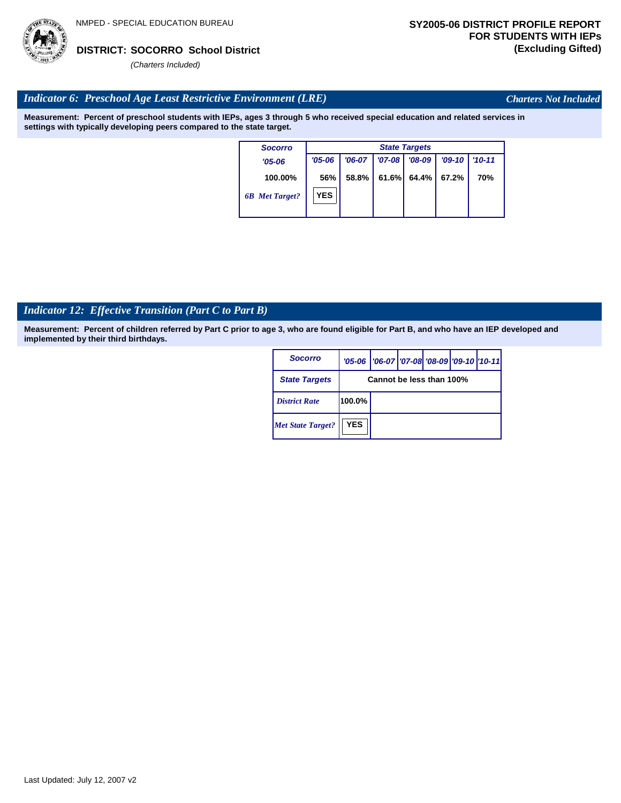

*Charters Not Included*

# *Indicator 6: Preschool Age Least Restrictive Environment (LRE)*

**Measurement: Percent of preschool students with IEPs, ages 3 through 5 who received special education and related services in settings with typically developing peers compared to the state target.**

| <b>Socorro</b>        |            | <b>State Targets</b> |          |          |          |            |  |  |  |  |  |
|-----------------------|------------|----------------------|----------|----------|----------|------------|--|--|--|--|--|
| $'05 - 06$            | $'05 - 06$ | $'06-07$             | $'07-08$ | $'08-09$ | $'09-10$ | $'10 - 11$ |  |  |  |  |  |
| 100.00%               | 56%        | 58.8%                | 61.6%    | 64.4%    | 67.2%    | 70%        |  |  |  |  |  |
| <b>6B</b> Met Target? | <b>YES</b> |                      |          |          |          |            |  |  |  |  |  |

# *Indicator 12: Effective Transition (Part C to Part B)*

| Socorro                  |                          | '05-06   '06-07   '07-08 '08-09   '09-10   '10-11 |  |  |  |  |  |  |
|--------------------------|--------------------------|---------------------------------------------------|--|--|--|--|--|--|
| <b>State Targets</b>     | Cannot be less than 100% |                                                   |  |  |  |  |  |  |
| <b>District Rate</b>     | 100.0%                   |                                                   |  |  |  |  |  |  |
| <b>Met State Target?</b> | <b>YES</b>               |                                                   |  |  |  |  |  |  |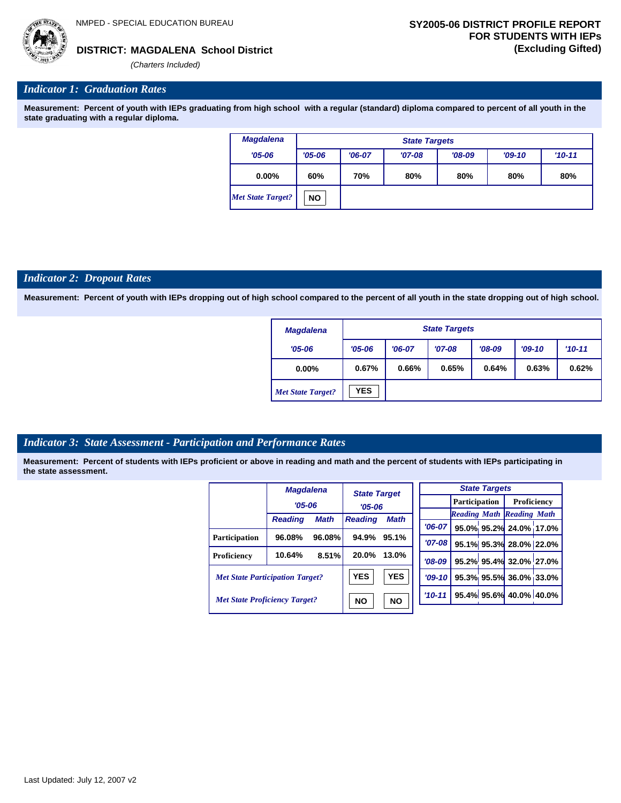**MAGDALENA School District DISTRICT: (Excluding Gifted)**

*(Charters Included)*

### *Indicator 1: Graduation Rates*

**Measurement: Percent of youth with IEPs graduating from high school with a regular (standard) diploma compared to percent of all youth in the state graduating with a regular diploma.**

| <b>Magdalena</b>         |            | <b>State Targets</b> |          |          |          |            |  |  |  |  |
|--------------------------|------------|----------------------|----------|----------|----------|------------|--|--|--|--|
| $'05 - 06$               | $'05 - 06$ | $'06-07$             | $'07-08$ | $'08-09$ | $'09-10$ | $'10 - 11$ |  |  |  |  |
| $0.00\%$                 | 60%        | 70%                  | 80%      | 80%      | 80%      | 80%        |  |  |  |  |
| <b>Met State Target?</b> | <b>NO</b>  |                      |          |          |          |            |  |  |  |  |

### *Indicator 2: Dropout Rates*

**Measurement: Percent of youth with IEPs dropping out of high school compared to the percent of all youth in the state dropping out of high school.**

| <b>Magdalena</b>         |            | <b>State Targets</b> |          |          |          |          |  |  |  |  |
|--------------------------|------------|----------------------|----------|----------|----------|----------|--|--|--|--|
| $'05 - 06$               | $'05 - 06$ | $'06-07$             | $'07-08$ | $'08-09$ | $'09-10$ | $'10-11$ |  |  |  |  |
| $0.00\%$                 | 0.67%      | 0.66%                | 0.65%    | 0.64%    | 0.63%    | 0.62%    |  |  |  |  |
| <b>Met State Target?</b> | <b>YES</b> |                      |          |          |          |          |  |  |  |  |

# *Indicator 3: State Assessment - Participation and Performance Rates*

|                                        | <b>Magdalena</b> |             |                                   |             |            |                      | <b>State Targets</b> |                                  |  |
|----------------------------------------|------------------|-------------|-----------------------------------|-------------|------------|----------------------|----------------------|----------------------------------|--|
|                                        | $'05 - 06$       |             | <b>State Target</b><br>$'05 - 06$ |             |            | <b>Participation</b> |                      | <b>Proficiency</b>               |  |
|                                        | <b>Reading</b>   | <b>Math</b> | <b>Reading</b>                    | <b>Math</b> |            |                      |                      | <b>Reading Math Reading Math</b> |  |
|                                        |                  |             |                                   |             | $'06-07$   |                      |                      | 95.0% 95.2% 24.0% 17.0%          |  |
| <b>Participation</b>                   | 96.08%           | 96.08%      | 94.9%                             | 95.1%       | $'07 - 08$ |                      |                      | 95.1% 95.3% 28.0% 22.0%          |  |
| Proficiency                            | 10.64%           | 8.51%       | 20.0%                             | 13.0%       | $'08-09$   |                      |                      | 95.2% 95.4% 32.0% 27.0%          |  |
| <b>Met State Participation Target?</b> |                  |             | <b>YES</b>                        | <b>YES</b>  | $'09-10'$  |                      |                      | 95.3% 95.5% 36.0% 33.0%          |  |
| <b>Met State Proficiency Target?</b>   |                  |             | <b>NO</b><br><b>NO</b>            |             | $'10-11$   |                      |                      | 95.4% 95.6% 40.0% 40.0%          |  |
|                                        |                  |             |                                   |             |            |                      |                      |                                  |  |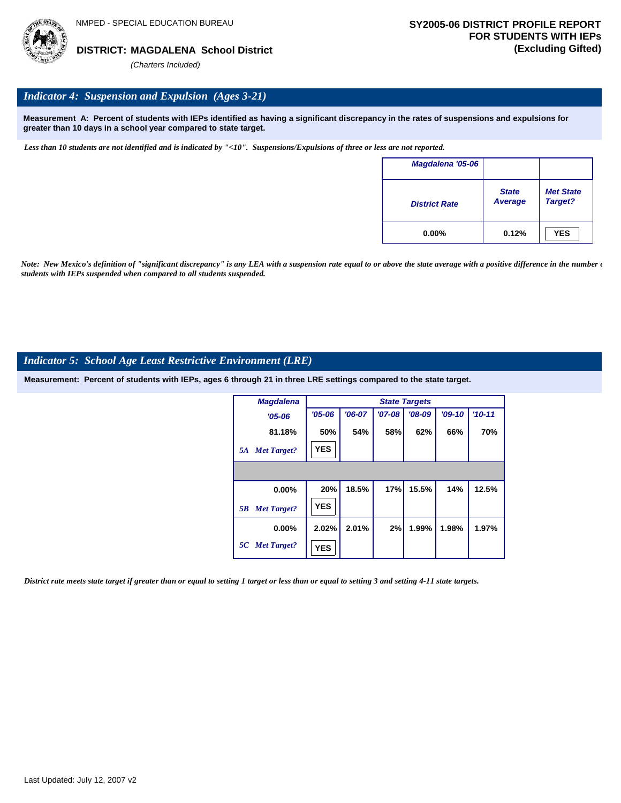

# *Indicator 4: Suspension and Expulsion (Ages 3-21)*

**Measurement A: Percent of students with IEPs identified as having a significant discrepancy in the rates of suspensions and expulsions for greater than 10 days in a school year compared to state target.**

*Less than 10 students are not identified and is indicated by "<10". Suspensions/Expulsions of three or less are not reported.*

| Magdalena '05-06     |                         |                             |
|----------------------|-------------------------|-----------------------------|
| <b>District Rate</b> | <b>State</b><br>Average | <b>Met State</b><br>Target? |
| $0.00\%$             | 0.12%                   | <b>YES</b>                  |

*Note: New Mexico's definition of "significant discrepancy" is any LEA with a suspension rate equal to or above the state average with a positive difference in the number*  $\epsilon$ *students with IEPs suspended when compared to all students suspended.*

# *Indicator 5: School Age Least Restrictive Environment (LRE)*

**Measurement: Percent of students with IEPs, ages 6 through 21 in three LRE settings compared to the state target.**

| <b>Magdalena</b>         |            |          |          | <b>State Targets</b> |          |            |
|--------------------------|------------|----------|----------|----------------------|----------|------------|
| $'05 - 06$               | $'05 - 06$ | $'06-07$ | $'07-08$ | $'08-09$             | $'09-10$ | $'10 - 11$ |
| 81.18%                   | 50%        | 54%      | 58%      | 62%                  | 66%      | 70%        |
| <b>Met Target?</b><br>5A | <b>YES</b> |          |          |                      |          |            |
|                          |            |          |          |                      |          |            |
| $0.00\%$                 | 20%        | 18.5%    | 17%      | 15.5%                | 14%      | 12.5%      |
| <b>Met Target?</b><br>5B | <b>YES</b> |          |          |                      |          |            |
| $0.00\%$                 | 2.02%      | 2.01%    | 2%       | 1.99%                | 1.98%    | 1.97%      |
| 5C Met Target?           | <b>YES</b> |          |          |                      |          |            |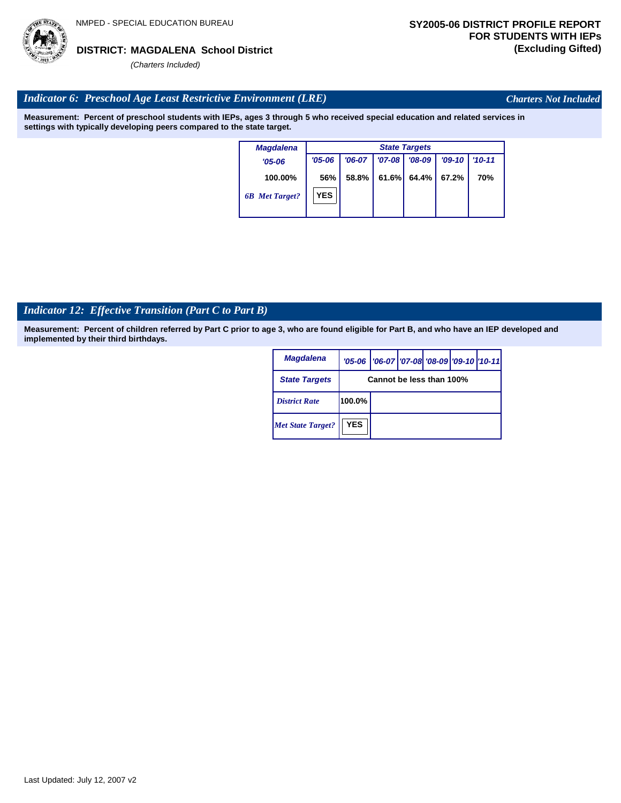# *Indicator 6: Preschool Age Least Restrictive Environment (LRE)*

**Measurement: Percent of preschool students with IEPs, ages 3 through 5 who received special education and related services in settings with typically developing peers compared to the state target.**

> **100.00%** *'05-06 6B Met Target? Magdalena* **56%** *'06-07 '07-08 '08-09 '09-10 '10-11* **58.8% 61.6% 64.4% 67.2% 70%** *State Targets '05-06* **YES**

# *Indicator 12: Effective Transition (Part C to Part B)*

**Measurement: Percent of children referred by Part C prior to age 3, who are found eligible for Part B, and who have an IEP developed and implemented by their third birthdays.**

| <b>Magdalena</b>         |            | '05-06   '06-07   '07-08 '08-09   '09-10   '10-11 |  |  |  |  |  |  |  |
|--------------------------|------------|---------------------------------------------------|--|--|--|--|--|--|--|
| <b>State Targets</b>     |            | Cannot be less than 100%                          |  |  |  |  |  |  |  |
| <b>District Rate</b>     | $100.0\%$  |                                                   |  |  |  |  |  |  |  |
| <b>Met State Target?</b> | <b>YES</b> |                                                   |  |  |  |  |  |  |  |



*Charters Not Included*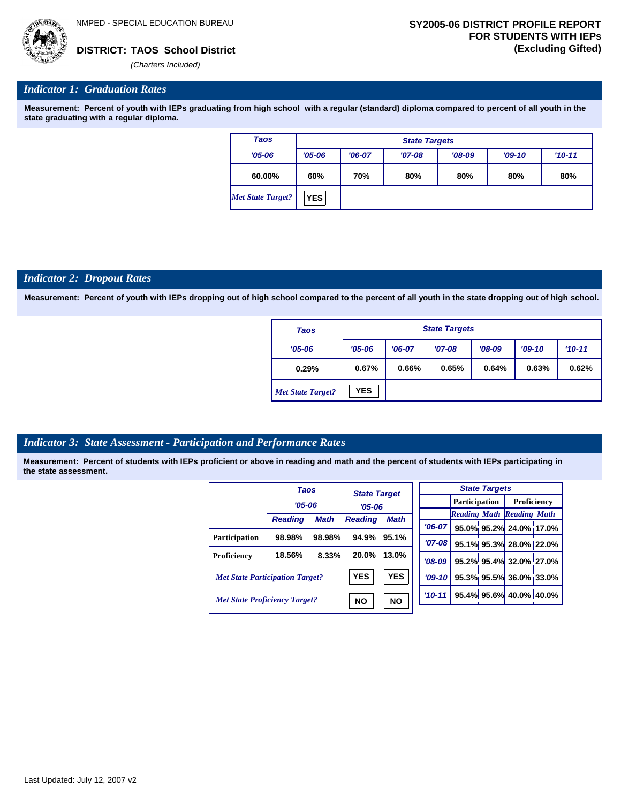

*'06-07* **95.0% 95.2% 24.0% 17.0%**

**95.1% 95.3% 28.0% 22.0% 95.2% 95.4% 32.0% 27.0% 95.3% 95.5% 36.0% 33.0% 95.4% 95.6% 40.0% 40.0%**

*Reading Math Reading Math*

#### *Indicator 1: Graduation Rates*

**Measurement: Percent of youth with IEPs graduating from high school with a regular (standard) diploma compared to percent of all youth in the state graduating with a regular diploma.**

| Taos                     |            | <b>State Targets</b> |          |          |          |            |  |  |  |  |
|--------------------------|------------|----------------------|----------|----------|----------|------------|--|--|--|--|
| $'05 - 06$               | $'05 - 06$ | $'06-07$             | $'07-08$ | $'08-09$ | $'09-10$ | $'10 - 11$ |  |  |  |  |
| 60.00%                   | 60%        | 70%                  | 80%      | 80%      | 80%      | 80%        |  |  |  |  |
| <b>Met State Target?</b> | <b>YES</b> |                      |          |          |          |            |  |  |  |  |

#### *Indicator 2: Dropout Rates*

**Measurement: Percent of youth with IEPs dropping out of high school compared to the percent of all youth in the state dropping out of high school.**

| Taos                     |            | <b>State Targets</b> |          |          |          |          |  |  |  |  |
|--------------------------|------------|----------------------|----------|----------|----------|----------|--|--|--|--|
| $'05 - 06$               | $'05 - 06$ | $'06-07$             | $'07-08$ | $'08-09$ | $'09-10$ | $'10-11$ |  |  |  |  |
| 0.29%                    | 0.67%      | 0.66%                | 0.65%    | 0.64%    | 0.63%    | 0.62%    |  |  |  |  |
| <b>Met State Target?</b> | <b>YES</b> |                      |          |          |          |          |  |  |  |  |

#### *Indicator 3: State Assessment - Participation and Performance Rates*

|                                        | <b>Taos</b>    |             | <b>State Target</b> |            |             |  |                      | <b>State Targets</b> |                                  |  |
|----------------------------------------|----------------|-------------|---------------------|------------|-------------|--|----------------------|----------------------|----------------------------------|--|
|                                        | $'05 - 06$     |             | $'05 - 06$          |            |             |  | <b>Participation</b> |                      | Proficiency                      |  |
|                                        |                |             |                     |            |             |  |                      |                      | <b>Reading Math Reading Math</b> |  |
|                                        | <b>Reading</b> | <b>Math</b> | <b>Reading</b>      | Math       | $'06-07$    |  |                      |                      | 95.0% 95.2% 24.0% 17.0           |  |
| <b>Participation</b>                   | 98.98%         | 98.98%      | 94.9%               | 95.1%      |             |  |                      |                      |                                  |  |
|                                        |                |             |                     |            | $'07 - 08$  |  |                      |                      | 95.1% 95.3% 28.0% 22.0           |  |
| Proficiency                            | 18.56%         | 8.33%       | 20.0%               | 13.0%      | $'08-09$    |  |                      |                      | 95.2% 95.4% 32.0% 27.0           |  |
| <b>Met State Participation Target?</b> |                |             | <b>YES</b>          | <b>YES</b> | $'09 - 10'$ |  |                      |                      | 95.3% 95.5% 36.0% 33.0           |  |
| <b>Met State Proficiency Target?</b>   |                |             | ΝO                  | <b>NO</b>  | $'10 - 11$  |  |                      |                      | 95.4% 95.6% 40.0% 40.0%          |  |
|                                        |                |             |                     |            |             |  |                      |                      |                                  |  |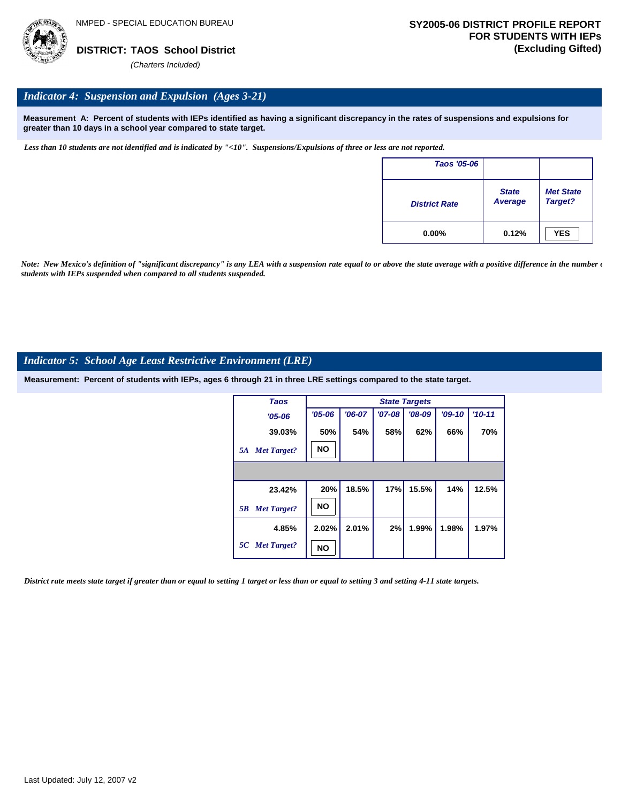

### *Indicator 4: Suspension and Expulsion (Ages 3-21)*

**Measurement A: Percent of students with IEPs identified as having a significant discrepancy in the rates of suspensions and expulsions for greater than 10 days in a school year compared to state target.**

*Less than 10 students are not identified and is indicated by "<10". Suspensions/Expulsions of three or less are not reported.*

| <b>Taos '05-06</b>   |                         |                             |
|----------------------|-------------------------|-----------------------------|
| <b>District Rate</b> | <b>State</b><br>Average | <b>Met State</b><br>Target? |
| $0.00\%$             | 0.12%                   | <b>YES</b>                  |

*Note: New Mexico's definition of "significant discrepancy" is any LEA with a suspension rate equal to or above the state average with a positive difference in the number*  $\epsilon$ *students with IEPs suspended when compared to all students suspended.*

#### *Indicator 5: School Age Least Restrictive Environment (LRE)*

**Measurement: Percent of students with IEPs, ages 6 through 21 in three LRE settings compared to the state target.**

| <b>Taos</b>              | <b>State Targets</b> |          |          |          |          |            |  |  |
|--------------------------|----------------------|----------|----------|----------|----------|------------|--|--|
| $'05 - 06$               | $'05 - 06$           | $'06-07$ | $'07-08$ | $'08-09$ | $'09-10$ | $'10 - 11$ |  |  |
| 39.03%                   | 50%                  | 54%      | 58%      | 62%      | 66%      | 70%        |  |  |
| <b>Met Target?</b><br>5A | <b>NO</b>            |          |          |          |          |            |  |  |
|                          |                      |          |          |          |          |            |  |  |
| 23.42%                   | 20%                  | 18.5%    | 17%      | 15.5%    | 14%      | 12.5%      |  |  |
| <b>Met Target?</b><br>5B | <b>NO</b>            |          |          |          |          |            |  |  |
| 4.85%                    | 2.02%                | 2.01%    | 2%       | 1.99%    | 1.98%    | 1.97%      |  |  |
| 5C Met Target?           | NO                   |          |          |          |          |            |  |  |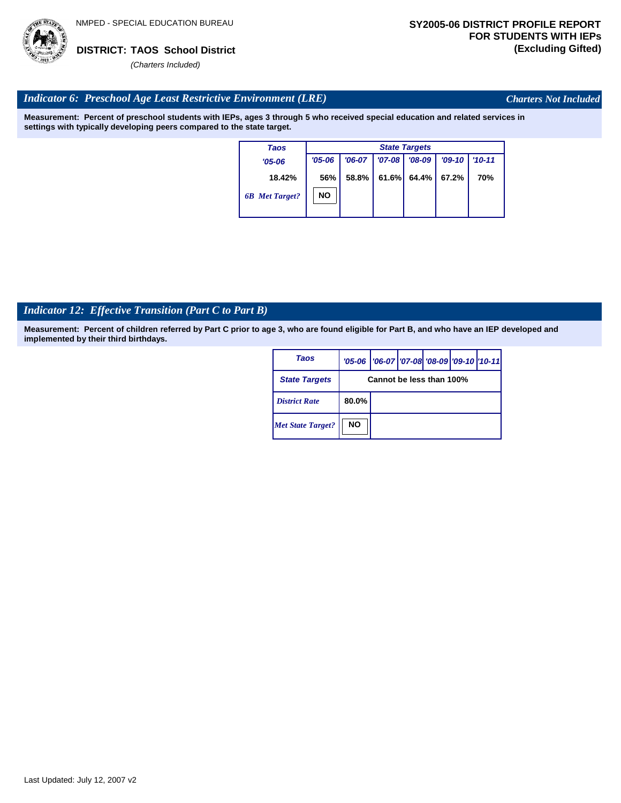

*Charters Not Included*

# *Indicator 6: Preschool Age Least Restrictive Environment (LRE)*

**Measurement: Percent of preschool students with IEPs, ages 3 through 5 who received special education and related services in settings with typically developing peers compared to the state target.**

| Taos                  | <b>State Targets</b> |          |          |          |          |            |  |  |
|-----------------------|----------------------|----------|----------|----------|----------|------------|--|--|
| $'05 - 06$            | $'05 - 06$           | $'06-07$ | $'07-08$ | $'08-09$ | $'09-10$ | $'10 - 11$ |  |  |
| 18.42%                | 56%                  | 58.8%    | 61.6%    | 64.4%    | 67.2%    | 70%        |  |  |
| <b>6B</b> Met Target? | NO                   |          |          |          |          |            |  |  |

# *Indicator 12: Effective Transition (Part C to Part B)*

| Taos                     |                          | '05-06   '06-07   '07-08   '08-09   '09-10   '10-11 |  |  |  |  |
|--------------------------|--------------------------|-----------------------------------------------------|--|--|--|--|
| <b>State Targets</b>     | Cannot be less than 100% |                                                     |  |  |  |  |
| <b>District Rate</b>     | $80.0\%$                 |                                                     |  |  |  |  |
| <b>Met State Target?</b> | <b>NO</b>                |                                                     |  |  |  |  |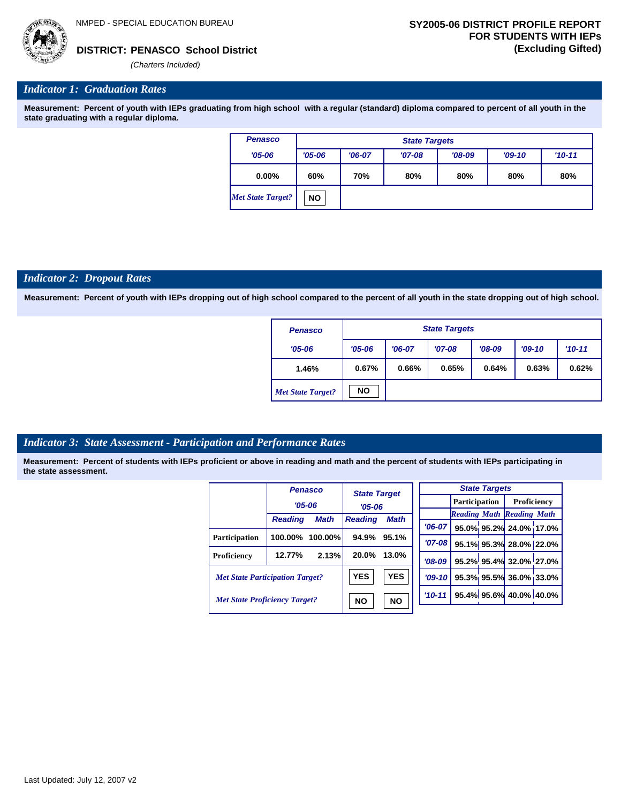# *Indicator 1: Graduation Rates*

**Measurement: Percent of youth with IEPs graduating from high school with a regular (standard) diploma compared to percent of all youth in the state graduating with a regular diploma.**

| <b>Penasco</b>           | <b>State Targets</b> |          |          |          |          |            |  |  |
|--------------------------|----------------------|----------|----------|----------|----------|------------|--|--|
| $'05 - 06$               | $'05 - 06$           | $'06-07$ | $'07-08$ | $'08-09$ | $'09-10$ | $'10 - 11$ |  |  |
| $0.00\%$                 | 60%                  | 70%      | 80%      | 80%      | 80%      | 80%        |  |  |
| <b>Met State Target?</b> | <b>NO</b>            |          |          |          |          |            |  |  |

#### *Indicator 2: Dropout Rates*

**Measurement: Percent of youth with IEPs dropping out of high school compared to the percent of all youth in the state dropping out of high school.**

| Penasco                  |            | <b>State Targets</b> |          |          |          |          |  |  |  |
|--------------------------|------------|----------------------|----------|----------|----------|----------|--|--|--|
| $'05 - 06$               | $'05 - 06$ | $'06-07$             | $'07-08$ | $'08-09$ | $'09-10$ | $'10-11$ |  |  |  |
| 1.46%                    | 0.67%      | 0.66%                | 0.65%    | 0.64%    | 0.63%    | 0.62%    |  |  |  |
| <b>Met State Target?</b> | <b>NO</b>  |                      |          |          |          |          |  |  |  |

# *Indicator 3: State Assessment - Participation and Performance Rates*

| Proficiency                      |
|----------------------------------|
| <b>Reading Math Reading Math</b> |
| 95.0% 95.2% 24.0% 17.0           |
| 95.1% 95.3% 28.0% 22.0           |
| 95.2% 95.4% 32.0% 27.0           |
| 95.3% 95.5% 36.0% 33.0           |
| 95.4% 95.6% 40.0% 40.0%          |
|                                  |

| <b>State Targets</b> |                                    |                                   |  |  |  |  |  |
|----------------------|------------------------------------|-----------------------------------|--|--|--|--|--|
|                      | <b>Participation</b>   Proficiency |                                   |  |  |  |  |  |
|                      | <b>Reading Math Reading Math</b>   |                                   |  |  |  |  |  |
|                      |                                    | '06-07 95.0% 95.2% 24.0% 17.0%    |  |  |  |  |  |
| $'07 - 08$           |                                    | 95.1% 95.3% 28.0% 22.0%           |  |  |  |  |  |
|                      |                                    | '08-09   95.2% 95.4% 32.0% 27.0%  |  |  |  |  |  |
|                      |                                    | $ 09-10 $ 95.3% 95.5% 36.0% 33.0% |  |  |  |  |  |
|                      |                                    | $10-11$ 95.4% 95.6% 40.0% 40.0%   |  |  |  |  |  |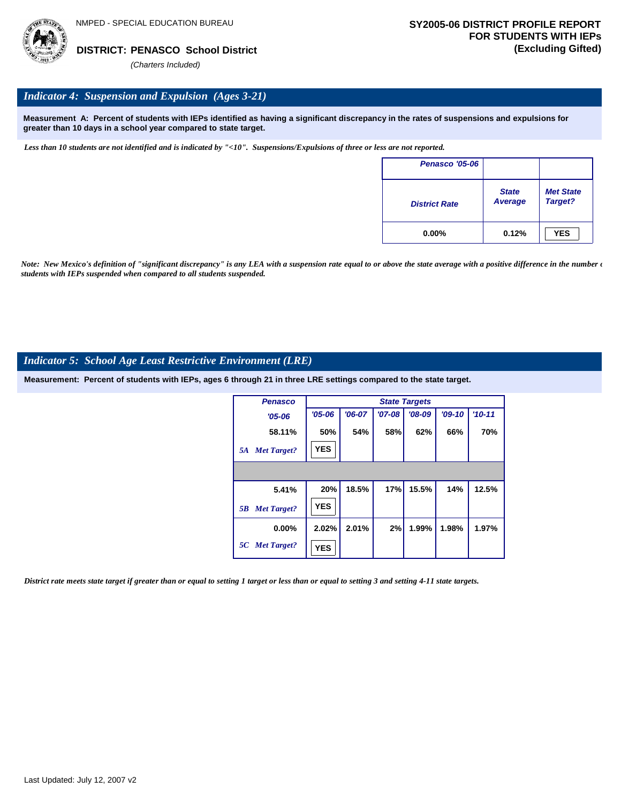

### *Indicator 4: Suspension and Expulsion (Ages 3-21)*

**Measurement A: Percent of students with IEPs identified as having a significant discrepancy in the rates of suspensions and expulsions for greater than 10 days in a school year compared to state target.**

*Less than 10 students are not identified and is indicated by "<10". Suspensions/Expulsions of three or less are not reported.*

| Penasco '05-06       |                         |                             |
|----------------------|-------------------------|-----------------------------|
| <b>District Rate</b> | <b>State</b><br>Average | <b>Met State</b><br>Target? |
| $0.00\%$             | 0.12%                   | <b>YES</b>                  |

*Note: New Mexico's definition of "significant discrepancy" is any LEA with a suspension rate equal to or above the state average with a positive difference in the number*  $\epsilon$ *students with IEPs suspended when compared to all students suspended.*

#### *Indicator 5: School Age Least Restrictive Environment (LRE)*

**Measurement: Percent of students with IEPs, ages 6 through 21 in three LRE settings compared to the state target.**

| <b>Penasco</b>           | <b>State Targets</b> |          |          |          |          |            |  |  |
|--------------------------|----------------------|----------|----------|----------|----------|------------|--|--|
| $'05 - 06$               | $'05 - 06$           | $'06-07$ | $'07-08$ | $'08-09$ | $'09-10$ | $'10 - 11$ |  |  |
| 58.11%                   | 50%                  | 54%      | 58%      | 62%      | 66%      | 70%        |  |  |
| <b>Met Target?</b><br>5A | <b>YES</b>           |          |          |          |          |            |  |  |
|                          |                      |          |          |          |          |            |  |  |
| 5.41%                    | 20%                  | 18.5%    | 17%      | 15.5%    | 14%      | 12.5%      |  |  |
| <b>Met Target?</b><br>5B | <b>YES</b>           |          |          |          |          |            |  |  |
| $0.00\%$                 | 2.02%                | 2.01%    | 2%       | 1.99%    | 1.98%    | 1.97%      |  |  |
| 5C Met Target?           | <b>YES</b>           |          |          |          |          |            |  |  |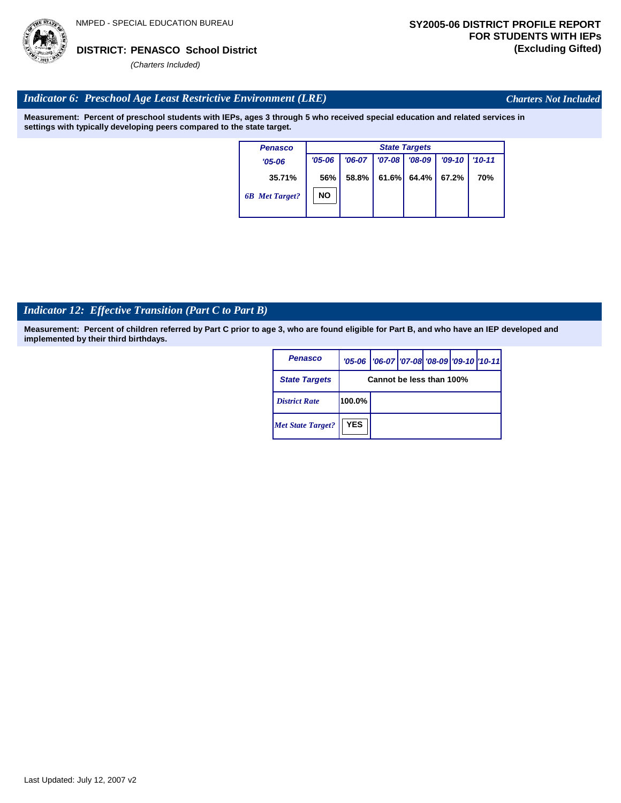

*Charters Not Included*

# *Indicator 6: Preschool Age Least Restrictive Environment (LRE)*

**Measurement: Percent of preschool students with IEPs, ages 3 through 5 who received special education and related services in settings with typically developing peers compared to the state target.**

| <b>State Targets</b> |          |  |          |                     |            |  |
|----------------------|----------|--|----------|---------------------|------------|--|
| $'05 - 06$           | $'06-07$ |  | $'08-09$ | $'09-10$            | $'10 - 11$ |  |
| 56%                  | 58.8%    |  |          | 67.2%               | 70%        |  |
| <b>NO</b>            |          |  |          |                     |            |  |
|                      |          |  |          | $'07 - 08$<br>61.6% | $64.4\%$   |  |

# *Indicator 12: Effective Transition (Part C to Part B)*

| Penasco                  |                          | '05-06   '06-07   '07-08 '08-09   '09-10   '10-11 |  |  |  |  |
|--------------------------|--------------------------|---------------------------------------------------|--|--|--|--|
| <b>State Targets</b>     | Cannot be less than 100% |                                                   |  |  |  |  |
| <b>District Rate</b>     | $100.0\%$                |                                                   |  |  |  |  |
| <b>Met State Target?</b> | <b>YES</b>               |                                                   |  |  |  |  |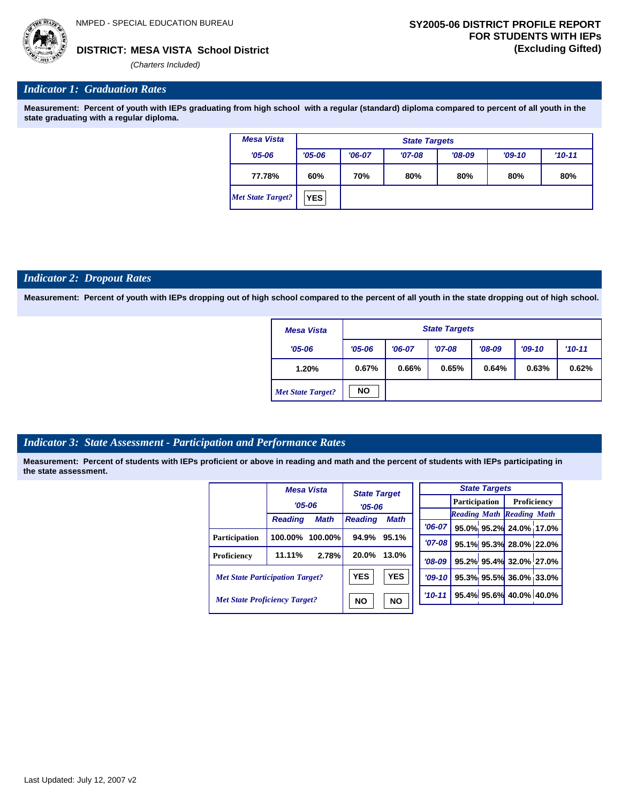*(Charters Included)*

## *Indicator 1: Graduation Rates*

**Measurement: Percent of youth with IEPs graduating from high school with a regular (standard) diploma compared to percent of all youth in the state graduating with a regular diploma.**

| <b>Mesa Vista</b>        | <b>State Targets</b> |          |          |          |          |          |  |  |  |
|--------------------------|----------------------|----------|----------|----------|----------|----------|--|--|--|
| $'05 - 06$               | $'05 - 06$           | $'06-07$ | $'07-08$ | $'08-09$ | $'09-10$ | $'10-11$ |  |  |  |
| 77.78%                   | 60%                  | 70%      | 80%      | 80%      | 80%      | 80%      |  |  |  |
| <b>Met State Target?</b> | <b>YES</b>           |          |          |          |          |          |  |  |  |

#### *Indicator 2: Dropout Rates*

**Measurement: Percent of youth with IEPs dropping out of high school compared to the percent of all youth in the state dropping out of high school.**

| <b>Mesa Vista</b>        | <b>State Targets</b> |          |          |          |          |          |  |  |
|--------------------------|----------------------|----------|----------|----------|----------|----------|--|--|
| $'05 - 06$               | $'05 - 06$           | $'06-07$ | $'07-08$ | $'08-09$ | $'09-10$ | $'10-11$ |  |  |
| 1.20%                    | 0.67%                | 0.66%    | 0.65%    | 0.64%    | 0.63%    | 0.62%    |  |  |
| <b>Met State Target?</b> | <b>NO</b>            |          |          |          |          |          |  |  |

#### *Indicator 3: State Assessment - Participation and Performance Rates*

|                                        |                | <b>Mesa Vista</b>      | <b>State Target</b><br>$'05 - 06$ |             |          |  |  | <b>State Targets</b>    |                                  |  |
|----------------------------------------|----------------|------------------------|-----------------------------------|-------------|----------|--|--|-------------------------|----------------------------------|--|
|                                        | $'05 - 06$     |                        |                                   |             |          |  |  | <b>Participation</b>    | Proficiency                      |  |
|                                        |                |                        |                                   |             |          |  |  |                         | <b>Reading Math Reading Math</b> |  |
|                                        | <b>Reading</b> | <b>Math</b>            | <b>Reading</b>                    | <b>Math</b> | $'06-07$ |  |  |                         | 95.0% 95.2% 24.0% 17.0%          |  |
| Participation                          | 100.00%        | $100.00\%$             | 94.9%                             | 95.1%       | $'07-08$ |  |  |                         | 95.1% 95.3% 28.0% 22.0%          |  |
| Proficiency                            | 11.11%         | 2.78%                  | 20.0%                             | 13.0%       | $'08-09$ |  |  |                         | 95.2% 95.4% 32.0% 27.0%          |  |
| <b>Met State Participation Target?</b> |                | <b>YES</b>             | <b>YES</b>                        | $'09-10$    |          |  |  | 95.3% 95.5% 36.0% 33.0% |                                  |  |
| <b>Met State Proficiency Target?</b>   |                | <b>NO</b><br><b>NO</b> |                                   | $'10-11$    |          |  |  | 95.4% 95.6% 40.0% 40.0% |                                  |  |
|                                        |                |                        |                                   |             |          |  |  |                         |                                  |  |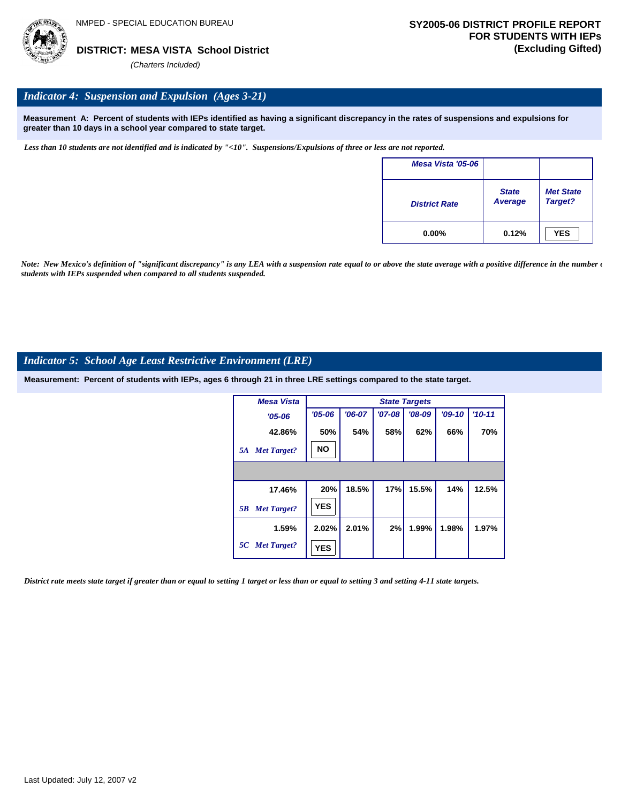

# *Indicator 4: Suspension and Expulsion (Ages 3-21)*

**Measurement A: Percent of students with IEPs identified as having a significant discrepancy in the rates of suspensions and expulsions for greater than 10 days in a school year compared to state target.**

*Less than 10 students are not identified and is indicated by "<10". Suspensions/Expulsions of three or less are not reported.*

| Mesa Vista '05-06    |                                |                             |
|----------------------|--------------------------------|-----------------------------|
| <b>District Rate</b> | <b>State</b><br><b>Average</b> | <b>Met State</b><br>Target? |
| $0.00\%$             | 0.12%                          | <b>YES</b>                  |

*Note: New Mexico's definition of "significant discrepancy" is any LEA with a suspension rate equal to or above the state average with a positive difference in the number*  $\epsilon$ *students with IEPs suspended when compared to all students suspended.*

### *Indicator 5: School Age Least Restrictive Environment (LRE)*

**Measurement: Percent of students with IEPs, ages 6 through 21 in three LRE settings compared to the state target.**

| <b>Mesa Vista</b>        |            | <b>State Targets</b> |            |          |          |          |  |  |  |  |
|--------------------------|------------|----------------------|------------|----------|----------|----------|--|--|--|--|
| $'05 - 06$               | $'05 - 06$ | $'06-07$             | $'07 - 08$ | $'08-09$ | $'09-10$ | $'10-11$ |  |  |  |  |
| 42.86%                   | 50%        | 54%                  | 58%        | 62%      | 66%      | 70%      |  |  |  |  |
| <b>Met Target?</b><br>5A | <b>NO</b>  |                      |            |          |          |          |  |  |  |  |
|                          |            |                      |            |          |          |          |  |  |  |  |
| 17.46%                   | 20%        | 18.5%                | 17%        | 15.5%    | 14%      | 12.5%    |  |  |  |  |
| <b>Met Target?</b><br>5B | <b>YES</b> |                      |            |          |          |          |  |  |  |  |
| 1.59%                    | 2.02%      | 2.01%                | 2%         | 1.99%    | 1.98%    | 1.97%    |  |  |  |  |
| 5C Met Target?           | <b>YES</b> |                      |            |          |          |          |  |  |  |  |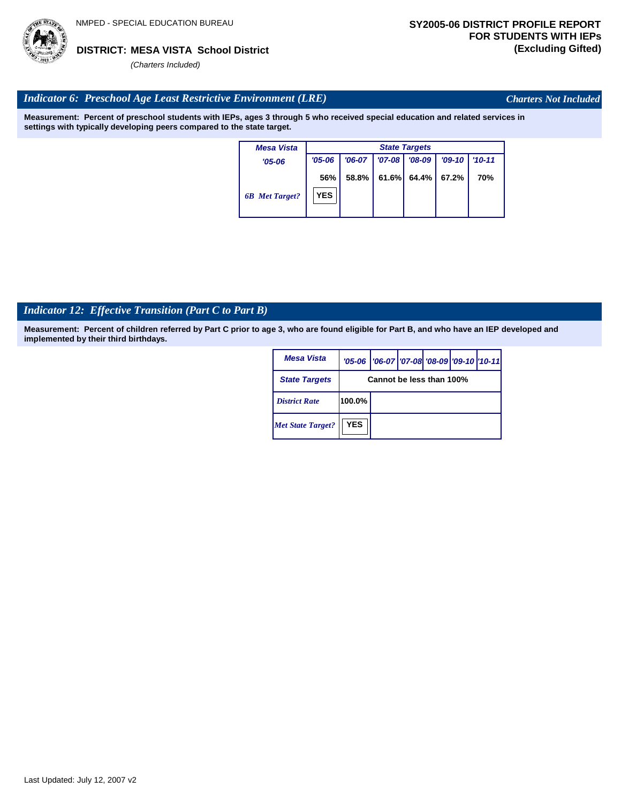

*Charters Not Included*

### *Indicator 6: Preschool Age Least Restrictive Environment (LRE)*

**Measurement: Percent of preschool students with IEPs, ages 3 through 5 who received special education and related services in settings with typically developing peers compared to the state target.**

| <b>Mesa Vista</b>     | <b>State Targets</b> |          |          |        |          |          |  |  |
|-----------------------|----------------------|----------|----------|--------|----------|----------|--|--|
| $'05 - 06$            | $'05 - 06$           | $'06-07$ | $'07-08$ | '08-09 | $'09-10$ | $'10-11$ |  |  |
|                       | 56%                  | 58.8%    | 61.6%    | 64.4%  | 67.2%    | 70%      |  |  |
| <b>6B</b> Met Target? | <b>YES</b>           |          |          |        |          |          |  |  |

# *Indicator 12: Effective Transition (Part C to Part B)*

| Mesa Vista               |                          | '05-06   '06-07   '07-08 '08-09   '09-10   '10-11 |  |  |  |  |  |  |
|--------------------------|--------------------------|---------------------------------------------------|--|--|--|--|--|--|
| <b>State Targets</b>     | Cannot be less than 100% |                                                   |  |  |  |  |  |  |
| <b>District Rate</b>     | 100.0%                   |                                                   |  |  |  |  |  |  |
| <b>Met State Target?</b> | <b>YES</b>               |                                                   |  |  |  |  |  |  |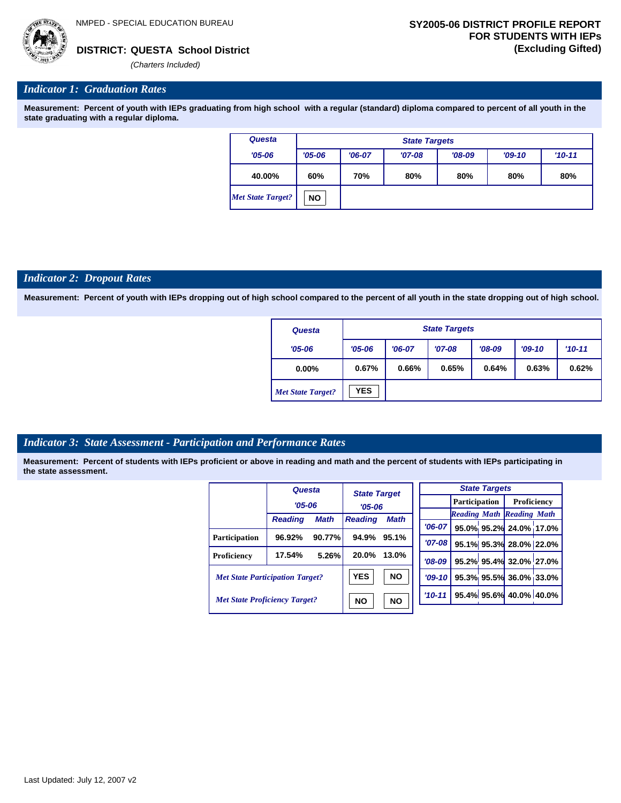## *Indicator 1: Graduation Rates*

**Measurement: Percent of youth with IEPs graduating from high school with a regular (standard) diploma compared to percent of all youth in the state graduating with a regular diploma.**

| Questa                   |            | <b>State Targets</b> |          |          |          |          |  |  |  |  |
|--------------------------|------------|----------------------|----------|----------|----------|----------|--|--|--|--|
| $'05 - 06$               | $'05 - 06$ | $'06-07$             | $'07-08$ | $'08-09$ | $'09-10$ | $'10-11$ |  |  |  |  |
| 40.00%                   | 60%        | 70%                  | 80%      | 80%      | 80%      | 80%      |  |  |  |  |
| <b>Met State Target?</b> | <b>NO</b>  |                      |          |          |          |          |  |  |  |  |

#### *Indicator 2: Dropout Rates*

**Measurement: Percent of youth with IEPs dropping out of high school compared to the percent of all youth in the state dropping out of high school.**

| Questa                   | <b>State Targets</b> |          |          |          |          |            |  |  |
|--------------------------|----------------------|----------|----------|----------|----------|------------|--|--|
| $'05 - 06$               | $'05 - 06$           | $'06-07$ | $'07-08$ | $'08-09$ | $'09-10$ | $'10 - 11$ |  |  |
| $0.00\%$                 | 0.67%                | 0.66%    | 0.65%    | 0.64%    | 0.63%    | 0.62%      |  |  |
| <b>Met State Target?</b> | <b>YES</b>           |          |          |          |          |            |  |  |

#### *Indicator 3: State Assessment - Participation and Performance Rates*

|                                        | Questa         |                        | <b>State Target</b> |             |          |          |                      | <b>State Targets</b>    |                                  |  |
|----------------------------------------|----------------|------------------------|---------------------|-------------|----------|----------|----------------------|-------------------------|----------------------------------|--|
|                                        | $'05 - 06$     |                        |                     |             |          |          | <b>Participation</b> |                         | <b>Proficiency</b>               |  |
|                                        |                |                        | $'05 - 06$          |             |          |          |                      |                         | <b>Reading Math Reading Math</b> |  |
|                                        | <b>Reading</b> | <b>Math</b>            | <b>Reading</b>      | <b>Math</b> |          | $'06-07$ |                      |                         | 95.0% 95.2% 24.0% 17.0%          |  |
| <b>Participation</b>                   | 96.92%         | 90.77%                 | 94.9%               | 95.1%       |          | $'07-08$ |                      |                         | 95.1% 95.3% 28.0% 22.0%          |  |
| Proficiency                            | 17.54%         | 5.26%                  | 20.0%               | 13.0%       |          |          |                      |                         | 95.2% 95.4% 32.0% 27.0%          |  |
|                                        |                |                        |                     |             |          | $'08-09$ |                      |                         |                                  |  |
| <b>Met State Participation Target?</b> |                |                        | <b>YES</b>          | <b>NO</b>   |          | $'09-10$ |                      |                         | 95.3% 95.5% 36.0% 33.0%          |  |
| <b>Met State Proficiency Target?</b>   |                | <b>NO</b><br><b>NO</b> |                     |             | $'10-11$ |          |                      | 95.4% 95.6% 40.0% 40.0% |                                  |  |
|                                        |                |                        |                     |             |          |          |                      |                         |                                  |  |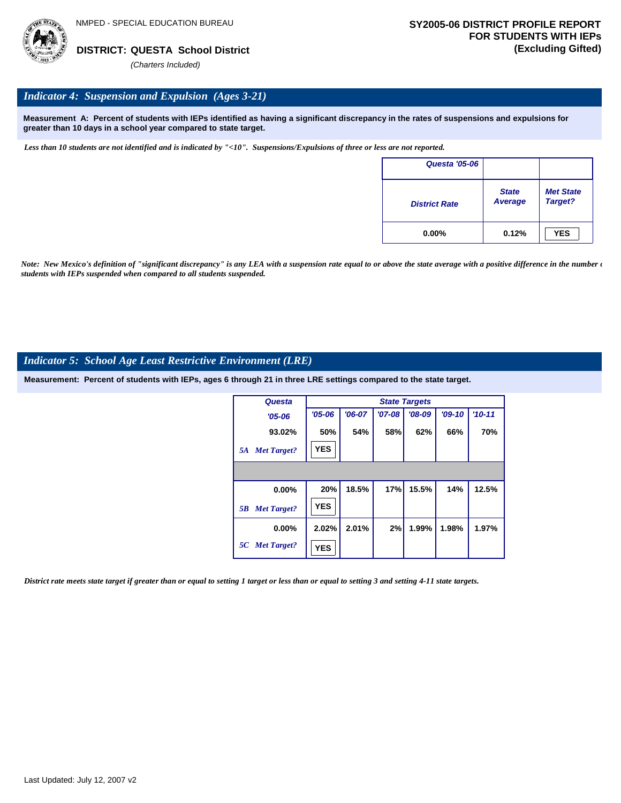

### *Indicator 4: Suspension and Expulsion (Ages 3-21)*

**Measurement A: Percent of students with IEPs identified as having a significant discrepancy in the rates of suspensions and expulsions for greater than 10 days in a school year compared to state target.**

*Less than 10 students are not identified and is indicated by "<10". Suspensions/Expulsions of three or less are not reported.*

| <b>Questa '05-06</b> |                         |                             |
|----------------------|-------------------------|-----------------------------|
| <b>District Rate</b> | <b>State</b><br>Average | <b>Met State</b><br>Target? |
| $0.00\%$             | 0.12%                   | <b>YES</b>                  |

*Note: New Mexico's definition of "significant discrepancy" is any LEA with a suspension rate equal to or above the state average with a positive difference in the number*  $\epsilon$ *students with IEPs suspended when compared to all students suspended.*

#### *Indicator 5: School Age Least Restrictive Environment (LRE)*

**Measurement: Percent of students with IEPs, ages 6 through 21 in three LRE settings compared to the state target.**

| Questa                   |            | <b>State Targets</b> |          |          |          |          |  |  |  |  |
|--------------------------|------------|----------------------|----------|----------|----------|----------|--|--|--|--|
| $'05 - 06$               | $'05 - 06$ | $'06-07$             | $'07-08$ | $'08-09$ | $'09-10$ | $'10-11$ |  |  |  |  |
| 93.02%                   | 50%        | 54%                  | 58%      | 62%      | 66%      | 70%      |  |  |  |  |
| <b>Met Target?</b><br>5A | <b>YES</b> |                      |          |          |          |          |  |  |  |  |
|                          |            |                      |          |          |          |          |  |  |  |  |
| 0.00%                    | 20%        | 18.5%                | 17%      | 15.5%    | 14%      | 12.5%    |  |  |  |  |
| <b>Met Target?</b><br>5B | <b>YES</b> |                      |          |          |          |          |  |  |  |  |
| $0.00\%$                 | 2.02%      | 2.01%                | 2%       | 1.99%    | 1.98%    | 1.97%    |  |  |  |  |
| 5C Met Target?           | <b>YES</b> |                      |          |          |          |          |  |  |  |  |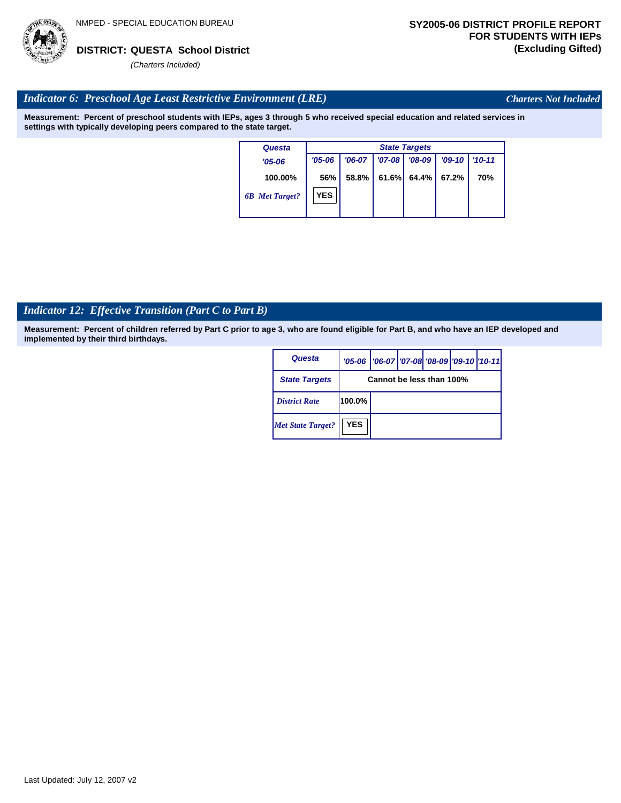

*Charters Not Included*

# *Indicator 6: Preschool Age Least Restrictive Environment (LRE)*

**Measurement: Percent of preschool students with IEPs, ages 3 through 5 who received special education and related services in settings with typically developing peers compared to the state target.**

| Questa                | <b>State Targets</b> |          |            |          |          |            |  |  |
|-----------------------|----------------------|----------|------------|----------|----------|------------|--|--|
| $'05 - 06$            | $'05 - 06$           | $'06-07$ | $'07 - 08$ | $'08-09$ | $'09-10$ | $'10 - 11$ |  |  |
| 100.00%               | 56%                  | 58.8%    | 61.6%      | 64.4%    | 67.2%    | 70%        |  |  |
| <b>6B</b> Met Target? | <b>YES</b>           |          |            |          |          |            |  |  |

# *Indicator 12: Effective Transition (Part C to Part B)*

| Questa                   |            | '05-06   '06-07   '07-08 '08-09   '09-10   '10-11 |  |  |  |  |  |
|--------------------------|------------|---------------------------------------------------|--|--|--|--|--|
| <b>State Targets</b>     |            | Cannot be less than 100%                          |  |  |  |  |  |
| <b>District Rate</b>     | 100.0%     |                                                   |  |  |  |  |  |
| <b>Met State Target?</b> | <b>YES</b> |                                                   |  |  |  |  |  |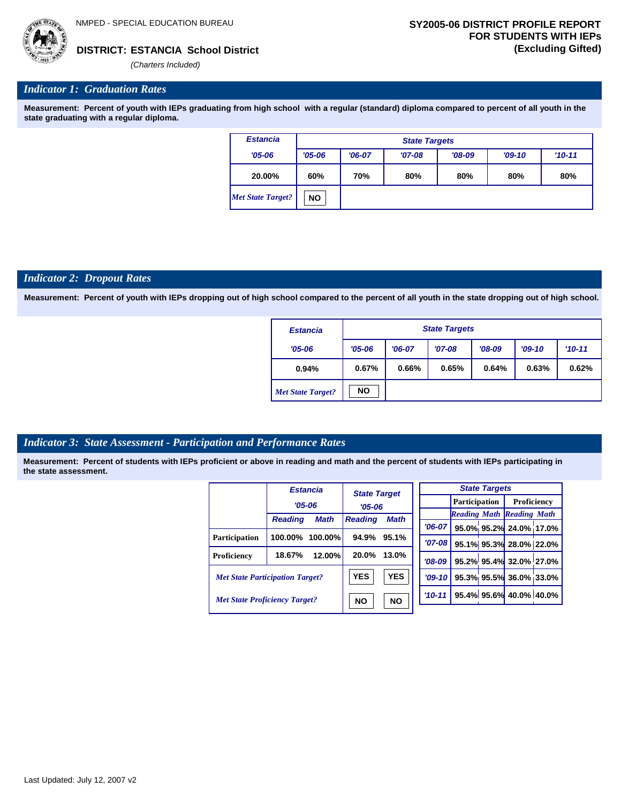

# *Indicator 1: Graduation Rates*

**Measurement: Percent of youth with IEPs graduating from high school with a regular (standard) diploma compared to percent of all youth in the state graduating with a regular diploma.**

| <b>Estancia</b>   |            | <b>State Targets</b> |          |          |          |          |  |  |  |
|-------------------|------------|----------------------|----------|----------|----------|----------|--|--|--|
| $'05 - 06$        | $'05 - 06$ | $'06-07$             | $'07-08$ | $'08-09$ | $'09-10$ | $'10-11$ |  |  |  |
| 20.00%            | 60%        | 70%                  | 80%      | 80%      | 80%      | 80%      |  |  |  |
| Met State Target? | <b>NO</b>  |                      |          |          |          |          |  |  |  |

#### *Indicator 2: Dropout Rates*

**Measurement: Percent of youth with IEPs dropping out of high school compared to the percent of all youth in the state dropping out of high school.**

| <b>Estancia</b>          |            | <b>State Targets</b>                                     |       |       |       |       |  |  |
|--------------------------|------------|----------------------------------------------------------|-------|-------|-------|-------|--|--|
| $'05 - 06$               | $'05 - 06$ | $'08-09$<br>$'07-08$<br>$'10-11$<br>$'06-07$<br>$'09-10$ |       |       |       |       |  |  |
| 0.94%                    | 0.67%      | 0.66%                                                    | 0.65% | 0.64% | 0.63% | 0.62% |  |  |
| <b>Met State Target?</b> | <b>NO</b>  |                                                          |       |       |       |       |  |  |

# *Indicator 3: State Assessment - Participation and Performance Rates*

|                                        |                | <b>Estancia</b>        | <b>State Target</b>           |            |          |          |                      | <b>State Targets</b>    |                                  |  |
|----------------------------------------|----------------|------------------------|-------------------------------|------------|----------|----------|----------------------|-------------------------|----------------------------------|--|
|                                        | $'05 - 06$     |                        | $'05 - 06$                    |            |          |          | <b>Participation</b> |                         | Proficiency                      |  |
|                                        |                |                        | <b>Math</b><br><b>Reading</b> |            |          |          |                      |                         | <b>Reading Math Reading Math</b> |  |
|                                        | <b>Reading</b> | <b>Math</b>            |                               |            | $'06-07$ |          |                      |                         | 95.0% 95.2% 24.0% 17.0           |  |
| Participation                          | 100.00%        | $100.00\%$             | 94.9%                         | 95.1%      |          |          |                      |                         |                                  |  |
|                                        |                |                        |                               |            |          | $'07-08$ |                      |                         | 95.1% 95.3% 28.0% 22.0           |  |
| Proficiency                            | 18.67%         | 12.00%                 | 20.0%                         | 13.0%      | $'08-09$ |          |                      |                         | 95.2% 95.4% 32.0% 27.0           |  |
| <b>Met State Participation Target?</b> |                | <b>YES</b>             | <b>YES</b>                    | $'09-10'$  |          |          |                      | 95.3% 95.5% 36.0% 33.0  |                                  |  |
| <b>Met State Proficiency Target?</b>   |                | <b>NO</b><br><b>NO</b> |                               | $'10 - 11$ |          |          |                      | 95.4% 95.6% 40.0% 40.0% |                                  |  |
|                                        |                |                        |                               |            |          |          |                      |                         |                                  |  |

|           | <b>State Targets</b>             |                                  |  |  |  |  |  |  |  |
|-----------|----------------------------------|----------------------------------|--|--|--|--|--|--|--|
|           | <b>Participation</b> Proficiency |                                  |  |  |  |  |  |  |  |
|           | <b>Reading Math Reading Math</b> |                                  |  |  |  |  |  |  |  |
| $'06-07$  |                                  | 95.0% 95.2% 24.0% 17.0%          |  |  |  |  |  |  |  |
| $'07-08$  |                                  | 95.1% 95.3% 28.0% 22.0%          |  |  |  |  |  |  |  |
|           |                                  | $708-09$ 95.2% 95.4% 32.0% 27.0% |  |  |  |  |  |  |  |
|           |                                  | '09-10 95.3% 95.5% 36.0% 33.0%   |  |  |  |  |  |  |  |
| $10 - 11$ |                                  | 95.4% 95.6% 40.0% 40.0%          |  |  |  |  |  |  |  |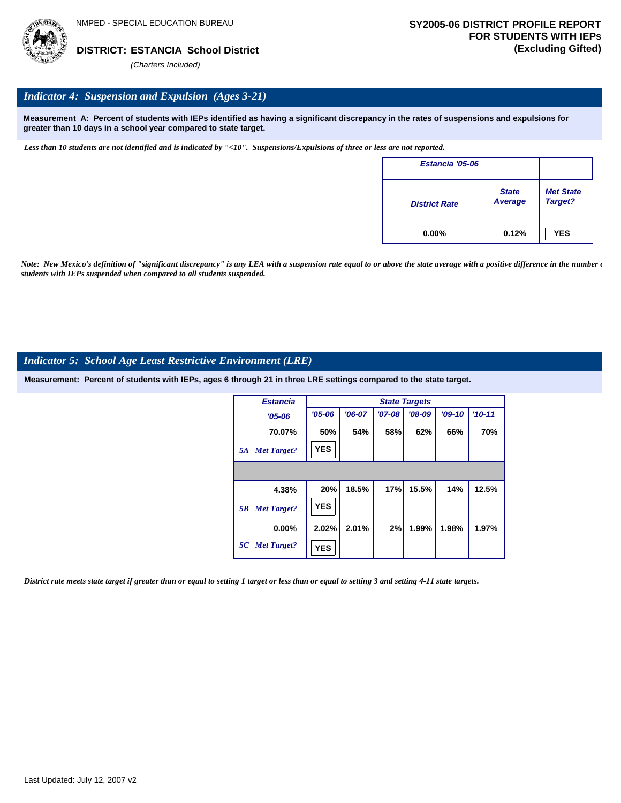

## *Indicator 4: Suspension and Expulsion (Ages 3-21)*

**Measurement A: Percent of students with IEPs identified as having a significant discrepancy in the rates of suspensions and expulsions for greater than 10 days in a school year compared to state target.**

*Less than 10 students are not identified and is indicated by "<10". Suspensions/Expulsions of three or less are not reported.*

| Estancia '05-06      |                         |                             |
|----------------------|-------------------------|-----------------------------|
| <b>District Rate</b> | <b>State</b><br>Average | <b>Met State</b><br>Target? |
| $0.00\%$             | 0.12%                   | <b>YES</b>                  |

*Note: New Mexico's definition of "significant discrepancy" is any LEA with a suspension rate equal to or above the state average with a positive difference in the number*  $\epsilon$ *students with IEPs suspended when compared to all students suspended.*

#### *Indicator 5: School Age Least Restrictive Environment (LRE)*

**Measurement: Percent of students with IEPs, ages 6 through 21 in three LRE settings compared to the state target.**

| <b>Estancia</b>          |            | <b>State Targets</b> |            |          |          |          |  |  |  |  |  |
|--------------------------|------------|----------------------|------------|----------|----------|----------|--|--|--|--|--|
| $'05 - 06$               | $'05 - 06$ | $'06-07$             | $'07 - 08$ | $'08-09$ | $'09-10$ | $'10-11$ |  |  |  |  |  |
| 70.07%                   | 50%        | 54%                  | 58%        | 62%      | 66%      | 70%      |  |  |  |  |  |
| <b>Met Target?</b><br>5A | <b>YES</b> |                      |            |          |          |          |  |  |  |  |  |
|                          |            |                      |            |          |          |          |  |  |  |  |  |
| 4.38%                    | 20%        | 18.5%                | 17%        | 15.5%    | 14%      | 12.5%    |  |  |  |  |  |
| <b>Met Target?</b><br>5B | <b>YES</b> |                      |            |          |          |          |  |  |  |  |  |
| $0.00\%$                 | 2.02%      | 2.01%                | 2%         | 1.99%    | 1.98%    | 1.97%    |  |  |  |  |  |
| 5C Met Target?           | <b>YES</b> |                      |            |          |          |          |  |  |  |  |  |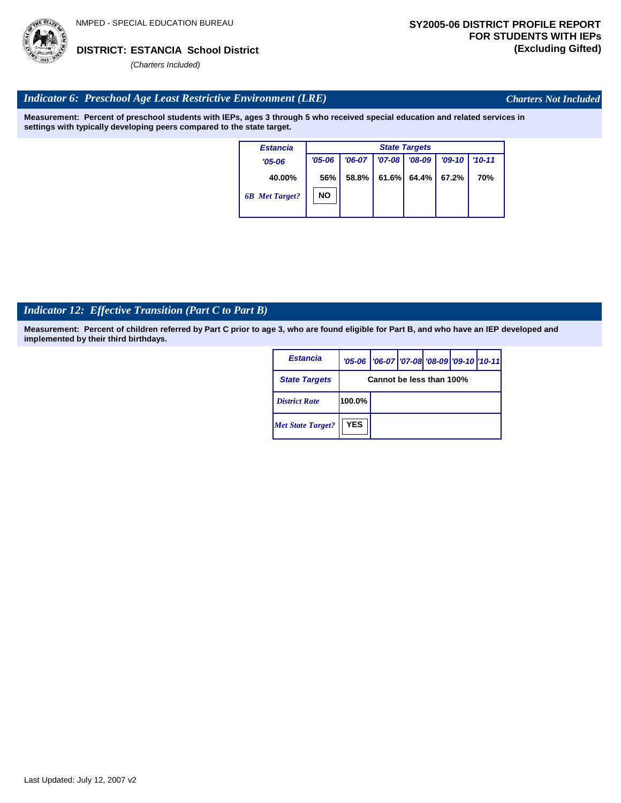

*Charters Not Included*

# *Indicator 6: Preschool Age Least Restrictive Environment (LRE)*

**Measurement: Percent of preschool students with IEPs, ages 3 through 5 who received special education and related services in settings with typically developing peers compared to the state target.**

| Estancia              |            | <b>State Targets</b> |          |          |          |            |  |  |  |
|-----------------------|------------|----------------------|----------|----------|----------|------------|--|--|--|
| $'05 - 06$            | $'05 - 06$ | $'06-07$             | $'07-08$ | $'08-09$ | $'09-10$ | $'10 - 11$ |  |  |  |
| 40.00%                | 56%        | 58.8%                | 61.6%    | 64.4%    | 67.2%    | 70%        |  |  |  |
| <b>6B</b> Met Target? | NO         |                      |          |          |          |            |  |  |  |

# *Indicator 12: Effective Transition (Part C to Part B)*

| Estancia                 |            | '05-06   '06-07   '07-08 '08-09   '09-10   '10-11 |  |  |  |  |  |
|--------------------------|------------|---------------------------------------------------|--|--|--|--|--|
| <b>State Targets</b>     |            | Cannot be less than 100%                          |  |  |  |  |  |
| <b>District Rate</b>     | 100.0%     |                                                   |  |  |  |  |  |
| <b>Met State Target?</b> | <b>YES</b> |                                                   |  |  |  |  |  |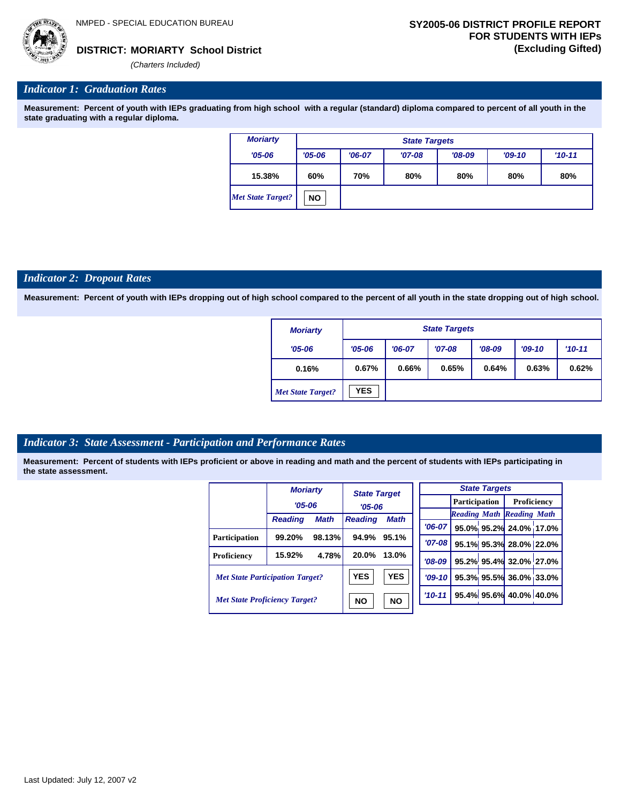*(Charters Included)*

# *Indicator 1: Graduation Rates*

**Measurement: Percent of youth with IEPs graduating from high school with a regular (standard) diploma compared to percent of all youth in the state graduating with a regular diploma.**

| <b>Moriarty</b>          |            | <b>State Targets</b> |          |          |          |          |  |  |  |
|--------------------------|------------|----------------------|----------|----------|----------|----------|--|--|--|
| $'05 - 06$               | $'05 - 06$ | $'06-07$             | $'07-08$ | $'08-09$ | $'09-10$ | $'10-11$ |  |  |  |
| 15.38%                   | 60%        | 70%                  | 80%      | 80%      | 80%      | 80%      |  |  |  |
| <b>Met State Target?</b> | <b>NO</b>  |                      |          |          |          |          |  |  |  |

#### *Indicator 2: Dropout Rates*

**Measurement: Percent of youth with IEPs dropping out of high school compared to the percent of all youth in the state dropping out of high school.**

| <b>Moriarty</b>          |            | <b>State Targets</b>                                       |       |       |       |       |  |  |  |
|--------------------------|------------|------------------------------------------------------------|-------|-------|-------|-------|--|--|--|
| $'05 - 06$               | $'05 - 06$ | $'07-08$<br>$'08-09$<br>$'09-10$<br>$'10 - 11$<br>$'06-07$ |       |       |       |       |  |  |  |
| 0.16%                    | 0.67%      | 0.66%                                                      | 0.65% | 0.64% | 0.63% | 0.62% |  |  |  |
| <b>Met State Target?</b> | <b>YES</b> |                                                            |       |       |       |       |  |  |  |

# *Indicator 3: State Assessment - Participation and Performance Rates*

|                                        | <b>Moriarty</b> |             | <b>State Target</b> |             |            |  |  | <b>State Targets</b> |                                  |  |                    |  |
|----------------------------------------|-----------------|-------------|---------------------|-------------|------------|--|--|----------------------|----------------------------------|--|--------------------|--|
|                                        | $'05 - 06$      |             | $'05 - 06$          |             |            |  |  |                      | <b>Participation</b>             |  | <b>Proficiency</b> |  |
|                                        |                 |             |                     |             |            |  |  |                      | <b>Reading Math Reading Math</b> |  |                    |  |
|                                        | <b>Reading</b>  | <b>Math</b> | <b>Reading</b>      | <b>Math</b> |            |  |  |                      |                                  |  |                    |  |
|                                        |                 |             |                     |             | $'06-07$   |  |  |                      | 95.0% 95.2% 24.0% 17.0%          |  |                    |  |
| Participation                          | 99.20%          | 98.13%      | 94.9%               | 95.1%       | $'07 - 08$ |  |  |                      | 95.1% 95.3% 28.0% 22.0%          |  |                    |  |
| Proficiency                            | 15.92%          | 4.78%       | 20.0%               | 13.0%       | $'08-09$   |  |  |                      | 95.2% 95.4% 32.0% 27.0%          |  |                    |  |
| <b>Met State Participation Target?</b> |                 |             | <b>YES</b>          | <b>YES</b>  | $'09-10'$  |  |  |                      | 95.3% 95.5% 36.0% 33.0%          |  |                    |  |
| <b>Met State Proficiency Target?</b>   |                 |             | <b>NO</b>           | <b>NO</b>   | $'10 - 11$ |  |  |                      | 95.4% 95.6% 40.0% 40.0%          |  |                    |  |
|                                        |                 |             |                     |             |            |  |  |                      |                                  |  |                    |  |

|  | Last Updated: July 12, 2007 v2 |  |  |  |  |
|--|--------------------------------|--|--|--|--|
|--|--------------------------------|--|--|--|--|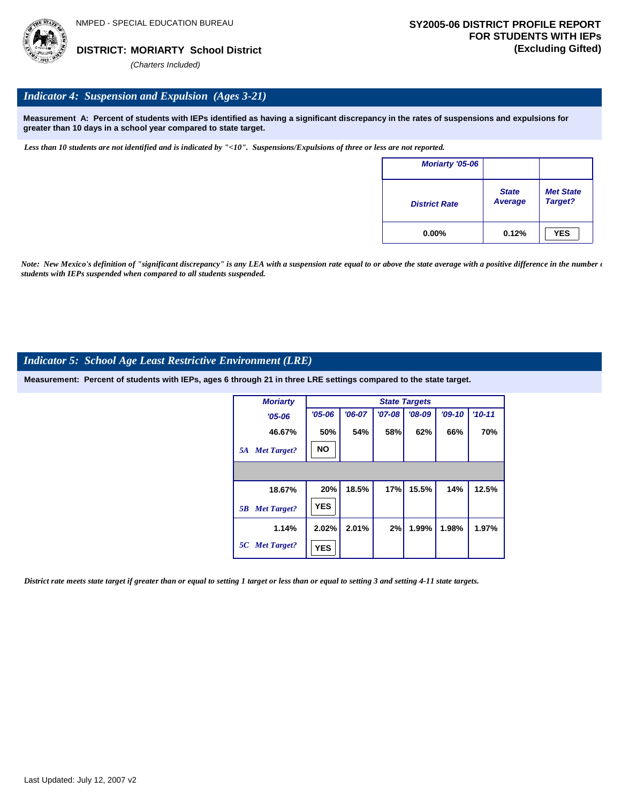

## *Indicator 4: Suspension and Expulsion (Ages 3-21)*

**Measurement A: Percent of students with IEPs identified as having a significant discrepancy in the rates of suspensions and expulsions for greater than 10 days in a school year compared to state target.**

*Less than 10 students are not identified and is indicated by "<10". Suspensions/Expulsions of three or less are not reported.*

| Moriarty '05-06      |                         |                             |
|----------------------|-------------------------|-----------------------------|
| <b>District Rate</b> | <b>State</b><br>Average | <b>Met State</b><br>Target? |
| $0.00\%$             | 0.12%                   | <b>YES</b>                  |

*Note: New Mexico's definition of "significant discrepancy" is any LEA with a suspension rate equal to or above the state average with a positive difference in the number*  $\epsilon$ *students with IEPs suspended when compared to all students suspended.*

#### *Indicator 5: School Age Least Restrictive Environment (LRE)*

**Measurement: Percent of students with IEPs, ages 6 through 21 in three LRE settings compared to the state target.**

| <b>Moriarty</b>          |            |          |          | <b>State Targets</b> |          |          |
|--------------------------|------------|----------|----------|----------------------|----------|----------|
| $'05 - 06$               | $'05 - 06$ | $'06-07$ | $'07-08$ | $'08-09$             | $'09-10$ | $'10-11$ |
| 46.67%                   | 50%        | 54%      | 58%      | 62%                  | 66%      | 70%      |
| <b>Met Target?</b><br>5A | <b>NO</b>  |          |          |                      |          |          |
|                          |            |          |          |                      |          |          |
| 18.67%                   | 20%        | 18.5%    | 17%      | 15.5%                | 14%      | 12.5%    |
| <b>Met Target?</b><br>5B | <b>YES</b> |          |          |                      |          |          |
| 1.14%                    | 2.02%      | 2.01%    | 2%       | 1.99%                | 1.98%    | 1.97%    |
| 5C Met Target?           | <b>YES</b> |          |          |                      |          |          |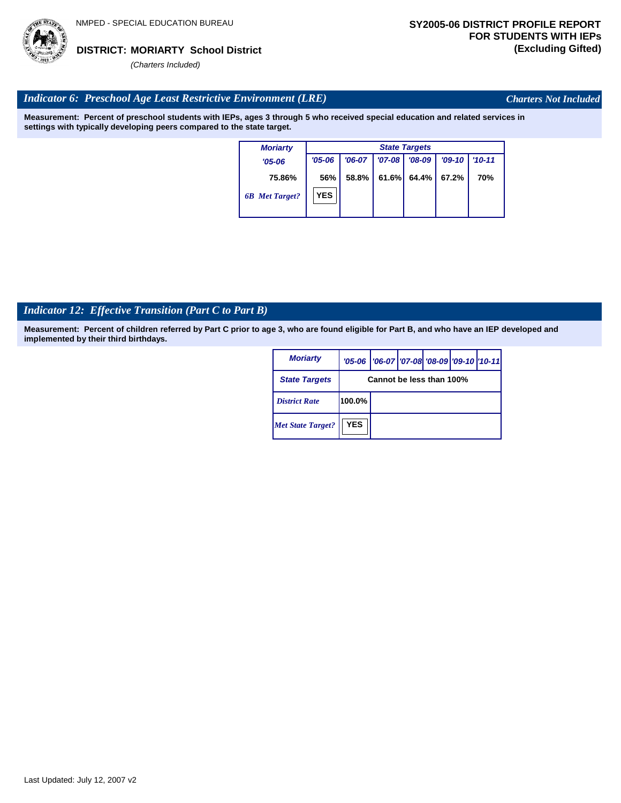

*Charters Not Included*

# *Indicator 6: Preschool Age Least Restrictive Environment (LRE)*

**Measurement: Percent of preschool students with IEPs, ages 3 through 5 who received special education and related services in settings with typically developing peers compared to the state target.**

| <b>Moriarty</b>       |            | <b>State Targets</b> |          |          |          |            |  |  |  |  |
|-----------------------|------------|----------------------|----------|----------|----------|------------|--|--|--|--|
| $'05 - 06$            | $'05 - 06$ | $'06-07$             | $'07-08$ | $'08-09$ | $'09-10$ | $'10 - 11$ |  |  |  |  |
| 75.86%                | 56%        | 58.8%                | 61.6%    | 64.4%    | 67.2%    | 70%        |  |  |  |  |
| <b>6B</b> Met Target? | <b>YES</b> |                      |          |          |          |            |  |  |  |  |

# *Indicator 12: Effective Transition (Part C to Part B)*

| <b>Moriarty</b>          |            | '05-06   '06-07   '07-08 '08-09   '09-10   '10-11 |  |  |
|--------------------------|------------|---------------------------------------------------|--|--|
| <b>State Targets</b>     |            | Cannot be less than 100%                          |  |  |
| <b>District Rate</b>     | 100.0%     |                                                   |  |  |
| <b>Met State Target?</b> | <b>YES</b> |                                                   |  |  |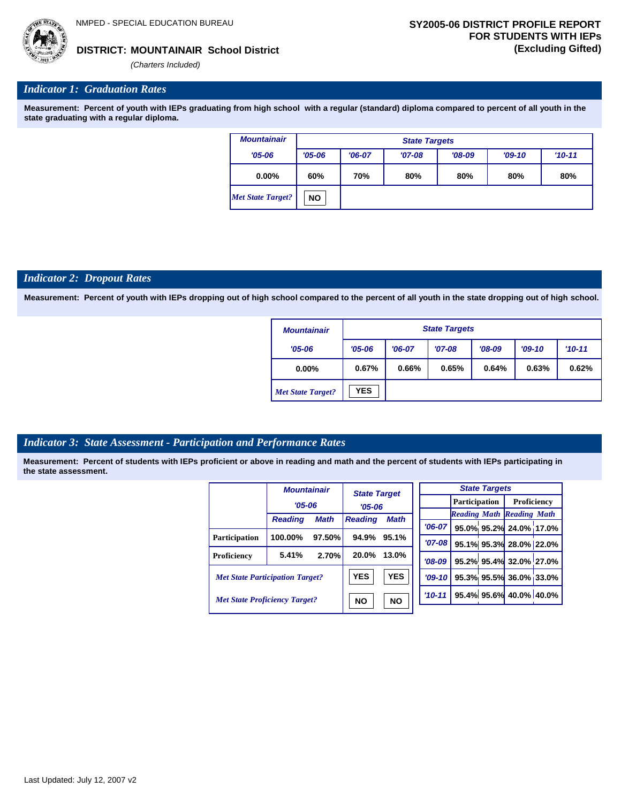

### **MOUNTAINAIR School District DISTRICT: (Excluding Gifted)**

*(Charters Included)*

# *Indicator 1: Graduation Rates*

**Measurement: Percent of youth with IEPs graduating from high school with a regular (standard) diploma compared to percent of all youth in the state graduating with a regular diploma.**

| <b>Mountainair</b>       |            | <b>State Targets</b>            |          |          |          |          |  |  |  |  |
|--------------------------|------------|---------------------------------|----------|----------|----------|----------|--|--|--|--|
| $'05 - 06$               | $'05 - 06$ | $'06-07$                        | $'07-08$ | $'08-09$ | $'09-10$ | $'10-11$ |  |  |  |  |
| $0.00\%$                 | 60%        | 70%<br>80%<br>80%<br>80%<br>80% |          |          |          |          |  |  |  |  |
| <b>Met State Target?</b> | <b>NO</b>  |                                 |          |          |          |          |  |  |  |  |

#### *Indicator 2: Dropout Rates*

**Measurement: Percent of youth with IEPs dropping out of high school compared to the percent of all youth in the state dropping out of high school.**

| <b>Mountainair</b>       |            | <b>State Targets</b> |          |          |          |          |  |  |  |
|--------------------------|------------|----------------------|----------|----------|----------|----------|--|--|--|
| $'05 - 06$               | $'05 - 06$ | $'06-07$             | $'07-08$ | $'08-09$ | $'09-10$ | $'10-11$ |  |  |  |
| $0.00\%$                 | 0.67%      | 0.66%                | 0.65%    | 0.64%    | 0.63%    | 0.62%    |  |  |  |
| <b>Met State Target?</b> | <b>YES</b> |                      |          |          |          |          |  |  |  |

# *Indicator 3: State Assessment - Participation and Performance Rates*

|                                        | <b>Mountainair</b> |                        | <b>State Target</b>           |            |           | <b>State Targets</b> |                                  |                        |                        |  |             |  |
|----------------------------------------|--------------------|------------------------|-------------------------------|------------|-----------|----------------------|----------------------------------|------------------------|------------------------|--|-------------|--|
|                                        |                    | $'05 - 06$             |                               | $'05-06$   |           |                      |                                  |                        | <b>Participation</b>   |  | Proficiency |  |
|                                        |                    |                        | <b>Math</b><br><b>Reading</b> |            |           |                      | <b>Reading Math Reading Math</b> |                        |                        |  |             |  |
|                                        | <b>Reading</b>     | <b>Math</b>            |                               |            | $'06-07$  |                      |                                  |                        | 95.0% 95.2% 24.0% 17.0 |  |             |  |
| <b>Participation</b>                   | 100.00%            | 97.50%                 | 94.9%                         | 95.1%      |           |                      |                                  |                        |                        |  |             |  |
|                                        |                    |                        |                               |            | $'07-08$  |                      |                                  |                        | 95.1% 95.3% 28.0% 22.0 |  |             |  |
| <b>Proficiency</b>                     | 5.41%              | 2.70%                  | 20.0%                         | 13.0%      | $'08-09$  |                      |                                  |                        | 95.2% 95.4% 32.0% 27.0 |  |             |  |
| <b>Met State Participation Target?</b> |                    |                        | <b>YES</b>                    | <b>YES</b> | $'09-10'$ |                      |                                  |                        | 95.3% 95.5% 36.0% 33.0 |  |             |  |
| <b>Met State Proficiency Target?</b>   |                    | <b>NO</b><br><b>NO</b> |                               | $'10-11$   |           |                      |                                  | 95.4% 95.6% 40.0% 40.0 |                        |  |             |  |
|                                        |                    |                        |                               |            |           |                      |                                  |                        |                        |  |             |  |

| <b>State Targets</b> |                                  |  |                                  |  |  |  |  |  |
|----------------------|----------------------------------|--|----------------------------------|--|--|--|--|--|
|                      |                                  |  | <b>Participation</b> Proficiency |  |  |  |  |  |
|                      | <b>Reading Math Reading Math</b> |  |                                  |  |  |  |  |  |
|                      | '06-07 95.0% 95.2% 24.0% 17.0%   |  |                                  |  |  |  |  |  |
| $'07 - 08$           | 95.1% 95.3% 28.0% 22.0%          |  |                                  |  |  |  |  |  |
|                      | $708-09$ 95.2% 95.4% 32.0% 27.0% |  |                                  |  |  |  |  |  |
|                      | '09-10 95.3% 95.5% 36.0% 33.0%   |  |                                  |  |  |  |  |  |
|                      | 10-11 95.4% 95.6% 40.0% 40.0%    |  |                                  |  |  |  |  |  |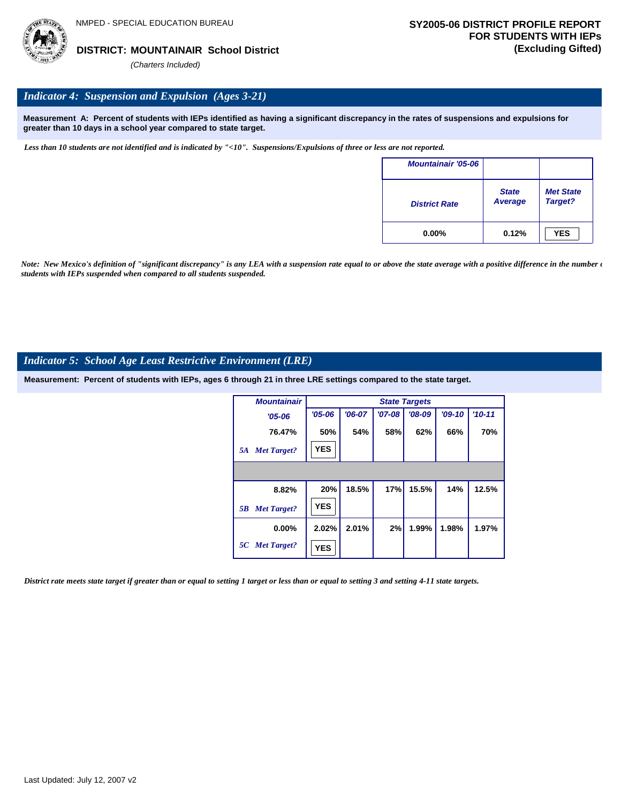

# *Indicator 4: Suspension and Expulsion (Ages 3-21)*

**Measurement A: Percent of students with IEPs identified as having a significant discrepancy in the rates of suspensions and expulsions for greater than 10 days in a school year compared to state target.**

*Less than 10 students are not identified and is indicated by "<10". Suspensions/Expulsions of three or less are not reported.*

| <b>Mountainair '05-06</b> |                                |                             |
|---------------------------|--------------------------------|-----------------------------|
| <b>District Rate</b>      | <b>State</b><br><b>Average</b> | <b>Met State</b><br>Target? |
| $0.00\%$                  | 0.12%                          | <b>YES</b>                  |

*Note: New Mexico's definition of "significant discrepancy" is any LEA with a suspension rate equal to or above the state average with a positive difference in the number*  $\epsilon$ *students with IEPs suspended when compared to all students suspended.*

### *Indicator 5: School Age Least Restrictive Environment (LRE)*

**Measurement: Percent of students with IEPs, ages 6 through 21 in three LRE settings compared to the state target.**

| <b>Mountainair</b>       |            |          |            | <b>State Targets</b> |          |          |
|--------------------------|------------|----------|------------|----------------------|----------|----------|
| $'05 - 06$               | $'05 - 06$ | $'06-07$ | $'07 - 08$ | $'08-09$             | $'09-10$ | $'10-11$ |
| 76.47%                   | 50%        | 54%      | 58%        | 62%                  | 66%      | 70%      |
| <b>Met Target?</b><br>5A | <b>YES</b> |          |            |                      |          |          |
|                          |            |          |            |                      |          |          |
| 8.82%                    | 20%        | 18.5%    | 17%        | 15.5%                | 14%      | 12.5%    |
| <b>Met Target?</b><br>5B | <b>YES</b> |          |            |                      |          |          |
| $0.00\%$                 | 2.02%      | 2.01%    | 2%         | 1.99%                | 1.98%    | 1.97%    |
| 5C Met Target?           | <b>YES</b> |          |            |                      |          |          |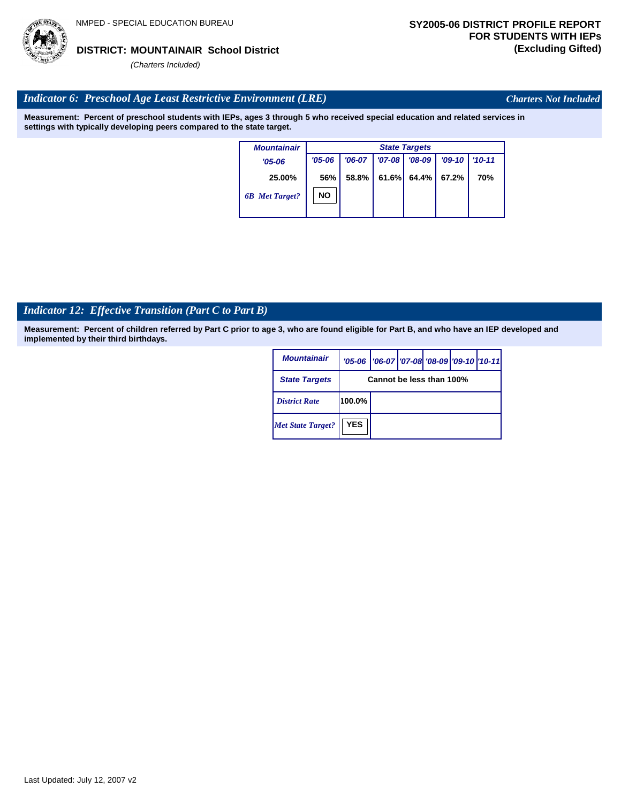# *Indicator 6: Preschool Age Least Restrictive Environment (LRE)*

**Measurement: Percent of preschool students with IEPs, ages 3 through 5 who received special education and related services in settings with typically developing peers compared to the state target.**

| <b>Mountainair</b>    |            | <b>State Targets</b> |          |          |          |          |  |  |  |  |  |
|-----------------------|------------|----------------------|----------|----------|----------|----------|--|--|--|--|--|
| $'05 - 06$            | $'05 - 06$ | $'06-07$             | $'07-08$ | $'08-09$ | $'09-10$ | $'10-11$ |  |  |  |  |  |
| 25.00%                | 56%        | 58.8%                | 61.6%    | 64.4%    | 67.2%    | 70%      |  |  |  |  |  |
| <b>6B</b> Met Target? | <b>NO</b>  |                      |          |          |          |          |  |  |  |  |  |
|                       |            |                      |          |          |          |          |  |  |  |  |  |

# *Indicator 12: Effective Transition (Part C to Part B)*

| <i><b>Mountainair</b></i> | $'05 - 06$ | '06-07   '07-08 '08-09 '09-10   '10-11 |  |  |  |  |  |  |  |
|---------------------------|------------|----------------------------------------|--|--|--|--|--|--|--|
| <b>State Targets</b>      |            | Cannot be less than 100%               |  |  |  |  |  |  |  |
| <b>District Rate</b>      | 100.0%     |                                        |  |  |  |  |  |  |  |
| <b>Met State Target?</b>  | <b>YES</b> |                                        |  |  |  |  |  |  |  |

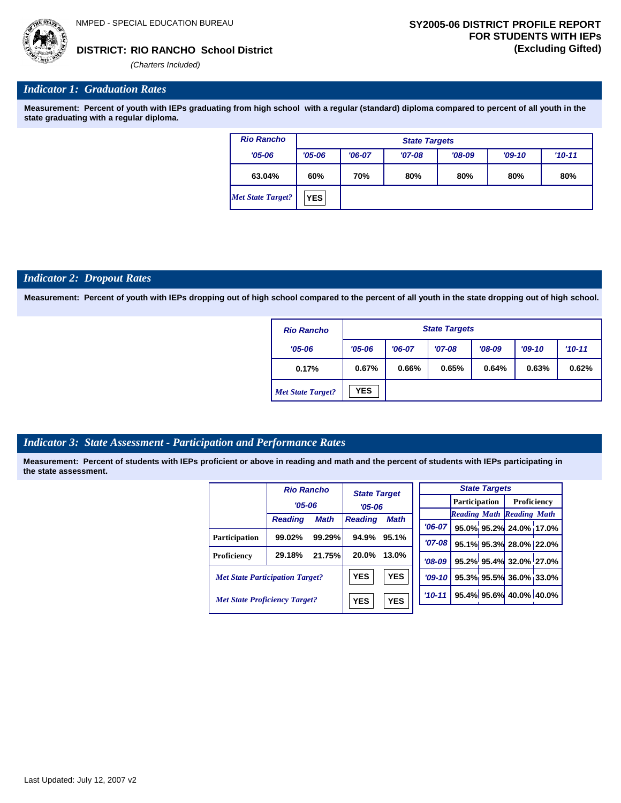*'06-07* **95.0% 95.2% 24.0% 17.0%**

**95.1% 95.3% 28.0% 22.0% 95.2% 95.4% 32.0% 27.0% 95.3% 95.5% 36.0% 33.0% 95.4% 95.6% 40.0% 40.0%**

*Reading Math Reading Math*

**RIO RANCHO School District DISTRICT: (Excluding Gifted)**

*(Charters Included)*

### *Indicator 1: Graduation Rates*

**Measurement: Percent of youth with IEPs graduating from high school with a regular (standard) diploma compared to percent of all youth in the state graduating with a regular diploma.**

| <b>Rio Rancho</b>        |            | <b>State Targets</b> |          |          |          |          |  |  |  |  |
|--------------------------|------------|----------------------|----------|----------|----------|----------|--|--|--|--|
| $'05 - 06$               | $'05 - 06$ | $'06-07$             | $'07-08$ | $'08-09$ | $'09-10$ | $'10-11$ |  |  |  |  |
| 63.04%                   | 60%        | 70%                  | 80%      | 80%      | 80%      | 80%      |  |  |  |  |
| <b>Met State Target?</b> | <b>YES</b> |                      |          |          |          |          |  |  |  |  |

#### *Indicator 2: Dropout Rates*

**Measurement: Percent of youth with IEPs dropping out of high school compared to the percent of all youth in the state dropping out of high school.**

| <b>Rio Rancho</b>        |            | <b>State Targets</b> |          |          |          |          |  |  |  |
|--------------------------|------------|----------------------|----------|----------|----------|----------|--|--|--|
| $'05 - 06$               | $'05 - 06$ | $'06-07$             | $'07-08$ | $'08-09$ | $'09-10$ | $'10-11$ |  |  |  |
| 0.17%                    | 0.67%      | 0.66%                | 0.65%    | 0.64%    | 0.63%    | 0.62%    |  |  |  |
| <b>Met State Target?</b> | <b>YES</b> |                      |          |          |          |          |  |  |  |

#### *Indicator 3: State Assessment - Participation and Performance Rates*

|                                        | <b>Rio Rancho</b> |             | <b>State Target</b> |             |  |                      |  | <b>State Targets</b> |                                  |  |
|----------------------------------------|-------------------|-------------|---------------------|-------------|--|----------------------|--|----------------------|----------------------------------|--|
|                                        | $'05 - 06$        |             | $'05 - 06$          |             |  | <b>Participation</b> |  | Proficiency          |                                  |  |
|                                        |                   |             |                     |             |  |                      |  |                      | <b>Reading Math Reading Math</b> |  |
|                                        | <b>Reading</b>    | <b>Math</b> | <b>Reading</b>      | <b>Math</b> |  | $'06-07$             |  |                      | 95.0% 95.2% 24.0% 17.0           |  |
| <b>Participation</b>                   | 99.02%            | 99.29%      | 94.9%               | 95.1%       |  |                      |  |                      |                                  |  |
|                                        |                   |             |                     |             |  | $'07-08'$            |  |                      | 95.1% 95.3% 28.0% 22.0           |  |
| Proficiency                            | 29.18%            | 21.75%      | 20.0%               | 13.0%       |  | $'08-09$             |  |                      | 95.2% 95.4% 32.0% 27.0           |  |
| <b>Met State Participation Target?</b> |                   |             | <b>YES</b>          | <b>YES</b>  |  | $'09-10'$            |  |                      | 95.3% 95.5% 36.0% 33.0           |  |
| <b>Met State Proficiency Target?</b>   |                   |             | <b>YES</b>          | <b>YES</b>  |  | $'10 - 11$           |  |                      | 95.4% 95.6% 40.0% 40.0           |  |
|                                        |                   |             |                     |             |  |                      |  |                      |                                  |  |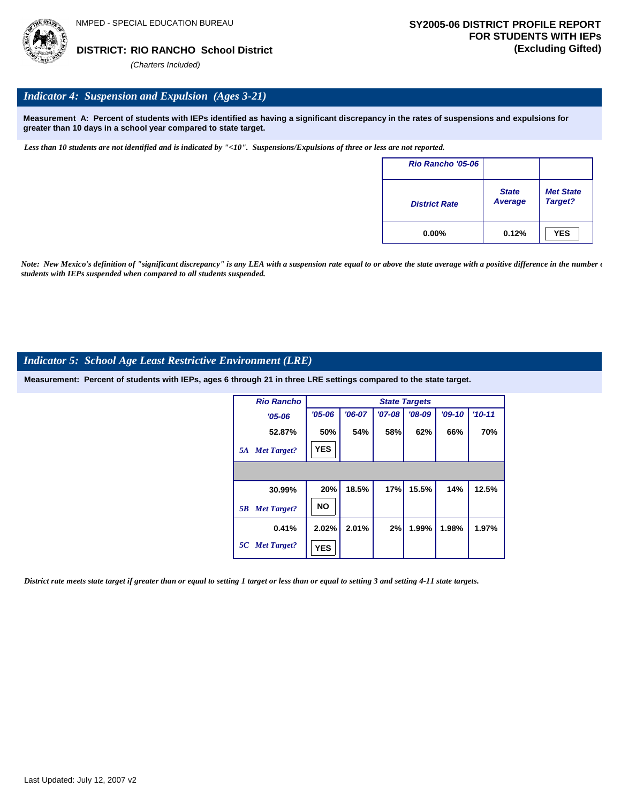

# *Indicator 4: Suspension and Expulsion (Ages 3-21)*

**Measurement A: Percent of students with IEPs identified as having a significant discrepancy in the rates of suspensions and expulsions for greater than 10 days in a school year compared to state target.**

*Less than 10 students are not identified and is indicated by "<10". Suspensions/Expulsions of three or less are not reported.*

| <b>Rio Rancho '05-06</b> |                                |                             |
|--------------------------|--------------------------------|-----------------------------|
| <b>District Rate</b>     | <b>State</b><br><b>Average</b> | <b>Met State</b><br>Target? |
| $0.00\%$                 | 0.12%                          | <b>YES</b>                  |

*Note: New Mexico's definition of "significant discrepancy" is any LEA with a suspension rate equal to or above the state average with a positive difference in the number*  $\epsilon$ *students with IEPs suspended when compared to all students suspended.*

### *Indicator 5: School Age Least Restrictive Environment (LRE)*

**Measurement: Percent of students with IEPs, ages 6 through 21 in three LRE settings compared to the state target.**

| <b>Rio Rancho</b>        |            |          |            | <b>State Targets</b> |          |          |
|--------------------------|------------|----------|------------|----------------------|----------|----------|
| $'05 - 06$               | $'05 - 06$ | $'06-07$ | $'07 - 08$ | $'08-09$             | $'09-10$ | $'10-11$ |
| 52.87%                   | 50%        | 54%      | 58%        | 62%                  | 66%      | 70%      |
| <b>Met Target?</b><br>5A | <b>YES</b> |          |            |                      |          |          |
|                          |            |          |            |                      |          |          |
| 30.99%                   | 20%        | 18.5%    | 17%        | 15.5%                | 14%      | 12.5%    |
| <b>Met Target?</b><br>5B | <b>NO</b>  |          |            |                      |          |          |
| 0.41%                    | 2.02%      | 2.01%    | 2%         | 1.99%                | 1.98%    | 1.97%    |
| 5C Met Target?           | <b>YES</b> |          |            |                      |          |          |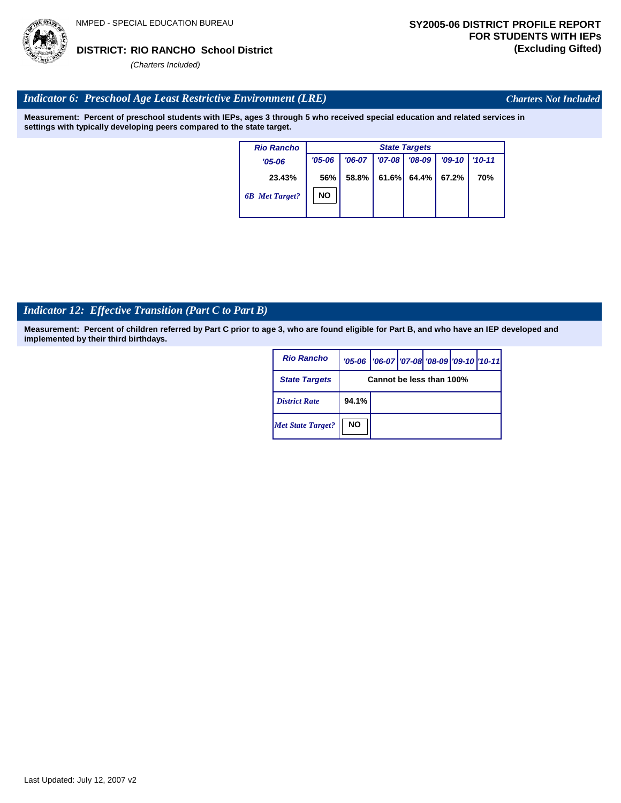# *Indicator 6: Preschool Age Least Restrictive Environment (LRE)*

**Measurement: Percent of preschool students with IEPs, ages 3 through 5 who received special education and related services in settings with typically developing peers compared to the state target.**

| $'09-10$<br>$'10 - 11$ |
|------------------------|
|                        |
| 70%                    |
|                        |
| 67.2%                  |

# *Indicator 12: Effective Transition (Part C to Part B)*

**Measurement: Percent of children referred by Part C prior to age 3, who are found eligible for Part B, and who have an IEP developed and implemented by their third birthdays.**

| <b>Rio Rancho</b>        |           | '05-06   '06-07   '07-08 '08-09   '09-10   '10-11 |  |  |  |  |  |  |  |
|--------------------------|-----------|---------------------------------------------------|--|--|--|--|--|--|--|
| <b>State Targets</b>     |           | Cannot be less than 100%                          |  |  |  |  |  |  |  |
| <b>District Rate</b>     | 94.1%     |                                                   |  |  |  |  |  |  |  |
| <b>Met State Target?</b> | <b>NO</b> |                                                   |  |  |  |  |  |  |  |



*Charters Not Included*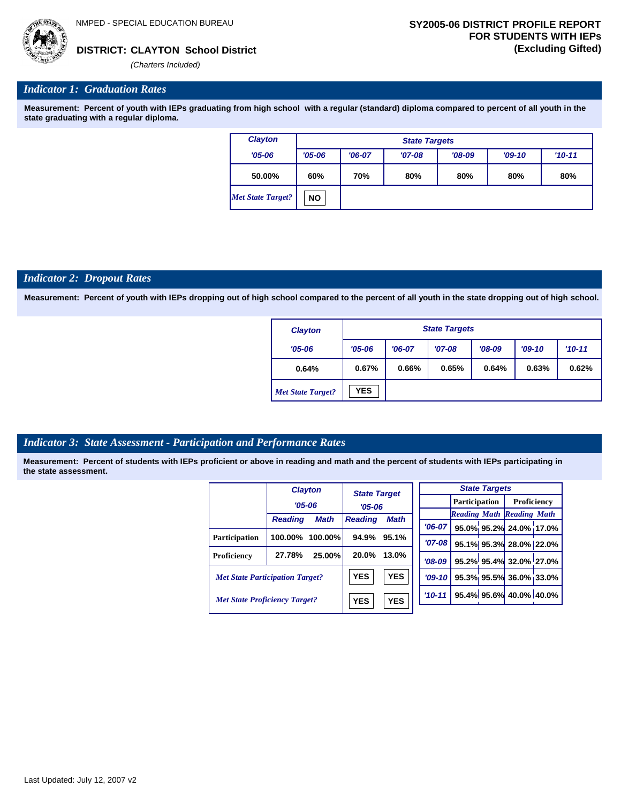*Indicator 1: Graduation Rates* 

**Measurement: Percent of youth with IEPs graduating from high school with a regular (standard) diploma compared to percent of all youth in the state graduating with a regular diploma.**

| <b>Clayton</b>           |            | <b>State Targets</b> |          |          |          |            |  |  |  |  |
|--------------------------|------------|----------------------|----------|----------|----------|------------|--|--|--|--|
| $'05 - 06$               | $'05 - 06$ | $'06-07$             | $'07-08$ | $'08-09$ | $'09-10$ | $'10 - 11$ |  |  |  |  |
| 50.00%                   | 60%        | 70%                  | 80%      | 80%      | 80%      | 80%        |  |  |  |  |
| <b>Met State Target?</b> | NO.        |                      |          |          |          |            |  |  |  |  |

#### *Indicator 2: Dropout Rates*

**Measurement: Percent of youth with IEPs dropping out of high school compared to the percent of all youth in the state dropping out of high school.**

| <b>Clayton</b>           |            | <b>State Targets</b> |          |          |          |          |  |  |  |
|--------------------------|------------|----------------------|----------|----------|----------|----------|--|--|--|
| $'05 - 06$               | $'05 - 06$ | $'06-07$             | $'07-08$ | $'08-09$ | $'09-10$ | $'10-11$ |  |  |  |
| 0.64%                    | 0.67%      | 0.66%                | 0.65%    | 0.64%    | 0.63%    | 0.62%    |  |  |  |
| <b>Met State Target?</b> | <b>YES</b> |                      |          |          |          |          |  |  |  |

#### *Indicator 3: State Assessment - Participation and Performance Rates*

|                                        |                | <b>Clayton</b> | <b>State Target</b>      |            |            |          | <b>State Targets</b>             |  |                         |  |  |             |
|----------------------------------------|----------------|----------------|--------------------------|------------|------------|----------|----------------------------------|--|-------------------------|--|--|-------------|
|                                        | $'05 - 06$     |                |                          |            | $'05 - 06$ |          |                                  |  | <b>Participation</b>    |  |  | Proficiency |
|                                        |                |                |                          |            |            |          | <b>Reading Math Reading Math</b> |  |                         |  |  |             |
|                                        | <b>Reading</b> | <b>Math</b>    | <b>Reading</b>           | Math       |            | $'06-07$ |                                  |  | 95.0% 95.2% 24.0% 17.0% |  |  |             |
| Participation                          | 100.00%        | 100.00%        | 94.9%                    | 95.1%      |            | '07-08 l |                                  |  | 95.1% 95.3% 28.0% 22.0% |  |  |             |
| Proficiency                            | 27.78%         | 25.00%         | 20.0%                    | 13.0%      |            | $'08-09$ |                                  |  | 95.2% 95.4% 32.0% 27.0% |  |  |             |
| <b>Met State Participation Target?</b> |                |                | <b>YES</b>               | <b>YES</b> |            | $'09-10$ |                                  |  | 95.3% 95.5% 36.0% 33.0% |  |  |             |
| <b>Met State Proficiency Target?</b>   |                |                | <b>YES</b><br><b>YES</b> |            |            | $'10-11$ |                                  |  | 95.4% 95.6% 40.0% 40.0% |  |  |             |
|                                        |                |                |                          |            |            |          |                                  |  |                         |  |  |             |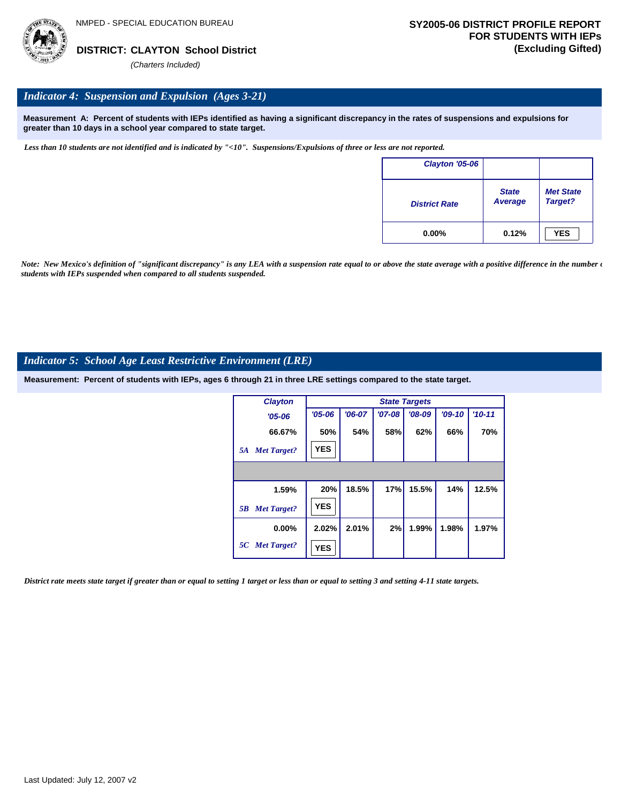

### *Indicator 4: Suspension and Expulsion (Ages 3-21)*

**Measurement A: Percent of students with IEPs identified as having a significant discrepancy in the rates of suspensions and expulsions for greater than 10 days in a school year compared to state target.**

*Less than 10 students are not identified and is indicated by "<10". Suspensions/Expulsions of three or less are not reported.*

| Clayton '05-06       |                                |                             |
|----------------------|--------------------------------|-----------------------------|
| <b>District Rate</b> | <b>State</b><br><b>Average</b> | <b>Met State</b><br>Target? |
| $0.00\%$             | 0.12%                          | <b>YES</b>                  |

*Note: New Mexico's definition of "significant discrepancy" is any LEA with a suspension rate equal to or above the state average with a positive difference in the number*  $\epsilon$ *students with IEPs suspended when compared to all students suspended.*

#### *Indicator 5: School Age Least Restrictive Environment (LRE)*

**Measurement: Percent of students with IEPs, ages 6 through 21 in three LRE settings compared to the state target.**

| <b>Clayton</b>           | <b>State Targets</b> |          |          |          |          |            |
|--------------------------|----------------------|----------|----------|----------|----------|------------|
| $'05 - 06$               | $'05 - 06$           | $'06-07$ | $'07-08$ | $'08-09$ | $'09-10$ | $'10 - 11$ |
| 66.67%                   | 50%                  | 54%      | 58%      | 62%      | 66%      | 70%        |
| <b>Met Target?</b><br>5A | <b>YES</b>           |          |          |          |          |            |
|                          |                      |          |          |          |          |            |
| 1.59%                    | 20%                  | 18.5%    | 17%      | 15.5%    | 14%      | 12.5%      |
| <b>Met Target?</b><br>5B | <b>YES</b>           |          |          |          |          |            |
| $0.00\%$                 | 2.02%                | 2.01%    | 2%       | 1.99%    | 1.98%    | 1.97%      |
| 5C Met Target?           | <b>YES</b>           |          |          |          |          |            |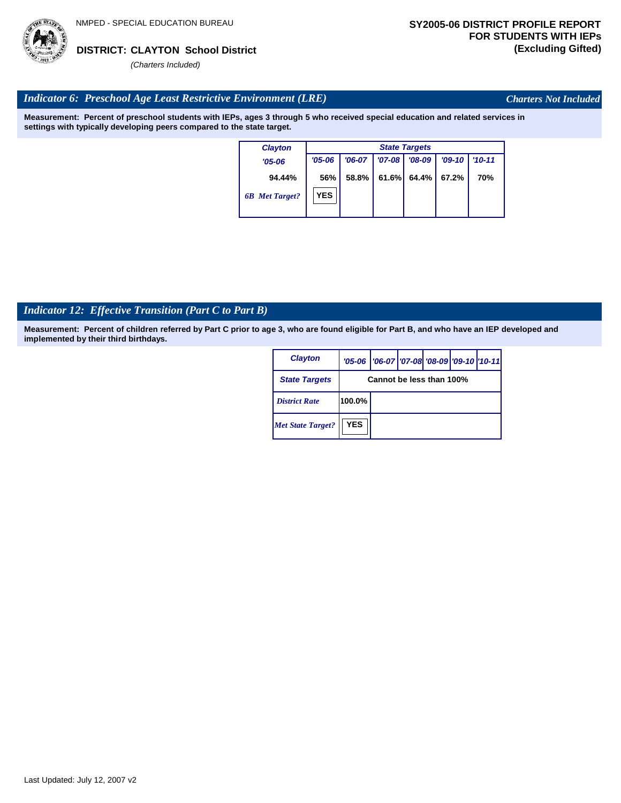

*Charters Not Included*

# *Indicator 6: Preschool Age Least Restrictive Environment (LRE)*

**Measurement: Percent of preschool students with IEPs, ages 3 through 5 who received special education and related services in settings with typically developing peers compared to the state target.**

| <b>Clayton</b>        | <b>State Targets</b> |          |          |          |          |            |
|-----------------------|----------------------|----------|----------|----------|----------|------------|
| $'05-06$              | $'05 - 06$           | $'06-07$ | $'07-08$ | $'08-09$ | $'09-10$ | $'10 - 11$ |
| 94.44%                | 56%                  | 58.8%    | 61.6%    | 64.4%    | 67.2%    | 70%        |
| <b>6B</b> Met Target? | <b>YES</b>           |          |          |          |          |            |

# *Indicator 12: Effective Transition (Part C to Part B)*

| <b>Clayton</b>           |                          | '05-06   '06-07   '07-08 '08-09   '09-10   '10-11 |  |  |  |  |
|--------------------------|--------------------------|---------------------------------------------------|--|--|--|--|
| <b>State Targets</b>     | Cannot be less than 100% |                                                   |  |  |  |  |
| <b>District Rate</b>     | 100.0%                   |                                                   |  |  |  |  |
| <b>Met State Target?</b> | <b>YES</b>               |                                                   |  |  |  |  |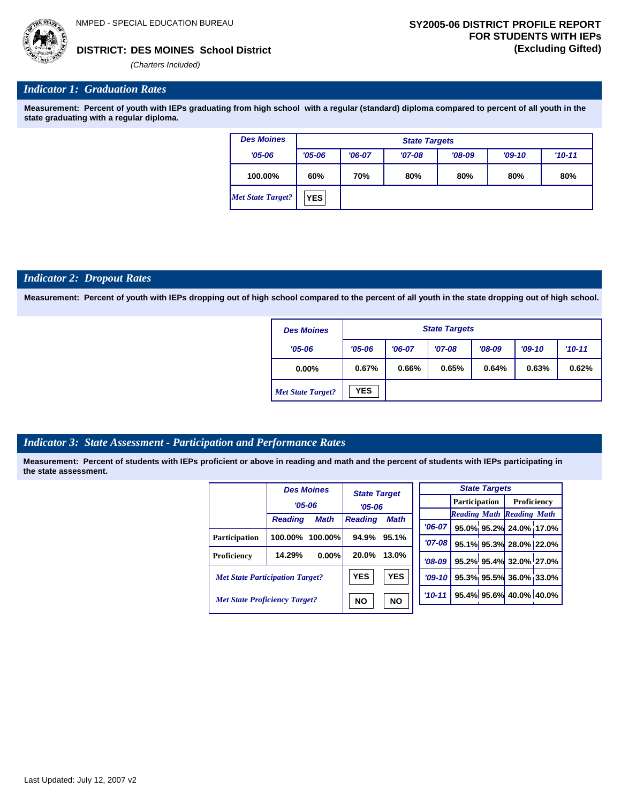*(Charters Included)*

# *Indicator 1: Graduation Rates*

**Measurement: Percent of youth with IEPs graduating from high school with a regular (standard) diploma compared to percent of all youth in the state graduating with a regular diploma.**

| <b>Des Moines</b>        |            |          | <b>State Targets</b> |          |          |          |
|--------------------------|------------|----------|----------------------|----------|----------|----------|
| $'05 - 06$               | $'05 - 06$ | $'06-07$ | $'07-08$             | $'08-09$ | $'09-10$ | $'10-11$ |
| 100.00%                  | 60%        | 70%      | 80%                  | 80%      | 80%      | 80%      |
| <b>Met State Target?</b> | <b>YES</b> |          |                      |          |          |          |

### *Indicator 2: Dropout Rates*

**Measurement: Percent of youth with IEPs dropping out of high school compared to the percent of all youth in the state dropping out of high school.**

| <b>Des Moines</b>        |            |          | <b>State Targets</b> |          |          |          |
|--------------------------|------------|----------|----------------------|----------|----------|----------|
| $'05 - 06$               | $'05 - 06$ | $'06-07$ | $'07-08$             | $'08-09$ | $'09-10$ | $'10-11$ |
| $0.00\%$                 | 0.67%      | 0.66%    | 0.65%                | 0.64%    | 0.63%    | 0.62%    |
| <b>Met State Target?</b> | <b>YES</b> |          |                      |          |          |          |

# *Indicator 3: State Assessment - Participation and Performance Rates*

|                                        |                | <b>Des Moines</b> | <b>State Target</b> |             |            |                                  |  | <b>State Targets</b>    |  |  |  |
|----------------------------------------|----------------|-------------------|---------------------|-------------|------------|----------------------------------|--|-------------------------|--|--|--|
|                                        | $'05 - 06$     |                   |                     |             |            | <b>Participation</b>             |  | Proficiency             |  |  |  |
|                                        |                |                   | $'05 - 06$          |             |            | <b>Reading Math Reading Math</b> |  |                         |  |  |  |
|                                        | <b>Reading</b> | <b>Math</b>       | <b>Reading</b>      | <b>Math</b> |            |                                  |  |                         |  |  |  |
|                                        |                |                   |                     |             | $'06-07$   |                                  |  | 95.0% 95.2% 24.0% 17.0% |  |  |  |
| <b>Participation</b>                   | 100.00%        | $100.00\%$        | 94.9%               | 95.1%       | $'07 - 08$ |                                  |  | 95.1% 95.3% 28.0% 22.0% |  |  |  |
| <b>Proficiency</b>                     | 14.29%         | 0.00%             | 20.0%               | 13.0%       | $'08-09$   |                                  |  | 95.2% 95.4% 32.0% 27.0% |  |  |  |
| <b>Met State Participation Target?</b> |                |                   | <b>YES</b>          | <b>YES</b>  | $'09-10'$  |                                  |  | 95.3% 95.5% 36.0% 33.0% |  |  |  |
| <b>Met State Proficiency Target?</b>   |                |                   | <b>NO</b>           | <b>NO</b>   | $'10 - 11$ |                                  |  | 95.4% 95.6% 40.0% 40.0% |  |  |  |
|                                        |                |                   |                     |             |            |                                  |  |                         |  |  |  |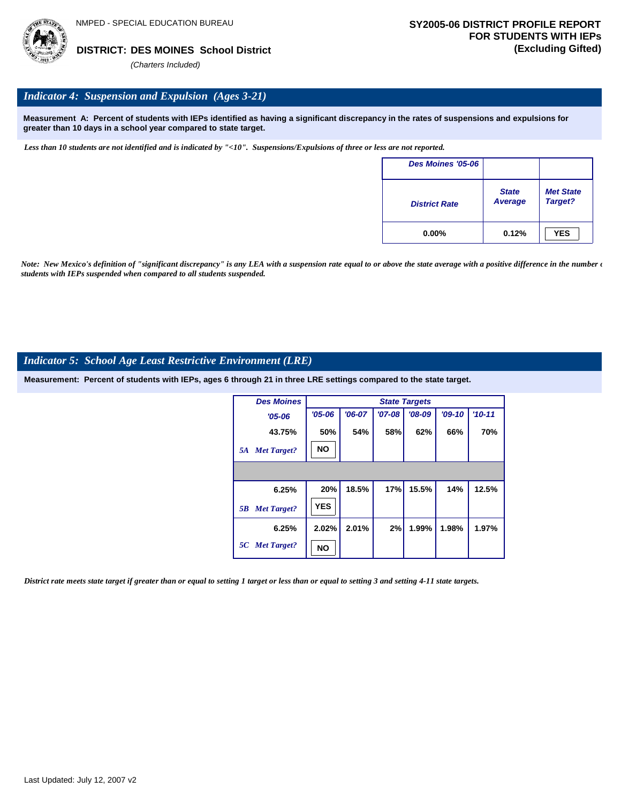

# *Indicator 4: Suspension and Expulsion (Ages 3-21)*

**Measurement A: Percent of students with IEPs identified as having a significant discrepancy in the rates of suspensions and expulsions for greater than 10 days in a school year compared to state target.**

*Less than 10 students are not identified and is indicated by "<10". Suspensions/Expulsions of three or less are not reported.*

| Des Moines '05-06    |                                |                             |
|----------------------|--------------------------------|-----------------------------|
| <b>District Rate</b> | <b>State</b><br><b>Average</b> | <b>Met State</b><br>Target? |
| $0.00\%$             | 0.12%                          | <b>YES</b>                  |

*Note: New Mexico's definition of "significant discrepancy" is any LEA with a suspension rate equal to or above the state average with a positive difference in the number*  $\epsilon$ *students with IEPs suspended when compared to all students suspended.*

## *Indicator 5: School Age Least Restrictive Environment (LRE)*

**Measurement: Percent of students with IEPs, ages 6 through 21 in three LRE settings compared to the state target.**

| <b>Des Moines</b>        |            |          |            | <b>State Targets</b> |          |          |
|--------------------------|------------|----------|------------|----------------------|----------|----------|
| $'05 - 06$               | $'05 - 06$ | $'06-07$ | $'07 - 08$ | $'08-09$             | $'09-10$ | $'10-11$ |
| 43.75%                   | 50%        | 54%      | 58%        | 62%                  | 66%      | 70%      |
| <b>Met Target?</b><br>5A | <b>NO</b>  |          |            |                      |          |          |
|                          |            |          |            |                      |          |          |
| 6.25%                    | 20%        | 18.5%    | 17%        | 15.5%                | 14%      | 12.5%    |
| <b>Met Target?</b><br>5B | <b>YES</b> |          |            |                      |          |          |
| 6.25%                    | 2.02%      | 2.01%    | 2%         | 1.99%                | 1.98%    | 1.97%    |
| 5C Met Target?           | NΟ         |          |            |                      |          |          |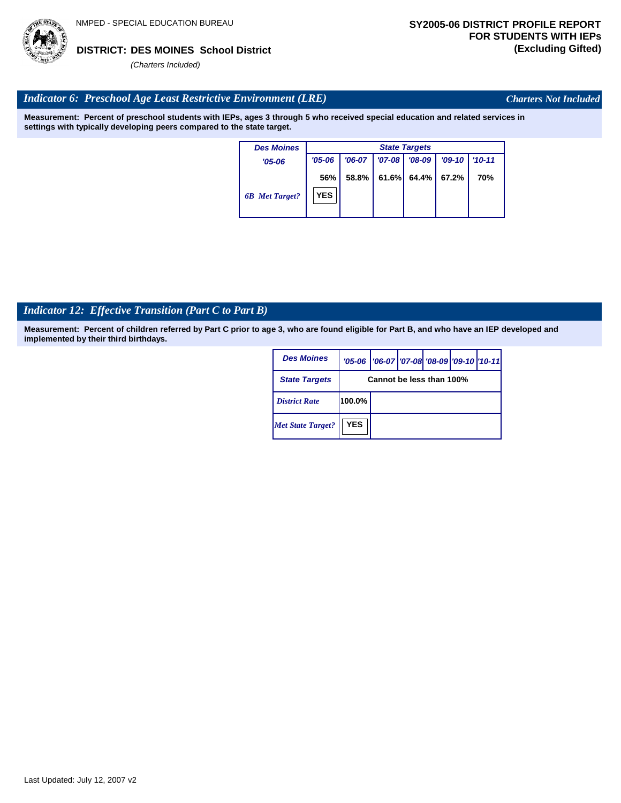

*Charters Not Included*

# *Indicator 6: Preschool Age Least Restrictive Environment (LRE)*

**Measurement: Percent of preschool students with IEPs, ages 3 through 5 who received special education and related services in settings with typically developing peers compared to the state target.**

| <b>Des Moines</b>     |            |          |            | <b>State Targets</b> |          |        |
|-----------------------|------------|----------|------------|----------------------|----------|--------|
| $'05 - 06$            | $'05 - 06$ | $'06-07$ | $'07 - 08$ | '08-09               | $'09-10$ | '10-11 |
|                       | 56%        | 58.8%    | 61.6%      | 64.4% I              | 67.2%    | 70%    |
| <b>6B</b> Met Target? | <b>YES</b> |          |            |                      |          |        |

# *Indicator 12: Effective Transition (Part C to Part B)*

| <b>Des Moines</b>        |            | '05-06   '06-07   '07-08   '08-09   '09-10   '10-11 |  |  |
|--------------------------|------------|-----------------------------------------------------|--|--|
| <b>State Targets</b>     |            | Cannot be less than 100%                            |  |  |
| <b>District Rate</b>     | 100.0%     |                                                     |  |  |
| <b>Met State Target?</b> | <b>YES</b> |                                                     |  |  |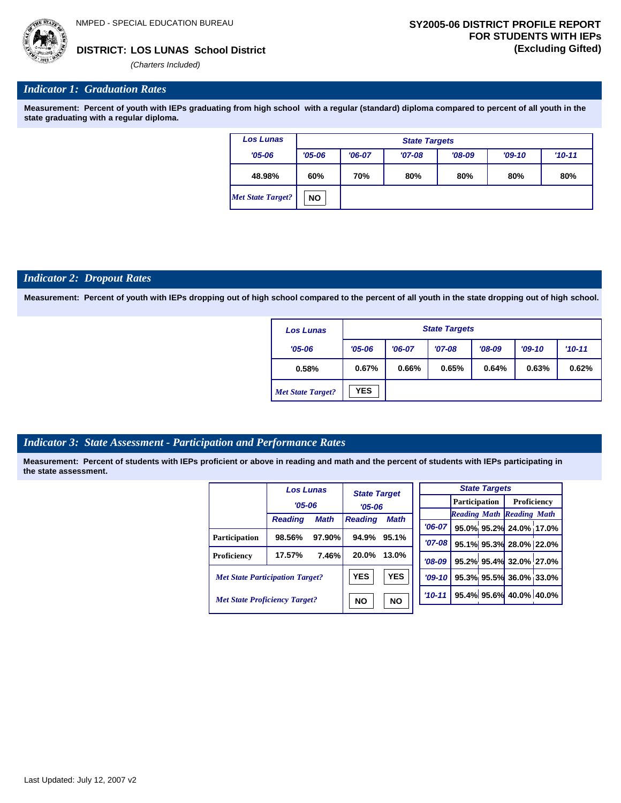**95.1% 95.3% 28.0% 22.0% 95.2% 95.4% 32.0% 27.0% 95.3% 95.5% 36.0% 33.0% 95.4% 95.6% 40.0% 40.0%**

*(Charters Included)*

# *Indicator 1: Graduation Rates*

**Measurement: Percent of youth with IEPs graduating from high school with a regular (standard) diploma compared to percent of all youth in the state graduating with a regular diploma.**

| <b>Los Lunas</b>  |            |          | <b>State Targets</b> |          |          |          |
|-------------------|------------|----------|----------------------|----------|----------|----------|
| $'05 - 06$        | $'05 - 06$ | $'06-07$ | $'07-08$             | $'08-09$ | $'09-10$ | $'10-11$ |
| 48.98%            | 60%        | 70%      | 80%                  | 80%      | 80%      | 80%      |
| Met State Target? | <b>NO</b>  |          |                      |          |          |          |

#### *Indicator 2: Dropout Rates*

**Measurement: Percent of youth with IEPs dropping out of high school compared to the percent of all youth in the state dropping out of high school.**

| <b>Los Lunas</b>         |            |          | <b>State Targets</b> |          |          |          |
|--------------------------|------------|----------|----------------------|----------|----------|----------|
| $'05 - 06$               | $'05 - 06$ | $'06-07$ | $'07-08$             | $'08-09$ | $'09-10$ | $'10-11$ |
| 0.58%                    | 0.67%      | 0.66%    | 0.65%                | 0.64%    | 0.63%    | 0.62%    |
| <b>Met State Target?</b> | <b>YES</b> |          |                      |          |          |          |

# *Indicator 3: State Assessment - Participation and Performance Rates*

|                                        | <b>Los Lunas</b> |             | <b>State Target</b> |             |          |  | <b>State Targets</b> |                                  |  |  |             |
|----------------------------------------|------------------|-------------|---------------------|-------------|----------|--|----------------------|----------------------------------|--|--|-------------|
|                                        | $'05 - 06$       |             | $'05 - 06$          |             |          |  |                      | <b>Participation</b>             |  |  | Proficiency |
|                                        | <b>Reading</b>   | <b>Math</b> | <b>Reading</b>      | <b>Math</b> |          |  |                      | <b>Reading Math Reading Math</b> |  |  |             |
|                                        |                  |             |                     |             | $'06-07$ |  |                      | 95.0% 95.2% 24.0% 17.0%          |  |  |             |
| <b>Participation</b>                   | 98.56%           | $97.90\%$   | 94.9%               | 95.1%       | $'07-08$ |  |                      | 95.1% 95.3% 28.0% 22.09          |  |  |             |
| Proficiency                            | 17.57%           | 7.46%       | 20.0%               | 13.0%       | $'08-09$ |  |                      | 95.2% 95.4% 32.0% 27.0%          |  |  |             |
| <b>Met State Participation Target?</b> |                  |             | <b>YES</b>          | <b>YES</b>  | $'09-10$ |  |                      | 95.3% 95.5% 36.0% 33.0%          |  |  |             |
| <b>Met State Proficiency Target?</b>   |                  |             | <b>NO</b>           | <b>NO</b>   | $'10-11$ |  |                      | 95.4% 95.6% 40.0% 40.0%          |  |  |             |
|                                        |                  |             |                     |             |          |  |                      |                                  |  |  |             |

| Last Updated: July 12, 2007 v2 |
|--------------------------------|
|--------------------------------|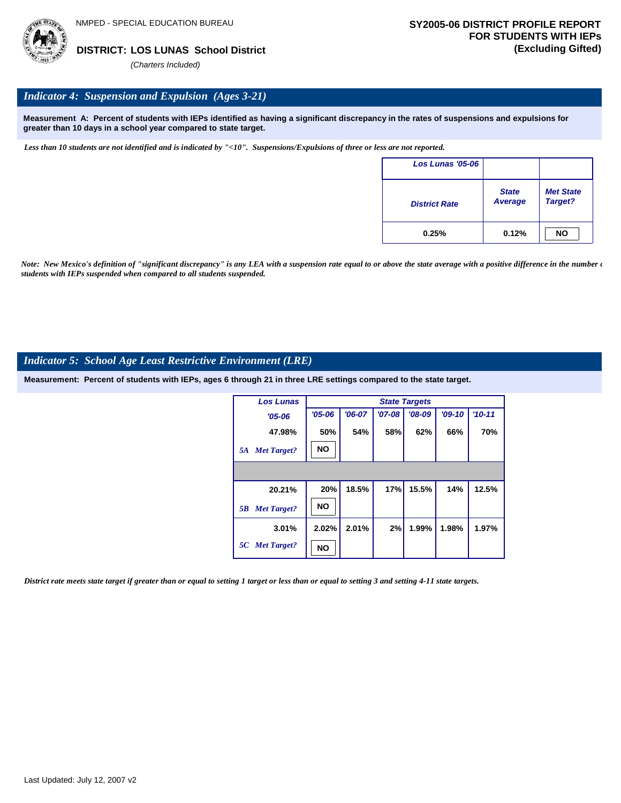# *Indicator 4: Suspension and Expulsion (Ages 3-21)*

**Measurement A: Percent of students with IEPs identified as having a significant discrepancy in the rates of suspensions and expulsions for greater than 10 days in a school year compared to state target.**

*Less than 10 students are not identified and is indicated by "<10". Suspensions/Expulsions of three or less are not reported.*

| Los Lunas '05-06     |                         |                             |
|----------------------|-------------------------|-----------------------------|
| <b>District Rate</b> | <b>State</b><br>Average | <b>Met State</b><br>Target? |
| 0.25%                | 0.12%                   | <b>NO</b>                   |

*Note: New Mexico's definition of "significant discrepancy" is any LEA with a suspension rate equal to or above the state average with a positive difference in the number*  $\epsilon$ *students with IEPs suspended when compared to all students suspended.*

## *Indicator 5: School Age Least Restrictive Environment (LRE)*

**Measurement: Percent of students with IEPs, ages 6 through 21 in three LRE settings compared to the state target.**

| <b>Los Lunas</b>         |            | <b>State Targets</b> |          |          |          |          |  |  |  |  |
|--------------------------|------------|----------------------|----------|----------|----------|----------|--|--|--|--|
| $'05 - 06$               | $'05 - 06$ | $'06-07$             | $'07-08$ | $'08-09$ | $'09-10$ | $'10-11$ |  |  |  |  |
| 47.98%                   | 50%        | 54%                  | 58%      | 62%      | 66%      | 70%      |  |  |  |  |
| <b>Met Target?</b><br>5A | <b>NO</b>  |                      |          |          |          |          |  |  |  |  |
|                          |            |                      |          |          |          |          |  |  |  |  |
| 20.21%                   | 20%        | 18.5%                | 17%      | 15.5%    | 14%      | 12.5%    |  |  |  |  |
| <b>Met Target?</b><br>5B | <b>NO</b>  |                      |          |          |          |          |  |  |  |  |
| 3.01%                    | 2.02%      | 2.01%                | 2%       | 1.99%    | 1.98%    | 1.97%    |  |  |  |  |
| 5C Met Target?           | NΟ         |                      |          |          |          |          |  |  |  |  |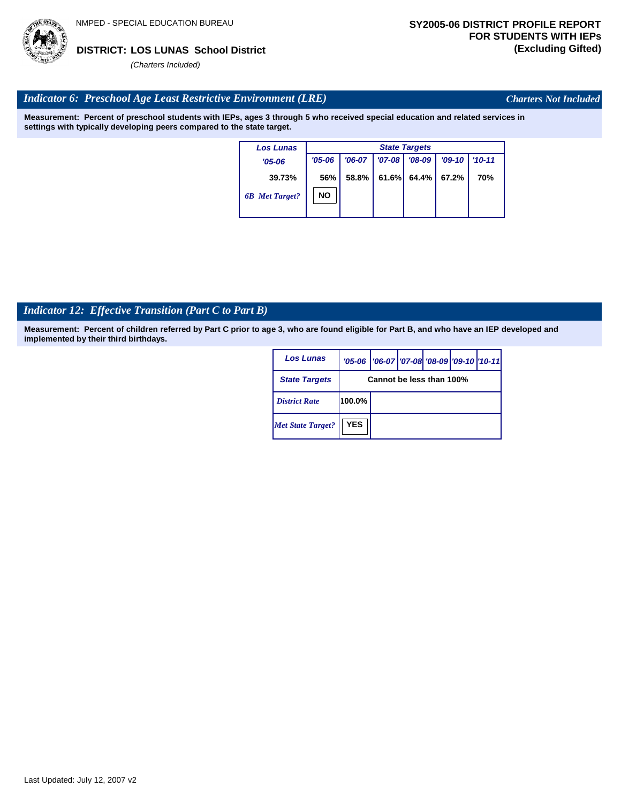

*Charters Not Included*

# *Indicator 6: Preschool Age Least Restrictive Environment (LRE)*

**Measurement: Percent of preschool students with IEPs, ages 3 through 5 who received special education and related services in settings with typically developing peers compared to the state target.**

| <b>Los Lunas</b>      |            | <b>State Targets</b> |            |          |          |            |  |  |
|-----------------------|------------|----------------------|------------|----------|----------|------------|--|--|
| $'05 - 06$            | $'05 - 06$ | $'06-07$             | $'07 - 08$ | $'08-09$ | $'09-10$ | $'10 - 11$ |  |  |
| 39.73%                | 56%        | 58.8%                | 61.6%      | 64.4%    | 67.2%    | 70%        |  |  |
| <b>6B</b> Met Target? | <b>NO</b>  |                      |            |          |          |            |  |  |

# *Indicator 12: Effective Transition (Part C to Part B)*

| <b>Los Lunas</b>         |                          | '05-06   '06-07   '07-08   '08-09   '09-10   '10-11 |  |  |  |  |  |
|--------------------------|--------------------------|-----------------------------------------------------|--|--|--|--|--|
| <b>State Targets</b>     | Cannot be less than 100% |                                                     |  |  |  |  |  |
| <b>District Rate</b>     | $100.0\%$                |                                                     |  |  |  |  |  |
| <b>Met State Target?</b> | <b>YES</b>               |                                                     |  |  |  |  |  |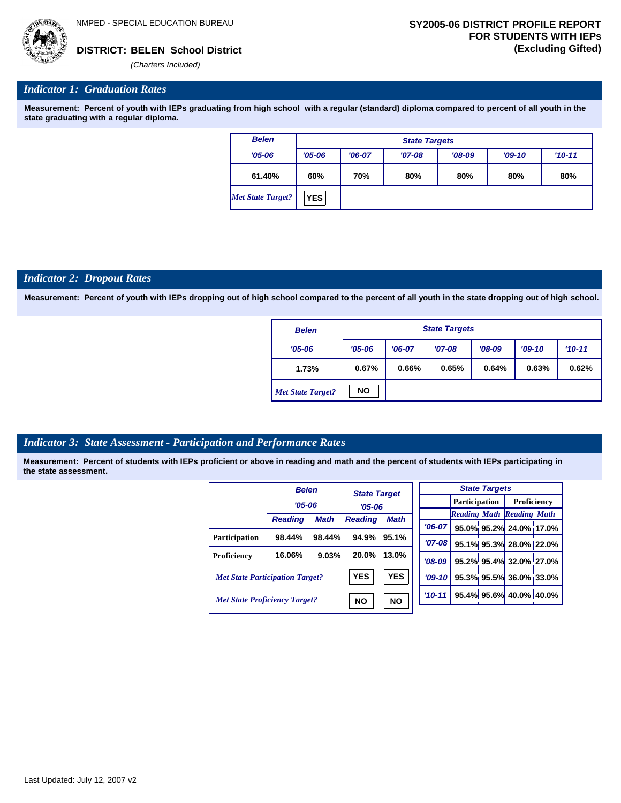

### *Indicator 1: Graduation Rates*

**Measurement: Percent of youth with IEPs graduating from high school with a regular (standard) diploma compared to percent of all youth in the state graduating with a regular diploma.**

| <b>Belen</b>             | <b>State Targets</b> |          |          |          |          |            |  |  |  |
|--------------------------|----------------------|----------|----------|----------|----------|------------|--|--|--|
| $'05 - 06$               | $'05 - 06$           | $'06-07$ | $'07-08$ | $'08-09$ | $'09-10$ | $'10 - 11$ |  |  |  |
| 61.40%                   | 60%                  | 70%      | 80%      | 80%      | 80%      | 80%        |  |  |  |
| <b>Met State Target?</b> | <b>YES</b>           |          |          |          |          |            |  |  |  |

#### *Indicator 2: Dropout Rates*

**Measurement: Percent of youth with IEPs dropping out of high school compared to the percent of all youth in the state dropping out of high school.**

| <b>Belen</b>             |            | <b>State Targets</b> |          |          |          |          |  |  |  |
|--------------------------|------------|----------------------|----------|----------|----------|----------|--|--|--|
| $'05 - 06$               | $'05 - 06$ | $'06-07$             | $'07-08$ | $'08-09$ | $'09-10$ | $'10-11$ |  |  |  |
| 1.73%                    | 0.67%      | 0.66%                | 0.65%    | 0.64%    | 0.63%    | 0.62%    |  |  |  |
| <b>Met State Target?</b> | <b>NO</b>  |                      |          |          |          |          |  |  |  |

### *Indicator 3: State Assessment - Participation and Performance Rates*

|                                        | <b>Belen</b>   |                        | <b>State Target</b> |             |          |           |  | <b>State Targets</b>    |                                  |  |             |  |
|----------------------------------------|----------------|------------------------|---------------------|-------------|----------|-----------|--|-------------------------|----------------------------------|--|-------------|--|
|                                        | $'05 - 06$     |                        | $'05 - 06$          |             |          |           |  |                         | <b>Participation</b>             |  | Proficiency |  |
|                                        |                |                        |                     |             |          |           |  |                         | <b>Reading Math Reading Math</b> |  |             |  |
|                                        | <b>Reading</b> | <b>Math</b>            | <b>Reading</b>      | <b>Math</b> |          | $'06-07$  |  |                         | 95.0% 95.2% 24.0% 17.0%          |  |             |  |
| <b>Participation</b>                   | 98.44%         | 98.44%                 | 94.9%               | 95.1%       |          | $'07-08$  |  |                         |                                  |  |             |  |
|                                        |                |                        |                     |             |          |           |  |                         | 95.1% 95.3% 28.0% 22.0%          |  |             |  |
| Proficiency                            | 16.06%         | 9.03%                  | 20.0%               | 13.0%       |          | $'08-09$  |  |                         | 95.2% 95.4% 32.0% 27.0%          |  |             |  |
| <b>Met State Participation Target?</b> |                |                        | <b>YES</b>          | <b>YES</b>  |          | $'09-10'$ |  |                         | 95.3% 95.5% 36.0% 33.0%          |  |             |  |
| <b>Met State Proficiency Target?</b>   |                | <b>NO</b><br><b>NO</b> |                     |             | $'10-11$ |           |  | 95.4% 95.6% 40.0% 40.0% |                                  |  |             |  |
|                                        |                |                        |                     |             |          |           |  |                         |                                  |  |             |  |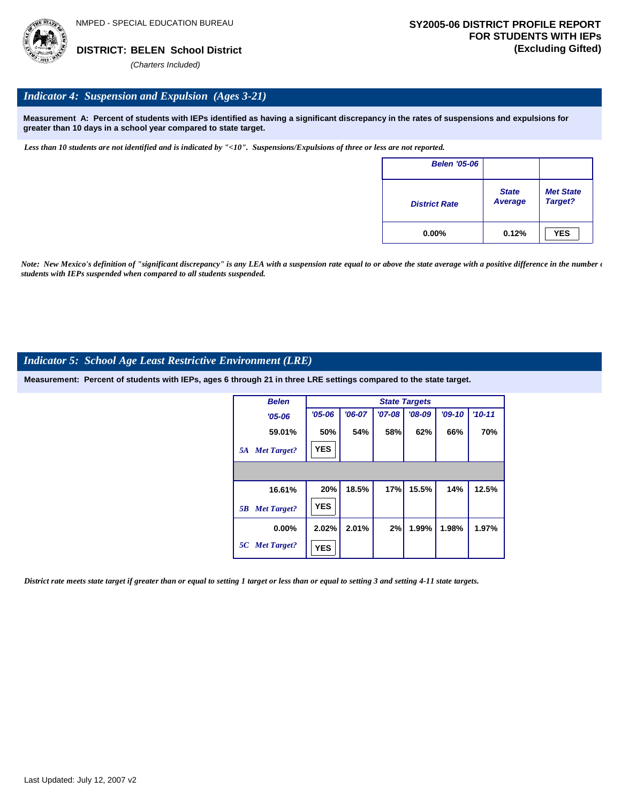

# *Indicator 4: Suspension and Expulsion (Ages 3-21)*

**Measurement A: Percent of students with IEPs identified as having a significant discrepancy in the rates of suspensions and expulsions for greater than 10 days in a school year compared to state target.**

*Less than 10 students are not identified and is indicated by "<10". Suspensions/Expulsions of three or less are not reported.*

| <b>Belen '05-06</b>  |                         |                             |
|----------------------|-------------------------|-----------------------------|
| <b>District Rate</b> | <b>State</b><br>Average | <b>Met State</b><br>Target? |
| $0.00\%$             | 0.12%                   | <b>YES</b>                  |

*Note: New Mexico's definition of "significant discrepancy" is any LEA with a suspension rate equal to or above the state average with a positive difference in the number*  $\epsilon$ *students with IEPs suspended when compared to all students suspended.*

### *Indicator 5: School Age Least Restrictive Environment (LRE)*

**Measurement: Percent of students with IEPs, ages 6 through 21 in three LRE settings compared to the state target.**

| <b>Belen</b>             | <b>State Targets</b> |          |          |          |          |            |  |  |  |
|--------------------------|----------------------|----------|----------|----------|----------|------------|--|--|--|
| $'05 - 06$               | $'05 - 06$           | $'06-07$ | $'07-08$ | $'08-09$ | $'09-10$ | $'10 - 11$ |  |  |  |
| 59.01%                   | 50%                  | 54%      | 58%      | 62%      | 66%      | 70%        |  |  |  |
| <b>Met Target?</b><br>5A | <b>YES</b>           |          |          |          |          |            |  |  |  |
|                          |                      |          |          |          |          |            |  |  |  |
| 16.61%                   | 20%                  | 18.5%    | 17%      | 15.5%    | 14%      | 12.5%      |  |  |  |
| <b>Met Target?</b><br>5B | <b>YES</b>           |          |          |          |          |            |  |  |  |
| $0.00\%$                 | 2.02%                | 2.01%    | 2%       | 1.99%    | 1.98%    | 1.97%      |  |  |  |
| 5C Met Target?           | <b>YES</b>           |          |          |          |          |            |  |  |  |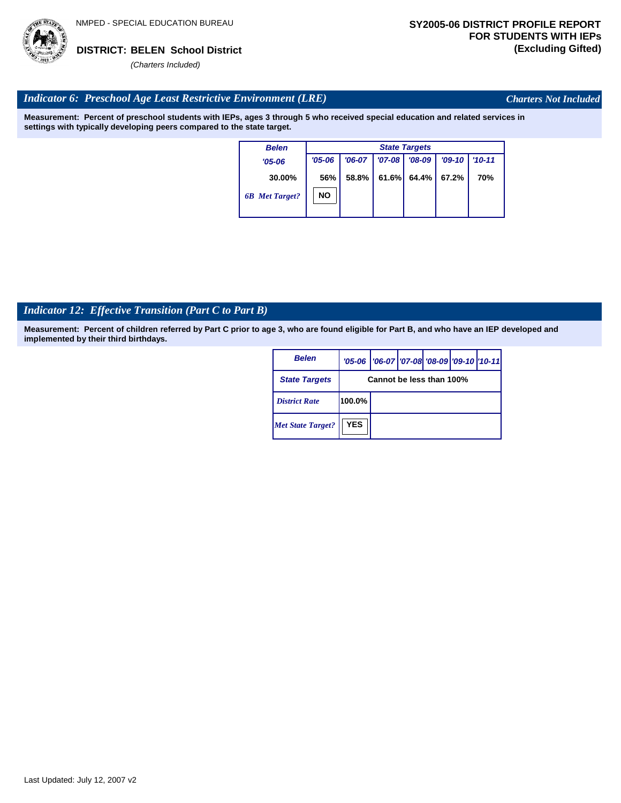

*Charters Not Included*

# *Indicator 6: Preschool Age Least Restrictive Environment (LRE)*

**Measurement: Percent of preschool students with IEPs, ages 3 through 5 who received special education and related services in settings with typically developing peers compared to the state target.**

| <b>Belen</b>          | <b>State Targets</b> |          |          |          |          |            |  |  |
|-----------------------|----------------------|----------|----------|----------|----------|------------|--|--|
| $'05 - 06$            | $'05 - 06$           | $'06-07$ | $'07-08$ | $'08-09$ | $'09-10$ | $'10 - 11$ |  |  |
| 30.00%                | 56%                  | 58.8%    | 61.6%    | 64.4% I  | 67.2%    | 70%        |  |  |
| <b>6B</b> Met Target? | NΟ                   |          |          |          |          |            |  |  |

# *Indicator 12: Effective Transition (Part C to Part B)*

| <b>Belen</b>             |                          | '05-06   '06-07   '07-08 '08-09   '09-10   '10-11 |  |  |  |  |  |
|--------------------------|--------------------------|---------------------------------------------------|--|--|--|--|--|
| <b>State Targets</b>     | Cannot be less than 100% |                                                   |  |  |  |  |  |
| <b>District Rate</b>     | 100.0%                   |                                                   |  |  |  |  |  |
| <b>Met State Target?</b> | <b>YES</b>               |                                                   |  |  |  |  |  |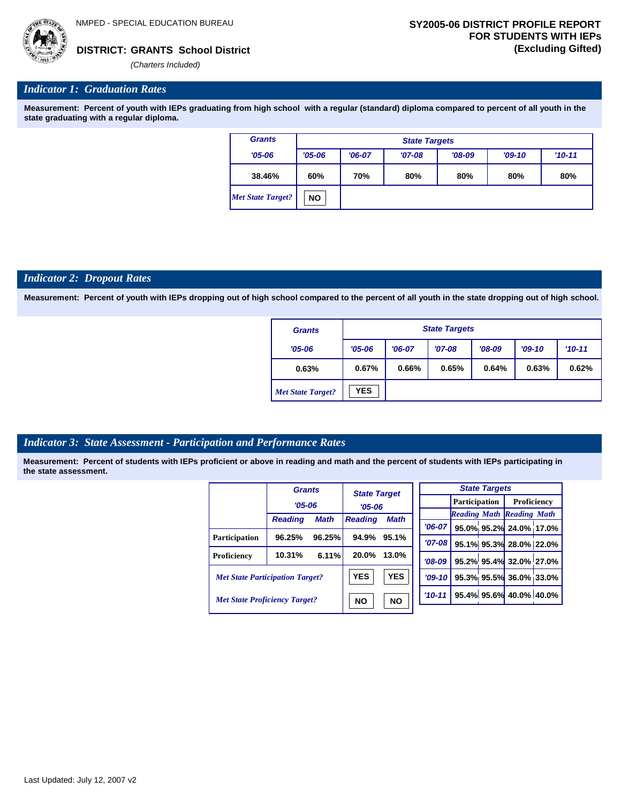# *Indicator 1: Graduation Rates*

**Measurement: Percent of youth with IEPs graduating from high school with a regular (standard) diploma compared to percent of all youth in the state graduating with a regular diploma.**

| <b>Grants</b>     |            | <b>State Targets</b> |          |          |          |          |  |  |  |  |
|-------------------|------------|----------------------|----------|----------|----------|----------|--|--|--|--|
| $'05 - 06$        | $'05 - 06$ | $'06-07$             | $'07-08$ | $'08-09$ | $'09-10$ | $'10-11$ |  |  |  |  |
| 38.46%            | 60%        | 70%                  | 80%      | 80%      | 80%      | 80%      |  |  |  |  |
| Met State Target? | <b>NO</b>  |                      |          |          |          |          |  |  |  |  |

#### *Indicator 2: Dropout Rates*

**Measurement: Percent of youth with IEPs dropping out of high school compared to the percent of all youth in the state dropping out of high school.**

| <b>Grants</b>            |            | <b>State Targets</b> |          |          |          |          |  |  |  |
|--------------------------|------------|----------------------|----------|----------|----------|----------|--|--|--|
| $'05 - 06$               | $'05 - 06$ | $'06-07$             | $'07-08$ | $'08-09$ | $'09-10$ | $'10-11$ |  |  |  |
| 0.63%                    | 0.67%      | 0.66%                | 0.65%    | 0.64%    | 0.63%    | 0.62%    |  |  |  |
| <b>Met State Target?</b> | <b>YES</b> |                      |          |          |          |          |  |  |  |

# *Indicator 3: State Assessment - Participation and Performance Rates*

|                                        | <b>Grants</b>  |             | <b>State Target</b> |             |           |           | <b>State Targets</b>   |                                  |                                     |  |  |
|----------------------------------------|----------------|-------------|---------------------|-------------|-----------|-----------|------------------------|----------------------------------|-------------------------------------|--|--|
|                                        | $'05 - 06$     |             | $'05 - 06$          |             |           |           |                        |                                  | <b>Participation</b><br>Proficiency |  |  |
|                                        |                |             |                     |             |           |           |                        | <b>Reading Math Reading Math</b> |                                     |  |  |
|                                        | <b>Reading</b> | <b>Math</b> | <b>Reading</b>      | <b>Math</b> |           | $'06-07$  |                        | 95.0% 95.2% 24.0% 17.0           |                                     |  |  |
| <b>Participation</b>                   | 96.25%         | 96.25%      | 94.9%               | 95.1%       |           |           |                        |                                  |                                     |  |  |
|                                        |                |             |                     |             |           | $'07-08'$ |                        | 95.1% 95.3% 28.0% 22.0           |                                     |  |  |
| Proficiency                            | 10.31%         | 6.11%       | 20.0%               | 13.0%       |           | $'08-09$  |                        | 95.2% 95.4% 32.0% 27.0           |                                     |  |  |
| <b>Met State Participation Target?</b> |                | <b>YES</b>  | <b>YES</b>          |             | $'09-10'$ |           | 95.3% 95.5% 36.0% 33.0 |                                  |                                     |  |  |
| <b>Met State Proficiency Target?</b>   |                | <b>NO</b>   | <b>NO</b>           |             | $'10-11$  |           | 95.4% 95.6% 40.0% 40.0 |                                  |                                     |  |  |
|                                        |                |             |                     |             |           |           |                        |                                  |                                     |  |  |

| <b>State Targets</b> |                                  |                                   |  |  |  |  |  |  |
|----------------------|----------------------------------|-----------------------------------|--|--|--|--|--|--|
|                      | <b>Participation</b> Proficiency |                                   |  |  |  |  |  |  |
|                      | <b>Reading Math Reading Math</b> |                                   |  |  |  |  |  |  |
|                      |                                  | $706-07$ 95.0% 95.2% 24.0% 17.0%  |  |  |  |  |  |  |
| $'07-08$             |                                  | 95.1% 95.3% 28.0% 22.0%           |  |  |  |  |  |  |
|                      |                                  | $708-09$ 95.2% 95.4% 32.0% 27.0%  |  |  |  |  |  |  |
|                      |                                  | $ 09-10 $ 95.3% 95.5% 36.0% 33.0% |  |  |  |  |  |  |
| $'10 - 11'$          |                                  | 95.4% 95.6% 40.0% 40.0%           |  |  |  |  |  |  |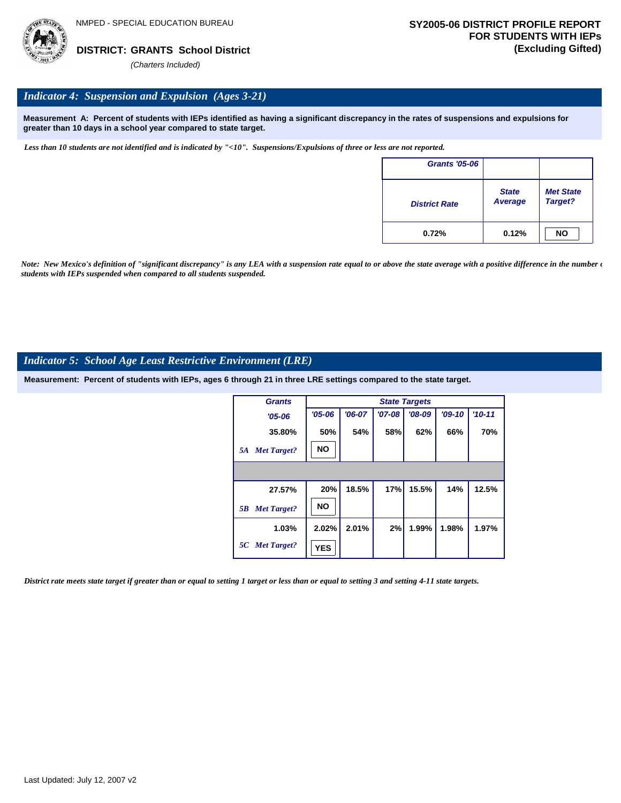

# *Indicator 4: Suspension and Expulsion (Ages 3-21)*

**Measurement A: Percent of students with IEPs identified as having a significant discrepancy in the rates of suspensions and expulsions for greater than 10 days in a school year compared to state target.**

*Less than 10 students are not identified and is indicated by "<10". Suspensions/Expulsions of three or less are not reported.*

| <b>Grants '05-06</b> |                                |                             |
|----------------------|--------------------------------|-----------------------------|
| <b>District Rate</b> | <b>State</b><br><b>Average</b> | <b>Met State</b><br>Target? |
| 0.72%                | 0.12%                          | <b>NO</b>                   |

*Note: New Mexico's definition of "significant discrepancy" is any LEA with a suspension rate equal to or above the state average with a positive difference in the number*  $\epsilon$ *students with IEPs suspended when compared to all students suspended.*

### *Indicator 5: School Age Least Restrictive Environment (LRE)*

**Measurement: Percent of students with IEPs, ages 6 through 21 in three LRE settings compared to the state target.**

| <b>Grants</b>            |            |          |          | <b>State Targets</b> |          |            |
|--------------------------|------------|----------|----------|----------------------|----------|------------|
| $'05 - 06$               | $'05 - 06$ | $'06-07$ | $'07-08$ | $'08-09$             | $'09-10$ | $'10 - 11$ |
| 35.80%                   | 50%        | 54%      | 58%      | 62%                  | 66%      | 70%        |
| <b>Met Target?</b><br>5A | <b>NO</b>  |          |          |                      |          |            |
|                          |            |          |          |                      |          |            |
| 27.57%                   | 20%        | 18.5%    | 17%      | 15.5%                | 14%      | 12.5%      |
| <b>Met Target?</b><br>5B | <b>NO</b>  |          |          |                      |          |            |
| 1.03%                    | 2.02%      | 2.01%    | 2%       | 1.99%                | 1.98%    | 1.97%      |
| 5C Met Target?           | <b>YES</b> |          |          |                      |          |            |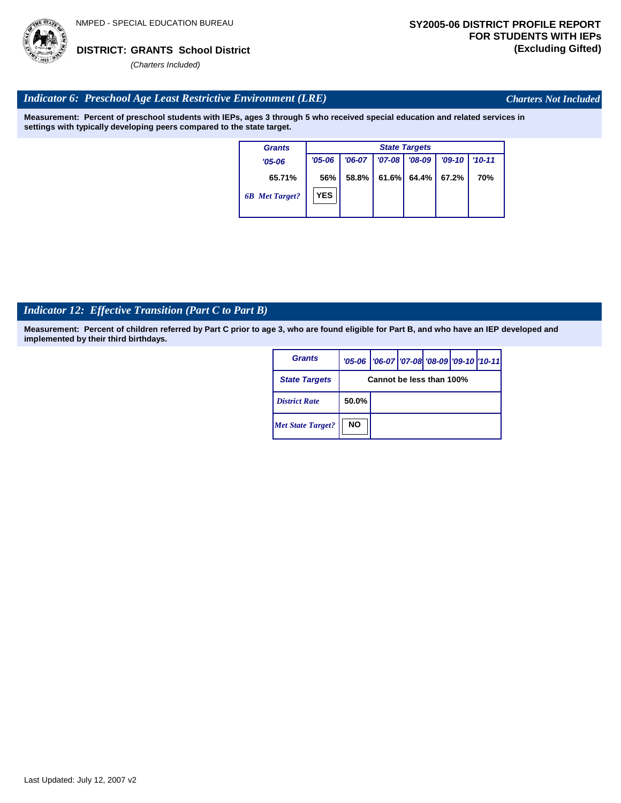

*Charters Not Included*

# *Indicator 6: Preschool Age Least Restrictive Environment (LRE)*

**Measurement: Percent of preschool students with IEPs, ages 3 through 5 who received special education and related services in settings with typically developing peers compared to the state target.**

| <b>Grants</b>         |            | <b>State Targets</b> |          |                |          |            |  |  |  |  |
|-----------------------|------------|----------------------|----------|----------------|----------|------------|--|--|--|--|
| $'05 - 06$            | $'05 - 06$ | $'06-07$             | $'07-08$ | $'08-09$       | $'09-10$ | $'10 - 11$ |  |  |  |  |
| 65.71%                | 56%        | $58.8\%$             |          | $61.6\%$ 64.4% | 67.2%    | 70%        |  |  |  |  |
| <b>6B</b> Met Target? | <b>YES</b> |                      |          |                |          |            |  |  |  |  |

# *Indicator 12: Effective Transition (Part C to Part B)*

| <b>Grants</b>            |           | '05-06   '06-07   '07-08   '08-09   '09-10   '10-11 |  |  |
|--------------------------|-----------|-----------------------------------------------------|--|--|
| <b>State Targets</b>     |           | Cannot be less than 100%                            |  |  |
| <b>District Rate</b>     | 50.0%     |                                                     |  |  |
| <b>Met State Target?</b> | <b>NO</b> |                                                     |  |  |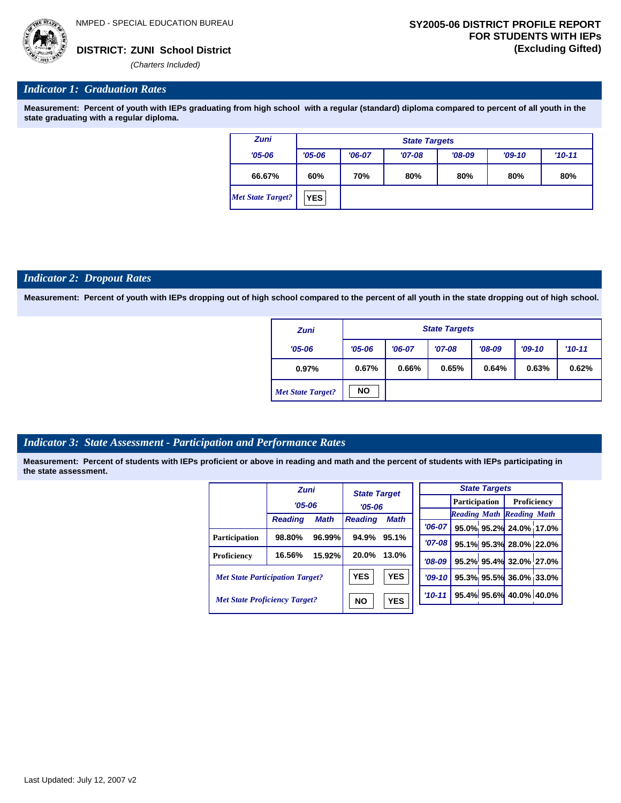

### *Indicator 1: Graduation Rates*

**Measurement: Percent of youth with IEPs graduating from high school with a regular (standard) diploma compared to percent of all youth in the state graduating with a regular diploma.**

| <b>Zuni</b>       |            | <b>State Targets</b> |          |          |  |  |  |  |  |  |  |
|-------------------|------------|----------------------|----------|----------|--|--|--|--|--|--|--|
| $'05 - 06$        | $'05 - 06$ | $'06-07$             | $'09-10$ | $'10-11$ |  |  |  |  |  |  |  |
| 66.67%            | 60%        | 70%                  | 80%      | 80%      |  |  |  |  |  |  |  |
| Met State Target? | <b>YES</b> |                      |          |          |  |  |  |  |  |  |  |

#### *Indicator 2: Dropout Rates*

**Measurement: Percent of youth with IEPs dropping out of high school compared to the percent of all youth in the state dropping out of high school.**

| <b>Zuni</b>              |            | <b>State Targets</b> |          |          |          |          |  |  |  |  |
|--------------------------|------------|----------------------|----------|----------|----------|----------|--|--|--|--|
| $'05 - 06$               | $'05 - 06$ | $'06-07$             | $'07-08$ | $'08-09$ | $'09-10$ | $'10-11$ |  |  |  |  |
| 0.97%                    | 0.67%      | 0.66%                | 0.65%    | 0.64%    | 0.63%    | 0.62%    |  |  |  |  |
| <b>Met State Target?</b> | <b>NO</b>  |                      |          |          |          |          |  |  |  |  |

### *Indicator 3: State Assessment - Participation and Performance Rates*

|                                        | <b>Zuni</b>    |             | <b>State Target</b> |             |            |          |                         | <b>State Targets</b>    |                                  |  |
|----------------------------------------|----------------|-------------|---------------------|-------------|------------|----------|-------------------------|-------------------------|----------------------------------|--|
|                                        | $'05 - 06$     |             |                     | $'05 - 06$  |            |          | <b>Participation</b>    |                         | Proficiency                      |  |
|                                        |                |             |                     |             |            |          |                         |                         | <b>Reading Math Reading Math</b> |  |
|                                        | <b>Reading</b> | <b>Math</b> | <b>Reading</b>      | <b>Math</b> |            |          |                         |                         |                                  |  |
|                                        |                |             |                     |             |            | $'06-07$ |                         |                         | 95.0% 95.2% 24.0% 17.0%          |  |
| <b>Participation</b>                   | 98.80%         | 96.99%      | 94.9%<br>95.1%      | $'07 - 08$  |            |          | 95.1% 95.3% 28.0% 22.0% |                         |                                  |  |
| Proficiency                            | 16.56%         | 15.92%      | 20.0%               | 13.0%       |            | $'08-09$ |                         |                         | 95.2% 95.4% 32.0% 27.0%          |  |
| <b>Met State Participation Target?</b> |                | <b>YES</b>  | <b>YES</b>          |             | $'09-10'$  |          |                         | 95.3% 95.5% 36.0% 33.0% |                                  |  |
| <b>Met State Proficiency Target?</b>   |                | <b>NO</b>   | <b>YES</b>          |             | $'10 - 11$ |          |                         | 95.4% 95.6% 40.0% 40.0% |                                  |  |
|                                        |                |             |                     |             |            |          |                         |                         |                                  |  |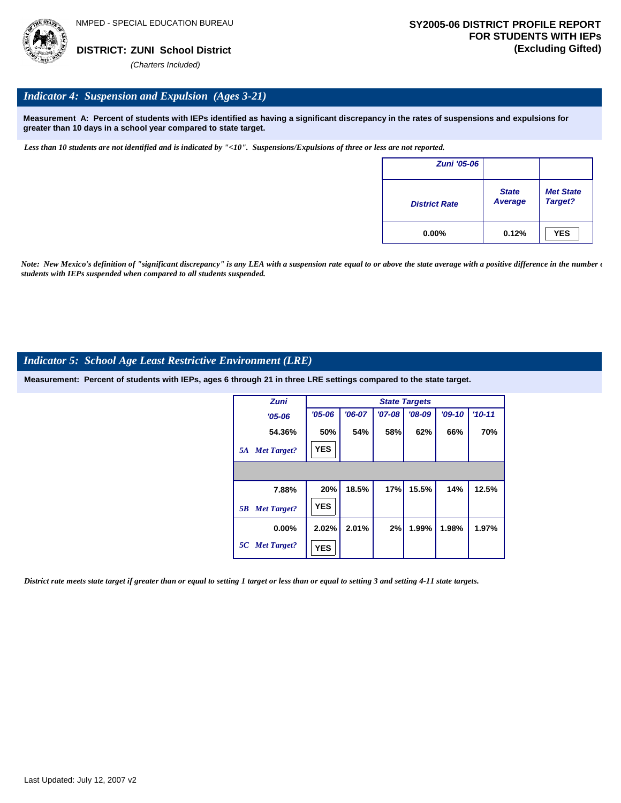

# *Indicator 4: Suspension and Expulsion (Ages 3-21)*

**Measurement A: Percent of students with IEPs identified as having a significant discrepancy in the rates of suspensions and expulsions for greater than 10 days in a school year compared to state target.**

*Less than 10 students are not identified and is indicated by "<10". Suspensions/Expulsions of three or less are not reported.*

| <b>Zuni '05-06</b>   |                         |                             |
|----------------------|-------------------------|-----------------------------|
| <b>District Rate</b> | <b>State</b><br>Average | <b>Met State</b><br>Target? |
| $0.00\%$             | 0.12%                   | <b>YES</b>                  |

*Note: New Mexico's definition of "significant discrepancy" is any LEA with a suspension rate equal to or above the state average with a positive difference in the number*  $\epsilon$ *students with IEPs suspended when compared to all students suspended.*

### *Indicator 5: School Age Least Restrictive Environment (LRE)*

**Measurement: Percent of students with IEPs, ages 6 through 21 in three LRE settings compared to the state target.**

| <b>Zuni</b>              |            | <b>State Targets</b> |          |          |          |          |  |  |  |  |
|--------------------------|------------|----------------------|----------|----------|----------|----------|--|--|--|--|
| $'05 - 06$               | $'05 - 06$ | $'06-07$             | $'07-08$ | $'08-09$ | $'09-10$ | $'10-11$ |  |  |  |  |
| 54.36%                   | 50%        | 54%                  | 58%      | 62%      | 66%      | 70%      |  |  |  |  |
| <b>Met Target?</b><br>5A | <b>YES</b> |                      |          |          |          |          |  |  |  |  |
|                          |            |                      |          |          |          |          |  |  |  |  |
| 7.88%                    | 20%        | 18.5%                | 17%      | 15.5%    | 14%      | 12.5%    |  |  |  |  |
| <b>Met Target?</b><br>5B | <b>YES</b> |                      |          |          |          |          |  |  |  |  |
| $0.00\%$                 | 2.02%      | 2.01%                | 2%       | 1.99%    | 1.98%    | 1.97%    |  |  |  |  |
| 5C Met Target?           | <b>YES</b> |                      |          |          |          |          |  |  |  |  |